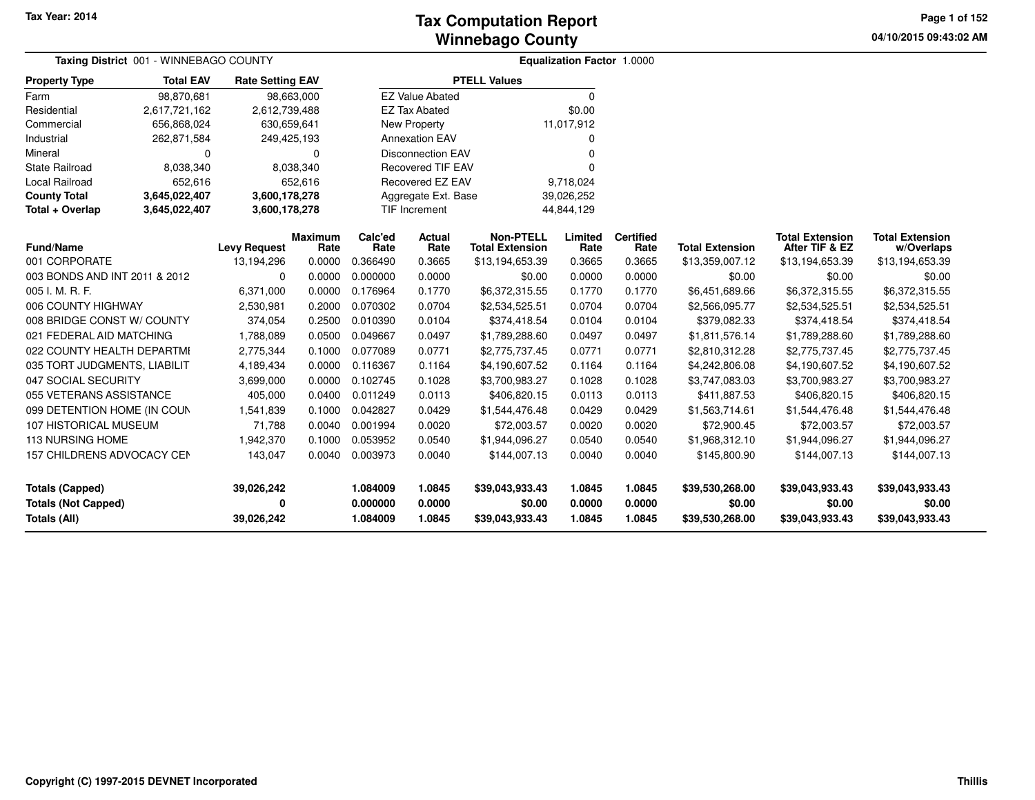**04/10/2015 09:43:02 AM Page 1 of 152**

|                                      | Taxing District 001 - WINNEBAGO COUNTY |                                   |                |                  |                          |                                           | Equalization Factor 1.0000 |                |                                           |                                   |                               |
|--------------------------------------|----------------------------------------|-----------------------------------|----------------|------------------|--------------------------|-------------------------------------------|----------------------------|----------------|-------------------------------------------|-----------------------------------|-------------------------------|
| <b>Property Type</b>                 | <b>Total EAV</b>                       | <b>Rate Setting EAV</b>           |                |                  |                          | <b>PTELL Values</b>                       |                            |                |                                           |                                   |                               |
| Farm                                 | 98,870,681                             |                                   | 98,663,000     |                  | <b>EZ Value Abated</b>   |                                           | $\Omega$                   |                |                                           |                                   |                               |
| Residential                          | 2,617,721,162                          | 2,612,739,488                     |                |                  | <b>EZ Tax Abated</b>     |                                           | \$0.00                     |                |                                           |                                   |                               |
| Commercial                           | 656,868,024                            | 630,659,641                       |                |                  | New Property             |                                           | 11,017,912                 |                |                                           |                                   |                               |
| Industrial                           | 262,871,584                            | 249,425,193                       |                |                  | <b>Annexation EAV</b>    |                                           | O                          |                |                                           |                                   |                               |
| Mineral                              | 0                                      |                                   | $\Omega$       |                  | <b>Disconnection EAV</b> |                                           | 0                          |                |                                           |                                   |                               |
| <b>State Railroad</b>                | 8,038,340                              |                                   | 8,038,340      |                  | <b>Recovered TIF EAV</b> |                                           | O                          |                |                                           |                                   |                               |
| Local Railroad<br>652,616            |                                        |                                   | 652,616        |                  | Recovered EZ EAV         |                                           | 9,718,024                  |                |                                           |                                   |                               |
| <b>County Total</b><br>3,645,022,407 |                                        | 3,600,178,278                     |                |                  | Aggregate Ext. Base      |                                           | 39,026,252                 |                |                                           |                                   |                               |
| Total + Overlap                      | 3,645,022,407                          | 3,600,178,278                     |                |                  | <b>TIF Increment</b>     |                                           | 44,844,129                 |                |                                           |                                   |                               |
| <b>Maximum</b>                       |                                        |                                   | Calc'ed        | Actual           | <b>Non-PTELL</b>         | Limited                                   | <b>Certified</b>           |                | <b>Total Extension</b>                    | <b>Total Extension</b>            |                               |
| Fund/Name<br>001 CORPORATE           |                                        | <b>Levy Request</b><br>13,194,296 | Rate<br>0.0000 | Rate<br>0.366490 | Rate<br>0.3665           | <b>Total Extension</b><br>\$13,194,653.39 | Rate<br>0.3665             | Rate<br>0.3665 | <b>Total Extension</b><br>\$13,359,007.12 | After TIF & EZ<br>\$13,194,653.39 | w/Overlaps<br>\$13,194,653.39 |
| 003 BONDS AND INT 2011 & 2012        |                                        | $\Omega$                          | 0.0000         | 0.000000         | 0.0000                   | \$0.00                                    | 0.0000                     | 0.0000         | \$0.00                                    | \$0.00                            | \$0.00                        |
| 005 I. M. R. F.                      |                                        | 6,371,000                         | 0.0000         | 0.176964         | 0.1770                   | \$6,372,315.55                            | 0.1770                     | 0.1770         | \$6,451,689.66                            | \$6,372,315.55                    | \$6,372,315.55                |
| 006 COUNTY HIGHWAY                   |                                        | 2,530,981                         | 0.2000         | 0.070302         | 0.0704                   | \$2,534,525.51                            | 0.0704                     | 0.0704         | \$2,566,095.77                            | \$2,534,525.51                    | \$2,534,525.51                |
| 008 BRIDGE CONST W/ COUNTY           |                                        | 374,054                           | 0.2500         | 0.010390         | 0.0104                   | \$374,418.54                              | 0.0104                     | 0.0104         | \$379,082.33                              | \$374,418.54                      | \$374,418.54                  |
| 021 FEDERAL AID MATCHING             |                                        | 1,788,089                         | 0.0500         | 0.049667         | 0.0497                   | \$1,789,288.60                            | 0.0497                     | 0.0497         | \$1,811,576.14                            | \$1,789,288.60                    | \$1,789,288.60                |
| 022 COUNTY HEALTH DEPARTMI           |                                        | 2,775,344                         | 0.1000         | 0.077089         | 0.0771                   | \$2,775,737.45                            | 0.0771                     | 0.0771         | \$2,810,312.28                            | \$2,775,737.45                    | \$2,775,737.45                |
| 035 TORT JUDGMENTS, LIABILIT         |                                        | 4,189,434                         | 0.0000         | 0.116367         | 0.1164                   | \$4,190,607.52                            | 0.1164                     | 0.1164         | \$4,242,806.08                            | \$4,190,607.52                    | \$4,190,607.52                |
| 047 SOCIAL SECURITY                  |                                        | 3,699,000                         | 0.0000         | 0.102745         | 0.1028                   | \$3,700,983.27                            | 0.1028                     | 0.1028         | \$3,747,083.03                            | \$3,700,983.27                    | \$3,700,983.27                |
| 055 VETERANS ASSISTANCE              |                                        | 405,000                           | 0.0400         | 0.011249         | 0.0113                   | \$406,820.15                              | 0.0113                     | 0.0113         | \$411,887.53                              | \$406,820.15                      | \$406,820.15                  |
| 099 DETENTION HOME (IN COUN          |                                        | 1,541,839                         | 0.1000         | 0.042827         | 0.0429                   | \$1,544,476.48                            | 0.0429                     | 0.0429         | \$1,563,714.61                            | \$1,544,476.48                    | \$1,544,476.48                |
| 107 HISTORICAL MUSEUM                |                                        | 71,788                            | 0.0040         | 0.001994         | 0.0020                   | \$72,003.57                               | 0.0020                     | 0.0020         | \$72,900.45                               | \$72,003.57                       | \$72,003.57                   |
| <b>113 NURSING HOME</b>              |                                        | 1,942,370                         | 0.1000         | 0.053952         | 0.0540                   | \$1,944,096.27                            | 0.0540                     | 0.0540         | \$1,968,312.10                            | \$1,944,096.27                    | \$1,944,096.27                |
| 157 CHILDRENS ADVOCACY CEN           |                                        | 143,047                           | 0.0040         | 0.003973         | 0.0040                   | \$144,007.13                              | 0.0040                     | 0.0040         | \$145,800.90                              | \$144,007.13                      | \$144,007.13                  |
|                                      |                                        |                                   |                |                  |                          |                                           |                            |                |                                           |                                   |                               |
| <b>Totals (Capped)</b>               |                                        | 39,026,242                        |                | 1.084009         | 1.0845                   | \$39,043,933.43                           | 1.0845                     | 1.0845         | \$39,530,268.00                           | \$39,043,933.43                   | \$39,043,933.43               |
| <b>Totals (Not Capped)</b>           |                                        | 0                                 |                | 0.000000         | 0.0000                   | \$0.00                                    | 0.0000                     | 0.0000         | \$0.00                                    | \$0.00                            | \$0.00                        |
| <b>Totals (All)</b>                  |                                        | 39,026,242                        |                | 1.084009         | 1.0845                   | \$39,043,933.43                           | 1.0845                     | 1.0845         | \$39,530,268.00                           | \$39,043,933.43                   | \$39,043,933.43               |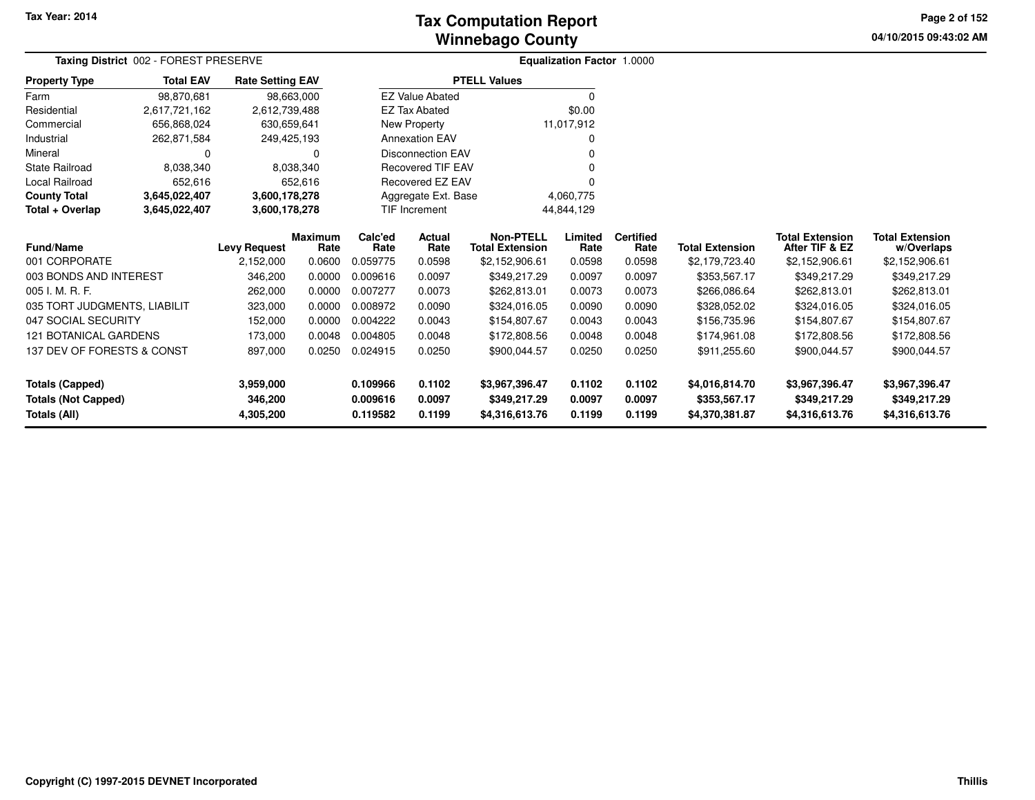# **Winnebago CountyTax Computation Report**

**04/10/2015 09:43:02 AM Page 2 of 152**

|                              | Taxing District 002 - FOREST PRESERVE |                         |                |                  |                          |                        | Equalization Factor 1.0000 |                  |                        |                        |                        |
|------------------------------|---------------------------------------|-------------------------|----------------|------------------|--------------------------|------------------------|----------------------------|------------------|------------------------|------------------------|------------------------|
| <b>Property Type</b>         | <b>Total EAV</b>                      | <b>Rate Setting EAV</b> |                |                  |                          | <b>PTELL Values</b>    |                            |                  |                        |                        |                        |
| Farm                         | 98,870,681                            |                         | 98,663,000     |                  | <b>EZ Value Abated</b>   |                        | $\Omega$                   |                  |                        |                        |                        |
| Residential                  | 2,617,721,162                         | 2,612,739,488           |                |                  | <b>EZ Tax Abated</b>     |                        | \$0.00                     |                  |                        |                        |                        |
| Commercial                   | 656,868,024                           | 630,659,641             |                |                  | New Property             |                        | 11,017,912                 |                  |                        |                        |                        |
| Industrial                   | 262,871,584                           | 249,425,193             |                |                  | <b>Annexation EAV</b>    |                        | O                          |                  |                        |                        |                        |
| Mineral                      | 0                                     |                         | 0              |                  | <b>Disconnection EAV</b> |                        | ŋ                          |                  |                        |                        |                        |
| <b>State Railroad</b>        | 8,038,340                             |                         | 8,038,340      |                  | <b>Recovered TIF EAV</b> |                        |                            |                  |                        |                        |                        |
| Local Railroad               | 652,616                               |                         | 652,616        | Recovered EZ EAV |                          |                        |                            |                  |                        |                        |                        |
| <b>County Total</b>          | 3,645,022,407                         | 3,600,178,278           |                |                  | Aggregate Ext. Base      |                        | 4,060,775                  |                  |                        |                        |                        |
| Total + Overlap              | 3,645,022,407                         | 3,600,178,278           |                |                  | <b>TIF Increment</b>     |                        | 44,844,129                 |                  |                        |                        |                        |
|                              |                                       |                         | <b>Maximum</b> | Calc'ed          | <b>Actual</b>            | <b>Non-PTELL</b>       | Limited                    | <b>Certified</b> |                        | <b>Total Extension</b> | <b>Total Extension</b> |
| <b>Fund/Name</b>             |                                       | <b>Levy Request</b>     | Rate           | Rate             | Rate                     | <b>Total Extension</b> | Rate                       | Rate             | <b>Total Extension</b> | After TIF & EZ         | w/Overlaps             |
| 001 CORPORATE                |                                       | 2,152,000               | 0.0600         | 0.059775         | 0.0598                   | \$2,152,906.61         | 0.0598                     | 0.0598           | \$2,179,723.40         | \$2,152,906.61         | \$2,152,906.61         |
| 003 BONDS AND INTEREST       |                                       | 346,200                 | 0.0000         | 0.009616         | 0.0097                   | \$349,217.29           | 0.0097                     | 0.0097           | \$353,567.17           | \$349,217.29           | \$349,217.29           |
| 005 I. M. R. F.              |                                       | 262,000                 | 0.0000         | 0.007277         | 0.0073                   | \$262,813.01           | 0.0073                     | 0.0073           | \$266,086.64           | \$262,813.01           | \$262,813.01           |
| 035 TORT JUDGMENTS, LIABILIT |                                       | 323,000                 | 0.0000         | 0.008972         | 0.0090                   | \$324,016.05           | 0.0090                     | 0.0090           | \$328,052.02           | \$324,016.05           | \$324,016.05           |
| 047 SOCIAL SECURITY          |                                       | 152,000                 | 0.0000         | 0.004222         | 0.0043                   | \$154,807.67           | 0.0043                     | 0.0043           | \$156,735.96           | \$154,807.67           | \$154,807.67           |
| <b>121 BOTANICAL GARDENS</b> |                                       | 173,000                 | 0.0048         | 0.004805         | 0.0048                   | \$172,808.56           | 0.0048                     | 0.0048           | \$174,961.08           | \$172,808.56           | \$172,808.56           |
| 137 DEV OF FORESTS & CONST   |                                       | 897,000                 | 0.0250         | 0.024915         | 0.0250                   | \$900,044.57           | 0.0250                     | 0.0250           | \$911,255.60           | \$900,044.57           | \$900,044.57           |
| <b>Totals (Capped)</b>       |                                       | 3,959,000               |                | 0.109966         | 0.1102                   | \$3,967,396.47         | 0.1102                     | 0.1102           | \$4,016,814.70         | \$3,967,396.47         | \$3,967,396.47         |
| <b>Totals (Not Capped)</b>   |                                       | 346,200                 |                | 0.009616         | 0.0097                   | \$349,217.29           | 0.0097                     | 0.0097           | \$353,567.17           | \$349,217.29           | \$349,217.29           |
| Totals (All)                 |                                       | 4,305,200               |                | 0.119582         | 0.1199                   | \$4,316,613.76         | 0.1199                     | 0.1199           | \$4,370,381.87         | \$4,316,613.76         | \$4,316,613.76         |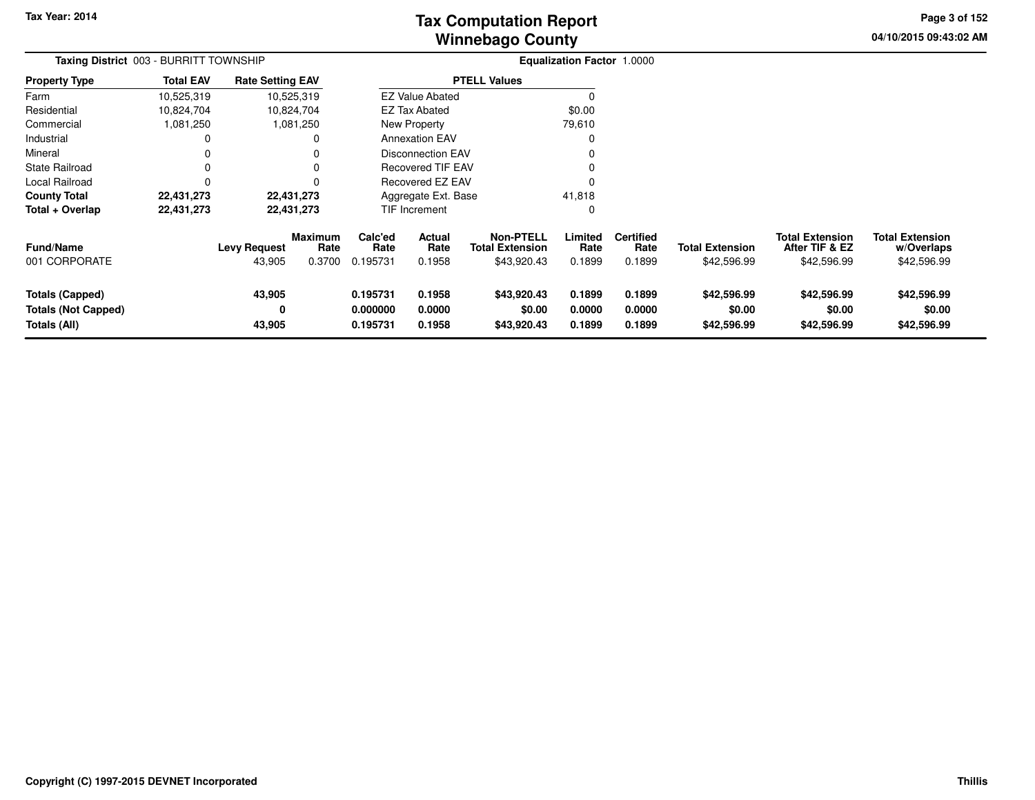# **Winnebago CountyTax Computation Report**

**04/10/2015 09:43:02 AM Page 3 of 152**

| Taxing District 003 - BURRITT TOWNSHIP                               |                  |                               |                                  |                                  |                            |                                                           | <b>Equalization Factor 1.0000</b> |                                    |                                       |                                                         |                                                     |  |
|----------------------------------------------------------------------|------------------|-------------------------------|----------------------------------|----------------------------------|----------------------------|-----------------------------------------------------------|-----------------------------------|------------------------------------|---------------------------------------|---------------------------------------------------------|-----------------------------------------------------|--|
| <b>Property Type</b>                                                 | <b>Total EAV</b> | <b>Rate Setting EAV</b>       |                                  |                                  |                            | <b>PTELL Values</b>                                       |                                   |                                    |                                       |                                                         |                                                     |  |
| Farm                                                                 | 10,525,319       |                               | 10,525,319                       |                                  | <b>EZ Value Abated</b>     |                                                           | 0                                 |                                    |                                       |                                                         |                                                     |  |
| Residential                                                          | 10,824,704       |                               | 10,824,704                       |                                  | <b>EZ Tax Abated</b>       |                                                           | \$0.00                            |                                    |                                       |                                                         |                                                     |  |
| Commercial                                                           | 1,081,250        |                               | 1,081,250                        | New Property                     |                            |                                                           | 79,610                            |                                    |                                       |                                                         |                                                     |  |
| Industrial                                                           | 0                |                               |                                  |                                  | <b>Annexation EAV</b>      |                                                           | 0                                 |                                    |                                       |                                                         |                                                     |  |
| Mineral                                                              |                  |                               |                                  |                                  | Disconnection EAV          |                                                           | $\Omega$                          |                                    |                                       |                                                         |                                                     |  |
| <b>State Railroad</b>                                                | 0                |                               |                                  |                                  | <b>Recovered TIF EAV</b>   |                                                           | $\Omega$                          |                                    |                                       |                                                         |                                                     |  |
| Local Railroad                                                       | 0                |                               |                                  |                                  | Recovered EZ EAV           |                                                           | $\Omega$                          |                                    |                                       |                                                         |                                                     |  |
| <b>County Total</b>                                                  | 22,431,273       |                               | 22,431,273                       |                                  | Aggregate Ext. Base        |                                                           | 41,818                            |                                    |                                       |                                                         |                                                     |  |
| Total + Overlap                                                      | 22,431,273       |                               | 22,431,273                       |                                  | TIF Increment              |                                                           | $\Omega$                          |                                    |                                       |                                                         |                                                     |  |
| <b>Fund/Name</b><br>001 CORPORATE                                    |                  | <b>Levy Request</b><br>43,905 | <b>Maximum</b><br>Rate<br>0.3700 | Calc'ed<br>Rate<br>0.195731      | Actual<br>Rate<br>0.1958   | <b>Non-PTELL</b><br><b>Total Extension</b><br>\$43,920.43 | Limited<br>Rate<br>0.1899         | <b>Certified</b><br>Rate<br>0.1899 | <b>Total Extension</b><br>\$42,596.99 | <b>Total Extension</b><br>After TIF & EZ<br>\$42,596.99 | <b>Total Extension</b><br>w/Overlaps<br>\$42,596.99 |  |
| <b>Totals (Capped)</b><br><b>Totals (Not Capped)</b><br>Totals (All) |                  | 43,905<br>0<br>43,905         |                                  | 0.195731<br>0.000000<br>0.195731 | 0.1958<br>0.0000<br>0.1958 | \$43,920.43<br>\$0.00<br>\$43,920.43                      | 0.1899<br>0.0000<br>0.1899        | 0.1899<br>0.0000<br>0.1899         | \$42,596.99<br>\$0.00<br>\$42,596.99  | \$42,596.99<br>\$0.00<br>\$42,596.99                    | \$42,596.99<br>\$0.00<br>\$42,596.99                |  |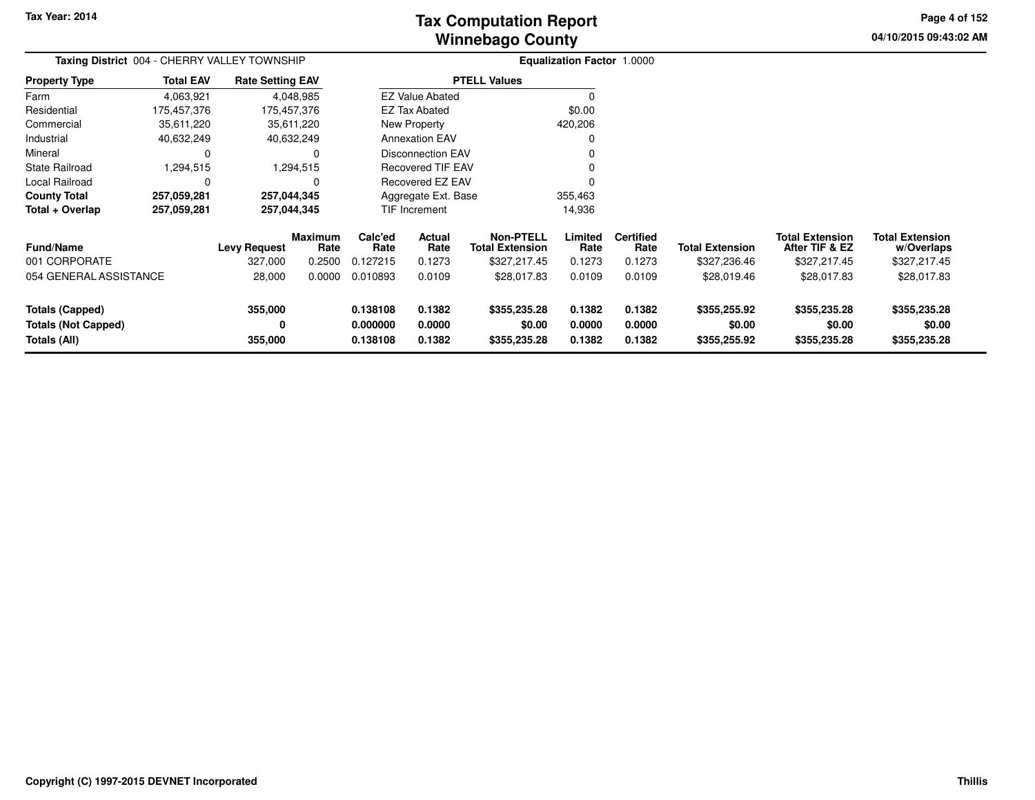# **Winnebago CountyTax Computation Report**

**04/10/2015 09:43:02 AM Page 4 of 152**

| Taxing District 004 - CHERRY VALLEY TOWNSHIP                         |                  |                                |                                  |                                  |                                 |                                                            | <b>Equalization Factor 1.0000</b> |                                    |                                        |                                                          |                                                      |  |
|----------------------------------------------------------------------|------------------|--------------------------------|----------------------------------|----------------------------------|---------------------------------|------------------------------------------------------------|-----------------------------------|------------------------------------|----------------------------------------|----------------------------------------------------------|------------------------------------------------------|--|
| <b>Property Type</b>                                                 | <b>Total EAV</b> | <b>Rate Setting EAV</b>        |                                  |                                  |                                 | <b>PTELL Values</b>                                        |                                   |                                    |                                        |                                                          |                                                      |  |
| Farm                                                                 | 4,063,921        |                                | 4,048,985                        |                                  | <b>EZ Value Abated</b>          |                                                            |                                   |                                    |                                        |                                                          |                                                      |  |
| Residential                                                          | 175,457,376      |                                | 175,457,376                      |                                  | <b>EZ Tax Abated</b>            |                                                            | \$0.00                            |                                    |                                        |                                                          |                                                      |  |
| Commercial                                                           | 35,611,220       |                                | 35,611,220                       |                                  | New Property                    |                                                            | 420,206                           |                                    |                                        |                                                          |                                                      |  |
| Industrial                                                           | 40,632,249       |                                | 40,632,249                       |                                  | <b>Annexation EAV</b>           |                                                            |                                   |                                    |                                        |                                                          |                                                      |  |
| Mineral                                                              | 0                |                                | 0                                |                                  | <b>Disconnection EAV</b>        |                                                            |                                   |                                    |                                        |                                                          |                                                      |  |
| <b>State Railroad</b>                                                | 1,294,515        |                                | 1,294,515                        |                                  | <b>Recovered TIF EAV</b>        |                                                            |                                   |                                    |                                        |                                                          |                                                      |  |
| Local Railroad                                                       | 0                |                                |                                  |                                  | Recovered EZ EAV                |                                                            |                                   |                                    |                                        |                                                          |                                                      |  |
| <b>County Total</b>                                                  | 257,059,281      | 257,044,345                    |                                  |                                  | Aggregate Ext. Base             |                                                            | 355,463                           |                                    |                                        |                                                          |                                                      |  |
| Total + Overlap                                                      | 257,059,281      |                                | 257,044,345                      |                                  | <b>TIF Increment</b>            |                                                            | 14,936                            |                                    |                                        |                                                          |                                                      |  |
| <b>Fund/Name</b><br>001 CORPORATE                                    |                  | <b>Levy Request</b><br>327,000 | <b>Maximum</b><br>Rate<br>0.2500 | Calc'ed<br>Rate<br>0.127215      | <b>Actual</b><br>Rate<br>0.1273 | <b>Non-PTELL</b><br><b>Total Extension</b><br>\$327,217.45 | Limited<br>Rate<br>0.1273         | <b>Certified</b><br>Rate<br>0.1273 | <b>Total Extension</b><br>\$327,236.46 | <b>Total Extension</b><br>After TIF & EZ<br>\$327,217.45 | <b>Total Extension</b><br>w/Overlaps<br>\$327,217.45 |  |
| 054 GENERAL ASSISTANCE                                               |                  | 28,000                         | 0.0000                           | 0.010893                         | 0.0109                          | \$28,017.83                                                | 0.0109                            | 0.0109                             | \$28,019.46                            | \$28,017.83                                              | \$28,017.83                                          |  |
| <b>Totals (Capped)</b><br><b>Totals (Not Capped)</b><br>Totals (All) |                  | 355,000<br>0<br>355,000        |                                  | 0.138108<br>0.000000<br>0.138108 | 0.1382<br>0.0000<br>0.1382      | \$355,235.28<br>\$0.00<br>\$355,235.28                     | 0.1382<br>0.0000<br>0.1382        | 0.1382<br>0.0000<br>0.1382         | \$355,255.92<br>\$0.00<br>\$355,255.92 | \$355,235.28<br>\$0.00<br>\$355,235.28                   | \$355,235.28<br>\$0.00<br>\$355,235.28               |  |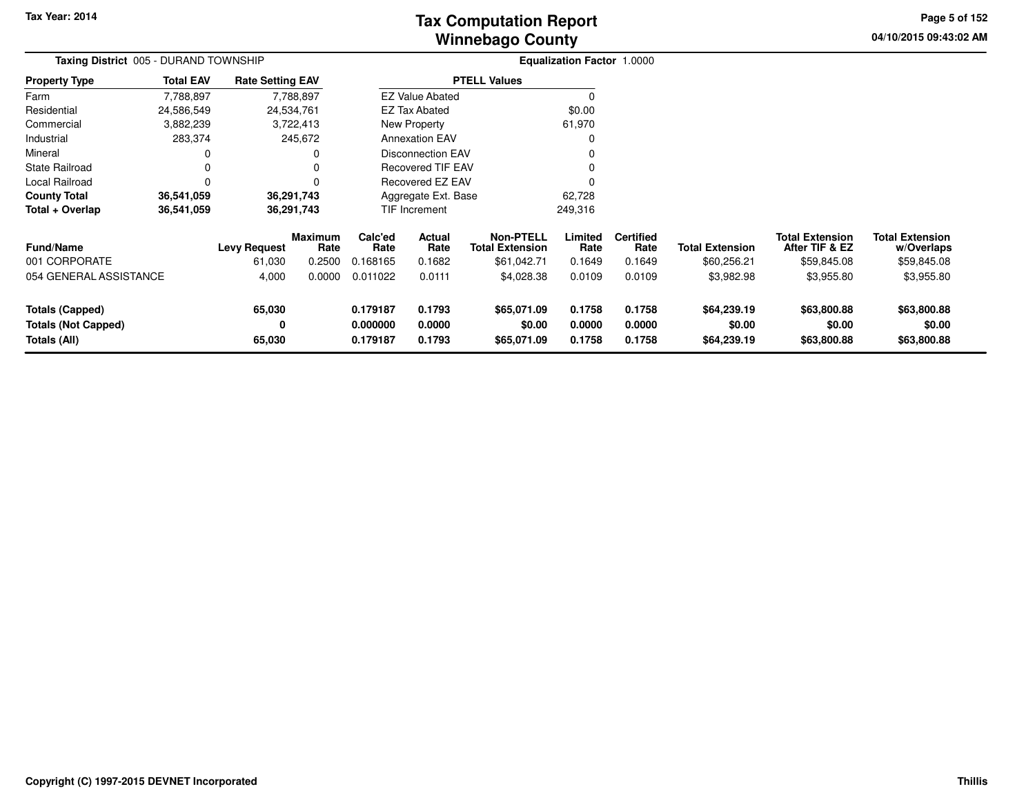# **Winnebago CountyTax Computation Report**

**04/10/2015 09:43:02 AM Page 5 of 152**

| Taxing District 005 - DURAND TOWNSHIP                                |                                 |                               |                                  |                                  |                            |                                                           | <b>Equalization Factor 1.0000</b> |                                    |                                       |                                                         |                                                     |  |
|----------------------------------------------------------------------|---------------------------------|-------------------------------|----------------------------------|----------------------------------|----------------------------|-----------------------------------------------------------|-----------------------------------|------------------------------------|---------------------------------------|---------------------------------------------------------|-----------------------------------------------------|--|
| <b>Property Type</b>                                                 | <b>Total EAV</b>                | <b>Rate Setting EAV</b>       |                                  |                                  |                            | <b>PTELL Values</b>                                       |                                   |                                    |                                       |                                                         |                                                     |  |
| Farm                                                                 | 7,788,897                       |                               | 7,788,897                        |                                  | <b>EZ Value Abated</b>     |                                                           | $\Omega$                          |                                    |                                       |                                                         |                                                     |  |
| Residential                                                          | 24,586,549                      | 24,534,761                    |                                  |                                  | <b>EZ Tax Abated</b>       |                                                           | \$0.00                            |                                    |                                       |                                                         |                                                     |  |
| Commercial                                                           | 3,882,239                       |                               | 3,722,413                        |                                  | New Property               |                                                           | 61,970                            |                                    |                                       |                                                         |                                                     |  |
| Industrial                                                           | 283,374                         |                               | 245,672                          |                                  | <b>Annexation EAV</b>      |                                                           |                                   |                                    |                                       |                                                         |                                                     |  |
| Mineral                                                              |                                 |                               |                                  |                                  | <b>Disconnection EAV</b>   |                                                           |                                   |                                    |                                       |                                                         |                                                     |  |
| State Railroad                                                       |                                 |                               | 0                                |                                  | Recovered TIF EAV          |                                                           |                                   |                                    |                                       |                                                         |                                                     |  |
| Local Railroad                                                       | 0                               |                               | $\Omega$                         |                                  | Recovered EZ EAV           |                                                           |                                   |                                    |                                       |                                                         |                                                     |  |
| <b>County Total</b>                                                  | 36,541,059                      |                               | 36,291,743                       |                                  | Aggregate Ext. Base        |                                                           | 62,728                            |                                    |                                       |                                                         |                                                     |  |
| Total + Overlap                                                      | 36,541,059                      |                               | 36,291,743                       |                                  | TIF Increment              |                                                           | 249,316                           |                                    |                                       |                                                         |                                                     |  |
| <b>Fund/Name</b><br>001 CORPORATE                                    |                                 | <b>Levy Request</b><br>61,030 | <b>Maximum</b><br>Rate<br>0.2500 | Calc'ed<br>Rate<br>0.168165      | Actual<br>Rate<br>0.1682   | <b>Non-PTELL</b><br><b>Total Extension</b><br>\$61,042.71 | Limited<br>Rate<br>0.1649         | <b>Certified</b><br>Rate<br>0.1649 | <b>Total Extension</b><br>\$60,256.21 | <b>Total Extension</b><br>After TIF & EZ<br>\$59,845.08 | <b>Total Extension</b><br>w/Overlaps<br>\$59,845.08 |  |
|                                                                      | 054 GENERAL ASSISTANCE<br>4,000 |                               | 0.0000                           | 0.011022                         | 0.0111                     | \$4,028.38                                                | 0.0109                            | 0.0109                             | \$3,982.98                            | \$3,955.80                                              | \$3,955.80                                          |  |
| <b>Totals (Capped)</b><br><b>Totals (Not Capped)</b><br>Totals (All) |                                 | 65,030<br>0<br>65,030         |                                  | 0.179187<br>0.000000<br>0.179187 | 0.1793<br>0.0000<br>0.1793 | \$65,071.09<br>\$0.00<br>\$65,071.09                      | 0.1758<br>0.0000<br>0.1758        | 0.1758<br>0.0000<br>0.1758         | \$64,239.19<br>\$0.00<br>\$64,239.19  | \$63,800.88<br>\$0.00<br>\$63,800.88                    | \$63,800.88<br>\$0.00<br>\$63,800.88                |  |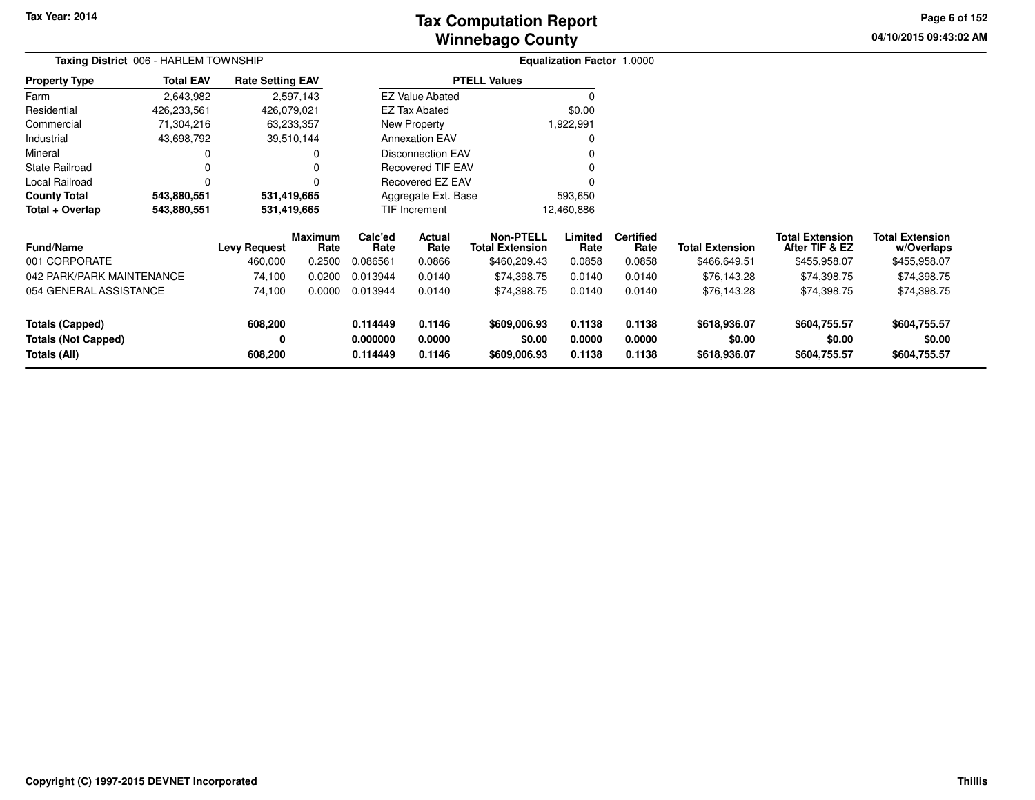# **Winnebago CountyTax Computation Report**

**04/10/2015 09:43:02 AM Page 6 of 152**

|                            | Taxing District 006 - HARLEM TOWNSHIP |                         |                 |                       |                          |                                            | Equalization Factor 1.0000 |                          |                        |                                          |                                      |  |
|----------------------------|---------------------------------------|-------------------------|-----------------|-----------------------|--------------------------|--------------------------------------------|----------------------------|--------------------------|------------------------|------------------------------------------|--------------------------------------|--|
| <b>Property Type</b>       | <b>Total EAV</b>                      | <b>Rate Setting EAV</b> |                 |                       |                          | <b>PTELL Values</b>                        |                            |                          |                        |                                          |                                      |  |
| Farm                       | 2,643,982                             |                         | 2,597,143       |                       | <b>EZ Value Abated</b>   |                                            | 0                          |                          |                        |                                          |                                      |  |
| Residential                | 426,233,561                           | 426,079,021             |                 |                       | EZ Tax Abated            |                                            | \$0.00                     |                          |                        |                                          |                                      |  |
| Commercial                 | 71,304,216                            |                         | 63,233,357      |                       | New Property             |                                            | 1,922,991                  |                          |                        |                                          |                                      |  |
| Industrial                 | 43,698,792                            |                         | 39,510,144      | <b>Annexation EAV</b> |                          |                                            | $\Omega$                   |                          |                        |                                          |                                      |  |
| Mineral                    |                                       |                         | 0               |                       | <b>Disconnection EAV</b> |                                            | $\Omega$                   |                          |                        |                                          |                                      |  |
| <b>State Railroad</b>      | 0<br>0                                |                         |                 |                       | <b>Recovered TIF EAV</b> |                                            | $\Omega$                   |                          |                        |                                          |                                      |  |
| Local Railroad             | 0<br>0                                |                         |                 |                       | <b>Recovered EZ EAV</b>  |                                            | $\Omega$                   |                          |                        |                                          |                                      |  |
| <b>County Total</b>        | 543,880,551                           |                         | 531,419,665     |                       | Aggregate Ext. Base      |                                            | 593,650                    |                          |                        |                                          |                                      |  |
| Total + Overlap            | 543,880,551                           |                         | 531,419,665     |                       | TIF Increment            |                                            | 12,460,886                 |                          |                        |                                          |                                      |  |
| <b>Fund/Name</b>           | <b>Levy Request</b>                   |                         | Maximum<br>Rate | Calc'ed<br>Rate       | Actual<br>Rate           | <b>Non-PTELL</b><br><b>Total Extension</b> | Limited<br>Rate            | <b>Certified</b><br>Rate | <b>Total Extension</b> | <b>Total Extension</b><br>After TIF & EZ | <b>Total Extension</b><br>w/Overlaps |  |
| 001 CORPORATE              |                                       | 460,000                 | 0.2500          | 0.086561              | 0.0866                   | \$460,209.43                               | 0.0858                     | 0.0858                   | \$466,649.51           | \$455,958.07                             | \$455,958.07                         |  |
| 042 PARK/PARK MAINTENANCE  |                                       | 74,100                  | 0.0200          | 0.013944              | 0.0140                   | \$74,398.75                                | 0.0140                     | 0.0140                   | \$76,143.28            | \$74,398.75                              | \$74,398.75                          |  |
| 054 GENERAL ASSISTANCE     |                                       | 74,100                  | 0.0000          | 0.013944              | 0.0140                   | \$74,398.75                                | 0.0140                     | 0.0140                   | \$76,143.28            | \$74,398.75                              | \$74,398.75                          |  |
| <b>Totals (Capped)</b>     |                                       | 608,200                 |                 | 0.114449              | 0.1146                   | \$609,006.93                               | 0.1138                     | 0.1138                   | \$618,936.07           | \$604,755.57                             | \$604,755.57                         |  |
| <b>Totals (Not Capped)</b> |                                       | 0                       |                 | 0.000000              | 0.0000                   | \$0.00                                     | 0.0000                     | 0.0000                   | \$0.00                 | \$0.00                                   | \$0.00                               |  |
| Totals (All)               |                                       | 608,200                 |                 | 0.114449              | 0.1146                   | \$609,006.93                               | 0.1138                     | 0.1138                   | \$618,936.07           | \$604,755.57                             | \$604,755.57                         |  |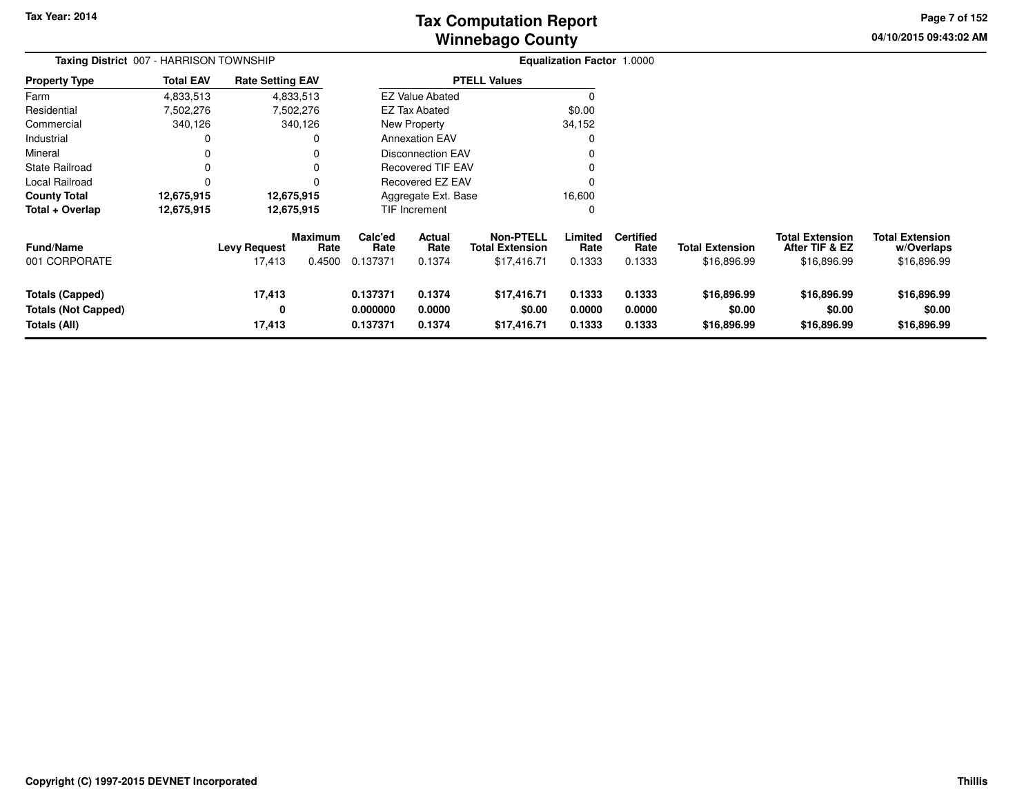**04/10/2015 09:43:02 AM Page 7 of 152**

|                                                                             | Taxing District 007 - HARRISON TOWNSHIP |                               |                                  |                                  |                            |                                                           | <b>Equalization Factor 1.0000</b> |                                    |                                       |                                                         |                                                     |
|-----------------------------------------------------------------------------|-----------------------------------------|-------------------------------|----------------------------------|----------------------------------|----------------------------|-----------------------------------------------------------|-----------------------------------|------------------------------------|---------------------------------------|---------------------------------------------------------|-----------------------------------------------------|
| <b>Property Type</b>                                                        | <b>Total EAV</b>                        | <b>Rate Setting EAV</b>       |                                  |                                  |                            | <b>PTELL Values</b>                                       |                                   |                                    |                                       |                                                         |                                                     |
| Farm                                                                        | 4,833,513                               |                               | 4,833,513                        |                                  | <b>EZ Value Abated</b>     |                                                           | <sup>0</sup>                      |                                    |                                       |                                                         |                                                     |
| Residential                                                                 | 7,502,276                               |                               | 7,502,276                        |                                  | EZ Tax Abated              |                                                           | \$0.00                            |                                    |                                       |                                                         |                                                     |
| Commercial                                                                  | 340,126                                 |                               | 340,126                          |                                  | New Property               |                                                           | 34,152                            |                                    |                                       |                                                         |                                                     |
| Industrial                                                                  | 0                                       |                               | 0                                |                                  | <b>Annexation EAV</b>      |                                                           | 0                                 |                                    |                                       |                                                         |                                                     |
| Mineral                                                                     |                                         |                               |                                  |                                  | Disconnection EAV          |                                                           |                                   |                                    |                                       |                                                         |                                                     |
| State Railroad                                                              | 0                                       |                               | 0                                |                                  | <b>Recovered TIF EAV</b>   |                                                           |                                   |                                    |                                       |                                                         |                                                     |
| Local Railroad                                                              | 0                                       |                               |                                  |                                  | Recovered EZ EAV           |                                                           |                                   |                                    |                                       |                                                         |                                                     |
| <b>County Total</b>                                                         | 12,675,915                              |                               | 12,675,915                       |                                  | Aggregate Ext. Base        |                                                           | 16,600                            |                                    |                                       |                                                         |                                                     |
| Total + Overlap                                                             | 12,675,915                              |                               | 12,675,915                       |                                  | TIF Increment              |                                                           | 0                                 |                                    |                                       |                                                         |                                                     |
| Fund/Name<br>001 CORPORATE                                                  |                                         | <b>Levy Request</b><br>17,413 | <b>Maximum</b><br>Rate<br>0.4500 | Calc'ed<br>Rate<br>0.137371      | Actual<br>Rate<br>0.1374   | <b>Non-PTELL</b><br><b>Total Extension</b><br>\$17,416.71 | Limited<br>Rate<br>0.1333         | <b>Certified</b><br>Rate<br>0.1333 | <b>Total Extension</b><br>\$16,896.99 | <b>Total Extension</b><br>After TIF & EZ<br>\$16,896.99 | <b>Total Extension</b><br>w/Overlaps<br>\$16,896.99 |
| <b>Totals (Capped)</b><br><b>Totals (Not Capped)</b><br><b>Totals (All)</b> |                                         | 17,413<br>0<br>17,413         |                                  | 0.137371<br>0.000000<br>0.137371 | 0.1374<br>0.0000<br>0.1374 | \$17,416.71<br>\$0.00<br>\$17,416.71                      | 0.1333<br>0.0000<br>0.1333        | 0.1333<br>0.0000<br>0.1333         | \$16,896.99<br>\$0.00<br>\$16,896.99  | \$16,896.99<br>\$0.00<br>\$16,896.99                    | \$16,896.99<br>\$0.00<br>\$16,896.99                |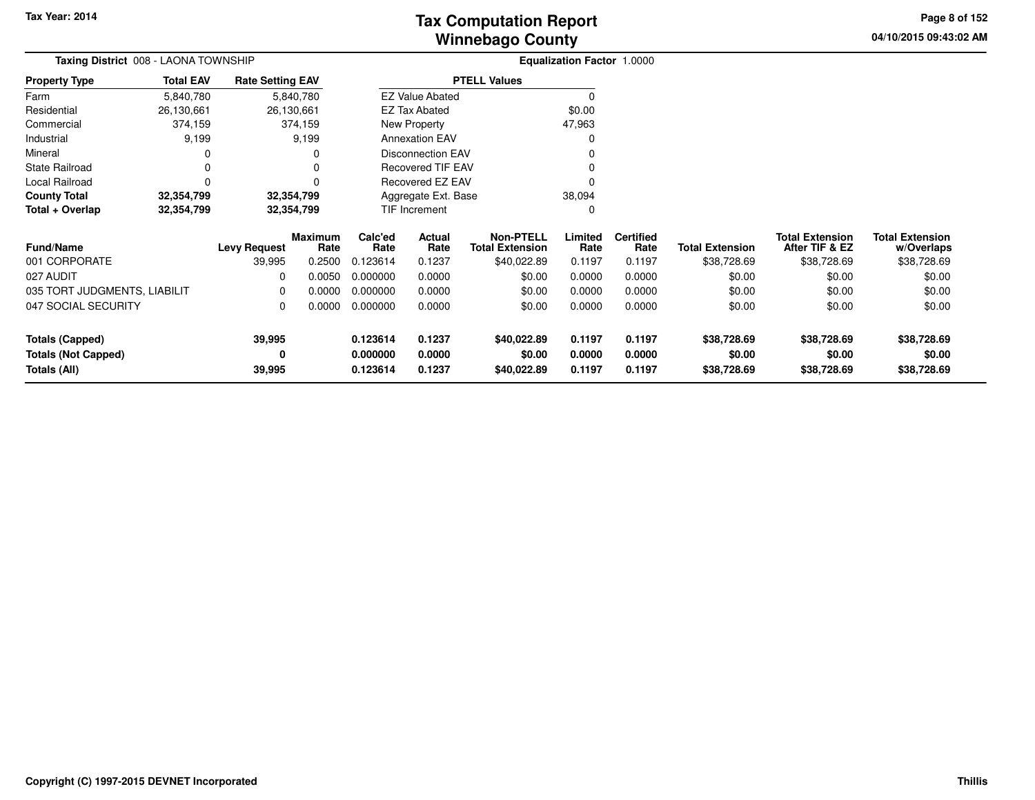**04/10/2015 09:43:02 AM Page 8 of 152**

|                              | <b>Taxing District</b> 008 - LAONA TOWNSHIP |                         |                        |                 |                          |                                            | <b>Equalization Factor 1.0000</b> |                          |                        |                                          |                                      |
|------------------------------|---------------------------------------------|-------------------------|------------------------|-----------------|--------------------------|--------------------------------------------|-----------------------------------|--------------------------|------------------------|------------------------------------------|--------------------------------------|
| <b>Property Type</b>         | <b>Total EAV</b>                            | <b>Rate Setting EAV</b> |                        |                 |                          | <b>PTELL Values</b>                        |                                   |                          |                        |                                          |                                      |
| Farm                         | 5,840,780                                   |                         | 5,840,780              |                 | <b>EZ Value Abated</b>   |                                            | 0                                 |                          |                        |                                          |                                      |
| Residential                  | 26,130,661                                  | 26,130,661              |                        |                 | <b>EZ Tax Abated</b>     |                                            | \$0.00                            |                          |                        |                                          |                                      |
| Commercial                   | 374,159                                     |                         | 374,159                |                 | New Property             |                                            | 47,963                            |                          |                        |                                          |                                      |
| Industrial                   | 9,199                                       |                         | 9,199                  |                 | <b>Annexation EAV</b>    |                                            |                                   |                          |                        |                                          |                                      |
| Mineral                      |                                             |                         |                        |                 | <b>Disconnection EAV</b> |                                            |                                   |                          |                        |                                          |                                      |
| State Railroad               | 0                                           |                         |                        |                 | <b>Recovered TIF EAV</b> |                                            |                                   |                          |                        |                                          |                                      |
| Local Railroad               | 0<br>0                                      |                         |                        |                 | Recovered EZ EAV         |                                            |                                   |                          |                        |                                          |                                      |
| <b>County Total</b>          | 32,354,799                                  | 32,354,799              |                        |                 | Aggregate Ext. Base      |                                            | 38,094                            |                          |                        |                                          |                                      |
| Total + Overlap              | 32,354,799                                  | 32,354,799              |                        |                 | <b>TIF Increment</b>     |                                            | 0                                 |                          |                        |                                          |                                      |
| <b>Fund/Name</b>             |                                             | <b>Levy Request</b>     | <b>Maximum</b><br>Rate | Calc'ed<br>Rate | Actual<br>Rate           | <b>Non-PTELL</b><br><b>Total Extension</b> | Limited<br>Rate                   | <b>Certified</b><br>Rate | <b>Total Extension</b> | <b>Total Extension</b><br>After TIF & EZ | <b>Total Extension</b><br>w/Overlaps |
| 001 CORPORATE                |                                             | 39,995                  | 0.2500                 | 0.123614        | 0.1237                   | \$40,022.89                                | 0.1197                            | 0.1197                   | \$38,728.69            | \$38,728.69                              | \$38,728.69                          |
| 027 AUDIT                    |                                             | 0                       | 0.0050                 | 0.000000        | 0.0000                   | \$0.00                                     | 0.0000                            | 0.0000                   | \$0.00                 | \$0.00                                   | \$0.00                               |
| 035 TORT JUDGMENTS, LIABILIT |                                             | $\Omega$                | 0.0000                 | 0.000000        | 0.0000                   | \$0.00                                     | 0.0000                            | 0.0000                   | \$0.00                 | \$0.00                                   | \$0.00                               |
| 047 SOCIAL SECURITY          |                                             | 0                       | 0.0000                 | 0.000000        | 0.0000                   | \$0.00                                     | 0.0000                            | 0.0000                   | \$0.00                 | \$0.00                                   | \$0.00                               |
| <b>Totals (Capped)</b>       |                                             | 39,995                  |                        | 0.123614        | 0.1237                   | \$40,022.89                                | 0.1197                            | 0.1197                   | \$38,728.69            | \$38,728.69                              | \$38,728.69                          |
| <b>Totals (Not Capped)</b>   |                                             | 0                       |                        | 0.000000        | 0.0000                   | \$0.00                                     | 0.0000                            | 0.0000                   | \$0.00                 | \$0.00                                   | \$0.00                               |
| Totals (All)                 |                                             | 39,995                  |                        | 0.123614        | 0.1237                   | \$40,022.89                                | 0.1197                            | 0.1197                   | \$38,728.69            | \$38,728.69                              | \$38,728.69                          |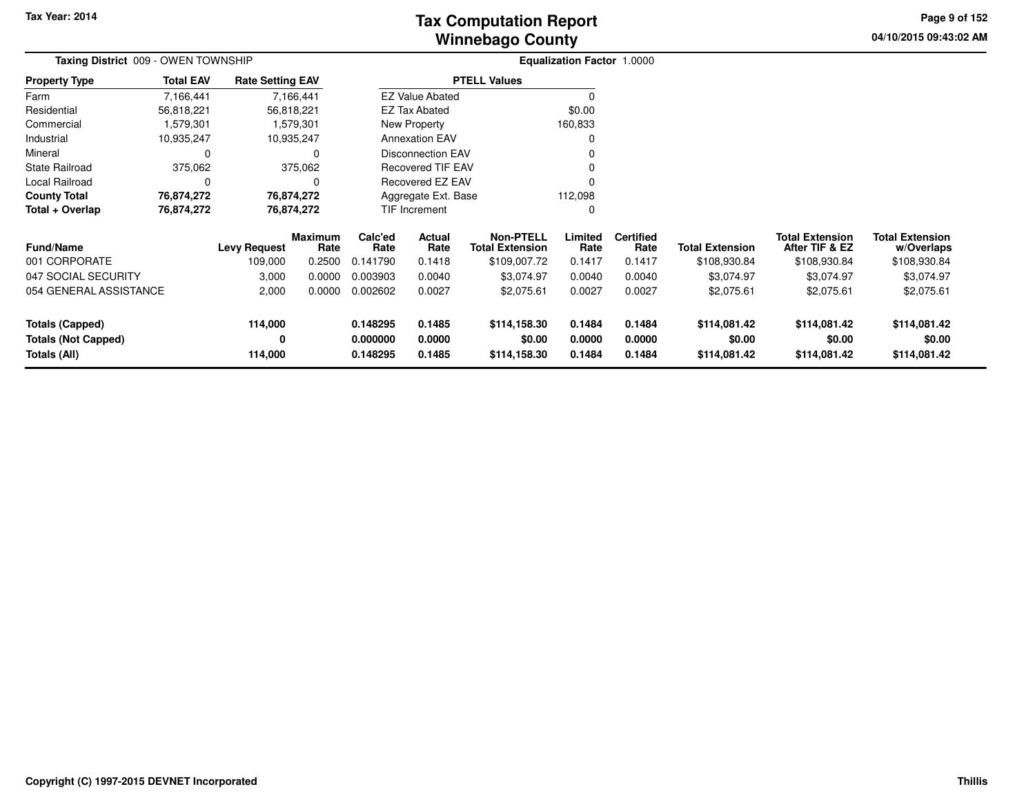**04/10/2015 09:43:02 AM Page 9 of 152**

|                            | Taxing District 009 - OWEN TOWNSHIP |                         |                 |                 |                          |                                            | Equalization Factor 1.0000 |                          |                        |                                          |                                      |
|----------------------------|-------------------------------------|-------------------------|-----------------|-----------------|--------------------------|--------------------------------------------|----------------------------|--------------------------|------------------------|------------------------------------------|--------------------------------------|
| <b>Property Type</b>       | <b>Total EAV</b>                    | <b>Rate Setting EAV</b> |                 |                 |                          | <b>PTELL Values</b>                        |                            |                          |                        |                                          |                                      |
| Farm                       | 7,166,441                           |                         | 7,166,441       |                 | <b>EZ Value Abated</b>   |                                            |                            |                          |                        |                                          |                                      |
| Residential                | 56,818,221                          |                         | 56,818,221      |                 | <b>EZ Tax Abated</b>     |                                            | \$0.00                     |                          |                        |                                          |                                      |
| Commercial                 | 1,579,301                           |                         | 1,579,301       |                 | New Property             |                                            | 160,833                    |                          |                        |                                          |                                      |
| Industrial                 | 10,935,247                          |                         | 10,935,247      |                 | <b>Annexation EAV</b>    |                                            |                            |                          |                        |                                          |                                      |
| Mineral                    | 0                                   |                         | 0               |                 | <b>Disconnection EAV</b> |                                            |                            |                          |                        |                                          |                                      |
| <b>State Railroad</b>      | 375,062                             | 375,062                 |                 |                 | Recovered TIF EAV        |                                            |                            |                          |                        |                                          |                                      |
| Local Railroad             | $\Omega$                            |                         | 0               |                 | <b>Recovered EZ EAV</b>  |                                            |                            |                          |                        |                                          |                                      |
| <b>County Total</b>        | 76,874,272                          |                         | 76,874,272      |                 | Aggregate Ext. Base      |                                            | 112,098                    |                          |                        |                                          |                                      |
| Total + Overlap            | 76,874,272                          |                         | 76,874,272      |                 | TIF Increment            |                                            | 0                          |                          |                        |                                          |                                      |
| <b>Fund/Name</b>           | <b>Levy Request</b>                 |                         | Maximum<br>Rate | Calc'ed<br>Rate | Actual<br>Rate           | <b>Non-PTELL</b><br><b>Total Extension</b> | Limited<br>Rate            | <b>Certified</b><br>Rate | <b>Total Extension</b> | <b>Total Extension</b><br>After TIF & EZ | <b>Total Extension</b><br>w/Overlaps |
| 001 CORPORATE              |                                     | 109,000                 | 0.2500          | 0.141790        | 0.1418                   | \$109,007.72                               | 0.1417                     | 0.1417                   | \$108,930.84           | \$108,930.84                             | \$108,930.84                         |
| 047 SOCIAL SECURITY        |                                     | 3,000                   | 0.0000          | 0.003903        | 0.0040                   | \$3,074.97                                 | 0.0040                     | 0.0040                   | \$3,074.97             | \$3,074.97                               | \$3,074.97                           |
| 054 GENERAL ASSISTANCE     |                                     | 2,000                   | 0.0000          | 0.002602        | 0.0027                   | \$2,075.61                                 | 0.0027                     | 0.0027                   | \$2,075.61             | \$2,075.61                               | \$2,075.61                           |
| <b>Totals (Capped)</b>     |                                     | 114,000                 |                 | 0.148295        | 0.1485                   | \$114,158.30                               | 0.1484                     | 0.1484                   | \$114,081.42           | \$114,081.42                             | \$114,081.42                         |
| <b>Totals (Not Capped)</b> |                                     | 0                       |                 | 0.000000        | 0.0000                   | \$0.00                                     | 0.0000                     | 0.0000                   | \$0.00                 | \$0.00                                   | \$0.00                               |
| Totals (All)               |                                     | 114,000                 |                 | 0.148295        | 0.1485                   | \$114,158.30                               | 0.1484                     | 0.1484                   | \$114,081.42           | \$114,081.42                             | \$114,081.42                         |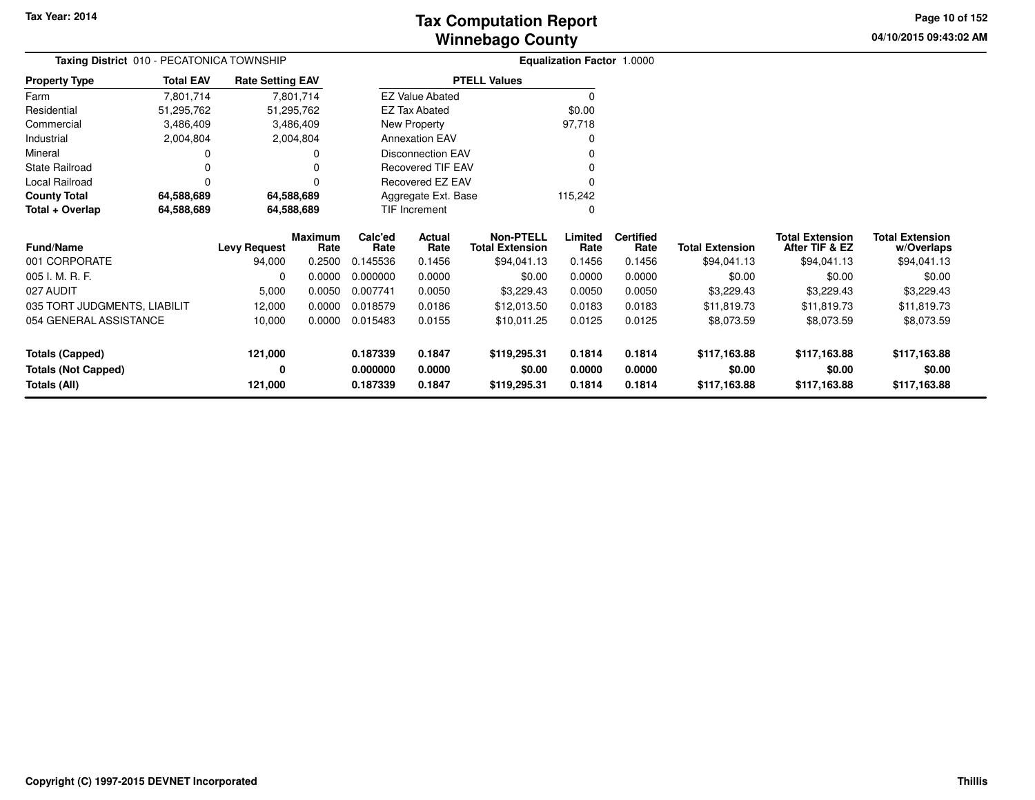**04/10/2015 09:43:02 AM Page 10 of 152**

|                              | <b>Taxing District</b> 010 - PECATONICA TOWNSHIP |                         |                 |                 |                          |                                            | <b>Equalization Factor 1.0000</b> |                          |                        |                                          |                                      |
|------------------------------|--------------------------------------------------|-------------------------|-----------------|-----------------|--------------------------|--------------------------------------------|-----------------------------------|--------------------------|------------------------|------------------------------------------|--------------------------------------|
| <b>Property Type</b>         | <b>Total EAV</b>                                 | <b>Rate Setting EAV</b> |                 |                 |                          | <b>PTELL Values</b>                        |                                   |                          |                        |                                          |                                      |
| Farm                         | 7,801,714                                        |                         | 7,801,714       |                 | <b>EZ Value Abated</b>   |                                            | 0                                 |                          |                        |                                          |                                      |
| Residential                  | 51,295,762                                       |                         | 51,295,762      |                 | <b>EZ Tax Abated</b>     |                                            | \$0.00                            |                          |                        |                                          |                                      |
| Commercial                   | 3,486,409                                        |                         | 3,486,409       |                 | New Property             |                                            | 97,718                            |                          |                        |                                          |                                      |
| Industrial                   | 2,004,804                                        |                         | 2,004,804       |                 | <b>Annexation EAV</b>    |                                            | 0                                 |                          |                        |                                          |                                      |
| Mineral                      |                                                  |                         |                 |                 | <b>Disconnection EAV</b> |                                            |                                   |                          |                        |                                          |                                      |
| <b>State Railroad</b>        |                                                  |                         |                 |                 | <b>Recovered TIF EAV</b> |                                            |                                   |                          |                        |                                          |                                      |
| Local Railroad               | $\Omega$                                         |                         |                 |                 | Recovered EZ EAV         |                                            |                                   |                          |                        |                                          |                                      |
| <b>County Total</b>          | 64,588,689                                       | 64,588,689              |                 |                 | Aggregate Ext. Base      |                                            | 115,242                           |                          |                        |                                          |                                      |
| Total + Overlap              | 64,588,689                                       | 64,588,689              |                 |                 | TIF Increment            |                                            | 0                                 |                          |                        |                                          |                                      |
| <b>Fund/Name</b>             |                                                  | <b>Levy Request</b>     | Maximum<br>Rate | Calc'ed<br>Rate | Actual<br>Rate           | <b>Non-PTELL</b><br><b>Total Extension</b> | Limited<br>Rate                   | <b>Certified</b><br>Rate | <b>Total Extension</b> | <b>Total Extension</b><br>After TIF & EZ | <b>Total Extension</b><br>w/Overlaps |
| 001 CORPORATE                |                                                  | 94,000                  | 0.2500          | 0.145536        | 0.1456                   | \$94,041.13                                | 0.1456                            | 0.1456                   | \$94,041.13            | \$94,041.13                              | \$94,041.13                          |
| 005 I. M. R. F.              |                                                  | 0                       | 0.0000          | 0.000000        | 0.0000                   | \$0.00                                     | 0.0000                            | 0.0000                   | \$0.00                 | \$0.00                                   | \$0.00                               |
| 027 AUDIT                    |                                                  | 5,000                   | 0.0050          | 0.007741        | 0.0050                   | \$3,229.43                                 | 0.0050                            | 0.0050                   | \$3,229.43             | \$3,229.43                               | \$3,229.43                           |
| 035 TORT JUDGMENTS, LIABILIT |                                                  | 12,000                  | 0.0000          | 0.018579        | 0.0186                   | \$12,013.50                                | 0.0183                            | 0.0183                   | \$11,819.73            | \$11,819.73                              | \$11,819.73                          |
| 054 GENERAL ASSISTANCE       |                                                  | 10,000                  | 0.0000          | 0.015483        | 0.0155                   | \$10,011.25                                | 0.0125                            | 0.0125                   | \$8,073.59             | \$8,073.59                               | \$8,073.59                           |
| <b>Totals (Capped)</b>       |                                                  | 121,000                 |                 | 0.187339        | 0.1847                   | \$119,295.31                               | 0.1814                            | 0.1814                   | \$117,163.88           | \$117,163.88                             | \$117,163.88                         |
| <b>Totals (Not Capped)</b>   |                                                  | 0                       |                 | 0.000000        | 0.0000                   | \$0.00                                     | 0.0000                            | 0.0000                   | \$0.00                 | \$0.00                                   | \$0.00                               |
| <b>Totals (All)</b>          |                                                  | 121,000                 |                 | 0.187339        | 0.1847                   | \$119,295.31                               | 0.1814                            | 0.1814                   | \$117,163.88           | \$117,163.88                             | \$117,163.88                         |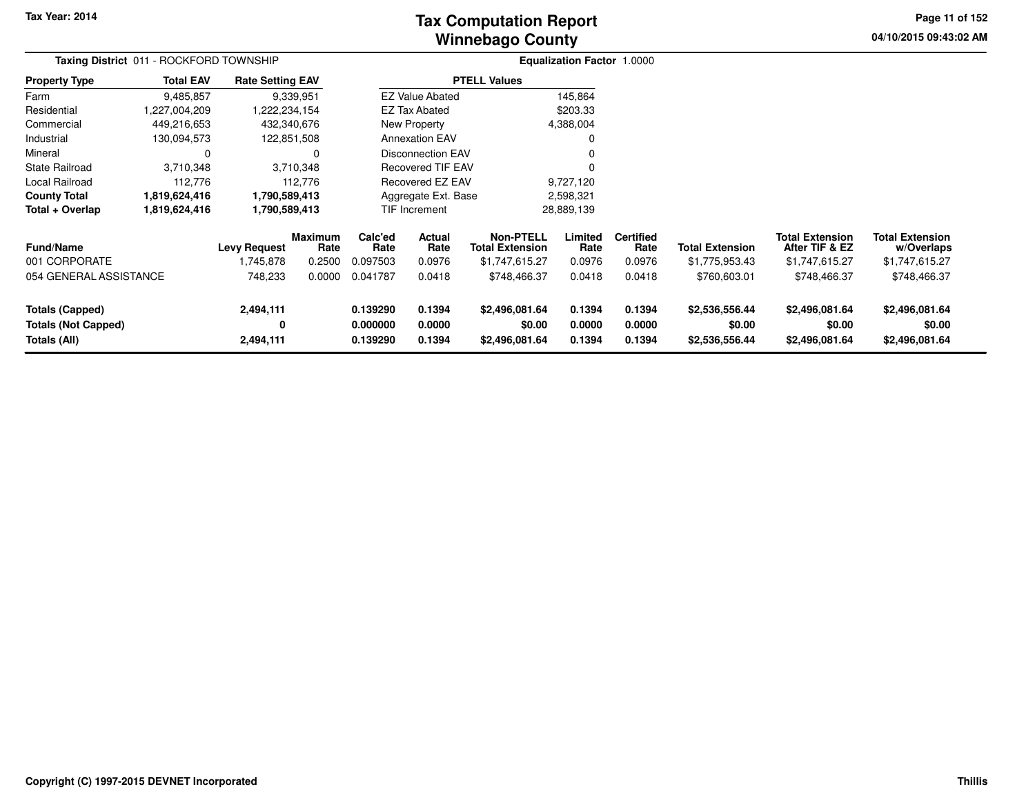# **Winnebago CountyTax Computation Report**

**04/10/2015 09:43:02 AM Page 11 of 152**

|                                                                      | Taxing District 011 - ROCKFORD TOWNSHIP |                                  |                                  |                                  |                            |                                                       | Equalization Factor 1.0000 |                                    |                                            |                                                            |                                                        |  |
|----------------------------------------------------------------------|-----------------------------------------|----------------------------------|----------------------------------|----------------------------------|----------------------------|-------------------------------------------------------|----------------------------|------------------------------------|--------------------------------------------|------------------------------------------------------------|--------------------------------------------------------|--|
| <b>Property Type</b>                                                 | <b>Total EAV</b>                        | <b>Rate Setting EAV</b>          |                                  |                                  |                            | <b>PTELL Values</b>                                   |                            |                                    |                                            |                                                            |                                                        |  |
| Farm                                                                 | 9,485,857                               |                                  | 9,339,951                        |                                  | <b>EZ Value Abated</b>     |                                                       | 145,864                    |                                    |                                            |                                                            |                                                        |  |
| Residential                                                          | 1,227,004,209                           | ,222,234,154                     |                                  |                                  | <b>EZ Tax Abated</b>       |                                                       | \$203.33                   |                                    |                                            |                                                            |                                                        |  |
| Commercial                                                           | 449,216,653                             | 432,340,676                      |                                  |                                  | New Property               |                                                       | 4,388,004                  |                                    |                                            |                                                            |                                                        |  |
| Industrial                                                           | 130,094,573                             | 122,851,508                      |                                  |                                  | <b>Annexation EAV</b>      |                                                       | 0                          |                                    |                                            |                                                            |                                                        |  |
| Mineral                                                              | 0                                       |                                  |                                  |                                  | Disconnection EAV          |                                                       | 0                          |                                    |                                            |                                                            |                                                        |  |
| <b>State Railroad</b>                                                | 3,710,348<br>3,710,348                  |                                  |                                  | Recovered TIF EAV                |                            | 0                                                     |                            |                                    |                                            |                                                            |                                                        |  |
| Local Railroad                                                       | 112,776                                 |                                  | 112,776                          |                                  | Recovered EZ EAV           |                                                       | 9,727,120                  |                                    |                                            |                                                            |                                                        |  |
| <b>County Total</b>                                                  | 1,819,624,416                           | 1,790,589,413                    |                                  |                                  | Aggregate Ext. Base        |                                                       | 2,598,321                  |                                    |                                            |                                                            |                                                        |  |
| Total + Overlap                                                      | 1,819,624,416                           | 1,790,589,413                    |                                  |                                  | TIF Increment              |                                                       | 28,889,139                 |                                    |                                            |                                                            |                                                        |  |
| <b>Fund/Name</b><br>001 CORPORATE                                    |                                         | <b>Levy Request</b><br>1,745,878 | <b>Maximum</b><br>Rate<br>0.2500 | Calc'ed<br>Rate<br>0.097503      | Actual<br>Rate<br>0.0976   | Non-PTELL<br><b>Total Extension</b><br>\$1,747,615.27 | Limited<br>Rate<br>0.0976  | <b>Certified</b><br>Rate<br>0.0976 | <b>Total Extension</b><br>\$1,775,953.43   | <b>Total Extension</b><br>After TIF & EZ<br>\$1,747,615.27 | <b>Total Extension</b><br>w/Overlaps<br>\$1,747,615.27 |  |
| 054 GENERAL ASSISTANCE                                               |                                         | 748,233                          | 0.0000                           | 0.041787                         | 0.0418                     | \$748,466.37                                          | 0.0418                     | 0.0418                             | \$760,603.01                               | \$748,466.37                                               | \$748,466.37                                           |  |
| <b>Totals (Capped)</b><br><b>Totals (Not Capped)</b><br>Totals (All) |                                         | 2,494,111<br>0<br>2,494,111      |                                  | 0.139290<br>0.000000<br>0.139290 | 0.1394<br>0.0000<br>0.1394 | \$2,496,081.64<br>\$0.00<br>\$2,496,081.64            | 0.1394<br>0.0000<br>0.1394 | 0.1394<br>0.0000<br>0.1394         | \$2,536,556.44<br>\$0.00<br>\$2,536,556.44 | \$2,496,081.64<br>\$0.00<br>\$2,496,081.64                 | \$2,496,081.64<br>\$0.00<br>\$2,496,081.64             |  |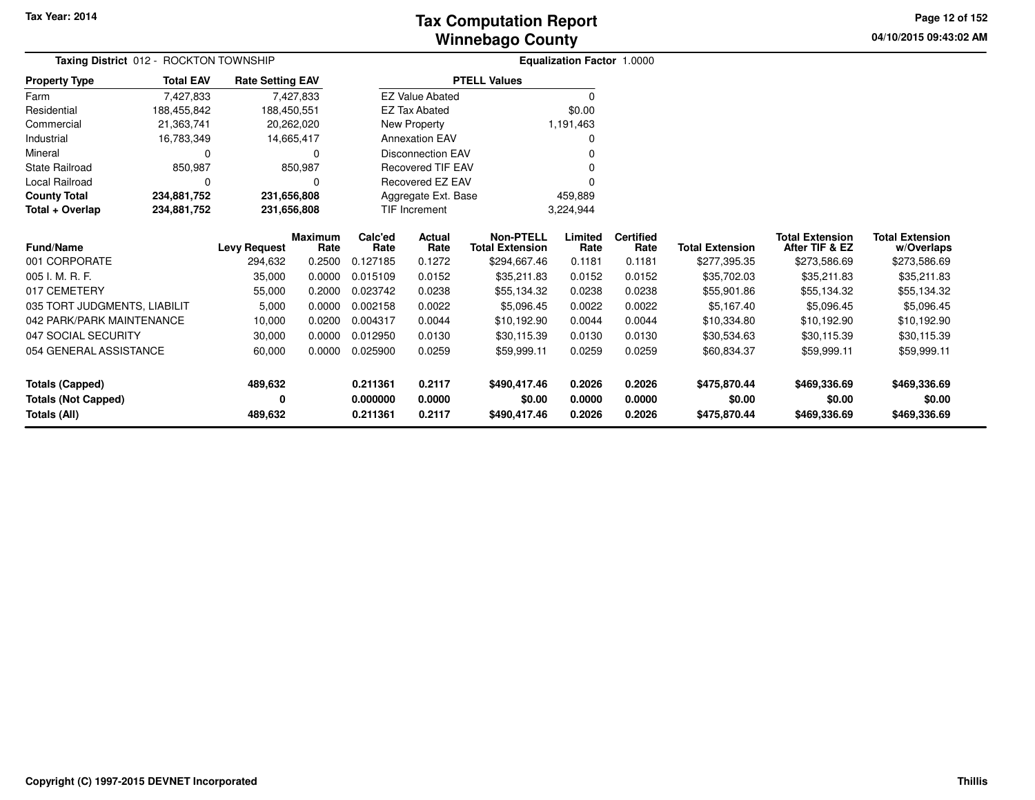**04/10/2015 09:43:02 AM Page 12 of 152**

|                              | ROCKTON TOWNSHIP<br>Taxing District 012 - |                         |           |                     |                          |                        | Equalization Factor 1.0000 |        |                        |                        |              |  |
|------------------------------|-------------------------------------------|-------------------------|-----------|---------------------|--------------------------|------------------------|----------------------------|--------|------------------------|------------------------|--------------|--|
| <b>Property Type</b>         | <b>Total EAV</b>                          | <b>Rate Setting EAV</b> |           |                     |                          | <b>PTELL Values</b>    |                            |        |                        |                        |              |  |
| Farm                         | 7,427,833                                 |                         | 7,427,833 |                     | <b>EZ Value Abated</b>   |                        |                            |        |                        |                        |              |  |
| Residential                  | 188,455,842                               | 188,450,551             |           |                     | <b>EZ Tax Abated</b>     |                        | \$0.00                     |        |                        |                        |              |  |
| Commercial                   | 21,363,741                                | 20,262,020              |           |                     | New Property             |                        | 1,191,463                  |        |                        |                        |              |  |
| Industrial                   | 16,783,349                                | 14,665,417              |           |                     | <b>Annexation EAV</b>    |                        |                            |        |                        |                        |              |  |
| Mineral                      | 0                                         |                         | 0         |                     | <b>Disconnection EAV</b> |                        |                            |        |                        |                        |              |  |
| State Railroad               | 850,987                                   |                         | 850,987   |                     | <b>Recovered TIF EAV</b> |                        |                            |        |                        |                        |              |  |
| Local Railroad               | 0                                         |                         | $\Omega$  |                     | Recovered EZ EAV         |                        |                            |        |                        |                        |              |  |
| <b>County Total</b>          | 234,881,752                               | 231,656,808             |           | Aggregate Ext. Base |                          |                        | 459,889                    |        |                        |                        |              |  |
| Total + Overlap              | 234,881,752                               | 231,656,808             |           |                     | <b>TIF Increment</b>     |                        | 3,224,944                  |        |                        |                        |              |  |
|                              |                                           | <b>Maximum</b>          | Calc'ed   | Actual              | <b>Non-PTELL</b>         | Limited                | <b>Certified</b>           |        | <b>Total Extension</b> | <b>Total Extension</b> |              |  |
| <b>Fund/Name</b>             |                                           | <b>Levy Request</b>     | Rate      | Rate                | Rate                     | <b>Total Extension</b> | Rate                       | Rate   | <b>Total Extension</b> | After TIF & EZ         | w/Overlaps   |  |
| 001 CORPORATE                |                                           | 294,632                 | 0.2500    | 0.127185            | 0.1272                   | \$294,667.46           | 0.1181                     | 0.1181 | \$277,395.35           | \$273,586.69           | \$273,586.69 |  |
| 005 I. M. R. F.              |                                           | 35,000                  | 0.0000    | 0.015109            | 0.0152                   | \$35,211.83            | 0.0152                     | 0.0152 | \$35,702.03            | \$35,211.83            | \$35,211.83  |  |
| 017 CEMETERY                 |                                           | 55,000                  | 0.2000    | 0.023742            | 0.0238                   | \$55,134.32            | 0.0238                     | 0.0238 | \$55,901.86            | \$55,134.32            | \$55,134.32  |  |
| 035 TORT JUDGMENTS, LIABILIT |                                           | 5,000                   | 0.0000    | 0.002158            | 0.0022                   | \$5,096.45             | 0.0022                     | 0.0022 | \$5,167.40             | \$5,096.45             | \$5,096.45   |  |
| 042 PARK/PARK MAINTENANCE    |                                           | 10,000                  | 0.0200    | 0.004317            | 0.0044                   | \$10,192.90            | 0.0044                     | 0.0044 | \$10,334.80            | \$10,192.90            | \$10,192.90  |  |
| 047 SOCIAL SECURITY          |                                           | 30,000                  | 0.0000    | 0.012950            | 0.0130                   | \$30,115.39            | 0.0130                     | 0.0130 | \$30,534.63            | \$30,115.39            | \$30,115.39  |  |
| 054 GENERAL ASSISTANCE       |                                           | 60,000                  | 0.0000    | 0.025900            | 0.0259                   | \$59,999.11            | 0.0259                     | 0.0259 | \$60,834.37            | \$59,999.11            | \$59,999.11  |  |
| <b>Totals (Capped)</b>       |                                           | 489,632                 |           | 0.211361            | 0.2117                   | \$490,417.46           | 0.2026                     | 0.2026 | \$475,870.44           | \$469,336.69           | \$469,336.69 |  |
| <b>Totals (Not Capped)</b>   |                                           | 0                       |           | 0.000000            | 0.0000                   | \$0.00                 | 0.0000                     | 0.0000 | \$0.00                 | \$0.00                 | \$0.00       |  |
| Totals (All)                 |                                           | 489,632                 |           | 0.211361            | 0.2117                   | \$490,417.46           | 0.2026                     | 0.2026 | \$475,870.44           | \$469,336.69           | \$469,336.69 |  |

—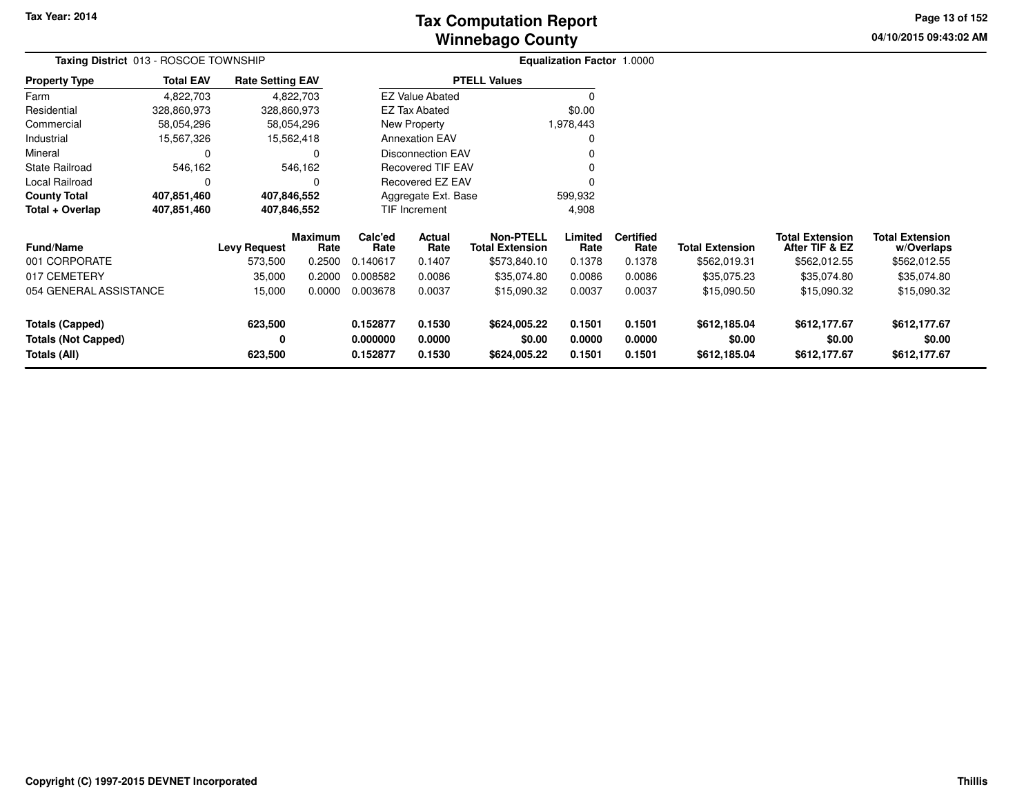# **Winnebago CountyTax Computation Report**

**04/10/2015 09:43:02 AM Page 13 of 152**

| Taxing District 013 - ROSCOE TOWNSHIP                                |                  |                                          |                                            |                                         |                                    |                                                                           | <b>Equalization Factor 1.0000</b>   |                                              |                                                       |                                                                         |                                                                     |  |
|----------------------------------------------------------------------|------------------|------------------------------------------|--------------------------------------------|-----------------------------------------|------------------------------------|---------------------------------------------------------------------------|-------------------------------------|----------------------------------------------|-------------------------------------------------------|-------------------------------------------------------------------------|---------------------------------------------------------------------|--|
| <b>Property Type</b>                                                 | <b>Total EAV</b> | <b>Rate Setting EAV</b>                  |                                            |                                         |                                    | <b>PTELL Values</b>                                                       |                                     |                                              |                                                       |                                                                         |                                                                     |  |
| Farm                                                                 | 4,822,703        |                                          | 4,822,703                                  |                                         | <b>EZ Value Abated</b>             |                                                                           | $\Omega$                            |                                              |                                                       |                                                                         |                                                                     |  |
| Residential                                                          | 328,860,973      | 328,860,973                              |                                            |                                         | <b>EZ Tax Abated</b>               |                                                                           | \$0.00                              |                                              |                                                       |                                                                         |                                                                     |  |
| Commercial                                                           | 58,054,296       |                                          | 58,054,296                                 |                                         | New Property                       |                                                                           | 1,978,443                           |                                              |                                                       |                                                                         |                                                                     |  |
| Industrial                                                           | 15,567,326       |                                          | 15,562,418                                 |                                         | <b>Annexation EAV</b>              |                                                                           | 0                                   |                                              |                                                       |                                                                         |                                                                     |  |
| Mineral                                                              | $\Omega$         |                                          | 0                                          |                                         | <b>Disconnection EAV</b>           |                                                                           | $\Omega$                            |                                              |                                                       |                                                                         |                                                                     |  |
| <b>State Railroad</b>                                                | 546,162          |                                          | 546,162                                    |                                         | <b>Recovered TIF EAV</b>           |                                                                           | 0                                   |                                              |                                                       |                                                                         |                                                                     |  |
| Local Railroad                                                       | 0                |                                          | 0                                          |                                         | <b>Recovered EZ EAV</b>            |                                                                           | 0                                   |                                              |                                                       |                                                                         |                                                                     |  |
| <b>County Total</b>                                                  | 407,851,460      | 407,846,552                              |                                            |                                         | Aggregate Ext. Base                |                                                                           | 599,932                             |                                              |                                                       |                                                                         |                                                                     |  |
| Total + Overlap                                                      | 407,851,460      | 407,846,552                              |                                            |                                         | <b>TIF Increment</b>               |                                                                           | 4,908                               |                                              |                                                       |                                                                         |                                                                     |  |
| <b>Fund/Name</b><br>001 CORPORATE<br>017 CEMETERY                    |                  | <b>Levy Request</b><br>573,500<br>35,000 | <b>Maximum</b><br>Rate<br>0.2500<br>0.2000 | Calc'ed<br>Rate<br>0.140617<br>0.008582 | Actual<br>Rate<br>0.1407<br>0.0086 | <b>Non-PTELL</b><br><b>Total Extension</b><br>\$573,840.10<br>\$35,074.80 | Limited<br>Rate<br>0.1378<br>0.0086 | <b>Certified</b><br>Rate<br>0.1378<br>0.0086 | <b>Total Extension</b><br>\$562,019.31<br>\$35,075.23 | <b>Total Extension</b><br>After TIF & EZ<br>\$562,012.55<br>\$35,074.80 | <b>Total Extension</b><br>w/Overlaps<br>\$562,012.55<br>\$35,074.80 |  |
| 054 GENERAL ASSISTANCE                                               |                  | 15,000                                   | 0.0000                                     | 0.003678                                | 0.0037                             | \$15,090.32                                                               | 0.0037                              | 0.0037                                       | \$15,090.50                                           | \$15,090.32                                                             | \$15,090.32                                                         |  |
| <b>Totals (Capped)</b><br><b>Totals (Not Capped)</b><br>Totals (All) |                  | 623,500<br>0<br>623,500                  |                                            | 0.152877<br>0.000000<br>0.152877        | 0.1530<br>0.0000<br>0.1530         | \$624,005.22<br>\$0.00<br>\$624,005.22                                    | 0.1501<br>0.0000<br>0.1501          | 0.1501<br>0.0000<br>0.1501                   | \$612,185.04<br>\$0.00<br>\$612,185.04                | \$612,177.67<br>\$0.00<br>\$612,177.67                                  | \$612,177.67<br>\$0.00<br>\$612,177.67                              |  |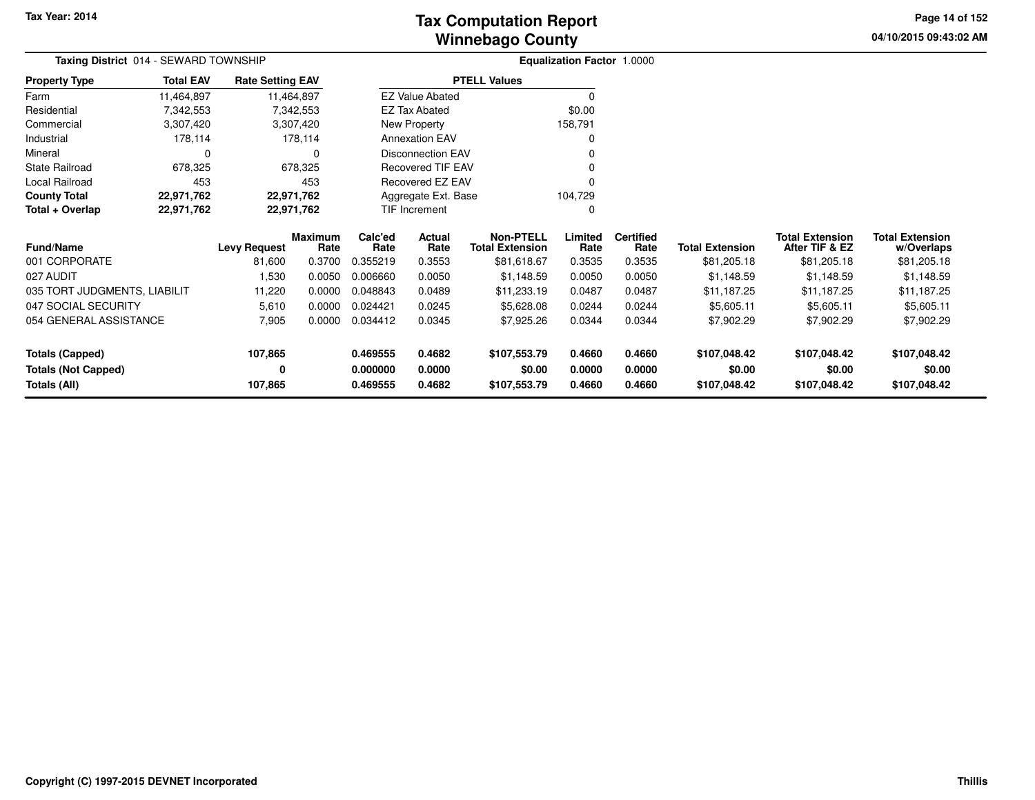**04/10/2015 09:43:02 AM Page 14 of 152**

| <b>Taxing District</b> 014 - SEWARD TOWNSHIP |                  |                         |                        |                 |                          |                                            | <b>Equalization Factor 1.0000</b> |                          |                        |                                          |                                      |
|----------------------------------------------|------------------|-------------------------|------------------------|-----------------|--------------------------|--------------------------------------------|-----------------------------------|--------------------------|------------------------|------------------------------------------|--------------------------------------|
| <b>Property Type</b>                         | <b>Total EAV</b> | <b>Rate Setting EAV</b> |                        |                 |                          | <b>PTELL Values</b>                        |                                   |                          |                        |                                          |                                      |
| Farm                                         | 11,464,897       |                         | 11,464,897             |                 | <b>EZ Value Abated</b>   |                                            | $\Omega$                          |                          |                        |                                          |                                      |
| Residential                                  | 7,342,553        |                         | 7,342,553              |                 | EZ Tax Abated            |                                            | \$0.00                            |                          |                        |                                          |                                      |
| Commercial                                   | 3,307,420        |                         | 3,307,420              |                 | New Property             |                                            | 158,791                           |                          |                        |                                          |                                      |
| Industrial                                   | 178,114          |                         | 178,114                |                 | <b>Annexation EAV</b>    |                                            |                                   |                          |                        |                                          |                                      |
| Mineral                                      | 0                |                         | $\Omega$               |                 | <b>Disconnection EAV</b> |                                            |                                   |                          |                        |                                          |                                      |
| <b>State Railroad</b>                        | 678,325          |                         | 678,325                |                 | <b>Recovered TIF EAV</b> |                                            |                                   |                          |                        |                                          |                                      |
| Local Railroad                               | 453              |                         | 453                    |                 | Recovered EZ EAV         |                                            |                                   |                          |                        |                                          |                                      |
| <b>County Total</b>                          | 22,971,762       |                         | 22,971,762             |                 | Aggregate Ext. Base      |                                            | 104,729                           |                          |                        |                                          |                                      |
| Total + Overlap                              | 22,971,762       |                         | 22,971,762             |                 | TIF Increment            |                                            | 0                                 |                          |                        |                                          |                                      |
| <b>Fund/Name</b>                             |                  | <b>Levy Request</b>     | <b>Maximum</b><br>Rate | Calc'ed<br>Rate | Actual<br>Rate           | <b>Non-PTELL</b><br><b>Total Extension</b> | Limited<br>Rate                   | <b>Certified</b><br>Rate | <b>Total Extension</b> | <b>Total Extension</b><br>After TIF & EZ | <b>Total Extension</b><br>w/Overlaps |
| 001 CORPORATE                                |                  | 81,600                  | 0.3700                 | 0.355219        | 0.3553                   | \$81,618.67                                | 0.3535                            | 0.3535                   | \$81,205.18            | \$81,205.18                              | \$81,205.18                          |
| 027 AUDIT                                    |                  | 1,530                   | 0.0050                 | 0.006660        | 0.0050                   | \$1,148.59                                 | 0.0050                            | 0.0050                   | \$1,148.59             | \$1,148.59                               | \$1,148.59                           |
| 035 TORT JUDGMENTS, LIABILIT                 |                  | 11,220                  | 0.0000                 | 0.048843        | 0.0489                   | \$11,233.19                                | 0.0487                            | 0.0487                   | \$11,187.25            | \$11,187.25                              | \$11,187.25                          |
| 047 SOCIAL SECURITY                          |                  | 5,610                   | 0.0000                 | 0.024421        | 0.0245                   | \$5,628.08                                 | 0.0244                            | 0.0244                   | \$5,605.11             | \$5,605.11                               | \$5,605.11                           |
| 054 GENERAL ASSISTANCE                       |                  | 7,905                   | 0.0000                 | 0.034412        | 0.0345                   | \$7,925.26                                 | 0.0344                            | 0.0344                   | \$7,902.29             | \$7,902.29                               | \$7,902.29                           |
| <b>Totals (Capped)</b>                       |                  | 107,865                 |                        | 0.469555        | 0.4682                   | \$107,553.79                               | 0.4660                            | 0.4660                   | \$107,048.42           | \$107,048.42                             | \$107,048.42                         |
| <b>Totals (Not Capped)</b>                   |                  | 0                       |                        | 0.000000        | 0.0000                   | \$0.00                                     | 0.0000                            | 0.0000                   | \$0.00                 | \$0.00                                   | \$0.00                               |
| <b>Totals (All)</b>                          |                  | 107,865                 |                        | 0.469555        | 0.4682                   | \$107,553.79                               | 0.4660                            | 0.4660                   | \$107,048.42           | \$107,048.42                             | \$107,048.42                         |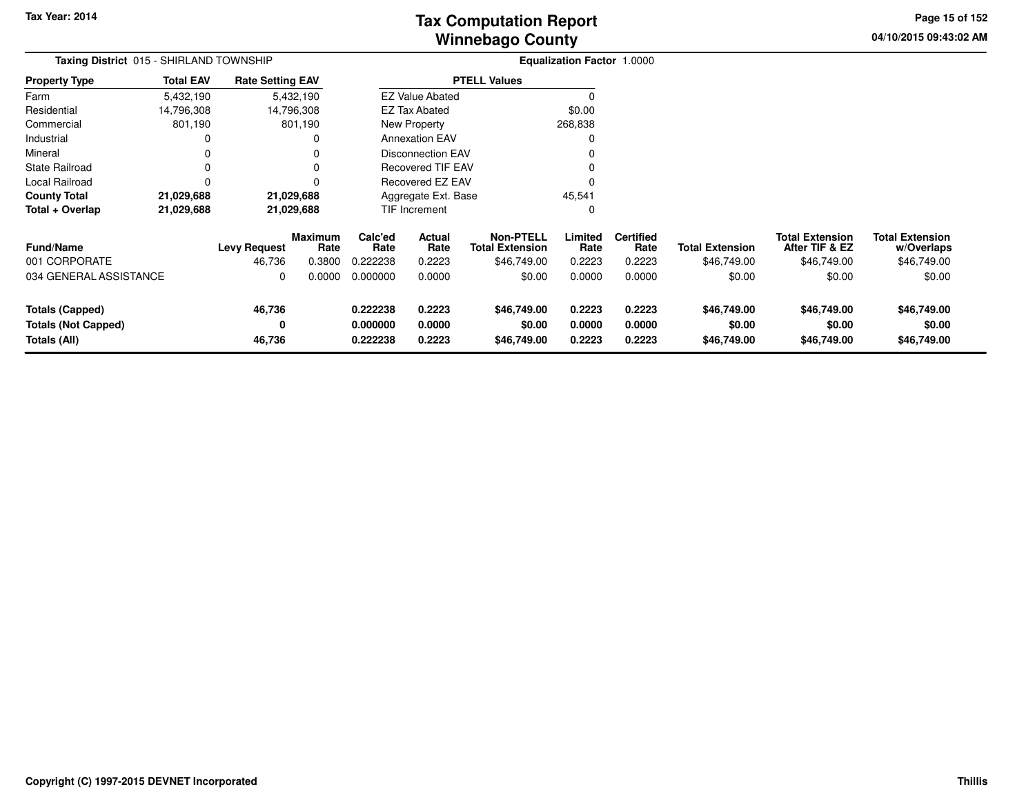# **Winnebago CountyTax Computation Report**

**04/10/2015 09:43:02 AM Page 15 of 152**

| Taxing District 015 - SHIRLAND TOWNSHIP                              |                  |                               |                                  |                                  |                            |                                                           | <b>Equalization Factor 1.0000</b> |                                    |                                       |                                                         |                                                     |  |
|----------------------------------------------------------------------|------------------|-------------------------------|----------------------------------|----------------------------------|----------------------------|-----------------------------------------------------------|-----------------------------------|------------------------------------|---------------------------------------|---------------------------------------------------------|-----------------------------------------------------|--|
| <b>Property Type</b>                                                 | <b>Total EAV</b> | <b>Rate Setting EAV</b>       |                                  |                                  |                            | <b>PTELL Values</b>                                       |                                   |                                    |                                       |                                                         |                                                     |  |
| Farm                                                                 | 5,432,190        |                               | 5,432,190                        |                                  | <b>EZ Value Abated</b>     |                                                           |                                   |                                    |                                       |                                                         |                                                     |  |
| Residential                                                          | 14,796,308       |                               | 14,796,308                       |                                  | EZ Tax Abated              |                                                           | \$0.00                            |                                    |                                       |                                                         |                                                     |  |
| Commercial                                                           | 801,190          |                               | 801,190                          |                                  | New Property               |                                                           | 268,838                           |                                    |                                       |                                                         |                                                     |  |
| Industrial                                                           | $\Omega$         |                               | $\Omega$                         |                                  | <b>Annexation EAV</b>      |                                                           |                                   |                                    |                                       |                                                         |                                                     |  |
| Mineral                                                              | $\Omega$         |                               | 0                                |                                  | <b>Disconnection EAV</b>   |                                                           |                                   |                                    |                                       |                                                         |                                                     |  |
| <b>State Railroad</b>                                                | 0                |                               | 0                                |                                  | Recovered TIF EAV          |                                                           |                                   |                                    |                                       |                                                         |                                                     |  |
| Local Railroad                                                       | $\Omega$         |                               | 0                                |                                  | <b>Recovered EZ EAV</b>    |                                                           |                                   |                                    |                                       |                                                         |                                                     |  |
| <b>County Total</b>                                                  | 21,029,688       |                               | 21,029,688                       |                                  | Aggregate Ext. Base        |                                                           | 45,541                            |                                    |                                       |                                                         |                                                     |  |
| Total + Overlap                                                      | 21,029,688       |                               | 21,029,688                       |                                  | <b>TIF Increment</b>       |                                                           | 0                                 |                                    |                                       |                                                         |                                                     |  |
| <b>Fund/Name</b><br>001 CORPORATE                                    |                  | <b>Levy Request</b><br>46,736 | <b>Maximum</b><br>Rate<br>0.3800 | Calc'ed<br>Rate<br>0.222238      | Actual<br>Rate<br>0.2223   | <b>Non-PTELL</b><br><b>Total Extension</b><br>\$46,749.00 | Limited<br>Rate<br>0.2223         | <b>Certified</b><br>Rate<br>0.2223 | <b>Total Extension</b><br>\$46,749.00 | <b>Total Extension</b><br>After TIF & EZ<br>\$46,749.00 | <b>Total Extension</b><br>w/Overlaps<br>\$46,749.00 |  |
| 034 GENERAL ASSISTANCE                                               |                  | 0                             | 0.0000                           | 0.000000                         | 0.0000                     | \$0.00                                                    | 0.0000                            | 0.0000                             | \$0.00                                | \$0.00                                                  | \$0.00                                              |  |
| <b>Totals (Capped)</b><br><b>Totals (Not Capped)</b><br>Totals (All) |                  | 46,736<br>0<br>46,736         |                                  | 0.222238<br>0.000000<br>0.222238 | 0.2223<br>0.0000<br>0.2223 | \$46,749.00<br>\$0.00<br>\$46,749.00                      | 0.2223<br>0.0000<br>0.2223        | 0.2223<br>0.0000<br>0.2223         | \$46,749.00<br>\$0.00<br>\$46,749.00  | \$46,749.00<br>\$0.00<br>\$46,749.00                    | \$46,749.00<br>\$0.00<br>\$46,749.00                |  |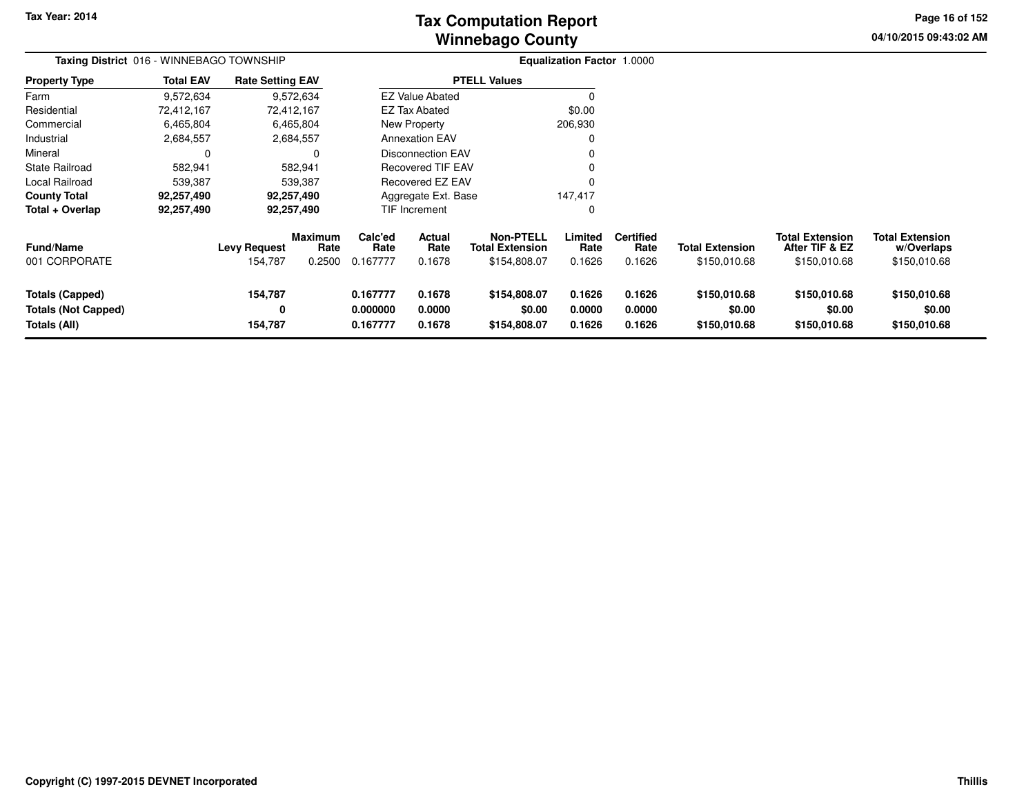**04/10/2015 09:43:02 AM Page 16 of 152**

| Taxing District 016 - WINNEBAGO TOWNSHIP                             |                  |                                |                                  |                                  |                                 |                                                            | Equalization Factor 1.0000 |                                    |                                        |                                                          |                                                      |
|----------------------------------------------------------------------|------------------|--------------------------------|----------------------------------|----------------------------------|---------------------------------|------------------------------------------------------------|----------------------------|------------------------------------|----------------------------------------|----------------------------------------------------------|------------------------------------------------------|
| <b>Property Type</b>                                                 | <b>Total EAV</b> | <b>Rate Setting EAV</b>        |                                  |                                  |                                 | <b>PTELL Values</b>                                        |                            |                                    |                                        |                                                          |                                                      |
| Farm                                                                 | 9,572,634        |                                | 9,572,634                        |                                  | <b>EZ Value Abated</b>          |                                                            |                            |                                    |                                        |                                                          |                                                      |
| Residential                                                          | 72,412,167       | 72,412,167                     |                                  |                                  | EZ Tax Abated                   |                                                            | \$0.00                     |                                    |                                        |                                                          |                                                      |
| Commercial                                                           | 6,465,804        |                                | 6,465,804                        |                                  | New Property                    |                                                            | 206,930                    |                                    |                                        |                                                          |                                                      |
| Industrial                                                           | 2,684,557        |                                | 2,684,557                        |                                  | <b>Annexation EAV</b>           |                                                            |                            |                                    |                                        |                                                          |                                                      |
| Mineral                                                              |                  |                                | 0                                |                                  | <b>Disconnection EAV</b>        |                                                            |                            |                                    |                                        |                                                          |                                                      |
| State Railroad                                                       | 582,941          |                                | 582,941                          |                                  | <b>Recovered TIF EAV</b>        |                                                            |                            |                                    |                                        |                                                          |                                                      |
| Local Railroad                                                       | 539,387          |                                | 539,387                          |                                  | Recovered EZ EAV                |                                                            |                            |                                    |                                        |                                                          |                                                      |
| <b>County Total</b>                                                  | 92,257,490       | 92,257,490                     |                                  |                                  | Aggregate Ext. Base             |                                                            | 147,417                    |                                    |                                        |                                                          |                                                      |
| Total + Overlap                                                      | 92,257,490       | 92,257,490                     |                                  |                                  | TIF Increment                   |                                                            |                            |                                    |                                        |                                                          |                                                      |
| Fund/Name<br>001 CORPORATE                                           |                  | <b>Levy Request</b><br>154,787 | <b>Maximum</b><br>Rate<br>0.2500 | Calc'ed<br>Rate<br>0.167777      | <b>Actual</b><br>Rate<br>0.1678 | <b>Non-PTELL</b><br><b>Total Extension</b><br>\$154,808.07 | Limited<br>Rate<br>0.1626  | <b>Certified</b><br>Rate<br>0.1626 | <b>Total Extension</b><br>\$150,010.68 | <b>Total Extension</b><br>After TIF & EZ<br>\$150,010.68 | <b>Total Extension</b><br>w/Overlaps<br>\$150,010.68 |
| <b>Totals (Capped)</b><br><b>Totals (Not Capped)</b><br>Totals (All) |                  | 154,787<br>0<br>154,787        |                                  | 0.167777<br>0.000000<br>0.167777 | 0.1678<br>0.0000<br>0.1678      | \$154,808.07<br>\$0.00<br>\$154,808.07                     | 0.1626<br>0.0000<br>0.1626 | 0.1626<br>0.0000<br>0.1626         | \$150,010.68<br>\$0.00<br>\$150,010.68 | \$150,010.68<br>\$0.00<br>\$150,010.68                   | \$150,010.68<br>\$0.00<br>\$150,010.68               |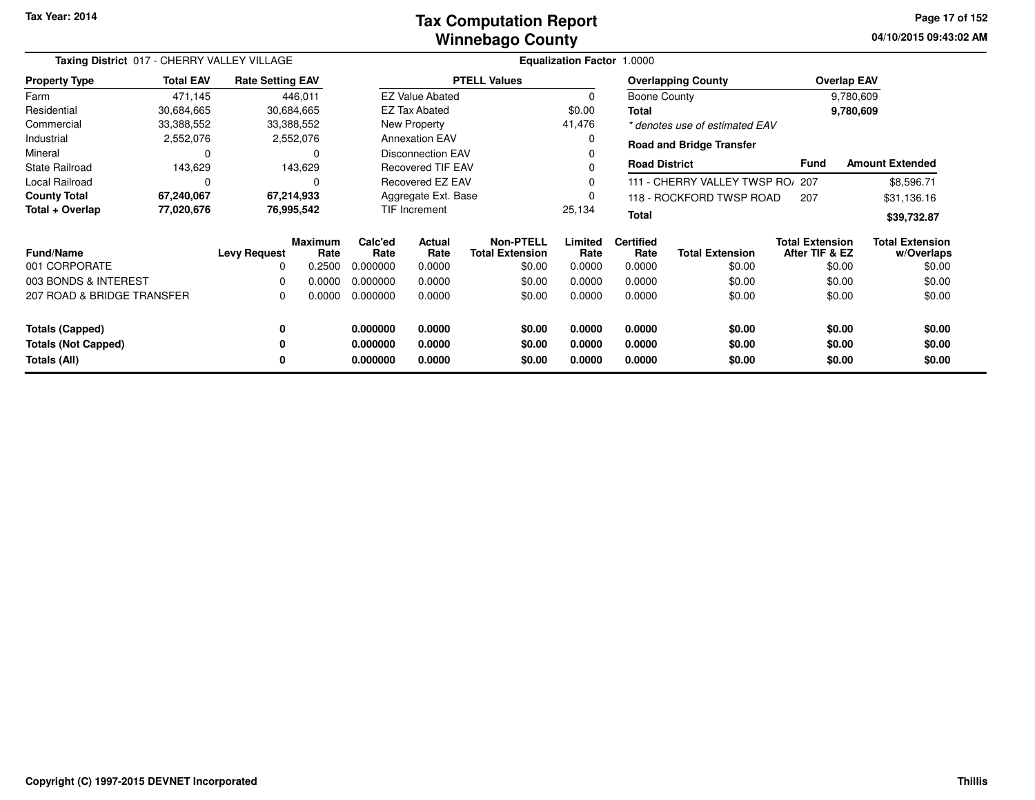### **Winnebago CountyTax Computation Report**

**04/10/2015 09:43:02 AMPage 17 of 152**

| Taxing District 017 - CHERRY VALLEY VILLAGE<br><b>Total EAV</b><br><b>Rate Setting EAV</b> |            |                     |                        |                 |                          | Equalization Factor 1.0000                 |                 |                          |                                 |                                          |                                      |
|--------------------------------------------------------------------------------------------|------------|---------------------|------------------------|-----------------|--------------------------|--------------------------------------------|-----------------|--------------------------|---------------------------------|------------------------------------------|--------------------------------------|
| <b>Property Type</b>                                                                       |            |                     |                        |                 |                          | <b>PTELL Values</b>                        |                 |                          | <b>Overlapping County</b>       |                                          | <b>Overlap EAV</b>                   |
| Farm                                                                                       | 471,145    |                     | 446,011                |                 | <b>EZ Value Abated</b>   |                                            | 0               | Boone County             |                                 |                                          | 9,780,609                            |
| Residential                                                                                | 30,684,665 |                     | 30,684,665             |                 | <b>EZ Tax Abated</b>     |                                            | \$0.00          | Total                    |                                 |                                          | 9,780,609                            |
| Commercial                                                                                 | 33,388,552 |                     | 33,388,552             |                 | New Property             |                                            | 41,476          |                          | * denotes use of estimated EAV  |                                          |                                      |
| Industrial                                                                                 | 2,552,076  |                     | 2,552,076              |                 | <b>Annexation EAV</b>    |                                            |                 |                          | <b>Road and Bridge Transfer</b> |                                          |                                      |
| Mineral                                                                                    | 0          |                     | 0                      |                 | <b>Disconnection EAV</b> |                                            |                 |                          |                                 |                                          |                                      |
| <b>State Railroad</b>                                                                      | 143,629    |                     | 143,629                |                 | <b>Recovered TIF EAV</b> |                                            |                 | <b>Road District</b>     |                                 | <b>Fund</b>                              | <b>Amount Extended</b>               |
| Local Railroad                                                                             | 0          |                     | 0                      |                 | Recovered EZ EAV         |                                            |                 |                          | 111 - CHERRY VALLEY TWSP RO/    | 207                                      | \$8,596.71                           |
| <b>County Total</b>                                                                        | 67,240,067 |                     | 67,214,933             |                 | Aggregate Ext. Base      |                                            |                 |                          | 118 - ROCKFORD TWSP ROAD        | 207                                      | \$31,136.16                          |
| Total + Overlap                                                                            | 77,020,676 |                     | 76,995,542             |                 | TIF Increment            |                                            | 25,134          | <b>Total</b>             |                                 |                                          | \$39,732.87                          |
| <b>Fund/Name</b>                                                                           |            | <b>Levy Request</b> | <b>Maximum</b><br>Rate | Calc'ed<br>Rate | <b>Actual</b><br>Rate    | <b>Non-PTELL</b><br><b>Total Extension</b> | Limited<br>Rate | <b>Certified</b><br>Rate | <b>Total Extension</b>          | <b>Total Extension</b><br>After TIF & EZ | <b>Total Extension</b><br>w/Overlaps |
| 001 CORPORATE                                                                              |            | 0                   | 0.2500                 | 0.000000        | 0.0000                   | \$0.00                                     | 0.0000          | 0.0000                   | \$0.00                          | \$0.00                                   | \$0.00                               |
| 003 BONDS & INTEREST                                                                       |            | 0                   | 0.0000                 | 0.000000        | 0.0000                   | \$0.00                                     | 0.0000          | 0.0000                   | \$0.00                          | \$0.00                                   | \$0.00                               |
| 207 ROAD & BRIDGE TRANSFER                                                                 |            | 0                   | 0.0000                 | 0.000000        | 0.0000                   | \$0.00                                     | 0.0000          | 0.0000                   | \$0.00                          | \$0.00                                   | \$0.00                               |
| <b>Totals (Capped)</b>                                                                     |            | 0                   |                        | 0.000000        | 0.0000                   | \$0.00                                     | 0.0000          | 0.0000                   | \$0.00                          | \$0.00                                   | \$0.00                               |
| <b>Totals (Not Capped)</b>                                                                 |            | 0                   |                        | 0.000000        | 0.0000                   | \$0.00                                     | 0.0000          | 0.0000                   | \$0.00                          | \$0.00                                   | \$0.00                               |
| Totals (All)                                                                               |            | 0                   |                        | 0.000000        | 0.0000                   | \$0.00                                     | 0.0000          | 0.0000                   | \$0.00                          | \$0.00                                   | \$0.00                               |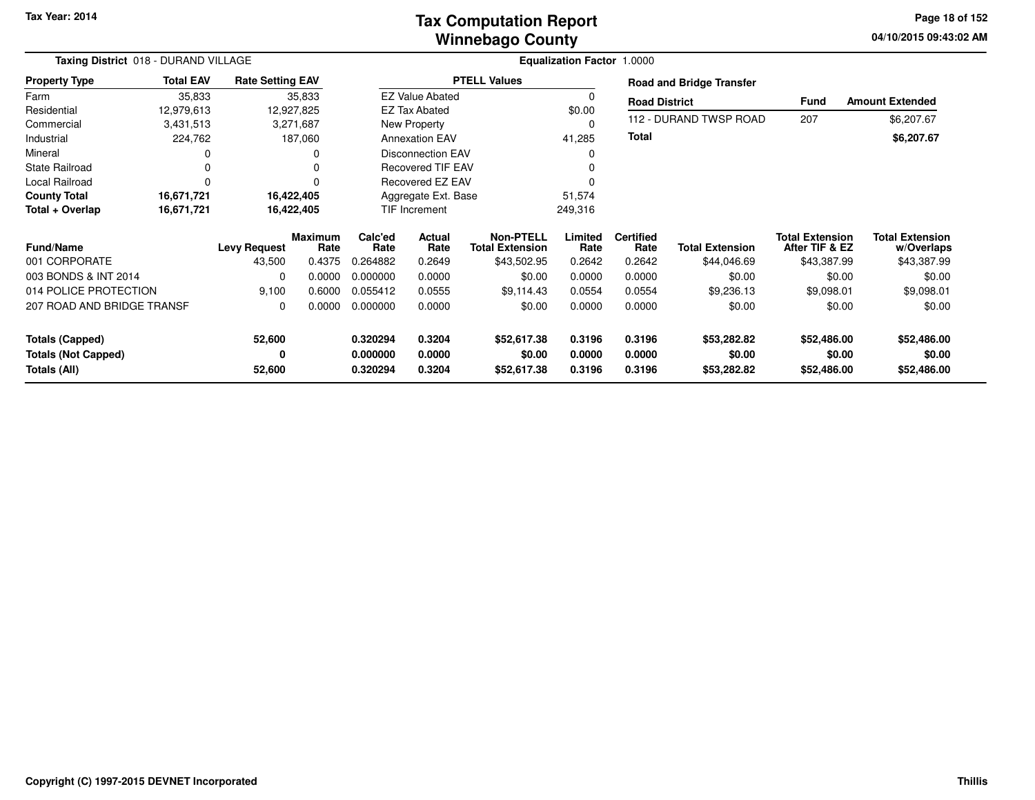### **Winnebago CountyTax Computation Report**

**04/10/2015 09:43:02 AM Page 18 of 152**

| Taxing District 018 - DURAND VILLAGE                 |                  |                         |                 |                      |                          |                                            | <b>Equalization Factor 1.0000</b> |                          |                                 |                                          |                                      |
|------------------------------------------------------|------------------|-------------------------|-----------------|----------------------|--------------------------|--------------------------------------------|-----------------------------------|--------------------------|---------------------------------|------------------------------------------|--------------------------------------|
| <b>Property Type</b>                                 | <b>Total EAV</b> | <b>Rate Setting EAV</b> |                 |                      |                          | <b>PTELL Values</b>                        |                                   |                          | <b>Road and Bridge Transfer</b> |                                          |                                      |
| Farm                                                 | 35,833           |                         | 35,833          |                      | <b>EZ Value Abated</b>   |                                            | 0                                 | <b>Road District</b>     |                                 | <b>Fund</b>                              | <b>Amount Extended</b>               |
| Residential                                          | 12,979,613       |                         | 12,927,825      |                      | <b>EZ Tax Abated</b>     |                                            | \$0.00                            |                          |                                 |                                          |                                      |
| Commercial                                           | 3,431,513        |                         | 3,271,687       |                      | New Property             |                                            | 0                                 |                          | 112 - DURAND TWSP ROAD          | 207                                      | \$6,207.67                           |
| Industrial                                           | 224,762          |                         | 187,060         |                      | <b>Annexation EAV</b>    |                                            | 41,285                            | <b>Total</b>             |                                 |                                          | \$6,207.67                           |
| Mineral                                              | 0                |                         |                 |                      | <b>Disconnection EAV</b> |                                            | 0                                 |                          |                                 |                                          |                                      |
| <b>State Railroad</b>                                | 0                |                         | 0               |                      | <b>Recovered TIF EAV</b> |                                            | $\Omega$                          |                          |                                 |                                          |                                      |
| Local Railroad                                       | 0                |                         | 0               |                      | Recovered EZ EAV         |                                            |                                   |                          |                                 |                                          |                                      |
| <b>County Total</b>                                  | 16,671,721       |                         | 16,422,405      |                      | Aggregate Ext. Base      |                                            | 51,574                            |                          |                                 |                                          |                                      |
| Total + Overlap                                      | 16,671,721       |                         | 16,422,405      |                      | <b>TIF Increment</b>     |                                            | 249,316                           |                          |                                 |                                          |                                      |
| <b>Fund/Name</b>                                     |                  | <b>Levy Request</b>     | Maximum<br>Rate | Calc'ed<br>Rate      | Actual<br>Rate           | <b>Non-PTELL</b><br><b>Total Extension</b> | Limited<br>Rate                   | <b>Certified</b><br>Rate | <b>Total Extension</b>          | <b>Total Extension</b><br>After TIF & EZ | <b>Total Extension</b><br>w/Overlaps |
| 001 CORPORATE                                        |                  | 43,500                  | 0.4375          | 0.264882             | 0.2649                   | \$43,502.95                                | 0.2642                            | 0.2642                   | \$44,046.69                     | \$43,387.99                              | \$43,387.99                          |
| 003 BONDS & INT 2014                                 |                  | 0                       | 0.0000          | 0.000000             | 0.0000                   | \$0.00                                     | 0.0000                            | 0.0000                   | \$0.00                          | \$0.00                                   | \$0.00                               |
| 014 POLICE PROTECTION                                |                  | 9,100                   | 0.6000          | 0.055412             | 0.0555                   | \$9,114.43                                 | 0.0554                            | 0.0554                   | \$9,236.13                      | \$9,098.01                               | \$9,098.01                           |
| 207 ROAD AND BRIDGE TRANSF                           |                  | 0                       | 0.0000          | 0.000000             | 0.0000                   | \$0.00                                     | 0.0000                            | 0.0000                   | \$0.00                          | \$0.00                                   | \$0.00                               |
| <b>Totals (Capped)</b><br><b>Totals (Not Capped)</b> |                  | 52,600<br>0             |                 | 0.320294<br>0.000000 | 0.3204<br>0.0000         | \$52,617.38<br>\$0.00                      | 0.3196<br>0.0000                  | 0.3196<br>0.0000         | \$53,282.82<br>\$0.00           | \$52,486.00<br>\$0.00                    | \$52,486.00<br>\$0.00                |
| Totals (All)                                         |                  | 52,600                  |                 | 0.320294             | 0.3204                   | \$52,617.38                                | 0.3196                            | 0.3196                   | \$53,282.82                     | \$52,486.00                              | \$52,486.00                          |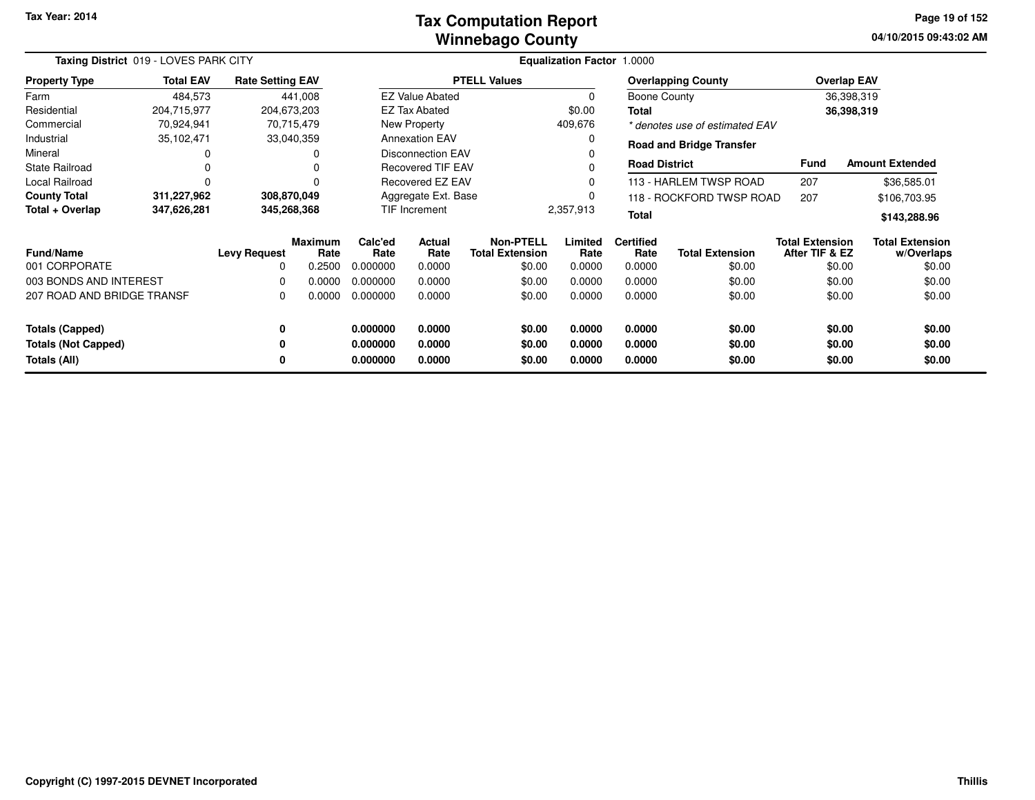#### **Winnebago CountyTax Computation Report**

**04/10/2015 09:43:02 AM Page 19 of 152**

| Taxing District 019 - LOVES PARK CITY |                  |                         |                        |                 |                          |                                            | <b>Equalization Factor 1.0000</b> |                          |                                 |                                          |                                      |
|---------------------------------------|------------------|-------------------------|------------------------|-----------------|--------------------------|--------------------------------------------|-----------------------------------|--------------------------|---------------------------------|------------------------------------------|--------------------------------------|
| <b>Property Type</b>                  | <b>Total EAV</b> | <b>Rate Setting EAV</b> |                        |                 |                          | <b>PTELL Values</b>                        |                                   |                          | <b>Overlapping County</b>       |                                          | <b>Overlap EAV</b>                   |
| Farm                                  | 484,573          |                         | 441,008                |                 | <b>EZ Value Abated</b>   |                                            | $\Omega$                          | Boone County             |                                 |                                          | 36,398,319                           |
| Residential                           | 204,715,977      | 204,673,203             |                        |                 | EZ Tax Abated            |                                            | \$0.00                            | Total                    |                                 |                                          | 36,398,319                           |
| Commercial                            | 70,924,941       |                         | 70,715,479             |                 | New Property             |                                            | 409,676                           |                          | * denotes use of estimated EAV  |                                          |                                      |
| Industrial                            | 35,102,471       |                         | 33,040,359             |                 | <b>Annexation EAV</b>    |                                            | 0                                 |                          | <b>Road and Bridge Transfer</b> |                                          |                                      |
| Mineral                               |                  |                         | 0                      |                 | <b>Disconnection EAV</b> |                                            |                                   |                          |                                 |                                          |                                      |
| <b>State Railroad</b>                 | 0                |                         |                        |                 | <b>Recovered TIF EAV</b> |                                            |                                   | <b>Road District</b>     |                                 | Fund                                     | <b>Amount Extended</b>               |
| <b>Local Railroad</b>                 | 0                |                         |                        |                 | Recovered EZ EAV         |                                            | 0                                 |                          | 113 - HARLEM TWSP ROAD          | 207                                      | \$36,585.01                          |
| <b>County Total</b>                   | 311,227,962      | 308,870,049             |                        |                 | Aggregate Ext. Base      |                                            |                                   |                          | 118 - ROCKFORD TWSP ROAD        | 207                                      | \$106,703.95                         |
| Total + Overlap                       | 347,626,281      | 345,268,368             |                        |                 | TIF Increment            |                                            | 2,357,913                         | <b>Total</b>             |                                 |                                          | \$143,288.96                         |
| <b>Fund/Name</b>                      |                  | <b>Levy Request</b>     | <b>Maximum</b><br>Rate | Calc'ed<br>Rate | Actual<br>Rate           | <b>Non-PTELL</b><br><b>Total Extension</b> | Limited<br>Rate                   | <b>Certified</b><br>Rate | <b>Total Extension</b>          | <b>Total Extension</b><br>After TIF & EZ | <b>Total Extension</b><br>w/Overlaps |
| 001 CORPORATE                         |                  | $\Omega$                | 0.2500                 | 0.000000        | 0.0000                   | \$0.00                                     | 0.0000                            | 0.0000                   | \$0.00                          | \$0.00                                   | \$0.00                               |
| 003 BONDS AND INTEREST                |                  | 0                       | 0.0000                 | 0.000000        | 0.0000                   | \$0.00                                     | 0.0000                            | 0.0000                   | \$0.00                          | \$0.00                                   | \$0.00                               |
| 207 ROAD AND BRIDGE TRANSF            |                  | 0                       | 0.0000                 | 0.000000        | 0.0000                   | \$0.00                                     | 0.0000                            | 0.0000                   | \$0.00                          | \$0.00                                   | \$0.00                               |
| <b>Totals (Capped)</b>                |                  | 0                       |                        | 0.000000        | 0.0000                   | \$0.00                                     | 0.0000                            | 0.0000                   | \$0.00                          |                                          | \$0.00<br>\$0.00                     |
| <b>Totals (Not Capped)</b>            |                  | 0                       |                        | 0.000000        | 0.0000                   | \$0.00                                     | 0.0000                            | 0.0000                   | \$0.00                          | \$0.00                                   | \$0.00                               |
| Totals (All)                          |                  | 0                       |                        | 0.000000        | 0.0000                   | \$0.00                                     | 0.0000                            | 0.0000                   | \$0.00                          | \$0.00                                   | \$0.00                               |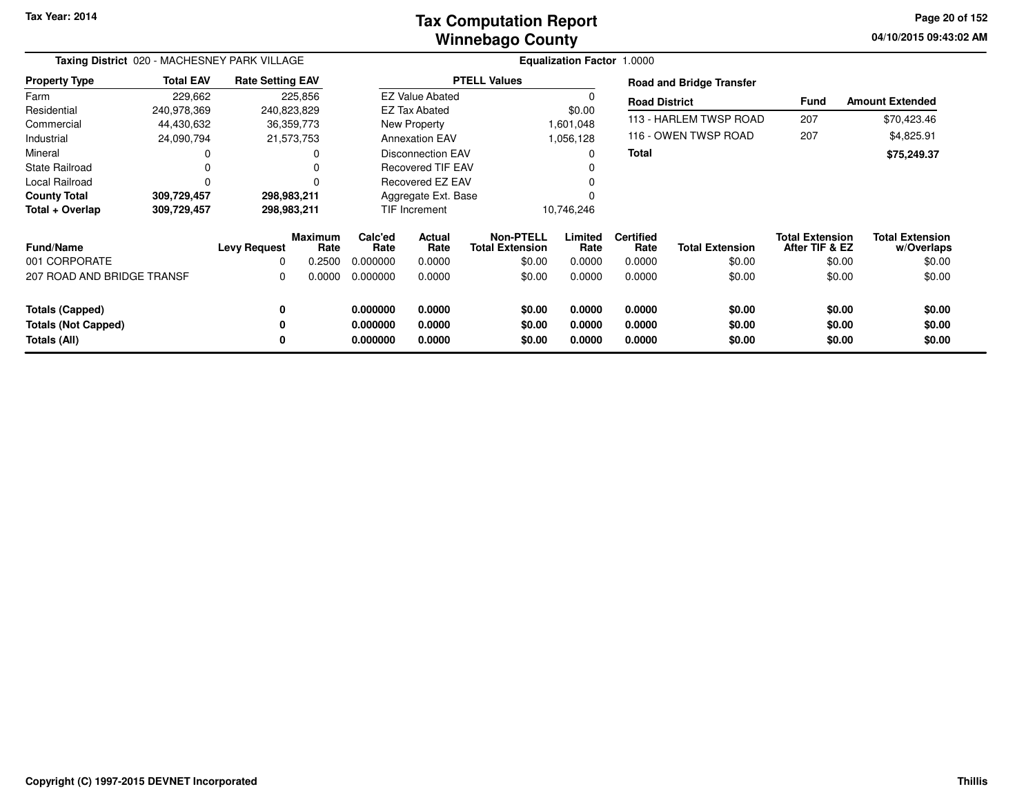### **Winnebago CountyTax Computation Report**

**04/10/2015 09:43:02 AM Page 20 of 152**

|                            | Taxing District 020 - MACHESNEY PARK VILLAGE<br><b>Rate Setting EAV</b> |                     |                        |                 |                          |                                     | Equalization Factor 1.0000 |                          |                                 |                                          |                                      |
|----------------------------|-------------------------------------------------------------------------|---------------------|------------------------|-----------------|--------------------------|-------------------------------------|----------------------------|--------------------------|---------------------------------|------------------------------------------|--------------------------------------|
| <b>Property Type</b>       | <b>Total EAV</b>                                                        |                     |                        |                 |                          | <b>PTELL Values</b>                 |                            |                          | <b>Road and Bridge Transfer</b> |                                          |                                      |
| Farm                       | 229,662                                                                 |                     | 225,856                |                 | <b>EZ Value Abated</b>   |                                     | 0                          | <b>Road District</b>     |                                 | Fund                                     | <b>Amount Extended</b>               |
| Residential                | 240,978,369                                                             | 240,823,829         |                        |                 | <b>EZ Tax Abated</b>     |                                     | \$0.00                     |                          |                                 |                                          |                                      |
| Commercial                 | 44,430,632                                                              | 36,359,773          |                        |                 | New Property             |                                     | 1,601,048                  |                          | 113 - HARLEM TWSP ROAD          | 207                                      | \$70,423.46                          |
| Industrial                 | 24,090,794                                                              | 21,573,753          |                        |                 | <b>Annexation EAV</b>    |                                     | 1,056,128                  |                          | 116 - OWEN TWSP ROAD            | 207                                      | \$4,825.91                           |
| Mineral                    |                                                                         |                     |                        |                 | Disconnection EAV        |                                     | 0                          | <b>Total</b>             |                                 |                                          | \$75,249.37                          |
| <b>State Railroad</b>      |                                                                         |                     |                        |                 | <b>Recovered TIF EAV</b> |                                     |                            |                          |                                 |                                          |                                      |
| <b>Local Railroad</b>      |                                                                         |                     | $\Omega$               |                 | Recovered EZ EAV         |                                     | $\Omega$                   |                          |                                 |                                          |                                      |
| <b>County Total</b>        | 309,729,457                                                             | 298,983,211         |                        |                 | Aggregate Ext. Base      |                                     |                            |                          |                                 |                                          |                                      |
| Total + Overlap            | 309,729,457                                                             | 298,983,211         |                        |                 | TIF Increment            |                                     | 10,746,246                 |                          |                                 |                                          |                                      |
| <b>Fund/Name</b>           |                                                                         | <b>Levy Request</b> | <b>Maximum</b><br>Rate | Calc'ed<br>Rate | <b>Actual</b><br>Rate    | Non-PTELL<br><b>Total Extension</b> | Limited<br>Rate            | <b>Certified</b><br>Rate | <b>Total Extension</b>          | <b>Total Extension</b><br>After TIF & EZ | <b>Total Extension</b><br>w/Overlaps |
| 001 CORPORATE              |                                                                         | 0                   | 0.2500                 | 0.000000        | 0.0000                   | \$0.00                              | 0.0000                     | 0.0000                   | \$0.00                          | \$0.00                                   | \$0.00                               |
| 207 ROAD AND BRIDGE TRANSF |                                                                         | 0                   | 0.0000                 | 0.000000        | 0.0000                   | \$0.00                              | 0.0000                     | 0.0000                   | \$0.00                          | \$0.00                                   | \$0.00                               |
| <b>Totals (Capped)</b>     |                                                                         | 0                   |                        | 0.000000        | 0.0000                   | \$0.00                              | 0.0000                     | 0.0000                   | \$0.00                          | \$0.00                                   | \$0.00                               |
| <b>Totals (Not Capped)</b> |                                                                         | 0                   |                        | 0.000000        | 0.0000                   | \$0.00                              | 0.0000                     | 0.0000                   | \$0.00                          | \$0.00                                   | \$0.00                               |
| Totals (All)               |                                                                         | 0                   |                        | 0.000000        | 0.0000                   | \$0.00                              | 0.0000                     | 0.0000                   | \$0.00                          | \$0.00                                   | \$0.00                               |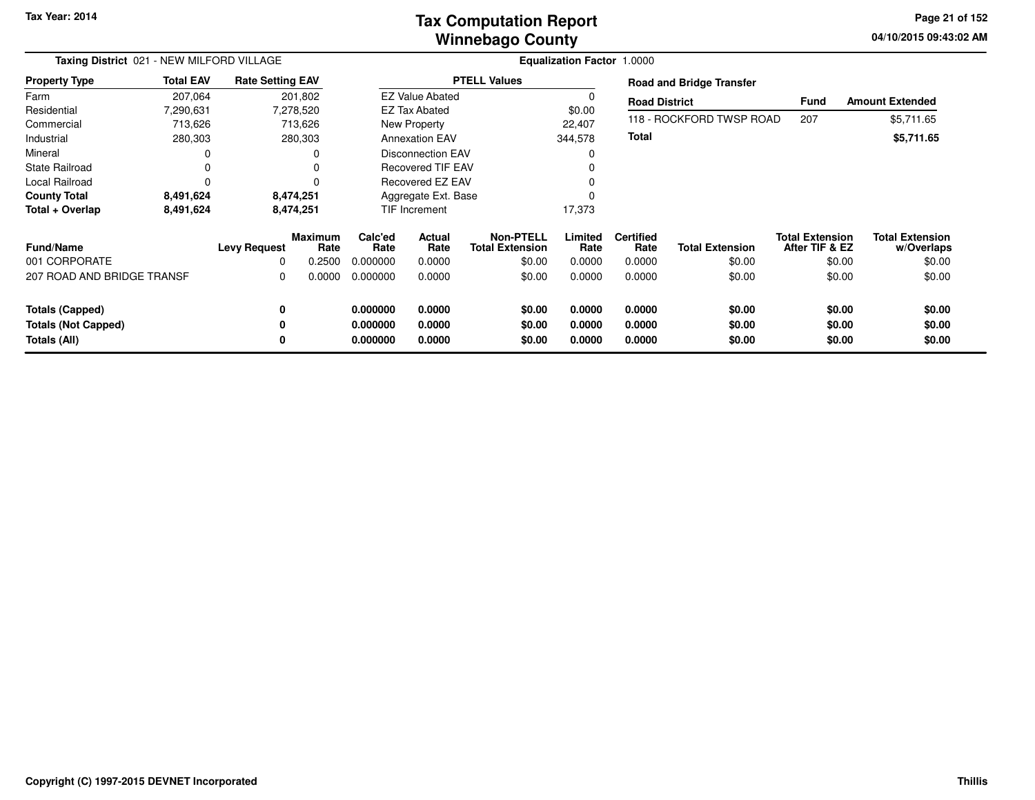### **Winnebago CountyTax Computation Report**

**04/10/2015 09:43:02 AM Page 21 of 152**

| Taxing District 021 - NEW MILFORD VILLAGE<br><b>Total EAV</b><br><b>Rate Setting EAV</b> |           |                          |                                  |                             |                          |                                               | <b>Equalization Factor 1.0000</b> |                                    |                                  |                                                    |                                                |
|------------------------------------------------------------------------------------------|-----------|--------------------------|----------------------------------|-----------------------------|--------------------------|-----------------------------------------------|-----------------------------------|------------------------------------|----------------------------------|----------------------------------------------------|------------------------------------------------|
| <b>Property Type</b>                                                                     |           |                          |                                  |                             |                          | <b>PTELL Values</b>                           |                                   |                                    | <b>Road and Bridge Transfer</b>  |                                                    |                                                |
| Farm                                                                                     | 207,064   |                          | 201,802                          |                             | <b>EZ Value Abated</b>   |                                               |                                   | <b>Road District</b>               |                                  | Fund                                               | <b>Amount Extended</b>                         |
| Residential                                                                              | 7,290,631 |                          | 7,278,520                        |                             | <b>EZ Tax Abated</b>     |                                               | \$0.00                            |                                    |                                  |                                                    |                                                |
| Commercial                                                                               | 713,626   |                          | 713,626                          |                             | New Property             |                                               | 22,407                            |                                    | 118 - ROCKFORD TWSP ROAD         | 207                                                | \$5,711.65                                     |
| Industrial                                                                               | 280,303   |                          | 280,303                          |                             | <b>Annexation EAV</b>    |                                               | 344,578                           | <b>Total</b>                       |                                  |                                                    | \$5,711.65                                     |
| Mineral                                                                                  |           |                          | ი                                |                             | <b>Disconnection EAV</b> |                                               |                                   |                                    |                                  |                                                    |                                                |
| State Railroad                                                                           |           |                          | 0                                |                             | <b>Recovered TIF EAV</b> |                                               |                                   |                                    |                                  |                                                    |                                                |
| Local Railroad                                                                           | 0         |                          | 0                                |                             | Recovered EZ EAV         |                                               |                                   |                                    |                                  |                                                    |                                                |
| <b>County Total</b>                                                                      | 8,491,624 |                          | 8,474,251                        |                             | Aggregate Ext. Base      |                                               |                                   |                                    |                                  |                                                    |                                                |
| Total + Overlap                                                                          | 8,491,624 |                          | 8,474,251                        |                             | TIF Increment            |                                               | 17,373                            |                                    |                                  |                                                    |                                                |
| <b>Fund/Name</b><br>001 CORPORATE                                                        |           | <b>Levy Request</b><br>0 | <b>Maximum</b><br>Rate<br>0.2500 | Calc'ed<br>Rate<br>0.000000 | Actual<br>Rate<br>0.0000 | Non-PTELL<br><b>Total Extension</b><br>\$0.00 | Limited<br>Rate<br>0.0000         | <b>Certified</b><br>Rate<br>0.0000 | <b>Total Extension</b><br>\$0.00 | <b>Total Extension</b><br>After TIF & EZ<br>\$0.00 | <b>Total Extension</b><br>w/Overlaps<br>\$0.00 |
|                                                                                          |           |                          |                                  |                             |                          |                                               |                                   |                                    |                                  |                                                    |                                                |
| 207 ROAD AND BRIDGE TRANSF                                                               |           | 0                        | 0.0000                           | 0.000000                    | 0.0000                   | \$0.00                                        | 0.0000                            | 0.0000                             | \$0.00                           | \$0.00                                             | \$0.00                                         |
| <b>Totals (Capped)</b>                                                                   |           | 0                        |                                  | 0.000000                    | 0.0000                   | \$0.00                                        | 0.0000                            | 0.0000                             | \$0.00                           | \$0.00                                             | \$0.00                                         |
| <b>Totals (Not Capped)</b>                                                               |           | 0                        |                                  | 0.000000                    | 0.0000                   | \$0.00                                        | 0.0000                            | 0.0000                             | \$0.00                           | \$0.00                                             | \$0.00                                         |
| Totals (All)                                                                             |           | 0                        |                                  | 0.000000                    | 0.0000                   | \$0.00                                        | 0.0000                            | 0.0000                             | \$0.00                           | \$0.00                                             | \$0.00                                         |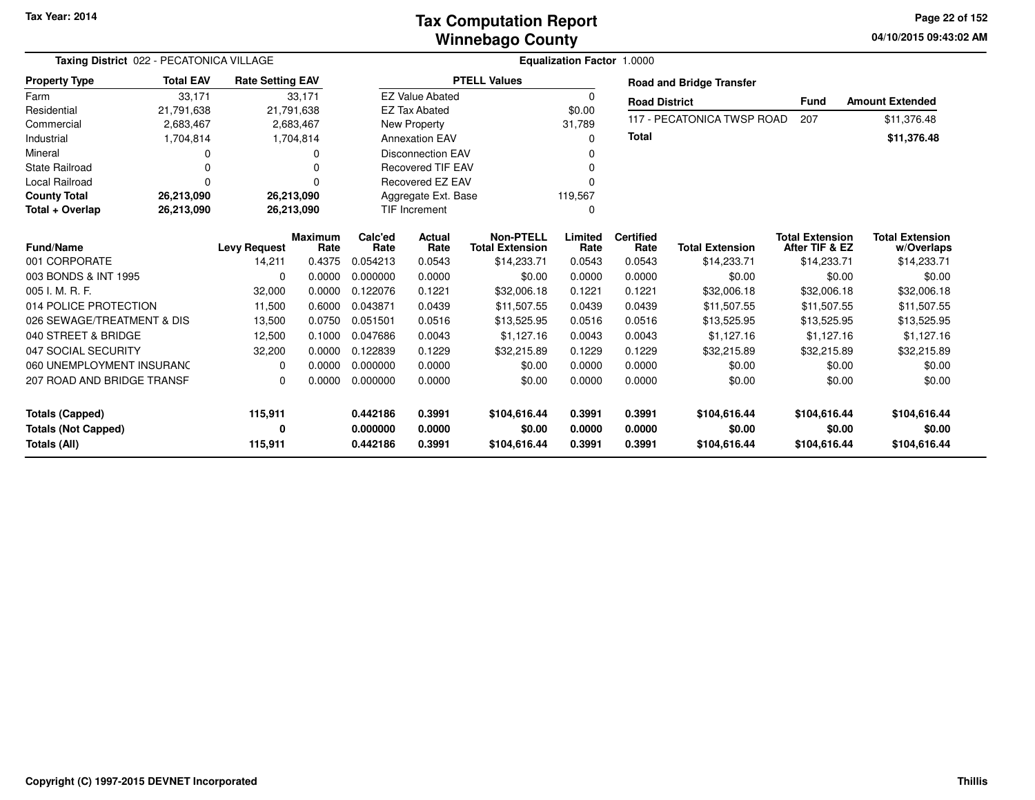### **Winnebago CountyTax Computation Report**

**04/10/2015 09:43:02 AM Page 22 of 152**

| Taxing District 022 - PECATONICA VILLAGE |                  |                         |                        |                 |                          |                                            | Equalization Factor 1.0000 |                          |                                 |                                          |                                      |
|------------------------------------------|------------------|-------------------------|------------------------|-----------------|--------------------------|--------------------------------------------|----------------------------|--------------------------|---------------------------------|------------------------------------------|--------------------------------------|
| <b>Property Type</b>                     | <b>Total EAV</b> | <b>Rate Setting EAV</b> |                        |                 |                          | <b>PTELL Values</b>                        |                            |                          | <b>Road and Bridge Transfer</b> |                                          |                                      |
| Farm                                     | 33,171           |                         | 33,171                 |                 | <b>EZ Value Abated</b>   |                                            | $\Omega$                   | <b>Road District</b>     |                                 | <b>Fund</b>                              | <b>Amount Extended</b>               |
| Residential                              | 21,791,638       |                         | 21,791,638             |                 | <b>EZ Tax Abated</b>     |                                            | \$0.00                     |                          |                                 |                                          |                                      |
| Commercial                               | 2,683,467        |                         | 2,683,467              |                 | <b>New Property</b>      |                                            | 31.789                     |                          | 117 - PECATONICA TWSP ROAD      | 207                                      | \$11,376.48                          |
| Industrial                               | 1,704,814        |                         | 1,704,814              |                 | <b>Annexation EAV</b>    |                                            | 0                          | <b>Total</b>             |                                 |                                          | \$11,376.48                          |
| Mineral                                  | 0                |                         | O                      |                 | <b>Disconnection EAV</b> |                                            | $\Omega$                   |                          |                                 |                                          |                                      |
| <b>State Railroad</b>                    | $\Omega$         |                         |                        |                 | <b>Recovered TIF EAV</b> |                                            | $\Omega$                   |                          |                                 |                                          |                                      |
| <b>Local Railroad</b>                    | $\Omega$         |                         |                        |                 | Recovered EZ EAV         |                                            | 0                          |                          |                                 |                                          |                                      |
| <b>County Total</b>                      | 26,213,090       |                         | 26,213,090             |                 | Aggregate Ext. Base      |                                            | 119,567                    |                          |                                 |                                          |                                      |
| Total + Overlap                          | 26,213,090       |                         | 26,213,090             |                 | <b>TIF Increment</b>     |                                            | 0                          |                          |                                 |                                          |                                      |
| <b>Fund/Name</b>                         |                  | <b>Levy Request</b>     | <b>Maximum</b><br>Rate | Calc'ed<br>Rate | Actual<br>Rate           | <b>Non-PTELL</b><br><b>Total Extension</b> | Limited<br>Rate            | <b>Certified</b><br>Rate | <b>Total Extension</b>          | <b>Total Extension</b><br>After TIF & EZ | <b>Total Extension</b><br>w/Overlaps |
| 001 CORPORATE                            |                  | 14,211                  | 0.4375                 | 0.054213        | 0.0543                   | \$14,233.71                                | 0.0543                     | 0.0543                   | \$14,233.71                     | \$14,233.71                              | \$14,233.71                          |
| 003 BONDS & INT 1995                     |                  | $\Omega$                | 0.0000                 | 0.000000        | 0.0000                   | \$0.00                                     | 0.0000                     | 0.0000                   | \$0.00                          | \$0.00                                   | \$0.00                               |
| 005 I. M. R. F.                          |                  | 32,000                  | 0.0000                 | 0.122076        | 0.1221                   | \$32,006.18                                | 0.1221                     | 0.1221                   | \$32,006.18                     | \$32,006.18                              | \$32,006.18                          |
| 014 POLICE PROTECTION                    |                  | 11,500                  | 0.6000                 | 0.043871        | 0.0439                   | \$11,507.55                                | 0.0439                     | 0.0439                   | \$11,507.55                     | \$11,507.55                              | \$11,507.55                          |
| 026 SEWAGE/TREATMENT & DIS               |                  | 13,500                  | 0.0750                 | 0.051501        | 0.0516                   | \$13,525.95                                | 0.0516                     | 0.0516                   | \$13,525.95                     | \$13,525.95                              | \$13,525.95                          |
| 040 STREET & BRIDGE                      |                  | 12,500                  | 0.1000                 | 0.047686        | 0.0043                   | \$1,127.16                                 | 0.0043                     | 0.0043                   | \$1,127.16                      | \$1,127.16                               | \$1,127.16                           |
| 047 SOCIAL SECURITY                      |                  | 32,200                  | 0.0000                 | 0.122839        | 0.1229                   | \$32,215.89                                | 0.1229                     | 0.1229                   | \$32,215.89                     | \$32,215.89                              | \$32,215.89                          |
| 060 UNEMPLOYMENT INSURANC                |                  | $\Omega$                | 0.0000                 | 0.000000        | 0.0000                   | \$0.00                                     | 0.0000                     | 0.0000                   | \$0.00                          | \$0.00                                   | \$0.00                               |
| 207 ROAD AND BRIDGE TRANSF               |                  | $\Omega$                | 0.0000                 | 0.000000        | 0.0000                   | \$0.00                                     | 0.0000                     | 0.0000                   | \$0.00                          | \$0.00                                   | \$0.00                               |
| <b>Totals (Capped)</b>                   |                  | 115,911                 |                        | 0.442186        | 0.3991                   | \$104,616.44                               | 0.3991                     | 0.3991                   | \$104,616.44                    | \$104,616.44                             | \$104,616.44                         |
| <b>Totals (Not Capped)</b>               |                  |                         |                        | 0.000000        | 0.0000                   | \$0.00                                     | 0.0000                     | 0.0000                   | \$0.00                          | \$0.00                                   | \$0.00                               |
| Totals (All)                             |                  | 0<br>115,911            |                        | 0.442186        | 0.3991                   | \$104,616.44                               | 0.3991                     | 0.3991                   | \$104,616.44                    | \$104,616.44                             | \$104,616.44                         |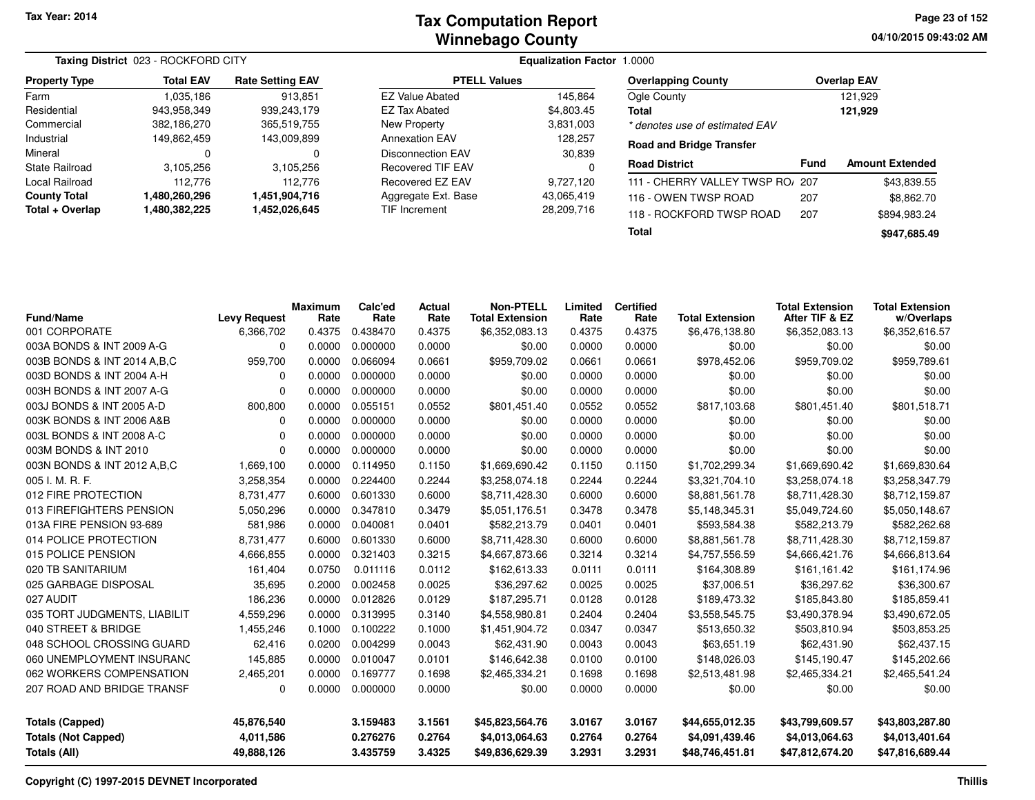|                      | Taxing District 023 - ROCKFORD CITY |                         |                          | <b>Equalization Factor 1.0000</b> |                 |
|----------------------|-------------------------------------|-------------------------|--------------------------|-----------------------------------|-----------------|
| <b>Property Type</b> | <b>Total EAV</b>                    | <b>Rate Setting EAV</b> | <b>PTELL Values</b>      |                                   | Overlapp        |
| Farm                 | 1,035,186                           | 913.851                 | <b>EZ Value Abated</b>   | 145.864                           | Ogle Cou        |
| Residential          | 943,958,349                         | 939,243,179             | EZ Tax Abated            | \$4,803.45                        | Total           |
| Commercial           | 382,186,270                         | 365,519,755             | New Property             | 3,831,003                         | * denotes       |
| Industrial           | 149,862,459                         | 143,009,899             | <b>Annexation EAV</b>    | 128,257                           | Road and        |
| Mineral              | 0                                   | 0                       | <b>Disconnection EAV</b> | 30,839                            |                 |
| State Railroad       | 3,105,256                           | 3,105,256               | <b>Recovered TIF EAV</b> |                                   | <b>Road Dis</b> |
| Local Railroad       | 112.776                             | 112.776                 | Recovered EZ EAV         | 9,727,120                         | 111 - CHE       |
| <b>County Total</b>  | 1,480,260,296                       | 1,451,904,716           | Aggregate Ext. Base      | 43,065,419                        | 116 - OW        |
| Total + Overlap      | 1,480,382,225                       | 1,452,026,645           | TIF Increment            | 28,209,716                        | $118 - RQ$      |

| <b>Overlapping County</b>       | <b>Overlap EAV</b> |
|---------------------------------|--------------------|
| Ogle County                     | 121.929            |
| Total                           | 121,929            |
| * denotes use of estimated EAV  |                    |
| <b>Road and Bridge Transfer</b> |                    |

| <b>Road District</b>             | Fund | <b>Amount Extended</b> |
|----------------------------------|------|------------------------|
| 111 - CHERRY VALLEY TWSP RO/ 207 |      | \$43,839.55            |
| 116 - OWEN TWSP ROAD             | 207  | \$8,862.70             |
| 118 - ROCKFORD TWSP ROAD         | 207  | \$894.983.24           |
| Total                            |      | \$947,685.49           |

| <b>Fund/Name</b>                           | <b>Levy Request</b>     | <b>Maximum</b><br>Rate | Calc'ed<br>Rate      | Actual<br>Rate   | <b>Non-PTELL</b><br><b>Total Extension</b> | Limited<br>Rate  | <b>Certified</b><br>Rate | <b>Total Extension</b>            | <b>Total Extension</b><br>After TIF & EZ | <b>Total Extension</b><br>w/Overlaps |
|--------------------------------------------|-------------------------|------------------------|----------------------|------------------|--------------------------------------------|------------------|--------------------------|-----------------------------------|------------------------------------------|--------------------------------------|
| 001 CORPORATE                              | 6,366,702               | 0.4375                 | 0.438470             | 0.4375           | \$6,352,083.13                             | 0.4375           | 0.4375                   | \$6,476,138.80                    | \$6,352,083.13                           | \$6,352,616.57                       |
| 003A BONDS & INT 2009 A-G                  | 0                       | 0.0000                 | 0.000000             | 0.0000           | \$0.00                                     | 0.0000           | 0.0000                   | \$0.00                            | \$0.00                                   | \$0.00                               |
| 003B BONDS & INT 2014 A, B, C              | 959,700                 | 0.0000                 | 0.066094             | 0.0661           | \$959,709.02                               | 0.0661           | 0.0661                   | \$978,452.06                      | \$959,709.02                             | \$959,789.61                         |
| 003D BONDS & INT 2004 A-H                  | $\Omega$                | 0.0000                 | 0.000000             | 0.0000           | \$0.00                                     | 0.0000           | 0.0000                   | \$0.00                            | \$0.00                                   | \$0.00                               |
| 003H BONDS & INT 2007 A-G                  | $\Omega$                | 0.0000                 | 0.000000             | 0.0000           | \$0.00                                     | 0.0000           | 0.0000                   | \$0.00                            | \$0.00                                   | \$0.00                               |
| 003J BONDS & INT 2005 A-D                  | 800,800                 | 0.0000                 | 0.055151             | 0.0552           | \$801,451.40                               | 0.0552           | 0.0552                   | \$817,103.68                      | \$801,451.40                             | \$801,518.71                         |
| 003K BONDS & INT 2006 A&B                  | 0                       | 0.0000                 | 0.000000             | 0.0000           | \$0.00                                     | 0.0000           | 0.0000                   | \$0.00                            | \$0.00                                   | \$0.00                               |
| 003L BONDS & INT 2008 A-C                  | 0                       | 0.0000                 | 0.000000             | 0.0000           | \$0.00                                     | 0.0000           | 0.0000                   | \$0.00                            | \$0.00                                   | \$0.00                               |
| 003M BONDS & INT 2010                      | $\Omega$                | 0.0000                 | 0.000000             | 0.0000           | \$0.00                                     | 0.0000           | 0.0000                   | \$0.00                            | \$0.00                                   | \$0.00                               |
| 003N BONDS & INT 2012 A, B, C              | 1,669,100               | 0.0000                 | 0.114950             | 0.1150           | \$1,669,690.42                             | 0.1150           | 0.1150                   | \$1,702,299.34                    | \$1,669,690.42                           | \$1,669,830.64                       |
| 005 I. M. R. F.                            | 3,258,354               | 0.0000                 | 0.224400             | 0.2244           | \$3,258,074.18                             | 0.2244           | 0.2244                   | \$3,321,704.10                    | \$3,258,074.18                           | \$3,258,347.79                       |
| 012 FIRE PROTECTION                        | 8,731,477               | 0.6000                 | 0.601330             | 0.6000           | \$8,711,428.30                             | 0.6000           | 0.6000                   | \$8,881,561.78                    | \$8,711,428.30                           | \$8,712,159.87                       |
| 013 FIREFIGHTERS PENSION                   | 5,050,296               | 0.0000                 | 0.347810             | 0.3479           | \$5,051,176.51                             | 0.3478           | 0.3478                   | \$5,148,345.31                    | \$5,049,724.60                           | \$5,050,148.67                       |
| 013A FIRE PENSION 93-689                   | 581,986                 | 0.0000                 | 0.040081             | 0.0401           | \$582,213.79                               | 0.0401           | 0.0401                   | \$593,584.38                      | \$582,213.79                             | \$582,262.68                         |
| 014 POLICE PROTECTION                      | 8,731,477               | 0.6000                 | 0.601330             | 0.6000           | \$8,711,428.30                             | 0.6000           | 0.6000                   | \$8,881,561.78                    | \$8,711,428.30                           | \$8,712,159.87                       |
| 015 POLICE PENSION                         | 4,666,855               | 0.0000                 | 0.321403             | 0.3215           | \$4,667,873.66                             | 0.3214           | 0.3214                   | \$4,757,556.59                    | \$4,666,421.76                           | \$4,666,813.64                       |
| 020 TB SANITARIUM                          | 161,404                 | 0.0750                 | 0.011116             | 0.0112           | \$162,613.33                               | 0.0111           | 0.0111                   | \$164,308.89                      | \$161,161.42                             | \$161,174.96                         |
| 025 GARBAGE DISPOSAL                       | 35,695                  | 0.2000                 | 0.002458             | 0.0025           | \$36,297.62                                | 0.0025           | 0.0025                   | \$37,006.51                       | \$36,297.62                              | \$36,300.67                          |
| 027 AUDIT                                  | 186,236                 | 0.0000                 | 0.012826             | 0.0129           | \$187,295.71                               | 0.0128           | 0.0128                   | \$189,473.32                      | \$185,843.80                             | \$185,859.41                         |
| 035 TORT JUDGMENTS, LIABILIT               | 4,559,296               | 0.0000                 | 0.313995             | 0.3140           | \$4,558,980.81                             | 0.2404           | 0.2404                   | \$3,558,545.75                    | \$3,490,378.94                           | \$3,490,672.05                       |
| 040 STREET & BRIDGE                        | 1,455,246               | 0.1000                 | 0.100222             | 0.1000           | \$1,451,904.72                             | 0.0347           | 0.0347                   | \$513,650.32                      | \$503,810.94                             | \$503,853.25                         |
| 048 SCHOOL CROSSING GUARD                  | 62,416                  | 0.0200                 | 0.004299             | 0.0043           | \$62,431.90                                | 0.0043           | 0.0043                   | \$63,651.19                       | \$62,431.90                              | \$62,437.15                          |
| 060 UNEMPLOYMENT INSURANC                  | 145,885                 | 0.0000                 | 0.010047             | 0.0101           | \$146,642.38                               | 0.0100           | 0.0100                   | \$148,026.03                      | \$145,190.47                             | \$145,202.66                         |
| 062 WORKERS COMPENSATION                   | 2,465,201               | 0.0000                 | 0.169777             | 0.1698           | \$2,465,334.21                             | 0.1698           | 0.1698                   | \$2,513,481.98                    | \$2,465,334.21                           | \$2,465,541.24                       |
| 207 ROAD AND BRIDGE TRANSF                 | 0                       | 0.0000                 | 0.000000             | 0.0000           | \$0.00                                     | 0.0000           | 0.0000                   | \$0.00                            | \$0.00                                   | \$0.00                               |
| <b>Totals (Capped)</b>                     | 45,876,540              |                        | 3.159483             | 3.1561           | \$45,823,564.76                            | 3.0167           | 3.0167                   | \$44,655,012.35                   | \$43,799,609.57                          | \$43,803,287.80                      |
| <b>Totals (Not Capped)</b><br>Totals (All) | 4,011,586<br>49,888,126 |                        | 0.276276<br>3.435759 | 0.2764<br>3.4325 | \$4,013,064.63<br>\$49,836,629.39          | 0.2764<br>3.2931 | 0.2764<br>3.2931         | \$4,091,439.46<br>\$48,746,451.81 | \$4,013,064.63<br>\$47,812,674.20        | \$4,013,401.64<br>\$47,816,689.44    |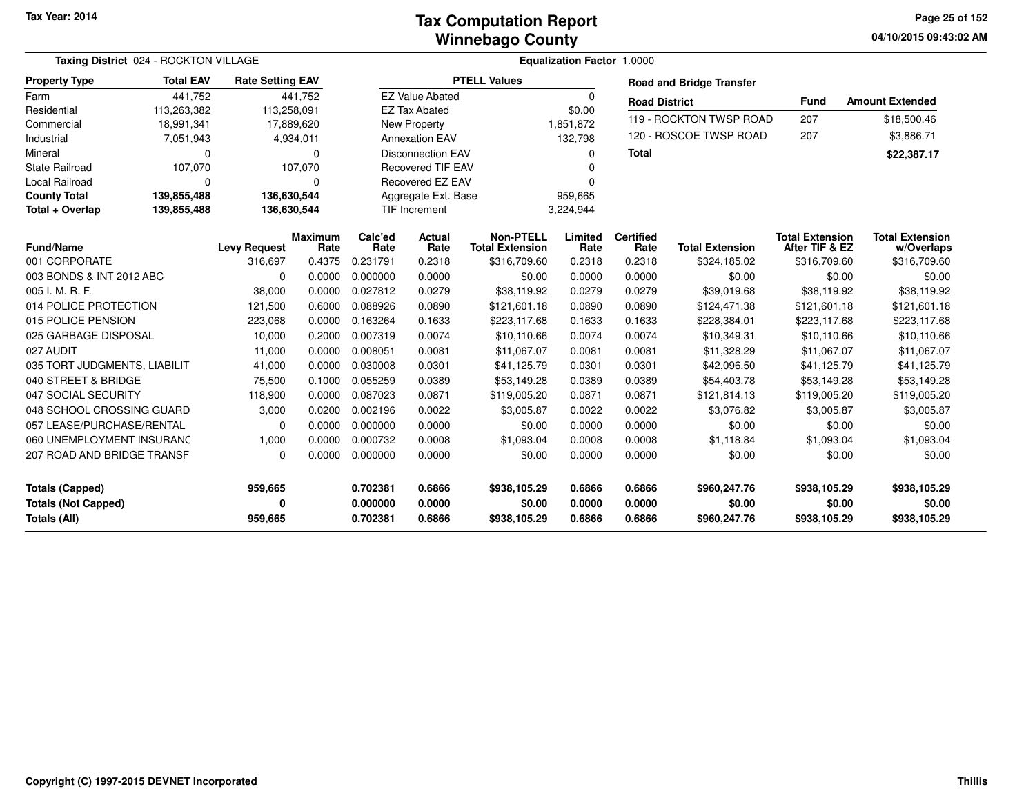**04/10/2015 09:43:02 AM Page 25 of 152**

| <b>Taxing District</b> 024 - ROCKTON VILLAGE |                  |                         |                        |                 |                          |                                            | <b>Equalization Factor 1.0000</b> |                          |                                 |                                          |                                      |
|----------------------------------------------|------------------|-------------------------|------------------------|-----------------|--------------------------|--------------------------------------------|-----------------------------------|--------------------------|---------------------------------|------------------------------------------|--------------------------------------|
| <b>Property Type</b>                         | <b>Total EAV</b> | <b>Rate Setting EAV</b> |                        |                 |                          | <b>PTELL Values</b>                        |                                   |                          | <b>Road and Bridge Transfer</b> |                                          |                                      |
| Farm                                         | 441,752          |                         | 441,752                |                 | <b>EZ Value Abated</b>   |                                            | 0                                 | <b>Road District</b>     |                                 | <b>Fund</b>                              | <b>Amount Extended</b>               |
| Residential                                  | 113,263,382      | 113,258,091             |                        |                 | <b>EZ Tax Abated</b>     |                                            | \$0.00                            |                          |                                 |                                          |                                      |
| Commercial                                   | 18,991,341       |                         | 17,889,620             |                 | New Property             |                                            | 1,851,872                         |                          | 119 - ROCKTON TWSP ROAD         | 207                                      | \$18,500.46                          |
| Industrial                                   | 7,051,943        |                         | 4,934,011              |                 | <b>Annexation EAV</b>    |                                            | 132,798                           |                          | 120 - ROSCOE TWSP ROAD          | 207                                      | \$3,886.71                           |
| Mineral                                      | $\Omega$         |                         | 0                      |                 | <b>Disconnection EAV</b> |                                            | $\Omega$                          | <b>Total</b>             |                                 |                                          | \$22,387.17                          |
| <b>State Railroad</b>                        | 107,070          |                         | 107,070                |                 | <b>Recovered TIF EAV</b> |                                            | n                                 |                          |                                 |                                          |                                      |
| Local Railroad                               | 0                |                         | 0                      |                 | Recovered EZ EAV         |                                            | $\Omega$                          |                          |                                 |                                          |                                      |
| <b>County Total</b>                          | 139,855,488      | 136,630,544             |                        |                 | Aggregate Ext. Base      |                                            | 959,665                           |                          |                                 |                                          |                                      |
| Total + Overlap                              | 139,855,488      | 136,630,544             |                        |                 | <b>TIF Increment</b>     |                                            | 3,224,944                         |                          |                                 |                                          |                                      |
| <b>Fund/Name</b>                             |                  | <b>Levy Request</b>     | <b>Maximum</b><br>Rate | Calc'ed<br>Rate | <b>Actual</b><br>Rate    | <b>Non-PTELL</b><br><b>Total Extension</b> | Limited<br>Rate                   | <b>Certified</b><br>Rate | <b>Total Extension</b>          | <b>Total Extension</b><br>After TIF & EZ | <b>Total Extension</b><br>w/Overlaps |
| 001 CORPORATE                                |                  | 316,697                 | 0.4375                 | 0.231791        | 0.2318                   | \$316,709.60                               | 0.2318                            | 0.2318                   | \$324,185.02                    | \$316,709.60                             | \$316,709.60                         |
| 003 BONDS & INT 2012 ABC                     |                  | $\Omega$                | 0.0000                 | 0.000000        | 0.0000                   | \$0.00                                     | 0.0000                            | 0.0000                   | \$0.00                          | \$0.00                                   | \$0.00                               |
| 005 I. M. R. F.                              |                  | 38,000                  | 0.0000                 | 0.027812        | 0.0279                   | \$38,119.92                                | 0.0279                            | 0.0279                   | \$39,019.68                     | \$38,119.92                              | \$38,119.92                          |
| 014 POLICE PROTECTION                        |                  | 121,500                 | 0.6000                 | 0.088926        | 0.0890                   | \$121,601.18                               | 0.0890                            | 0.0890                   | \$124,471.38                    | \$121,601.18                             | \$121,601.18                         |
| 015 POLICE PENSION                           |                  | 223,068                 | 0.0000                 | 0.163264        | 0.1633                   | \$223,117.68                               | 0.1633                            | 0.1633                   | \$228,384.01                    | \$223,117.68                             | \$223,117.68                         |
| 025 GARBAGE DISPOSAL                         |                  | 10,000                  | 0.2000                 | 0.007319        | 0.0074                   | \$10,110.66                                | 0.0074                            | 0.0074                   | \$10,349.31                     | \$10,110.66                              | \$10,110.66                          |
| 027 AUDIT                                    |                  | 11,000                  | 0.0000                 | 0.008051        | 0.0081                   | \$11,067.07                                | 0.0081                            | 0.0081                   | \$11,328.29                     | \$11,067.07                              | \$11,067.07                          |
| 035 TORT JUDGMENTS, LIABILIT                 |                  | 41,000                  | 0.0000                 | 0.030008        | 0.0301                   | \$41,125.79                                | 0.0301                            | 0.0301                   | \$42,096.50                     | \$41,125.79                              | \$41,125.79                          |
| 040 STREET & BRIDGE                          |                  | 75,500                  | 0.1000                 | 0.055259        | 0.0389                   | \$53,149.28                                | 0.0389                            | 0.0389                   | \$54,403.78                     | \$53,149.28                              | \$53,149.28                          |
| 047 SOCIAL SECURITY                          |                  | 118,900                 | 0.0000                 | 0.087023        | 0.0871                   | \$119,005.20                               | 0.0871                            | 0.0871                   | \$121,814.13                    | \$119,005.20                             | \$119,005.20                         |
| 048 SCHOOL CROSSING GUARD                    |                  | 3,000                   | 0.0200                 | 0.002196        | 0.0022                   | \$3,005.87                                 | 0.0022                            | 0.0022                   | \$3,076.82                      | \$3,005.87                               | \$3,005.87                           |
| 057 LEASE/PURCHASE/RENTAL                    |                  | $\Omega$                | 0.0000                 | 0.000000        | 0.0000                   | \$0.00                                     | 0.0000                            | 0.0000                   | \$0.00                          | \$0.00                                   | \$0.00                               |
| 060 UNEMPLOYMENT INSURANC                    |                  | 1,000                   | 0.0000                 | 0.000732        | 0.0008                   | \$1,093.04                                 | 0.0008                            | 0.0008                   | \$1,118.84                      | \$1,093.04                               | \$1,093.04                           |
| 207 ROAD AND BRIDGE TRANSF                   |                  | $\Omega$                | 0.0000                 | 0.000000        | 0.0000                   | \$0.00                                     | 0.0000                            | 0.0000                   | \$0.00                          | \$0.00                                   | \$0.00                               |
| <b>Totals (Capped)</b>                       |                  | 959,665                 |                        | 0.702381        | 0.6866                   | \$938,105.29                               | 0.6866                            | 0.6866                   | \$960,247.76                    | \$938,105.29                             | \$938,105.29                         |
| <b>Totals (Not Capped)</b>                   |                  | 0                       |                        | 0.000000        | 0.0000                   | \$0.00                                     | 0.0000                            | 0.0000                   | \$0.00                          | \$0.00                                   | \$0.00                               |
| Totals (All)                                 |                  | 959,665                 |                        | 0.702381        | 0.6866                   | \$938,105.29                               | 0.6866                            | 0.6866                   | \$960,247.76                    | \$938,105.29                             | \$938,105.29                         |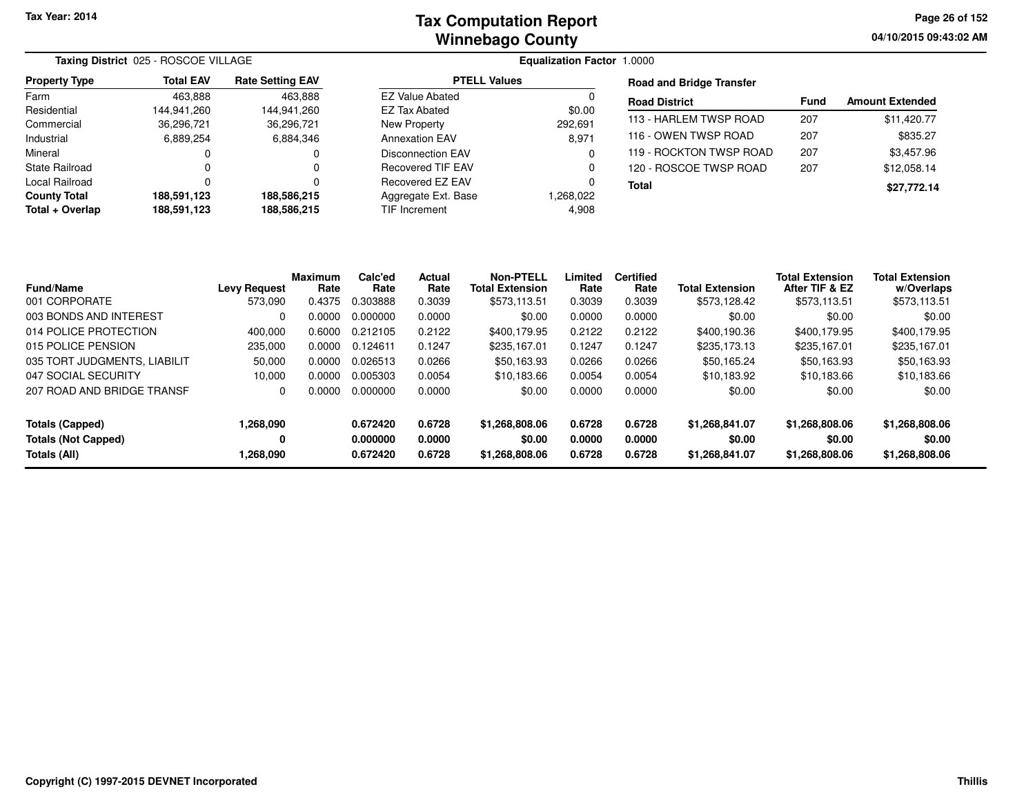**04/10/2015 09:43:02 AMPage 26 of 152**

|                       | Taxing District 025 - ROSCOE VILLAGE |                         |                        | <b>Equalization Factor 1.0000</b> |                                 |             |                        |  |  |  |
|-----------------------|--------------------------------------|-------------------------|------------------------|-----------------------------------|---------------------------------|-------------|------------------------|--|--|--|
| <b>Property Type</b>  | <b>Total EAV</b>                     | <b>Rate Setting EAV</b> | <b>PTELL Values</b>    |                                   | <b>Road and Bridge Transfer</b> |             |                        |  |  |  |
| Farm                  | 463,888                              | 463,888                 | <b>EZ Value Abated</b> |                                   | <b>Road District</b>            | <b>Fund</b> | <b>Amount Extended</b> |  |  |  |
| Residential           | 144.941.260                          | 144.941.260             | EZ Tax Abated          | \$0.00                            |                                 |             |                        |  |  |  |
| Commercial            | 36,296,721                           | 36,296,721              | New Property           | 292.691                           | 113 - HARLEM TWSP ROAD          | 207         | \$11,420.77            |  |  |  |
| Industrial            | 6,889,254                            | 6,884,346               | <b>Annexation EAV</b>  | 8,971                             | 116 - OWEN TWSP ROAD            | 207         | \$835.27               |  |  |  |
| Mineral               |                                      | $\Omega$                | Disconnection EAV      |                                   | 119 - ROCKTON TWSP ROAD         | 207         | \$3,457.96             |  |  |  |
| <b>State Railroad</b> |                                      | 0                       | Recovered TIF EAV      |                                   | 120 - ROSCOE TWSP ROAD          | 207         | \$12.058.14            |  |  |  |
| Local Railroad        |                                      | ŋ                       | Recovered EZ EAV       |                                   | <b>Total</b>                    |             | \$27,772.14            |  |  |  |
| <b>County Total</b>   | 188.591.123                          | 188.586.215             | Aggregate Ext. Base    | 1,268,022                         |                                 |             |                        |  |  |  |
| Total + Overlap       | 188,591,123                          | 188,586,215             | TIF Increment          | 4,908                             |                                 |             |                        |  |  |  |

| <b>Fund/Name</b>             | <b>Levy Request</b> | <b>Maximum</b><br>Rate | Calc'ed<br>Rate | <b>Actual</b><br>Rate | Non-PTELL<br><b>Total Extension</b> | Limited<br>Rate | <b>Certified</b><br>Rate | <b>Total Extension</b> | <b>Total Extension</b><br>After TIF & EZ | <b>Total Extension</b><br>w/Overlaps |
|------------------------------|---------------------|------------------------|-----------------|-----------------------|-------------------------------------|-----------------|--------------------------|------------------------|------------------------------------------|--------------------------------------|
| 001 CORPORATE                | 573.090             | 0.4375                 | 0.303888        | 0.3039                | \$573.113.51                        | 0.3039          | 0.3039                   | \$573.128.42           | \$573.113.51                             | \$573,113.51                         |
| 003 BONDS AND INTEREST       | $\Omega$            | 0.0000                 | 0.000000        | 0.0000                | \$0.00                              | 0.0000          | 0.0000                   | \$0.00                 | \$0.00                                   | \$0.00                               |
| 014 POLICE PROTECTION        | 400,000             | 0.6000                 | 0.212105        | 0.2122                | \$400,179.95                        | 0.2122          | 0.2122                   | \$400,190.36           | \$400,179.95                             | \$400,179.95                         |
| 015 POLICE PENSION           | 235,000             | 0.0000                 | 0.124611        | 0.1247                | \$235.167.01                        | 0.1247          | 0.1247                   | \$235,173.13           | \$235,167.01                             | \$235,167.01                         |
| 035 TORT JUDGMENTS, LIABILIT | 50,000              | 0.0000                 | 0.026513        | 0.0266                | \$50.163.93                         | 0.0266          | 0.0266                   | \$50.165.24            | \$50,163.93                              | \$50,163.93                          |
| 047 SOCIAL SECURITY          | 10.000              | 0.0000                 | 0.005303        | 0.0054                | \$10,183.66                         | 0.0054          | 0.0054                   | \$10,183.92            | \$10,183.66                              | \$10,183.66                          |
| 207 ROAD AND BRIDGE TRANSF   | 0                   | 0.0000                 | 0.000000        | 0.0000                | \$0.00                              | 0.0000          | 0.0000                   | \$0.00                 | \$0.00                                   | \$0.00                               |
| Totals (Capped)              | 1,268,090           |                        | 0.672420        | 0.6728                | \$1,268,808.06                      | 0.6728          | 0.6728                   | \$1,268,841.07         | \$1,268,808.06                           | \$1,268,808.06                       |
| <b>Totals (Not Capped)</b>   | 0                   |                        | 0.000000        | 0.0000                | \$0.00                              | 0.0000          | 0.0000                   | \$0.00                 | \$0.00                                   | \$0.00                               |
| Totals (All)                 | 1,268,090           |                        | 0.672420        | 0.6728                | \$1,268,808.06                      | 0.6728          | 0.6728                   | \$1,268,841.07         | \$1,268,808.06                           | \$1,268,808.06                       |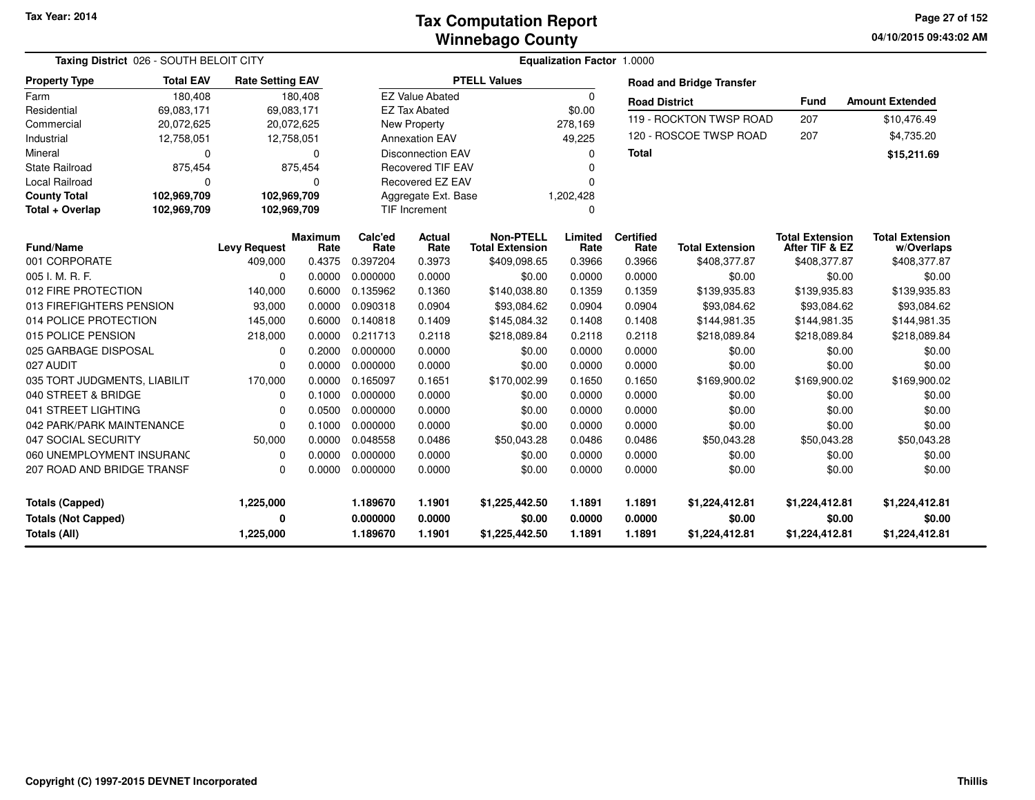**04/10/2015 09:43:02 AM Page 27 of 152**

| Taxing District 026 - SOUTH BELOIT CITY |                  |                         |                        | Equalization Factor 1.0000 |                          |                                            |                 |                          |                                 |                                          |                                      |  |
|-----------------------------------------|------------------|-------------------------|------------------------|----------------------------|--------------------------|--------------------------------------------|-----------------|--------------------------|---------------------------------|------------------------------------------|--------------------------------------|--|
| <b>Property Type</b>                    | <b>Total EAV</b> | <b>Rate Setting EAV</b> |                        |                            |                          | <b>PTELL Values</b>                        |                 |                          | <b>Road and Bridge Transfer</b> |                                          |                                      |  |
| Farm                                    | 180,408          |                         | 180,408                |                            | <b>EZ Value Abated</b>   |                                            | $\Omega$        | <b>Road District</b>     |                                 | <b>Fund</b>                              | <b>Amount Extended</b>               |  |
| Residential                             | 69,083,171       |                         | 69.083.171             |                            | <b>EZ Tax Abated</b>     |                                            | \$0.00          |                          |                                 |                                          |                                      |  |
| Commercial                              | 20,072,625       |                         | 20,072,625             |                            | New Property             |                                            | 278,169         |                          | 119 - ROCKTON TWSP ROAD         | 207                                      | \$10,476.49                          |  |
| Industrial                              | 12,758,051       |                         | 12,758,051             |                            | <b>Annexation EAV</b>    |                                            | 49,225          |                          | 120 - ROSCOE TWSP ROAD          | 207                                      | \$4,735.20                           |  |
| Mineral                                 | $\Omega$         |                         | $\Omega$               |                            | <b>Disconnection EAV</b> |                                            | $\Omega$        | <b>Total</b>             |                                 |                                          | \$15,211.69                          |  |
| <b>State Railroad</b>                   | 875,454          |                         | 875,454                |                            | <b>Recovered TIF EAV</b> |                                            | $\Omega$        |                          |                                 |                                          |                                      |  |
| <b>Local Railroad</b>                   | 0                |                         | $\Omega$               |                            | Recovered EZ EAV         |                                            | $\Omega$        |                          |                                 |                                          |                                      |  |
| <b>County Total</b>                     | 102,969,709      |                         | 102,969,709            |                            | Aggregate Ext. Base      |                                            | 1,202,428       |                          |                                 |                                          |                                      |  |
| Total + Overlap                         | 102,969,709      |                         | 102,969,709            |                            | <b>TIF Increment</b>     |                                            | 0               |                          |                                 |                                          |                                      |  |
| <b>Fund/Name</b>                        |                  | <b>Levy Request</b>     | <b>Maximum</b><br>Rate | Calc'ed<br>Rate            | <b>Actual</b><br>Rate    | <b>Non-PTELL</b><br><b>Total Extension</b> | Limited<br>Rate | <b>Certified</b><br>Rate | <b>Total Extension</b>          | <b>Total Extension</b><br>After TIF & EZ | <b>Total Extension</b><br>w/Overlaps |  |
| 001 CORPORATE                           |                  | 409,000                 | 0.4375                 | 0.397204                   | 0.3973                   | \$409,098.65                               | 0.3966          | 0.3966                   | \$408,377.87                    | \$408,377.87                             | \$408,377.87                         |  |
| 005 I. M. R. F.                         |                  | 0                       | 0.0000                 | 0.000000                   | 0.0000                   | \$0.00                                     | 0.0000          | 0.0000                   | \$0.00                          | \$0.00                                   | \$0.00                               |  |
| 012 FIRE PROTECTION                     |                  | 140,000                 | 0.6000                 | 0.135962                   | 0.1360                   | \$140,038.80                               | 0.1359          | 0.1359                   | \$139,935.83                    | \$139,935.83                             | \$139,935.83                         |  |
| 013 FIREFIGHTERS PENSION                |                  | 93,000                  | 0.0000                 | 0.090318                   | 0.0904                   | \$93,084.62                                | 0.0904          | 0.0904                   | \$93,084.62                     | \$93,084.62                              | \$93,084.62                          |  |
| 014 POLICE PROTECTION                   |                  | 145,000                 | 0.6000                 | 0.140818                   | 0.1409                   | \$145,084.32                               | 0.1408          | 0.1408                   | \$144,981.35                    | \$144,981.35                             | \$144,981.35                         |  |
| 015 POLICE PENSION                      |                  | 218,000                 | 0.0000                 | 0.211713                   | 0.2118                   | \$218,089.84                               | 0.2118          | 0.2118                   | \$218,089.84                    | \$218,089.84                             | \$218,089.84                         |  |
| 025 GARBAGE DISPOSAL                    |                  | $\Omega$                | 0.2000                 | 0.000000                   | 0.0000                   | \$0.00                                     | 0.0000          | 0.0000                   | \$0.00                          | \$0.00                                   | \$0.00                               |  |
| 027 AUDIT                               |                  | 0                       | 0.0000                 | 0.000000                   | 0.0000                   | \$0.00                                     | 0.0000          | 0.0000                   | \$0.00                          | \$0.00                                   | \$0.00                               |  |
| 035 TORT JUDGMENTS, LIABILIT            |                  | 170,000                 | 0.0000                 | 0.165097                   | 0.1651                   | \$170,002.99                               | 0.1650          | 0.1650                   | \$169,900.02                    | \$169,900.02                             | \$169,900.02                         |  |
| 040 STREET & BRIDGE                     |                  | 0                       | 0.1000                 | 0.000000                   | 0.0000                   | \$0.00                                     | 0.0000          | 0.0000                   | \$0.00                          | \$0.00                                   | \$0.00                               |  |
| 041 STREET LIGHTING                     |                  | 0                       | 0.0500                 | 0.000000                   | 0.0000                   | \$0.00                                     | 0.0000          | 0.0000                   | \$0.00                          | \$0.00                                   | \$0.00                               |  |
| 042 PARK/PARK MAINTENANCE               |                  | 0                       | 0.1000                 | 0.000000                   | 0.0000                   | \$0.00                                     | 0.0000          | 0.0000                   | \$0.00                          | \$0.00                                   | \$0.00                               |  |
| 047 SOCIAL SECURITY                     |                  | 50,000                  | 0.0000                 | 0.048558                   | 0.0486                   | \$50,043.28                                | 0.0486          | 0.0486                   | \$50,043.28                     | \$50,043.28                              | \$50,043.28                          |  |
| 060 UNEMPLOYMENT INSURANC               |                  | 0                       | 0.0000                 | 0.000000                   | 0.0000                   | \$0.00                                     | 0.0000          | 0.0000                   | \$0.00                          | \$0.00                                   | \$0.00                               |  |
| 207 ROAD AND BRIDGE TRANSF              |                  | $\Omega$                | 0.0000                 | 0.000000                   | 0.0000                   | \$0.00                                     | 0.0000          | 0.0000                   | \$0.00                          | \$0.00                                   | \$0.00                               |  |
| <b>Totals (Capped)</b>                  |                  | 1,225,000               |                        | 1.189670                   | 1.1901                   | \$1,225,442.50                             | 1.1891          | 1.1891                   | \$1,224,412.81                  | \$1,224,412.81                           | \$1,224,412.81                       |  |
| <b>Totals (Not Capped)</b>              |                  | 0                       |                        | 0.000000                   | 0.0000                   | \$0.00                                     | 0.0000          | 0.0000                   | \$0.00                          | \$0.00                                   | \$0.00                               |  |
| <b>Totals (All)</b>                     |                  | 1,225,000               |                        | 1.189670                   | 1.1901                   | \$1,225,442.50                             | 1.1891          | 1.1891                   | \$1,224,412.81                  | \$1,224,412.81                           | \$1,224,412.81                       |  |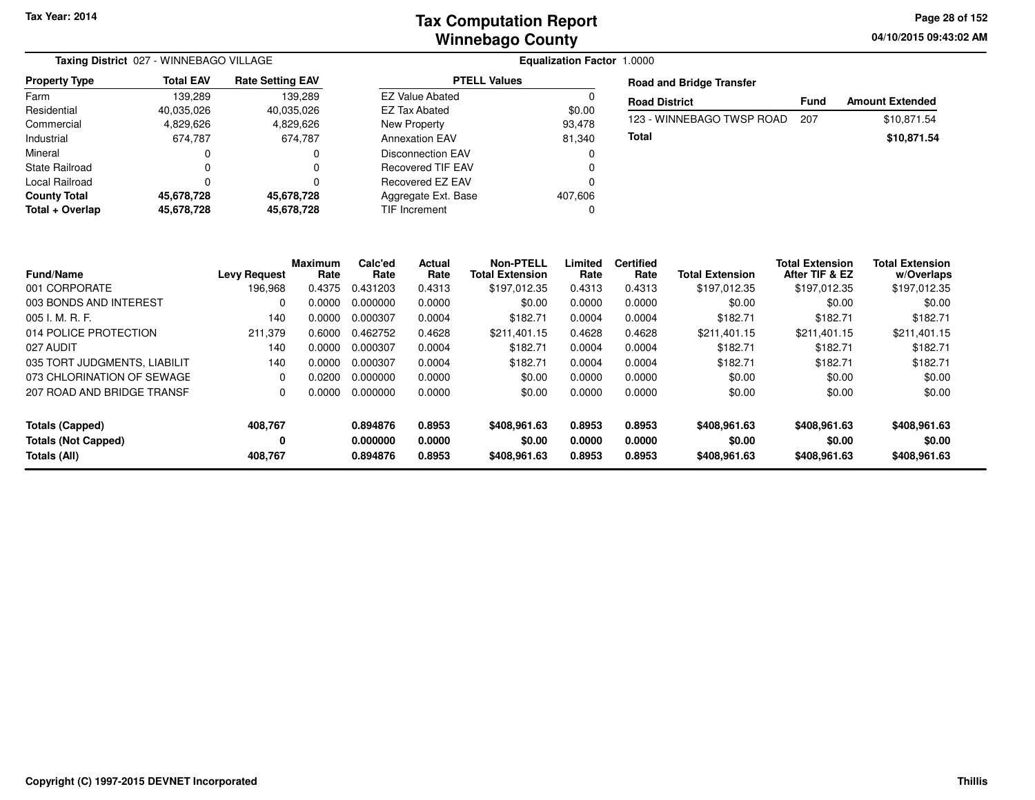|                       | Taxing District 027 - WINNEBAGO VILLAGE |                         |                        | <b>Equalization Factor 1.0000</b> |                                 |             |                        |
|-----------------------|-----------------------------------------|-------------------------|------------------------|-----------------------------------|---------------------------------|-------------|------------------------|
| <b>Property Type</b>  | <b>Total EAV</b>                        | <b>Rate Setting EAV</b> | <b>PTELL Values</b>    |                                   | <b>Road and Bridge Transfer</b> |             |                        |
| Farm                  | 139.289                                 | 139.289                 | <b>EZ Value Abated</b> |                                   | <b>Road District</b>            | <b>Fund</b> | <b>Amount Extended</b> |
| Residential           | 40.035.026                              | 40.035.026              | EZ Tax Abated          | \$0.00                            |                                 |             |                        |
| Commercial            | 4,829,626                               | 4,829,626               | New Property           | 93.478                            | 123 - WINNEBAGO TWSP ROAD       | 207         | \$10.871.54            |
| Industrial            | 674.787                                 | 674.787                 | <b>Annexation EAV</b>  | 81.340                            | <b>Total</b>                    |             | \$10,871.54            |
| Mineral               |                                         | 0                       | Disconnection EAV      |                                   |                                 |             |                        |
| <b>State Railroad</b> |                                         |                         | Recovered TIF EAV      |                                   |                                 |             |                        |
| Local Railroad        |                                         |                         | Recovered EZ EAV       |                                   |                                 |             |                        |
| <b>County Total</b>   | 45.678.728                              | 45.678.728              | Aggregate Ext. Base    | 407.606                           |                                 |             |                        |
| Total + Overlap       | 45,678,728                              | 45.678.728              | TIF Increment          |                                   |                                 |             |                        |

| <b>Fund/Name</b>                              | <b>Levy Request</b> | Maximum<br>Rate | Calc'ed<br>Rate      | Actual<br>Rate   | <b>Non-PTELL</b><br><b>Total Extension</b> | Limited<br>Rate  | <b>Certified</b><br>Rate | <b>Total Extension</b> | <b>Total Extension</b><br>After TIF & EZ | <b>Total Extension</b><br>w/Overlaps |
|-----------------------------------------------|---------------------|-----------------|----------------------|------------------|--------------------------------------------|------------------|--------------------------|------------------------|------------------------------------------|--------------------------------------|
| 001 CORPORATE                                 | 196.968             | 0.4375          | 0.431203             | 0.4313           | \$197,012.35                               | 0.4313           | 0.4313                   | \$197,012.35           | \$197,012.35                             | \$197,012.35                         |
| 003 BONDS AND INTEREST                        | 0                   | 0.0000          | 0.000000             | 0.0000           | \$0.00                                     | 0.0000           | 0.0000                   | \$0.00                 | \$0.00                                   | \$0.00                               |
| $005$ J. M. R. F.                             | 140                 | 0.0000          | 0.000307             | 0.0004           | \$182.71                                   | 0.0004           | 0.0004                   | \$182.71               | \$182.71                                 | \$182.71                             |
| 014 POLICE PROTECTION                         | 211.379             | 0.6000          | 0.462752             | 0.4628           | \$211,401.15                               | 0.4628           | 0.4628                   | \$211.401.15           | \$211.401.15                             | \$211,401.15                         |
| 027 AUDIT                                     | 140                 | 0.0000          | 0.000307             | 0.0004           | \$182.71                                   | 0.0004           | 0.0004                   | \$182.71               | \$182.71                                 | \$182.71                             |
| 035 TORT JUDGMENTS, LIABILIT                  | 140                 | 0.0000          | 0.000307             | 0.0004           | \$182.71                                   | 0.0004           | 0.0004                   | \$182.71               | \$182.71                                 | \$182.71                             |
| 073 CHLORINATION OF SEWAGE                    | 0                   | 0.0200          | 0.000000             | 0.0000           | \$0.00                                     | 0.0000           | 0.0000                   | \$0.00                 | \$0.00                                   | \$0.00                               |
| 207 ROAD AND BRIDGE TRANSF                    | 0                   | 0.0000          | 0.000000             | 0.0000           | \$0.00                                     | 0.0000           | 0.0000                   | \$0.00                 | \$0.00                                   | \$0.00                               |
| Totals (Capped)<br><b>Totals (Not Capped)</b> | 408,767<br>0        |                 | 0.894876<br>0.000000 | 0.8953<br>0.0000 | \$408,961,63<br>\$0.00                     | 0.8953<br>0.0000 | 0.8953<br>0.0000         | \$408.961.63<br>\$0.00 | \$408.961.63<br>\$0.00                   | \$408,961.63<br>\$0.00               |
| Totals (All)                                  | 408.767             |                 | 0.894876             | 0.8953           | \$408,961.63                               | 0.8953           | 0.8953                   | \$408,961.63           | \$408,961.63                             | \$408,961.63                         |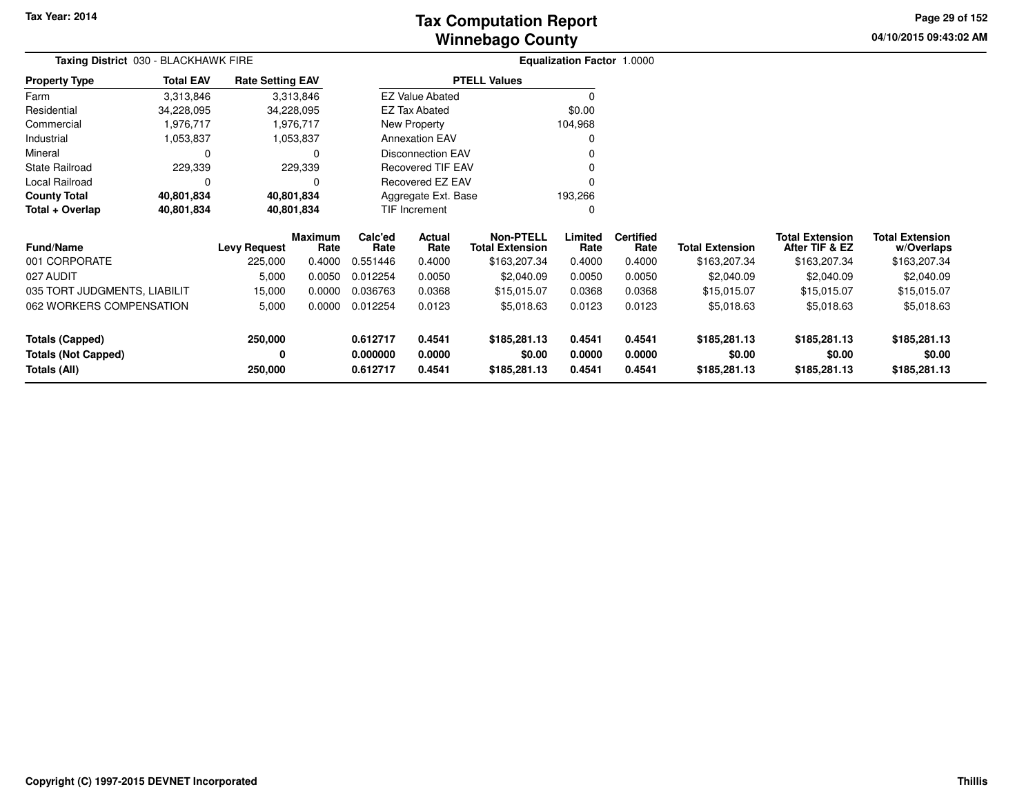**04/10/2015 09:43:02 AM Page 29 of 152**

| Taxing District 030 - BLACKHAWK FIRE          |                  |                                |                                  |                             | Equalization Factor 1.0000 |                                                            |                           |                                    |                                        |                                                          |                                                      |
|-----------------------------------------------|------------------|--------------------------------|----------------------------------|-----------------------------|----------------------------|------------------------------------------------------------|---------------------------|------------------------------------|----------------------------------------|----------------------------------------------------------|------------------------------------------------------|
| <b>Property Type</b>                          | <b>Total EAV</b> | <b>Rate Setting EAV</b>        |                                  |                             |                            | <b>PTELL Values</b>                                        |                           |                                    |                                        |                                                          |                                                      |
| Farm                                          | 3,313,846        |                                | 3,313,846                        |                             | <b>EZ Value Abated</b>     |                                                            | 0                         |                                    |                                        |                                                          |                                                      |
| Residential                                   | 34,228,095       | 34,228,095                     |                                  | EZ Tax Abated               |                            |                                                            | \$0.00                    |                                    |                                        |                                                          |                                                      |
| Commercial                                    | 1,976,717        |                                | 1,976,717                        |                             | New Property               |                                                            | 104,968                   |                                    |                                        |                                                          |                                                      |
| Industrial                                    | 1,053,837        |                                | 1,053,837                        |                             | <b>Annexation EAV</b>      |                                                            |                           |                                    |                                        |                                                          |                                                      |
| Mineral                                       |                  |                                | 0                                |                             | <b>Disconnection EAV</b>   |                                                            |                           |                                    |                                        |                                                          |                                                      |
| <b>State Railroad</b>                         | 229,339          |                                | 229,339                          |                             | Recovered TIF EAV          |                                                            |                           |                                    |                                        |                                                          |                                                      |
| Local Railroad                                | $\Omega$         |                                |                                  |                             | Recovered EZ EAV           |                                                            |                           |                                    |                                        |                                                          |                                                      |
| <b>County Total</b>                           | 40,801,834       | 40,801,834                     |                                  |                             | Aggregate Ext. Base        |                                                            | 193,266                   |                                    |                                        |                                                          |                                                      |
| Total + Overlap                               | 40,801,834       | 40,801,834                     |                                  |                             | TIF Increment              |                                                            | 0                         |                                    |                                        |                                                          |                                                      |
| <b>Fund/Name</b><br>001 CORPORATE             |                  | <b>Levy Request</b><br>225,000 | <b>Maximum</b><br>Rate<br>0.4000 | Calc'ed<br>Rate<br>0.551446 | Actual<br>Rate<br>0.4000   | <b>Non-PTELL</b><br><b>Total Extension</b><br>\$163,207.34 | Limited<br>Rate<br>0.4000 | <b>Certified</b><br>Rate<br>0.4000 | <b>Total Extension</b><br>\$163,207.34 | <b>Total Extension</b><br>After TIF & EZ<br>\$163,207.34 | <b>Total Extension</b><br>w/Overlaps<br>\$163,207.34 |
| 027 AUDIT                                     |                  | 5,000                          | 0.0050                           | 0.012254                    | 0.0050                     | \$2,040.09                                                 | 0.0050                    | 0.0050                             | \$2,040.09                             | \$2,040.09                                               | \$2,040.09                                           |
| 035 TORT JUDGMENTS, LIABILIT                  |                  | 15,000                         | 0.0000                           | 0.036763                    | 0.0368                     | \$15,015.07                                                | 0.0368                    | 0.0368                             | \$15,015.07                            | \$15,015.07                                              | \$15,015.07                                          |
| 062 WORKERS COMPENSATION                      |                  | 5,000                          | 0.0000                           | 0.012254                    | 0.0123                     | \$5,018.63                                                 | 0.0123                    | 0.0123                             | \$5,018.63                             | \$5,018.63                                               | \$5,018.63                                           |
| Totals (Capped)<br><b>Totals (Not Capped)</b> |                  | 250,000<br>0                   |                                  | 0.612717<br>0.000000        | 0.4541<br>0.0000           | \$185,281.13<br>\$0.00                                     | 0.4541<br>0.0000          | 0.4541<br>0.0000                   | \$185,281.13<br>\$0.00                 | \$185,281.13<br>\$0.00                                   | \$185,281.13<br>\$0.00                               |
| Totals (All)                                  |                  | 250,000                        |                                  | 0.612717                    | 0.4541                     | \$185,281.13                                               | 0.4541                    | 0.4541                             | \$185,281.13                           | \$185,281.13                                             | \$185,281.13                                         |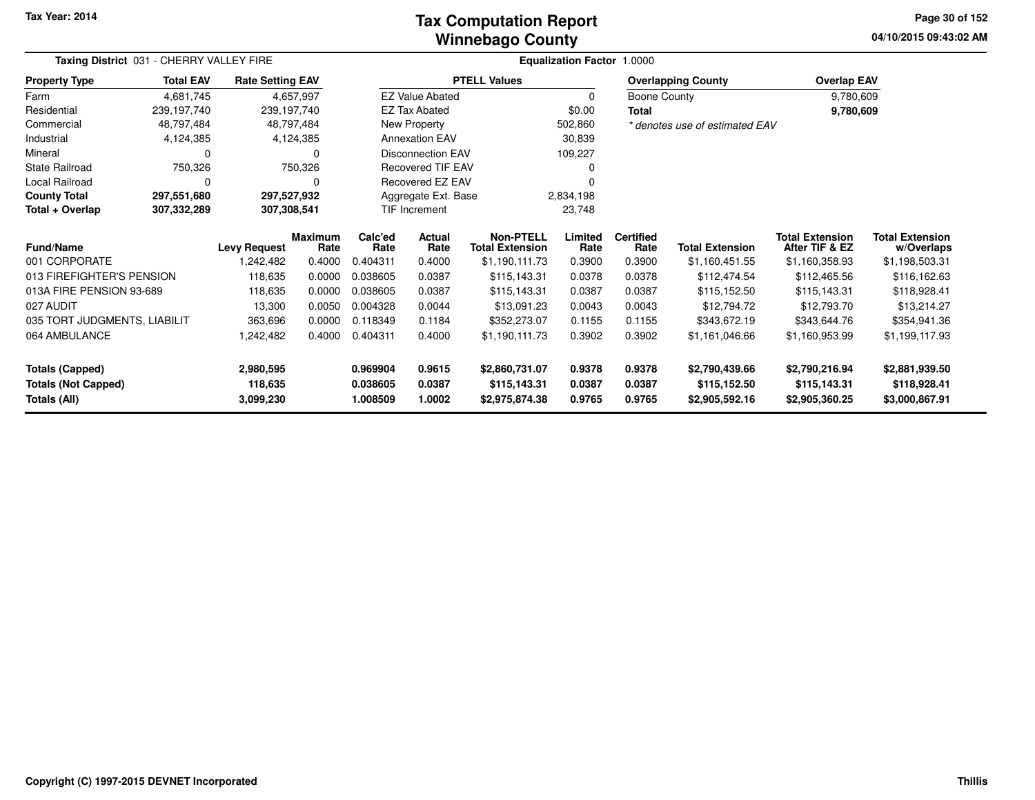### **Winnebago CountyTax Computation Report**

**04/10/2015 09:43:02 AM Page 30 of 152**

| Taxing District 031 - CHERRY VALLEY FIRE |                  | Equalization Factor 1.0000 |                        |                 |                          |                                            |                 |                          |                                |                                          |                                      |
|------------------------------------------|------------------|----------------------------|------------------------|-----------------|--------------------------|--------------------------------------------|-----------------|--------------------------|--------------------------------|------------------------------------------|--------------------------------------|
| <b>Property Type</b>                     | <b>Total EAV</b> | <b>Rate Setting EAV</b>    |                        |                 |                          | <b>PTELL Values</b>                        |                 |                          | <b>Overlapping County</b>      | <b>Overlap EAV</b>                       |                                      |
| Farm                                     | 4,681,745        |                            | 4,657,997              |                 | <b>EZ Value Abated</b>   |                                            | $\Omega$        | Boone County             |                                | 9,780,609                                |                                      |
| Residential                              | 239,197,740      | 239,197,740                |                        |                 | <b>EZ Tax Abated</b>     |                                            | \$0.00          | Total                    |                                | 9,780,609                                |                                      |
| Commercial                               | 48,797,484       |                            | 48,797,484             |                 | New Property             |                                            | 502,860         |                          | * denotes use of estimated EAV |                                          |                                      |
| Industrial                               | 4,124,385        |                            | 4,124,385              |                 | <b>Annexation EAV</b>    |                                            | 30,839          |                          |                                |                                          |                                      |
| Mineral                                  | 0                |                            | 0                      |                 | <b>Disconnection EAV</b> |                                            | 109,227         |                          |                                |                                          |                                      |
| <b>State Railroad</b>                    | 750,326          |                            | 750,326                |                 | <b>Recovered TIF EAV</b> |                                            |                 |                          |                                |                                          |                                      |
| Local Railroad                           | 0                |                            | 0                      |                 | Recovered EZ EAV         |                                            |                 |                          |                                |                                          |                                      |
| <b>County Total</b>                      | 297,551,680      | 297,527,932                |                        |                 | Aggregate Ext. Base      |                                            | 2,834,198       |                          |                                |                                          |                                      |
| Total + Overlap                          | 307,332,289      | 307,308,541                |                        |                 | TIF Increment            |                                            | 23,748          |                          |                                |                                          |                                      |
| Fund/Name                                |                  | <b>Levy Request</b>        | <b>Maximum</b><br>Rate | Calc'ed<br>Rate | Actual<br>Rate           | <b>Non-PTELL</b><br><b>Total Extension</b> | Limited<br>Rate | <b>Certified</b><br>Rate | <b>Total Extension</b>         | <b>Total Extension</b><br>After TIF & EZ | <b>Total Extension</b><br>w/Overlaps |
| 001 CORPORATE                            |                  | 242,482,                   | 0.4000                 | 0.404311        | 0.4000                   | \$1,190,111.73                             | 0.3900          | 0.3900                   | \$1,160,451.55                 | \$1,160,358.93                           | \$1,198,503.31                       |
| 013 FIREFIGHTER'S PENSION                |                  | 118,635                    | 0.0000                 | 0.038605        | 0.0387                   | \$115,143.31                               | 0.0378          | 0.0378                   | \$112,474.54                   | \$112,465.56                             | \$116,162.63                         |
| 013A FIRE PENSION 93-689                 |                  | 118,635                    | 0.0000                 | 0.038605        | 0.0387                   | \$115,143.31                               | 0.0387          | 0.0387                   | \$115,152.50                   | \$115,143.31                             | \$118,928.41                         |
| 027 AUDIT                                |                  | 13,300                     | 0.0050                 | 0.004328        | 0.0044                   | \$13,091.23                                | 0.0043          | 0.0043                   | \$12,794.72                    | \$12,793.70                              | \$13,214.27                          |
| 035 TORT JUDGMENTS, LIABILIT             |                  | 363,696                    | 0.0000                 | 0.118349        | 0.1184                   | \$352,273.07                               | 0.1155          | 0.1155                   | \$343,672.19                   | \$343,644.76                             | \$354,941.36                         |
| 064 AMBULANCE                            |                  | 242,482,                   | 0.4000                 | 0.404311        | 0.4000                   | \$1,190,111.73                             | 0.3902          | 0.3902                   | \$1,161,046.66                 | \$1,160,953.99                           | \$1,199,117.93                       |
| <b>Totals (Capped)</b>                   |                  | 2,980,595                  |                        | 0.969904        | 0.9615                   | \$2,860,731.07                             | 0.9378          | 0.9378                   | \$2,790,439.66                 | \$2,790,216.94                           | \$2,881,939.50                       |
| <b>Totals (Not Capped)</b>               |                  | 118,635                    |                        | 0.038605        | 0.0387                   | \$115,143.31                               | 0.0387          | 0.0387                   | \$115,152.50                   | \$115,143.31                             | \$118,928.41                         |
| Totals (All)                             |                  | 3,099,230                  |                        | 1.008509        | 1.0002                   | \$2,975,874.38                             | 0.9765          | 0.9765                   | \$2,905,592.16                 | \$2,905,360.25                           | \$3,000,867.91                       |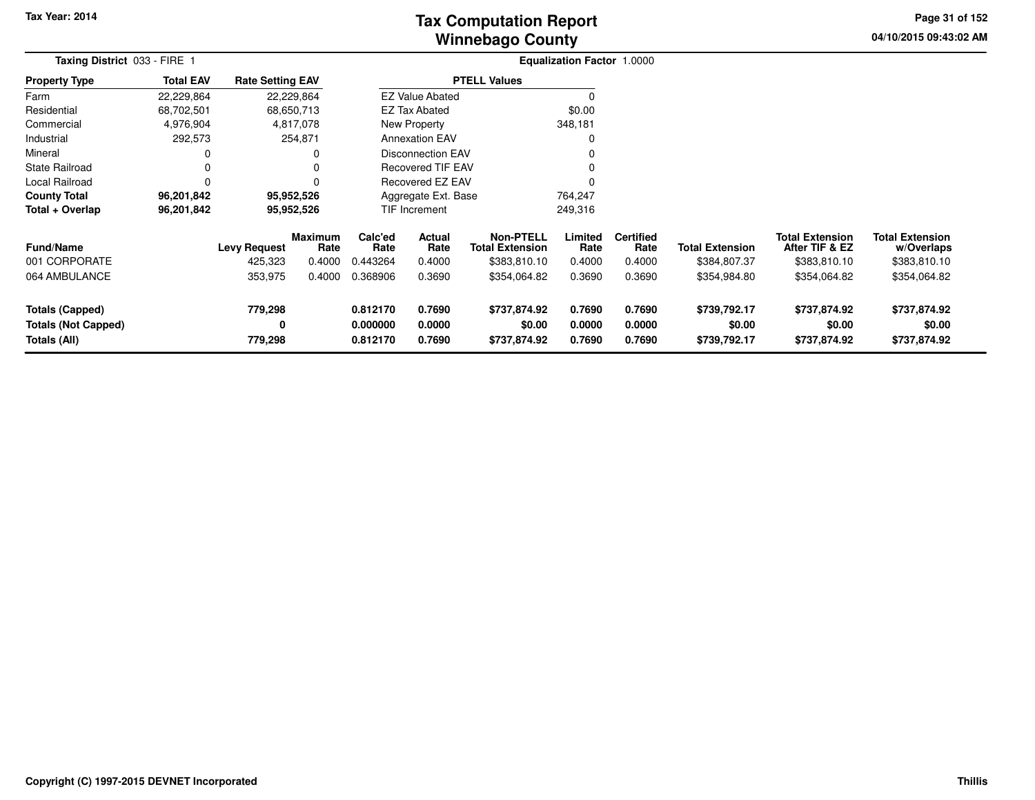# **Winnebago CountyTax Computation Report**

**04/10/2015 09:43:02 AM Page 31 of 152**

| Taxing District 033 - FIRE 1                                         |                  |                                |                                  |                                  |                            |                                                            |                            |                                    |                                        |                                                          |                                                      |  |
|----------------------------------------------------------------------|------------------|--------------------------------|----------------------------------|----------------------------------|----------------------------|------------------------------------------------------------|----------------------------|------------------------------------|----------------------------------------|----------------------------------------------------------|------------------------------------------------------|--|
| <b>Property Type</b>                                                 | <b>Total EAV</b> | <b>Rate Setting EAV</b>        |                                  |                                  |                            | <b>PTELL Values</b>                                        |                            |                                    |                                        |                                                          |                                                      |  |
| Farm                                                                 | 22,229,864       |                                | 22,229,864                       |                                  | <b>EZ Value Abated</b>     |                                                            |                            |                                    |                                        |                                                          |                                                      |  |
| Residential                                                          | 68,702,501       |                                | 68,650,713                       |                                  | <b>EZ Tax Abated</b>       |                                                            | \$0.00                     |                                    |                                        |                                                          |                                                      |  |
| Commercial                                                           | 4,976,904        |                                | 4,817,078                        |                                  | New Property               |                                                            | 348,181                    |                                    |                                        |                                                          |                                                      |  |
| Industrial                                                           | 292,573          |                                | 254,871                          |                                  | <b>Annexation EAV</b>      |                                                            |                            |                                    |                                        |                                                          |                                                      |  |
| Mineral                                                              | 0                |                                |                                  |                                  | <b>Disconnection EAV</b>   |                                                            |                            |                                    |                                        |                                                          |                                                      |  |
| <b>State Railroad</b>                                                |                  |                                |                                  |                                  | <b>Recovered TIF EAV</b>   |                                                            |                            |                                    |                                        |                                                          |                                                      |  |
| Local Railroad                                                       | $\Omega$         |                                |                                  |                                  | <b>Recovered EZ EAV</b>    |                                                            |                            |                                    |                                        |                                                          |                                                      |  |
| <b>County Total</b>                                                  | 96,201,842       |                                | 95,952,526                       |                                  | Aggregate Ext. Base        |                                                            | 764,247                    |                                    |                                        |                                                          |                                                      |  |
| Total + Overlap                                                      | 96,201,842       |                                | 95,952,526                       |                                  | <b>TIF Increment</b>       |                                                            | 249,316                    |                                    |                                        |                                                          |                                                      |  |
| <b>Fund/Name</b><br>001 CORPORATE                                    |                  | <b>Levy Request</b><br>425,323 | <b>Maximum</b><br>Rate<br>0.4000 | Calc'ed<br>Rate<br>0.443264      | Actual<br>Rate<br>0.4000   | <b>Non-PTELL</b><br><b>Total Extension</b><br>\$383,810.10 | Limited<br>Rate<br>0.4000  | <b>Certified</b><br>Rate<br>0.4000 | <b>Total Extension</b><br>\$384,807.37 | <b>Total Extension</b><br>After TIF & EZ<br>\$383,810.10 | <b>Total Extension</b><br>w/Overlaps<br>\$383,810.10 |  |
| 064 AMBULANCE                                                        |                  | 353,975                        | 0.4000                           | 0.368906                         | 0.3690                     | \$354,064.82                                               | 0.3690                     | 0.3690                             | \$354,984.80                           | \$354,064.82                                             | \$354,064.82                                         |  |
| <b>Totals (Capped)</b><br><b>Totals (Not Capped)</b><br>Totals (All) |                  | 779,298<br>0<br>779,298        |                                  | 0.812170<br>0.000000<br>0.812170 | 0.7690<br>0.0000<br>0.7690 | \$737,874.92<br>\$0.00<br>\$737,874.92                     | 0.7690<br>0.0000<br>0.7690 | 0.7690<br>0.0000<br>0.7690         | \$739,792.17<br>\$0.00<br>\$739,792.17 | \$737,874.92<br>\$0.00<br>\$737,874.92                   | \$737,874.92<br>\$0.00<br>\$737,874.92               |  |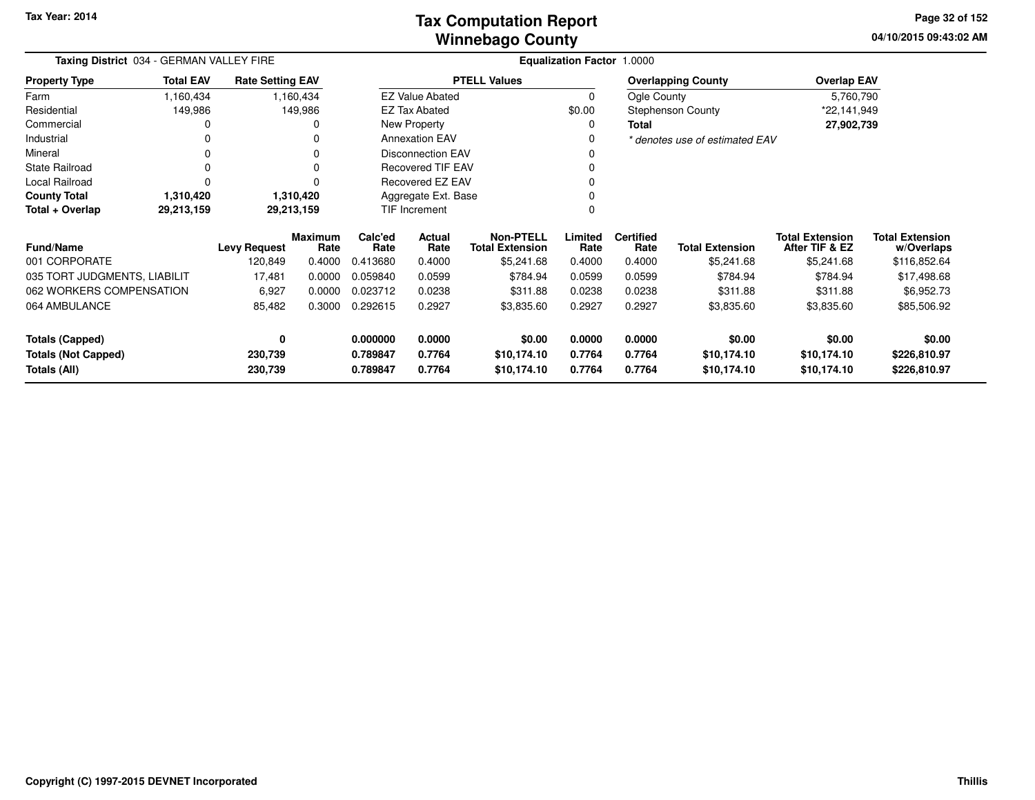### **Winnebago CountyTax Computation Report**

**04/10/2015 09:43:02 AM Page 32 of 152**

| Taxing District 034 - GERMAN VALLEY FIRE |                  |                         |                        |                 |                          | Equalization Factor 1.0000                 |                 |                          |                                |                                          |                                      |
|------------------------------------------|------------------|-------------------------|------------------------|-----------------|--------------------------|--------------------------------------------|-----------------|--------------------------|--------------------------------|------------------------------------------|--------------------------------------|
| <b>Property Type</b>                     | <b>Total EAV</b> | <b>Rate Setting EAV</b> |                        |                 |                          | <b>PTELL Values</b>                        |                 |                          | <b>Overlapping County</b>      | <b>Overlap EAV</b>                       |                                      |
| Farm                                     | 1,160,434        |                         | 1,160,434              |                 | <b>EZ Value Abated</b>   |                                            | 0               | Ogle County              |                                | 5,760,790                                |                                      |
| Residential                              | 149,986          |                         | 149,986                |                 | <b>EZ Tax Abated</b>     |                                            | \$0.00          |                          | <b>Stephenson County</b>       | *22,141,949                              |                                      |
| Commercial                               | 0                |                         |                        |                 | New Property             |                                            | 0               | <b>Total</b>             |                                | 27,902,739                               |                                      |
| Industrial                               | 0                |                         |                        |                 | <b>Annexation EAV</b>    |                                            | 0               |                          | * denotes use of estimated EAV |                                          |                                      |
| Mineral                                  | 0                |                         |                        |                 | <b>Disconnection EAV</b> |                                            |                 |                          |                                |                                          |                                      |
| <b>State Railroad</b>                    | 0                |                         | 0                      |                 | <b>Recovered TIF EAV</b> |                                            |                 |                          |                                |                                          |                                      |
| Local Railroad                           | $\Omega$         |                         |                        |                 | Recovered EZ EAV         |                                            |                 |                          |                                |                                          |                                      |
| <b>County Total</b>                      | 1,310,420        |                         | 1,310,420              |                 | Aggregate Ext. Base      |                                            |                 |                          |                                |                                          |                                      |
| Total + Overlap                          | 29,213,159       |                         | 29,213,159             |                 | <b>TIF Increment</b>     |                                            |                 |                          |                                |                                          |                                      |
| <b>Fund/Name</b>                         |                  | <b>Levy Request</b>     | <b>Maximum</b><br>Rate | Calc'ed<br>Rate | Actual<br>Rate           | <b>Non-PTELL</b><br><b>Total Extension</b> | Limited<br>Rate | <b>Certified</b><br>Rate | <b>Total Extension</b>         | <b>Total Extension</b><br>After TIF & EZ | <b>Total Extension</b><br>w/Overlaps |
| 001 CORPORATE                            |                  | 120,849                 | 0.4000                 | 0.413680        | 0.4000                   | \$5,241.68                                 | 0.4000          | 0.4000                   | \$5,241.68                     | \$5,241.68                               | \$116,852.64                         |
| 035 TORT JUDGMENTS, LIABILIT             |                  | 17,481                  | 0.0000                 | 0.059840        | 0.0599                   | \$784.94                                   | 0.0599          | 0.0599                   | \$784.94                       | \$784.94                                 | \$17,498.68                          |
| 062 WORKERS COMPENSATION                 |                  | 6,927                   | 0.0000                 | 0.023712        | 0.0238                   | \$311.88                                   | 0.0238          | 0.0238                   | \$311.88                       | \$311.88                                 | \$6,952.73                           |
| 064 AMBULANCE                            |                  | 85,482                  | 0.3000                 | 0.292615        | 0.2927                   | \$3,835.60                                 | 0.2927          | 0.2927                   | \$3,835.60                     | \$3,835.60                               | \$85,506.92                          |
| Totals (Capped)                          |                  | 0                       |                        | 0.000000        | 0.0000                   | \$0.00                                     | 0.0000          | 0.0000                   | \$0.00                         | \$0.00                                   | \$0.00                               |
| <b>Totals (Not Capped)</b>               |                  | 230,739                 |                        | 0.789847        | 0.7764                   | \$10,174.10                                | 0.7764          | 0.7764                   | \$10,174.10                    | \$10,174.10                              | \$226,810.97                         |
| Totals (All)                             |                  | 230,739                 |                        | 0.789847        | 0.7764                   | \$10,174.10                                | 0.7764          | 0.7764                   | \$10,174.10                    | \$10,174.10                              | \$226,810.97                         |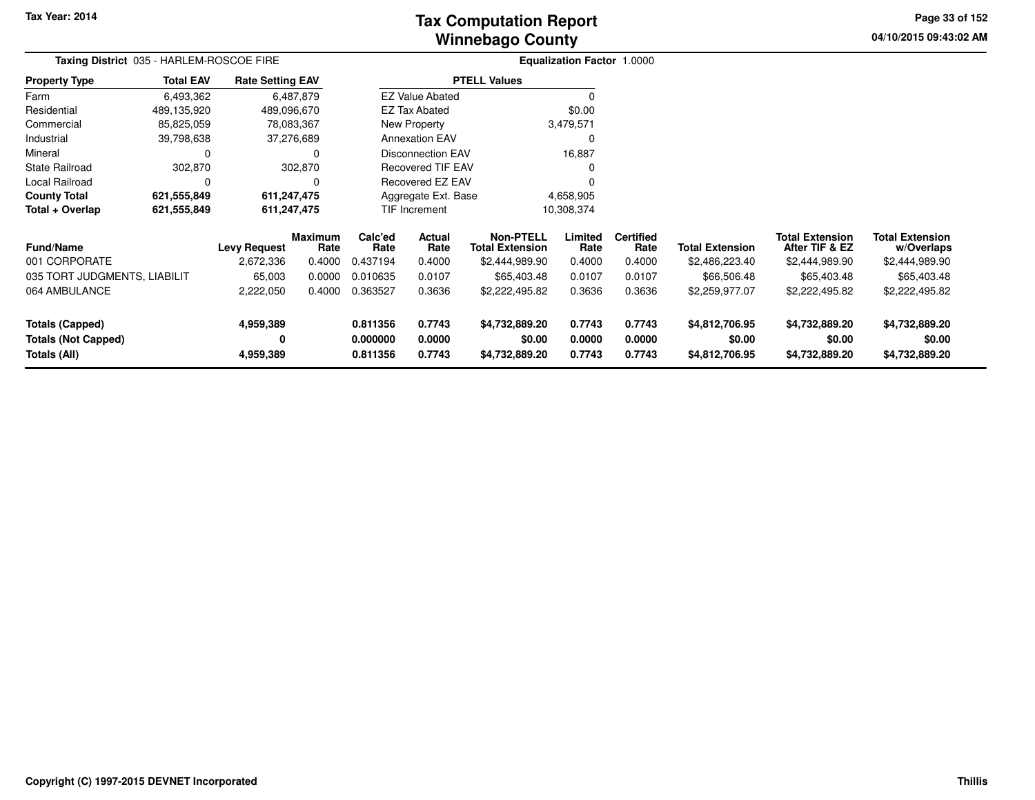# **Winnebago CountyTax Computation Report**

**04/10/2015 09:43:02 AM Page 33 of 152**

| Taxing District 035 - HARLEM-ROSCOE FIRE |                  | <b>Equalization Factor 1.0000</b> |                        |                       |                          |                                            |                 |                          |                        |                                          |                                      |
|------------------------------------------|------------------|-----------------------------------|------------------------|-----------------------|--------------------------|--------------------------------------------|-----------------|--------------------------|------------------------|------------------------------------------|--------------------------------------|
| <b>Property Type</b>                     | <b>Total EAV</b> | <b>Rate Setting EAV</b>           |                        |                       |                          | <b>PTELL Values</b>                        |                 |                          |                        |                                          |                                      |
| Farm                                     | 6,493,362        |                                   | 6,487,879              |                       | <b>EZ Value Abated</b>   |                                            | $\Omega$        |                          |                        |                                          |                                      |
| Residential                              | 489,135,920      |                                   | 489,096,670            |                       | <b>EZ Tax Abated</b>     | \$0.00                                     |                 |                          |                        |                                          |                                      |
| Commercial                               | 85,825,059       | 78,083,367                        |                        | New Property          |                          |                                            | 3,479,571       |                          |                        |                                          |                                      |
| Industrial                               | 39,798,638       | 37,276,689                        |                        | <b>Annexation EAV</b> |                          |                                            | $\Omega$        |                          |                        |                                          |                                      |
| Mineral                                  | 0                | 0                                 |                        |                       | Disconnection EAV        |                                            | 16,887          |                          |                        |                                          |                                      |
| <b>State Railroad</b>                    | 302,870          |                                   | 302,870                |                       | <b>Recovered TIF EAV</b> |                                            | 0               |                          |                        |                                          |                                      |
| Local Railroad                           | 0                |                                   | 0                      |                       | Recovered EZ EAV         |                                            | $\Omega$        |                          |                        |                                          |                                      |
| <b>County Total</b>                      | 621,555,849      |                                   | 611,247,475            |                       | Aggregate Ext. Base      |                                            | 4,658,905       |                          |                        |                                          |                                      |
| Total + Overlap                          | 621,555,849      |                                   | 611,247,475            |                       | TIF Increment            |                                            | 10,308,374      |                          |                        |                                          |                                      |
| Fund/Name                                |                  | <b>Levy Request</b>               | <b>Maximum</b><br>Rate | Calc'ed<br>Rate       | Actual<br>Rate           | <b>Non-PTELL</b><br><b>Total Extension</b> | Limited<br>Rate | <b>Certified</b><br>Rate | <b>Total Extension</b> | <b>Total Extension</b><br>After TIF & EZ | <b>Total Extension</b><br>w/Overlaps |
| 001 CORPORATE                            |                  | 2,672,336                         | 0.4000                 | 0.437194              | 0.4000                   | \$2,444,989.90                             | 0.4000          | 0.4000                   | \$2,486,223.40         | \$2,444,989.90                           | \$2,444,989.90                       |
| 035 TORT JUDGMENTS, LIABILIT             |                  | 65,003                            | 0.0000                 | 0.010635              | 0.0107                   | \$65,403.48                                | 0.0107          | 0.0107                   | \$66,506.48            | \$65,403.48                              | \$65,403.48                          |
| 064 AMBULANCE                            |                  | 2,222,050                         | 0.4000                 | 0.363527              | 0.3636                   | \$2,222,495.82                             | 0.3636          | 0.3636                   | \$2,259,977.07         | \$2,222,495.82                           | \$2,222,495.82                       |
| Totals (Capped)                          |                  | 4,959,389                         |                        | 0.811356              | 0.7743                   | \$4,732,889.20                             | 0.7743          | 0.7743                   | \$4,812,706.95         | \$4,732,889.20                           | \$4,732,889.20                       |
| <b>Totals (Not Capped)</b>               |                  | 0                                 |                        | 0.000000              | 0.0000                   | \$0.00                                     | 0.0000          | 0.0000                   | \$0.00                 | \$0.00                                   | \$0.00                               |
| Totals (All)                             |                  | 4,959,389                         |                        | 0.811356              | 0.7743                   | \$4,732,889.20                             | 0.7743          | 0.7743                   | \$4,812,706.95         | \$4,732,889.20                           | \$4,732,889.20                       |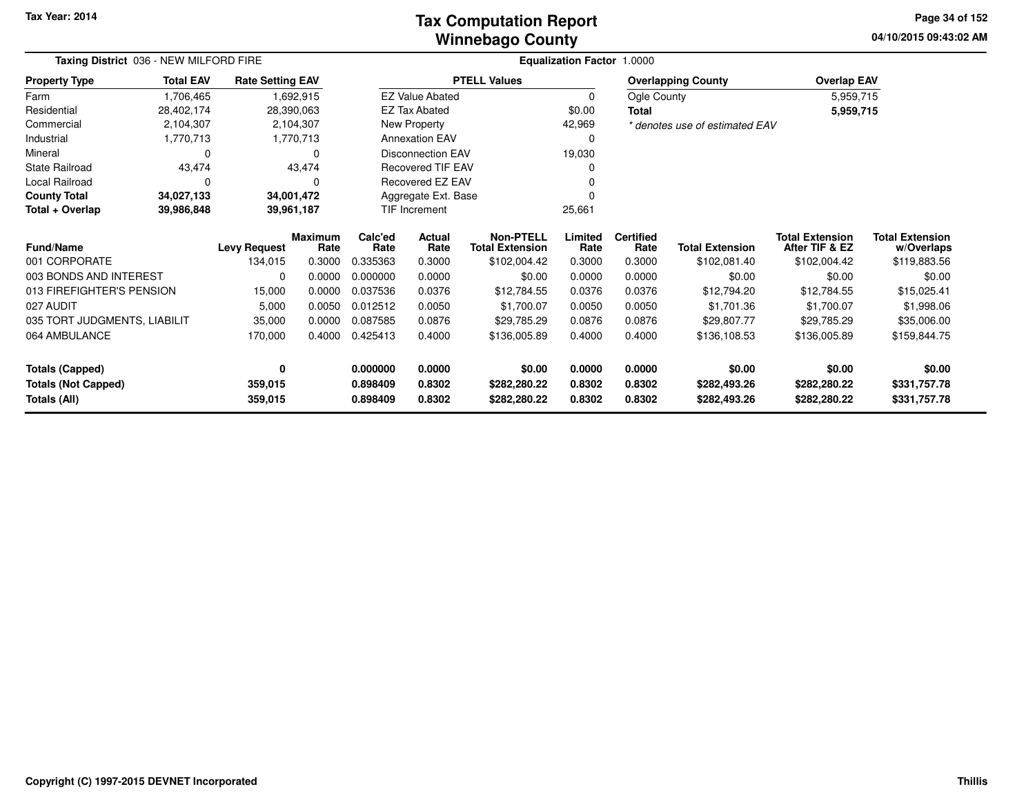### **Winnebago CountyTax Computation Report**

**04/10/2015 09:43:02 AM Page 34 of 152**

| Taxing District 036 - NEW MILFORD FIRE | <b>Equalization Factor 1.0000</b> |                         |                            |                                          |                        |                                            |                 |                          |                                |                                          |                                      |
|----------------------------------------|-----------------------------------|-------------------------|----------------------------|------------------------------------------|------------------------|--------------------------------------------|-----------------|--------------------------|--------------------------------|------------------------------------------|--------------------------------------|
| <b>Property Type</b>                   | <b>Total EAV</b>                  | <b>Rate Setting EAV</b> |                            | <b>PTELL Values</b>                      |                        |                                            |                 |                          | <b>Overlapping County</b>      | <b>Overlap EAV</b>                       |                                      |
| Farm                                   | 1,706,465                         | 1,692,915               |                            |                                          | <b>EZ Value Abated</b> |                                            | $\mathbf 0$     |                          | Ogle County                    | 5,959,715                                |                                      |
| Residential                            | 28,402,174                        | 28,390,063              |                            |                                          | <b>EZ Tax Abated</b>   |                                            | \$0.00          |                          |                                | 5,959,715                                |                                      |
| Commercial                             | 2,104,307                         | 2,104,307               |                            |                                          | New Property           |                                            | 42,969          |                          | * denotes use of estimated EAV |                                          |                                      |
| Industrial                             | 1,770,713<br>1,770,713            |                         | <b>Annexation EAV</b><br>0 |                                          |                        |                                            |                 |                          |                                |                                          |                                      |
| Mineral                                | 0<br>$\Omega$                     |                         |                            | Disconnection EAV<br>19,030              |                        |                                            |                 |                          |                                |                                          |                                      |
| State Railroad                         | 43,474                            |                         | 43,474                     | <b>Recovered TIF EAV</b><br><sup>0</sup> |                        |                                            |                 |                          |                                |                                          |                                      |
| Local Railroad                         | 0                                 | $\Omega$<br>34,001,472  |                            |                                          | Recovered EZ EAV       |                                            |                 |                          |                                |                                          |                                      |
| <b>County Total</b>                    | 34,027,133                        |                         |                            |                                          | Aggregate Ext. Base    |                                            | ∩               |                          |                                |                                          |                                      |
| Total + Overlap                        | 39,986,848                        |                         | 39,961,187                 | <b>TIF Increment</b>                     |                        |                                            | 25,661          |                          |                                |                                          |                                      |
| <b>Fund/Name</b>                       |                                   | <b>Levy Request</b>     | <b>Maximum</b><br>Rate     | Calc'ed<br>Rate                          | Actual<br>Rate         | <b>Non-PTELL</b><br><b>Total Extension</b> | Limited<br>Rate | <b>Certified</b><br>Rate | <b>Total Extension</b>         | <b>Total Extension</b><br>After TIF & EZ | <b>Total Extension</b><br>w/Overlaps |
| 001 CORPORATE                          |                                   | 134,015                 | 0.3000                     | 0.335363                                 | 0.3000                 | \$102,004.42                               | 0.3000          | 0.3000                   | \$102,081.40                   | \$102,004.42                             | \$119,883.56                         |
| 003 BONDS AND INTEREST                 |                                   | 0                       | 0.0000                     | 0.000000                                 | 0.0000                 | \$0.00                                     | 0.0000          | 0.0000                   | \$0.00                         | \$0.00                                   | \$0.00                               |
| 013 FIREFIGHTER'S PENSION              |                                   | 15,000                  | 0.0000                     | 0.037536                                 | 0.0376                 | \$12,784.55                                | 0.0376          | 0.0376                   | \$12,794.20                    | \$12,784.55                              | \$15,025.41                          |
| 027 AUDIT                              |                                   | 5,000                   | 0.0050                     | 0.012512                                 | 0.0050                 | \$1.700.07                                 | 0.0050          | 0.0050                   | \$1,701.36                     | \$1,700.07                               | \$1,998.06                           |
| 035 TORT JUDGMENTS, LIABILIT           |                                   | 35,000                  | 0.0000                     | 0.087585                                 | 0.0876                 | \$29,785.29                                | 0.0876          | 0.0876                   | \$29,807.77                    | \$29,785.29                              | \$35,006.00                          |
| 064 AMBULANCE                          |                                   | 170,000                 | 0.4000                     | 0.425413                                 | 0.4000                 | \$136,005.89                               | 0.4000          | 0.4000                   | \$136,108.53                   | \$136,005.89                             | \$159,844.75                         |
| <b>Totals (Capped)</b>                 |                                   | 0                       |                            | 0.000000                                 | 0.0000                 | \$0.00                                     | 0.0000          | 0.0000                   | \$0.00                         | \$0.00                                   | \$0.00                               |
| <b>Totals (Not Capped)</b>             |                                   | 359,015                 |                            | 0.898409                                 | 0.8302                 | \$282,280.22                               | 0.8302          | 0.8302                   | \$282,493.26                   | \$282,280.22                             | \$331,757.78                         |
| Totals (All)                           |                                   | 359,015                 |                            | 0.898409                                 | 0.8302                 | \$282,280.22                               | 0.8302          | 0.8302                   | \$282,493.26                   | \$282,280.22                             | \$331,757.78                         |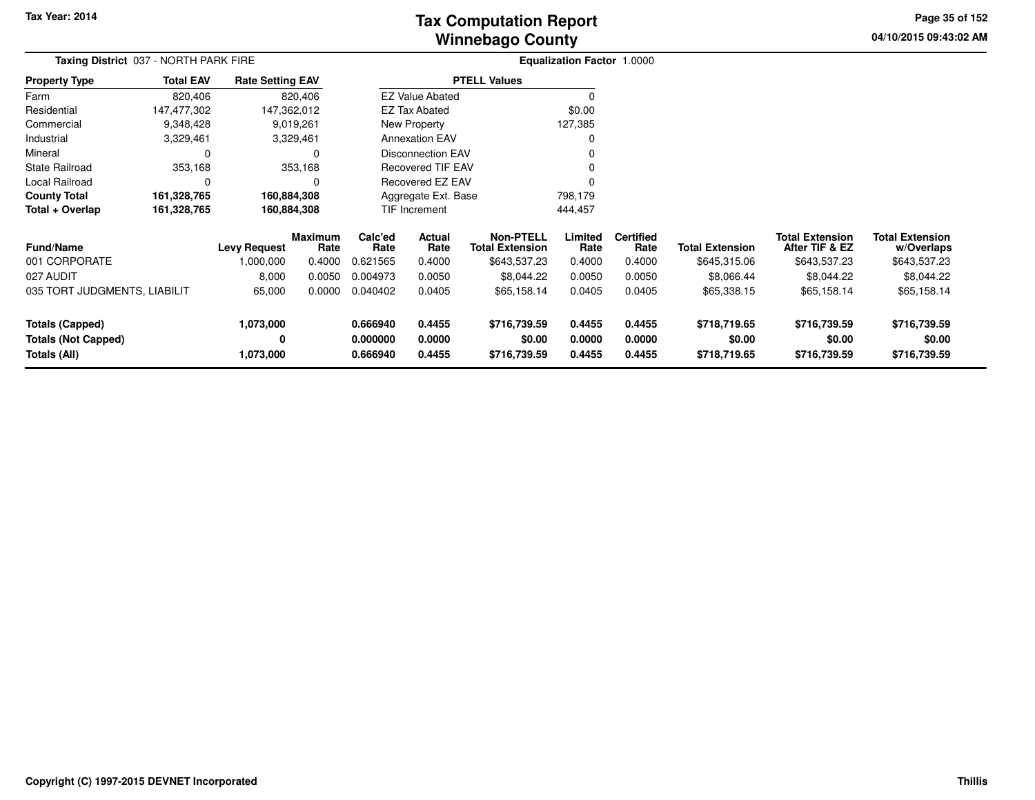**04/10/2015 09:43:02 AM Page 35 of 152**

| Taxing District 037 - NORTH PARK FIRE |                  |                         |                 |                         | <b>Equalization Factor 1.0000</b> |                                            |                 |                          |                        |                                          |                                      |  |
|---------------------------------------|------------------|-------------------------|-----------------|-------------------------|-----------------------------------|--------------------------------------------|-----------------|--------------------------|------------------------|------------------------------------------|--------------------------------------|--|
| <b>Property Type</b>                  | <b>Total EAV</b> | <b>Rate Setting EAV</b> |                 |                         |                                   | <b>PTELL Values</b>                        |                 |                          |                        |                                          |                                      |  |
| Farm                                  | 820,406          | 820,406                 |                 | <b>EZ Value Abated</b>  |                                   |                                            |                 |                          |                        |                                          |                                      |  |
| Residential                           | 147,477,302      | 147,362,012             |                 | <b>EZ Tax Abated</b>    |                                   |                                            | \$0.00          |                          |                        |                                          |                                      |  |
| Commercial                            | 9,348,428        | 9,019,261               |                 | New Property            |                                   |                                            | 127,385         |                          |                        |                                          |                                      |  |
| Industrial                            | 3,329,461        | 3,329,461               |                 | <b>Annexation EAV</b>   |                                   |                                            | 0               |                          |                        |                                          |                                      |  |
| Mineral                               | 0                | 0                       |                 |                         | <b>Disconnection EAV</b>          |                                            |                 |                          |                        |                                          |                                      |  |
| <b>State Railroad</b>                 | 353,168          | 353,168                 |                 |                         | <b>Recovered TIF EAV</b>          |                                            |                 |                          |                        |                                          |                                      |  |
| Local Railroad                        | 0                | $\Omega$                |                 | <b>Recovered EZ EAV</b> |                                   |                                            |                 |                          |                        |                                          |                                      |  |
| <b>County Total</b>                   | 161,328,765      | 160,884,308             |                 | Aggregate Ext. Base     |                                   |                                            | 798,179         |                          |                        |                                          |                                      |  |
| Total + Overlap                       | 161,328,765      |                         | 160,884,308     |                         | TIF Increment                     |                                            | 444,457         |                          |                        |                                          |                                      |  |
| <b>Fund/Name</b>                      |                  | <b>Levy Request</b>     | Maximum<br>Rate | Calc'ed<br>Rate         | Actual<br>Rate                    | <b>Non-PTELL</b><br><b>Total Extension</b> | Limited<br>Rate | <b>Certified</b><br>Rate | <b>Total Extension</b> | <b>Total Extension</b><br>After TIF & EZ | <b>Total Extension</b><br>w/Overlaps |  |
| 001 CORPORATE                         |                  | 1,000,000               | 0.4000          | 0.621565                | 0.4000                            | \$643,537.23                               | 0.4000          | 0.4000                   | \$645,315.06           | \$643,537.23                             | \$643,537.23                         |  |
| 027 AUDIT                             |                  | 8,000                   | 0.0050          | 0.004973                | 0.0050                            | \$8,044.22                                 | 0.0050          | 0.0050                   | \$8,066.44             | \$8,044.22                               | \$8,044.22                           |  |
| 035 TORT JUDGMENTS, LIABILIT          |                  | 65,000                  | 0.0000          | 0.040402                | 0.0405                            | \$65,158.14                                | 0.0405          | 0.0405                   | \$65,338.15            | \$65,158.14                              | \$65,158.14                          |  |
| <b>Totals (Capped)</b>                |                  | 1,073,000               |                 | 0.666940                | 0.4455                            | \$716,739.59                               | 0.4455          | 0.4455                   | \$718,719.65           | \$716,739.59                             | \$716,739.59                         |  |
| <b>Totals (Not Capped)</b>            |                  | 0                       |                 | 0.000000                | 0.0000                            | \$0.00                                     | 0.0000          | 0.0000                   | \$0.00                 | \$0.00                                   | \$0.00                               |  |
| Totals (All)                          |                  | 1,073,000               |                 | 0.666940                | 0.4455                            | \$716,739.59                               | 0.4455          | 0.4455                   | \$718,719.65           | \$716,739.59                             | \$716,739.59                         |  |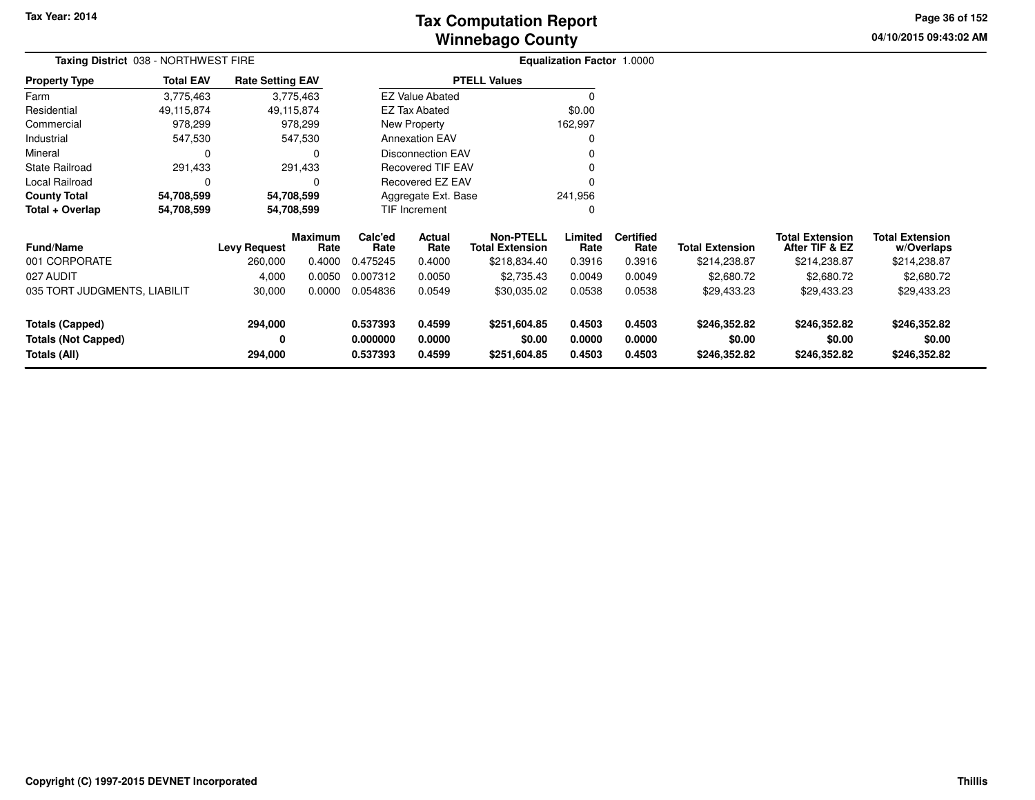**04/10/2015 09:43:02 AM Page 36 of 152**

| Taxing District 038 - NORTHWEST FIRE |                                             |                     |                 |                          |                          |                                            | <b>Equalization Factor 1.0000</b> |                          |                        |                                          |                                      |  |
|--------------------------------------|---------------------------------------------|---------------------|-----------------|--------------------------|--------------------------|--------------------------------------------|-----------------------------------|--------------------------|------------------------|------------------------------------------|--------------------------------------|--|
| <b>Property Type</b>                 | <b>Total EAV</b><br><b>Rate Setting EAV</b> |                     |                 |                          | <b>PTELL Values</b>      |                                            |                                   |                          |                        |                                          |                                      |  |
| Farm                                 | 3,775,463                                   |                     | 3,775,463       |                          | <b>EZ Value Abated</b>   |                                            |                                   |                          |                        |                                          |                                      |  |
| Residential                          | 49,115,874                                  |                     | 49,115,874      |                          | EZ Tax Abated            |                                            | \$0.00                            |                          |                        |                                          |                                      |  |
| Commercial                           | 978,299                                     |                     | 978,299         | <b>New Property</b>      |                          |                                            | 162,997                           |                          |                        |                                          |                                      |  |
| Industrial                           | 547,530                                     |                     | 547,530         |                          | <b>Annexation EAV</b>    |                                            |                                   |                          |                        |                                          |                                      |  |
| Mineral                              | 0<br>0                                      |                     |                 | <b>Disconnection EAV</b> |                          |                                            |                                   |                          |                        |                                          |                                      |  |
| <b>State Railroad</b>                | 291,433                                     |                     | 291,433         |                          | <b>Recovered TIF EAV</b> |                                            |                                   |                          |                        |                                          |                                      |  |
| Local Railroad                       | 0                                           |                     | $\Omega$        |                          | Recovered EZ EAV         |                                            |                                   |                          |                        |                                          |                                      |  |
| <b>County Total</b>                  | 54,708,599                                  |                     | 54,708,599      |                          | Aggregate Ext. Base      |                                            | 241,956                           |                          |                        |                                          |                                      |  |
| Total + Overlap                      | 54,708,599                                  |                     | 54,708,599      |                          | <b>TIF Increment</b>     |                                            | 0                                 |                          |                        |                                          |                                      |  |
| <b>Fund/Name</b>                     |                                             | <b>Levy Request</b> | Maximum<br>Rate | Calc'ed<br>Rate          | Actual<br>Rate           | <b>Non-PTELL</b><br><b>Total Extension</b> | Limited<br>Rate                   | <b>Certified</b><br>Rate | <b>Total Extension</b> | <b>Total Extension</b><br>After TIF & EZ | <b>Total Extension</b><br>w/Overlaps |  |
| 001 CORPORATE                        |                                             | 260,000             | 0.4000          | 0.475245                 | 0.4000                   | \$218,834.40                               | 0.3916                            | 0.3916                   | \$214,238.87           | \$214,238.87                             | \$214,238.87                         |  |
| 027 AUDIT                            |                                             | 4,000               | 0.0050          | 0.007312                 | 0.0050                   | \$2,735.43                                 | 0.0049                            | 0.0049                   | \$2,680.72             | \$2,680.72                               | \$2,680.72                           |  |
| 035 TORT JUDGMENTS, LIABILIT         |                                             | 30,000              | 0.0000          | 0.054836                 | 0.0549                   | \$30,035.02                                | 0.0538                            | 0.0538                   | \$29,433.23            | \$29,433.23                              | \$29,433.23                          |  |
| <b>Totals (Capped)</b>               |                                             | 294,000             |                 | 0.537393                 | 0.4599                   | \$251,604.85                               | 0.4503                            | 0.4503                   | \$246,352.82           | \$246,352.82                             | \$246,352.82                         |  |
| <b>Totals (Not Capped)</b>           |                                             | 0                   |                 | 0.000000                 | 0.0000                   | \$0.00                                     | 0.0000                            | 0.0000                   | \$0.00                 | \$0.00                                   | \$0.00                               |  |
| Totals (All)                         |                                             | 294,000             |                 | 0.537393                 | 0.4599                   | \$251,604.85                               | 0.4503                            | 0.4503                   | \$246,352.82           | \$246,352.82                             | \$246,352.82                         |  |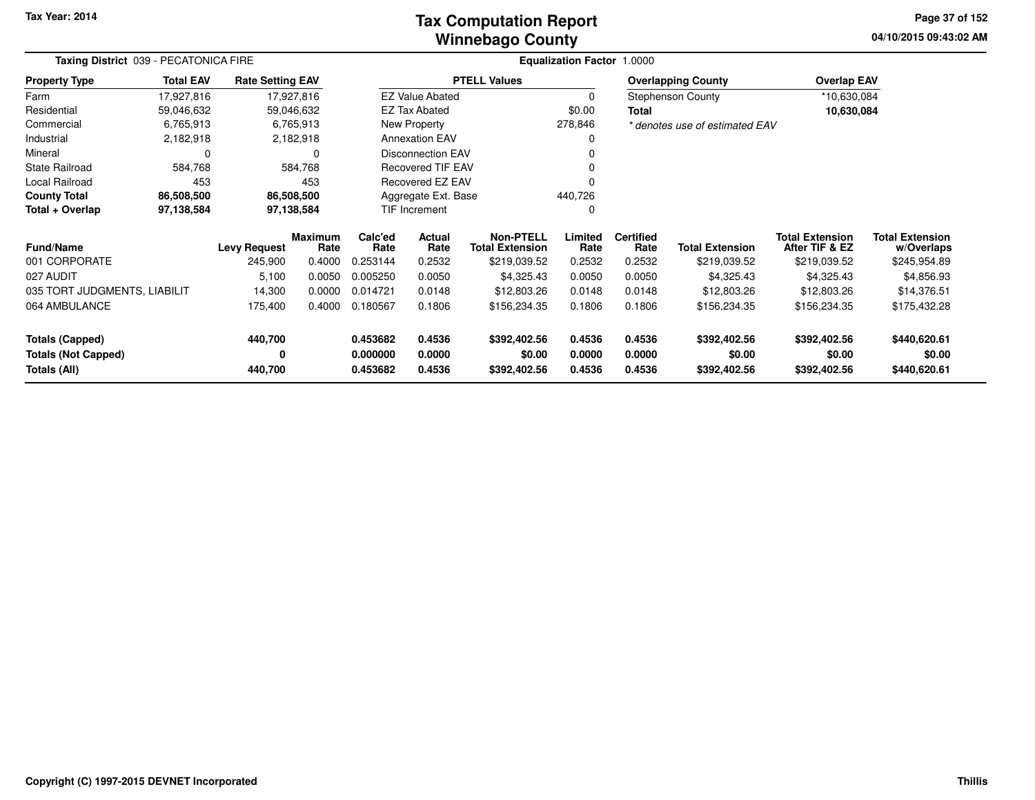### **Winnebago CountyTax Computation Report**

**04/10/2015 09:43:02 AM Page 37 of 152**

| Taxing District 039 - PECATONICA FIRE |                  |                         |                 |                 | Equalization Factor 1.0000 |                                            |                 |                          |                                |                                          |                                      |
|---------------------------------------|------------------|-------------------------|-----------------|-----------------|----------------------------|--------------------------------------------|-----------------|--------------------------|--------------------------------|------------------------------------------|--------------------------------------|
| <b>Property Type</b>                  | <b>Total EAV</b> | <b>Rate Setting EAV</b> |                 |                 |                            | <b>PTELL Values</b>                        |                 |                          | <b>Overlapping County</b>      | <b>Overlap EAV</b>                       |                                      |
| Farm                                  | 17,927,816       | 17,927,816              |                 |                 | <b>EZ Value Abated</b>     |                                            | 0               |                          | Stephenson County              | *10,630,084                              |                                      |
| Residential                           | 59,046,632       | 59,046,632              |                 |                 | <b>EZ Tax Abated</b>       |                                            | \$0.00          | <b>Total</b>             |                                | 10,630,084                               |                                      |
| Commercial                            | 6,765,913        |                         | 6,765,913       |                 | New Property               |                                            | 278,846         |                          | * denotes use of estimated EAV |                                          |                                      |
| Industrial                            | 2,182,918        |                         | 2,182,918       |                 | <b>Annexation EAV</b>      |                                            |                 |                          |                                |                                          |                                      |
| Mineral                               |                  |                         | 0               |                 | <b>Disconnection EAV</b>   |                                            |                 |                          |                                |                                          |                                      |
| <b>State Railroad</b>                 | 584,768          |                         | 584,768         |                 | <b>Recovered TIF EAV</b>   |                                            |                 |                          |                                |                                          |                                      |
| Local Railroad                        | 453              |                         | 453             |                 | Recovered EZ EAV           |                                            |                 |                          |                                |                                          |                                      |
| <b>County Total</b>                   | 86,508,500       | 86,508,500              |                 |                 | Aggregate Ext. Base        |                                            | 440,726         |                          |                                |                                          |                                      |
| Total + Overlap                       | 97,138,584       | 97,138,584              |                 |                 | <b>TIF Increment</b>       |                                            |                 |                          |                                |                                          |                                      |
| Fund/Name                             |                  | <b>Levy Request</b>     | Maximum<br>Rate | Calc'ed<br>Rate | Actual<br>Rate             | <b>Non-PTELL</b><br><b>Total Extension</b> | Limited<br>Rate | <b>Certified</b><br>Rate | <b>Total Extension</b>         | <b>Total Extension</b><br>After TIF & EZ | <b>Total Extension</b><br>w/Overlaps |
| 001 CORPORATE                         |                  | 245,900                 | 0.4000          | 0.253144        | 0.2532                     | \$219,039.52                               | 0.2532          | 0.2532                   | \$219,039.52                   | \$219,039.52                             | \$245,954.89                         |
| 027 AUDIT                             |                  | 5,100                   | 0.0050          | 0.005250        | 0.0050                     | \$4,325.43                                 | 0.0050          | 0.0050                   | \$4,325.43                     | \$4,325.43                               | \$4,856.93                           |
| 035 TORT JUDGMENTS, LIABILIT          |                  | 14,300                  | 0.0000          | 0.014721        | 0.0148                     | \$12,803.26                                | 0.0148          | 0.0148                   | \$12,803.26                    | \$12,803.26                              | \$14,376.51                          |
| 064 AMBULANCE                         |                  | 175,400                 | 0.4000          | 0.180567        | 0.1806                     | \$156,234.35                               | 0.1806          | 0.1806                   | \$156,234.35                   | \$156,234.35                             | \$175,432.28                         |
| <b>Totals (Capped)</b>                |                  | 440,700                 |                 | 0.453682        | 0.4536                     | \$392,402.56                               | 0.4536          | 0.4536                   | \$392,402.56                   | \$392,402.56                             | \$440,620.61                         |
| <b>Totals (Not Capped)</b>            |                  | 0                       |                 | 0.000000        | 0.0000                     | \$0.00                                     | 0.0000          | 0.0000                   | \$0.00                         | \$0.00                                   | \$0.00                               |
| Totals (All)                          |                  | 440,700                 |                 | 0.453682        | 0.4536                     | \$392,402.56                               | 0.4536          | 0.4536                   | \$392,402.56                   | \$392,402.56                             | \$440,620.61                         |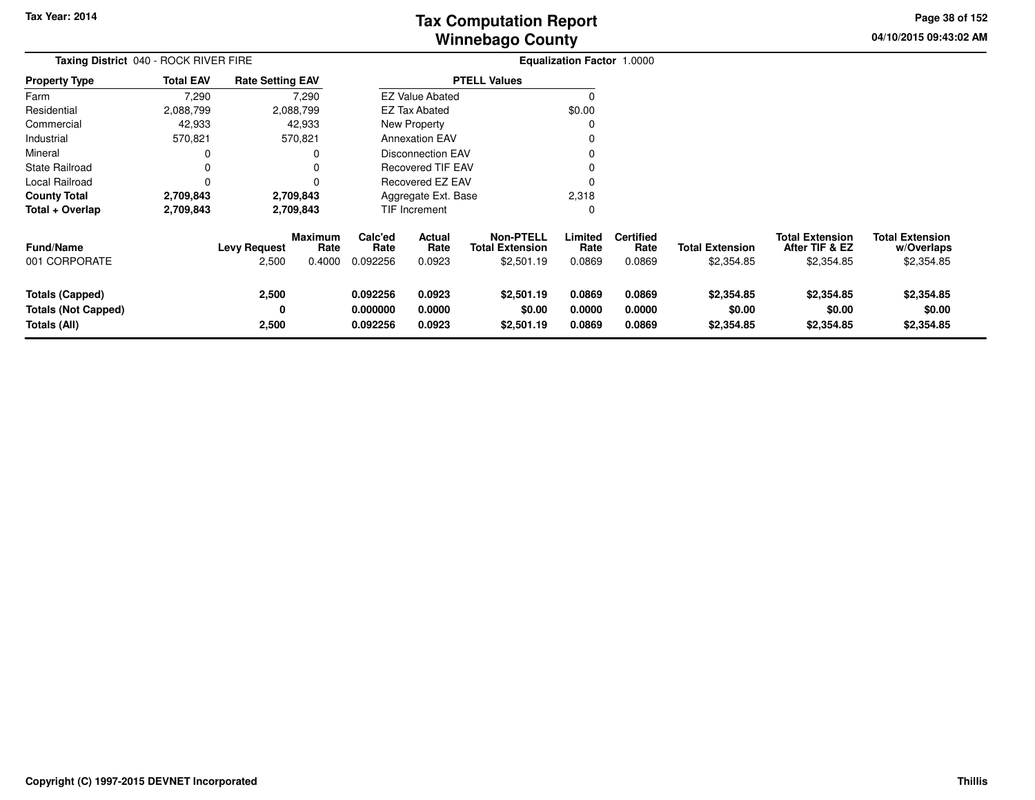**04/10/2015 09:43:02 AMPage 38 of 152**

| Taxing District 040 - ROCK RIVER FIRE                                |                  |                              |                                  | Equalization Factor 1.0000       |                                 |                                                          |                            |                                    |                                      |                                                        |                                                    |
|----------------------------------------------------------------------|------------------|------------------------------|----------------------------------|----------------------------------|---------------------------------|----------------------------------------------------------|----------------------------|------------------------------------|--------------------------------------|--------------------------------------------------------|----------------------------------------------------|
| Property Type                                                        | <b>Total EAV</b> | <b>Rate Setting EAV</b>      |                                  |                                  |                                 | <b>PTELL Values</b>                                      |                            |                                    |                                      |                                                        |                                                    |
| Farm                                                                 | 7,290            |                              | 7,290                            |                                  | <b>EZ Value Abated</b>          |                                                          | O                          |                                    |                                      |                                                        |                                                    |
| Residential                                                          | 2,088,799        |                              | 2,088,799                        |                                  | <b>EZ Tax Abated</b>            |                                                          | \$0.00                     |                                    |                                      |                                                        |                                                    |
| Commercial                                                           | 42,933           |                              | 42,933                           |                                  | New Property                    |                                                          |                            |                                    |                                      |                                                        |                                                    |
| Industrial                                                           | 570,821          |                              | 570,821                          |                                  | <b>Annexation EAV</b>           |                                                          |                            |                                    |                                      |                                                        |                                                    |
| Mineral                                                              | 0                |                              |                                  |                                  | Disconnection EAV               |                                                          |                            |                                    |                                      |                                                        |                                                    |
| State Railroad                                                       | 0                |                              |                                  | <b>Recovered TIF EAV</b>         |                                 |                                                          |                            |                                    |                                      |                                                        |                                                    |
| Local Railroad                                                       | 0                |                              |                                  |                                  | Recovered EZ EAV                |                                                          |                            |                                    |                                      |                                                        |                                                    |
| County Total                                                         | 2,709,843        |                              | 2,709,843                        |                                  | Aggregate Ext. Base             |                                                          |                            |                                    |                                      |                                                        |                                                    |
| Total + Overlap                                                      | 2,709,843        |                              | 2,709,843                        |                                  | TIF Increment                   |                                                          | 0                          |                                    |                                      |                                                        |                                                    |
| Fund/Name<br>001 CORPORATE                                           |                  | <b>Levy Request</b><br>2,500 | <b>Maximum</b><br>Rate<br>0.4000 | Calc'ed<br>Rate<br>0.092256      | <b>Actual</b><br>Rate<br>0.0923 | <b>Non-PTELL</b><br><b>Total Extension</b><br>\$2,501.19 | Limited<br>Rate<br>0.0869  | <b>Certified</b><br>Rate<br>0.0869 | <b>Total Extension</b><br>\$2,354.85 | <b>Total Extension</b><br>After TIF & EZ<br>\$2,354.85 | <b>Total Extension</b><br>w/Overlaps<br>\$2,354.85 |
| <b>Totals (Capped)</b><br><b>Totals (Not Capped)</b><br>Totals (All) |                  | 2,500<br>0<br>2,500          |                                  | 0.092256<br>0.000000<br>0.092256 | 0.0923<br>0.0000<br>0.0923      | \$2,501.19<br>\$0.00<br>\$2,501.19                       | 0.0869<br>0.0000<br>0.0869 | 0.0869<br>0.0000<br>0.0869         | \$2,354.85<br>\$0.00<br>\$2,354.85   | \$2,354.85<br>\$0.00<br>\$2,354.85                     | \$2,354.85<br>\$0.00<br>\$2,354.85                 |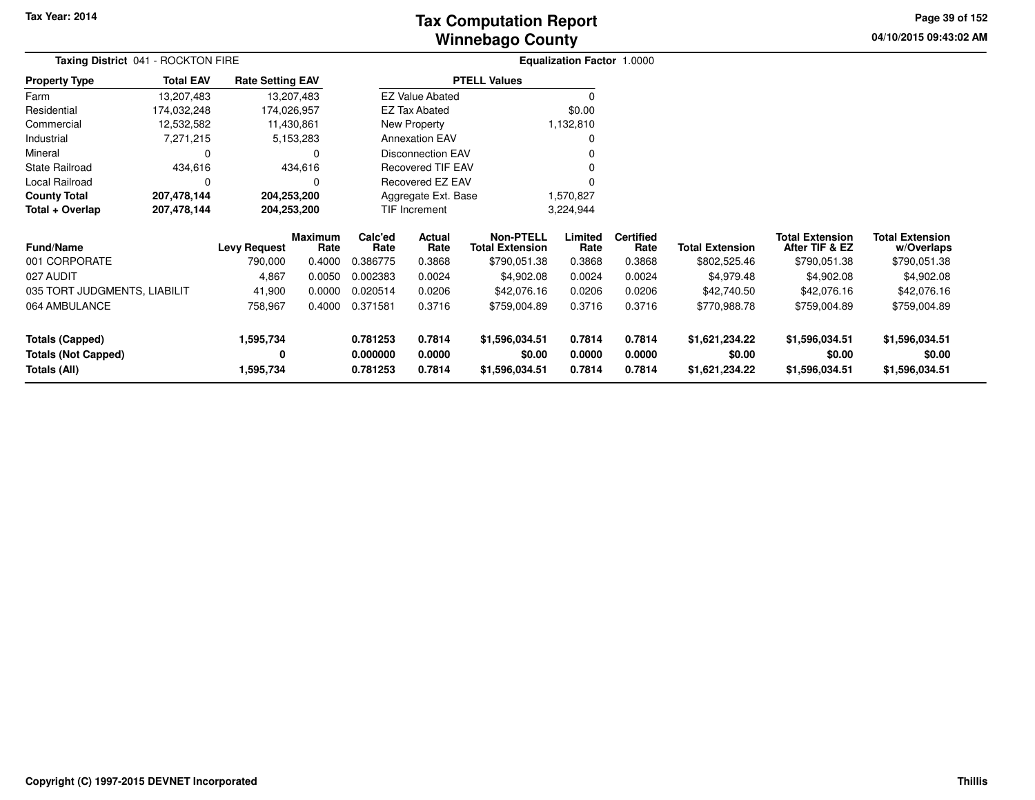# **Winnebago CountyTax Computation Report**

**04/10/2015 09:43:02 AM Page 39 of 152**

| Taxing District 041 - ROCKTON FIRE |                  |                         |                        |                 | Equalization Factor 1.0000 |                                            |                 |                          |                        |                                          |                                      |
|------------------------------------|------------------|-------------------------|------------------------|-----------------|----------------------------|--------------------------------------------|-----------------|--------------------------|------------------------|------------------------------------------|--------------------------------------|
| <b>Property Type</b>               | <b>Total EAV</b> | <b>Rate Setting EAV</b> |                        |                 |                            | <b>PTELL Values</b>                        |                 |                          |                        |                                          |                                      |
| Farm                               | 13,207,483       |                         | 13,207,483             |                 | <b>EZ Value Abated</b>     |                                            | $\Omega$        |                          |                        |                                          |                                      |
| Residential                        | 174,032,248      | 174,026,957             |                        |                 | <b>EZ Tax Abated</b>       |                                            | \$0.00          |                          |                        |                                          |                                      |
| Commercial                         | 12,532,582       |                         | 11,430,861             |                 | New Property               |                                            | 1,132,810       |                          |                        |                                          |                                      |
| Industrial                         | 7,271,215        |                         | 5,153,283              |                 | <b>Annexation EAV</b>      |                                            | 0               |                          |                        |                                          |                                      |
| Mineral                            | 0                |                         | 0                      |                 | <b>Disconnection EAV</b>   |                                            | $\Omega$        |                          |                        |                                          |                                      |
| <b>State Railroad</b>              | 434,616          |                         | 434,616                |                 | <b>Recovered TIF EAV</b>   |                                            | $\Omega$        |                          |                        |                                          |                                      |
| Local Railroad                     | 0                |                         | 0                      |                 | <b>Recovered EZ EAV</b>    |                                            | $\Omega$        |                          |                        |                                          |                                      |
| <b>County Total</b>                | 207,478,144      | 204,253,200             |                        |                 | Aggregate Ext. Base        |                                            | 1,570,827       |                          |                        |                                          |                                      |
| Total + Overlap                    | 207,478,144      | 204,253,200             |                        |                 | TIF Increment<br>3,224,944 |                                            |                 |                          |                        |                                          |                                      |
| <b>Fund/Name</b>                   |                  | <b>Levy Request</b>     | <b>Maximum</b><br>Rate | Calc'ed<br>Rate | <b>Actual</b><br>Rate      | <b>Non-PTELL</b><br><b>Total Extension</b> | Limited<br>Rate | <b>Certified</b><br>Rate | <b>Total Extension</b> | <b>Total Extension</b><br>After TIF & EZ | <b>Total Extension</b><br>w/Overlaps |
| 001 CORPORATE                      |                  | 790,000                 | 0.4000                 | 0.386775        | 0.3868                     | \$790,051.38                               | 0.3868          | 0.3868                   | \$802,525.46           | \$790,051.38                             | \$790,051.38                         |
| 027 AUDIT                          |                  | 4,867                   | 0.0050                 | 0.002383        | 0.0024                     | \$4,902.08                                 | 0.0024          | 0.0024                   | \$4,979.48             | \$4,902.08                               | \$4,902.08                           |
| 035 TORT JUDGMENTS, LIABILIT       |                  | 41,900                  | 0.0000                 | 0.020514        | 0.0206                     | \$42,076.16                                | 0.0206          | 0.0206                   | \$42,740.50            | \$42,076.16                              | \$42,076.16                          |
| 064 AMBULANCE                      |                  | 758,967                 | 0.4000                 | 0.371581        | 0.3716                     | \$759,004.89                               | 0.3716          | 0.3716                   | \$770,988.78           | \$759,004.89                             | \$759,004.89                         |
| <b>Totals (Capped)</b>             |                  | 1,595,734               |                        | 0.781253        | 0.7814                     | \$1,596,034.51                             | 0.7814          | 0.7814                   | \$1,621,234.22         | \$1,596,034.51                           | \$1,596,034.51                       |
| <b>Totals (Not Capped)</b>         |                  | 0                       |                        | 0.000000        | 0.0000                     | \$0.00                                     | 0.0000          | 0.0000                   | \$0.00                 | \$0.00                                   | \$0.00                               |
| <b>Totals (All)</b>                |                  | 1,595,734               |                        | 0.781253        | 0.7814                     | \$1,596,034.51                             | 0.7814          | 0.7814                   | \$1,621,234.22         | \$1,596,034.51                           | \$1,596,034.51                       |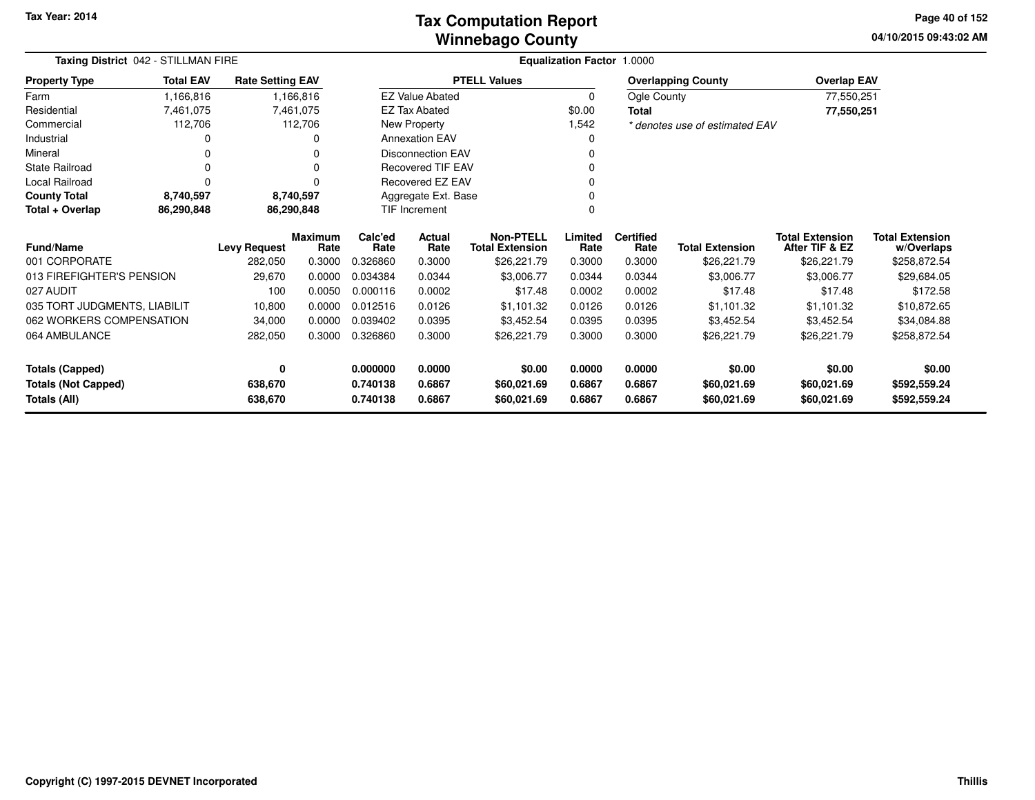### **Winnebago CountyTax Computation Report**

**04/10/2015 09:43:02 AMPage 40 of 152**

|                              | Taxing District 042 - STILLMAN FIRE<br><b>Total EAV</b><br><b>Rate Setting EAV</b> |                                                |                        |                 |                          |                                            | <b>Equalization Factor 1.0000</b> |                          |                                |                                          |                                      |
|------------------------------|------------------------------------------------------------------------------------|------------------------------------------------|------------------------|-----------------|--------------------------|--------------------------------------------|-----------------------------------|--------------------------|--------------------------------|------------------------------------------|--------------------------------------|
| <b>Property Type</b>         |                                                                                    |                                                |                        |                 |                          | <b>PTELL Values</b>                        |                                   |                          | <b>Overlapping County</b>      | <b>Overlap EAV</b>                       |                                      |
| Farm                         | 1,166,816                                                                          |                                                | 1,166,816              |                 | <b>EZ Value Abated</b>   |                                            | $\mathbf 0$                       | Ogle County              |                                | 77,550,251                               |                                      |
| Residential                  | 7,461,075                                                                          |                                                | 7,461,075              |                 | <b>EZ Tax Abated</b>     |                                            | \$0.00                            | <b>Total</b>             |                                | 77,550,251                               |                                      |
| Commercial                   | 112,706                                                                            |                                                | 112,706                |                 | New Property             |                                            | 1,542                             |                          | * denotes use of estimated EAV |                                          |                                      |
| Industrial                   |                                                                                    |                                                | 0                      |                 | <b>Annexation EAV</b>    |                                            | 0                                 |                          |                                |                                          |                                      |
| Mineral                      |                                                                                    |                                                | 0                      |                 | <b>Disconnection EAV</b> |                                            | 0                                 |                          |                                |                                          |                                      |
| <b>State Railroad</b>        | 0                                                                                  |                                                | 0                      |                 | <b>Recovered TIF EAV</b> |                                            | 0                                 |                          |                                |                                          |                                      |
| Local Railroad               | $\Omega$                                                                           |                                                | 0                      |                 | Recovered EZ EAV         |                                            | 0                                 |                          |                                |                                          |                                      |
| <b>County Total</b>          | 8,740,597                                                                          |                                                | 8,740,597              |                 | Aggregate Ext. Base      |                                            | 0                                 |                          |                                |                                          |                                      |
| Total + Overlap              | 86,290,848                                                                         | $\Omega$<br>86,290,848<br><b>TIF Increment</b> |                        |                 |                          |                                            |                                   |                          |                                |                                          |                                      |
| <b>Fund/Name</b>             |                                                                                    | <b>Levy Request</b>                            | <b>Maximum</b><br>Rate | Calc'ed<br>Rate | Actual<br>Rate           | <b>Non-PTELL</b><br><b>Total Extension</b> | Limited<br>Rate                   | <b>Certified</b><br>Rate | <b>Total Extension</b>         | <b>Total Extension</b><br>After TIF & EZ | <b>Total Extension</b><br>w/Overlaps |
| 001 CORPORATE                |                                                                                    | 282,050                                        | 0.3000                 | 0.326860        | 0.3000                   | \$26,221.79                                | 0.3000                            | 0.3000                   | \$26,221.79                    | \$26,221.79                              | \$258,872.54                         |
| 013 FIREFIGHTER'S PENSION    |                                                                                    | 29,670                                         | 0.0000                 | 0.034384        | 0.0344                   | \$3,006.77                                 | 0.0344                            | 0.0344                   | \$3,006.77                     | \$3,006.77                               | \$29,684.05                          |
| 027 AUDIT                    |                                                                                    | 100                                            | 0.0050                 | 0.000116        | 0.0002                   | \$17.48                                    | 0.0002                            | 0.0002                   | \$17.48                        | \$17.48                                  | \$172.58                             |
| 035 TORT JUDGMENTS, LIABILIT |                                                                                    | 10,800                                         | 0.0000                 | 0.012516        | 0.0126                   | \$1,101.32                                 | 0.0126                            | 0.0126                   | \$1,101.32                     | \$1,101.32                               | \$10,872.65                          |
| 062 WORKERS COMPENSATION     |                                                                                    | 34,000                                         | 0.0000                 | 0.039402        | 0.0395                   | \$3,452.54                                 | 0.0395                            | 0.0395                   | \$3,452.54                     | \$3,452.54                               | \$34,084.88                          |
| 064 AMBULANCE                |                                                                                    | 282,050                                        | 0.3000                 | 0.326860        | 0.3000                   | \$26,221.79                                | 0.3000                            | 0.3000                   | \$26,221.79                    | \$26,221.79                              | \$258,872.54                         |
| <b>Totals (Capped)</b>       |                                                                                    | 0                                              |                        | 0.000000        | 0.0000                   | \$0.00                                     | 0.0000                            | 0.0000                   | \$0.00                         | \$0.00                                   | \$0.00                               |
| <b>Totals (Not Capped)</b>   |                                                                                    | 638,670                                        |                        | 0.740138        | 0.6867                   | \$60,021.69                                | 0.6867                            | 0.6867                   | \$60,021.69                    | \$60,021.69                              | \$592,559.24                         |
| <b>Totals (All)</b>          |                                                                                    | 638,670                                        |                        | 0.740138        | 0.6867                   | \$60,021.69                                | 0.6867                            | 0.6867                   | \$60,021.69                    | \$60,021.69                              | \$592,559.24                         |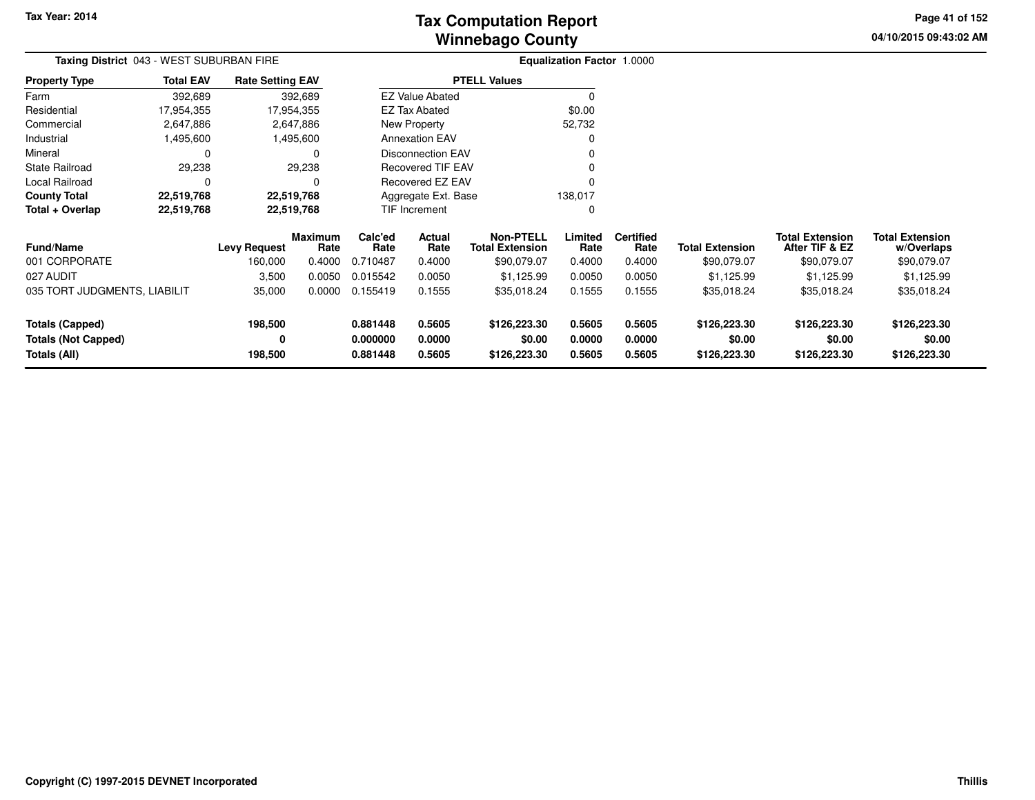**04/10/2015 09:43:02 AM Page 41 of 152**

| Taxing District 043 - WEST SUBURBAN FIRE |                  |                         |                        | <b>Equalization Factor 1.0000</b> |                         |                                            |                 |                          |                        |                                          |                                      |
|------------------------------------------|------------------|-------------------------|------------------------|-----------------------------------|-------------------------|--------------------------------------------|-----------------|--------------------------|------------------------|------------------------------------------|--------------------------------------|
| <b>Property Type</b>                     | <b>Total EAV</b> | <b>Rate Setting EAV</b> |                        |                                   |                         | <b>PTELL Values</b>                        |                 |                          |                        |                                          |                                      |
| Farm                                     | 392,689          |                         | 392,689                |                                   | <b>EZ Value Abated</b>  |                                            |                 |                          |                        |                                          |                                      |
| Residential                              | 17,954,355       |                         | 17,954,355             |                                   | <b>EZ Tax Abated</b>    |                                            | \$0.00          |                          |                        |                                          |                                      |
| Commercial                               | 2,647,886        |                         | 2,647,886              |                                   | New Property            |                                            | 52,732          |                          |                        |                                          |                                      |
| Industrial                               | 1,495,600        |                         | 1,495,600              |                                   | <b>Annexation EAV</b>   |                                            |                 |                          |                        |                                          |                                      |
| Mineral                                  | 0                |                         | 0                      |                                   | Disconnection EAV       |                                            |                 |                          |                        |                                          |                                      |
| State Railroad                           | 29,238           |                         | 29,238                 |                                   | Recovered TIF EAV       |                                            |                 |                          |                        |                                          |                                      |
| Local Railroad                           | 0                |                         |                        |                                   | <b>Recovered EZ EAV</b> |                                            |                 |                          |                        |                                          |                                      |
| <b>County Total</b>                      | 22,519,768       |                         | 22,519,768             | Aggregate Ext. Base               |                         |                                            | 138,017         |                          |                        |                                          |                                      |
| Total + Overlap                          | 22,519,768       | 22,519,768              |                        |                                   | <b>TIF Increment</b>    |                                            | 0               |                          |                        |                                          |                                      |
| <b>Fund/Name</b>                         |                  | <b>Levy Request</b>     | <b>Maximum</b><br>Rate | Calc'ed<br>Rate                   | Actual<br>Rate          | <b>Non-PTELL</b><br><b>Total Extension</b> | Limited<br>Rate | <b>Certified</b><br>Rate | <b>Total Extension</b> | <b>Total Extension</b><br>After TIF & EZ | <b>Total Extension</b><br>w/Overlaps |
| 001 CORPORATE                            |                  | 160,000                 | 0.4000                 | 0.710487                          | 0.4000                  | \$90,079.07                                | 0.4000          | 0.4000                   | \$90,079.07            | \$90,079.07                              | \$90,079.07                          |
| 027 AUDIT                                |                  | 3,500                   | 0.0050                 | 0.015542                          | 0.0050                  | \$1,125.99                                 | 0.0050          | 0.0050                   | \$1,125.99             | \$1,125.99                               | \$1,125.99                           |
| 035 TORT JUDGMENTS, LIABILIT             |                  | 35,000                  | 0.0000                 | 0.155419                          | 0.1555                  | \$35,018.24                                | 0.1555          | 0.1555                   | \$35,018.24            | \$35,018.24                              | \$35,018.24                          |
| Totals (Capped)                          |                  | 198,500                 |                        | 0.881448                          | 0.5605                  | \$126,223.30                               | 0.5605          | 0.5605                   | \$126,223.30           | \$126,223.30                             | \$126,223.30                         |
| <b>Totals (Not Capped)</b>               |                  | 0                       |                        | 0.000000                          | 0.0000                  | \$0.00                                     | 0.0000          | 0.0000                   | \$0.00                 | \$0.00                                   | \$0.00                               |
| Totals (All)                             |                  | 198,500                 |                        | 0.881448                          | 0.5605                  | \$126,223.30                               | 0.5605          | 0.5605                   | \$126,223.30           | \$126,223.30                             | \$126,223.30                         |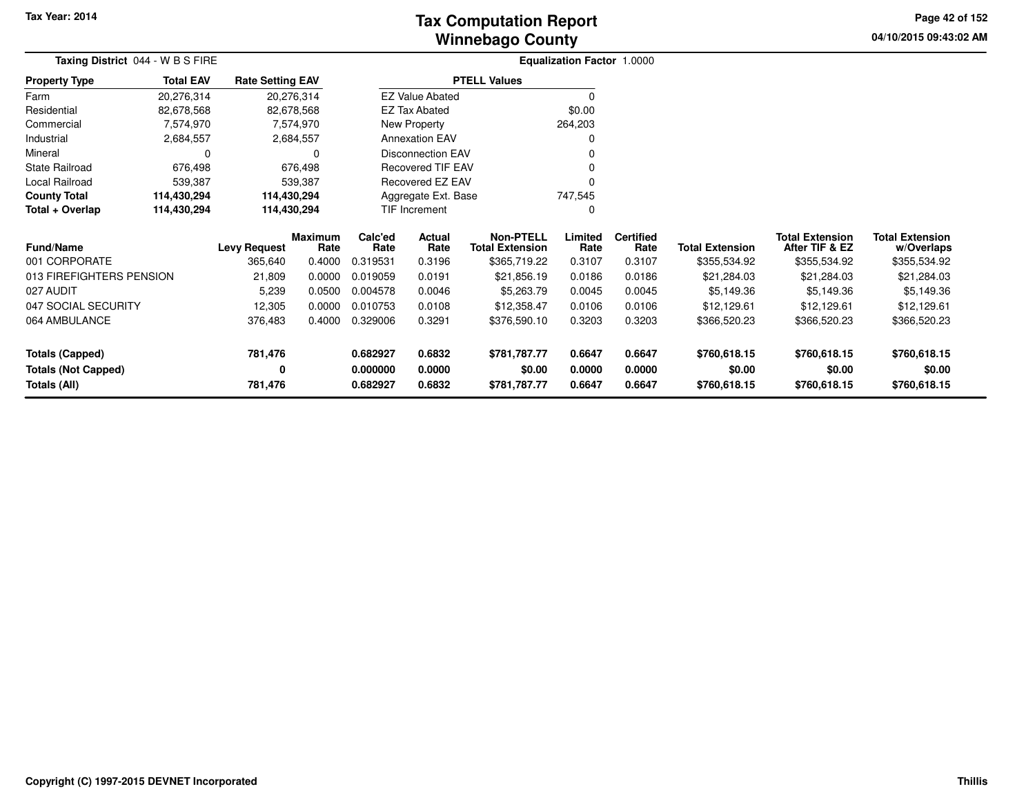# **Winnebago CountyTax Computation Report**

**04/10/2015 09:43:02 AM Page 42 of 152**

| Taxing District 044 - W B S FIRE |                                                                         |                     |                 |                 |                          |                                            | <b>Equalization Factor 1.0000</b> |                          |                        |                                          |                                      |
|----------------------------------|-------------------------------------------------------------------------|---------------------|-----------------|-----------------|--------------------------|--------------------------------------------|-----------------------------------|--------------------------|------------------------|------------------------------------------|--------------------------------------|
| <b>Property Type</b>             | <b>Total EAV</b><br><b>Rate Setting EAV</b><br>20,276,314<br>82,678,568 |                     |                 |                 |                          | <b>PTELL Values</b>                        |                                   |                          |                        |                                          |                                      |
| Farm                             |                                                                         |                     | 20,276,314      |                 | <b>EZ Value Abated</b>   |                                            | $\Omega$                          |                          |                        |                                          |                                      |
| Residential                      |                                                                         |                     | 82,678,568      |                 | EZ Tax Abated            |                                            | \$0.00                            |                          |                        |                                          |                                      |
| Commercial                       | 7,574,970                                                               |                     | 7,574,970       |                 | New Property             |                                            | 264,203                           |                          |                        |                                          |                                      |
| Industrial                       | 2,684,557                                                               |                     | 2,684,557       |                 | <b>Annexation EAV</b>    |                                            | 0                                 |                          |                        |                                          |                                      |
| Mineral                          | $\Omega$                                                                |                     | 0               |                 | <b>Disconnection EAV</b> |                                            |                                   |                          |                        |                                          |                                      |
| <b>State Railroad</b>            | 676,498                                                                 |                     | 676,498         |                 | <b>Recovered TIF EAV</b> |                                            |                                   |                          |                        |                                          |                                      |
| Local Railroad                   | 539,387                                                                 |                     | 539,387         |                 | Recovered EZ EAV         |                                            | O                                 |                          |                        |                                          |                                      |
| <b>County Total</b>              | 114,430,294                                                             | 114,430,294         |                 |                 | Aggregate Ext. Base      |                                            | 747,545                           |                          |                        |                                          |                                      |
| Total + Overlap                  | 114,430,294                                                             | 114,430,294         |                 |                 | TIF Increment            |                                            | 0                                 |                          |                        |                                          |                                      |
| <b>Fund/Name</b>                 |                                                                         | <b>Levy Request</b> | Maximum<br>Rate | Calc'ed<br>Rate | Actual<br>Rate           | <b>Non-PTELL</b><br><b>Total Extension</b> | Limited<br>Rate                   | <b>Certified</b><br>Rate | <b>Total Extension</b> | <b>Total Extension</b><br>After TIF & EZ | <b>Total Extension</b><br>w/Overlaps |
| 001 CORPORATE                    |                                                                         | 365,640             | 0.4000          | 0.319531        | 0.3196                   | \$365,719.22                               | 0.3107                            | 0.3107                   | \$355,534.92           | \$355,534.92                             | \$355,534.92                         |
| 013 FIREFIGHTERS PENSION         |                                                                         | 21,809              | 0.0000          | 0.019059        | 0.0191                   | \$21,856.19                                | 0.0186                            | 0.0186                   | \$21,284.03            | \$21,284.03                              | \$21,284.03                          |
| 027 AUDIT                        |                                                                         | 5,239               | 0.0500          | 0.004578        | 0.0046                   | \$5,263.79                                 | 0.0045                            | 0.0045                   | \$5,149.36             | \$5,149.36                               | \$5,149.36                           |
| 047 SOCIAL SECURITY              |                                                                         | 12,305              | 0.0000          | 0.010753        | 0.0108                   | \$12,358.47                                | 0.0106                            | 0.0106                   | \$12,129.61            | \$12,129.61                              | \$12,129.61                          |
| 064 AMBULANCE                    |                                                                         | 376,483             | 0.4000          | 0.329006        | 0.3291                   | \$376,590.10                               | 0.3203                            | 0.3203                   | \$366,520.23           | \$366,520.23                             | \$366,520.23                         |
| Totals (Capped)                  |                                                                         | 781,476             |                 | 0.682927        | 0.6832                   | \$781,787.77                               | 0.6647                            | 0.6647                   | \$760,618.15           | \$760,618.15                             | \$760,618.15                         |
| <b>Totals (Not Capped)</b>       |                                                                         | 0                   |                 | 0.000000        | 0.0000                   | \$0.00                                     | 0.0000                            | 0.0000                   | \$0.00                 | \$0.00                                   | \$0.00                               |
| Totals (All)                     |                                                                         | 781,476             |                 | 0.682927        | 0.6832                   | \$781,787.77                               | 0.6647                            | 0.6647                   | \$760,618.15           | \$760,618.15                             | \$760,618.15                         |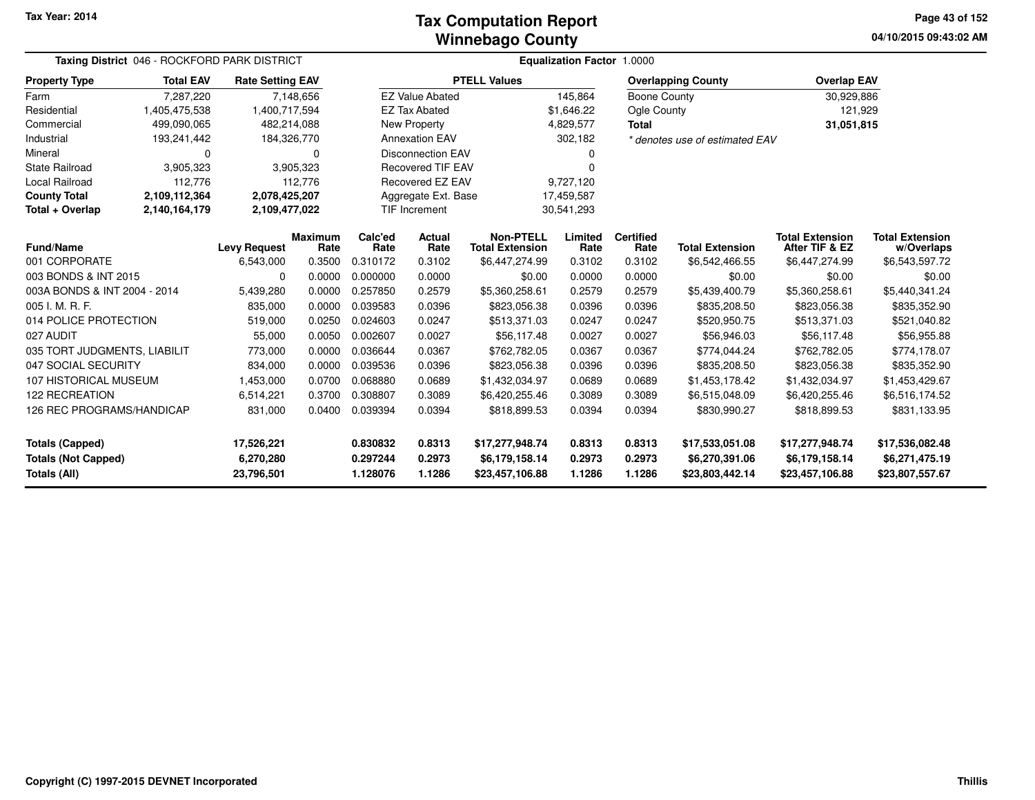#### **Winnebago CountyTax Computation Report**

**04/10/2015 09:43:02 AM Page 43 of 152**

| Taxing District 046 - ROCKFORD PARK DISTRICT      |                  |                         |                 | <b>Equalization Factor 1.0000</b> |                               |                                            |                  |                          |                                   |                                          |                                      |  |  |
|---------------------------------------------------|------------------|-------------------------|-----------------|-----------------------------------|-------------------------------|--------------------------------------------|------------------|--------------------------|-----------------------------------|------------------------------------------|--------------------------------------|--|--|
| <b>Property Type</b>                              | <b>Total EAV</b> | <b>Rate Setting EAV</b> |                 |                                   |                               | <b>PTELL Values</b>                        |                  |                          | <b>Overlapping County</b>         | <b>Overlap EAV</b>                       |                                      |  |  |
| Farm                                              | 7,287,220        |                         | 7,148,656       |                                   | <b>EZ Value Abated</b>        |                                            | 145,864          | <b>Boone County</b>      |                                   | 30,929,886                               |                                      |  |  |
| Residential                                       | 1,405,475,538    | 1,400,717,594           |                 |                                   | <b>EZ Tax Abated</b>          |                                            | \$1,646.22       | Ogle County              |                                   | 121,929                                  |                                      |  |  |
| Commercial                                        | 499,090,065      | 482,214,088             |                 |                                   | New Property                  |                                            | 4,829,577        | Total                    |                                   | 31,051,815                               |                                      |  |  |
| Industrial                                        | 193,241,442      | 184,326,770             |                 |                                   | <b>Annexation EAV</b>         |                                            | 302,182          |                          | * denotes use of estimated EAV    |                                          |                                      |  |  |
| Mineral                                           | 0                |                         | 0               |                                   | <b>Disconnection EAV</b>      |                                            |                  |                          |                                   |                                          |                                      |  |  |
| <b>State Railroad</b>                             | 3,905,323        |                         | 3,905,323       |                                   | <b>Recovered TIF EAV</b>      |                                            | U                |                          |                                   |                                          |                                      |  |  |
| Local Railroad                                    | 112,776          |                         | 112,776         |                                   | Recovered EZ EAV<br>9,727,120 |                                            |                  |                          |                                   |                                          |                                      |  |  |
| <b>County Total</b>                               | 2,109,112,364    | 2,078,425,207           |                 |                                   | Aggregate Ext. Base           |                                            | 17,459,587       |                          |                                   |                                          |                                      |  |  |
| Total + Overlap                                   | 2,140,164,179    | 2,109,477,022           |                 |                                   | TIF Increment                 |                                            | 30,541,293       |                          |                                   |                                          |                                      |  |  |
| <b>Fund/Name</b>                                  |                  | <b>Levy Request</b>     | Maximum<br>Rate | Calc'ed<br>Rate                   | <b>Actual</b><br>Rate         | <b>Non-PTELL</b><br><b>Total Extension</b> | Limited<br>Rate  | <b>Certified</b><br>Rate | <b>Total Extension</b>            | <b>Total Extension</b><br>After TIF & EZ | <b>Total Extension</b><br>w/Overlaps |  |  |
| 001 CORPORATE                                     |                  | 6,543,000               | 0.3500          | 0.310172                          | 0.3102                        | \$6,447,274.99                             | 0.3102           | 0.3102                   | \$6,542,466.55                    | \$6,447,274.99                           | \$6,543,597.72                       |  |  |
| 003 BONDS & INT 2015                              |                  | 0                       | 0.0000          | 0.000000                          | 0.0000                        | \$0.00                                     | 0.0000           | 0.0000                   | \$0.00                            | \$0.00                                   | \$0.00                               |  |  |
| 003A BONDS & INT 2004 - 2014                      |                  | 5,439,280               | 0.0000          | 0.257850                          | 0.2579                        | \$5,360,258.61                             | 0.2579           | 0.2579                   | \$5,439,400.79                    | \$5,360,258.61                           | \$5,440,341.24                       |  |  |
| 005 I. M. R. F.                                   |                  | 835,000                 | 0.0000          | 0.039583                          | 0.0396                        | \$823,056.38                               | 0.0396           | 0.0396                   | \$835,208.50                      | \$823,056.38                             | \$835,352.90                         |  |  |
| 014 POLICE PROTECTION                             |                  | 519,000                 | 0.0250          | 0.024603                          | 0.0247                        | \$513,371.03                               | 0.0247           | 0.0247                   | \$520,950.75                      | \$513,371.03                             | \$521,040.82                         |  |  |
| 027 AUDIT                                         |                  | 55,000                  | 0.0050          | 0.002607                          | 0.0027                        | \$56,117.48                                | 0.0027           | 0.0027                   | \$56,946.03                       | \$56,117.48                              | \$56,955.88                          |  |  |
| 035 TORT JUDGMENTS, LIABILIT                      |                  | 773,000                 | 0.0000          | 0.036644                          | 0.0367                        | \$762,782.05                               | 0.0367           | 0.0367                   | \$774,044.24                      | \$762,782.05                             | \$774,178.07                         |  |  |
| 047 SOCIAL SECURITY                               |                  | 834,000                 | 0.0000          | 0.039536                          | 0.0396                        | \$823,056.38                               | 0.0396           | 0.0396                   | \$835,208.50                      | \$823,056.38                             | \$835,352.90                         |  |  |
| 107 HISTORICAL MUSEUM                             |                  | 1,453,000               | 0.0700          | 0.068880                          | 0.0689                        | \$1,432,034.97                             | 0.0689           | 0.0689                   | \$1,453,178.42                    | \$1,432,034.97                           | \$1,453,429.67                       |  |  |
| <b>122 RECREATION</b>                             |                  | 6,514,221               | 0.3700          | 0.308807                          | 0.3089                        | \$6,420,255.46                             | 0.3089           | 0.3089                   | \$6,515,048.09                    | \$6,420,255.46                           | \$6,516,174.52                       |  |  |
| 126 REC PROGRAMS/HANDICAP                         |                  | 831,000                 | 0.0400          | 0.039394                          | 0.0394                        | \$818,899.53                               | 0.0394           | 0.0394                   | \$830,990.27                      | \$818,899.53                             | \$831,133.95                         |  |  |
| <b>Totals (Capped)</b>                            |                  | 17,526,221              |                 | 0.830832                          | 0.8313                        | \$17,277,948.74                            | 0.8313           | 0.8313                   | \$17,533,051.08                   | \$17,277,948.74                          | \$17,536,082.48                      |  |  |
| <b>Totals (Not Capped)</b><br><b>Totals (All)</b> |                  | 6,270,280<br>23,796,501 |                 | 0.297244<br>1.128076              | 0.2973<br>1.1286              | \$6,179,158.14<br>\$23,457,106.88          | 0.2973<br>1.1286 | 0.2973<br>1.1286         | \$6,270,391.06<br>\$23,803,442.14 | \$6,179,158.14<br>\$23,457,106.88        | \$6,271,475.19<br>\$23,807,557.67    |  |  |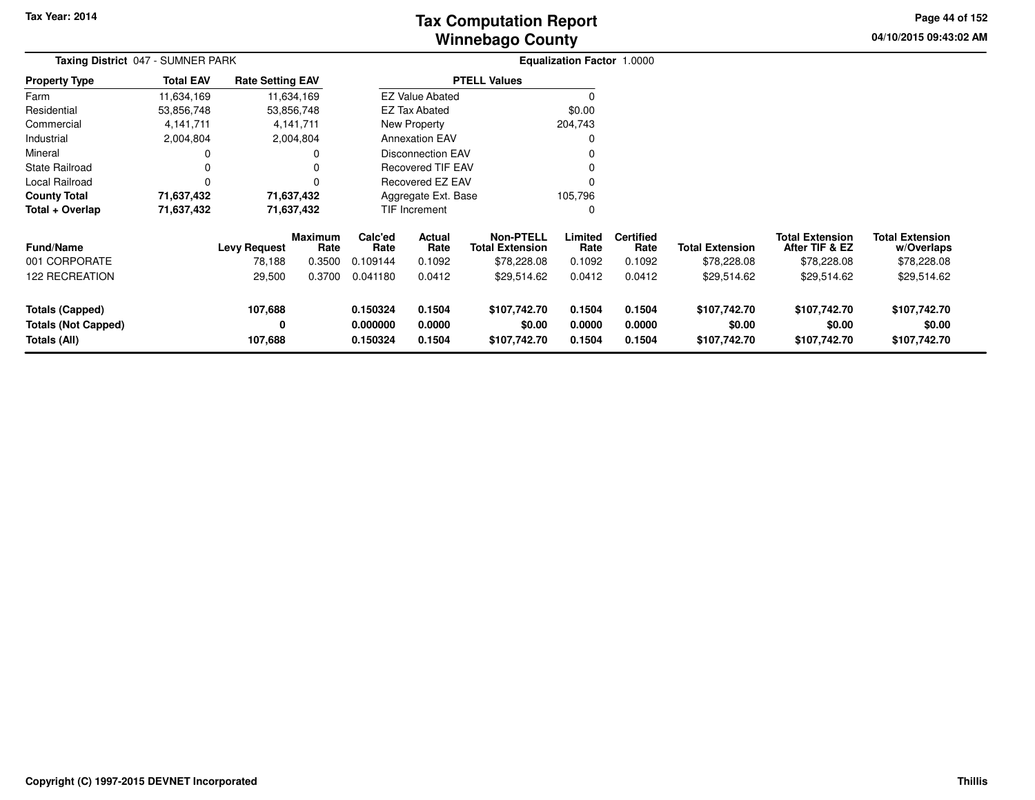# **Winnebago CountyTax Computation Report**

**04/10/2015 09:43:02 AM Page 44 of 152**

| Taxing District 047 - SUMNER PARK                             |                  |                               |                                  |                                  |                            | <b>Equalization Factor 1.0000</b>                         |                            |                                    |                                        |                                                         |                                                     |  |
|---------------------------------------------------------------|------------------|-------------------------------|----------------------------------|----------------------------------|----------------------------|-----------------------------------------------------------|----------------------------|------------------------------------|----------------------------------------|---------------------------------------------------------|-----------------------------------------------------|--|
| <b>Property Type</b>                                          | <b>Total EAV</b> | <b>Rate Setting EAV</b>       |                                  |                                  |                            | <b>PTELL Values</b>                                       |                            |                                    |                                        |                                                         |                                                     |  |
| Farm                                                          | 11,634,169       | 11,634,169                    |                                  |                                  | <b>EZ Value Abated</b>     |                                                           |                            |                                    |                                        |                                                         |                                                     |  |
| Residential                                                   | 53,856,748       | 53,856,748                    |                                  |                                  | EZ Tax Abated              |                                                           | \$0.00                     |                                    |                                        |                                                         |                                                     |  |
| Commercial                                                    | 4,141,711        |                               | 4,141,711                        |                                  | New Property               |                                                           | 204,743                    |                                    |                                        |                                                         |                                                     |  |
| Industrial                                                    | 2,004,804        |                               | 2,004,804                        |                                  | <b>Annexation EAV</b>      |                                                           | 0                          |                                    |                                        |                                                         |                                                     |  |
| Mineral                                                       | 0                |                               |                                  |                                  | <b>Disconnection EAV</b>   |                                                           | 0                          |                                    |                                        |                                                         |                                                     |  |
| <b>State Railroad</b>                                         | $\Omega$         |                               |                                  |                                  | <b>Recovered TIF EAV</b>   |                                                           | 0                          |                                    |                                        |                                                         |                                                     |  |
| Local Railroad                                                | $\Omega$         |                               |                                  |                                  | <b>Recovered EZ EAV</b>    |                                                           | $\Omega$                   |                                    |                                        |                                                         |                                                     |  |
| <b>County Total</b>                                           | 71,637,432       | 71,637,432                    |                                  |                                  | Aggregate Ext. Base        |                                                           | 105,796                    |                                    |                                        |                                                         |                                                     |  |
| Total + Overlap                                               | 71,637,432       | 71,637,432                    |                                  |                                  | <b>TIF Increment</b>       |                                                           | 0                          |                                    |                                        |                                                         |                                                     |  |
| <b>Fund/Name</b><br>001 CORPORATE                             |                  | <b>Levy Request</b><br>78,188 | <b>Maximum</b><br>Rate<br>0.3500 | Calc'ed<br>Rate<br>0.109144      | Actual<br>Rate<br>0.1092   | <b>Non-PTELL</b><br><b>Total Extension</b><br>\$78,228.08 | Limited<br>Rate<br>0.1092  | <b>Certified</b><br>Rate<br>0.1092 | <b>Total Extension</b><br>\$78,228.08  | <b>Total Extension</b><br>After TIF & EZ<br>\$78,228.08 | <b>Total Extension</b><br>w/Overlaps<br>\$78,228.08 |  |
| 122 RECREATION                                                |                  | 29,500                        | 0.3700                           | 0.041180                         | 0.0412                     | \$29,514.62                                               | 0.0412                     | 0.0412                             | \$29,514.62                            | \$29,514.62                                             | \$29,514.62                                         |  |
| Totals (Capped)<br><b>Totals (Not Capped)</b><br>Totals (All) |                  | 107,688<br>0<br>107,688       |                                  | 0.150324<br>0.000000<br>0.150324 | 0.1504<br>0.0000<br>0.1504 | \$107,742.70<br>\$0.00<br>\$107,742.70                    | 0.1504<br>0.0000<br>0.1504 | 0.1504<br>0.0000<br>0.1504         | \$107,742.70<br>\$0.00<br>\$107,742.70 | \$107,742.70<br>\$0.00<br>\$107,742.70                  | \$107,742.70<br>\$0.00<br>\$107,742.70              |  |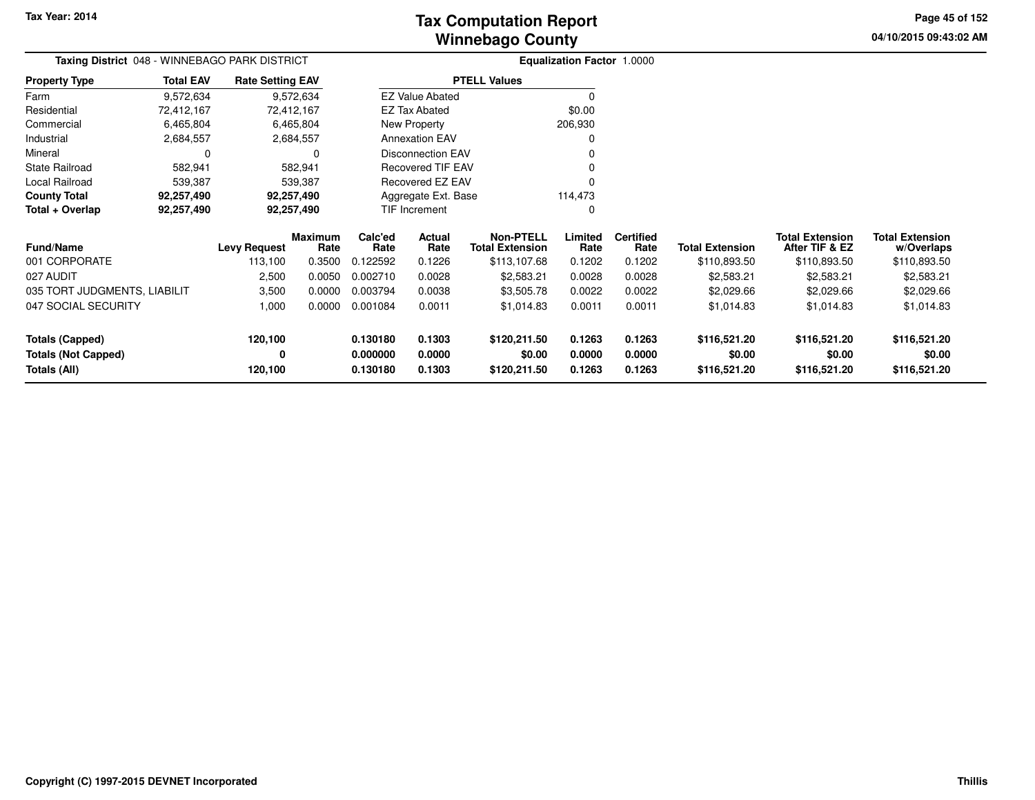**04/10/2015 09:43:02 AMPage 45 of 152**

| <b>Taxing District</b> 048 - WINNEBAGO PARK DISTRICT |                          |                         |                        |                 |                          |                                            | <b>Equalization Factor 1.0000</b> |                          |                        |                                          |                                      |
|------------------------------------------------------|--------------------------|-------------------------|------------------------|-----------------|--------------------------|--------------------------------------------|-----------------------------------|--------------------------|------------------------|------------------------------------------|--------------------------------------|
| <b>Property Type</b>                                 | <b>Total EAV</b>         | <b>Rate Setting EAV</b> |                        |                 |                          | <b>PTELL Values</b>                        |                                   |                          |                        |                                          |                                      |
| Farm                                                 | 9,572,634                |                         | 9,572,634              |                 | <b>EZ Value Abated</b>   |                                            | $\Omega$                          |                          |                        |                                          |                                      |
| Residential                                          | 72,412,167               | 72,412,167              |                        |                 | <b>EZ Tax Abated</b>     |                                            | \$0.00                            |                          |                        |                                          |                                      |
| Commercial                                           | 6,465,804                |                         | 6,465,804              |                 | New Property             |                                            | 206,930                           |                          |                        |                                          |                                      |
| Industrial                                           | 2,684,557                |                         | 2,684,557              |                 | <b>Annexation EAV</b>    |                                            |                                   |                          |                        |                                          |                                      |
| Mineral                                              | 0                        |                         | <sup>0</sup>           |                 | <b>Disconnection EAV</b> |                                            |                                   |                          |                        |                                          |                                      |
| State Railroad                                       | 582,941                  |                         | 582,941                |                 | Recovered TIF EAV        |                                            |                                   |                          |                        |                                          |                                      |
| Local Railroad                                       | 539,387<br>539,387       |                         |                        |                 | Recovered EZ EAV         |                                            |                                   |                          |                        |                                          |                                      |
| <b>County Total</b>                                  | 92,257,490<br>92,257,490 |                         |                        |                 | Aggregate Ext. Base      |                                            | 114,473                           |                          |                        |                                          |                                      |
| Total + Overlap                                      | 92,257,490               | 92,257,490              |                        |                 | TIF Increment            |                                            |                                   |                          |                        |                                          |                                      |
| <b>Fund/Name</b>                                     |                          | <b>Levy Request</b>     | <b>Maximum</b><br>Rate | Calc'ed<br>Rate | Actual<br>Rate           | <b>Non-PTELL</b><br><b>Total Extension</b> | Limited<br>Rate                   | <b>Certified</b><br>Rate | <b>Total Extension</b> | <b>Total Extension</b><br>After TIF & EZ | <b>Total Extension</b><br>w/Overlaps |
| 001 CORPORATE                                        |                          | 113,100                 | 0.3500                 | 0.122592        | 0.1226                   | \$113,107.68                               | 0.1202                            | 0.1202                   | \$110,893.50           | \$110,893.50                             | \$110,893.50                         |
| 027 AUDIT                                            |                          | 2,500                   | 0.0050                 | 0.002710        | 0.0028                   | \$2,583.21                                 | 0.0028                            | 0.0028                   | \$2,583.21             | \$2,583.21                               | \$2,583.21                           |
| 035 TORT JUDGMENTS, LIABILIT                         |                          | 3,500                   | 0.0000                 | 0.003794        | 0.0038                   | \$3,505.78                                 | 0.0022                            | 0.0022                   | \$2,029.66             | \$2,029.66                               | \$2,029.66                           |
| 047 SOCIAL SECURITY                                  |                          | 1,000                   | 0.0000                 | 0.001084        | 0.0011                   | \$1,014.83                                 | 0.0011                            | 0.0011                   | \$1,014.83             | \$1,014.83                               | \$1,014.83                           |
| <b>Totals (Capped)</b>                               |                          | 120,100                 |                        | 0.130180        | 0.1303                   | \$120,211.50                               | 0.1263                            | 0.1263                   | \$116,521.20           | \$116,521.20                             | \$116,521.20                         |
| <b>Totals (Not Capped)</b>                           |                          | 0                       |                        | 0.000000        | 0.0000                   | \$0.00                                     | 0.0000                            | 0.0000                   | \$0.00                 | \$0.00                                   | \$0.00                               |
| Totals (All)                                         |                          | 120,100                 |                        | 0.130180        | 0.1303                   | \$120,211.50                               | 0.1263                            | 0.1263                   | \$116,521.20           | \$116,521.20                             | \$116,521.20                         |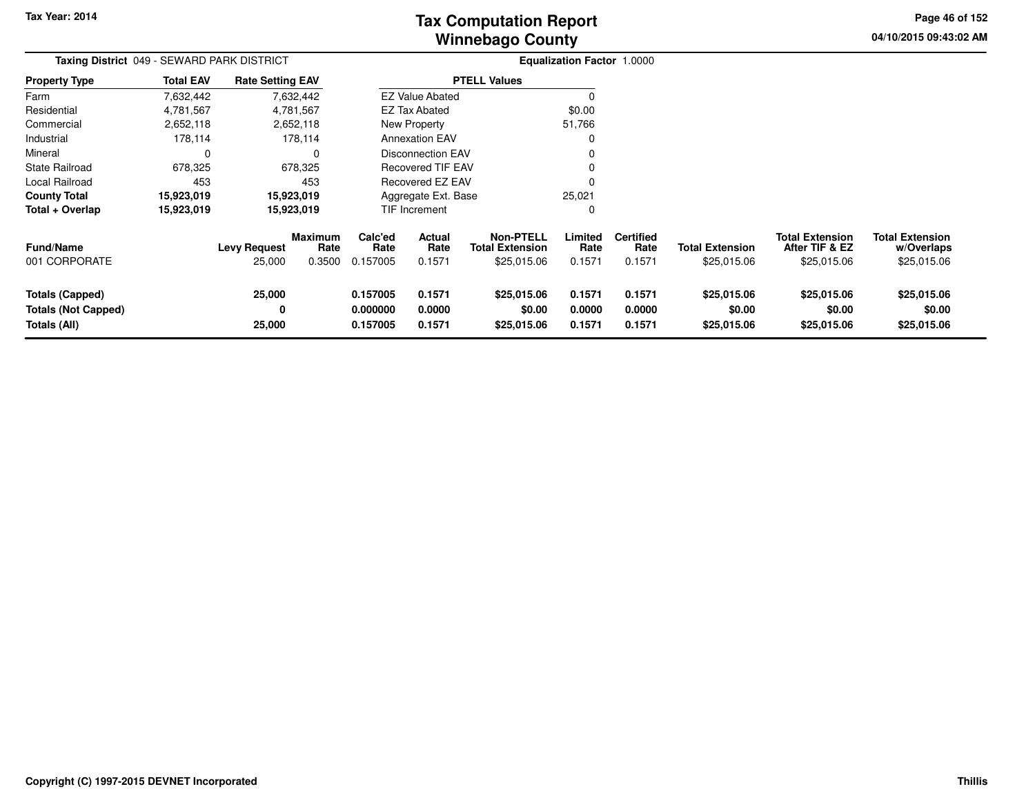**04/10/2015 09:43:02 AM Page 46 of 152**

| Taxing District 049 - SEWARD PARK DISTRICT                    |                  |                               |                                  | <b>Equalization Factor 1.0000</b> |                            |                                                           |                            |                                    |                                       |                                                         |                                                     |
|---------------------------------------------------------------|------------------|-------------------------------|----------------------------------|-----------------------------------|----------------------------|-----------------------------------------------------------|----------------------------|------------------------------------|---------------------------------------|---------------------------------------------------------|-----------------------------------------------------|
| <b>Property Type</b>                                          | <b>Total EAV</b> | <b>Rate Setting EAV</b>       |                                  |                                   |                            | <b>PTELL Values</b>                                       |                            |                                    |                                       |                                                         |                                                     |
| Farm                                                          | 7,632,442        |                               | 7,632,442                        |                                   | <b>EZ Value Abated</b>     |                                                           |                            |                                    |                                       |                                                         |                                                     |
| Residential                                                   | 4,781,567        |                               | 4,781,567                        |                                   | EZ Tax Abated              |                                                           | \$0.00                     |                                    |                                       |                                                         |                                                     |
| Commercial                                                    | 2,652,118        |                               | 2,652,118                        |                                   | New Property               |                                                           | 51,766                     |                                    |                                       |                                                         |                                                     |
| Industrial                                                    | 178,114          |                               | 178,114                          |                                   | <b>Annexation EAV</b>      |                                                           |                            |                                    |                                       |                                                         |                                                     |
| Mineral                                                       | 0                |                               | 0                                |                                   | <b>Disconnection EAV</b>   |                                                           |                            |                                    |                                       |                                                         |                                                     |
| State Railroad                                                | 678,325          |                               | 678,325                          |                                   | <b>Recovered TIF EAV</b>   |                                                           |                            |                                    |                                       |                                                         |                                                     |
| Local Railroad                                                | 453              |                               | 453                              |                                   | Recovered EZ EAV           |                                                           |                            |                                    |                                       |                                                         |                                                     |
| County Total                                                  | 15,923,019       |                               | 15,923,019                       |                                   | Aggregate Ext. Base        |                                                           | 25,021                     |                                    |                                       |                                                         |                                                     |
| Total + Overlap                                               | 15,923,019       |                               | 15,923,019                       |                                   | TIF Increment              |                                                           |                            |                                    |                                       |                                                         |                                                     |
| Fund/Name<br>001 CORPORATE                                    |                  | <b>Levy Request</b><br>25,000 | <b>Maximum</b><br>Rate<br>0.3500 | Calc'ed<br>Rate<br>0.157005       | Actual<br>Rate<br>0.1571   | <b>Non-PTELL</b><br><b>Total Extension</b><br>\$25,015.06 | Limited<br>Rate<br>0.1571  | <b>Certified</b><br>Rate<br>0.1571 | <b>Total Extension</b><br>\$25,015.06 | <b>Total Extension</b><br>After TIF & EZ<br>\$25,015.06 | <b>Total Extension</b><br>w/Overlaps<br>\$25,015.06 |
| Totals (Capped)<br><b>Totals (Not Capped)</b><br>Totals (All) |                  | 25,000<br>0<br>25,000         |                                  | 0.157005<br>0.000000<br>0.157005  | 0.1571<br>0.0000<br>0.1571 | \$25,015.06<br>\$0.00<br>\$25,015.06                      | 0.1571<br>0.0000<br>0.1571 | 0.1571<br>0.0000<br>0.1571         | \$25,015.06<br>\$0.00<br>\$25,015.06  | \$25,015.06<br>\$0.00<br>\$25,015.06                    | \$25,015.06<br>\$0.00<br>\$25,015.06                |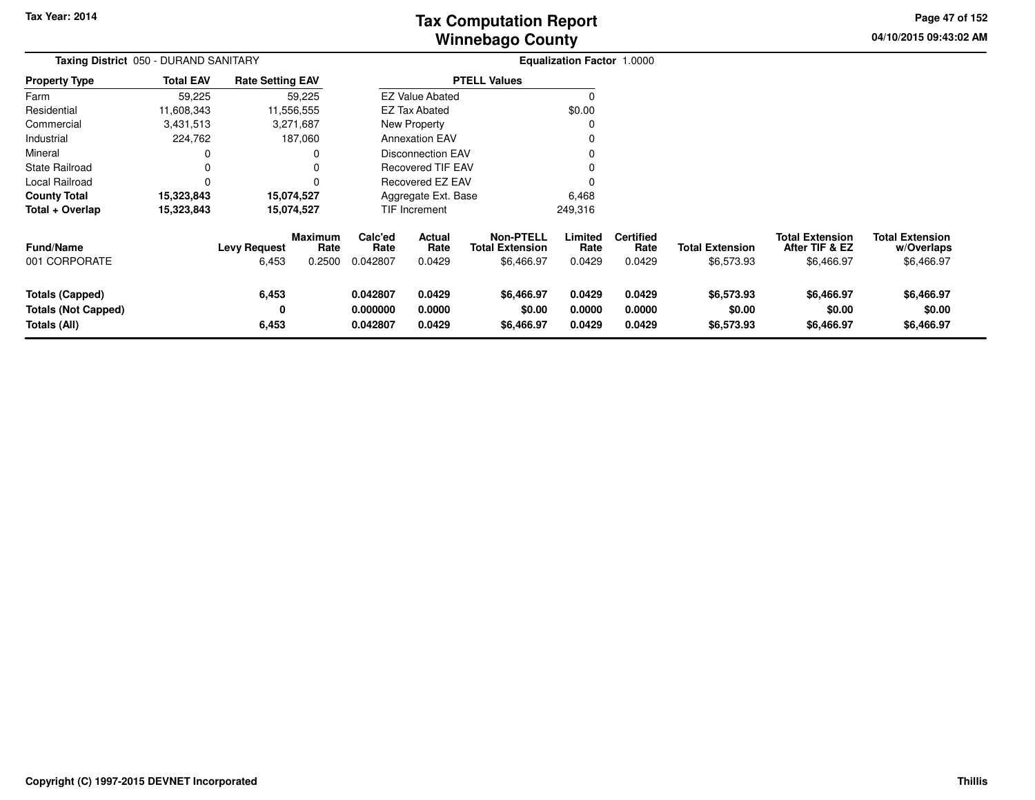# **Winnebago CountyTax Computation Report**

**04/10/2015 09:43:02 AM Page 47 of 152**

| Taxing District 050 - DURAND SANITARY                                |                  |                              |                                  | <b>Equalization Factor 1.0000</b> |                            |                                                          |                            |                                    |                                      |                                                        |                                                    |
|----------------------------------------------------------------------|------------------|------------------------------|----------------------------------|-----------------------------------|----------------------------|----------------------------------------------------------|----------------------------|------------------------------------|--------------------------------------|--------------------------------------------------------|----------------------------------------------------|
| <b>Property Type</b>                                                 | <b>Total EAV</b> | <b>Rate Setting EAV</b>      |                                  |                                   |                            | <b>PTELL Values</b>                                      |                            |                                    |                                      |                                                        |                                                    |
| Farm                                                                 | 59,225           |                              | 59,225                           |                                   | <b>EZ Value Abated</b>     |                                                          |                            |                                    |                                      |                                                        |                                                    |
| Residential                                                          | 11,608,343       |                              | 11,556,555                       |                                   | <b>EZ Tax Abated</b>       |                                                          | \$0.00                     |                                    |                                      |                                                        |                                                    |
| Commercial                                                           | 3,431,513        |                              | 3,271,687                        |                                   | New Property               |                                                          |                            |                                    |                                      |                                                        |                                                    |
| Industrial                                                           | 224,762          |                              | 187,060                          |                                   | <b>Annexation EAV</b>      |                                                          |                            |                                    |                                      |                                                        |                                                    |
| Mineral                                                              | 0                |                              | 0                                |                                   | <b>Disconnection EAV</b>   |                                                          |                            |                                    |                                      |                                                        |                                                    |
| State Railroad                                                       | $\Omega$         |                              | 0                                |                                   | <b>Recovered TIF EAV</b>   |                                                          |                            |                                    |                                      |                                                        |                                                    |
| Local Railroad                                                       | $\Omega$         |                              | 0                                |                                   | Recovered EZ EAV           |                                                          |                            |                                    |                                      |                                                        |                                                    |
| <b>County Total</b>                                                  | 15,323,843       |                              | 15,074,527                       |                                   | Aggregate Ext. Base        |                                                          | 6,468                      |                                    |                                      |                                                        |                                                    |
| Total + Overlap                                                      | 15,323,843       |                              | 15,074,527                       |                                   | TIF Increment              |                                                          | 249,316                    |                                    |                                      |                                                        |                                                    |
| <b>Fund/Name</b><br>001 CORPORATE                                    |                  | <b>Levy Request</b><br>6,453 | <b>Maximum</b><br>Rate<br>0.2500 | Calc'ed<br>Rate<br>0.042807       | Actual<br>Rate<br>0.0429   | <b>Non-PTELL</b><br><b>Total Extension</b><br>\$6,466.97 | Limited<br>Rate<br>0.0429  | <b>Certified</b><br>Rate<br>0.0429 | <b>Total Extension</b><br>\$6,573.93 | <b>Total Extension</b><br>After TIF & EZ<br>\$6,466.97 | <b>Total Extension</b><br>w/Overlaps<br>\$6,466.97 |
| <b>Totals (Capped)</b><br><b>Totals (Not Capped)</b><br>Totals (All) |                  | 6,453<br>0<br>6,453          |                                  | 0.042807<br>0.000000<br>0.042807  | 0.0429<br>0.0000<br>0.0429 | \$6,466.97<br>\$0.00<br>\$6,466.97                       | 0.0429<br>0.0000<br>0.0429 | 0.0429<br>0.0000<br>0.0429         | \$6,573.93<br>\$0.00<br>\$6,573.93   | \$6,466.97<br>\$0.00<br>\$6,466.97                     | \$6,466.97<br>\$0.00<br>\$6,466.97                 |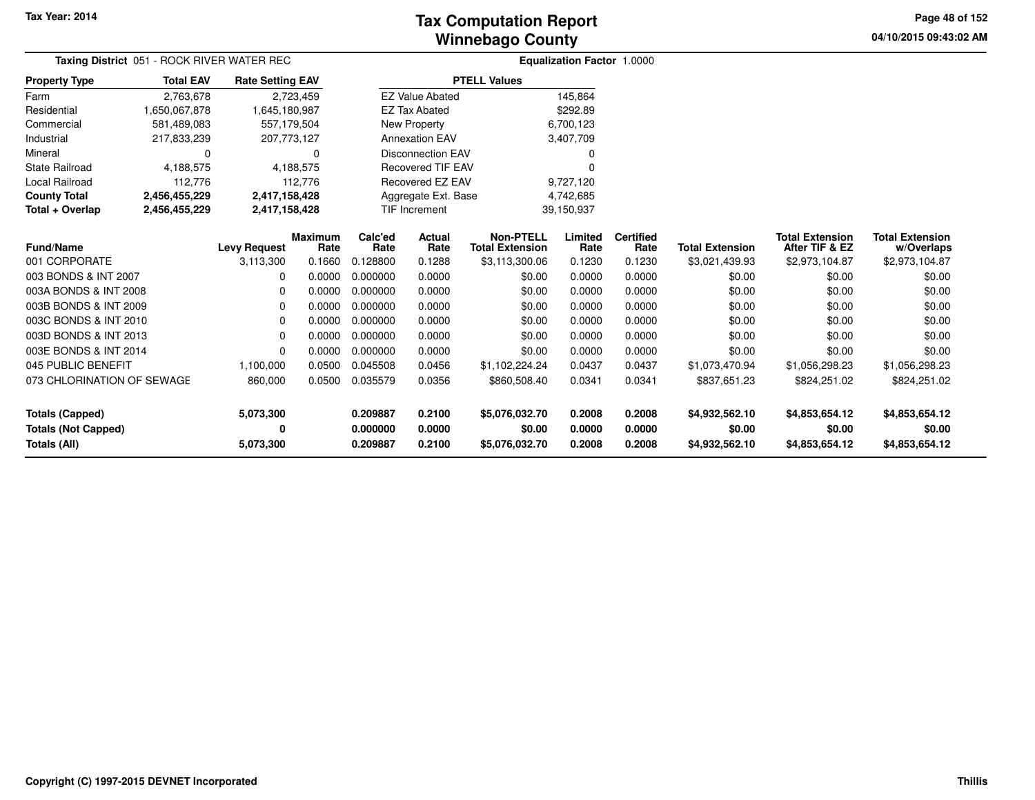# **Winnebago CountyTax Computation Report**

**04/10/2015 09:43:02 AM Page 48 of 152**

| Taxing District 051 - ROCK RIVER WATER REC |                  | Equalization Factor 1.0000 |                |          |                          |                        |            |                  |                        |                        |                        |
|--------------------------------------------|------------------|----------------------------|----------------|----------|--------------------------|------------------------|------------|------------------|------------------------|------------------------|------------------------|
| <b>Property Type</b>                       | <b>Total EAV</b> | <b>Rate Setting EAV</b>    |                |          |                          | <b>PTELL Values</b>    |            |                  |                        |                        |                        |
| Farm                                       | 2,763,678        |                            | 2,723,459      |          | <b>EZ Value Abated</b>   |                        | 145,864    |                  |                        |                        |                        |
| Residential                                | 1,650,067,878    | 1,645,180,987              |                |          | <b>EZ Tax Abated</b>     |                        | \$292.89   |                  |                        |                        |                        |
| Commercial                                 | 581,489,083      | 557,179,504                |                |          | New Property             |                        | 6,700,123  |                  |                        |                        |                        |
| Industrial                                 | 217,833,239      | 207,773,127                |                |          | <b>Annexation EAV</b>    |                        | 3,407,709  |                  |                        |                        |                        |
| Mineral                                    | O                |                            | $\Omega$       |          | <b>Disconnection EAV</b> |                        | 0          |                  |                        |                        |                        |
| <b>State Railroad</b>                      | 4,188,575        | 4,188,575                  |                |          | <b>Recovered TIF EAV</b> |                        | C          |                  |                        |                        |                        |
| Local Railroad                             | 112,776          |                            | 112,776        |          | Recovered EZ EAV         |                        | 9,727,120  |                  |                        |                        |                        |
| <b>County Total</b>                        | 2,456,455,229    | 2,417,158,428              |                |          | Aggregate Ext. Base      |                        | 4,742,685  |                  |                        |                        |                        |
| Total + Overlap                            | 2,456,455,229    | 2,417,158,428              |                |          | <b>TIF Increment</b>     |                        | 39,150,937 |                  |                        |                        |                        |
|                                            |                  |                            | <b>Maximum</b> | Calc'ed  | Actual                   | <b>Non-PTELL</b>       | Limited    | <b>Certified</b> |                        | <b>Total Extension</b> | <b>Total Extension</b> |
| <b>Fund/Name</b>                           |                  | <b>Levy Request</b>        | Rate           | Rate     | Rate                     | <b>Total Extension</b> | Rate       | Rate             | <b>Total Extension</b> | After TIF & EZ         | w/Overlaps             |
| 001 CORPORATE                              |                  | 3,113,300                  | 0.1660         | 0.128800 | 0.1288                   | \$3,113,300.06         | 0.1230     | 0.1230           | \$3,021,439.93         | \$2,973,104.87         | \$2,973,104.87         |
| 003 BONDS & INT 2007                       |                  |                            | 0.0000         | 0.000000 | 0.0000                   | \$0.00                 | 0.0000     | 0.0000           | \$0.00                 | \$0.00                 | \$0.00                 |
| 003A BONDS & INT 2008                      |                  | O                          | 0.0000         | 0.000000 | 0.0000                   | \$0.00                 | 0.0000     | 0.0000           | \$0.00                 | \$0.00                 | \$0.00                 |
| 003B BONDS & INT 2009                      |                  | 0                          | 0.0000         | 0.000000 | 0.0000                   | \$0.00                 | 0.0000     | 0.0000           | \$0.00                 | \$0.00                 | \$0.00                 |
| 003C BONDS & INT 2010                      |                  | 0                          | 0.0000         | 0.000000 | 0.0000                   | \$0.00                 | 0.0000     | 0.0000           | \$0.00                 | \$0.00                 | \$0.00                 |
| 003D BONDS & INT 2013                      |                  | 0                          | 0.0000         | 0.000000 | 0.0000                   | \$0.00                 | 0.0000     | 0.0000           | \$0.00                 | \$0.00                 | \$0.00                 |
| 003E BONDS & INT 2014                      |                  | O                          | 0.0000         | 0.000000 | 0.0000                   | \$0.00                 | 0.0000     | 0.0000           | \$0.00                 | \$0.00                 | \$0.00                 |
| 045 PUBLIC BENEFIT                         |                  | 1,100,000                  | 0.0500         | 0.045508 | 0.0456                   | \$1,102,224.24         | 0.0437     | 0.0437           | \$1,073,470.94         | \$1,056,298.23         | \$1,056,298.23         |
| 073 CHLORINATION OF SEWAGE                 |                  | 860,000                    | 0.0500         | 0.035579 | 0.0356                   | \$860,508.40           | 0.0341     | 0.0341           | \$837,651.23           | \$824,251.02           | \$824,251.02           |
| <b>Totals (Capped)</b>                     |                  | 5,073,300                  |                | 0.209887 | 0.2100                   | \$5,076,032.70         | 0.2008     | 0.2008           | \$4,932,562.10         | \$4,853,654.12         | \$4,853,654.12         |
|                                            |                  |                            |                |          |                          |                        |            |                  |                        |                        |                        |
| <b>Totals (Not Capped)</b>                 |                  | 0                          |                | 0.000000 | 0.0000                   | \$0.00                 | 0.0000     | 0.0000           | \$0.00                 | \$0.00                 | \$0.00                 |
| Totals (All)                               |                  | 5,073,300                  |                | 0.209887 | 0.2100                   | \$5,076,032.70         | 0.2008     | 0.2008           | \$4,932,562.10         | \$4,853,654.12         | \$4,853,654.12         |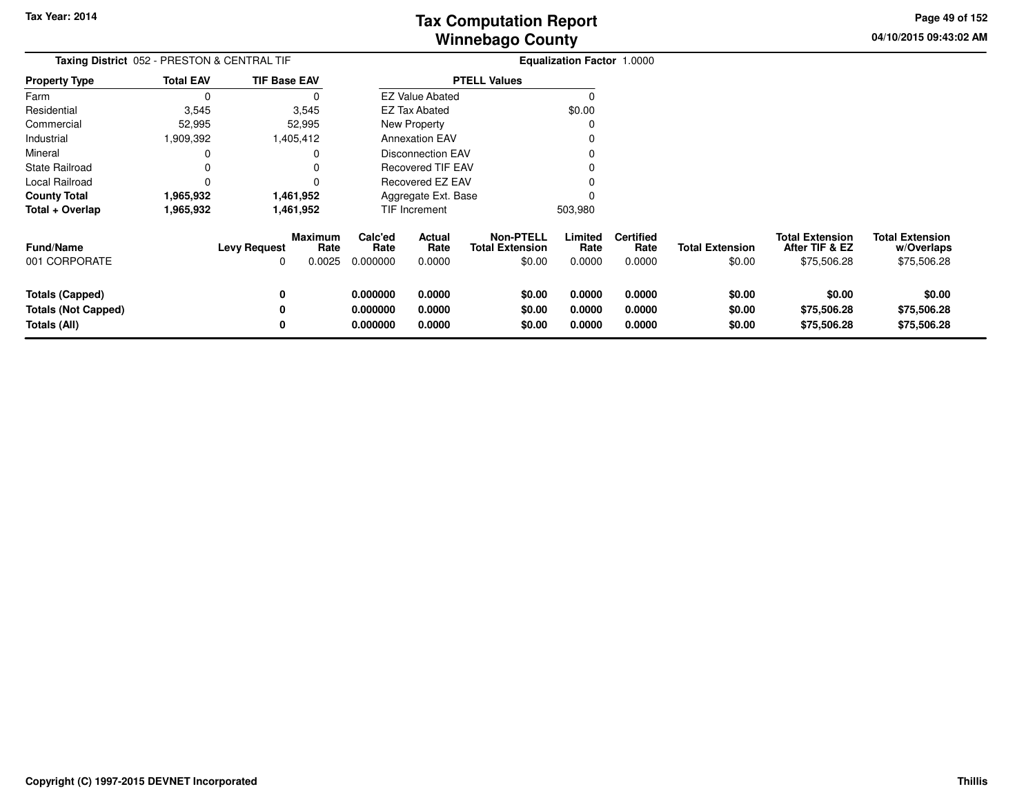**04/10/2015 09:43:02 AMPage 49 of 152**

| Taxing District 052 - PRESTON & CENTRAL TIF                          |                  |                     |                                  |                                  | Equalization Factor 1.0000 |                                                      |                            |                                    |                                  |                                                         |                                                     |
|----------------------------------------------------------------------|------------------|---------------------|----------------------------------|----------------------------------|----------------------------|------------------------------------------------------|----------------------------|------------------------------------|----------------------------------|---------------------------------------------------------|-----------------------------------------------------|
| <b>Property Type</b>                                                 | <b>Total EAV</b> | <b>TIF Base EAV</b> |                                  |                                  |                            | <b>PTELL Values</b>                                  |                            |                                    |                                  |                                                         |                                                     |
| Farm                                                                 | 0                |                     | 0                                |                                  | <b>EZ Value Abated</b>     |                                                      | C                          |                                    |                                  |                                                         |                                                     |
| Residential                                                          | 3,545            |                     | 3,545                            |                                  | EZ Tax Abated              |                                                      | \$0.00                     |                                    |                                  |                                                         |                                                     |
| Commercial                                                           | 52,995           |                     | 52,995                           |                                  | <b>New Property</b>        |                                                      | 0                          |                                    |                                  |                                                         |                                                     |
| Industrial                                                           | 909,392          |                     | 1,405,412                        |                                  | <b>Annexation EAV</b>      |                                                      |                            |                                    |                                  |                                                         |                                                     |
| Mineral                                                              | 0                |                     | 0                                |                                  | <b>Disconnection EAV</b>   |                                                      |                            |                                    |                                  |                                                         |                                                     |
| <b>State Railroad</b>                                                | 0                |                     |                                  |                                  | <b>Recovered TIF EAV</b>   |                                                      |                            |                                    |                                  |                                                         |                                                     |
| Local Railroad                                                       | 0                |                     | 0                                |                                  | Recovered EZ EAV           |                                                      |                            |                                    |                                  |                                                         |                                                     |
| <b>County Total</b>                                                  | 1,965,932        |                     | 1,461,952                        |                                  | Aggregate Ext. Base        |                                                      |                            |                                    |                                  |                                                         |                                                     |
| Total + Overlap                                                      | 1,965,932        |                     | 1,461,952                        |                                  | TIF Increment              |                                                      | 503,980                    |                                    |                                  |                                                         |                                                     |
| <b>Fund/Name</b><br>001 CORPORATE                                    |                  | <b>Levy Request</b> | <b>Maximum</b><br>Rate<br>0.0025 | Calc'ed<br>Rate<br>0.000000      | Actual<br>Rate<br>0.0000   | <b>Non-PTELL</b><br><b>Total Extension</b><br>\$0.00 | Limited<br>Rate<br>0.0000  | <b>Certified</b><br>Rate<br>0.0000 | <b>Total Extension</b><br>\$0.00 | <b>Total Extension</b><br>After TIF & EZ<br>\$75,506.28 | <b>Total Extension</b><br>w/Overlaps<br>\$75,506.28 |
| <b>Totals (Capped)</b><br><b>Totals (Not Capped)</b><br>Totals (All) |                  | 0<br>0              |                                  | 0.000000<br>0.000000<br>0.000000 | 0.0000<br>0.0000<br>0.0000 | \$0.00<br>\$0.00<br>\$0.00                           | 0.0000<br>0.0000<br>0.0000 | 0.0000<br>0.0000<br>0.0000         | \$0.00<br>\$0.00<br>\$0.00       | \$0.00<br>\$75,506.28<br>\$75,506.28                    | \$0.00<br>\$75,506.28<br>\$75,506.28                |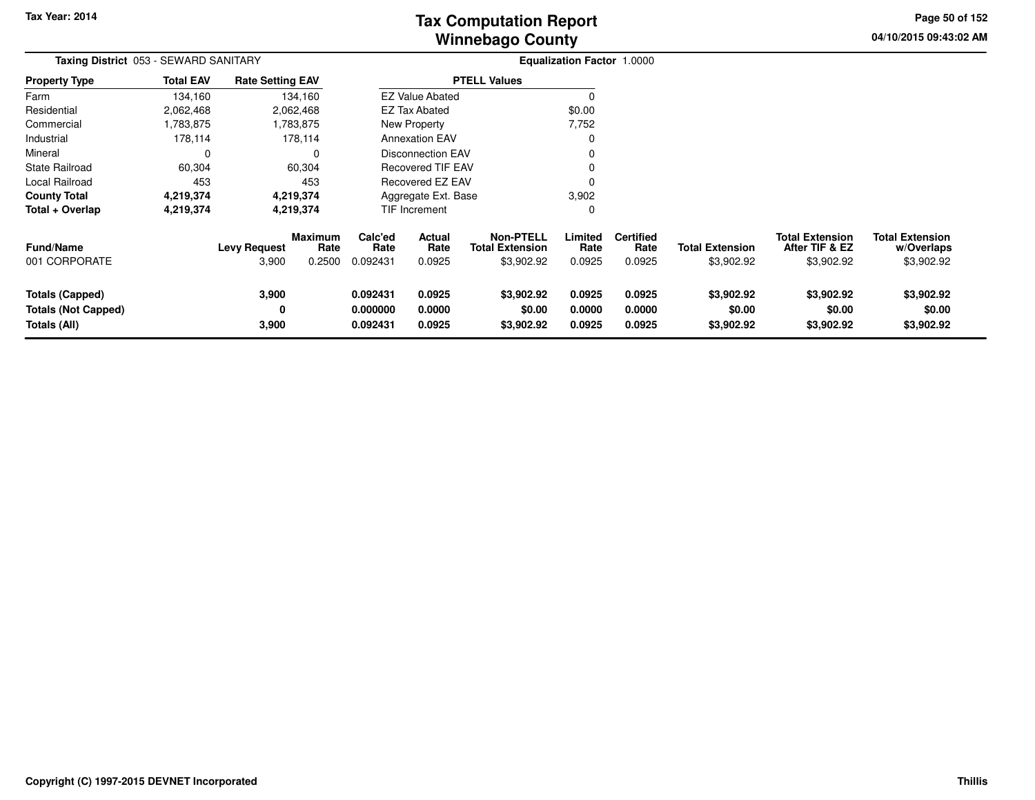**04/10/2015 09:43:02 AM Page 50 of 152**

| Taxing District 053 - SEWARD SANITARY<br><b>Rate Setting EAV</b>     |                  |                              |                                  |                                  |                            |                                                          | Equalization Factor 1.0000 |                                    |                                      |                                                        |                                                    |
|----------------------------------------------------------------------|------------------|------------------------------|----------------------------------|----------------------------------|----------------------------|----------------------------------------------------------|----------------------------|------------------------------------|--------------------------------------|--------------------------------------------------------|----------------------------------------------------|
| <b>Property Type</b>                                                 | <b>Total EAV</b> |                              |                                  |                                  |                            | <b>PTELL Values</b>                                      |                            |                                    |                                      |                                                        |                                                    |
| Farm                                                                 | 134,160          |                              | 134,160                          |                                  | <b>EZ Value Abated</b>     |                                                          |                            |                                    |                                      |                                                        |                                                    |
| Residential                                                          | 2,062,468        |                              | 2,062,468                        |                                  | <b>EZ Tax Abated</b>       |                                                          | \$0.00                     |                                    |                                      |                                                        |                                                    |
| Commercial                                                           | 1,783,875        |                              | 1,783,875                        |                                  | New Property               |                                                          | 7,752                      |                                    |                                      |                                                        |                                                    |
| Industrial                                                           | 178,114          |                              | 178,114                          |                                  | <b>Annexation EAV</b>      |                                                          |                            |                                    |                                      |                                                        |                                                    |
| Mineral                                                              | 0                |                              |                                  |                                  | <b>Disconnection EAV</b>   |                                                          |                            |                                    |                                      |                                                        |                                                    |
| <b>State Railroad</b>                                                | 60,304           |                              | 60,304                           |                                  | <b>Recovered TIF EAV</b>   |                                                          |                            |                                    |                                      |                                                        |                                                    |
| Local Railroad                                                       | 453              |                              | 453                              | Recovered EZ EAV                 |                            |                                                          |                            |                                    |                                      |                                                        |                                                    |
| <b>County Total</b>                                                  | 4,219,374        |                              | 4,219,374                        |                                  | Aggregate Ext. Base        |                                                          | 3,902                      |                                    |                                      |                                                        |                                                    |
| Total + Overlap                                                      | 4,219,374        |                              | 4,219,374                        |                                  | TIF Increment              |                                                          | 0                          |                                    |                                      |                                                        |                                                    |
| Fund/Name<br>001 CORPORATE                                           |                  | <b>Levy Request</b><br>3,900 | <b>Maximum</b><br>Rate<br>0.2500 | Calc'ed<br>Rate<br>0.092431      | Actual<br>Rate<br>0.0925   | <b>Non-PTELL</b><br><b>Total Extension</b><br>\$3,902.92 | Limited<br>Rate<br>0.0925  | <b>Certified</b><br>Rate<br>0.0925 | <b>Total Extension</b><br>\$3,902.92 | <b>Total Extension</b><br>After TIF & EZ<br>\$3,902.92 | <b>Total Extension</b><br>w/Overlaps<br>\$3,902.92 |
| <b>Totals (Capped)</b><br><b>Totals (Not Capped)</b><br>Totals (All) |                  | 3,900<br>0<br>3,900          |                                  | 0.092431<br>0.000000<br>0.092431 | 0.0925<br>0.0000<br>0.0925 | \$3,902.92<br>\$0.00<br>\$3,902.92                       | 0.0925<br>0.0000<br>0.0925 | 0.0925<br>0.0000<br>0.0925         | \$3,902.92<br>\$0.00<br>\$3,902.92   | \$3,902.92<br>\$0.00<br>\$3,902.92                     | \$3,902.92<br>\$0.00<br>\$3,902.92                 |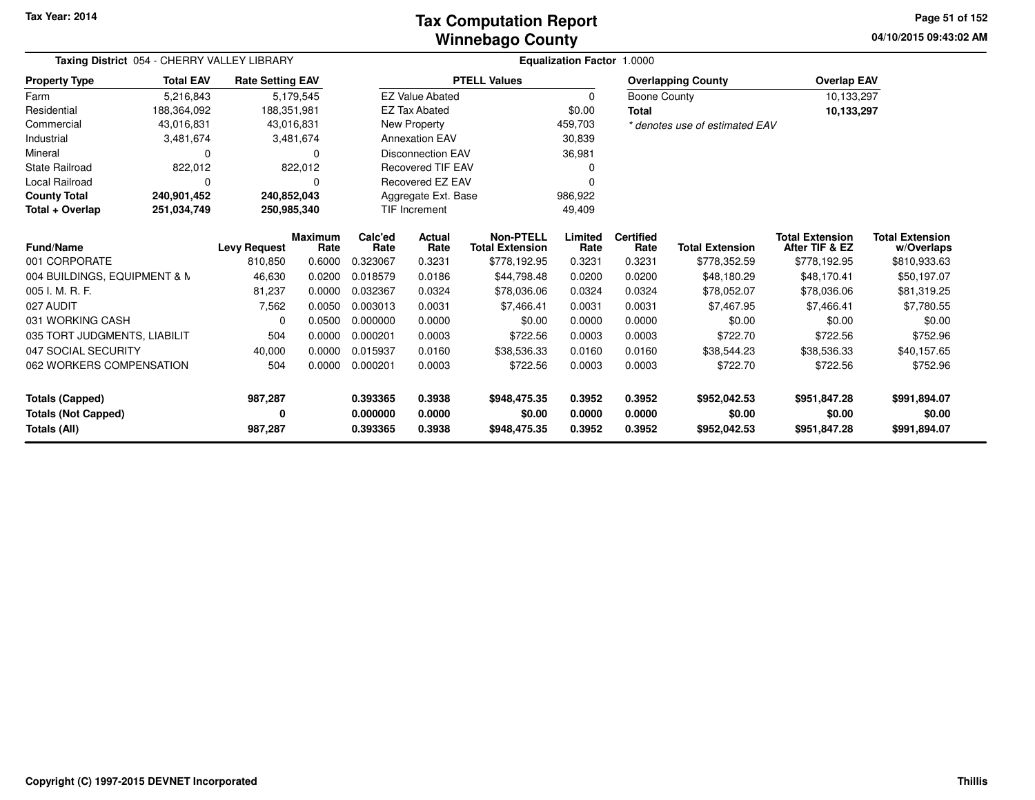### **Winnebago CountyTax Computation Report**

**04/10/2015 09:43:02 AMPage 51 of 152**

| Taxing District 054 - CHERRY VALLEY LIBRARY |                  |                         |                        | <b>Equalization Factor 1.0000</b> |                                |                                            |                 |                          |                                |                                          |                                      |
|---------------------------------------------|------------------|-------------------------|------------------------|-----------------------------------|--------------------------------|--------------------------------------------|-----------------|--------------------------|--------------------------------|------------------------------------------|--------------------------------------|
| <b>Property Type</b>                        | <b>Total EAV</b> | <b>Rate Setting EAV</b> |                        |                                   |                                | <b>PTELL Values</b>                        |                 |                          | <b>Overlapping County</b>      | <b>Overlap EAV</b>                       |                                      |
| Farm                                        | 5,216,843        |                         | 5,179,545              |                                   | <b>EZ Value Abated</b>         |                                            | 0               | <b>Boone County</b>      |                                | 10,133,297                               |                                      |
| Residential                                 | 188,364,092      | 188,351,981             |                        |                                   | <b>EZ Tax Abated</b>           |                                            | \$0.00          | <b>Total</b>             |                                | 10,133,297                               |                                      |
| Commercial                                  | 43,016,831       | 43,016,831              |                        |                                   | New Property                   |                                            | 459,703         |                          | * denotes use of estimated EAV |                                          |                                      |
| Industrial                                  | 3,481,674        |                         | 3,481,674              |                                   | <b>Annexation EAV</b>          |                                            | 30,839          |                          |                                |                                          |                                      |
| Mineral                                     | 0                |                         | $\Omega$               |                                   | Disconnection EAV              |                                            | 36,981          |                          |                                |                                          |                                      |
| <b>State Railroad</b>                       | 822,012          |                         | 822,012                |                                   | <b>Recovered TIF EAV</b>       |                                            |                 |                          |                                |                                          |                                      |
| <b>Local Railroad</b>                       | 0                |                         | 0                      |                                   | Recovered EZ EAV               |                                            |                 |                          |                                |                                          |                                      |
| <b>County Total</b>                         | 240,901,452      | 240,852,043             |                        |                                   | Aggregate Ext. Base<br>986,922 |                                            |                 |                          |                                |                                          |                                      |
| Total + Overlap                             | 251,034,749      | 250,985,340             |                        |                                   | <b>TIF Increment</b>           |                                            | 49,409          |                          |                                |                                          |                                      |
| Fund/Name                                   |                  | <b>Levy Request</b>     | <b>Maximum</b><br>Rate | Calc'ed<br>Rate                   | Actual<br>Rate                 | <b>Non-PTELL</b><br><b>Total Extension</b> | Limited<br>Rate | <b>Certified</b><br>Rate | <b>Total Extension</b>         | <b>Total Extension</b><br>After TIF & EZ | <b>Total Extension</b><br>w/Overlaps |
| 001 CORPORATE                               |                  | 810,850                 | 0.6000                 | 0.323067                          | 0.3231                         | \$778,192.95                               | 0.3231          | 0.3231                   | \$778,352.59                   | \$778,192.95                             | \$810,933.63                         |
| 004 BUILDINGS, EQUIPMENT & N                |                  | 46,630                  | 0.0200                 | 0.018579                          | 0.0186                         | \$44,798.48                                | 0.0200          | 0.0200                   | \$48,180.29                    | \$48,170.41                              | \$50,197.07                          |
| 005 I. M. R. F.                             |                  | 81,237                  | 0.0000                 | 0.032367                          | 0.0324                         | \$78,036.06                                | 0.0324          | 0.0324                   | \$78,052.07                    | \$78,036.06                              | \$81,319.25                          |
| 027 AUDIT                                   |                  | 7,562                   | 0.0050                 | 0.003013                          | 0.0031                         | \$7,466.41                                 | 0.0031          | 0.0031                   | \$7,467.95                     | \$7,466.41                               | \$7,780.55                           |
| 031 WORKING CASH                            |                  | 0                       | 0.0500                 | 0.000000                          | 0.0000                         | \$0.00                                     | 0.0000          | 0.0000                   | \$0.00                         | \$0.00                                   | \$0.00                               |
| 035 TORT JUDGMENTS, LIABILIT                |                  | 504                     | 0.0000                 | 0.000201                          | 0.0003                         | \$722.56                                   | 0.0003          | 0.0003                   | \$722.70                       | \$722.56                                 | \$752.96                             |
| 047 SOCIAL SECURITY                         |                  | 40,000                  | 0.0000                 | 0.015937                          | 0.0160                         | \$38,536.33                                | 0.0160          | 0.0160                   | \$38,544.23                    | \$38,536.33                              | \$40,157.65                          |
| 062 WORKERS COMPENSATION                    |                  | 504                     | 0.0000                 | 0.000201                          | 0.0003                         | \$722.56                                   | 0.0003          | 0.0003                   | \$722.70                       | \$722.56                                 | \$752.96                             |
| <b>Totals (Capped)</b>                      |                  | 987,287                 |                        | 0.393365                          | 0.3938                         | \$948,475.35                               | 0.3952          | 0.3952                   | \$952,042.53                   | \$951,847.28                             | \$991,894.07                         |
| <b>Totals (Not Capped)</b>                  |                  | 0                       |                        | 0.000000                          | 0.0000                         | \$0.00                                     | 0.0000          | 0.0000                   | \$0.00                         | \$0.00                                   | \$0.00                               |
| Totals (All)                                |                  | 987,287                 |                        | 0.393365                          | 0.3938                         | \$948,475.35                               | 0.3952          | 0.3952                   | \$952,042.53                   | \$951,847.28                             | \$991,894.07                         |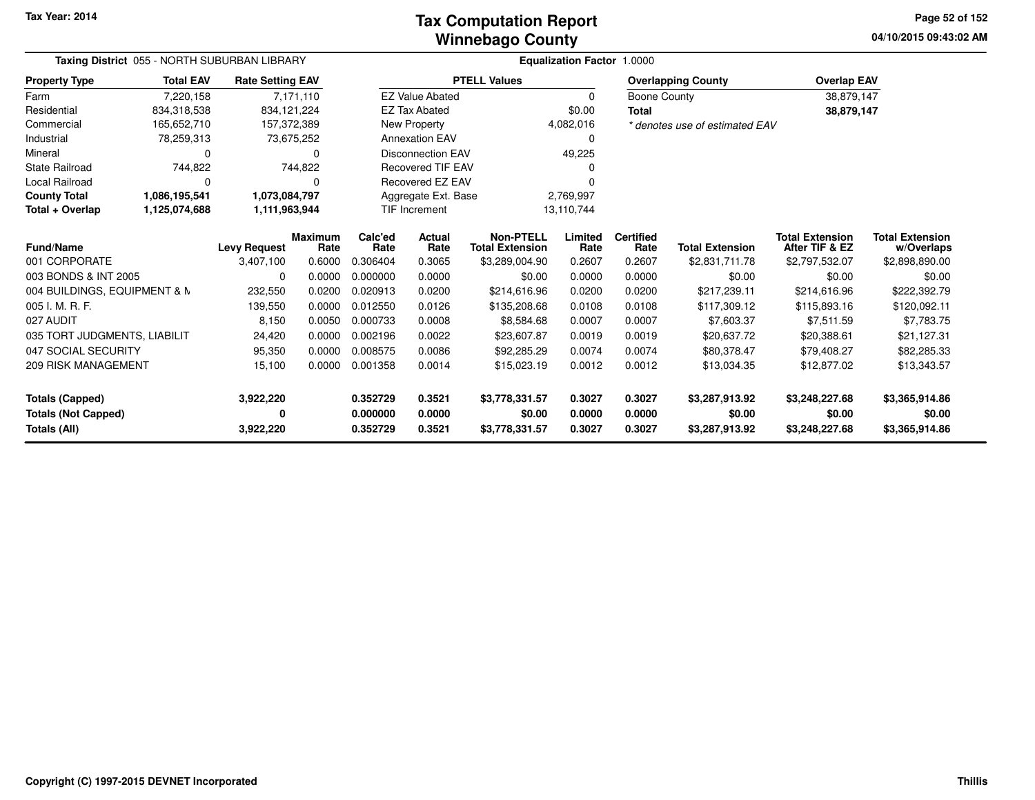### **Winnebago CountyTax Computation Report**

**04/10/2015 09:43:02 AM Page 52 of 152**

| Taxing District 055 - NORTH SUBURBAN LIBRARY |                  |                         |                        | <b>Equalization Factor 1.0000</b> |                                    |                                            |                 |                          |                                |                                          |                                      |
|----------------------------------------------|------------------|-------------------------|------------------------|-----------------------------------|------------------------------------|--------------------------------------------|-----------------|--------------------------|--------------------------------|------------------------------------------|--------------------------------------|
| <b>Property Type</b>                         | <b>Total EAV</b> | <b>Rate Setting EAV</b> |                        |                                   |                                    | <b>PTELL Values</b>                        |                 |                          | <b>Overlapping County</b>      | <b>Overlap EAV</b>                       |                                      |
| Farm                                         | 7,220,158        |                         | 7,171,110              |                                   | <b>EZ Value Abated</b>             |                                            | $\mathbf 0$     | Boone County             |                                | 38,879,147                               |                                      |
| Residential                                  | 834,318,538      | 834,121,224             |                        |                                   | <b>EZ Tax Abated</b>               |                                            | \$0.00          | <b>Total</b>             |                                | 38,879,147                               |                                      |
| Commercial                                   | 165,652,710      | 157,372,389             |                        |                                   | New Property                       |                                            | 4,082,016       |                          | * denotes use of estimated EAV |                                          |                                      |
| Industrial                                   | 78,259,313       |                         | 73,675,252             |                                   | <b>Annexation EAV</b>              |                                            | 0               |                          |                                |                                          |                                      |
| Mineral                                      | $\Omega$         |                         | O                      |                                   | <b>Disconnection EAV</b>           |                                            | 49,225          |                          |                                |                                          |                                      |
| <b>State Railroad</b>                        | 744,822          |                         | 744,822                |                                   | <b>Recovered TIF EAV</b>           |                                            |                 |                          |                                |                                          |                                      |
| Local Railroad                               | $\Omega$         |                         | 0                      |                                   | Recovered EZ EAV                   |                                            |                 |                          |                                |                                          |                                      |
| <b>County Total</b>                          | 1,086,195,541    | 1,073,084,797           |                        |                                   | Aggregate Ext. Base                |                                            | 2,769,997       |                          |                                |                                          |                                      |
| Total + Overlap                              | 1,125,074,688    | 1,111,963,944           |                        |                                   | <b>TIF Increment</b><br>13,110,744 |                                            |                 |                          |                                |                                          |                                      |
| <b>Fund/Name</b>                             |                  | <b>Levy Request</b>     | <b>Maximum</b><br>Rate | Calc'ed<br>Rate                   | Actual<br>Rate                     | <b>Non-PTELL</b><br><b>Total Extension</b> | Limited<br>Rate | <b>Certified</b><br>Rate | <b>Total Extension</b>         | <b>Total Extension</b><br>After TIF & EZ | <b>Total Extension</b><br>w/Overlaps |
| 001 CORPORATE                                |                  | 3,407,100               | 0.6000                 | 0.306404                          | 0.3065                             | \$3,289,004.90                             | 0.2607          | 0.2607                   | \$2,831,711.78                 | \$2,797,532.07                           | \$2,898,890.00                       |
| 003 BONDS & INT 2005                         |                  | 0                       | 0.0000                 | 0.000000                          | 0.0000                             | \$0.00                                     | 0.0000          | 0.0000                   | \$0.00                         | \$0.00                                   | \$0.00                               |
| 004 BUILDINGS, EQUIPMENT & N                 |                  | 232,550                 | 0.0200                 | 0.020913                          | 0.0200                             | \$214,616.96                               | 0.0200          | 0.0200                   | \$217,239.11                   | \$214,616.96                             | \$222,392.79                         |
| 005 I. M. R. F.                              |                  | 139,550                 | 0.0000                 | 0.012550                          | 0.0126                             | \$135,208.68                               | 0.0108          | 0.0108                   | \$117,309.12                   | \$115,893.16                             | \$120,092.11                         |
| 027 AUDIT                                    |                  | 8,150                   | 0.0050                 | 0.000733                          | 0.0008                             | \$8,584.68                                 | 0.0007          | 0.0007                   | \$7,603.37                     | \$7,511.59                               | \$7,783.75                           |
| 035 TORT JUDGMENTS, LIABILIT                 |                  | 24,420                  | 0.0000                 | 0.002196                          | 0.0022                             | \$23,607.87                                | 0.0019          | 0.0019                   | \$20,637.72                    | \$20,388.61                              | \$21,127.31                          |
| 047 SOCIAL SECURITY                          |                  | 95,350                  | 0.0000                 | 0.008575                          | 0.0086                             | \$92,285.29                                | 0.0074          | 0.0074                   | \$80,378.47                    | \$79,408.27                              | \$82,285.33                          |
| <b>209 RISK MANAGEMENT</b>                   |                  | 15,100                  | 0.0000                 | 0.001358                          | 0.0014                             | \$15,023.19                                | 0.0012          | 0.0012                   | \$13,034.35                    | \$12,877.02                              | \$13,343.57                          |
| <b>Totals (Capped)</b>                       |                  | 3,922,220               |                        | 0.352729                          | 0.3521                             | \$3,778,331.57                             | 0.3027          | 0.3027                   | \$3,287,913.92                 | \$3,248,227.68                           | \$3,365,914.86                       |
| <b>Totals (Not Capped)</b>                   |                  | 0                       |                        | 0.000000                          | 0.0000                             | \$0.00                                     | 0.0000          | 0.0000                   | \$0.00                         | \$0.00                                   | \$0.00                               |
| Totals (All)                                 |                  | 3,922,220               |                        | 0.352729                          | 0.3521                             | \$3,778,331.57                             | 0.3027          | 0.3027                   | \$3,287,913.92                 | \$3,248,227.68                           | \$3,365,914.86                       |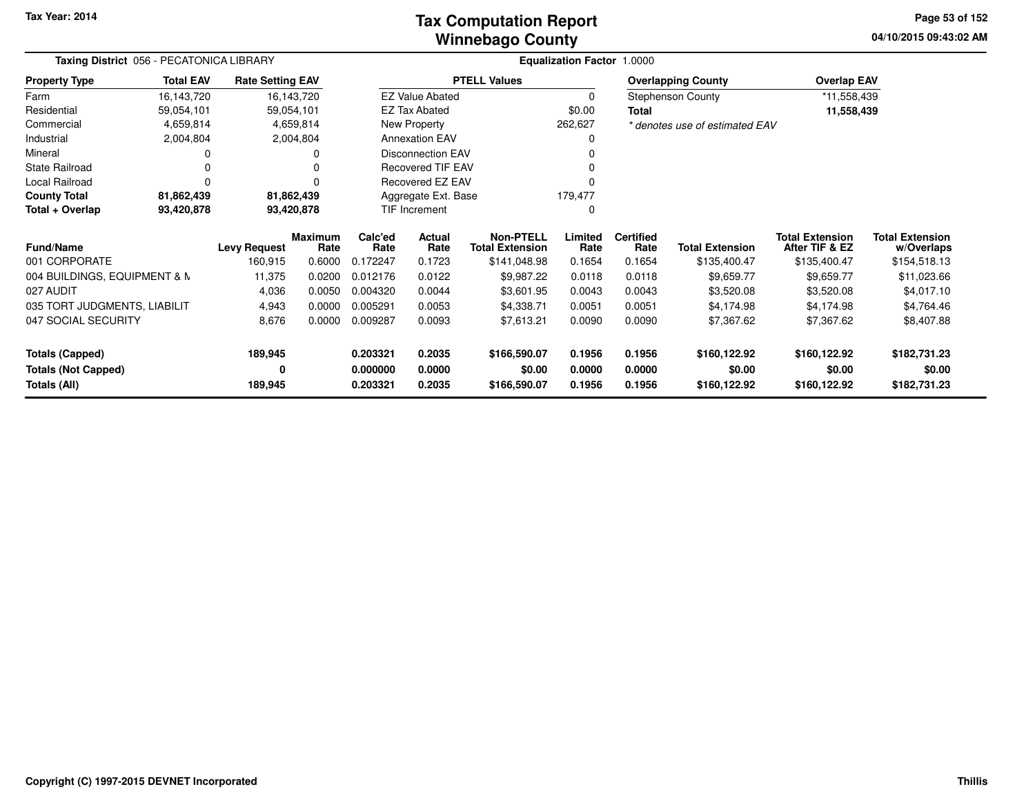### **Winnebago CountyTax Computation Report**

**04/10/2015 09:43:02 AM Page 53 of 152**

| Taxing District 056 - PECATONICA LIBRARY<br><b>Total EAV</b><br><b>Rate Setting EAV</b><br><b>Property Type</b> |            |                     |                        |                 |                                |                                            | Equalization Factor 1.0000 |                          |                                |                                          |                                      |
|-----------------------------------------------------------------------------------------------------------------|------------|---------------------|------------------------|-----------------|--------------------------------|--------------------------------------------|----------------------------|--------------------------|--------------------------------|------------------------------------------|--------------------------------------|
|                                                                                                                 |            |                     |                        |                 |                                | <b>PTELL Values</b>                        |                            |                          | <b>Overlapping County</b>      | <b>Overlap EAV</b>                       |                                      |
| Farm                                                                                                            | 16,143,720 |                     | 16,143,720             |                 | <b>EZ Value Abated</b>         |                                            | 0                          |                          | <b>Stephenson County</b>       | *11,558,439                              |                                      |
| Residential                                                                                                     | 59,054,101 | 59,054,101          |                        |                 | <b>EZ Tax Abated</b>           |                                            | \$0.00                     | <b>Total</b>             |                                | 11,558,439                               |                                      |
| Commercial                                                                                                      | 4,659,814  |                     | 4,659,814              |                 | New Property                   |                                            | 262,627                    |                          | * denotes use of estimated EAV |                                          |                                      |
| Industrial                                                                                                      | 2,004,804  |                     | 2,004,804              |                 | <b>Annexation EAV</b>          |                                            |                            |                          |                                |                                          |                                      |
| Mineral                                                                                                         |            |                     |                        |                 | <b>Disconnection EAV</b>       |                                            |                            |                          |                                |                                          |                                      |
| <b>State Railroad</b>                                                                                           |            |                     |                        |                 | <b>Recovered TIF EAV</b>       |                                            |                            |                          |                                |                                          |                                      |
| Local Railroad                                                                                                  | $\Omega$   |                     |                        |                 | Recovered EZ EAV               |                                            |                            |                          |                                |                                          |                                      |
| <b>County Total</b>                                                                                             | 81,862,439 |                     | 81,862,439             |                 | Aggregate Ext. Base<br>179,477 |                                            |                            |                          |                                |                                          |                                      |
| Total + Overlap                                                                                                 | 93,420,878 |                     | 93,420,878             |                 | <b>TIF Increment</b>           |                                            | 0                          |                          |                                |                                          |                                      |
| <b>Fund/Name</b>                                                                                                |            | <b>Levy Request</b> | <b>Maximum</b><br>Rate | Calc'ed<br>Rate | <b>Actual</b><br>Rate          | <b>Non-PTELL</b><br><b>Total Extension</b> | Limited<br>Rate            | <b>Certified</b><br>Rate | <b>Total Extension</b>         | <b>Total Extension</b><br>After TIF & EZ | <b>Total Extension</b><br>w/Overlaps |
| 001 CORPORATE                                                                                                   |            | 160,915             | 0.6000                 | 0.172247        | 0.1723                         | \$141,048.98                               | 0.1654                     | 0.1654                   | \$135,400.47                   | \$135,400.47                             | \$154,518.13                         |
| 004 BUILDINGS, EQUIPMENT & N                                                                                    |            | 11,375              | 0.0200                 | 0.012176        | 0.0122                         | \$9,987.22                                 | 0.0118                     | 0.0118                   | \$9,659.77                     | \$9,659.77                               | \$11,023.66                          |
| 027 AUDIT                                                                                                       |            | 4,036               | 0.0050                 | 0.004320        | 0.0044                         | \$3,601.95                                 | 0.0043                     | 0.0043                   | \$3,520.08                     | \$3,520.08                               | \$4,017.10                           |
| 035 TORT JUDGMENTS, LIABILIT                                                                                    |            | 4,943               | 0.0000                 | 0.005291        | 0.0053                         | \$4,338.71                                 | 0.0051                     | 0.0051                   | \$4,174.98                     | \$4,174.98                               | \$4,764.46                           |
| 047 SOCIAL SECURITY                                                                                             |            | 8,676               | 0.0000                 | 0.009287        | 0.0093                         | \$7,613.21                                 | 0.0090                     | 0.0090                   | \$7,367.62                     | \$7,367.62                               | \$8,407.88                           |
| <b>Totals (Capped)</b>                                                                                          |            | 189,945             |                        | 0.203321        | 0.2035                         | \$166,590.07                               | 0.1956                     | 0.1956                   | \$160,122.92                   | \$160,122.92                             | \$182,731.23                         |
| <b>Totals (Not Capped)</b>                                                                                      |            | 0                   |                        | 0.000000        | 0.0000                         | \$0.00                                     | 0.0000                     | 0.0000                   | \$0.00                         | \$0.00                                   |                                      |
| Totals (All)                                                                                                    |            | 189,945             |                        | 0.203321        | 0.2035                         | \$166,590.07                               | 0.1956                     | 0.1956                   | \$160,122.92                   | \$160,122.92                             | \$182,731.23                         |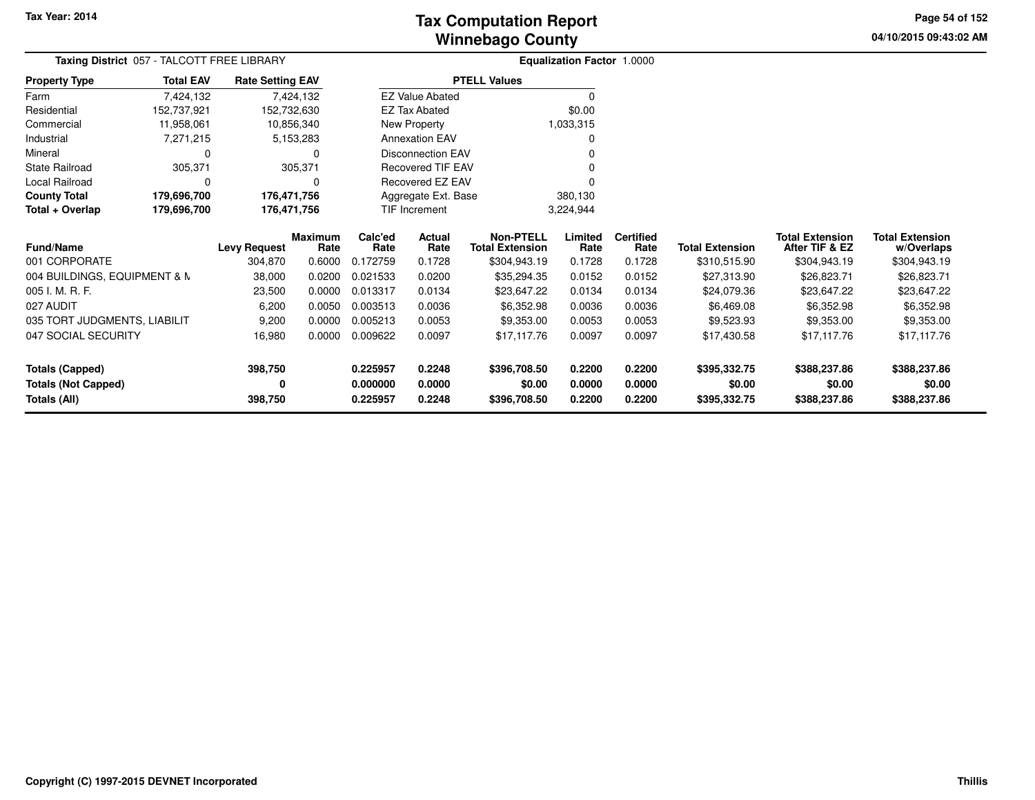**04/10/2015 09:43:02 AM Page 54 of 152**

|                              |                  | Taxing District 057 - TALCOTT FREE LIBRARY<br><b>Rate Setting EAV</b> |                        |                 | <b>Equalization Factor 1.0000</b> |                                            |                 |                          |                        |                                          |                                      |
|------------------------------|------------------|-----------------------------------------------------------------------|------------------------|-----------------|-----------------------------------|--------------------------------------------|-----------------|--------------------------|------------------------|------------------------------------------|--------------------------------------|
| <b>Property Type</b>         | <b>Total EAV</b> |                                                                       |                        |                 |                                   | <b>PTELL Values</b>                        |                 |                          |                        |                                          |                                      |
| Farm                         | 7,424,132        |                                                                       | 7,424,132              |                 | <b>EZ Value Abated</b>            |                                            | 0               |                          |                        |                                          |                                      |
| Residential                  | 152,737,921      | 152,732,630                                                           |                        |                 | <b>EZ Tax Abated</b>              |                                            | \$0.00          |                          |                        |                                          |                                      |
| Commercial                   | 11,958,061       |                                                                       | 10,856,340             |                 | New Property                      |                                            | 1,033,315       |                          |                        |                                          |                                      |
| Industrial                   | 7,271,215        |                                                                       | 5,153,283              |                 | <b>Annexation EAV</b>             |                                            | 0               |                          |                        |                                          |                                      |
| Mineral                      | $\Omega$         |                                                                       | O                      |                 | <b>Disconnection EAV</b>          |                                            |                 |                          |                        |                                          |                                      |
| <b>State Railroad</b>        | 305,371          |                                                                       | 305,371                |                 | <b>Recovered TIF EAV</b>          |                                            |                 |                          |                        |                                          |                                      |
| Local Railroad               | $\Omega$         |                                                                       | 0                      |                 | Recovered EZ EAV                  |                                            |                 |                          |                        |                                          |                                      |
| <b>County Total</b>          | 179,696,700      | 176,471,756                                                           |                        |                 | Aggregate Ext. Base               |                                            | 380,130         |                          |                        |                                          |                                      |
| Total + Overlap              | 179,696,700      | 176,471,756                                                           |                        |                 | <b>TIF Increment</b>              |                                            | 3,224,944       |                          |                        |                                          |                                      |
| <b>Fund/Name</b>             |                  | <b>Levy Request</b>                                                   | <b>Maximum</b><br>Rate | Calc'ed<br>Rate | <b>Actual</b><br>Rate             | <b>Non-PTELL</b><br><b>Total Extension</b> | Limited<br>Rate | <b>Certified</b><br>Rate | <b>Total Extension</b> | <b>Total Extension</b><br>After TIF & EZ | <b>Total Extension</b><br>w/Overlaps |
| 001 CORPORATE                |                  | 304,870                                                               | 0.6000                 | 0.172759        | 0.1728                            | \$304,943.19                               | 0.1728          | 0.1728                   | \$310,515.90           | \$304,943.19                             | \$304,943.19                         |
| 004 BUILDINGS, EQUIPMENT & N |                  | 38,000                                                                | 0.0200                 | 0.021533        | 0.0200                            | \$35,294.35                                | 0.0152          | 0.0152                   | \$27,313.90            | \$26,823.71                              | \$26,823.71                          |
| 005 I. M. R. F.              |                  | 23,500                                                                | 0.0000                 | 0.013317        | 0.0134                            | \$23,647.22                                | 0.0134          | 0.0134                   | \$24,079.36            | \$23,647.22                              | \$23,647.22                          |
| 027 AUDIT                    |                  | 6,200                                                                 | 0.0050                 | 0.003513        | 0.0036                            | \$6,352.98                                 | 0.0036          | 0.0036                   | \$6,469.08             | \$6,352.98                               | \$6,352.98                           |
| 035 TORT JUDGMENTS, LIABILIT |                  | 9,200                                                                 | 0.0000                 | 0.005213        | 0.0053                            | \$9,353.00                                 | 0.0053          | 0.0053                   | \$9,523.93             | \$9,353.00                               | \$9,353.00                           |
| 047 SOCIAL SECURITY          |                  | 16,980                                                                | 0.0000                 | 0.009622        | 0.0097                            | \$17,117.76                                | 0.0097          | 0.0097                   | \$17,430.58            | \$17,117.76                              | \$17,117.76                          |
| <b>Totals (Capped)</b>       |                  | 398,750                                                               |                        | 0.225957        | 0.2248                            | \$396,708.50                               | 0.2200          | 0.2200                   | \$395,332.75           | \$388,237.86                             | \$388,237.86                         |
| <b>Totals (Not Capped)</b>   |                  | 0                                                                     |                        | 0.000000        | 0.0000                            | \$0.00                                     | 0.0000          | 0.0000                   | \$0.00                 | \$0.00                                   | \$0.00                               |
| Totals (All)                 |                  | 398,750                                                               |                        | 0.225957        | 0.2248                            | \$396,708.50                               | 0.2200          | 0.2200                   | \$395,332.75           | \$388,237.86                             | \$388,237.86                         |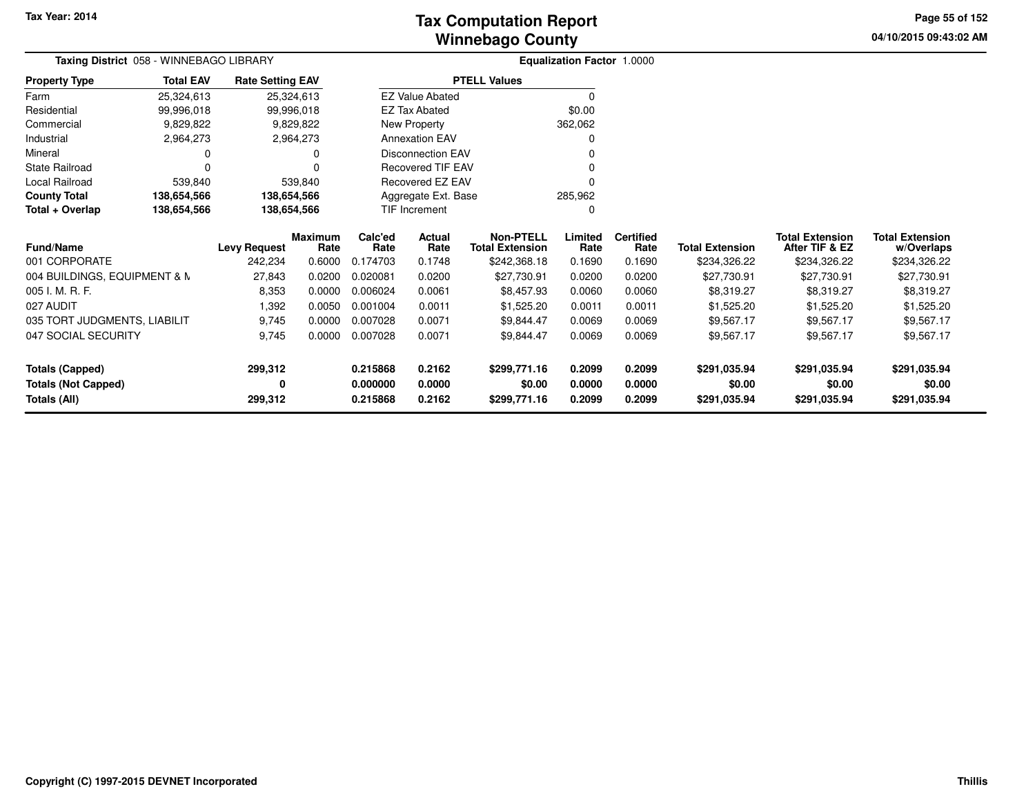# **Winnebago CountyTax Computation Report**

**04/10/2015 09:43:02 AM Page 55 of 152**

|                              |                  | Taxing District 058 - WINNEBAGO LIBRARY |                        |                 | <b>Equalization Factor 1.0000</b> |                                            |                 |                          |                        |                                          |                                      |
|------------------------------|------------------|-----------------------------------------|------------------------|-----------------|-----------------------------------|--------------------------------------------|-----------------|--------------------------|------------------------|------------------------------------------|--------------------------------------|
| <b>Property Type</b>         | <b>Total EAV</b> | <b>Rate Setting EAV</b>                 |                        |                 |                                   | <b>PTELL Values</b>                        |                 |                          |                        |                                          |                                      |
| Farm                         | 25,324,613       |                                         | 25,324,613             |                 | <b>EZ Value Abated</b>            |                                            | $\Omega$        |                          |                        |                                          |                                      |
| Residential                  | 99,996,018       |                                         | 99,996,018             |                 | <b>EZ Tax Abated</b>              |                                            | \$0.00          |                          |                        |                                          |                                      |
| Commercial                   | 9,829,822        |                                         | 9,829,822              |                 | New Property                      |                                            | 362,062         |                          |                        |                                          |                                      |
| Industrial                   | 2,964,273        |                                         | 2,964,273              |                 | <b>Annexation EAV</b>             |                                            | 0               |                          |                        |                                          |                                      |
| Mineral                      |                  |                                         | 0                      |                 | Disconnection EAV                 |                                            |                 |                          |                        |                                          |                                      |
| <b>State Railroad</b>        |                  |                                         |                        |                 | <b>Recovered TIF EAV</b>          |                                            |                 |                          |                        |                                          |                                      |
| Local Railroad               | 539,840          |                                         | 539,840                |                 | Recovered EZ EAV                  |                                            | $\Omega$        |                          |                        |                                          |                                      |
| <b>County Total</b>          | 138,654,566      | 138,654,566                             |                        |                 | Aggregate Ext. Base               |                                            | 285,962         |                          |                        |                                          |                                      |
| Total + Overlap              | 138,654,566      | 138,654,566                             |                        |                 | <b>TIF Increment</b>              |                                            | 0               |                          |                        |                                          |                                      |
| <b>Fund/Name</b>             |                  | <b>Levy Request</b>                     | <b>Maximum</b><br>Rate | Calc'ed<br>Rate | Actual<br>Rate                    | <b>Non-PTELL</b><br><b>Total Extension</b> | Limited<br>Rate | <b>Certified</b><br>Rate | <b>Total Extension</b> | <b>Total Extension</b><br>After TIF & EZ | <b>Total Extension</b><br>w/Overlaps |
| 001 CORPORATE                |                  | 242,234                                 | 0.6000                 | 0.174703        | 0.1748                            | \$242,368.18                               | 0.1690          | 0.1690                   | \$234,326.22           | \$234,326.22                             | \$234,326.22                         |
| 004 BUILDINGS, EQUIPMENT & N |                  | 27,843                                  | 0.0200                 | 0.020081        | 0.0200                            | \$27,730.91                                | 0.0200          | 0.0200                   | \$27,730.91            | \$27,730.91                              | \$27,730.91                          |
| 005 I. M. R. F.              |                  | 8,353                                   | 0.0000                 | 0.006024        | 0.0061                            | \$8,457.93                                 | 0.0060          | 0.0060                   | \$8,319.27             | \$8,319.27                               | \$8,319.27                           |
| 027 AUDIT                    |                  | 1,392                                   | 0.0050                 | 0.001004        | 0.0011                            | \$1,525.20                                 | 0.0011          | 0.0011                   | \$1,525.20             | \$1,525.20                               | \$1,525.20                           |
| 035 TORT JUDGMENTS, LIABILIT |                  | 9,745                                   | 0.0000                 | 0.007028        | 0.0071                            | \$9,844.47                                 | 0.0069          | 0.0069                   | \$9,567.17             | \$9,567.17                               | \$9,567.17                           |
| 047 SOCIAL SECURITY          |                  | 9,745                                   | 0.0000                 | 0.007028        | 0.0071                            | \$9,844.47                                 | 0.0069          | 0.0069                   | \$9,567.17             | \$9,567.17                               | \$9,567.17                           |
| <b>Totals (Capped)</b>       |                  | 299,312                                 |                        | 0.215868        | 0.2162                            | \$299,771.16                               | 0.2099          | 0.2099                   | \$291,035.94           | \$291,035.94                             | \$291,035.94                         |
| <b>Totals (Not Capped)</b>   |                  | 0                                       |                        | 0.000000        | 0.0000                            | \$0.00                                     | 0.0000          | 0.0000                   | \$0.00                 | \$0.00                                   | \$0.00                               |
| Totals (All)                 |                  | 299,312                                 |                        | 0.215868        | 0.2162                            | \$299,771.16                               | 0.2099          | 0.2099                   | \$291,035.94           | \$291,035.94                             | \$291,035.94                         |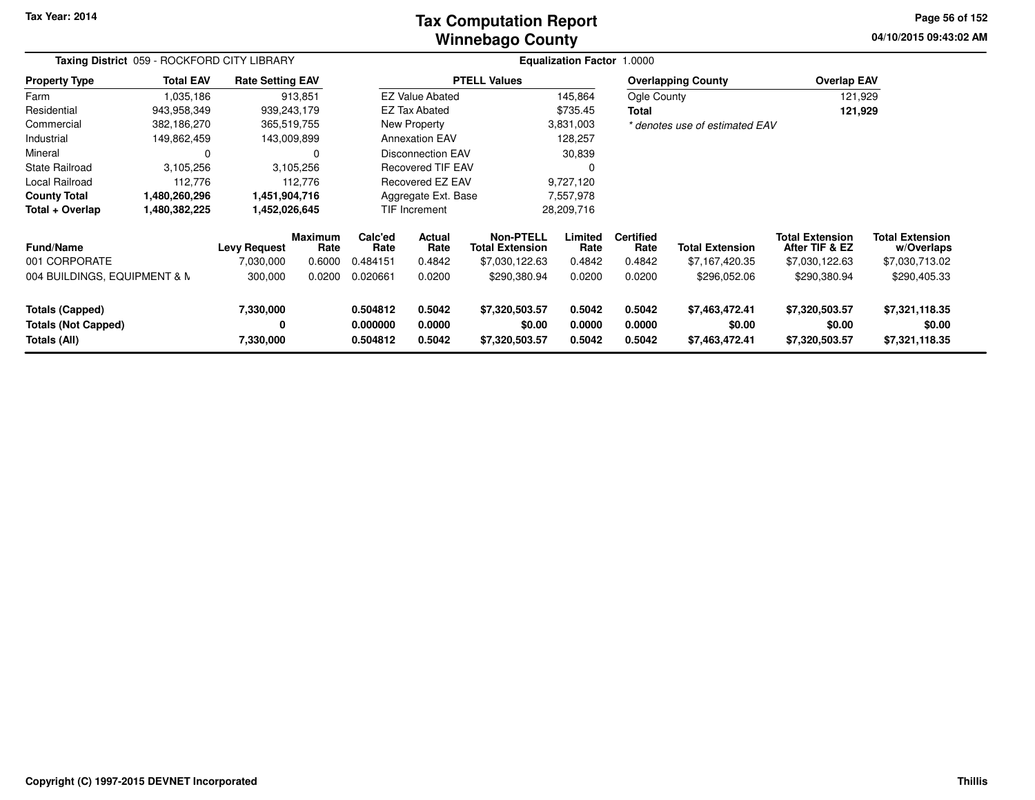### **Winnebago CountyTax Computation Report**

**04/10/2015 09:43:02 AMPage 56 of 152**

| Taxing District 059 - ROCKFORD CITY LIBRARY<br><b>Rate Setting EAV</b> |                  |                                  |                                  |                             |                          | Equalization Factor 1.0000                                   |                           |                                    |                                          |                                                            |                                                        |
|------------------------------------------------------------------------|------------------|----------------------------------|----------------------------------|-----------------------------|--------------------------|--------------------------------------------------------------|---------------------------|------------------------------------|------------------------------------------|------------------------------------------------------------|--------------------------------------------------------|
| <b>Property Type</b>                                                   | <b>Total EAV</b> |                                  |                                  |                             |                          | <b>PTELL Values</b>                                          |                           |                                    | <b>Overlapping County</b>                | <b>Overlap EAV</b>                                         |                                                        |
| Farm                                                                   | 1,035,186        |                                  | 913,851                          |                             | <b>EZ Value Abated</b>   |                                                              | 145,864                   | Ogle County                        |                                          | 121,929                                                    |                                                        |
| Residential                                                            | 943,958,349      | 939,243,179                      |                                  |                             | <b>EZ Tax Abated</b>     |                                                              | \$735.45                  | Total                              |                                          | 121,929                                                    |                                                        |
| Commercial                                                             | 382,186,270      | 365,519,755                      |                                  |                             | New Property             |                                                              | 3,831,003                 |                                    | * denotes use of estimated EAV           |                                                            |                                                        |
| Industrial                                                             | 149,862,459      | 143,009,899                      |                                  |                             | <b>Annexation EAV</b>    |                                                              | 128,257                   |                                    |                                          |                                                            |                                                        |
| Mineral                                                                | 0                |                                  |                                  |                             | Disconnection EAV        |                                                              | 30,839                    |                                    |                                          |                                                            |                                                        |
| <b>State Railroad</b>                                                  | 3,105,256        |                                  | 3,105,256                        |                             | Recovered TIF EAV        |                                                              |                           |                                    |                                          |                                                            |                                                        |
| Local Railroad                                                         | 112,776          |                                  | 112,776                          |                             | Recovered EZ EAV         |                                                              | 9,727,120                 |                                    |                                          |                                                            |                                                        |
| <b>County Total</b>                                                    | 1,480,260,296    | 1,451,904,716                    |                                  |                             | Aggregate Ext. Base      |                                                              | 7,557,978                 |                                    |                                          |                                                            |                                                        |
| Total + Overlap                                                        | 1,480,382,225    | 1,452,026,645                    |                                  |                             | TIF Increment            |                                                              | 28,209,716                |                                    |                                          |                                                            |                                                        |
| Fund/Name<br>001 CORPORATE                                             |                  | <b>Levy Request</b><br>7,030,000 | <b>Maximum</b><br>Rate<br>0.6000 | Calc'ed<br>Rate<br>0.484151 | Actual<br>Rate<br>0.4842 | <b>Non-PTELL</b><br><b>Total Extension</b><br>\$7,030,122.63 | Limited<br>Rate<br>0.4842 | <b>Certified</b><br>Rate<br>0.4842 | <b>Total Extension</b><br>\$7,167,420.35 | <b>Total Extension</b><br>After TIF & EZ<br>\$7,030,122.63 | <b>Total Extension</b><br>w/Overlaps<br>\$7,030,713.02 |
| 004 BUILDINGS, EQUIPMENT & N                                           |                  | 300,000                          | 0.0200                           | 0.020661                    | 0.0200                   | \$290,380.94                                                 | 0.0200                    | 0.0200                             | \$296,052.06                             | \$290,380.94                                               | \$290,405.33                                           |
| <b>Totals (Capped)</b><br><b>Totals (Not Capped)</b>                   |                  | 7,330,000<br>0                   |                                  | 0.504812<br>0.000000        | 0.5042<br>0.0000         | \$7,320,503.57<br>\$0.00                                     | 0.5042<br>0.0000          | 0.5042<br>0.0000                   | \$7,463,472.41<br>\$0.00                 | \$7,320,503.57<br>\$0.00                                   | \$7,321,118.35<br>\$0.00                               |
| Totals (All)                                                           |                  | 7,330,000                        |                                  | 0.504812                    | 0.5042                   | \$7,320,503.57                                               | 0.5042                    | 0.5042                             | \$7,463,472.41                           | \$7,320,503.57                                             | \$7,321,118.35                                         |

-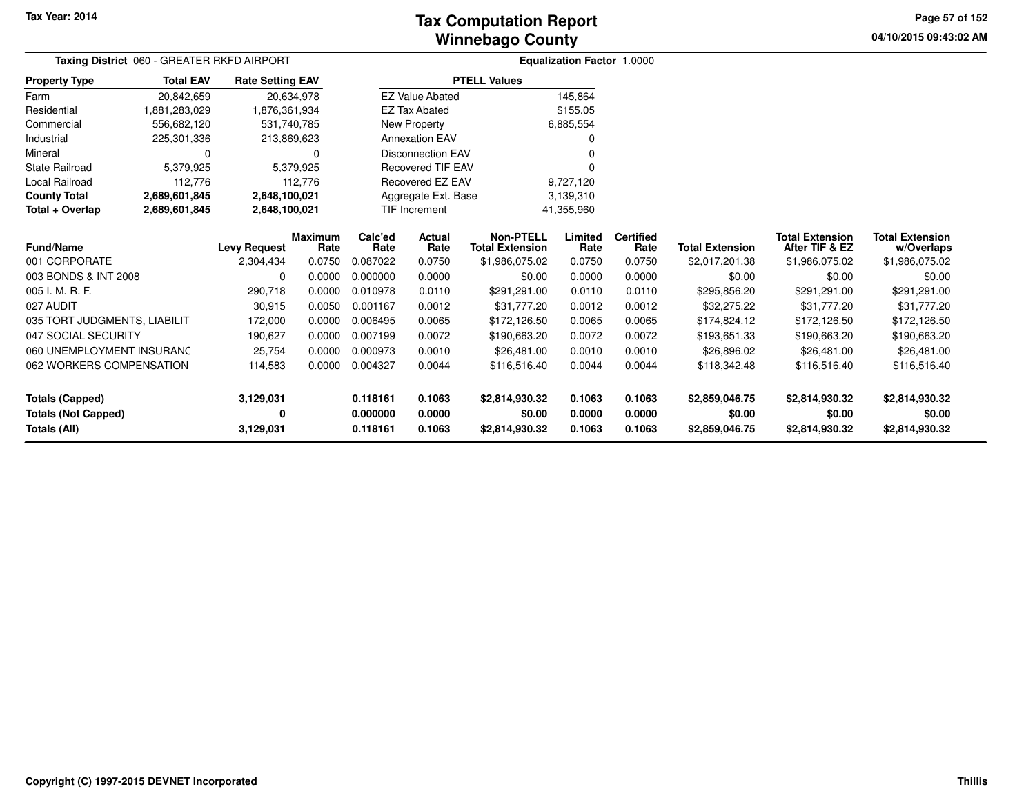# **Winnebago CountyTax Computation Report**

**04/10/2015 09:43:02 AM Page 57 of 152**

|                              | Taxing District 060 - GREATER RKFD AIRPORT |                         |                |          |                          |                        | Equalization Factor 1.0000 |                  |                        |                        |                        |
|------------------------------|--------------------------------------------|-------------------------|----------------|----------|--------------------------|------------------------|----------------------------|------------------|------------------------|------------------------|------------------------|
| <b>Property Type</b>         | <b>Total EAV</b>                           | <b>Rate Setting EAV</b> |                |          |                          | <b>PTELL Values</b>    |                            |                  |                        |                        |                        |
| Farm                         | 20,842,659                                 |                         | 20,634,978     |          | <b>EZ Value Abated</b>   |                        | 145,864                    |                  |                        |                        |                        |
| Residential                  | 1,881,283,029                              | 1,876,361,934           |                |          | <b>EZ Tax Abated</b>     |                        | \$155.05                   |                  |                        |                        |                        |
| Commercial                   | 556,682,120                                |                         | 531,740,785    |          | New Property             |                        | 6,885,554                  |                  |                        |                        |                        |
| Industrial                   | 225,301,336                                |                         | 213,869,623    |          | <b>Annexation EAV</b>    |                        |                            |                  |                        |                        |                        |
| Mineral                      |                                            |                         | 0              |          | <b>Disconnection EAV</b> |                        |                            |                  |                        |                        |                        |
| <b>State Railroad</b>        | 5,379,925                                  |                         | 5,379,925      |          | <b>Recovered TIF EAV</b> |                        |                            |                  |                        |                        |                        |
| Local Railroad               | 112,776                                    |                         | 112,776        |          | Recovered EZ EAV         |                        | 9,727,120                  |                  |                        |                        |                        |
| <b>County Total</b>          | 2,689,601,845                              | 2,648,100,021           |                |          | Aggregate Ext. Base      |                        | 3,139,310                  |                  |                        |                        |                        |
| Total + Overlap              | 2,689,601,845                              | 2,648,100,021           |                |          | TIF Increment            |                        | 41,355,960                 |                  |                        |                        |                        |
|                              |                                            |                         | <b>Maximum</b> | Calc'ed  | Actual                   | <b>Non-PTELL</b>       | Limited                    | <b>Certified</b> |                        | <b>Total Extension</b> | <b>Total Extension</b> |
| Fund/Name                    |                                            | <b>Levy Request</b>     | Rate           | Rate     | Rate                     | <b>Total Extension</b> | Rate                       | Rate             | <b>Total Extension</b> | After TIF & EZ         | w/Overlaps             |
| 001 CORPORATE                |                                            | 2,304,434               | 0.0750         | 0.087022 | 0.0750                   | \$1,986,075.02         | 0.0750                     | 0.0750           | \$2,017,201.38         | \$1,986,075.02         | \$1,986,075.02         |
| 003 BONDS & INT 2008         |                                            | 0                       | 0.0000         | 0.000000 | 0.0000                   | \$0.00                 | 0.0000                     | 0.0000           | \$0.00                 | \$0.00                 | \$0.00                 |
| 005 I. M. R. F.              |                                            | 290,718                 | 0.0000         | 0.010978 | 0.0110                   | \$291,291.00           | 0.0110                     | 0.0110           | \$295,856.20           | \$291,291.00           | \$291,291.00           |
| 027 AUDIT                    |                                            | 30,915                  | 0.0050         | 0.001167 | 0.0012                   | \$31,777.20            | 0.0012                     | 0.0012           | \$32,275.22            | \$31,777.20            | \$31,777.20            |
| 035 TORT JUDGMENTS, LIABILIT |                                            | 172,000                 | 0.0000         | 0.006495 | 0.0065                   | \$172,126.50           | 0.0065                     | 0.0065           | \$174,824.12           | \$172,126.50           | \$172,126.50           |
| 047 SOCIAL SECURITY          |                                            | 190,627                 | 0.0000         | 0.007199 | 0.0072                   | \$190,663.20           | 0.0072                     | 0.0072           | \$193,651.33           | \$190,663.20           | \$190,663.20           |
| 060 UNEMPLOYMENT INSURANC    |                                            | 25,754                  | 0.0000         | 0.000973 | 0.0010                   | \$26,481.00            | 0.0010                     | 0.0010           | \$26,896.02            | \$26,481.00            | \$26,481.00            |
| 062 WORKERS COMPENSATION     |                                            | 114,583                 | 0.0000         | 0.004327 | 0.0044                   | \$116,516.40           | 0.0044                     | 0.0044           | \$118,342.48           | \$116,516.40           | \$116,516.40           |
|                              |                                            |                         |                |          |                          |                        |                            |                  |                        |                        |                        |
| <b>Totals (Capped)</b>       |                                            | 3,129,031               |                | 0.118161 | 0.1063                   | \$2,814,930.32         | 0.1063                     | 0.1063           | \$2,859,046.75         | \$2,814,930.32         | \$2,814,930.32         |
| <b>Totals (Not Capped)</b>   |                                            | 0                       |                | 0.000000 | 0.0000                   | \$0.00                 | 0.0000                     | 0.0000           | \$0.00                 | \$0.00                 | \$0.00                 |
| <b>Totals (All)</b>          |                                            | 3,129,031               |                | 0.118161 | 0.1063                   | \$2,814,930.32         | 0.1063                     | 0.1063           | \$2,859,046.75         | \$2,814,930.32         | \$2,814,930.32         |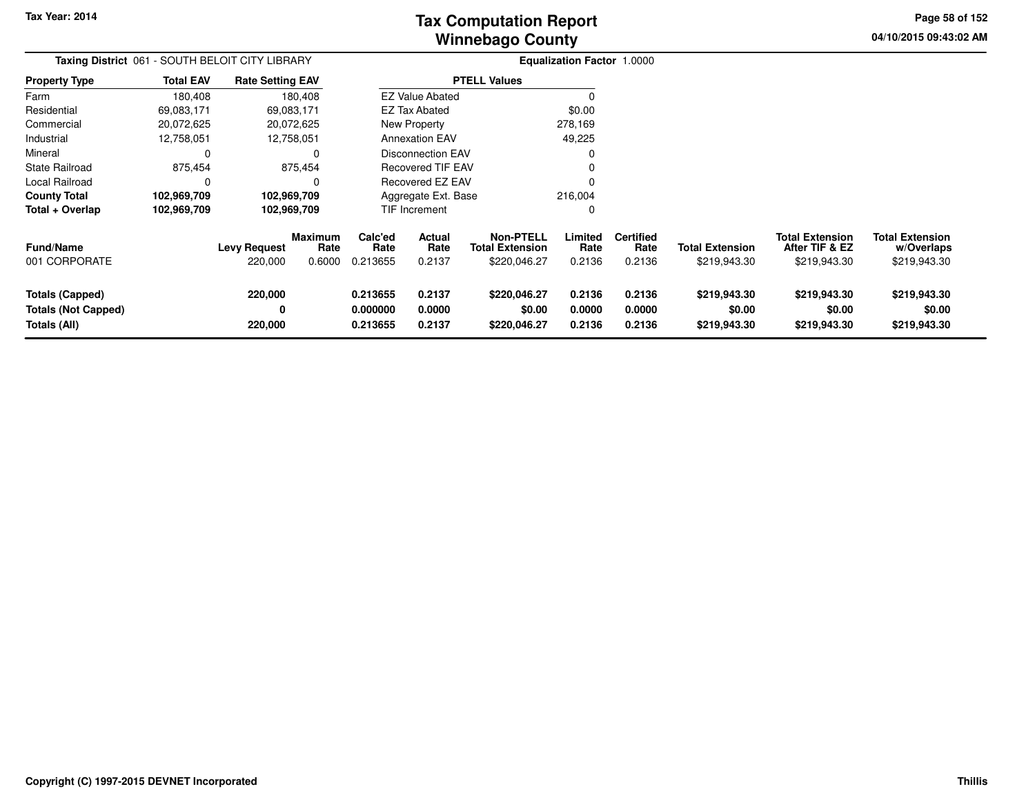**04/10/2015 09:43:02 AM Page 58 of 152**

|                                                                      |                  | Taxing District 061 - SOUTH BELOIT CITY LIBRARY |                           |                                  |                                 |                                                            |                            | Equalization Factor 1.0000         |                                        |                                                          |                                                      |  |
|----------------------------------------------------------------------|------------------|-------------------------------------------------|---------------------------|----------------------------------|---------------------------------|------------------------------------------------------------|----------------------------|------------------------------------|----------------------------------------|----------------------------------------------------------|------------------------------------------------------|--|
| <b>Property Type</b>                                                 | <b>Total EAV</b> | <b>Rate Setting EAV</b>                         |                           |                                  |                                 | <b>PTELL Values</b>                                        |                            |                                    |                                        |                                                          |                                                      |  |
| Farm                                                                 | 180,408          |                                                 | 180,408                   |                                  | <b>EZ Value Abated</b>          |                                                            |                            |                                    |                                        |                                                          |                                                      |  |
| Residential                                                          | 69,083,171       | 69,083,171                                      |                           |                                  | <b>EZ Tax Abated</b>            |                                                            | \$0.00                     |                                    |                                        |                                                          |                                                      |  |
| Commercial                                                           | 20,072,625       | 20,072,625                                      |                           |                                  | New Property                    |                                                            | 278,169                    |                                    |                                        |                                                          |                                                      |  |
| Industrial                                                           | 12,758,051       | 12,758,051                                      |                           |                                  | <b>Annexation EAV</b>           |                                                            | 49,225                     |                                    |                                        |                                                          |                                                      |  |
| Mineral                                                              | 0                |                                                 | 0                         |                                  | <b>Disconnection EAV</b>        |                                                            |                            |                                    |                                        |                                                          |                                                      |  |
| <b>State Railroad</b>                                                | 875,454          |                                                 | 875,454                   |                                  | <b>Recovered TIF EAV</b>        |                                                            |                            |                                    |                                        |                                                          |                                                      |  |
| Local Railroad                                                       | 0                |                                                 | 0                         |                                  | Recovered EZ EAV                |                                                            |                            |                                    |                                        |                                                          |                                                      |  |
| <b>County Total</b>                                                  | 102,969,709      | 102,969,709                                     |                           |                                  | Aggregate Ext. Base             |                                                            | 216,004                    |                                    |                                        |                                                          |                                                      |  |
| Total + Overlap                                                      | 102,969,709      | 102,969,709                                     |                           |                                  | TIF Increment                   |                                                            | 0                          |                                    |                                        |                                                          |                                                      |  |
| <b>Fund/Name</b><br>001 CORPORATE                                    |                  | <b>Levy Request</b><br>220,000                  | Maximum<br>Rate<br>0.6000 | Calc'ed<br>Rate<br>0.213655      | <b>Actual</b><br>Rate<br>0.2137 | <b>Non-PTELL</b><br><b>Total Extension</b><br>\$220,046.27 | Limited<br>Rate<br>0.2136  | <b>Certified</b><br>Rate<br>0.2136 | <b>Total Extension</b><br>\$219,943.30 | <b>Total Extension</b><br>After TIF & EZ<br>\$219,943.30 | <b>Total Extension</b><br>w/Overlaps<br>\$219,943.30 |  |
| <b>Totals (Capped)</b><br><b>Totals (Not Capped)</b><br>Totals (All) |                  | 220,000<br>0<br>220,000                         |                           | 0.213655<br>0.000000<br>0.213655 | 0.2137<br>0.0000<br>0.2137      | \$220,046.27<br>\$0.00<br>\$220,046.27                     | 0.2136<br>0.0000<br>0.2136 | 0.2136<br>0.0000<br>0.2136         | \$219,943.30<br>\$0.00<br>\$219,943.30 | \$219,943.30<br>\$0.00<br>\$219,943.30                   | \$219,943.30<br>\$0.00<br>\$219,943.30               |  |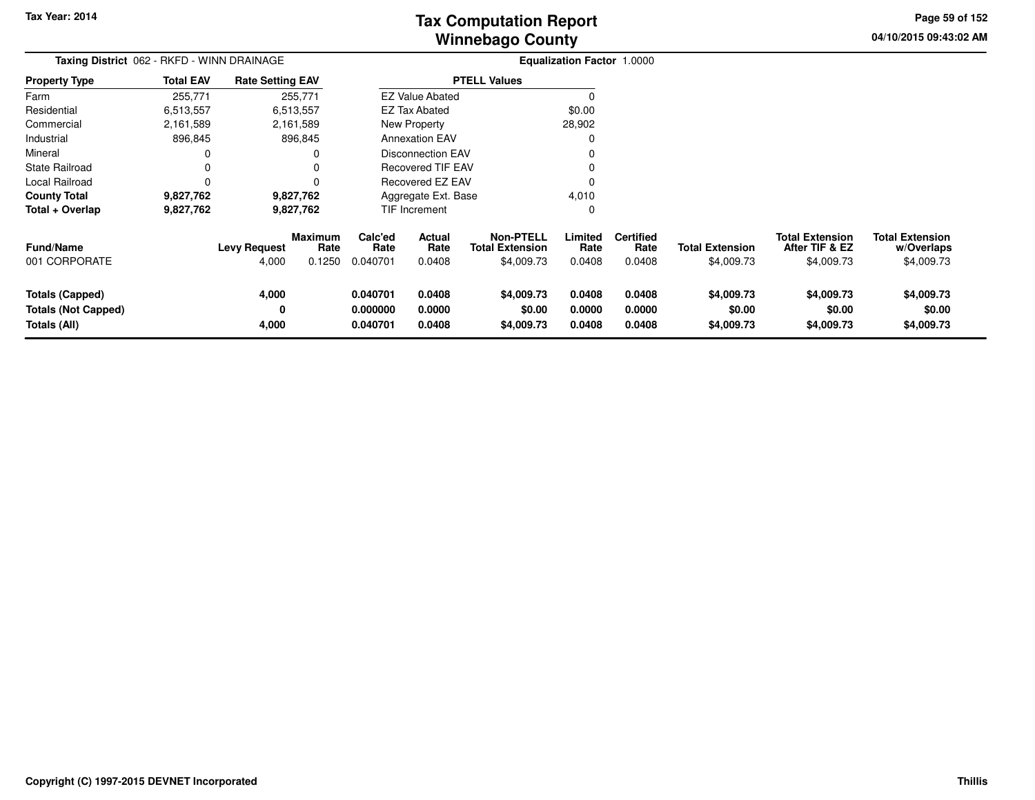# **Winnebago CountyTax Computation Report**

**04/10/2015 09:43:02 AM Page 59 of 152**

|                                                                      | Taxing District 062 - RKFD - WINN DRAINAGE |                              |                                  |                                  |                                 |                                                          | <b>Equalization Factor 1.0000</b> |                                    |                                      |                                                        |                                                    |
|----------------------------------------------------------------------|--------------------------------------------|------------------------------|----------------------------------|----------------------------------|---------------------------------|----------------------------------------------------------|-----------------------------------|------------------------------------|--------------------------------------|--------------------------------------------------------|----------------------------------------------------|
| <b>Property Type</b>                                                 | <b>Total EAV</b>                           | <b>Rate Setting EAV</b>      |                                  |                                  |                                 | <b>PTELL Values</b>                                      |                                   |                                    |                                      |                                                        |                                                    |
| Farm                                                                 | 255,771                                    |                              | 255,771                          |                                  | <b>EZ Value Abated</b>          |                                                          |                                   |                                    |                                      |                                                        |                                                    |
| Residential                                                          | 6,513,557                                  |                              | 6,513,557                        |                                  | <b>EZ Tax Abated</b>            |                                                          | \$0.00                            |                                    |                                      |                                                        |                                                    |
| Commercial                                                           | 2,161,589                                  |                              | 2,161,589                        |                                  | New Property                    |                                                          | 28,902                            |                                    |                                      |                                                        |                                                    |
| Industrial                                                           | 896,845                                    |                              | 896,845                          |                                  | <b>Annexation EAV</b>           |                                                          |                                   |                                    |                                      |                                                        |                                                    |
| Mineral                                                              | 0                                          |                              | 0                                |                                  | <b>Disconnection EAV</b>        |                                                          |                                   |                                    |                                      |                                                        |                                                    |
| State Railroad                                                       | 0                                          |                              |                                  |                                  | <b>Recovered TIF EAV</b>        |                                                          |                                   |                                    |                                      |                                                        |                                                    |
| Local Railroad                                                       | 0                                          |                              |                                  | Recovered EZ EAV                 |                                 |                                                          |                                   |                                    |                                      |                                                        |                                                    |
| <b>County Total</b>                                                  | 9,827,762                                  |                              | 9,827,762                        | Aggregate Ext. Base              |                                 |                                                          | 4,010                             |                                    |                                      |                                                        |                                                    |
| Total + Overlap                                                      | 9,827,762                                  |                              | 9,827,762                        |                                  | TIF Increment                   |                                                          | 0                                 |                                    |                                      |                                                        |                                                    |
| Fund/Name<br>001 CORPORATE                                           |                                            | <b>Levy Request</b><br>4,000 | <b>Maximum</b><br>Rate<br>0.1250 | Calc'ed<br>Rate<br>0.040701      | <b>Actual</b><br>Rate<br>0.0408 | <b>Non-PTELL</b><br><b>Total Extension</b><br>\$4,009.73 | Limited<br>Rate<br>0.0408         | <b>Certified</b><br>Rate<br>0.0408 | <b>Total Extension</b><br>\$4,009.73 | <b>Total Extension</b><br>After TIF & EZ<br>\$4,009.73 | <b>Total Extension</b><br>w/Overlaps<br>\$4,009.73 |
| <b>Totals (Capped)</b><br><b>Totals (Not Capped)</b><br>Totals (All) |                                            | 4,000<br>0<br>4,000          |                                  | 0.040701<br>0.000000<br>0.040701 | 0.0408<br>0.0000<br>0.0408      | \$4,009.73<br>\$0.00<br>\$4,009.73                       | 0.0408<br>0.0000<br>0.0408        | 0.0408<br>0.0000<br>0.0408         | \$4,009.73<br>\$0.00<br>\$4,009.73   | \$4,009.73<br>\$0.00<br>\$4,009.73                     | \$4,009.73<br>\$0.00<br>\$4,009.73                 |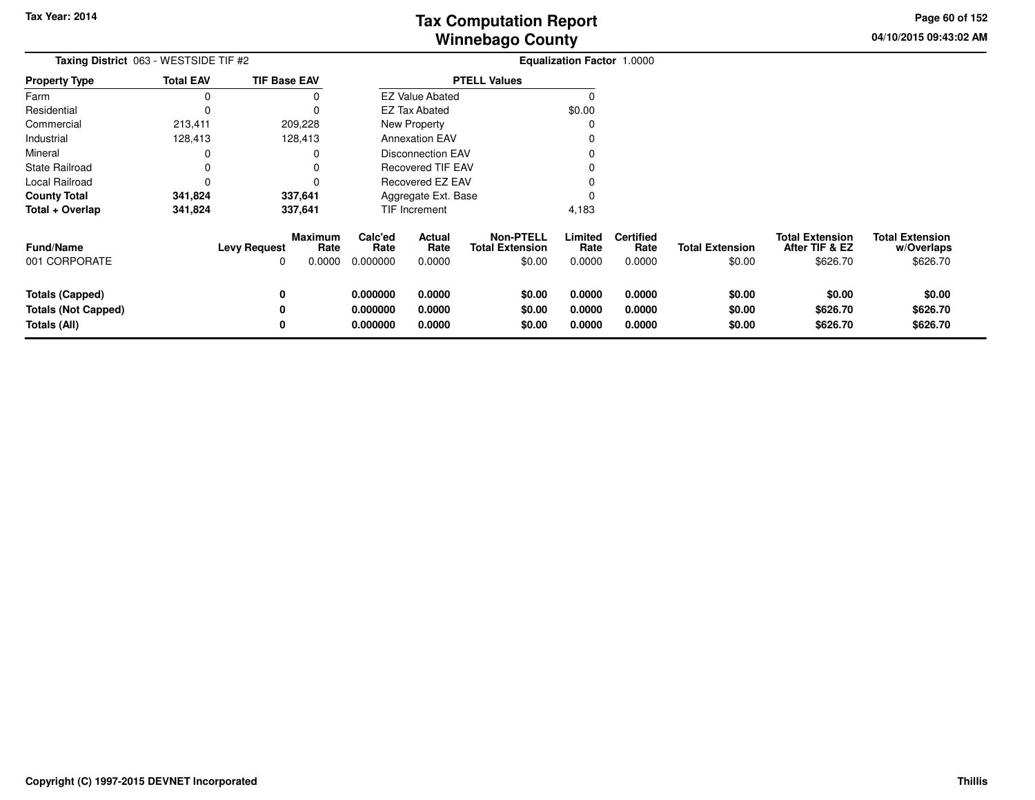**04/10/2015 09:43:02 AMPage 60 of 152**

| Taxing District 063 - WESTSIDE TIF #2                                |                  |                                                      |                                     | <b>Equalization Factor 1.0000</b> |                                                      |                            |                                    |                                  |                                                      |                                                  |
|----------------------------------------------------------------------|------------------|------------------------------------------------------|-------------------------------------|-----------------------------------|------------------------------------------------------|----------------------------|------------------------------------|----------------------------------|------------------------------------------------------|--------------------------------------------------|
| <b>Property Type</b>                                                 | <b>Total EAV</b> | <b>TIF Base EAV</b>                                  |                                     |                                   | <b>PTELL Values</b>                                  |                            |                                    |                                  |                                                      |                                                  |
| Farm                                                                 |                  |                                                      |                                     | <b>EZ Value Abated</b>            |                                                      |                            |                                    |                                  |                                                      |                                                  |
| Residential                                                          |                  |                                                      |                                     | <b>EZ Tax Abated</b>              |                                                      | \$0.00                     |                                    |                                  |                                                      |                                                  |
| Commercial                                                           | 213,411          | 209,228                                              |                                     | New Property                      |                                                      |                            |                                    |                                  |                                                      |                                                  |
| Industrial                                                           | 128,413          | 128,413                                              |                                     | <b>Annexation EAV</b>             |                                                      |                            |                                    |                                  |                                                      |                                                  |
| Mineral                                                              |                  |                                                      |                                     | <b>Disconnection EAV</b>          |                                                      |                            |                                    |                                  |                                                      |                                                  |
| <b>State Railroad</b>                                                |                  |                                                      |                                     | <b>Recovered TIF EAV</b>          |                                                      |                            |                                    |                                  |                                                      |                                                  |
| Local Railroad                                                       | 0                |                                                      |                                     | <b>Recovered EZ EAV</b>           |                                                      |                            |                                    |                                  |                                                      |                                                  |
| <b>County Total</b>                                                  | 341,824          | 337,641                                              |                                     | Aggregate Ext. Base               |                                                      |                            |                                    |                                  |                                                      |                                                  |
| Total + Overlap                                                      | 341,824          | 337,641                                              |                                     | TIF Increment                     |                                                      | 4,183                      |                                    |                                  |                                                      |                                                  |
| Fund/Name<br>001 CORPORATE                                           |                  | <b>Maximum</b><br><b>Levy Request</b><br>0.0000<br>0 | Calc'ed<br>Rate<br>Rate<br>0.000000 | Actual<br>Rate<br>0.0000          | <b>Non-PTELL</b><br><b>Total Extension</b><br>\$0.00 | Limited<br>Rate<br>0.0000  | <b>Certified</b><br>Rate<br>0.0000 | <b>Total Extension</b><br>\$0.00 | <b>Total Extension</b><br>After TIF & EZ<br>\$626.70 | <b>Total Extension</b><br>w/Overlaps<br>\$626.70 |
| <b>Totals (Capped)</b><br><b>Totals (Not Capped)</b><br>Totals (All) |                  | 0<br>0<br>0                                          | 0.000000<br>0.000000<br>0.000000    | 0.0000<br>0.0000<br>0.0000        | \$0.00<br>\$0.00<br>\$0.00                           | 0.0000<br>0.0000<br>0.0000 | 0.0000<br>0.0000<br>0.0000         | \$0.00<br>\$0.00<br>\$0.00       | \$0.00<br>\$626.70<br>\$626.70                       | \$0.00<br>\$626.70<br>\$626.70                   |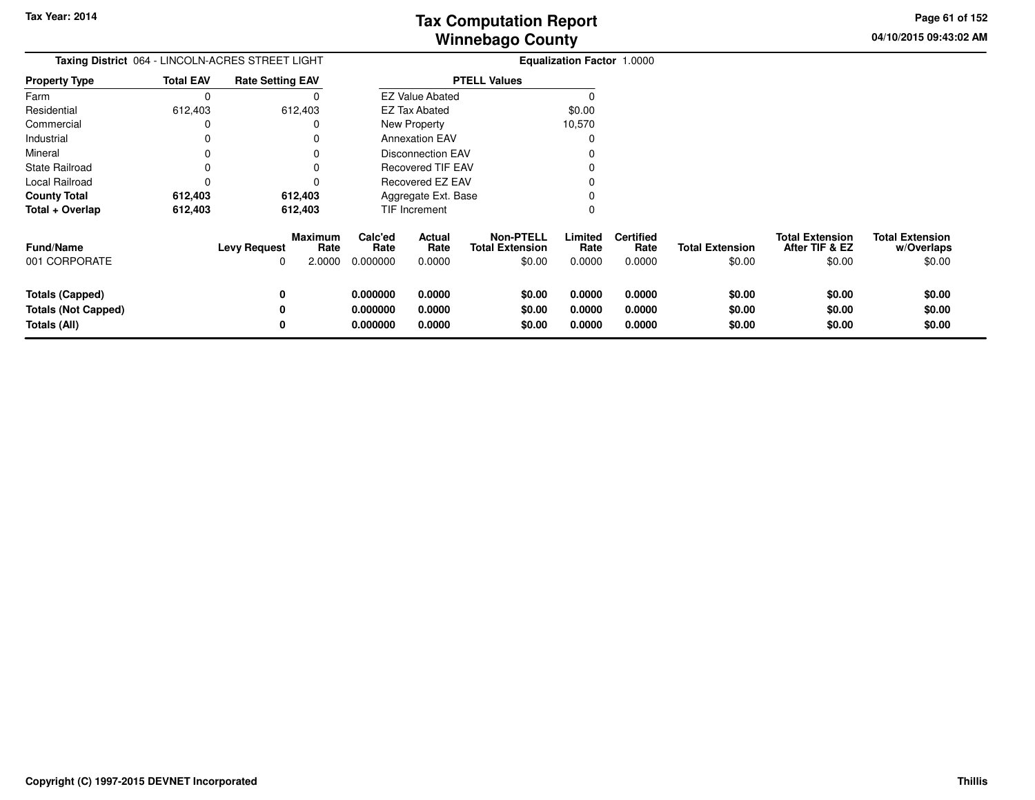**04/10/2015 09:43:02 AM Page 61 of 152**

|                                                               | Taxing District 064 - LINCOLN-ACRES STREET LIGHT |                                                              |                                  |                            | <b>Equalization Factor 1.0000</b>                    |                            |                                    |                                  |                                                    |                                                |
|---------------------------------------------------------------|--------------------------------------------------|--------------------------------------------------------------|----------------------------------|----------------------------|------------------------------------------------------|----------------------------|------------------------------------|----------------------------------|----------------------------------------------------|------------------------------------------------|
| <b>Property Type</b>                                          | <b>Total EAV</b>                                 | <b>Rate Setting EAV</b>                                      |                                  |                            | <b>PTELL Values</b>                                  |                            |                                    |                                  |                                                    |                                                |
| Farm                                                          | $\Omega$                                         |                                                              |                                  | <b>EZ Value Abated</b>     |                                                      |                            |                                    |                                  |                                                    |                                                |
| Residential                                                   | 612,403                                          | 612,403                                                      |                                  | <b>EZ Tax Abated</b>       |                                                      | \$0.00                     |                                    |                                  |                                                    |                                                |
| Commercial                                                    |                                                  |                                                              |                                  | New Property               |                                                      | 10,570                     |                                    |                                  |                                                    |                                                |
| Industrial                                                    |                                                  |                                                              |                                  | <b>Annexation EAV</b>      |                                                      |                            |                                    |                                  |                                                    |                                                |
| Mineral                                                       |                                                  |                                                              |                                  | <b>Disconnection EAV</b>   |                                                      |                            |                                    |                                  |                                                    |                                                |
| State Railroad                                                |                                                  |                                                              |                                  | Recovered TIF EAV          |                                                      |                            |                                    |                                  |                                                    |                                                |
| Local Railroad                                                |                                                  |                                                              |                                  | Recovered EZ EAV           |                                                      |                            |                                    |                                  |                                                    |                                                |
| <b>County Total</b>                                           | 612,403                                          | 612,403                                                      |                                  | Aggregate Ext. Base        |                                                      |                            |                                    |                                  |                                                    |                                                |
| Total + Overlap                                               | 612,403                                          | 612,403                                                      |                                  | TIF Increment              |                                                      |                            |                                    |                                  |                                                    |                                                |
| <b>Fund/Name</b><br>001 CORPORATE                             |                                                  | <b>Maximum</b><br>Rate<br><b>Levy Request</b><br>2.0000<br>0 | Calc'ed<br>Rate<br>0.000000      | Actual<br>Rate<br>0.0000   | <b>Non-PTELL</b><br><b>Total Extension</b><br>\$0.00 | Limited<br>Rate<br>0.0000  | <b>Certified</b><br>Rate<br>0.0000 | <b>Total Extension</b><br>\$0.00 | <b>Total Extension</b><br>After TIF & EZ<br>\$0.00 | <b>Total Extension</b><br>w/Overlaps<br>\$0.00 |
| Totals (Capped)<br><b>Totals (Not Capped)</b><br>Totals (All) |                                                  | 0<br>0<br>0                                                  | 0.000000<br>0.000000<br>0.000000 | 0.0000<br>0.0000<br>0.0000 | \$0.00<br>\$0.00<br>\$0.00                           | 0.0000<br>0.0000<br>0.0000 | 0.0000<br>0.0000<br>0.0000         | \$0.00<br>\$0.00<br>\$0.00       | \$0.00<br>\$0.00<br>\$0.00                         | \$0.00<br>\$0.00<br>\$0.00                     |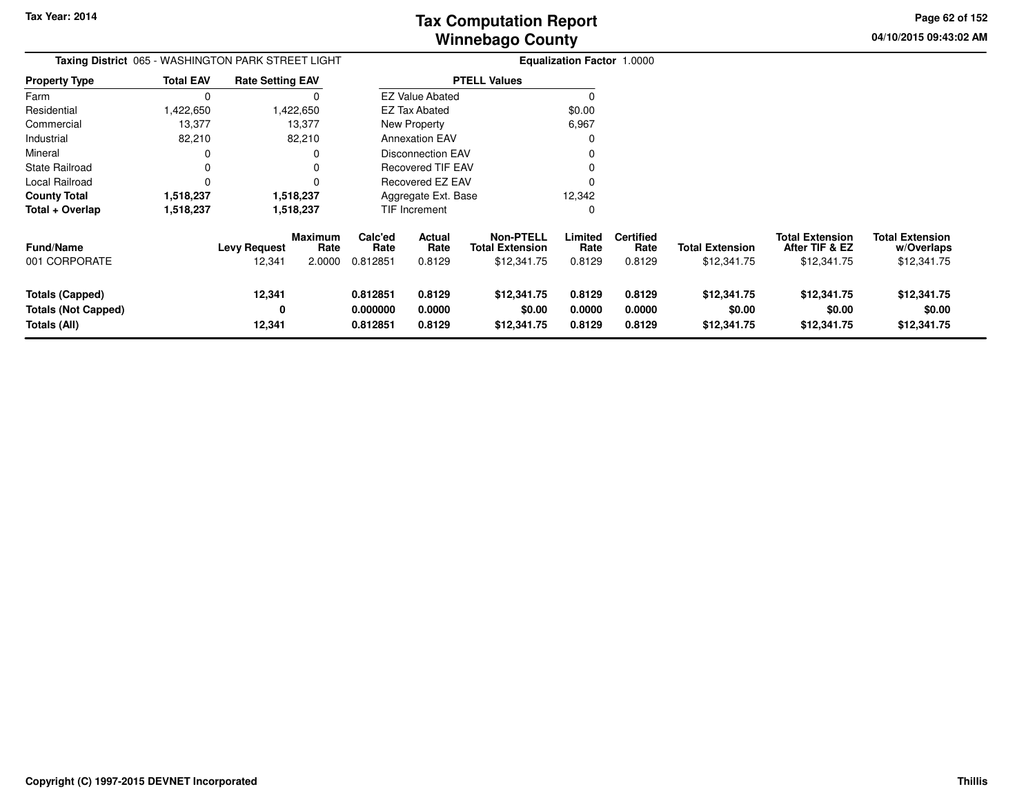**04/10/2015 09:43:02 AM Page 62 of 152**

| Taxing District 065 - WASHINGTON PARK STREET LIGHT                   |                  |                               |                                  | <b>Equalization Factor 1.0000</b> |                            |                                                           |                            |                                    |                                       |                                                         |                                                     |
|----------------------------------------------------------------------|------------------|-------------------------------|----------------------------------|-----------------------------------|----------------------------|-----------------------------------------------------------|----------------------------|------------------------------------|---------------------------------------|---------------------------------------------------------|-----------------------------------------------------|
| <b>Property Type</b>                                                 | <b>Total EAV</b> | <b>Rate Setting EAV</b>       |                                  |                                   |                            | <b>PTELL Values</b>                                       |                            |                                    |                                       |                                                         |                                                     |
| Farm                                                                 | $\Omega$         |                               | O                                |                                   | <b>EZ Value Abated</b>     |                                                           |                            |                                    |                                       |                                                         |                                                     |
| Residential                                                          | 1,422,650        |                               | 1,422,650                        |                                   | EZ Tax Abated              |                                                           | \$0.00                     |                                    |                                       |                                                         |                                                     |
| Commercial                                                           | 13,377           |                               | 13,377                           |                                   | New Property               |                                                           | 6,967                      |                                    |                                       |                                                         |                                                     |
| Industrial                                                           | 82,210           |                               | 82,210                           |                                   | <b>Annexation EAV</b>      |                                                           |                            |                                    |                                       |                                                         |                                                     |
| Mineral                                                              |                  |                               |                                  |                                   | <b>Disconnection EAV</b>   |                                                           |                            |                                    |                                       |                                                         |                                                     |
| <b>State Railroad</b>                                                | $\Omega$         |                               |                                  |                                   | <b>Recovered TIF EAV</b>   |                                                           |                            |                                    |                                       |                                                         |                                                     |
| Local Railroad                                                       |                  |                               |                                  |                                   | Recovered EZ EAV           |                                                           |                            |                                    |                                       |                                                         |                                                     |
| <b>County Total</b>                                                  | 1,518,237        |                               | 1,518,237                        |                                   | Aggregate Ext. Base        |                                                           | 12,342                     |                                    |                                       |                                                         |                                                     |
| Total + Overlap                                                      | 1,518,237        |                               | 1,518,237                        |                                   | TIF Increment              |                                                           | $\Omega$                   |                                    |                                       |                                                         |                                                     |
| <b>Fund/Name</b><br>001 CORPORATE                                    |                  | <b>Levy Request</b><br>12,341 | <b>Maximum</b><br>Rate<br>2.0000 | Calc'ed<br>Rate<br>0.812851       | Actual<br>Rate<br>0.8129   | <b>Non-PTELL</b><br><b>Total Extension</b><br>\$12,341.75 | Limited<br>Rate<br>0.8129  | <b>Certified</b><br>Rate<br>0.8129 | <b>Total Extension</b><br>\$12,341.75 | <b>Total Extension</b><br>After TIF & EZ<br>\$12,341.75 | <b>Total Extension</b><br>w/Overlaps<br>\$12,341.75 |
| <b>Totals (Capped)</b><br><b>Totals (Not Capped)</b><br>Totals (All) |                  | 12,341<br>0<br>12,341         |                                  | 0.812851<br>0.000000<br>0.812851  | 0.8129<br>0.0000<br>0.8129 | \$12,341.75<br>\$0.00<br>\$12,341.75                      | 0.8129<br>0.0000<br>0.8129 | 0.8129<br>0.0000<br>0.8129         | \$12,341.75<br>\$0.00<br>\$12,341.75  | \$12,341.75<br>\$0.00<br>\$12,341.75                    | \$12,341.75<br>\$0.00<br>\$12,341.75                |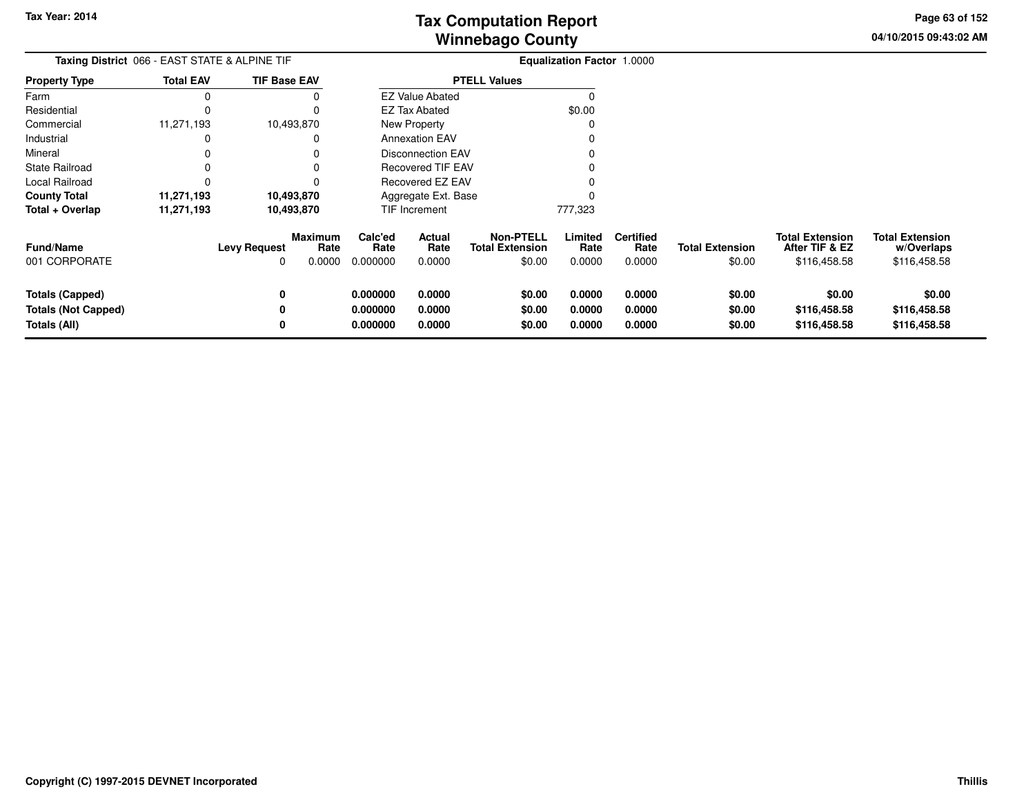**04/10/2015 09:43:02 AMPage 63 of 152**

| Taxing District 066 - EAST STATE & ALPINE TIF                 |                  |                          |                           | <b>Equalization Factor 1.0000</b> |                            |                                                      |                            |                                    |                                  |                                                          |                                                      |
|---------------------------------------------------------------|------------------|--------------------------|---------------------------|-----------------------------------|----------------------------|------------------------------------------------------|----------------------------|------------------------------------|----------------------------------|----------------------------------------------------------|------------------------------------------------------|
| <b>Property Type</b>                                          | <b>Total EAV</b> | <b>TIF Base EAV</b>      |                           |                                   |                            | <b>PTELL Values</b>                                  |                            |                                    |                                  |                                                          |                                                      |
| Farm                                                          | 0                |                          |                           |                                   | <b>EZ Value Abated</b>     |                                                      |                            |                                    |                                  |                                                          |                                                      |
| Residential                                                   | 0                |                          |                           |                                   | <b>EZ Tax Abated</b>       |                                                      | \$0.00                     |                                    |                                  |                                                          |                                                      |
| Commercial                                                    | 11,271,193       |                          | 10,493,870                |                                   | New Property               |                                                      |                            |                                    |                                  |                                                          |                                                      |
| Industrial                                                    | 0                |                          |                           |                                   | <b>Annexation EAV</b>      |                                                      |                            |                                    |                                  |                                                          |                                                      |
| Mineral                                                       |                  |                          |                           |                                   | <b>Disconnection EAV</b>   |                                                      |                            |                                    |                                  |                                                          |                                                      |
| State Railroad                                                |                  |                          |                           |                                   | <b>Recovered TIF EAV</b>   |                                                      |                            |                                    |                                  |                                                          |                                                      |
| Local Railroad                                                | 0                |                          |                           |                                   | Recovered EZ EAV           |                                                      |                            |                                    |                                  |                                                          |                                                      |
| County Total                                                  | 11,271,193       |                          | 10,493,870                |                                   | Aggregate Ext. Base        |                                                      |                            |                                    |                                  |                                                          |                                                      |
| Total + Overlap                                               | 11,271,193       |                          | 10,493,870                |                                   | <b>TIF Increment</b>       |                                                      | 777,323                    |                                    |                                  |                                                          |                                                      |
| <b>Fund/Name</b><br>001 CORPORATE                             |                  | <b>Levy Request</b><br>0 | Maximum<br>Rate<br>0.0000 | Calc'ed<br>Rate<br>0.000000       | Actual<br>Rate<br>0.0000   | <b>Non-PTELL</b><br><b>Total Extension</b><br>\$0.00 | Limited<br>Rate<br>0.0000  | <b>Certified</b><br>Rate<br>0.0000 | <b>Total Extension</b><br>\$0.00 | <b>Total Extension</b><br>After TIF & EZ<br>\$116,458.58 | <b>Total Extension</b><br>w/Overlaps<br>\$116,458.58 |
| Totals (Capped)<br><b>Totals (Not Capped)</b><br>Totals (All) |                  | 0<br>0<br>0              |                           | 0.000000<br>0.000000<br>0.000000  | 0.0000<br>0.0000<br>0.0000 | \$0.00<br>\$0.00<br>\$0.00                           | 0.0000<br>0.0000<br>0.0000 | 0.0000<br>0.0000<br>0.0000         | \$0.00<br>\$0.00<br>\$0.00       | \$0.00<br>\$116,458.58<br>\$116,458.58                   | \$0.00<br>\$116,458.58<br>\$116,458.58               |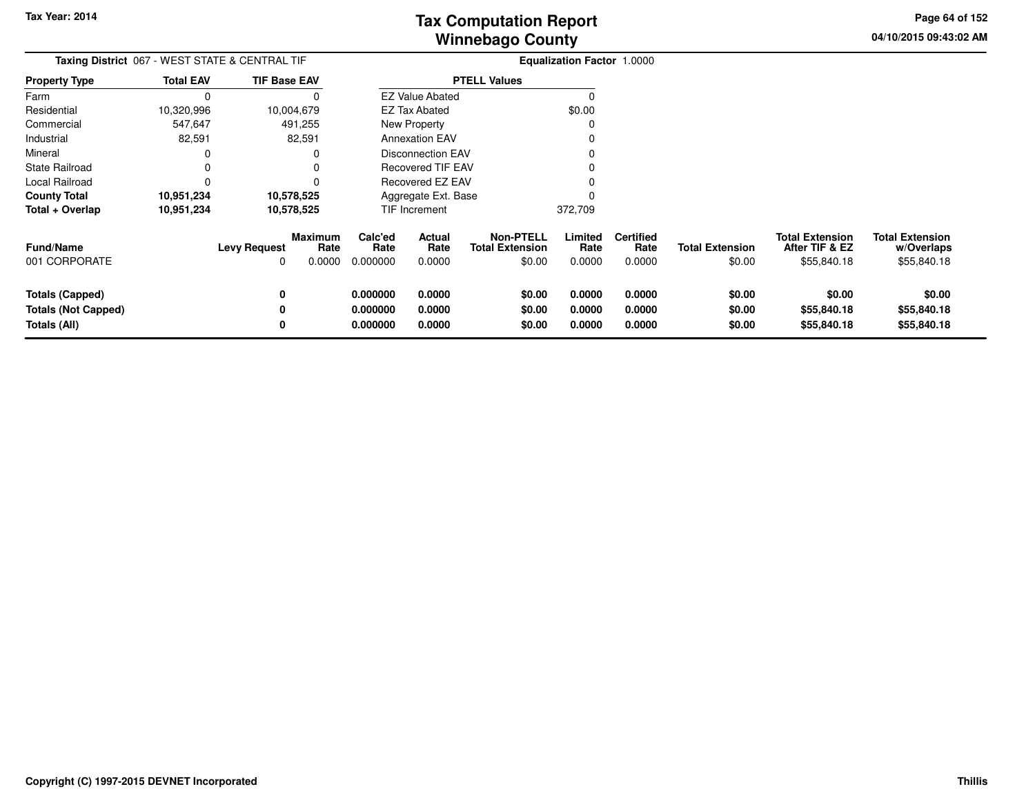**04/10/2015 09:43:02 AMPage 64 of 152**

| <b>Taxing District 067 - WEST STATE &amp; CENTRAL TIF</b>            |                  |                     |                                  |                                  | <b>Equalization Factor 1.0000</b> |                                                      |                            |                                    |                                  |                                                         |                                                     |
|----------------------------------------------------------------------|------------------|---------------------|----------------------------------|----------------------------------|-----------------------------------|------------------------------------------------------|----------------------------|------------------------------------|----------------------------------|---------------------------------------------------------|-----------------------------------------------------|
| <b>Property Type</b>                                                 | <b>Total EAV</b> | <b>TIF Base EAV</b> |                                  |                                  |                                   | <b>PTELL Values</b>                                  |                            |                                    |                                  |                                                         |                                                     |
| Farm                                                                 | $\Omega$         |                     | 0                                |                                  | <b>EZ Value Abated</b>            |                                                      | $\Omega$                   |                                    |                                  |                                                         |                                                     |
| Residential                                                          | 10,320,996       | 10,004,679          |                                  |                                  | EZ Tax Abated                     |                                                      | \$0.00                     |                                    |                                  |                                                         |                                                     |
| Commercial                                                           | 547,647          |                     | 491,255                          |                                  | New Property                      |                                                      | C                          |                                    |                                  |                                                         |                                                     |
| Industrial                                                           | 82,591           |                     | 82,591                           |                                  | <b>Annexation EAV</b>             |                                                      |                            |                                    |                                  |                                                         |                                                     |
| Mineral                                                              | 0                |                     | O                                |                                  | <b>Disconnection EAV</b>          |                                                      |                            |                                    |                                  |                                                         |                                                     |
| <b>State Railroad</b>                                                | 0                |                     | 0                                |                                  | Recovered TIF EAV                 |                                                      |                            |                                    |                                  |                                                         |                                                     |
| Local Railroad                                                       | 0                |                     | 0                                |                                  | Recovered EZ EAV                  |                                                      |                            |                                    |                                  |                                                         |                                                     |
| <b>County Total</b>                                                  | 10,951,234       | 10,578,525          |                                  |                                  | Aggregate Ext. Base               |                                                      | O                          |                                    |                                  |                                                         |                                                     |
| Total + Overlap                                                      | 10,951,234       | 10,578,525          |                                  |                                  | TIF Increment                     |                                                      | 372,709                    |                                    |                                  |                                                         |                                                     |
| <b>Fund/Name</b><br>001 CORPORATE                                    |                  | <b>Levy Request</b> | <b>Maximum</b><br>Rate<br>0.0000 | Calc'ed<br>Rate<br>0.000000      | Actual<br>Rate<br>0.0000          | <b>Non-PTELL</b><br><b>Total Extension</b><br>\$0.00 | Limited<br>Rate<br>0.0000  | <b>Certified</b><br>Rate<br>0.0000 | <b>Total Extension</b><br>\$0.00 | <b>Total Extension</b><br>After TIF & EZ<br>\$55,840.18 | <b>Total Extension</b><br>w/Overlaps<br>\$55,840.18 |
| <b>Totals (Capped)</b><br><b>Totals (Not Capped)</b><br>Totals (All) |                  | 0<br>0              |                                  | 0.000000<br>0.000000<br>0.000000 | 0.0000<br>0.0000<br>0.0000        | \$0.00<br>\$0.00<br>\$0.00                           | 0.0000<br>0.0000<br>0.0000 | 0.0000<br>0.0000<br>0.0000         | \$0.00<br>\$0.00<br>\$0.00       | \$0.00<br>\$55,840.18<br>\$55,840.18                    | \$0.00<br>\$55,840.18<br>\$55,840.18                |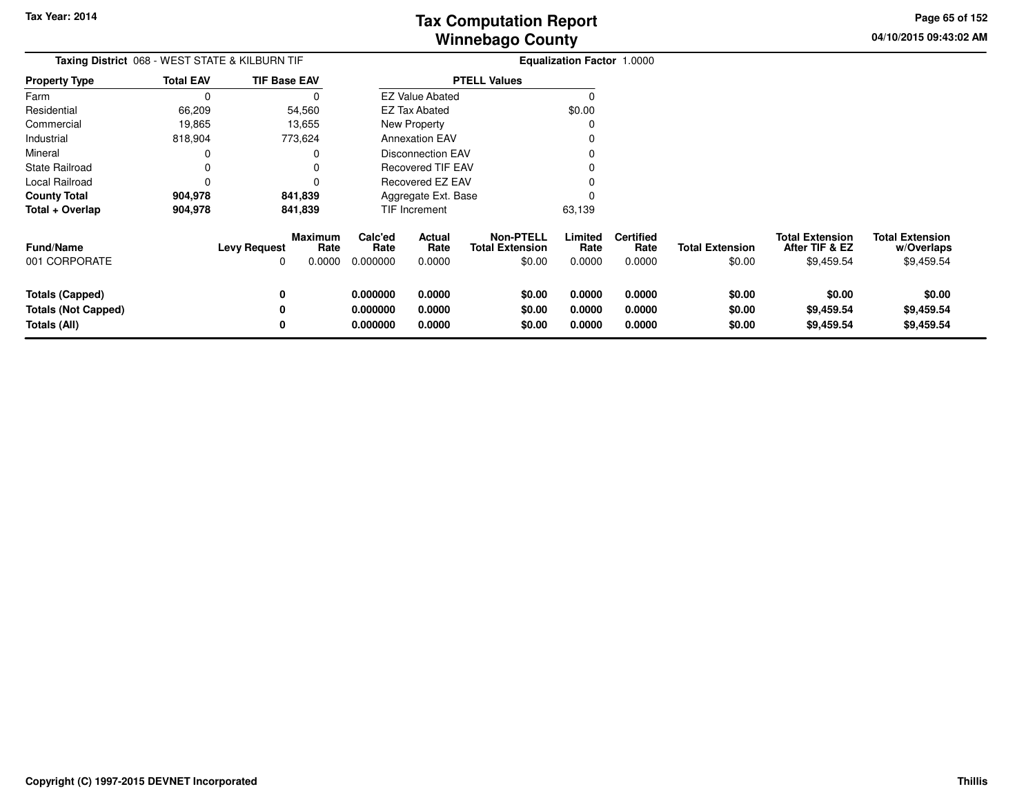**04/10/2015 09:43:02 AMPage 65 of 152**

| Taxing District 068 - WEST STATE & KILBURN TIF                       |                  |                                                              |                                  | <b>Equalization Factor 1.0000</b> |                                                      |                            |                                    |                                  |                                                        |                                                    |
|----------------------------------------------------------------------|------------------|--------------------------------------------------------------|----------------------------------|-----------------------------------|------------------------------------------------------|----------------------------|------------------------------------|----------------------------------|--------------------------------------------------------|----------------------------------------------------|
| <b>Property Type</b>                                                 | <b>Total EAV</b> | <b>TIF Base EAV</b>                                          |                                  |                                   | <b>PTELL Values</b>                                  |                            |                                    |                                  |                                                        |                                                    |
| Farm                                                                 | 0                |                                                              |                                  | <b>EZ Value Abated</b>            |                                                      |                            |                                    |                                  |                                                        |                                                    |
| Residential                                                          | 66,209           | 54,560                                                       |                                  | EZ Tax Abated                     |                                                      | \$0.00                     |                                    |                                  |                                                        |                                                    |
| Commercial                                                           | 19,865           | 13,655                                                       |                                  | New Property                      |                                                      |                            |                                    |                                  |                                                        |                                                    |
| Industrial                                                           | 818,904          | 773,624                                                      |                                  | <b>Annexation EAV</b>             |                                                      |                            |                                    |                                  |                                                        |                                                    |
| Mineral                                                              | $\Omega$         |                                                              |                                  | Disconnection EAV                 |                                                      |                            |                                    |                                  |                                                        |                                                    |
| <b>State Railroad</b>                                                | 0                |                                                              |                                  | <b>Recovered TIF EAV</b>          |                                                      |                            |                                    |                                  |                                                        |                                                    |
| Local Railroad                                                       | $\Omega$         |                                                              |                                  | <b>Recovered EZ EAV</b>           |                                                      |                            |                                    |                                  |                                                        |                                                    |
| <b>County Total</b>                                                  | 904,978          | 841,839                                                      |                                  | Aggregate Ext. Base               |                                                      |                            |                                    |                                  |                                                        |                                                    |
| Total + Overlap                                                      | 904,978          | 841,839                                                      |                                  | TIF Increment                     |                                                      | 63,139                     |                                    |                                  |                                                        |                                                    |
| <b>Fund/Name</b><br>001 CORPORATE                                    |                  | <b>Maximum</b><br><b>Levy Request</b><br>Rate<br>0.0000<br>0 | Calc'ed<br>Rate<br>0.000000      | Actual<br>Rate<br>0.0000          | <b>Non-PTELL</b><br><b>Total Extension</b><br>\$0.00 | Limited<br>Rate<br>0.0000  | <b>Certified</b><br>Rate<br>0.0000 | <b>Total Extension</b><br>\$0.00 | <b>Total Extension</b><br>After TIF & EZ<br>\$9,459.54 | <b>Total Extension</b><br>w/Overlaps<br>\$9,459.54 |
| <b>Totals (Capped)</b><br><b>Totals (Not Capped)</b><br>Totals (All) |                  | 0<br>0<br>0                                                  | 0.000000<br>0.000000<br>0.000000 | 0.0000<br>0.0000<br>0.0000        | \$0.00<br>\$0.00<br>\$0.00                           | 0.0000<br>0.0000<br>0.0000 | 0.0000<br>0.0000<br>0.0000         | \$0.00<br>\$0.00<br>\$0.00       | \$0.00<br>\$9,459.54<br>\$9,459.54                     | \$0.00<br>\$9,459.54<br>\$9,459.54                 |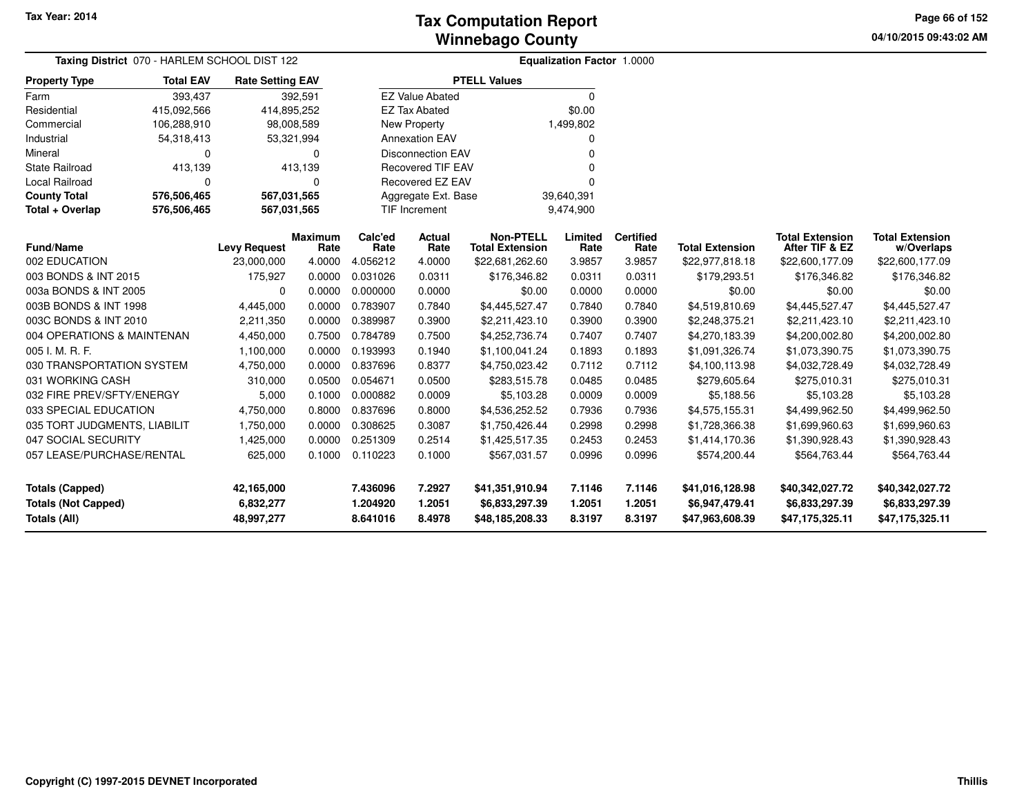**04/10/2015 09:43:02 AM Page 66 of 152**

| Taxing District 070 - HARLEM SCHOOL DIST 122      |                  |                         |                        | <b>Equalization Factor 1.0000</b> |                          |                                            |                  |                          |                                   |                                          |                                      |  |
|---------------------------------------------------|------------------|-------------------------|------------------------|-----------------------------------|--------------------------|--------------------------------------------|------------------|--------------------------|-----------------------------------|------------------------------------------|--------------------------------------|--|
| <b>Property Type</b>                              | <b>Total EAV</b> | <b>Rate Setting EAV</b> |                        |                                   |                          | <b>PTELL Values</b>                        |                  |                          |                                   |                                          |                                      |  |
| Farm                                              | 393,437          |                         | 392,591                |                                   | <b>EZ Value Abated</b>   |                                            | 0                |                          |                                   |                                          |                                      |  |
| Residential                                       | 415,092,566      | 414,895,252             |                        |                                   | <b>EZ Tax Abated</b>     |                                            | \$0.00           |                          |                                   |                                          |                                      |  |
| Commercial                                        | 106,288,910      | 98,008,589              |                        |                                   | <b>New Property</b>      |                                            | 1,499,802        |                          |                                   |                                          |                                      |  |
| Industrial                                        | 54,318,413       |                         | 53,321,994             |                                   | <b>Annexation EAV</b>    |                                            | 0                |                          |                                   |                                          |                                      |  |
| Mineral                                           | 0                |                         | 0                      |                                   | <b>Disconnection EAV</b> |                                            | U                |                          |                                   |                                          |                                      |  |
| <b>State Railroad</b>                             | 413,139          |                         | 413,139                |                                   | <b>Recovered TIF EAV</b> |                                            |                  |                          |                                   |                                          |                                      |  |
| Local Railroad                                    | 0                |                         | 0                      |                                   | Recovered EZ EAV         |                                            | U                |                          |                                   |                                          |                                      |  |
| <b>County Total</b>                               | 576,506,465      | 567,031,565             |                        |                                   | Aggregate Ext. Base      |                                            | 39,640,391       |                          |                                   |                                          |                                      |  |
| Total + Overlap                                   | 576,506,465      | 567,031,565             |                        |                                   | <b>TIF Increment</b>     |                                            | 9,474,900        |                          |                                   |                                          |                                      |  |
| <b>Fund/Name</b>                                  |                  | <b>Levy Request</b>     | <b>Maximum</b><br>Rate | Calc'ed<br>Rate                   | <b>Actual</b><br>Rate    | <b>Non-PTELL</b><br><b>Total Extension</b> | Limited<br>Rate  | <b>Certified</b><br>Rate | <b>Total Extension</b>            | <b>Total Extension</b><br>After TIF & EZ | <b>Total Extension</b><br>w/Overlaps |  |
| 002 EDUCATION                                     |                  | 23,000,000              | 4.0000                 | 4.056212                          | 4.0000                   | \$22,681,262.60                            | 3.9857           | 3.9857                   | \$22,977,818.18                   | \$22,600,177.09                          | \$22,600,177.09                      |  |
| 003 BONDS & INT 2015                              |                  | 175,927                 | 0.0000                 | 0.031026                          | 0.0311                   | \$176,346.82                               | 0.0311           | 0.0311                   | \$179,293.51                      | \$176,346.82                             | \$176,346.82                         |  |
| 003a BONDS & INT 2005                             |                  | 0                       | 0.0000                 | 0.000000                          | 0.0000                   | \$0.00                                     | 0.0000           | 0.0000                   | \$0.00                            | \$0.00                                   | \$0.00                               |  |
| 003B BONDS & INT 1998                             |                  | 4,445,000               | 0.0000                 | 0.783907                          | 0.7840                   | \$4,445,527.47                             | 0.7840           | 0.7840                   | \$4,519,810.69                    | \$4,445,527.47                           | \$4,445,527.47                       |  |
| 003C BONDS & INT 2010                             |                  | 2,211,350               | 0.0000                 | 0.389987                          | 0.3900                   | \$2,211,423.10                             | 0.3900           | 0.3900                   | \$2,248,375.21                    | \$2,211,423.10                           | \$2,211,423.10                       |  |
| 004 OPERATIONS & MAINTENAN                        |                  | 4,450,000               | 0.7500                 | 0.784789                          | 0.7500                   | \$4,252,736.74                             | 0.7407           | 0.7407                   | \$4,270,183.39                    | \$4,200,002.80                           | \$4,200,002.80                       |  |
| 005 I. M. R. F.                                   |                  | 1,100,000               | 0.0000                 | 0.193993                          | 0.1940                   | \$1,100,041.24                             | 0.1893           | 0.1893                   | \$1,091,326.74                    | \$1,073,390.75                           | \$1,073,390.75                       |  |
| 030 TRANSPORTATION SYSTEM                         |                  | 4,750,000               | 0.0000                 | 0.837696                          | 0.8377                   | \$4,750,023.42                             | 0.7112           | 0.7112                   | \$4,100,113.98                    | \$4,032,728.49                           | \$4,032,728.49                       |  |
| 031 WORKING CASH                                  |                  | 310,000                 | 0.0500                 | 0.054671                          | 0.0500                   | \$283,515.78                               | 0.0485           | 0.0485                   | \$279,605.64                      | \$275,010.31                             | \$275,010.31                         |  |
| 032 FIRE PREV/SFTY/ENERGY                         |                  | 5,000                   | 0.1000                 | 0.000882                          | 0.0009                   | \$5,103.28                                 | 0.0009           | 0.0009                   | \$5,188.56                        | \$5,103.28                               | \$5,103.28                           |  |
| 033 SPECIAL EDUCATION                             |                  | 4,750,000               | 0.8000                 | 0.837696                          | 0.8000                   | \$4,536,252.52                             | 0.7936           | 0.7936                   | \$4,575,155.31                    | \$4,499,962.50                           | \$4,499,962.50                       |  |
| 035 TORT JUDGMENTS, LIABILIT                      |                  | 1,750,000               | 0.0000                 | 0.308625                          | 0.3087                   | \$1,750,426.44                             | 0.2998           | 0.2998                   | \$1,728,366.38                    | \$1,699,960.63                           | \$1,699,960.63                       |  |
| 047 SOCIAL SECURITY                               |                  | 1,425,000               | 0.0000                 | 0.251309                          | 0.2514                   | \$1,425,517.35                             | 0.2453           | 0.2453                   | \$1,414,170.36                    | \$1,390,928.43                           | \$1,390,928.43                       |  |
| 057 LEASE/PURCHASE/RENTAL                         |                  | 625,000                 | 0.1000                 | 0.110223                          | 0.1000                   | \$567,031.57                               | 0.0996           | 0.0996                   | \$574,200.44                      | \$564,763.44                             | \$564,763.44                         |  |
| <b>Totals (Capped)</b>                            |                  | 42,165,000              |                        | 7.436096                          | 7.2927                   | \$41,351,910.94                            | 7.1146           | 7.1146                   | \$41,016,128.98                   | \$40,342,027.72                          | \$40,342,027.72                      |  |
| <b>Totals (Not Capped)</b><br><b>Totals (All)</b> |                  | 6,832,277<br>48,997,277 |                        | 1.204920<br>8.641016              | 1.2051<br>8.4978         | \$6,833,297.39<br>\$48,185,208.33          | 1.2051<br>8.3197 | 1.2051<br>8.3197         | \$6,947,479.41<br>\$47,963,608.39 | \$6,833,297.39<br>\$47,175,325.11        | \$6,833,297.39<br>\$47,175,325.11    |  |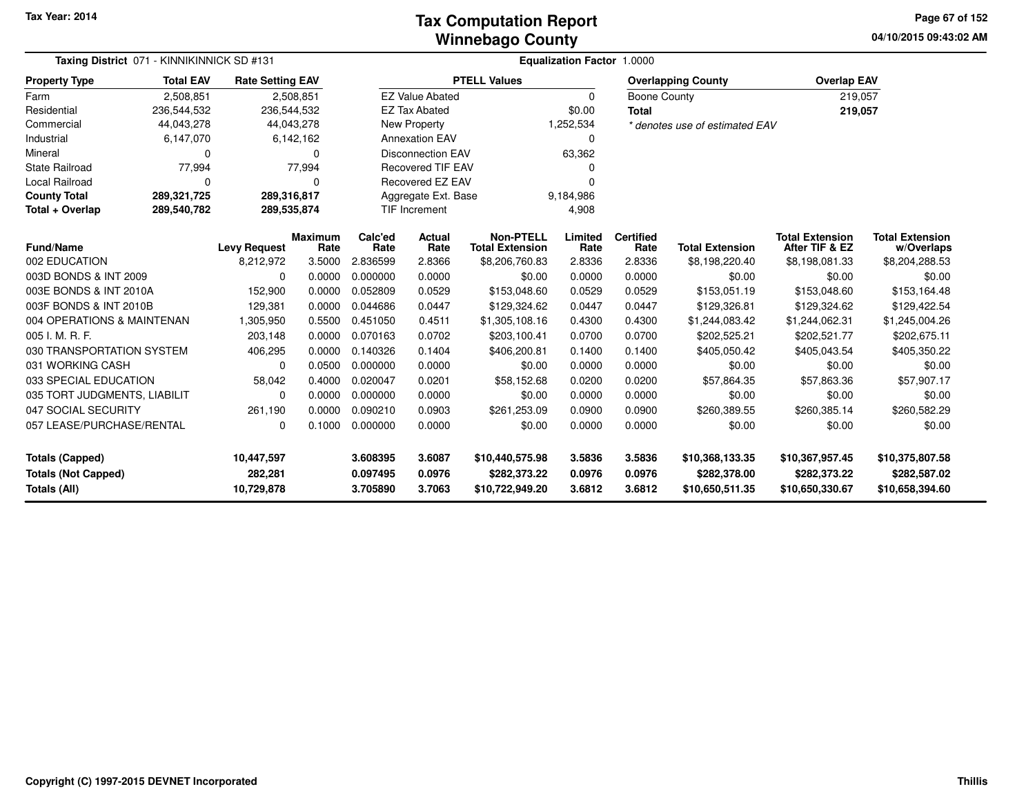### **Winnebago CountyTax Computation Report**

**04/10/2015 09:43:02 AM Page 67 of 152**

| Taxing District 071 - KINNIKINNICK SD #131 |                                         |                         |                | Equalization Factor 1.0000 |                               |                          |                |                     |                                          |                          |                          |  |  |
|--------------------------------------------|-----------------------------------------|-------------------------|----------------|----------------------------|-------------------------------|--------------------------|----------------|---------------------|------------------------------------------|--------------------------|--------------------------|--|--|
| <b>Property Type</b>                       | <b>Total EAV</b>                        | <b>Rate Setting EAV</b> |                |                            |                               | <b>PTELL Values</b>      |                |                     | <b>Overlapping County</b>                | <b>Overlap EAV</b>       |                          |  |  |
| Farm                                       | 2,508,851                               |                         | 2,508,851      |                            | <b>EZ Value Abated</b>        |                          | $\Omega$       | <b>Boone County</b> |                                          | 219,057                  |                          |  |  |
| Residential                                | 236,544,532                             | 236,544,532             |                |                            | <b>EZ Tax Abated</b>          |                          | \$0.00         | <b>Total</b>        |                                          | 219,057                  |                          |  |  |
| Commercial                                 | 44,043,278                              | 44,043,278              |                |                            | New Property                  |                          | 1,252,534      |                     | * denotes use of estimated EAV           |                          |                          |  |  |
| Industrial                                 | 6,147,070                               |                         | 6,142,162      |                            | <b>Annexation EAV</b>         |                          | 0              |                     |                                          |                          |                          |  |  |
| Mineral                                    | 0                                       |                         | $\Omega$       |                            | <b>Disconnection EAV</b>      |                          | 63,362         |                     |                                          |                          |                          |  |  |
| <b>State Railroad</b>                      | 77,994                                  |                         | 77,994         |                            | <b>Recovered TIF EAV</b>      |                          |                |                     |                                          |                          |                          |  |  |
| Local Railroad                             | $\Omega$                                |                         | $\Omega$       |                            | Recovered EZ EAV              |                          | O              |                     |                                          |                          |                          |  |  |
| <b>County Total</b>                        | 289,321,725                             | 289,316,817             |                |                            | Aggregate Ext. Base           |                          | 9,184,986      |                     |                                          |                          |                          |  |  |
| Total + Overlap                            | 289,540,782                             | 289,535,874             |                |                            | 4,908<br><b>TIF Increment</b> |                          |                |                     |                                          |                          |                          |  |  |
|                                            | <b>Fund/Name</b><br><b>Levy Request</b> |                         | <b>Maximum</b> | Calc'ed                    | <b>Actual</b>                 | <b>Non-PTELL</b>         | Limited        | <b>Certified</b>    |                                          | <b>Total Extension</b>   | <b>Total Extension</b>   |  |  |
| 002 EDUCATION                              |                                         | 8,212,972               | Rate<br>3.5000 | Rate<br>2.836599           | Rate<br>2.8366                | <b>Total Extension</b>   | Rate<br>2.8336 | Rate<br>2.8336      | <b>Total Extension</b><br>\$8,198,220.40 | After TIF & EZ           | w/Overlaps               |  |  |
| 003D BONDS & INT 2009                      |                                         | $\Omega$                | 0.0000         | 0.000000                   | 0.0000                        | \$8,206,760.83<br>\$0.00 | 0.0000         | 0.0000              | \$0.00                                   | \$8,198,081.33<br>\$0.00 | \$8,204,288.53<br>\$0.00 |  |  |
| 003E BONDS & INT 2010A                     |                                         | 152,900                 | 0.0000         | 0.052809                   | 0.0529                        | \$153,048.60             | 0.0529         | 0.0529              |                                          |                          |                          |  |  |
|                                            |                                         |                         |                |                            |                               |                          |                |                     | \$153,051.19                             | \$153,048.60             | \$153,164.48             |  |  |
| 003F BONDS & INT 2010B                     |                                         | 129,381                 | 0.0000         | 0.044686                   | 0.0447                        | \$129,324.62             | 0.0447         | 0.0447              | \$129,326.81                             | \$129,324.62             | \$129,422.54             |  |  |
| 004 OPERATIONS & MAINTENAN                 |                                         | 1,305,950               | 0.5500         | 0.451050                   | 0.4511                        | \$1,305,108.16           | 0.4300         | 0.4300              | \$1,244,083.42                           | \$1,244,062.31           | \$1,245,004.26           |  |  |
| 005 I. M. R. F.                            |                                         | 203,148                 | 0.0000         | 0.070163                   | 0.0702                        | \$203,100.41             | 0.0700         | 0.0700              | \$202,525.21                             | \$202,521.77             | \$202,675.11             |  |  |
| 030 TRANSPORTATION SYSTEM                  |                                         | 406,295                 | 0.0000         | 0.140326                   | 0.1404                        | \$406,200.81             | 0.1400         | 0.1400              | \$405,050.42                             | \$405,043.54             | \$405,350.22             |  |  |
| 031 WORKING CASH                           |                                         | 0                       | 0.0500         | 0.000000                   | 0.0000                        | \$0.00                   | 0.0000         | 0.0000              | \$0.00                                   | \$0.00                   | \$0.00                   |  |  |
| 033 SPECIAL EDUCATION                      |                                         | 58,042                  | 0.4000         | 0.020047                   | 0.0201                        | \$58,152.68              | 0.0200         | 0.0200              | \$57,864.35                              | \$57,863.36              | \$57,907.17              |  |  |
| 035 TORT JUDGMENTS, LIABILIT               |                                         | 0                       | 0.0000         | 0.000000                   | 0.0000                        | \$0.00                   | 0.0000         | 0.0000              | \$0.00                                   | \$0.00                   | \$0.00                   |  |  |
| 047 SOCIAL SECURITY                        |                                         | 261,190                 | 0.0000         | 0.090210                   | 0.0903                        | \$261,253.09             | 0.0900         | 0.0900              | \$260,389.55                             | \$260,385.14             | \$260,582.29             |  |  |
| 057 LEASE/PURCHASE/RENTAL                  |                                         | 0                       | 0.1000         | 0.000000                   | 0.0000                        | \$0.00                   | 0.0000         | 0.0000              | \$0.00                                   | \$0.00                   | \$0.00                   |  |  |
| <b>Totals (Capped)</b>                     |                                         | 10,447,597              |                | 3.608395                   | 3.6087                        | \$10,440,575.98          | 3.5836         | 3.5836              | \$10,368,133.35                          | \$10,367,957.45          | \$10,375,807.58          |  |  |
| <b>Totals (Not Capped)</b>                 |                                         | 282,281                 |                | 0.097495                   | 0.0976                        | \$282,373.22             | 0.0976         | 0.0976              | \$282,378.00                             | \$282,373.22             | \$282,587.02             |  |  |
| Totals (All)                               |                                         | 10,729,878              |                | 3.705890                   | 3.7063                        | \$10,722,949.20          | 3.6812         | 3.6812              | \$10,650,511.35                          | \$10,650,330.67          | \$10,658,394.60          |  |  |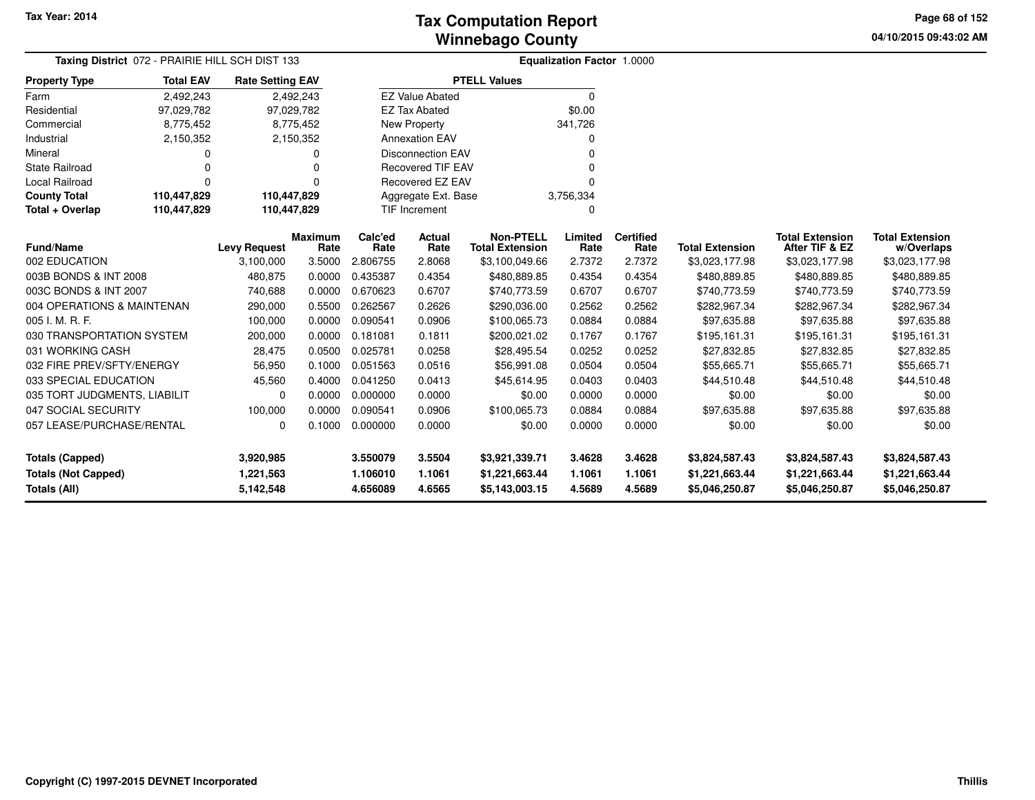**04/10/2015 09:43:02 AM Page 68 of 152**

| Taxing District 072 - PRAIRIE HILL SCH DIST 133 |                                       |                         |                | Equalization Factor 1.0000 |                          |                                            |                 |                          |                        |                                          |                                      |  |
|-------------------------------------------------|---------------------------------------|-------------------------|----------------|----------------------------|--------------------------|--------------------------------------------|-----------------|--------------------------|------------------------|------------------------------------------|--------------------------------------|--|
| <b>Property Type</b>                            | <b>Total EAV</b>                      | <b>Rate Setting EAV</b> |                |                            |                          | <b>PTELL Values</b>                        |                 |                          |                        |                                          |                                      |  |
| Farm                                            | 2,492,243                             |                         | 2,492,243      |                            | <b>EZ Value Abated</b>   |                                            | $\Omega$        |                          |                        |                                          |                                      |  |
| Residential                                     | 97,029,782                            | 97,029,782              |                |                            | <b>EZ Tax Abated</b>     |                                            | \$0.00          |                          |                        |                                          |                                      |  |
| Commercial                                      | 8,775,452                             |                         | 8,775,452      |                            | New Property             |                                            | 341,726         |                          |                        |                                          |                                      |  |
| Industrial                                      | 2,150,352                             |                         | 2,150,352      |                            | <b>Annexation EAV</b>    |                                            | 0               |                          |                        |                                          |                                      |  |
| Mineral                                         | 0                                     |                         | 0              |                            | <b>Disconnection EAV</b> |                                            | ŋ               |                          |                        |                                          |                                      |  |
| <b>State Railroad</b>                           | $\Omega$                              |                         | 0              |                            | <b>Recovered TIF EAV</b> |                                            |                 |                          |                        |                                          |                                      |  |
| Local Railroad                                  | $\Omega$                              |                         | $\Omega$       |                            | Recovered EZ EAV         |                                            | $\Omega$        |                          |                        |                                          |                                      |  |
| <b>County Total</b>                             | 110,447,829                           | 110,447,829             |                |                            | Aggregate Ext. Base      |                                            | 3,756,334       |                          |                        |                                          |                                      |  |
| Total + Overlap                                 | 110,447,829                           | 110,447,829             |                |                            | TIF Increment            |                                            | 0               |                          |                        |                                          |                                      |  |
| <b>Fund/Name</b>                                | <b>Maximum</b><br><b>Levy Request</b> |                         |                |                            | Actual<br>Rate           | <b>Non-PTELL</b><br><b>Total Extension</b> | Limited<br>Rate | <b>Certified</b><br>Rate | <b>Total Extension</b> | <b>Total Extension</b><br>After TIF & EZ | <b>Total Extension</b><br>w/Overlaps |  |
| 002 EDUCATION                                   |                                       | 3,100,000               | Rate<br>3.5000 | Rate<br>2.806755           | 2.8068                   | \$3,100,049.66                             | 2.7372          | 2.7372                   | \$3,023,177.98         | \$3,023,177.98                           | \$3,023,177.98                       |  |
| 003B BONDS & INT 2008                           |                                       | 480,875                 | 0.0000         | 0.435387                   | 0.4354                   | \$480,889.85                               | 0.4354          | 0.4354                   | \$480,889.85           | \$480,889.85                             | \$480,889.85                         |  |
| 003C BONDS & INT 2007                           |                                       | 740,688                 | 0.0000         | 0.670623                   | 0.6707                   | \$740,773.59                               | 0.6707          | 0.6707                   | \$740,773.59           | \$740,773.59                             | \$740,773.59                         |  |
| 004 OPERATIONS & MAINTENAN                      |                                       | 290,000                 | 0.5500         | 0.262567                   | 0.2626                   | \$290,036.00                               | 0.2562          | 0.2562                   | \$282,967.34           | \$282,967.34                             | \$282,967.34                         |  |
| 005 I. M. R. F.                                 |                                       | 100,000                 | 0.0000         | 0.090541                   | 0.0906                   | \$100,065.73                               | 0.0884          | 0.0884                   | \$97,635.88            | \$97,635.88                              | \$97,635.88                          |  |
| 030 TRANSPORTATION SYSTEM                       |                                       | 200,000                 | 0.0000         | 0.181081                   | 0.1811                   | \$200,021.02                               | 0.1767          | 0.1767                   | \$195,161.31           | \$195,161.31                             | \$195,161.31                         |  |
| 031 WORKING CASH                                |                                       | 28,475                  | 0.0500         | 0.025781                   | 0.0258                   | \$28,495.54                                | 0.0252          | 0.0252                   | \$27,832.85            | \$27,832.85                              | \$27,832.85                          |  |
| 032 FIRE PREV/SFTY/ENERGY                       |                                       | 56,950                  | 0.1000         | 0.051563                   | 0.0516                   | \$56,991.08                                | 0.0504          | 0.0504                   | \$55,665.71            | \$55,665.71                              | \$55,665.71                          |  |
| 033 SPECIAL EDUCATION                           |                                       | 45,560                  | 0.4000         | 0.041250                   | 0.0413                   | \$45,614.95                                | 0.0403          | 0.0403                   | \$44,510.48            | \$44,510.48                              | \$44,510.48                          |  |
| 035 TORT JUDGMENTS, LIABILIT                    |                                       | 0                       | 0.0000         | 0.000000                   | 0.0000                   | \$0.00                                     | 0.0000          | 0.0000                   | \$0.00                 | \$0.00                                   | \$0.00                               |  |
| 047 SOCIAL SECURITY                             |                                       | 100,000                 | 0.0000         | 0.090541                   | 0.0906                   | \$100,065.73                               | 0.0884          | 0.0884                   | \$97,635.88            | \$97,635.88                              | \$97,635.88                          |  |
| 057 LEASE/PURCHASE/RENTAL                       |                                       | 0                       | 0.1000         | 0.000000                   | 0.0000                   | \$0.00                                     | 0.0000          | 0.0000                   | \$0.00                 | \$0.00                                   | \$0.00                               |  |
| <b>Totals (Capped)</b>                          |                                       | 3,920,985               |                | 3.550079                   | 3.5504                   | \$3,921,339.71                             | 3.4628          | 3.4628                   | \$3,824,587.43         | \$3,824,587.43                           | \$3,824,587.43                       |  |
| <b>Totals (Not Capped)</b>                      |                                       | 1,221,563               |                | 1.106010                   | 1.1061                   | \$1,221,663.44                             | 1.1061          | 1.1061                   | \$1,221,663.44         | \$1,221,663.44                           | \$1,221,663.44                       |  |
| Totals (All)                                    |                                       | 5,142,548               |                | 4.656089                   | 4.6565                   | \$5,143,003.15                             | 4.5689          | 4.5689                   | \$5,046,250.87         | \$5,046,250.87                           | \$5,046,250.87                       |  |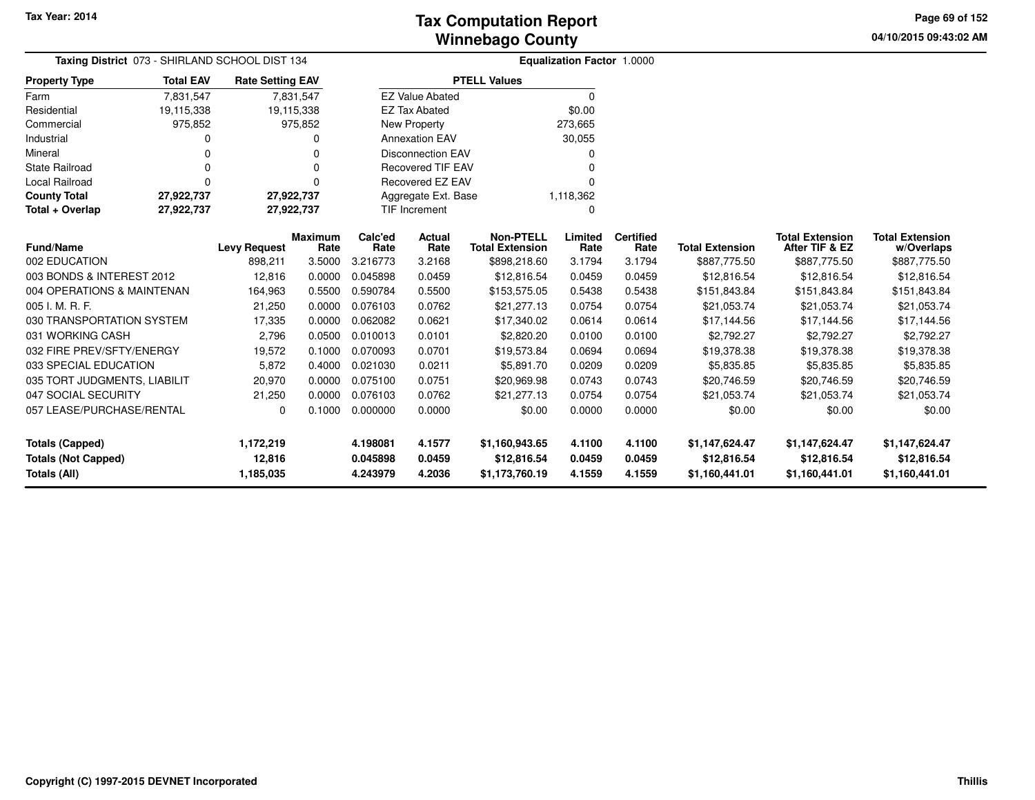**04/10/2015 09:43:02 AM Page 69 of 152**

| Taxing District 073 - SHIRLAND SCHOOL DIST 134 |                                       | <b>Equalization Factor 1.0000</b> |            |          |                          |                        |           |                  |                        |                        |                        |  |
|------------------------------------------------|---------------------------------------|-----------------------------------|------------|----------|--------------------------|------------------------|-----------|------------------|------------------------|------------------------|------------------------|--|
| <b>Property Type</b>                           | <b>Total EAV</b>                      | <b>Rate Setting EAV</b>           |            |          |                          | <b>PTELL Values</b>    |           |                  |                        |                        |                        |  |
| Farm                                           | 7,831,547                             |                                   | 7,831,547  |          | <b>EZ Value Abated</b>   |                        | $\Omega$  |                  |                        |                        |                        |  |
| Residential                                    | 19,115,338                            |                                   | 19,115,338 |          | <b>EZ Tax Abated</b>     |                        | \$0.00    |                  |                        |                        |                        |  |
| Commercial                                     | 975,852                               |                                   | 975,852    |          | <b>New Property</b>      |                        | 273,665   |                  |                        |                        |                        |  |
| Industrial                                     |                                       |                                   |            |          | <b>Annexation EAV</b>    |                        | 30,055    |                  |                        |                        |                        |  |
| Mineral                                        | 0                                     |                                   |            |          | <b>Disconnection EAV</b> |                        | 0         |                  |                        |                        |                        |  |
| <b>State Railroad</b>                          | 0                                     |                                   | O          |          | <b>Recovered TIF EAV</b> |                        | $\Omega$  |                  |                        |                        |                        |  |
| Local Railroad                                 | 0                                     |                                   | $\Omega$   |          | Recovered EZ EAV         |                        | $\Omega$  |                  |                        |                        |                        |  |
| <b>County Total</b>                            | 27,922,737                            | 27,922,737                        |            |          | Aggregate Ext. Base      |                        | 1,118,362 |                  |                        |                        |                        |  |
| Total + Overlap                                | 27,922,737                            | 27,922,737                        |            |          | TIF Increment            |                        | 0         |                  |                        |                        |                        |  |
|                                                | <b>Maximum</b><br><b>Levy Request</b> |                                   |            | Calc'ed  | Actual                   | <b>Non-PTELL</b>       | Limited   | <b>Certified</b> |                        | <b>Total Extension</b> | <b>Total Extension</b> |  |
| <b>Fund/Name</b>                               |                                       |                                   | Rate       | Rate     | Rate                     | <b>Total Extension</b> | Rate      | Rate             | <b>Total Extension</b> | After TIF & EZ         | w/Overlaps             |  |
| 002 EDUCATION                                  |                                       | 898,211                           | 3.5000     | 3.216773 | 3.2168                   | \$898,218.60           | 3.1794    | 3.1794           | \$887,775.50           | \$887,775.50           | \$887,775.50           |  |
| 003 BONDS & INTEREST 2012                      |                                       | 12,816                            | 0.0000     | 0.045898 | 0.0459                   | \$12,816.54            | 0.0459    | 0.0459           | \$12,816.54            | \$12,816.54            | \$12,816.54            |  |
| 004 OPERATIONS & MAINTENAN                     |                                       | 164,963                           | 0.5500     | 0.590784 | 0.5500                   | \$153,575.05           | 0.5438    | 0.5438           | \$151,843.84           | \$151,843.84           | \$151,843.84           |  |
| 005 I. M. R. F.                                |                                       | 21,250                            | 0.0000     | 0.076103 | 0.0762                   | \$21,277.13            | 0.0754    | 0.0754           | \$21,053.74            | \$21,053.74            | \$21,053.74            |  |
| 030 TRANSPORTATION SYSTEM                      |                                       | 17,335                            | 0.0000     | 0.062082 | 0.0621                   | \$17,340.02            | 0.0614    | 0.0614           | \$17,144.56            | \$17,144.56            | \$17,144.56            |  |
| 031 WORKING CASH                               |                                       | 2,796                             | 0.0500     | 0.010013 | 0.0101                   | \$2,820.20             | 0.0100    | 0.0100           | \$2,792.27             | \$2,792.27             | \$2,792.27             |  |
| 032 FIRE PREV/SFTY/ENERGY                      |                                       | 19,572                            | 0.1000     | 0.070093 | 0.0701                   | \$19,573.84            | 0.0694    | 0.0694           | \$19,378.38            | \$19,378.38            | \$19,378.38            |  |
| 033 SPECIAL EDUCATION                          |                                       | 5,872                             | 0.4000     | 0.021030 | 0.0211                   | \$5,891.70             | 0.0209    | 0.0209           | \$5,835.85             | \$5,835.85             | \$5,835.85             |  |
| 035 TORT JUDGMENTS, LIABILIT                   |                                       | 20,970                            | 0.0000     | 0.075100 | 0.0751                   | \$20,969.98            | 0.0743    | 0.0743           | \$20,746.59            | \$20,746.59            | \$20,746.59            |  |
| 047 SOCIAL SECURITY                            |                                       | 21,250                            | 0.0000     | 0.076103 | 0.0762                   | \$21.277.13            | 0.0754    | 0.0754           | \$21,053.74            | \$21,053.74            | \$21,053.74            |  |
| 057 LEASE/PURCHASE/RENTAL                      |                                       | 0                                 | 0.1000     | 0.000000 | 0.0000                   | \$0.00                 | 0.0000    | 0.0000           | \$0.00                 | \$0.00                 | \$0.00                 |  |
| <b>Totals (Capped)</b>                         |                                       | 1,172,219                         |            | 4.198081 | 4.1577                   | \$1,160,943.65         | 4.1100    | 4.1100           | \$1,147,624.47         | \$1,147,624.47         | \$1,147,624.47         |  |
| <b>Totals (Not Capped)</b>                     |                                       | 12,816                            |            | 0.045898 | 0.0459                   | \$12,816.54            | 0.0459    | 0.0459           | \$12,816.54            | \$12,816.54            | \$12,816.54            |  |
| <b>Totals (All)</b>                            |                                       | 1,185,035                         |            | 4.243979 | 4.2036                   | \$1,173,760.19         | 4.1559    | 4.1559           | \$1,160,441.01         | \$1,160,441.01         | \$1,160,441.01         |  |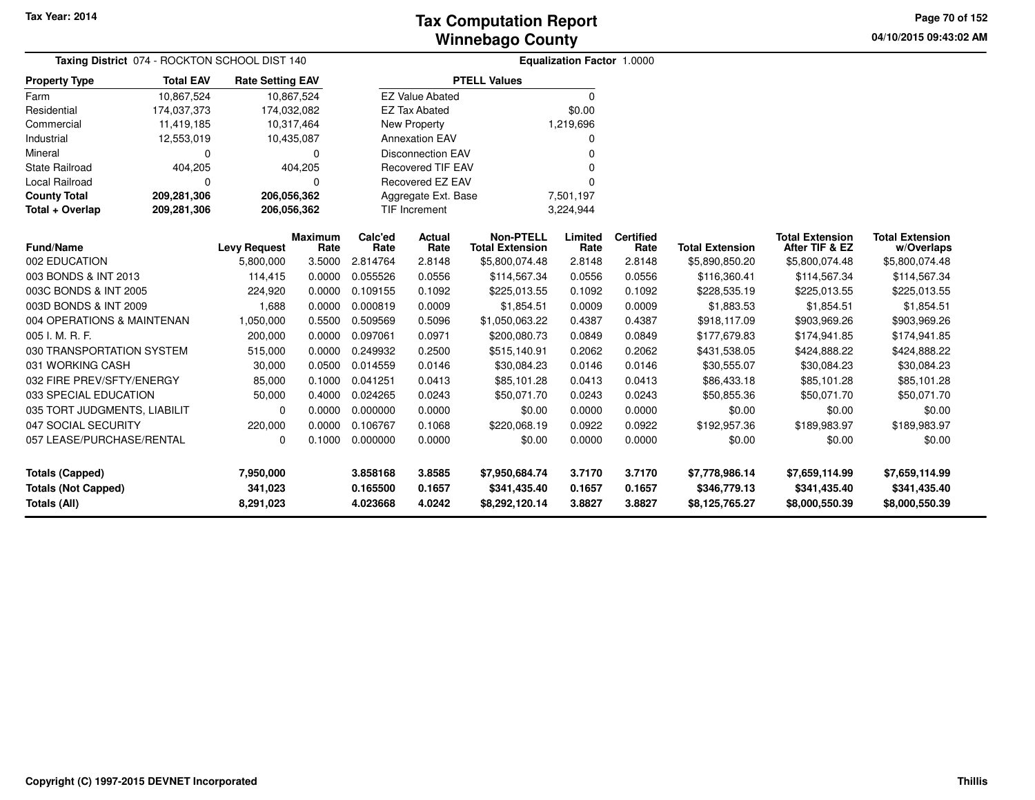**04/10/2015 09:43:02 AM Page 70 of 152**

| Taxing District 074 - ROCKTON SCHOOL DIST 140 |                                                    |                         |             | Equalization Factor 1.0000 |                          |                                            |                 |                          |                        |                                          |                                      |  |
|-----------------------------------------------|----------------------------------------------------|-------------------------|-------------|----------------------------|--------------------------|--------------------------------------------|-----------------|--------------------------|------------------------|------------------------------------------|--------------------------------------|--|
| <b>Property Type</b>                          | <b>Total EAV</b>                                   | <b>Rate Setting EAV</b> |             |                            |                          | <b>PTELL Values</b>                        |                 |                          |                        |                                          |                                      |  |
| Farm                                          | 10,867,524                                         |                         | 10,867,524  |                            | <b>EZ Value Abated</b>   |                                            | 0               |                          |                        |                                          |                                      |  |
| Residential                                   | 174,037,373                                        | 174,032,082             |             |                            | <b>EZ Tax Abated</b>     |                                            | \$0.00          |                          |                        |                                          |                                      |  |
| Commercial                                    | 11,419,185                                         |                         | 10,317,464  |                            | New Property             |                                            | 1,219,696       |                          |                        |                                          |                                      |  |
| Industrial                                    | 12,553,019                                         |                         | 10,435,087  |                            | <b>Annexation EAV</b>    |                                            |                 |                          |                        |                                          |                                      |  |
| Mineral                                       | 0                                                  |                         | $\Omega$    |                            | <b>Disconnection EAV</b> |                                            |                 |                          |                        |                                          |                                      |  |
| <b>State Railroad</b>                         | 404,205                                            |                         | 404,205     |                            | <b>Recovered TIF EAV</b> |                                            |                 |                          |                        |                                          |                                      |  |
| <b>Local Railroad</b>                         | 0                                                  |                         | $\Omega$    |                            | Recovered EZ EAV         |                                            |                 |                          |                        |                                          |                                      |  |
| <b>County Total</b>                           | 209,281,306                                        |                         | 206,056,362 |                            | Aggregate Ext. Base      |                                            | 7,501,197       |                          |                        |                                          |                                      |  |
| Total + Overlap                               | 209,281,306                                        |                         | 206,056,362 |                            | <b>TIF Increment</b>     |                                            | 3,224,944       |                          |                        |                                          |                                      |  |
| <b>Fund/Name</b>                              | <b>Maximum</b><br><b>Levy Request</b><br>5,800,000 |                         |             | Calc'ed<br>Rate            | Actual<br>Rate           | <b>Non-PTELL</b><br><b>Total Extension</b> | Limited<br>Rate | <b>Certified</b><br>Rate | <b>Total Extension</b> | <b>Total Extension</b><br>After TIF & EZ | <b>Total Extension</b><br>w/Overlaps |  |
| 002 EDUCATION                                 |                                                    |                         | 3.5000      | 2.814764                   | 2.8148                   | \$5,800,074.48                             | 2.8148          | 2.8148                   | \$5,890,850.20         | \$5,800,074.48                           | \$5,800,074.48                       |  |
| 003 BONDS & INT 2013                          |                                                    | 114,415                 | 0.0000      | 0.055526                   | 0.0556                   | \$114,567.34                               | 0.0556          | 0.0556                   | \$116,360.41           | \$114,567.34                             | \$114,567.34                         |  |
| 003C BONDS & INT 2005                         |                                                    | 224,920                 | 0.0000      | 0.109155                   | 0.1092                   | \$225,013.55                               | 0.1092          | 0.1092                   | \$228,535.19           | \$225,013.55                             | \$225,013.55                         |  |
| 003D BONDS & INT 2009                         |                                                    | 1,688                   | 0.0000      | 0.000819                   | 0.0009                   | \$1,854.51                                 | 0.0009          | 0.0009                   | \$1,883.53             | \$1,854.51                               | \$1,854.51                           |  |
| 004 OPERATIONS & MAINTENAN                    |                                                    | 1,050,000               | 0.5500      | 0.509569                   | 0.5096                   | \$1,050,063.22                             | 0.4387          | 0.4387                   | \$918,117.09           | \$903,969.26                             | \$903,969.26                         |  |
| 005 I. M. R. F.                               |                                                    | 200,000                 | 0.0000      | 0.097061                   | 0.0971                   | \$200,080.73                               | 0.0849          | 0.0849                   | \$177,679.83           | \$174,941.85                             | \$174,941.85                         |  |
| 030 TRANSPORTATION SYSTEM                     |                                                    | 515,000                 | 0.0000      | 0.249932                   | 0.2500                   | \$515,140.91                               | 0.2062          | 0.2062                   | \$431,538.05           | \$424,888.22                             | \$424,888.22                         |  |
| 031 WORKING CASH                              |                                                    | 30,000                  | 0.0500      | 0.014559                   | 0.0146                   | \$30,084.23                                | 0.0146          | 0.0146                   | \$30,555.07            | \$30,084.23                              | \$30,084.23                          |  |
| 032 FIRE PREV/SFTY/ENERGY                     |                                                    | 85,000                  | 0.1000      | 0.041251                   | 0.0413                   | \$85,101.28                                | 0.0413          | 0.0413                   | \$86,433.18            | \$85,101.28                              | \$85,101.28                          |  |
| 033 SPECIAL EDUCATION                         |                                                    | 50,000                  | 0.4000      | 0.024265                   | 0.0243                   | \$50,071.70                                | 0.0243          | 0.0243                   | \$50,855.36            | \$50,071.70                              | \$50,071.70                          |  |
| 035 TORT JUDGMENTS, LIABILIT                  |                                                    | 0                       | 0.0000      | 0.000000                   | 0.0000                   | \$0.00                                     | 0.0000          | 0.0000                   | \$0.00                 | \$0.00                                   | \$0.00                               |  |
| 047 SOCIAL SECURITY                           |                                                    | 220,000                 | 0.0000      | 0.106767                   | 0.1068                   | \$220,068.19                               | 0.0922          | 0.0922                   | \$192,957.36           | \$189,983.97                             | \$189,983.97                         |  |
| 057 LEASE/PURCHASE/RENTAL                     |                                                    | 0                       | 0.1000      | 0.000000                   | 0.0000                   | \$0.00                                     | 0.0000          | 0.0000                   | \$0.00                 | \$0.00                                   | \$0.00                               |  |
| <b>Totals (Capped)</b>                        |                                                    | 7,950,000               |             | 3.858168                   | 3.8585                   | \$7,950,684.74                             | 3.7170          | 3.7170                   | \$7,778,986.14         | \$7,659,114.99                           | \$7,659,114.99                       |  |
| <b>Totals (Not Capped)</b>                    |                                                    | 341,023                 |             | 0.165500                   | 0.1657                   | \$341,435.40                               | 0.1657          | 0.1657                   | \$346,779.13           | \$341,435.40                             | \$341,435.40                         |  |
| Totals (All)                                  |                                                    | 8,291,023               |             | 4.023668                   | 4.0242                   | \$8,292,120.14                             | 3.8827          | 3.8827                   | \$8,125,765.27         | \$8,000,550.39                           | \$8,000,550.39                       |  |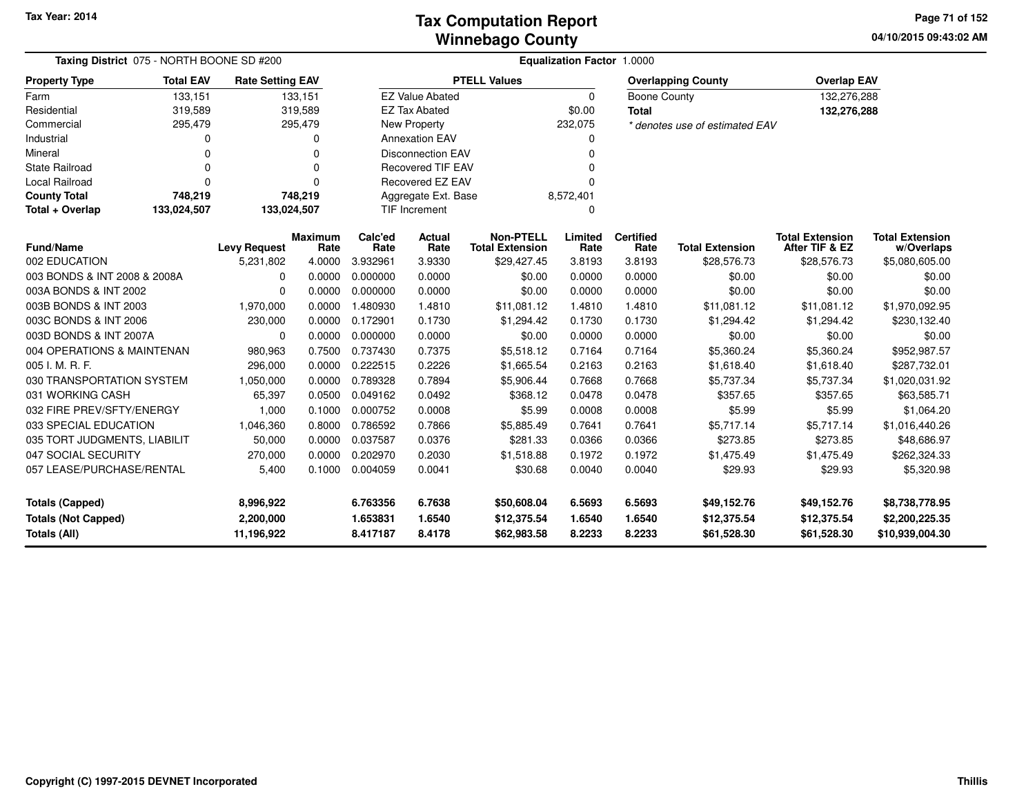**04/10/2015 09:43:02 AMPage 71 of 152**

|                                                                      | Taxing District 075 - NORTH BOONE SD #200 |                                      |                        |                                  |                            | Equalization Factor 1.0000                 |                            |                            |                                           |                                           |                                                     |  |  |  |  |
|----------------------------------------------------------------------|-------------------------------------------|--------------------------------------|------------------------|----------------------------------|----------------------------|--------------------------------------------|----------------------------|----------------------------|-------------------------------------------|-------------------------------------------|-----------------------------------------------------|--|--|--|--|
| <b>Property Type</b>                                                 | <b>Total EAV</b>                          | <b>Rate Setting EAV</b>              |                        |                                  |                            | <b>PTELL Values</b>                        |                            |                            | <b>Overlapping County</b>                 | <b>Overlap EAV</b>                        |                                                     |  |  |  |  |
| Farm                                                                 | 133,151                                   |                                      | 133,151                |                                  | <b>EZ Value Abated</b>     |                                            | $\mathbf 0$                | <b>Boone County</b>        |                                           | 132,276,288                               |                                                     |  |  |  |  |
| Residential                                                          | 319,589                                   |                                      | 319,589                |                                  | <b>EZ Tax Abated</b>       |                                            | \$0.00                     | <b>Total</b>               |                                           | 132,276,288                               |                                                     |  |  |  |  |
| Commercial                                                           | 295,479                                   |                                      | 295,479                |                                  | New Property               |                                            | 232,075                    |                            | * denotes use of estimated EAV            |                                           |                                                     |  |  |  |  |
| Industrial                                                           | 0                                         |                                      | 0                      |                                  | <b>Annexation EAV</b>      |                                            | 0                          |                            |                                           |                                           |                                                     |  |  |  |  |
| Mineral                                                              | O                                         |                                      |                        |                                  | <b>Disconnection EAV</b>   |                                            | 0                          |                            |                                           |                                           |                                                     |  |  |  |  |
| <b>State Railroad</b>                                                | O                                         |                                      |                        |                                  | <b>Recovered TIF EAV</b>   |                                            |                            |                            |                                           |                                           |                                                     |  |  |  |  |
| Local Railroad                                                       | $\Omega$                                  |                                      |                        |                                  | Recovered EZ EAV           |                                            | 0                          |                            |                                           |                                           |                                                     |  |  |  |  |
| <b>County Total</b>                                                  | 748,219                                   |                                      | 748,219                |                                  | Aggregate Ext. Base        |                                            | 8,572,401                  |                            |                                           |                                           |                                                     |  |  |  |  |
| Total + Overlap                                                      | 133,024,507                               | 133,024,507                          |                        |                                  | TIF Increment<br>0         |                                            |                            |                            |                                           |                                           |                                                     |  |  |  |  |
| <b>Fund/Name</b>                                                     | <b>Levy Request</b>                       |                                      | <b>Maximum</b><br>Rate | Calc'ed<br>Rate                  | Actual<br>Rate             | <b>Non-PTELL</b><br><b>Total Extension</b> | Limited<br>Rate            | <b>Certified</b><br>Rate   | <b>Total Extension</b>                    | <b>Total Extension</b><br>After TIF & EZ  | <b>Total Extension</b><br>w/Overlaps                |  |  |  |  |
| 002 EDUCATION                                                        |                                           | 5,231,802                            | 4.0000                 | 3.932961                         | 3.9330                     | \$29,427.45                                | 3.8193                     | 3.8193                     | \$28,576.73                               | \$28,576.73                               | \$5,080,605.00                                      |  |  |  |  |
| 003 BONDS & INT 2008 & 2008A                                         |                                           | $\Omega$                             | 0.0000                 | 0.000000                         | 0.0000                     | \$0.00                                     | 0.0000                     | 0.0000                     | \$0.00                                    | \$0.00                                    | \$0.00                                              |  |  |  |  |
| 003A BONDS & INT 2002                                                |                                           | $\Omega$                             | 0.0000                 | 0.000000                         | 0.0000                     | \$0.00                                     | 0.0000                     | 0.0000                     | \$0.00                                    | \$0.00                                    | \$0.00                                              |  |  |  |  |
| 003B BONDS & INT 2003                                                |                                           | 1,970,000                            | 0.0000                 | 1.480930                         | 1.4810                     | \$11,081.12                                | 1.4810                     | 1.4810                     | \$11,081.12                               | \$11,081.12                               | \$1,970,092.95                                      |  |  |  |  |
| 003C BONDS & INT 2006                                                |                                           | 230,000                              | 0.0000                 | 0.172901                         | 0.1730                     | \$1,294.42                                 | 0.1730                     | 0.1730                     | \$1,294.42                                | \$1,294.42                                | \$230,132.40                                        |  |  |  |  |
| 003D BONDS & INT 2007A                                               |                                           | $\Omega$                             | 0.0000                 | 0.000000                         | 0.0000                     | \$0.00                                     | 0.0000                     | 0.0000                     | \$0.00                                    | \$0.00                                    | \$0.00                                              |  |  |  |  |
| 004 OPERATIONS & MAINTENAN                                           |                                           | 980,963                              | 0.7500                 | 0.737430                         | 0.7375                     | \$5,518.12                                 | 0.7164                     | 0.7164                     | \$5,360.24                                | \$5,360.24                                | \$952,987.57                                        |  |  |  |  |
| 005 I. M. R. F.                                                      |                                           | 296,000                              | 0.0000                 | 0.222515                         | 0.2226                     | \$1,665.54                                 | 0.2163                     | 0.2163                     | \$1,618.40                                | \$1,618.40                                | \$287,732.01                                        |  |  |  |  |
| 030 TRANSPORTATION SYSTEM                                            |                                           | 1,050,000                            |                        | 0.0000 0.789328                  | 0.7894                     | \$5,906.44                                 | 0.7668                     | 0.7668                     | \$5,737.34                                | \$5,737.34                                | \$1,020,031.92                                      |  |  |  |  |
| 031 WORKING CASH                                                     |                                           | 65,397                               | 0.0500                 | 0.049162                         | 0.0492                     | \$368.12                                   | 0.0478                     | 0.0478                     | \$357.65                                  | \$357.65                                  | \$63,585.71                                         |  |  |  |  |
| 032 FIRE PREV/SFTY/ENERGY                                            |                                           | 1,000                                | 0.1000                 | 0.000752                         | 0.0008                     | \$5.99                                     | 0.0008                     | 0.0008                     | \$5.99                                    | \$5.99                                    | \$1,064.20                                          |  |  |  |  |
| 033 SPECIAL EDUCATION                                                |                                           | 1,046,360                            | 0.8000                 | 0.786592                         | 0.7866                     | \$5,885.49                                 | 0.7641                     | 0.7641                     | \$5,717.14                                | \$5,717.14                                | \$1,016,440.26                                      |  |  |  |  |
| 035 TORT JUDGMENTS, LIABILIT                                         |                                           | 50,000                               | 0.0000                 | 0.037587                         | 0.0376                     | \$281.33                                   | 0.0366                     | 0.0366                     | \$273.85                                  | \$273.85                                  | \$48,686.97                                         |  |  |  |  |
| 047 SOCIAL SECURITY                                                  |                                           | 270,000                              | 0.0000                 | 0.202970                         | 0.2030                     | \$1,518.88                                 | 0.1972                     | 0.1972                     | \$1,475.49                                | \$1,475.49                                | \$262,324.33                                        |  |  |  |  |
| 057 LEASE/PURCHASE/RENTAL                                            |                                           | 5,400                                | 0.1000                 | 0.004059                         | 0.0041                     | \$30.68                                    | 0.0040                     | 0.0040                     | \$29.93                                   | \$29.93                                   | \$5,320.98                                          |  |  |  |  |
| <b>Totals (Capped)</b><br><b>Totals (Not Capped)</b><br>Totals (All) |                                           | 8,996,922<br>2,200,000<br>11,196,922 |                        | 6.763356<br>1.653831<br>8.417187 | 6.7638<br>1.6540<br>8.4178 | \$50,608.04<br>\$12,375.54<br>\$62,983.58  | 6.5693<br>1.6540<br>8.2233 | 6.5693<br>1.6540<br>8.2233 | \$49,152.76<br>\$12,375.54<br>\$61,528.30 | \$49,152.76<br>\$12,375.54<br>\$61,528.30 | \$8,738,778.95<br>\$2,200,225.35<br>\$10,939,004.30 |  |  |  |  |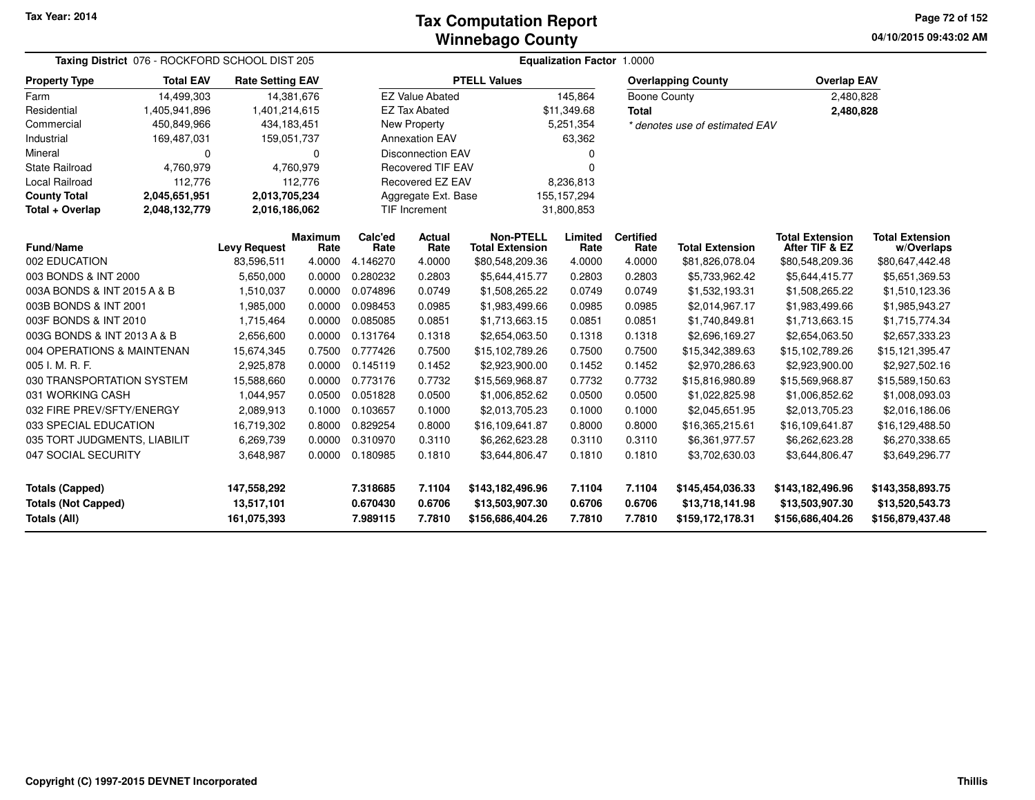**04/10/2015 09:43:02 AM Page 72 of 152**

| Taxing District 076 - ROCKFORD SCHOOL DIST 205 |                  |                           |                        | <b>Equalization Factor 1.0000</b> |                          |                                            |                  |                          |                                     |                                          |                                      |  |  |  |
|------------------------------------------------|------------------|---------------------------|------------------------|-----------------------------------|--------------------------|--------------------------------------------|------------------|--------------------------|-------------------------------------|------------------------------------------|--------------------------------------|--|--|--|
| <b>Property Type</b>                           | <b>Total EAV</b> | <b>Rate Setting EAV</b>   |                        |                                   |                          | <b>PTELL Values</b>                        |                  |                          | <b>Overlapping County</b>           | <b>Overlap EAV</b>                       |                                      |  |  |  |
| Farm                                           | 14,499,303       |                           | 14,381,676             |                                   | <b>EZ Value Abated</b>   |                                            | 145,864          | Boone County             |                                     | 2,480,828                                |                                      |  |  |  |
| Residential                                    | 1,405,941,896    | 1,401,214,615             |                        |                                   | <b>EZ Tax Abated</b>     |                                            | \$11,349.68      | <b>Total</b>             |                                     | 2,480,828                                |                                      |  |  |  |
| Commercial                                     | 450,849,966      | 434,183,451               |                        |                                   | New Property             |                                            | 5,251,354        |                          | * denotes use of estimated EAV      |                                          |                                      |  |  |  |
| Industrial                                     | 169,487,031      | 159,051,737               |                        |                                   | <b>Annexation EAV</b>    |                                            | 63,362           |                          |                                     |                                          |                                      |  |  |  |
| Mineral                                        | 0                |                           | 0                      |                                   | <b>Disconnection EAV</b> |                                            |                  |                          |                                     |                                          |                                      |  |  |  |
| <b>State Railroad</b>                          | 4,760,979        |                           | 4,760,979              |                                   | <b>Recovered TIF EAV</b> |                                            | 0                |                          |                                     |                                          |                                      |  |  |  |
| Local Railroad                                 | 112,776          |                           | 112,776                |                                   | Recovered EZ EAV         |                                            | 8,236,813        |                          |                                     |                                          |                                      |  |  |  |
| <b>County Total</b>                            | 2,045,651,951    | 2,013,705,234             |                        |                                   | Aggregate Ext. Base      |                                            | 155, 157, 294    |                          |                                     |                                          |                                      |  |  |  |
| Total + Overlap                                | 2,048,132,779    |                           | 2,016,186,062          |                                   | TIF Increment            |                                            | 31,800,853       |                          |                                     |                                          |                                      |  |  |  |
| <b>Fund/Name</b>                               |                  | <b>Levy Request</b>       | <b>Maximum</b><br>Rate | Calc'ed<br>Rate                   | Actual<br>Rate           | <b>Non-PTELL</b><br><b>Total Extension</b> | Limited<br>Rate  | <b>Certified</b><br>Rate | <b>Total Extension</b>              | <b>Total Extension</b><br>After TIF & EZ | <b>Total Extension</b><br>w/Overlaps |  |  |  |
| 002 EDUCATION                                  |                  | 83,596,511                | 4.0000                 | 4.146270                          | 4.0000                   | \$80,548,209.36                            | 4.0000           | 4.0000                   | \$81,826,078.04                     | \$80,548,209.36                          | \$80,647,442.48                      |  |  |  |
| 003 BONDS & INT 2000                           |                  | 5,650,000                 | 0.0000                 | 0.280232                          | 0.2803                   | \$5,644,415.77                             | 0.2803           | 0.2803                   | \$5,733,962.42                      | \$5,644,415.77                           | \$5,651,369.53                       |  |  |  |
| 003A BONDS & INT 2015 A & B                    |                  | 1,510,037                 | 0.0000                 | 0.074896                          | 0.0749                   | \$1,508,265.22                             | 0.0749           | 0.0749                   | \$1,532,193.31                      | \$1,508,265.22                           | \$1,510,123.36                       |  |  |  |
| 003B BONDS & INT 2001                          |                  | 1,985,000                 | 0.0000                 | 0.098453                          | 0.0985                   | \$1,983,499.66                             | 0.0985           | 0.0985                   | \$2,014,967.17                      | \$1,983,499.66                           | \$1,985,943.27                       |  |  |  |
| 003F BONDS & INT 2010                          |                  | 1,715,464                 | 0.0000                 | 0.085085                          | 0.0851                   | \$1,713,663.15                             | 0.0851           | 0.0851                   | \$1,740,849.81                      | \$1,713,663.15                           | \$1,715,774.34                       |  |  |  |
| 003G BONDS & INT 2013 A & B                    |                  | 2,656,600                 | 0.0000                 | 0.131764                          | 0.1318                   | \$2,654,063.50                             | 0.1318           | 0.1318                   | \$2,696,169.27                      | \$2,654,063.50                           | \$2,657,333.23                       |  |  |  |
| 004 OPERATIONS & MAINTENAN                     |                  | 15,674,345                | 0.7500                 | 0.777426                          | 0.7500                   | \$15,102,789.26                            | 0.7500           | 0.7500                   | \$15,342,389.63                     | \$15,102,789.26                          | \$15,121,395.47                      |  |  |  |
| 005 I. M. R. F.                                |                  | 2,925,878                 | 0.0000                 | 0.145119                          | 0.1452                   | \$2,923,900.00                             | 0.1452           | 0.1452                   | \$2,970,286.63                      | \$2,923,900.00                           | \$2,927,502.16                       |  |  |  |
| 030 TRANSPORTATION SYSTEM                      |                  | 15,588,660                | 0.0000                 | 0.773176                          | 0.7732                   | \$15,569,968.87                            | 0.7732           | 0.7732                   | \$15,816,980.89                     | \$15,569,968.87                          | \$15,589,150.63                      |  |  |  |
| 031 WORKING CASH                               |                  | 1,044,957                 | 0.0500                 | 0.051828                          | 0.0500                   | \$1,006,852.62                             | 0.0500           | 0.0500                   | \$1,022,825.98                      | \$1,006,852.62                           | \$1,008,093.03                       |  |  |  |
| 032 FIRE PREV/SFTY/ENERGY                      |                  | 2,089,913                 | 0.1000                 | 0.103657                          | 0.1000                   | \$2,013,705.23                             | 0.1000           | 0.1000                   | \$2,045,651.95                      | \$2,013,705.23                           | \$2,016,186.06                       |  |  |  |
| 033 SPECIAL EDUCATION                          |                  | 16,719,302                | 0.8000                 | 0.829254                          | 0.8000                   | \$16,109,641.87                            | 0.8000           | 0.8000                   | \$16,365,215.61                     | \$16,109,641.87                          | \$16,129,488.50                      |  |  |  |
| 035 TORT JUDGMENTS, LIABILIT                   |                  | 6,269,739                 | 0.0000                 | 0.310970                          | 0.3110                   | \$6,262,623.28                             | 0.3110           | 0.3110                   | \$6,361,977.57                      | \$6,262,623.28                           | \$6,270,338.65                       |  |  |  |
| 047 SOCIAL SECURITY                            |                  | 3,648,987                 | 0.0000                 | 0.180985                          | 0.1810                   | \$3,644,806.47                             | 0.1810           | 0.1810                   | \$3,702,630.03                      | \$3,644,806.47                           | \$3,649,296.77                       |  |  |  |
| <b>Totals (Capped)</b>                         |                  | 147,558,292               |                        | 7.318685                          | 7.1104                   | \$143,182,496.96                           | 7.1104           | 7.1104                   | \$145,454,036.33                    | \$143,182,496.96                         | \$143,358,893.75                     |  |  |  |
| <b>Totals (Not Capped)</b><br>Totals (All)     |                  | 13,517,101<br>161,075,393 |                        | 0.670430<br>7.989115              | 0.6706<br>7.7810         | \$13,503,907.30<br>\$156,686,404.26        | 0.6706<br>7.7810 | 0.6706<br>7.7810         | \$13,718,141.98<br>\$159,172,178.31 | \$13,503,907.30<br>\$156,686,404.26      | \$13,520,543.73<br>\$156,879,437.48  |  |  |  |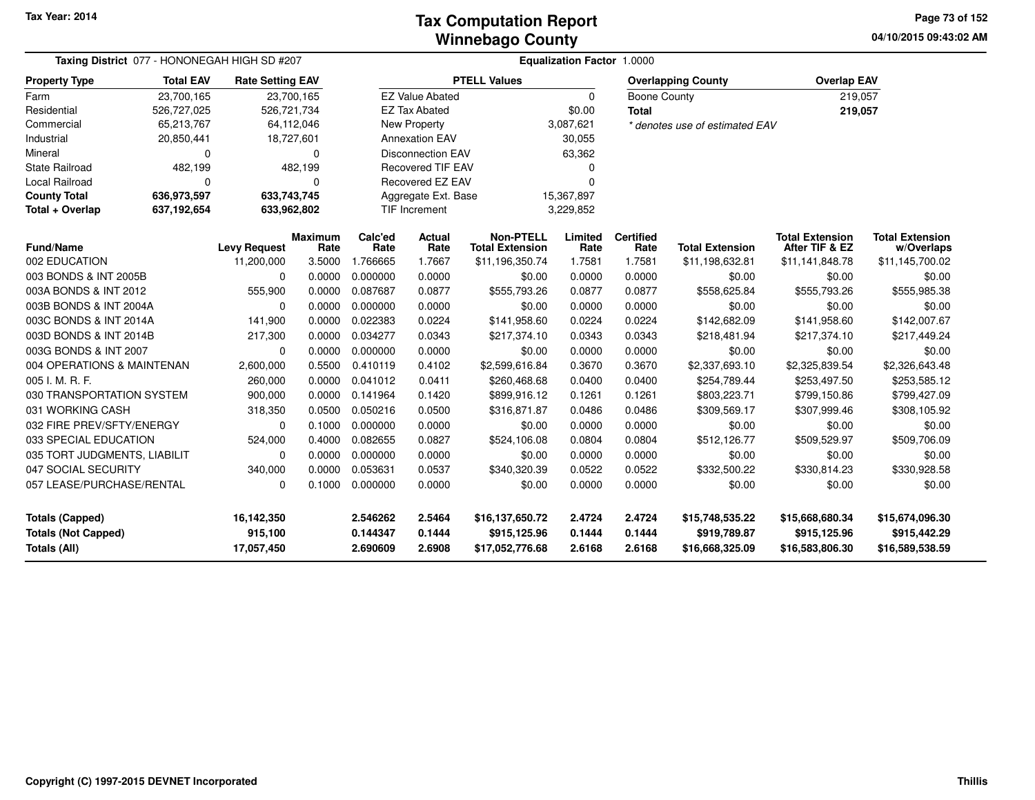#### **Winnebago CountyTax Computation Report**

**04/10/2015 09:43:02 AM Page 73 of 152**

| Taxing District 077 - HONONEGAH HIGH SD #207 | Equalization Factor 1.0000 |                         |                 |                 |                          |                                            |                 |                          |                                |                                          |                                      |
|----------------------------------------------|----------------------------|-------------------------|-----------------|-----------------|--------------------------|--------------------------------------------|-----------------|--------------------------|--------------------------------|------------------------------------------|--------------------------------------|
| <b>Property Type</b>                         | <b>Total EAV</b>           | <b>Rate Setting EAV</b> |                 |                 |                          | <b>PTELL Values</b>                        |                 |                          | <b>Overlapping County</b>      | <b>Overlap EAV</b>                       |                                      |
| Farm                                         | 23,700,165                 | 23,700,165              |                 |                 | <b>EZ Value Abated</b>   |                                            | $\Omega$        | <b>Boone County</b>      |                                | 219,057                                  |                                      |
| Residential                                  | 526,727,025                | 526,721,734             |                 |                 | <b>EZ Tax Abated</b>     |                                            | \$0.00          | <b>Total</b>             |                                | 219,057                                  |                                      |
| Commercial                                   | 65,213,767                 | 64,112,046              |                 |                 | <b>New Property</b>      |                                            | 3,087,621       |                          | * denotes use of estimated EAV |                                          |                                      |
| Industrial                                   | 20,850,441                 | 18,727,601              |                 |                 | <b>Annexation EAV</b>    |                                            | 30,055          |                          |                                |                                          |                                      |
| Mineral                                      | 0                          |                         | $\Omega$        |                 | <b>Disconnection EAV</b> |                                            | 63,362          |                          |                                |                                          |                                      |
| <b>State Railroad</b>                        | 482,199                    |                         | 482,199         |                 | <b>Recovered TIF EAV</b> |                                            | 0               |                          |                                |                                          |                                      |
| Local Railroad                               | 0                          |                         | $\Omega$        |                 | Recovered EZ EAV         |                                            | $\Omega$        |                          |                                |                                          |                                      |
| <b>County Total</b>                          | 636,973,597                | 633,743,745             |                 |                 | Aggregate Ext. Base      |                                            | 15,367,897      |                          |                                |                                          |                                      |
| Total + Overlap                              | 637,192,654                | 633,962,802             |                 |                 | <b>TIF Increment</b>     |                                            | 3,229,852       |                          |                                |                                          |                                      |
| <b>Fund/Name</b>                             |                            | <b>Levy Request</b>     | Maximum<br>Rate | Calc'ed<br>Rate | <b>Actual</b><br>Rate    | <b>Non-PTELL</b><br><b>Total Extension</b> | Limited<br>Rate | <b>Certified</b><br>Rate | <b>Total Extension</b>         | <b>Total Extension</b><br>After TIF & EZ | <b>Total Extension</b><br>w/Overlaps |
| 002 EDUCATION                                |                            | 11,200,000              | 3.5000          | 1.766665        | 1.7667                   | \$11,196,350.74                            | 1.7581          | 1.7581                   | \$11,198,632.81                | \$11,141,848.78                          | \$11,145,700.02                      |
| 003 BONDS & INT 2005B                        |                            | 0                       | 0.0000          | 0.000000        | 0.0000                   | \$0.00                                     | 0.0000          | 0.0000                   | \$0.00                         | \$0.00                                   | \$0.00                               |
| 003A BONDS & INT 2012                        |                            | 555,900                 | 0.0000          | 0.087687        | 0.0877                   | \$555,793.26                               | 0.0877          | 0.0877                   | \$558,625.84                   | \$555,793.26                             | \$555,985.38                         |
| 003B BONDS & INT 2004A                       |                            | 0                       | 0.0000          | 0.000000        | 0.0000                   | \$0.00                                     | 0.0000          | 0.0000                   | \$0.00                         | \$0.00                                   | \$0.00                               |
| 003C BONDS & INT 2014A                       |                            | 141,900                 | 0.0000          | 0.022383        | 0.0224                   | \$141,958.60                               | 0.0224          | 0.0224                   | \$142,682.09                   | \$141,958.60                             | \$142,007.67                         |
| 003D BONDS & INT 2014B                       |                            | 217,300                 | 0.0000          | 0.034277        | 0.0343                   | \$217,374.10                               | 0.0343          | 0.0343                   | \$218,481.94                   | \$217,374.10                             | \$217,449.24                         |
| 003G BONDS & INT 2007                        |                            | $\Omega$                | 0.0000          | 0.000000        | 0.0000                   | \$0.00                                     | 0.0000          | 0.0000                   | \$0.00                         | \$0.00                                   | \$0.00                               |
| 004 OPERATIONS & MAINTENAN                   |                            | 2,600,000               | 0.5500          | 0.410119        | 0.4102                   | \$2,599,616.84                             | 0.3670          | 0.3670                   | \$2,337,693.10                 | \$2,325,839.54                           | \$2,326,643.48                       |
| 005 I. M. R. F.                              |                            | 260,000                 | 0.0000          | 0.041012        | 0.0411                   | \$260,468.68                               | 0.0400          | 0.0400                   | \$254,789.44                   | \$253,497.50                             | \$253,585.12                         |
| 030 TRANSPORTATION SYSTEM                    |                            | 900,000                 | 0.0000          | 0.141964        | 0.1420                   | \$899,916.12                               | 0.1261          | 0.1261                   | \$803,223.71                   | \$799,150.86                             | \$799,427.09                         |
| 031 WORKING CASH                             |                            | 318,350                 | 0.0500          | 0.050216        | 0.0500                   | \$316,871.87                               | 0.0486          | 0.0486                   | \$309,569.17                   | \$307,999.46                             | \$308,105.92                         |
| 032 FIRE PREV/SFTY/ENERGY                    |                            | $\Omega$                | 0.1000          | 0.000000        | 0.0000                   | \$0.00                                     | 0.0000          | 0.0000                   | \$0.00                         | \$0.00                                   | \$0.00                               |
| 033 SPECIAL EDUCATION                        |                            | 524,000                 | 0.4000          | 0.082655        | 0.0827                   | \$524,106.08                               | 0.0804          | 0.0804                   | \$512,126.77                   | \$509,529.97                             | \$509,706.09                         |
| 035 TORT JUDGMENTS, LIABILIT                 |                            | 0                       | 0.0000          | 0.000000        | 0.0000                   | \$0.00                                     | 0.0000          | 0.0000                   | \$0.00                         | \$0.00                                   | \$0.00                               |
| 047 SOCIAL SECURITY                          |                            | 340,000                 | 0.0000          | 0.053631        | 0.0537                   | \$340,320.39                               | 0.0522          | 0.0522                   | \$332,500.22                   | \$330,814.23                             | \$330,928.58                         |
| 057 LEASE/PURCHASE/RENTAL                    |                            | 0                       | 0.1000          | 0.000000        | 0.0000                   | \$0.00                                     | 0.0000          | 0.0000                   | \$0.00                         | \$0.00                                   | \$0.00                               |
| <b>Totals (Capped)</b>                       |                            | 16,142,350              |                 | 2.546262        | 2.5464                   | \$16,137,650.72                            | 2.4724          | 2.4724                   | \$15,748,535.22                | \$15,668,680.34                          | \$15,674,096.30                      |
| <b>Totals (Not Capped)</b>                   |                            | 915,100                 |                 | 0.144347        | 0.1444                   | \$915,125.96                               | 0.1444          | 0.1444                   | \$919,789.87                   | \$915,125.96                             | \$915,442.29                         |
| Totals (All)                                 |                            | 17,057,450              |                 | 2.690609        | 2.6908                   | \$17,052,776.68                            | 2.6168          | 2.6168                   | \$16,668,325.09                | \$16,583,806.30                          | \$16,589,538.59                      |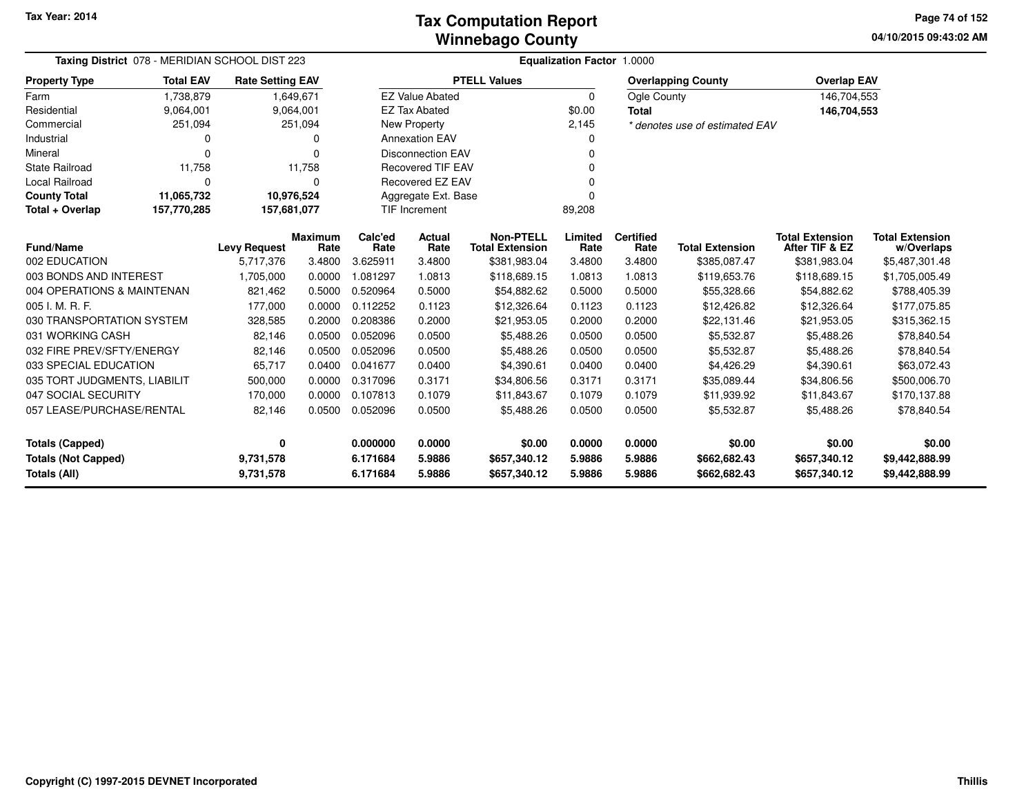**04/10/2015 09:43:02 AM Page 74 of 152**

| Taxing District 078 - MERIDIAN SCHOOL DIST 223 |                            |                         |                        | Equalization Factor 1.0000 |                          |                                            |                 |                          |                                |                                          |                                      |  |  |
|------------------------------------------------|----------------------------|-------------------------|------------------------|----------------------------|--------------------------|--------------------------------------------|-----------------|--------------------------|--------------------------------|------------------------------------------|--------------------------------------|--|--|
| <b>Property Type</b>                           | <b>Total EAV</b>           | <b>Rate Setting EAV</b> |                        |                            |                          | <b>PTELL Values</b>                        |                 |                          | <b>Overlapping County</b>      | <b>Overlap EAV</b>                       |                                      |  |  |
| Farm                                           | 1,738,879                  |                         | 1,649,671              |                            | <b>EZ Value Abated</b>   |                                            | $\mathbf 0$     | Ogle County              |                                | 146,704,553                              |                                      |  |  |
| Residential                                    | 9,064,001                  |                         | 9,064,001              |                            | <b>EZ Tax Abated</b>     |                                            | \$0.00          | Total                    |                                | 146,704,553                              |                                      |  |  |
| Commercial                                     | 251,094                    |                         | 251,094                |                            | New Property             |                                            | 2,145           |                          | * denotes use of estimated EAV |                                          |                                      |  |  |
| Industrial                                     | 0                          |                         | 0                      |                            | <b>Annexation EAV</b>    |                                            | 0               |                          |                                |                                          |                                      |  |  |
| Mineral                                        | 0                          |                         | 0                      |                            | <b>Disconnection EAV</b> |                                            | 0               |                          |                                |                                          |                                      |  |  |
| <b>State Railroad</b>                          | 11,758                     |                         | 11,758                 |                            | <b>Recovered TIF EAV</b> |                                            |                 |                          |                                |                                          |                                      |  |  |
| <b>Local Railroad</b>                          | 0                          |                         | 0                      |                            | Recovered EZ EAV         |                                            | $\Omega$        |                          |                                |                                          |                                      |  |  |
| <b>County Total</b>                            | 11,065,732                 | 10,976,524              |                        |                            | Aggregate Ext. Base      |                                            | O               |                          |                                |                                          |                                      |  |  |
| Total + Overlap                                | 157,770,285<br>157,681,077 |                         |                        | TIF Increment              |                          |                                            | 89,208          |                          |                                |                                          |                                      |  |  |
| <b>Fund/Name</b>                               |                            | <b>Levy Request</b>     | <b>Maximum</b><br>Rate | Calc'ed<br>Rate            | Actual<br>Rate           | <b>Non-PTELL</b><br><b>Total Extension</b> | Limited<br>Rate | <b>Certified</b><br>Rate | <b>Total Extension</b>         | <b>Total Extension</b><br>After TIF & EZ | <b>Total Extension</b><br>w/Overlaps |  |  |
| 002 EDUCATION                                  |                            | 5,717,376               | 3.4800                 | 3.625911                   | 3.4800                   | \$381,983.04                               | 3.4800          | 3.4800                   | \$385,087.47                   | \$381,983.04                             | \$5,487,301.48                       |  |  |
| 003 BONDS AND INTEREST                         |                            | 1,705,000               | 0.0000                 | 1.081297                   | 1.0813                   | \$118,689.15                               | 1.0813          | 1.0813                   | \$119,653.76                   | \$118,689.15                             | \$1,705,005.49                       |  |  |
| 004 OPERATIONS & MAINTENAN                     |                            | 821,462                 | 0.5000                 | 0.520964                   | 0.5000                   | \$54,882.62                                | 0.5000          | 0.5000                   | \$55,328.66                    | \$54,882.62                              | \$788,405.39                         |  |  |
| 005 I. M. R. F.                                |                            | 177,000                 | 0.0000                 | 0.112252                   | 0.1123                   | \$12,326.64                                | 0.1123          | 0.1123                   | \$12,426.82                    | \$12,326.64                              | \$177,075.85                         |  |  |
| 030 TRANSPORTATION SYSTEM                      |                            | 328,585                 | 0.2000                 | 0.208386                   | 0.2000                   | \$21,953.05                                | 0.2000          | 0.2000                   | \$22,131.46                    | \$21,953.05                              | \$315,362.15                         |  |  |
| 031 WORKING CASH                               |                            | 82,146                  | 0.0500                 | 0.052096                   | 0.0500                   | \$5,488.26                                 | 0.0500          | 0.0500                   | \$5,532.87                     | \$5,488.26                               | \$78,840.54                          |  |  |
| 032 FIRE PREV/SFTY/ENERGY                      |                            | 82,146                  | 0.0500                 | 0.052096                   | 0.0500                   | \$5,488.26                                 | 0.0500          | 0.0500                   | \$5,532.87                     | \$5,488.26                               | \$78,840.54                          |  |  |
| 033 SPECIAL EDUCATION                          |                            | 65,717                  | 0.0400                 | 0.041677                   | 0.0400                   | \$4,390.61                                 | 0.0400          | 0.0400                   | \$4,426.29                     | \$4,390.61                               | \$63,072.43                          |  |  |
| 035 TORT JUDGMENTS, LIABILIT                   |                            | 500,000                 | 0.0000                 | 0.317096                   | 0.3171                   | \$34,806.56                                | 0.3171          | 0.3171                   | \$35,089.44                    | \$34,806.56                              | \$500,006.70                         |  |  |
| 047 SOCIAL SECURITY                            |                            | 170,000                 | 0.0000                 | 0.107813                   | 0.1079                   | \$11,843.67                                | 0.1079          | 0.1079                   | \$11,939.92                    | \$11,843.67                              | \$170,137.88                         |  |  |
| 057 LEASE/PURCHASE/RENTAL                      |                            |                         | 0.0500                 | 0.052096                   |                          |                                            |                 |                          |                                |                                          |                                      |  |  |
|                                                |                            | 82,146                  |                        |                            | 0.0500                   | \$5,488.26                                 | 0.0500          | 0.0500                   | \$5,532.87                     | \$5,488.26                               | \$78,840.54                          |  |  |
| <b>Totals (Capped)</b>                         |                            | 0                       |                        | 0.000000                   | 0.0000                   | \$0.00                                     | 0.0000          | 0.0000                   | \$0.00                         | \$0.00                                   | \$0.00                               |  |  |
| <b>Totals (Not Capped)</b>                     |                            | 9,731,578               |                        | 6.171684                   | 5.9886                   | \$657,340.12                               | 5.9886          | 5.9886                   | \$662,682.43                   | \$657,340.12                             | \$9,442,888.99                       |  |  |
| <b>Totals (All)</b>                            |                            | 9,731,578               |                        | 6.171684                   | 5.9886                   | \$657,340.12                               | 5.9886          | 5.9886                   | \$662,682.43                   | \$657,340.12                             | \$9,442,888.99                       |  |  |

-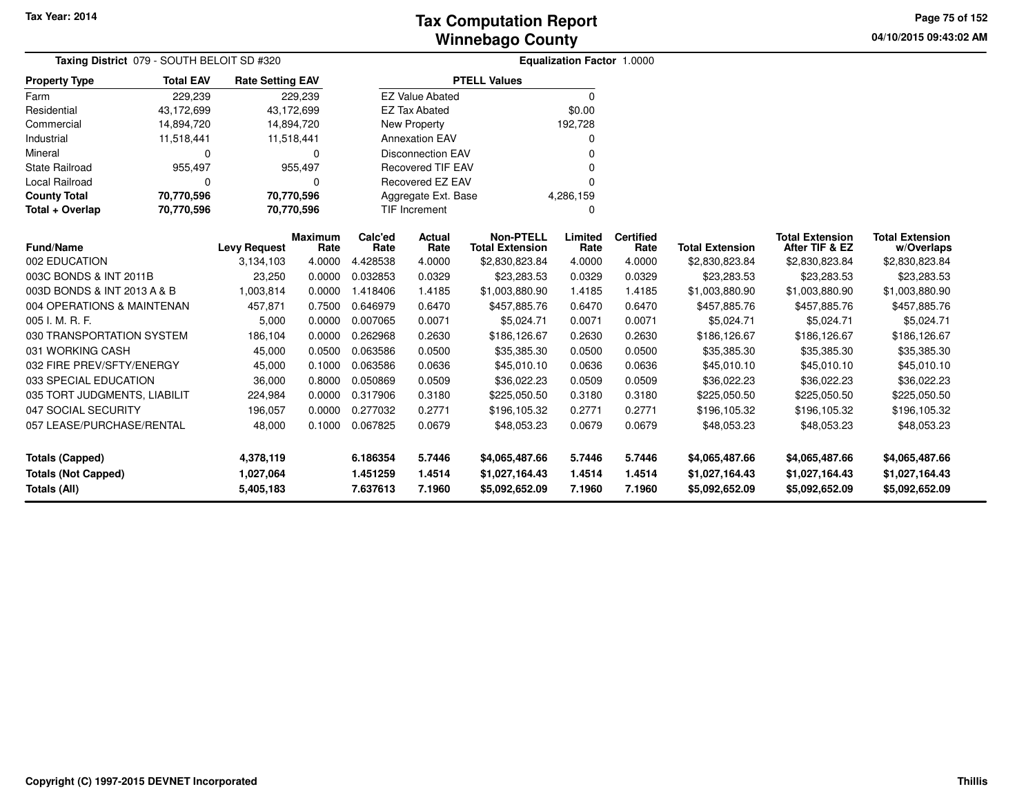**04/10/2015 09:43:02 AM Page 75 of 152**

| Taxing District 079 - SOUTH BELOIT SD #320 |                  |                         |                        |                 |                          |                                            | <b>Equalization Factor 1.0000</b> |                          |                        |                                          |                                      |  |
|--------------------------------------------|------------------|-------------------------|------------------------|-----------------|--------------------------|--------------------------------------------|-----------------------------------|--------------------------|------------------------|------------------------------------------|--------------------------------------|--|
| <b>Property Type</b>                       | <b>Total EAV</b> | <b>Rate Setting EAV</b> |                        |                 |                          | <b>PTELL Values</b>                        |                                   |                          |                        |                                          |                                      |  |
| Farm                                       | 229,239          |                         | 229,239                |                 | <b>EZ Value Abated</b>   |                                            | $\mathbf 0$                       |                          |                        |                                          |                                      |  |
| Residential                                | 43,172,699       | 43,172,699              |                        |                 | <b>EZ Tax Abated</b>     |                                            | \$0.00                            |                          |                        |                                          |                                      |  |
| Commercial                                 | 14,894,720       | 14,894,720              |                        |                 | <b>New Property</b>      |                                            | 192,728                           |                          |                        |                                          |                                      |  |
| Industrial                                 | 11,518,441       | 11,518,441              |                        |                 | <b>Annexation EAV</b>    |                                            | 0                                 |                          |                        |                                          |                                      |  |
| Mineral                                    | 0                |                         | $\Omega$               |                 | <b>Disconnection EAV</b> |                                            | <sup>0</sup>                      |                          |                        |                                          |                                      |  |
| <b>State Railroad</b>                      | 955,497          |                         | 955,497                |                 | <b>Recovered TIF EAV</b> |                                            |                                   |                          |                        |                                          |                                      |  |
| Local Railroad                             | $\Omega$         |                         | ∩                      |                 | Recovered EZ EAV         |                                            | $\Omega$                          |                          |                        |                                          |                                      |  |
| <b>County Total</b>                        | 70,770,596       | 70,770,596              |                        |                 | Aggregate Ext. Base      |                                            | 4,286,159                         |                          |                        |                                          |                                      |  |
| Total + Overlap                            | 70,770,596       | 70,770,596              |                        |                 | TIF Increment            |                                            | $\Omega$                          |                          |                        |                                          |                                      |  |
| <b>Fund/Name</b>                           |                  | <b>Levy Request</b>     | <b>Maximum</b><br>Rate | Calc'ed<br>Rate | Actual<br>Rate           | <b>Non-PTELL</b><br><b>Total Extension</b> | Limited<br>Rate                   | <b>Certified</b><br>Rate | <b>Total Extension</b> | <b>Total Extension</b><br>After TIF & EZ | <b>Total Extension</b><br>w/Overlaps |  |
| 002 EDUCATION                              |                  | 3,134,103               | 4.0000                 | 4.428538        | 4.0000                   | \$2,830,823.84                             | 4.0000                            | 4.0000                   | \$2,830,823.84         | \$2,830,823.84                           | \$2,830,823.84                       |  |
| 003C BONDS & INT 2011B                     |                  | 23,250                  | 0.0000                 | 0.032853        | 0.0329                   | \$23,283.53                                | 0.0329                            | 0.0329                   | \$23,283.53            | \$23,283.53                              | \$23,283.53                          |  |
| 003D BONDS & INT 2013 A & B                |                  | 1,003,814               | 0.0000                 | 1.418406        | 1.4185                   | \$1,003,880.90                             | 1.4185                            | 1.4185                   | \$1,003,880.90         | \$1,003,880.90                           | \$1,003,880.90                       |  |
| 004 OPERATIONS & MAINTENAN                 |                  | 457,871                 | 0.7500                 | 0.646979        | 0.6470                   | \$457,885.76                               | 0.6470                            | 0.6470                   | \$457,885.76           | \$457,885.76                             | \$457,885.76                         |  |
| 005 I. M. R. F.                            |                  | 5,000                   | 0.0000                 | 0.007065        | 0.0071                   | \$5,024.71                                 | 0.0071                            | 0.0071                   | \$5,024.71             | \$5,024.71                               | \$5,024.71                           |  |
| 030 TRANSPORTATION SYSTEM                  |                  | 186,104                 | 0.0000                 | 0.262968        | 0.2630                   | \$186,126.67                               | 0.2630                            | 0.2630                   | \$186,126.67           | \$186,126.67                             | \$186,126.67                         |  |
| 031 WORKING CASH                           |                  | 45,000                  | 0.0500                 | 0.063586        | 0.0500                   | \$35,385.30                                | 0.0500                            | 0.0500                   | \$35,385.30            | \$35,385.30                              | \$35,385.30                          |  |
| 032 FIRE PREV/SFTY/ENERGY                  |                  | 45,000                  | 0.1000                 | 0.063586        | 0.0636                   | \$45,010.10                                | 0.0636                            | 0.0636                   | \$45,010.10            | \$45,010.10                              | \$45,010.10                          |  |
| 033 SPECIAL EDUCATION                      |                  | 36,000                  | 0.8000                 | 0.050869        | 0.0509                   | \$36,022.23                                | 0.0509                            | 0.0509                   | \$36,022.23            | \$36,022.23                              | \$36,022.23                          |  |
| 035 TORT JUDGMENTS, LIABILIT               |                  | 224,984                 | 0.0000                 | 0.317906        | 0.3180                   | \$225,050.50                               | 0.3180                            | 0.3180                   | \$225,050.50           | \$225,050.50                             | \$225,050.50                         |  |
| 047 SOCIAL SECURITY                        |                  | 196,057                 | 0.0000                 | 0.277032        | 0.2771                   | \$196,105.32                               | 0.2771                            | 0.2771                   | \$196,105.32           | \$196,105.32                             | \$196,105.32                         |  |
| 057 LEASE/PURCHASE/RENTAL                  |                  | 48,000                  | 0.1000                 | 0.067825        | 0.0679                   | \$48,053.23                                | 0.0679                            | 0.0679                   | \$48,053.23            | \$48,053.23                              | \$48,053.23                          |  |
| <b>Totals (Capped)</b>                     |                  | 4,378,119               |                        | 6.186354        | 5.7446                   | \$4,065,487.66                             | 5.7446                            | 5.7446                   | \$4,065,487.66         | \$4,065,487.66                           | \$4,065,487.66                       |  |
| <b>Totals (Not Capped)</b>                 |                  | 1,027,064               |                        | 1.451259        | 1.4514                   | \$1,027,164.43                             | 1.4514                            | 1.4514                   | \$1,027,164.43         | \$1,027,164.43                           | \$1,027,164.43                       |  |
| Totals (All)                               |                  | 5,405,183               |                        | 7.637613        | 7.1960                   | \$5,092,652.09                             | 7.1960                            | 7.1960                   | \$5,092,652.09         | \$5,092,652.09                           | \$5,092,652.09                       |  |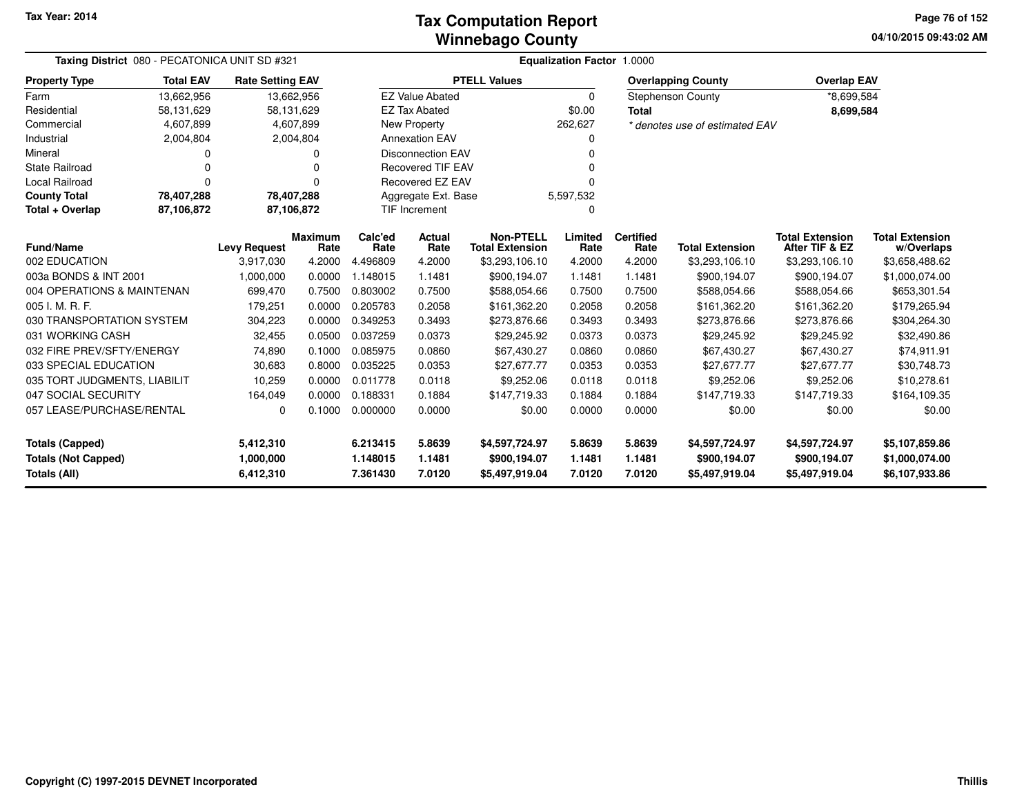#### **Winnebago CountyTax Computation Report**

**04/10/2015 09:43:02 AM Page 76 of 152**

| Taxing District 080 - PECATONICA UNIT SD #321 |                  |                         |                        | Equalization Factor 1.0000 |                          |                                            |                 |                          |                                |                                          |                                      |  |  |
|-----------------------------------------------|------------------|-------------------------|------------------------|----------------------------|--------------------------|--------------------------------------------|-----------------|--------------------------|--------------------------------|------------------------------------------|--------------------------------------|--|--|
| <b>Property Type</b>                          | <b>Total EAV</b> | <b>Rate Setting EAV</b> |                        |                            |                          | <b>PTELL Values</b>                        |                 |                          | <b>Overlapping County</b>      | <b>Overlap EAV</b>                       |                                      |  |  |
| Farm                                          | 13,662,956       | 13,662,956              |                        |                            | <b>EZ Value Abated</b>   |                                            | $\mathbf 0$     |                          | <b>Stephenson County</b>       | *8,699,584                               |                                      |  |  |
| Residential                                   | 58,131,629       | 58,131,629              |                        |                            | <b>EZ Tax Abated</b>     |                                            | \$0.00          | <b>Total</b>             |                                | 8,699,584                                |                                      |  |  |
| Commercial                                    | 4,607,899        |                         | 4,607,899              |                            | <b>New Property</b>      |                                            | 262,627         |                          | * denotes use of estimated EAV |                                          |                                      |  |  |
| Industrial                                    | 2,004,804        |                         | 2,004,804              |                            | <b>Annexation EAV</b>    |                                            | 0               |                          |                                |                                          |                                      |  |  |
| Mineral                                       | 0                |                         | ი                      |                            | <b>Disconnection EAV</b> |                                            | n               |                          |                                |                                          |                                      |  |  |
| <b>State Railroad</b>                         | $\Omega$         |                         | $\Omega$               |                            | <b>Recovered TIF EAV</b> |                                            |                 |                          |                                |                                          |                                      |  |  |
| Local Railroad                                | $\Omega$         |                         | 0                      |                            | <b>Recovered EZ EAV</b>  |                                            | $\Omega$        |                          |                                |                                          |                                      |  |  |
| <b>County Total</b>                           | 78,407,288       | 78,407,288              |                        |                            | Aggregate Ext. Base      |                                            | 5,597,532       |                          |                                |                                          |                                      |  |  |
| Total + Overlap                               | 87,106,872       |                         | 87,106,872             |                            | TIF Increment            |                                            | 0               |                          |                                |                                          |                                      |  |  |
| <b>Fund/Name</b>                              |                  | <b>Levy Request</b>     | <b>Maximum</b><br>Rate | Calc'ed<br>Rate            | Actual<br>Rate           | <b>Non-PTELL</b><br><b>Total Extension</b> | Limited<br>Rate | <b>Certified</b><br>Rate | <b>Total Extension</b>         | <b>Total Extension</b><br>After TIF & EZ | <b>Total Extension</b><br>w/Overlaps |  |  |
| 002 EDUCATION                                 |                  | 3,917,030               | 4.2000                 | 4.496809                   | 4.2000                   | \$3,293,106.10                             | 4.2000          | 4.2000                   | \$3,293,106.10                 | \$3,293,106.10                           | \$3,658,488.62                       |  |  |
| 003a BONDS & INT 2001                         |                  | 1,000,000               | 0.0000                 | 1.148015                   | 1.1481                   | \$900,194.07                               | 1.1481          | 1.1481                   | \$900,194.07                   | \$900,194.07                             | \$1,000,074.00                       |  |  |
| 004 OPERATIONS & MAINTENAN                    |                  | 699,470                 | 0.7500                 | 0.803002                   | 0.7500                   | \$588,054.66                               | 0.7500          | 0.7500                   | \$588,054.66                   | \$588,054.66                             | \$653,301.54                         |  |  |
| 005 I. M. R. F.                               |                  | 179,251                 | 0.0000                 | 0.205783                   | 0.2058                   | \$161.362.20                               | 0.2058          | 0.2058                   | \$161.362.20                   | \$161.362.20                             | \$179,265.94                         |  |  |
| 030 TRANSPORTATION SYSTEM                     |                  | 304,223                 | 0.0000                 | 0.349253                   | 0.3493                   | \$273,876.66                               | 0.3493          | 0.3493                   | \$273,876.66                   | \$273,876.66                             | \$304,264.30                         |  |  |
| 031 WORKING CASH                              |                  | 32,455                  | 0.0500                 | 0.037259                   | 0.0373                   | \$29,245.92                                | 0.0373          | 0.0373                   | \$29,245.92                    | \$29,245.92                              | \$32,490.86                          |  |  |
| 032 FIRE PREV/SFTY/ENERGY                     |                  | 74,890                  | 0.1000                 | 0.085975                   | 0.0860                   | \$67.430.27                                | 0.0860          | 0.0860                   | \$67,430.27                    | \$67.430.27                              | \$74.911.91                          |  |  |
| 033 SPECIAL EDUCATION                         |                  | 30,683                  | 0.8000                 | 0.035225                   | 0.0353                   | \$27,677.77                                | 0.0353          | 0.0353                   | \$27,677.77                    | \$27,677.77                              | \$30,748.73                          |  |  |
| 035 TORT JUDGMENTS, LIABILIT                  |                  | 10,259                  | 0.0000                 | 0.011778                   | 0.0118                   | \$9,252.06                                 | 0.0118          | 0.0118                   | \$9,252.06                     | \$9,252.06                               | \$10,278.61                          |  |  |
| 047 SOCIAL SECURITY                           |                  | 164,049                 | 0.0000                 | 0.188331                   | 0.1884                   | \$147,719.33                               | 0.1884          | 0.1884                   | \$147,719.33                   | \$147,719.33                             | \$164,109.35                         |  |  |
| 057 LEASE/PURCHASE/RENTAL                     |                  | 0                       | 0.1000                 | 0.000000                   | 0.0000                   | \$0.00                                     | 0.0000          | 0.0000                   | \$0.00                         | \$0.00                                   | \$0.00                               |  |  |
| <b>Totals (Capped)</b>                        |                  | 5,412,310               |                        | 6.213415                   | 5.8639                   | \$4,597,724.97                             | 5.8639          | 5.8639                   | \$4,597,724.97                 | \$4,597,724.97                           | \$5,107,859.86                       |  |  |
| <b>Totals (Not Capped)</b>                    |                  | 1,000,000               |                        | 1.148015                   | 1.1481                   | \$900,194.07                               | 1.1481          | 1.1481                   | \$900,194.07                   | \$900,194.07                             | \$1,000,074.00                       |  |  |
| <b>Totals (All)</b>                           |                  | 6,412,310               |                        | 7.361430                   | 7.0120                   | \$5,497,919.04                             | 7.0120          | 7.0120                   | \$5,497,919.04                 | \$5,497,919.04                           | \$6,107,933.86                       |  |  |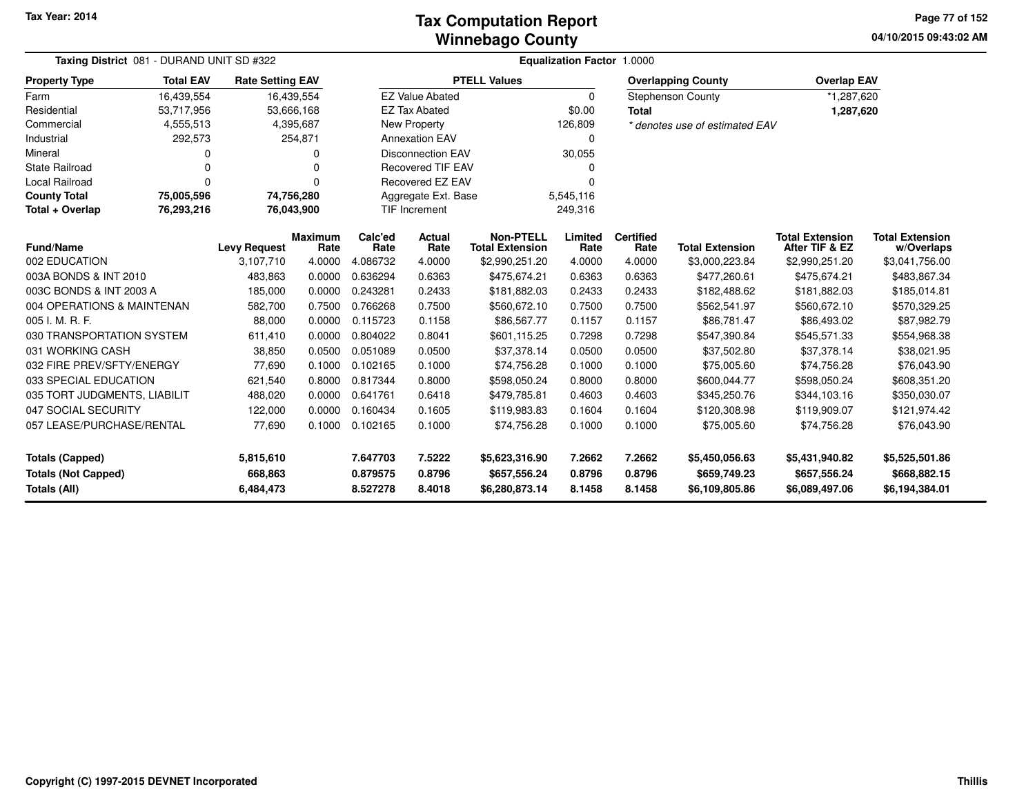**04/10/2015 09:43:02 AM Page 77 of 152**

| <b>Taxing District</b> 081 - DURAND UNIT SD #322 |                  |                         |                        | <b>Equalization Factor 1.0000</b> |                          |                                            |                 |                          |                                |                                          |                                      |
|--------------------------------------------------|------------------|-------------------------|------------------------|-----------------------------------|--------------------------|--------------------------------------------|-----------------|--------------------------|--------------------------------|------------------------------------------|--------------------------------------|
| <b>Property Type</b>                             | <b>Total EAV</b> | <b>Rate Setting EAV</b> |                        |                                   |                          | <b>PTELL Values</b>                        |                 |                          | <b>Overlapping County</b>      | <b>Overlap EAV</b>                       |                                      |
| Farm                                             | 16,439,554       | 16,439,554              |                        |                                   | <b>EZ Value Abated</b>   |                                            | $\Omega$        |                          | <b>Stephenson County</b>       | *1,287,620                               |                                      |
| Residential                                      | 53,717,956       | 53,666,168              |                        |                                   | <b>EZ Tax Abated</b>     |                                            | \$0.00          | <b>Total</b>             |                                | 1,287,620                                |                                      |
| Commercial                                       | 4,555,513        |                         | 4,395,687              |                                   | <b>New Property</b>      |                                            | 126,809         |                          | * denotes use of estimated EAV |                                          |                                      |
| Industrial                                       | 292,573          |                         | 254,871                |                                   | <b>Annexation EAV</b>    |                                            | $\Omega$        |                          |                                |                                          |                                      |
| Mineral                                          | 0                |                         | O                      |                                   | <b>Disconnection EAV</b> |                                            | 30,055          |                          |                                |                                          |                                      |
| <b>State Railroad</b>                            | 0                |                         |                        |                                   | <b>Recovered TIF EAV</b> |                                            |                 |                          |                                |                                          |                                      |
| Local Railroad                                   | 0                |                         | 0                      |                                   | <b>Recovered EZ EAV</b>  |                                            |                 |                          |                                |                                          |                                      |
| <b>County Total</b>                              | 75,005,596       | 74,756,280              |                        |                                   | Aggregate Ext. Base      |                                            | 5,545,116       |                          |                                |                                          |                                      |
| Total + Overlap                                  | 76,293,216       | 76,043,900              |                        |                                   | <b>TIF Increment</b>     |                                            | 249,316         |                          |                                |                                          |                                      |
| <b>Fund/Name</b>                                 |                  | <b>Levy Request</b>     | <b>Maximum</b><br>Rate | Calc'ed<br>Rate                   | <b>Actual</b><br>Rate    | <b>Non-PTELL</b><br><b>Total Extension</b> | Limited<br>Rate | <b>Certified</b><br>Rate | <b>Total Extension</b>         | <b>Total Extension</b><br>After TIF & EZ | <b>Total Extension</b><br>w/Overlaps |
| 002 EDUCATION                                    |                  | 3,107,710               | 4.0000                 | 4.086732                          | 4.0000                   | \$2,990,251.20                             | 4.0000          | 4.0000                   | \$3,000,223.84                 | \$2,990,251.20                           | \$3,041,756.00                       |
| 003A BONDS & INT 2010                            |                  | 483,863                 | 0.0000                 | 0.636294                          | 0.6363                   | \$475,674.21                               | 0.6363          | 0.6363                   | \$477,260.61                   | \$475,674.21                             | \$483,867.34                         |
| 003C BONDS & INT 2003 A                          |                  | 185,000                 | 0.0000                 | 0.243281                          | 0.2433                   | \$181,882.03                               | 0.2433          | 0.2433                   | \$182,488.62                   | \$181,882.03                             | \$185,014.81                         |
| 004 OPERATIONS & MAINTENAN                       |                  | 582,700                 | 0.7500                 | 0.766268                          | 0.7500                   | \$560,672.10                               | 0.7500          | 0.7500                   | \$562,541.97                   | \$560,672.10                             | \$570,329.25                         |
| 005 I. M. R. F.                                  |                  | 88,000                  | 0.0000                 | 0.115723                          | 0.1158                   | \$86,567.77                                | 0.1157          | 0.1157                   | \$86,781.47                    | \$86,493.02                              | \$87,982.79                          |
| 030 TRANSPORTATION SYSTEM                        |                  | 611,410                 | 0.0000                 | 0.804022                          | 0.8041                   | \$601,115.25                               | 0.7298          | 0.7298                   | \$547,390.84                   | \$545,571.33                             | \$554,968.38                         |
| 031 WORKING CASH                                 |                  | 38,850                  | 0.0500                 | 0.051089                          | 0.0500                   | \$37,378.14                                | 0.0500          | 0.0500                   | \$37,502.80                    | \$37,378.14                              | \$38,021.95                          |
| 032 FIRE PREV/SFTY/ENERGY                        |                  | 77,690                  | 0.1000                 | 0.102165                          | 0.1000                   | \$74,756.28                                | 0.1000          | 0.1000                   | \$75,005.60                    | \$74,756.28                              | \$76,043.90                          |
| 033 SPECIAL EDUCATION                            |                  | 621,540                 | 0.8000                 | 0.817344                          | 0.8000                   | \$598,050.24                               | 0.8000          | 0.8000                   | \$600,044.77                   | \$598,050.24                             | \$608,351.20                         |
| 035 TORT JUDGMENTS, LIABILIT                     |                  | 488,020                 | 0.0000                 | 0.641761                          | 0.6418                   | \$479,785.81                               | 0.4603          | 0.4603                   | \$345,250.76                   | \$344,103.16                             | \$350,030.07                         |
| 047 SOCIAL SECURITY                              |                  | 122,000                 | 0.0000                 | 0.160434                          | 0.1605                   | \$119,983.83                               | 0.1604          | 0.1604                   | \$120,308.98                   | \$119,909.07                             | \$121,974.42                         |
| 057 LEASE/PURCHASE/RENTAL                        |                  | 77,690                  | 0.1000                 | 0.102165                          | 0.1000                   | \$74,756.28                                | 0.1000          | 0.1000                   | \$75,005.60                    | \$74,756.28                              | \$76,043.90                          |
| <b>Totals (Capped)</b>                           |                  | 5,815,610               |                        | 7.647703                          | 7.5222                   | \$5,623,316.90                             | 7.2662          | 7.2662                   | \$5,450,056.63                 | \$5,431,940.82                           | \$5,525,501.86                       |
| <b>Totals (Not Capped)</b>                       |                  | 668,863                 |                        | 0.879575                          | 0.8796                   | \$657,556.24                               | 0.8796          | 0.8796                   | \$659,749.23                   | \$657,556.24                             | \$668,882.15                         |
| Totals (All)                                     |                  | 6,484,473               |                        | 8.527278                          | 8.4018                   | \$6,280,873.14                             | 8.1458          | 8.1458                   | \$6,109,805.86                 | \$6,089,497.06                           | \$6,194,384.01                       |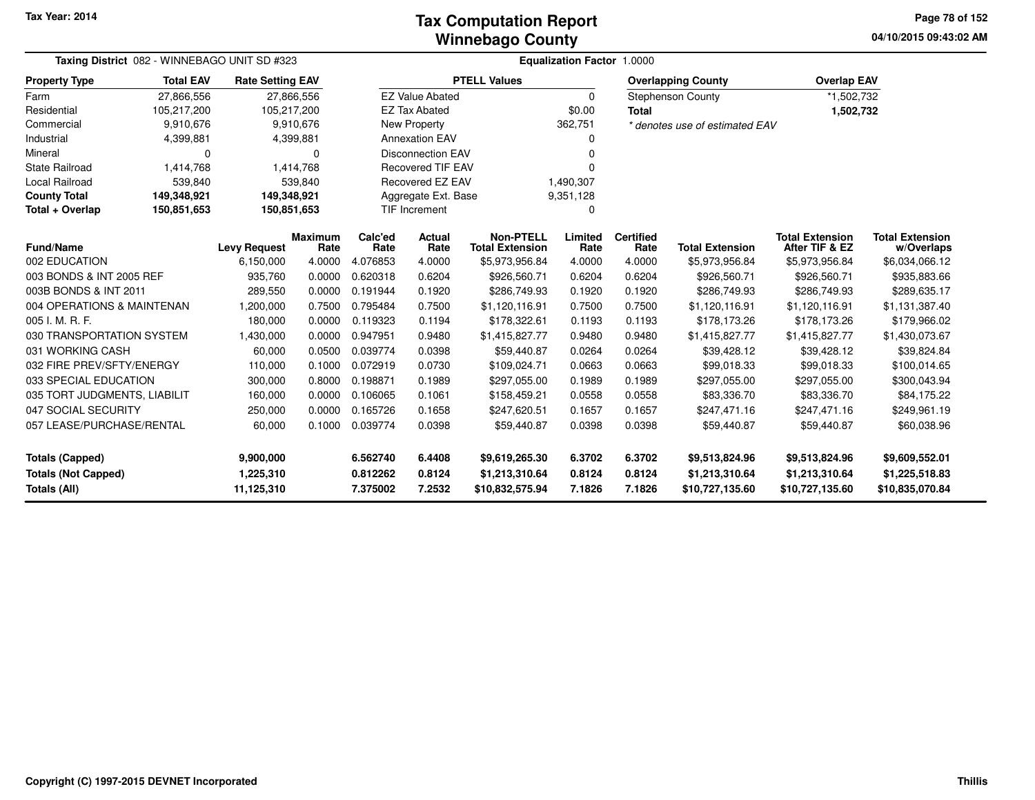#### **Winnebago CountyTax Computation Report**

**04/10/2015 09:43:02 AM Page 78 of 152**

|                                     | Taxing District 082 - WINNEBAGO UNIT SD #323 |                         |                        |                 | <b>Equalization Factor 1.0000</b> |                                            |                 |                          |                                |                                          |                                      |  |  |  |
|-------------------------------------|----------------------------------------------|-------------------------|------------------------|-----------------|-----------------------------------|--------------------------------------------|-----------------|--------------------------|--------------------------------|------------------------------------------|--------------------------------------|--|--|--|
| <b>Property Type</b>                | <b>Total EAV</b>                             | <b>Rate Setting EAV</b> |                        |                 |                                   | <b>PTELL Values</b>                        |                 |                          | <b>Overlapping County</b>      | <b>Overlap EAV</b>                       |                                      |  |  |  |
| Farm                                | 27,866,556                                   |                         | 27,866,556             |                 | <b>EZ Value Abated</b>            |                                            | $\Omega$        |                          | <b>Stephenson County</b>       | *1,502,732                               |                                      |  |  |  |
| Residential                         | 105,217,200                                  | 105,217,200             |                        |                 | <b>EZ Tax Abated</b>              |                                            | \$0.00          | <b>Total</b>             |                                | 1,502,732                                |                                      |  |  |  |
| Commercial                          | 9,910,676                                    |                         | 9,910,676              |                 | <b>New Property</b>               |                                            | 362,751         |                          | * denotes use of estimated EAV |                                          |                                      |  |  |  |
| Industrial                          | 4,399,881                                    |                         | 4,399,881              |                 | <b>Annexation EAV</b>             |                                            | 0               |                          |                                |                                          |                                      |  |  |  |
| Mineral                             | $\Omega$                                     |                         | $\Omega$               |                 | <b>Disconnection EAV</b>          |                                            | ŋ               |                          |                                |                                          |                                      |  |  |  |
| <b>State Railroad</b>               | 1,414,768                                    |                         | 1,414,768              |                 | <b>Recovered TIF EAV</b>          |                                            | 0               |                          |                                |                                          |                                      |  |  |  |
| Local Railroad                      | 539,840                                      |                         | 539,840                |                 | Recovered EZ EAV                  |                                            | 1,490,307       |                          |                                |                                          |                                      |  |  |  |
| <b>County Total</b>                 | 149,348,921                                  | 149,348,921             |                        |                 | Aggregate Ext. Base               |                                            | 9,351,128       |                          |                                |                                          |                                      |  |  |  |
| Total + Overlap                     | 150,851,653                                  | 150,851,653             |                        |                 | TIF Increment<br>0                |                                            |                 |                          |                                |                                          |                                      |  |  |  |
| <b>Fund/Name</b>                    |                                              | <b>Levy Request</b>     | <b>Maximum</b><br>Rate | Calc'ed<br>Rate | Actual<br>Rate                    | <b>Non-PTELL</b><br><b>Total Extension</b> | Limited<br>Rate | <b>Certified</b><br>Rate | <b>Total Extension</b>         | <b>Total Extension</b><br>After TIF & EZ | <b>Total Extension</b><br>w/Overlaps |  |  |  |
| 002 EDUCATION                       |                                              | 6,150,000               | 4.0000                 | 4.076853        | 4.0000                            | \$5,973,956.84                             | 4.0000          | 4.0000                   | \$5,973,956.84                 | \$5,973,956.84                           | \$6,034,066.12                       |  |  |  |
| 003 BONDS & INT 2005 REF            |                                              | 935,760                 | 0.0000                 | 0.620318        | 0.6204                            | \$926,560.71                               | 0.6204          | 0.6204                   | \$926,560.71                   | \$926,560.71                             | \$935,883.66                         |  |  |  |
| 003B BONDS & INT 2011               |                                              | 289,550                 | 0.0000                 | 0.191944        | 0.1920                            | \$286,749.93                               | 0.1920          | 0.1920                   | \$286,749.93                   | \$286,749.93                             | \$289,635.17                         |  |  |  |
| 004 OPERATIONS & MAINTENAN          |                                              | ,200,000                | 0.7500                 | 0.795484        | 0.7500                            | \$1,120,116.91                             | 0.7500          | 0.7500                   | \$1,120,116.91                 | \$1,120,116.91                           | \$1,131,387.40                       |  |  |  |
| 005 I. M. R. F.                     |                                              | 180,000                 | 0.0000                 | 0.119323        | 0.1194                            | \$178,322.61                               | 0.1193          | 0.1193                   | \$178,173.26                   | \$178,173.26                             | \$179,966.02                         |  |  |  |
| 030 TRANSPORTATION SYSTEM           |                                              | 1,430,000               | 0.0000                 | 0.947951        | 0.9480                            | \$1,415,827.77                             | 0.9480          | 0.9480                   | \$1,415,827.77                 | \$1,415,827.77                           | \$1,430,073.67                       |  |  |  |
| 031 WORKING CASH                    |                                              | 60,000                  | 0.0500                 | 0.039774        | 0.0398                            | \$59,440.87                                | 0.0264          | 0.0264                   | \$39,428.12                    | \$39,428.12                              | \$39,824.84                          |  |  |  |
| 032 FIRE PREV/SFTY/ENERGY           |                                              | 110,000                 | 0.1000                 | 0.072919        | 0.0730                            | \$109,024.71                               | 0.0663          | 0.0663                   | \$99,018.33                    | \$99,018.33                              | \$100,014.65                         |  |  |  |
| 033 SPECIAL EDUCATION               |                                              | 300,000                 | 0.8000                 | 0.198871        | 0.1989                            | \$297,055.00                               | 0.1989          | 0.1989                   | \$297,055.00                   | \$297,055.00                             | \$300,043.94                         |  |  |  |
| 035 TORT JUDGMENTS, LIABILIT        |                                              | 160,000                 | 0.0000                 | 0.106065        | 0.1061                            | \$158,459.21                               | 0.0558          | 0.0558                   | \$83,336.70                    | \$83,336.70                              | \$84,175.22                          |  |  |  |
| 047 SOCIAL SECURITY                 |                                              | 250,000                 | 0.0000                 | 0.165726        | 0.1658                            | \$247,620.51                               | 0.1657          | 0.1657                   | \$247,471.16                   | \$247,471.16                             | \$249,961.19                         |  |  |  |
| 057 LEASE/PURCHASE/RENTAL           |                                              | 60,000                  | 0.1000                 | 0.039774        | 0.0398                            | \$59,440.87                                | 0.0398          | 0.0398                   | \$59,440.87                    | \$59,440.87                              | \$60,038.96                          |  |  |  |
| <b>Totals (Capped)</b><br>9,900,000 |                                              | 6.562740                | 6.4408                 | \$9,619,265.30  | 6.3702                            | 6.3702                                     | \$9,513,824.96  | \$9,513,824.96           | \$9,609,552.01                 |                                          |                                      |  |  |  |
| <b>Totals (Not Capped)</b>          |                                              | 1,225,310               |                        | 0.812262        | 0.8124                            | \$1,213,310.64                             | 0.8124          | 0.8124                   | \$1,213,310.64                 | \$1,213,310.64                           | \$1,225,518.83                       |  |  |  |
| Totals (All)                        |                                              | 11,125,310              |                        | 7.375002        | 7.2532                            | \$10,832,575.94                            | 7.1826          | 7.1826                   | \$10,727,135.60                | \$10,727,135.60                          | \$10,835,070.84                      |  |  |  |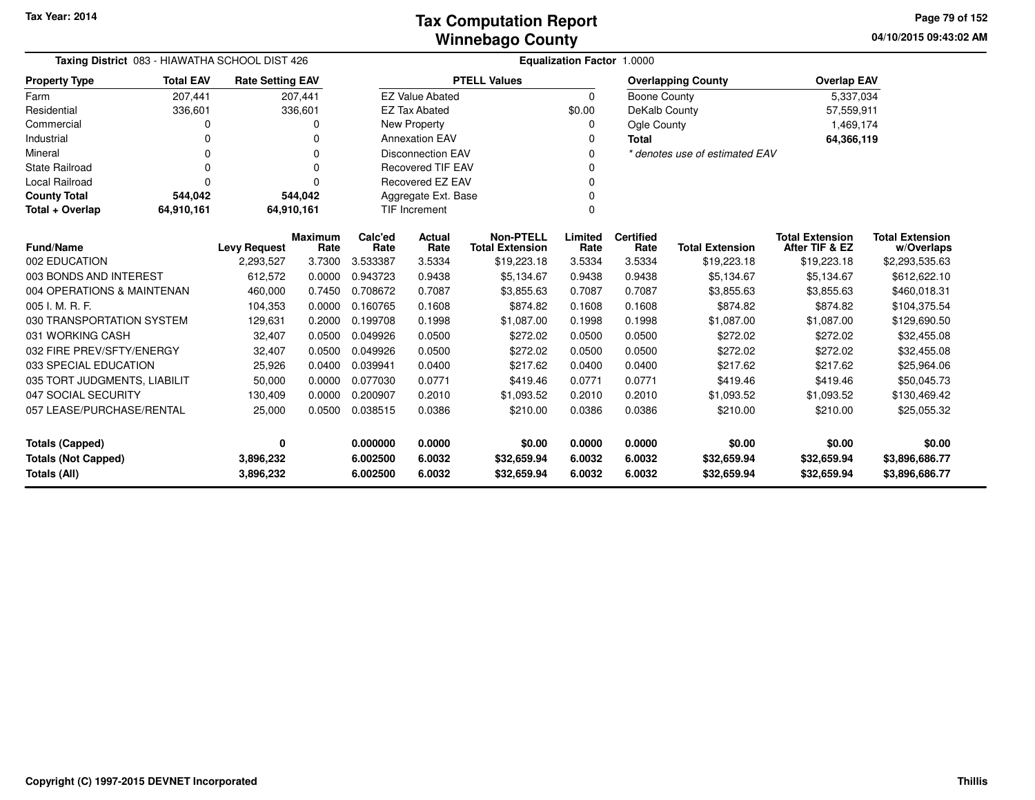| Taxing District 083 - HIAWATHA SCHOOL DIST 426                                  |                  |                                                          |            | Equalization Factor 1.0000 |                                  |                                            |                  |                          |                                |                                          |                                      |  |  |
|---------------------------------------------------------------------------------|------------------|----------------------------------------------------------|------------|----------------------------|----------------------------------|--------------------------------------------|------------------|--------------------------|--------------------------------|------------------------------------------|--------------------------------------|--|--|
| <b>Property Type</b>                                                            | <b>Total EAV</b> | <b>Rate Setting EAV</b>                                  |            |                            |                                  | <b>PTELL Values</b>                        |                  |                          | <b>Overlapping County</b>      | <b>Overlap EAV</b>                       |                                      |  |  |
| Farm                                                                            | 207,441          |                                                          | 207,441    |                            | <b>EZ Value Abated</b>           |                                            | $\Omega$         | <b>Boone County</b>      |                                | 5,337,034                                |                                      |  |  |
| Residential                                                                     | 336,601          |                                                          | 336,601    |                            | <b>EZ Tax Abated</b>             |                                            | \$0.00           | DeKalb County            |                                | 57,559,911                               |                                      |  |  |
| Commercial                                                                      | 0                |                                                          |            |                            | <b>New Property</b>              |                                            | 0                | Ogle County              |                                | 1,469,174                                |                                      |  |  |
| Industrial                                                                      | O                |                                                          |            |                            | <b>Annexation EAV</b>            |                                            | 0                | <b>Total</b>             |                                | 64,366,119                               |                                      |  |  |
| Mineral                                                                         | 0                |                                                          | 0          |                            | <b>Disconnection EAV</b>         |                                            | $\Omega$         |                          | * denotes use of estimated EAV |                                          |                                      |  |  |
| <b>State Railroad</b>                                                           | 0                |                                                          |            |                            | <b>Recovered TIF EAV</b>         |                                            |                  |                          |                                |                                          |                                      |  |  |
| <b>Local Railroad</b>                                                           | 0                |                                                          |            |                            | <b>Recovered EZ EAV</b>          |                                            |                  |                          |                                |                                          |                                      |  |  |
| <b>County Total</b>                                                             | 544,042          |                                                          | 544,042    |                            | Aggregate Ext. Base              |                                            | $\Omega$         |                          |                                |                                          |                                      |  |  |
| Total + Overlap                                                                 | 64,910,161       |                                                          | 64,910,161 |                            | $\Omega$<br><b>TIF Increment</b> |                                            |                  |                          |                                |                                          |                                      |  |  |
| <b>Fund/Name</b>                                                                |                  | <b>Maximum</b><br>Calc'ed<br><b>Levy Request</b><br>Rate |            |                            | <b>Actual</b><br>Rate            | <b>Non-PTELL</b><br><b>Total Extension</b> | Limited<br>Rate  | <b>Certified</b><br>Rate | <b>Total Extension</b>         | <b>Total Extension</b><br>After TIF & EZ | <b>Total Extension</b><br>w/Overlaps |  |  |
| 002 EDUCATION                                                                   |                  | 2,293,527                                                | 3.7300     | Rate<br>3.533387           | 3.5334                           | \$19,223.18                                | 3.5334           | 3.5334                   | \$19,223.18                    | \$19,223.18                              | \$2,293,535.63                       |  |  |
| 003 BONDS AND INTEREST                                                          |                  | 612,572                                                  | 0.0000     | 0.943723                   | 0.9438                           | \$5,134.67                                 | 0.9438           | 0.9438                   | \$5,134.67                     | \$5,134.67                               | \$612,622.10                         |  |  |
| 004 OPERATIONS & MAINTENAN                                                      |                  | 460,000                                                  | 0.7450     | 0.708672                   | 0.7087                           | \$3,855.63                                 | 0.7087           | 0.7087                   | \$3,855.63                     | \$3,855.63                               | \$460,018.31                         |  |  |
| 005 I. M. R. F.                                                                 |                  | 104,353                                                  | 0.0000     | 0.160765                   | 0.1608                           | \$874.82                                   | 0.1608           | 0.1608                   | \$874.82                       | \$874.82                                 | \$104,375.54                         |  |  |
| 030 TRANSPORTATION SYSTEM                                                       |                  | 129,631                                                  | 0.2000     | 0.199708                   | 0.1998                           | \$1,087.00                                 | 0.1998           | 0.1998                   | \$1,087.00                     | \$1,087.00                               | \$129,690.50                         |  |  |
| 031 WORKING CASH                                                                |                  | 32,407                                                   | 0.0500     | 0.049926                   | 0.0500                           | \$272.02                                   | 0.0500           | 0.0500                   | \$272.02                       | \$272.02                                 | \$32,455.08                          |  |  |
| 032 FIRE PREV/SFTY/ENERGY                                                       |                  | 32,407                                                   | 0.0500     | 0.049926                   | 0.0500                           | \$272.02                                   | 0.0500           | 0.0500                   | \$272.02                       | \$272.02                                 | \$32,455.08                          |  |  |
| 033 SPECIAL EDUCATION                                                           |                  | 25,926                                                   | 0.0400     | 0.039941                   | 0.0400                           | \$217.62                                   | 0.0400           | 0.0400                   | \$217.62                       | \$217.62                                 | \$25,964.06                          |  |  |
| 035 TORT JUDGMENTS, LIABILIT                                                    |                  | 50,000                                                   | 0.0000     | 0.077030                   | 0.0771                           | \$419.46                                   | 0.0771           | 0.0771                   | \$419.46                       | \$419.46                                 | \$50,045.73                          |  |  |
| 047 SOCIAL SECURITY                                                             |                  | 130,409                                                  | 0.0000     | 0.200907                   | 0.2010                           | \$1,093.52                                 | 0.2010           | 0.2010                   | \$1,093.52                     | \$1,093.52                               | \$130,469.42                         |  |  |
| 057 LEASE/PURCHASE/RENTAL                                                       |                  | 25,000                                                   | 0.0500     | 0.038515                   | 0.0386                           | \$210.00                                   | 0.0386           | 0.0386                   | \$210.00                       | \$210.00                                 | \$25,055.32                          |  |  |
| <b>Totals (Capped)</b><br>0<br>0.0000<br>0.0000<br>0.0000<br>0.000000<br>\$0.00 |                  |                                                          |            | \$0.00                     | \$0.00                           | \$0.00                                     |                  |                          |                                |                                          |                                      |  |  |
| <b>Totals (Not Capped)</b><br>Totals (All)                                      |                  | 3,896,232<br>3,896,232                                   |            | 6.002500<br>6.002500       | 6.0032<br>6.0032                 | \$32,659.94<br>\$32,659.94                 | 6.0032<br>6.0032 | 6.0032<br>6.0032         | \$32,659.94<br>\$32,659.94     | \$32,659.94<br>\$32,659.94               | \$3,896,686.77<br>\$3,896,686.77     |  |  |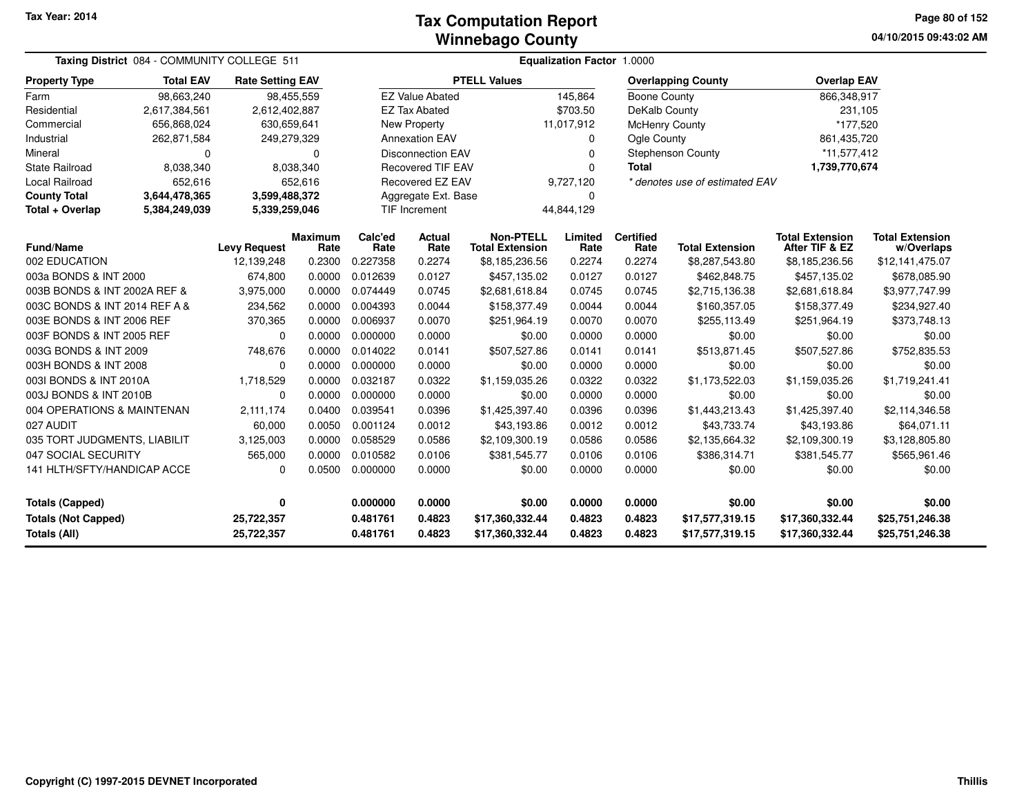**04/10/2015 09:43:02 AMPage 80 of 152**

|                                            | Taxing District 084 - COMMUNITY COLLEGE 511 |                          |                 |                      |                          |                                            | <b>Equalization Factor 1.0000</b> |                          |                                    |                                          |                                      |
|--------------------------------------------|---------------------------------------------|--------------------------|-----------------|----------------------|--------------------------|--------------------------------------------|-----------------------------------|--------------------------|------------------------------------|------------------------------------------|--------------------------------------|
| <b>Property Type</b>                       | <b>Total EAV</b>                            | <b>Rate Setting EAV</b>  |                 |                      |                          | <b>PTELL Values</b>                        |                                   |                          | <b>Overlapping County</b>          | <b>Overlap EAV</b>                       |                                      |
| Farm                                       | 98,663,240                                  |                          | 98,455,559      |                      | <b>EZ Value Abated</b>   |                                            | 145,864                           | Boone County             |                                    | 866,348,917                              |                                      |
| Residential                                | 2,617,384,561                               | 2,612,402,887            |                 |                      | <b>EZ Tax Abated</b>     |                                            | \$703.50                          | DeKalb County            |                                    | 231,105                                  |                                      |
| Commercial                                 | 656,868,024                                 | 630,659,641              |                 |                      | New Property             |                                            | 11,017,912                        |                          | <b>McHenry County</b>              | *177,520                                 |                                      |
| Industrial                                 | 262,871,584                                 | 249,279,329              |                 |                      | <b>Annexation EAV</b>    |                                            | $\Omega$                          | Ogle County              |                                    | 861,435,720                              |                                      |
| Mineral                                    | $\Omega$                                    |                          | $\Omega$        |                      | <b>Disconnection EAV</b> |                                            | $\Omega$                          |                          | Stephenson County                  | *11,577,412                              |                                      |
| <b>State Railroad</b>                      | 8,038,340                                   |                          | 8,038,340       |                      | <b>Recovered TIF EAV</b> |                                            | $\Omega$                          | <b>Total</b>             |                                    | 1,739,770,674                            |                                      |
| <b>Local Railroad</b>                      | 652,616                                     |                          | 652,616         |                      | Recovered EZ EAV         |                                            | 9,727,120                         |                          | * denotes use of estimated EAV     |                                          |                                      |
| <b>County Total</b>                        | 3,644,478,365                               | 3,599,488,372            |                 |                      | Aggregate Ext. Base      |                                            | O                                 |                          |                                    |                                          |                                      |
| Total + Overlap                            | 5,384,249,039                               | 5,339,259,046            |                 |                      | <b>TIF Increment</b>     |                                            | 44,844,129                        |                          |                                    |                                          |                                      |
| <b>Fund/Name</b>                           |                                             | <b>Levy Request</b>      | Maximum<br>Rate | Calc'ed<br>Rate      | Actual<br>Rate           | <b>Non-PTELL</b><br><b>Total Extension</b> | Limited<br>Rate                   | <b>Certified</b><br>Rate | <b>Total Extension</b>             | <b>Total Extension</b><br>After TIF & EZ | <b>Total Extension</b><br>w/Overlaps |
| 002 EDUCATION                              |                                             | 12,139,248               | 0.2300          | 0.227358             | 0.2274                   | \$8,185,236.56                             | 0.2274                            | 0.2274                   | \$8,287,543.80                     | \$8,185,236.56                           | \$12,141,475.07                      |
| 003a BONDS & INT 2000                      |                                             | 674,800                  | 0.0000          | 0.012639             | 0.0127                   | \$457,135.02                               | 0.0127                            | 0.0127                   | \$462,848.75                       | \$457,135.02                             | \$678,085.90                         |
| 003B BONDS & INT 2002A REF &               |                                             | 3,975,000                | 0.0000          | 0.074449             | 0.0745                   | \$2,681,618.84                             | 0.0745                            | 0.0745                   | \$2,715,136.38                     | \$2,681,618.84                           | \$3,977,747.99                       |
| 003C BONDS & INT 2014 REF A &              |                                             | 234,562                  | 0.0000          | 0.004393             | 0.0044                   | \$158,377.49                               | 0.0044                            | 0.0044                   | \$160,357.05                       | \$158,377.49                             | \$234,927.40                         |
| 003E BONDS & INT 2006 REF                  |                                             | 370,365                  | 0.0000          | 0.006937             | 0.0070                   | \$251,964.19                               | 0.0070                            | 0.0070                   | \$255,113.49                       | \$251,964.19                             | \$373,748.13                         |
| 003F BONDS & INT 2005 REF                  |                                             | 0                        | 0.0000          | 0.000000             | 0.0000                   | \$0.00                                     | 0.0000                            | 0.0000                   | \$0.00                             | \$0.00                                   | \$0.00                               |
| 003G BONDS & INT 2009                      |                                             | 748,676                  | 0.0000          | 0.014022             | 0.0141                   | \$507,527.86                               | 0.0141                            | 0.0141                   | \$513,871.45                       | \$507,527.86                             | \$752,835.53                         |
| 003H BONDS & INT 2008                      |                                             | $\Omega$                 | 0.0000          | 0.000000             | 0.0000                   | \$0.00                                     | 0.0000                            | 0.0000                   | \$0.00                             | \$0.00                                   | \$0.00                               |
| 003I BONDS & INT 2010A                     |                                             | 1,718,529                | 0.0000          | 0.032187             | 0.0322                   | \$1,159,035.26                             | 0.0322                            | 0.0322                   | \$1,173,522.03                     | \$1,159,035.26                           | \$1,719,241.41                       |
| 003J BONDS & INT 2010B                     |                                             | 0                        | 0.0000          | 0.000000             | 0.0000                   | \$0.00                                     | 0.0000                            | 0.0000                   | \$0.00                             | \$0.00                                   | \$0.00                               |
| 004 OPERATIONS & MAINTENAN                 |                                             | 2,111,174                | 0.0400          | 0.039541             | 0.0396                   | \$1,425,397.40                             | 0.0396                            | 0.0396                   | \$1,443,213.43                     | \$1,425,397.40                           | \$2,114,346.58                       |
| 027 AUDIT                                  |                                             | 60,000                   | 0.0050          | 0.001124             | 0.0012                   | \$43,193.86                                | 0.0012                            | 0.0012                   | \$43,733.74                        | \$43,193.86                              | \$64,071.11                          |
| 035 TORT JUDGMENTS, LIABILIT               |                                             | 3,125,003                | 0.0000          | 0.058529             | 0.0586                   | \$2,109,300.19                             | 0.0586                            | 0.0586                   | \$2,135,664.32                     | \$2,109,300.19                           | \$3,128,805.80                       |
| 047 SOCIAL SECURITY                        |                                             | 565,000                  | 0.0000          | 0.010582             | 0.0106                   | \$381,545.77                               | 0.0106                            | 0.0106                   | \$386,314.71                       | \$381,545.77                             | \$565,961.46                         |
| 141 HLTH/SFTY/HANDICAP ACCE                |                                             | 0                        | 0.0500          | 0.000000             | 0.0000                   | \$0.00                                     | 0.0000                            | 0.0000                   | \$0.00                             | \$0.00                                   | \$0.00                               |
| <b>Totals (Capped)</b><br>0                |                                             |                          | 0.000000        | 0.0000               | \$0.00                   | 0.0000                                     | 0.0000                            | \$0.00                   | \$0.00                             | \$0.00                                   |                                      |
| <b>Totals (Not Capped)</b><br>Totals (All) |                                             | 25,722,357<br>25,722,357 |                 | 0.481761<br>0.481761 | 0.4823<br>0.4823         | \$17,360,332.44<br>\$17,360,332.44         | 0.4823<br>0.4823                  | 0.4823<br>0.4823         | \$17,577,319.15<br>\$17,577,319.15 | \$17,360,332.44<br>\$17,360,332.44       | \$25,751,246.38<br>\$25,751,246.38   |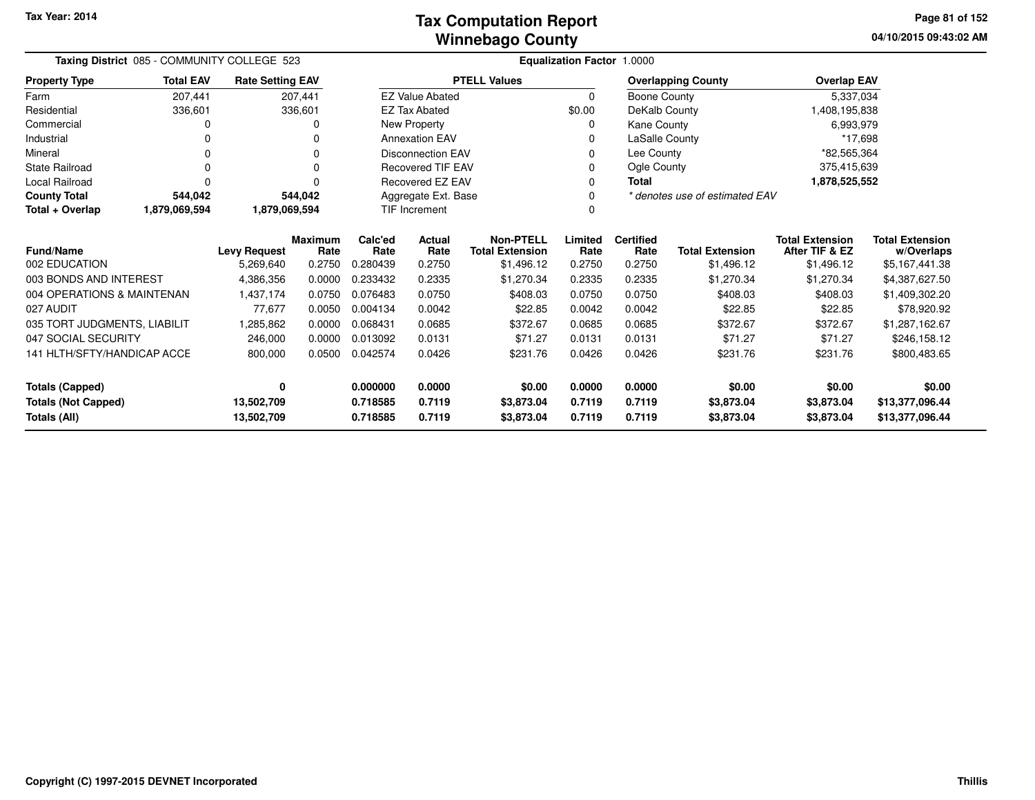**04/10/2015 09:43:02 AM Page 81 of 152**

and the

|                              | Taxing District 085 - COMMUNITY COLLEGE 523 |                         |                        |                      |                          | Equalization Factor 1.0000                 |                 |                          |                                |                                          |                                      |  |  |
|------------------------------|---------------------------------------------|-------------------------|------------------------|----------------------|--------------------------|--------------------------------------------|-----------------|--------------------------|--------------------------------|------------------------------------------|--------------------------------------|--|--|
| <b>Property Type</b>         | <b>Total EAV</b>                            | <b>Rate Setting EAV</b> |                        |                      |                          | <b>PTELL Values</b>                        |                 |                          | <b>Overlapping County</b>      | <b>Overlap EAV</b>                       |                                      |  |  |
| Farm                         | 207,441                                     |                         | 207,441                |                      | <b>EZ Value Abated</b>   |                                            | 0               | Boone County             |                                | 5,337,034                                |                                      |  |  |
| Residential                  | 336,601                                     |                         | 336,601                |                      | <b>EZ Tax Abated</b>     |                                            | \$0.00          | DeKalb County            |                                | 1,408,195,838                            |                                      |  |  |
| Commercial                   | 0                                           |                         | 0                      |                      | New Property             |                                            | 0               | Kane County              |                                | 6,993,979                                |                                      |  |  |
| Industrial                   | 0                                           |                         |                        |                      | <b>Annexation EAV</b>    |                                            | 0               | LaSalle County           |                                | *17,698                                  |                                      |  |  |
| Mineral                      | 0                                           |                         | 0                      |                      | <b>Disconnection EAV</b> |                                            | $\Omega$        | Lee County               |                                | *82,565,364                              |                                      |  |  |
| <b>State Railroad</b>        | 0                                           |                         | 0                      |                      | <b>Recovered TIF EAV</b> |                                            | 0               | Ogle County              |                                | 375,415,639                              |                                      |  |  |
| <b>Local Railroad</b>        | 0                                           |                         |                        |                      | Recovered EZ EAV         |                                            | 0               | <b>Total</b>             |                                | 1,878,525,552                            |                                      |  |  |
| <b>County Total</b>          | 544,042                                     |                         | 544,042                | Aggregate Ext. Base  |                          |                                            | 0               |                          | * denotes use of estimated EAV |                                          |                                      |  |  |
| Total + Overlap              | 1,879,069,594                               | 1,879,069,594           |                        | <b>TIF Increment</b> |                          |                                            | 0               |                          |                                |                                          |                                      |  |  |
| <b>Fund/Name</b>             |                                             | <b>Levy Request</b>     | <b>Maximum</b><br>Rate | Calc'ed<br>Rate      | Actual<br>Rate           | <b>Non-PTELL</b><br><b>Total Extension</b> | Limited<br>Rate | <b>Certified</b><br>Rate | <b>Total Extension</b>         | <b>Total Extension</b><br>After TIF & EZ | <b>Total Extension</b><br>w/Overlaps |  |  |
| 002 EDUCATION                |                                             | 5,269,640               | 0.2750                 | 0.280439             | 0.2750                   | \$1,496.12                                 | 0.2750          | 0.2750                   | \$1,496.12                     | \$1,496.12                               | \$5,167,441.38                       |  |  |
| 003 BONDS AND INTEREST       |                                             | 4,386,356               | 0.0000                 | 0.233432             | 0.2335                   | \$1,270.34                                 | 0.2335          | 0.2335                   | \$1,270.34                     | \$1,270.34                               | \$4,387,627.50                       |  |  |
| 004 OPERATIONS & MAINTENAN   |                                             | 1,437,174               | 0.0750                 | 0.076483             | 0.0750                   | \$408.03                                   | 0.0750          | 0.0750                   | \$408.03                       | \$408.03                                 | \$1,409,302.20                       |  |  |
| 027 AUDIT                    |                                             | 77,677                  | 0.0050                 | 0.004134             | 0.0042                   | \$22.85                                    | 0.0042          | 0.0042                   | \$22.85                        | \$22.85                                  | \$78,920.92                          |  |  |
| 035 TORT JUDGMENTS, LIABILIT |                                             | 1,285,862               | 0.0000                 | 0.068431             | 0.0685                   | \$372.67                                   | 0.0685          | 0.0685                   | \$372.67                       | \$372.67                                 | \$1,287,162.67                       |  |  |
| 047 SOCIAL SECURITY          |                                             | 246,000                 | 0.0000                 | 0.013092             | 0.0131                   | \$71.27                                    | 0.0131          | 0.0131                   | \$71.27                        | \$71.27                                  | \$246,158.12                         |  |  |
| 141 HLTH/SFTY/HANDICAP ACCE  |                                             | 800,000                 | 0.0500                 | 0.042574             | 0.0426                   | \$231.76                                   | 0.0426          | 0.0426                   | \$231.76                       | \$231.76                                 | \$800,483.65                         |  |  |
| <b>Totals (Capped)</b>       |                                             | 0                       |                        | 0.000000             | 0.0000                   | \$0.00                                     | 0.0000          | 0.0000                   | \$0.00                         | \$0.00                                   | \$0.00                               |  |  |
| <b>Totals (Not Capped)</b>   |                                             | 13,502,709              |                        | 0.718585             | 0.7119                   | \$3,873.04                                 | 0.7119          | 0.7119                   | \$3,873.04                     | \$3,873.04                               | \$13,377,096.44                      |  |  |
| <b>Totals (All)</b>          |                                             | 13,502,709              |                        | 0.718585             | 0.7119                   | \$3,873.04                                 | 0.7119          | 0.7119                   | \$3,873.04                     | \$3,873.04                               | \$13,377,096.44                      |  |  |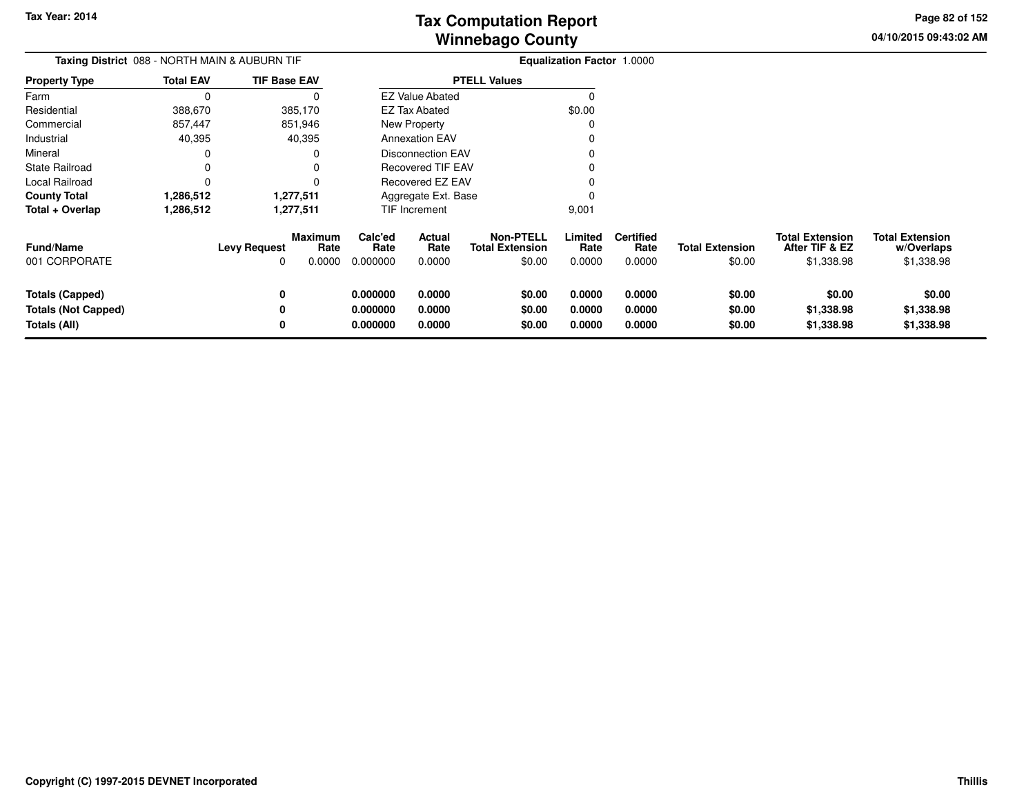**04/10/2015 09:43:02 AMPage 82 of 152**

> **w/Overlaps**\$1,338.98

| Taxing District 088 - NORTH MAIN & AUBURN TIF<br><b>TIF Base EAV</b> |                  |                          |                                  |                                  |                            |                                                      | Equalization Factor 1.0000 |                                    |                                  |                                                        |                                                    |
|----------------------------------------------------------------------|------------------|--------------------------|----------------------------------|----------------------------------|----------------------------|------------------------------------------------------|----------------------------|------------------------------------|----------------------------------|--------------------------------------------------------|----------------------------------------------------|
| Property Type                                                        | <b>Total EAV</b> |                          |                                  |                                  |                            | <b>PTELL Values</b>                                  |                            |                                    |                                  |                                                        |                                                    |
| Farm                                                                 | 0                |                          |                                  |                                  | <b>EZ Value Abated</b>     |                                                      |                            |                                    |                                  |                                                        |                                                    |
| Residential                                                          | 388,670          |                          | 385,170                          |                                  | <b>EZ Tax Abated</b>       |                                                      | \$0.00                     |                                    |                                  |                                                        |                                                    |
| Commercial                                                           | 857,447          |                          | 851,946                          |                                  | New Property               |                                                      |                            |                                    |                                  |                                                        |                                                    |
| Industrial                                                           | 40,395           |                          | 40,395                           |                                  | <b>Annexation EAV</b>      |                                                      |                            |                                    |                                  |                                                        |                                                    |
| Mineral                                                              |                  |                          |                                  |                                  | <b>Disconnection EAV</b>   |                                                      |                            |                                    |                                  |                                                        |                                                    |
| State Railroad                                                       |                  |                          |                                  |                                  | <b>Recovered TIF EAV</b>   |                                                      |                            |                                    |                                  |                                                        |                                                    |
| Local Railroad                                                       |                  |                          |                                  |                                  | Recovered EZ EAV           |                                                      |                            |                                    |                                  |                                                        |                                                    |
| County Total                                                         | 1,286,512        |                          | 1,277,511                        |                                  | Aggregate Ext. Base        |                                                      |                            |                                    |                                  |                                                        |                                                    |
| Total + Overlap                                                      | 1,286,512        |                          | 1,277,511                        |                                  | TIF Increment              |                                                      | 9,001                      |                                    |                                  |                                                        |                                                    |
| <b>Fund/Name</b><br>001 CORPORATE                                    |                  | <b>Levy Request</b><br>0 | <b>Maximum</b><br>Rate<br>0.0000 | Calc'ed<br>Rate<br>0.000000      | Actual<br>Rate<br>0.0000   | <b>Non-PTELL</b><br><b>Total Extension</b><br>\$0.00 | Limited<br>Rate<br>0.0000  | <b>Certified</b><br>Rate<br>0.0000 | <b>Total Extension</b><br>\$0.00 | <b>Total Extension</b><br>After TIF & EZ<br>\$1,338.98 | <b>Total Extension</b><br>w/Overlaps<br>\$1,338.98 |
| <b>Totals (Capped)</b><br><b>Totals (Not Capped)</b><br>Totals (All) |                  | 0<br>0<br>0              |                                  | 0.000000<br>0.000000<br>0.000000 | 0.0000<br>0.0000<br>0.0000 | \$0.00<br>\$0.00<br>\$0.00                           | 0.0000<br>0.0000<br>0.0000 | 0.0000<br>0.0000<br>0.0000         | \$0.00<br>\$0.00<br>\$0.00       | \$0.00<br>\$1,338.98<br>\$1,338.98                     | \$0.00<br>\$1,338.98<br>\$1,338.98                 |
|                                                                      |                  |                          |                                  |                                  |                            |                                                      |                            |                                    |                                  |                                                        |                                                    |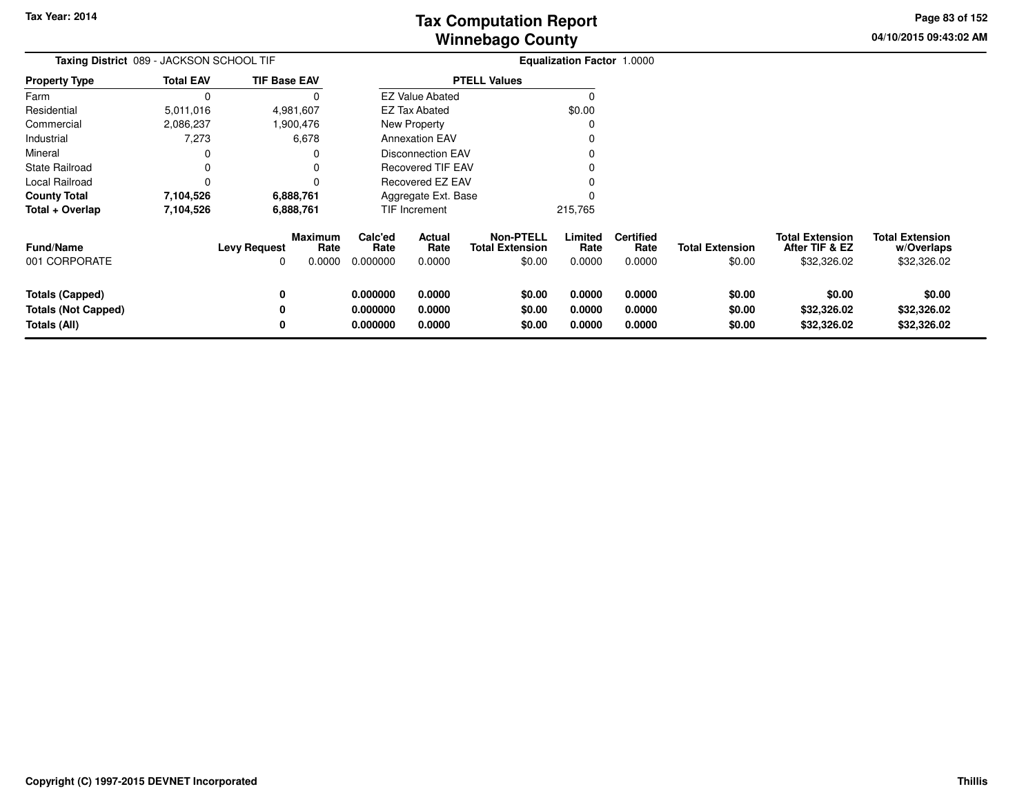**04/10/2015 09:43:02 AMPage 83 of 152**

> **w/Overlaps**\$32,326.02

| Taxing District 089 - JACKSON SCHOOL TIF |                  |                          |                                  |                             |                          |                                                      | <b>Equalization Factor 1.0000</b> |                                    |                                  |                                                         |                                                     |
|------------------------------------------|------------------|--------------------------|----------------------------------|-----------------------------|--------------------------|------------------------------------------------------|-----------------------------------|------------------------------------|----------------------------------|---------------------------------------------------------|-----------------------------------------------------|
| <b>Property Type</b>                     | <b>Total EAV</b> | <b>TIF Base EAV</b>      |                                  |                             |                          | <b>PTELL Values</b>                                  |                                   |                                    |                                  |                                                         |                                                     |
| Farm                                     | 0                |                          | 0                                |                             | <b>EZ Value Abated</b>   |                                                      |                                   |                                    |                                  |                                                         |                                                     |
| Residential                              | 5,011,016        |                          | 4,981,607                        |                             | <b>EZ Tax Abated</b>     |                                                      | \$0.00                            |                                    |                                  |                                                         |                                                     |
| Commercial                               | 2,086,237        |                          | 1,900,476                        |                             | <b>New Property</b>      |                                                      |                                   |                                    |                                  |                                                         |                                                     |
| Industrial                               | 7,273            |                          | 6,678                            |                             | <b>Annexation EAV</b>    |                                                      |                                   |                                    |                                  |                                                         |                                                     |
| Mineral                                  |                  |                          | 0                                |                             | <b>Disconnection EAV</b> |                                                      |                                   |                                    |                                  |                                                         |                                                     |
| State Railroad                           | $\Omega$         |                          | 0                                |                             | <b>Recovered TIF EAV</b> |                                                      |                                   |                                    |                                  |                                                         |                                                     |
| Local Railroad                           |                  |                          | 0                                |                             | Recovered EZ EAV         |                                                      |                                   |                                    |                                  |                                                         |                                                     |
| <b>County Total</b>                      | 7,104,526        |                          | 6,888,761                        |                             | Aggregate Ext. Base      |                                                      |                                   |                                    |                                  |                                                         |                                                     |
| Total + Overlap                          | 7,104,526        | 6,888,761                |                                  |                             | TIF Increment            |                                                      | 215,765                           |                                    |                                  |                                                         |                                                     |
| <b>Fund/Name</b><br>001 CORPORATE        |                  | <b>Levy Request</b><br>0 | <b>Maximum</b><br>Rate<br>0.0000 | Calc'ed<br>Rate<br>0.000000 | Actual<br>Rate<br>0.0000 | <b>Non-PTELL</b><br><b>Total Extension</b><br>\$0.00 | Limited<br>Rate<br>0.0000         | <b>Certified</b><br>Rate<br>0.0000 | <b>Total Extension</b><br>\$0.00 | <b>Total Extension</b><br>After TIF & EZ<br>\$32,326.02 | <b>Total Extension</b><br>w/Overlaps<br>\$32,326.02 |
|                                          |                  |                          |                                  |                             |                          |                                                      |                                   |                                    |                                  |                                                         |                                                     |
| <b>Totals (Capped)</b>                   |                  | 0                        |                                  | 0.000000                    | 0.0000                   | \$0.00                                               | 0.0000                            | 0.0000                             | \$0.00                           | \$0.00                                                  | \$0.00                                              |
| <b>Totals (Not Capped)</b>               |                  | 0                        |                                  | 0.000000                    | 0.0000                   | \$0.00                                               | 0.0000                            | 0.0000                             | \$0.00                           | \$32,326.02                                             | \$32,326.02                                         |
| Totals (All)                             |                  | 0                        |                                  | 0.000000                    | 0.0000                   | \$0.00                                               | 0.0000                            | 0.0000                             | \$0.00                           | \$32,326.02                                             | \$32,326.02                                         |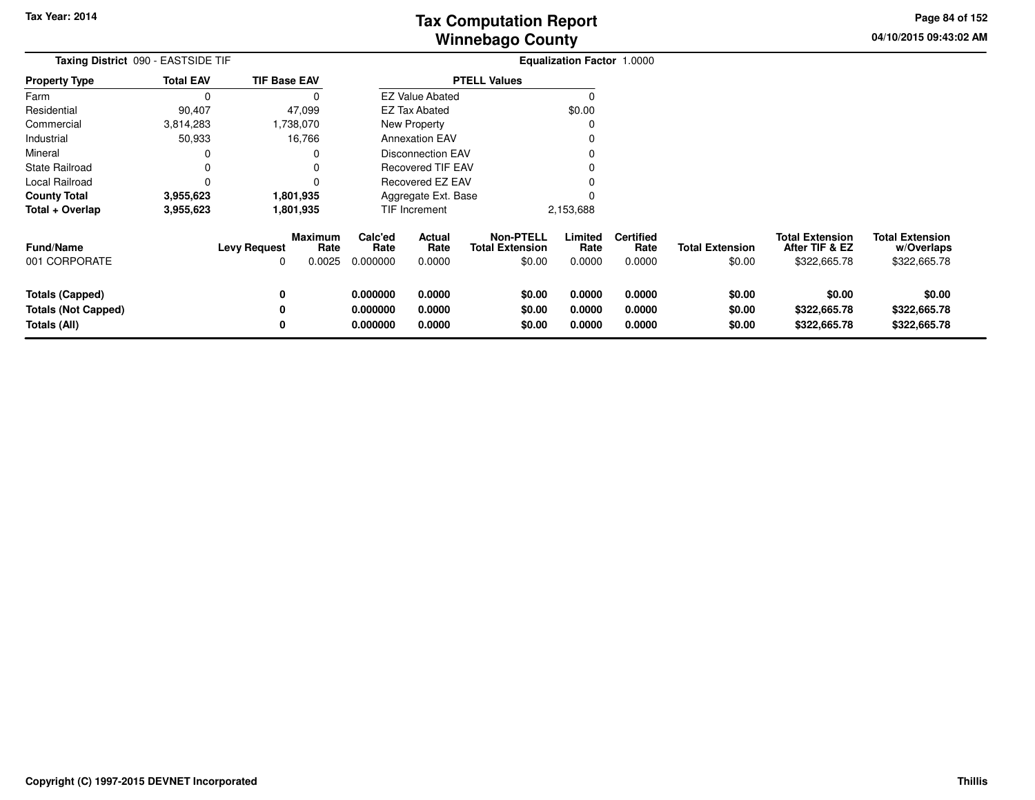**04/10/2015 09:43:02 AMPage 84 of 152**

| Taxing District 090 - EASTSIDE TIF                                   |                        |                     |                                  |                                  | Equalization Factor 1.0000 |                                                      |                            |                                    |                                  |                                                          |                                                      |
|----------------------------------------------------------------------|------------------------|---------------------|----------------------------------|----------------------------------|----------------------------|------------------------------------------------------|----------------------------|------------------------------------|----------------------------------|----------------------------------------------------------|------------------------------------------------------|
| <b>Property Type</b>                                                 | <b>Total EAV</b>       | <b>TIF Base EAV</b> |                                  |                                  |                            | <b>PTELL Values</b>                                  |                            |                                    |                                  |                                                          |                                                      |
| Farm                                                                 | 0                      |                     | O                                |                                  | <b>EZ Value Abated</b>     |                                                      | 0                          |                                    |                                  |                                                          |                                                      |
| Residential                                                          | 90,407                 |                     | 47,099                           |                                  | EZ Tax Abated              |                                                      | \$0.00                     |                                    |                                  |                                                          |                                                      |
| Commercial                                                           | 3,814,283              |                     | 1,738,070                        |                                  | New Property               |                                                      |                            |                                    |                                  |                                                          |                                                      |
| Industrial                                                           | 50,933                 |                     | 16,766                           |                                  | <b>Annexation EAV</b>      |                                                      |                            |                                    |                                  |                                                          |                                                      |
| Mineral                                                              |                        |                     | 0                                |                                  | <b>Disconnection EAV</b>   |                                                      |                            |                                    |                                  |                                                          |                                                      |
| <b>State Railroad</b>                                                |                        |                     |                                  |                                  | <b>Recovered TIF EAV</b>   |                                                      |                            |                                    |                                  |                                                          |                                                      |
| Local Railroad                                                       |                        |                     |                                  |                                  | <b>Recovered EZ EAV</b>    |                                                      |                            |                                    |                                  |                                                          |                                                      |
| <b>County Total</b>                                                  | 3,955,623<br>1,801,935 |                     |                                  |                                  | Aggregate Ext. Base        |                                                      |                            |                                    |                                  |                                                          |                                                      |
| Total + Overlap                                                      | 3,955,623              |                     | 1,801,935                        |                                  | TIF Increment              |                                                      | 2,153,688                  |                                    |                                  |                                                          |                                                      |
| <b>Fund/Name</b><br>001 CORPORATE                                    |                        | <b>Levy Request</b> | <b>Maximum</b><br>Rate<br>0.0025 | Calc'ed<br>Rate<br>0.000000      | Actual<br>Rate<br>0.0000   | <b>Non-PTELL</b><br><b>Total Extension</b><br>\$0.00 | Limited<br>Rate<br>0.0000  | <b>Certified</b><br>Rate<br>0.0000 | <b>Total Extension</b><br>\$0.00 | <b>Total Extension</b><br>After TIF & EZ<br>\$322,665.78 | <b>Total Extension</b><br>w/Overlaps<br>\$322,665.78 |
| <b>Totals (Capped)</b><br><b>Totals (Not Capped)</b><br>Totals (All) |                        |                     |                                  | 0.000000<br>0.000000<br>0.000000 | 0.0000<br>0.0000<br>0.0000 | \$0.00<br>\$0.00<br>\$0.00                           | 0.0000<br>0.0000<br>0.0000 | 0.0000<br>0.0000<br>0.0000         | \$0.00<br>\$0.00<br>\$0.00       | \$0.00<br>\$322,665.78<br>\$322,665.78                   | \$0.00<br>\$322,665.78<br>\$322,665.78               |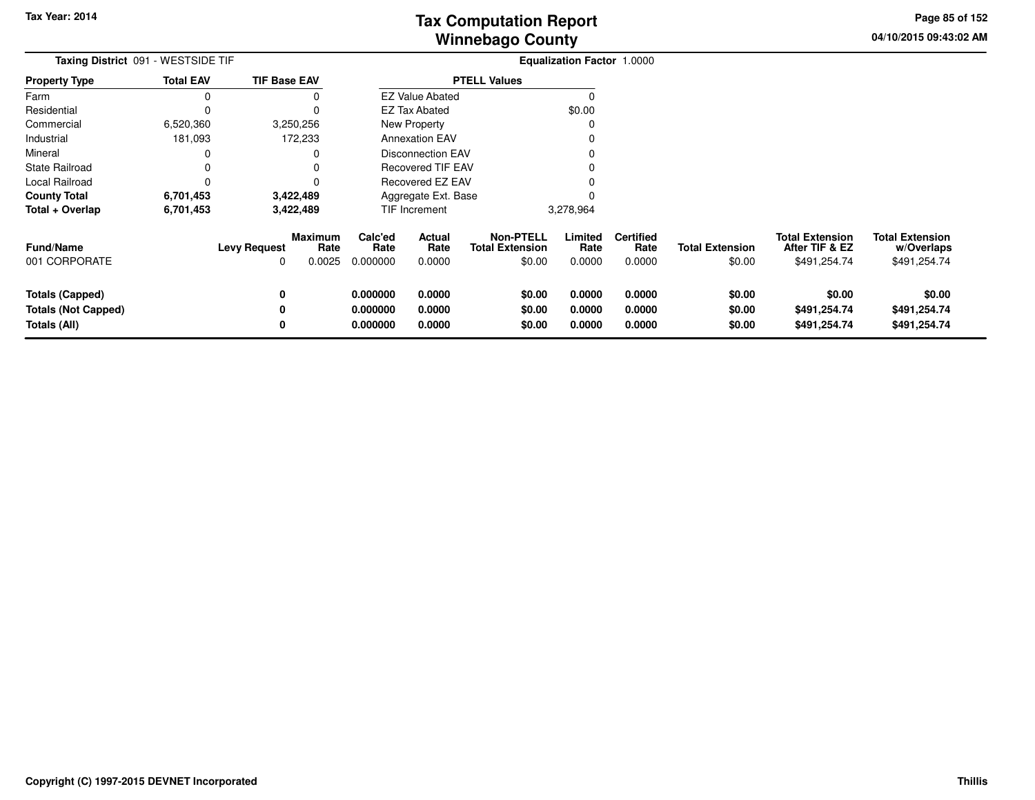**04/10/2015 09:43:02 AMPage 85 of 152**

| Taxing District 091 - WESTSIDE TIF                                   |                  |                          |                           |                                  |                            |                                                      | Equalization Factor 1.0000 |                                    |                                  |                                                          |                                                      |
|----------------------------------------------------------------------|------------------|--------------------------|---------------------------|----------------------------------|----------------------------|------------------------------------------------------|----------------------------|------------------------------------|----------------------------------|----------------------------------------------------------|------------------------------------------------------|
| <b>Property Type</b>                                                 | <b>Total EAV</b> | <b>TIF Base EAV</b>      |                           |                                  |                            | <b>PTELL Values</b>                                  |                            |                                    |                                  |                                                          |                                                      |
| Farm                                                                 | 0                |                          |                           |                                  | <b>EZ Value Abated</b>     |                                                      | C                          |                                    |                                  |                                                          |                                                      |
| Residential                                                          | 0                |                          | 0                         |                                  | EZ Tax Abated              |                                                      | \$0.00                     |                                    |                                  |                                                          |                                                      |
| Commercial                                                           | 6,520,360        |                          | 3,250,256                 |                                  | <b>New Property</b>        |                                                      | 0                          |                                    |                                  |                                                          |                                                      |
| Industrial                                                           | 181,093          |                          | 172,233                   |                                  | <b>Annexation EAV</b>      |                                                      |                            |                                    |                                  |                                                          |                                                      |
| Mineral                                                              | 0                |                          | 0                         |                                  | <b>Disconnection EAV</b>   |                                                      |                            |                                    |                                  |                                                          |                                                      |
| <b>State Railroad</b>                                                | 0                |                          |                           |                                  | <b>Recovered TIF EAV</b>   |                                                      |                            |                                    |                                  |                                                          |                                                      |
| Local Railroad                                                       | 0                |                          |                           |                                  | Recovered EZ EAV           |                                                      |                            |                                    |                                  |                                                          |                                                      |
| <b>County Total</b>                                                  | 6,701,453        |                          | 3,422,489                 |                                  | Aggregate Ext. Base        |                                                      |                            |                                    |                                  |                                                          |                                                      |
| Total + Overlap                                                      | 6,701,453        |                          | 3,422,489                 |                                  | TIF Increment              |                                                      | 3,278,964                  |                                    |                                  |                                                          |                                                      |
| <b>Fund/Name</b><br>001 CORPORATE                                    |                  | <b>Levy Request</b><br>O | Maximum<br>Rate<br>0.0025 | Calc'ed<br>Rate<br>0.000000      | Actual<br>Rate<br>0.0000   | <b>Non-PTELL</b><br><b>Total Extension</b><br>\$0.00 | Limited<br>Rate<br>0.0000  | <b>Certified</b><br>Rate<br>0.0000 | <b>Total Extension</b><br>\$0.00 | <b>Total Extension</b><br>After TIF & EZ<br>\$491,254.74 | <b>Total Extension</b><br>w/Overlaps<br>\$491,254.74 |
| <b>Totals (Capped)</b><br><b>Totals (Not Capped)</b><br>Totals (All) |                  | 0<br>0<br>0              |                           | 0.000000<br>0.000000<br>0.000000 | 0.0000<br>0.0000<br>0.0000 | \$0.00<br>\$0.00<br>\$0.00                           | 0.0000<br>0.0000<br>0.0000 | 0.0000<br>0.0000<br>0.0000         | \$0.00<br>\$0.00<br>\$0.00       | \$0.00<br>\$491,254.74<br>\$491,254.74                   | \$0.00<br>\$491,254.74<br>\$491,254.74               |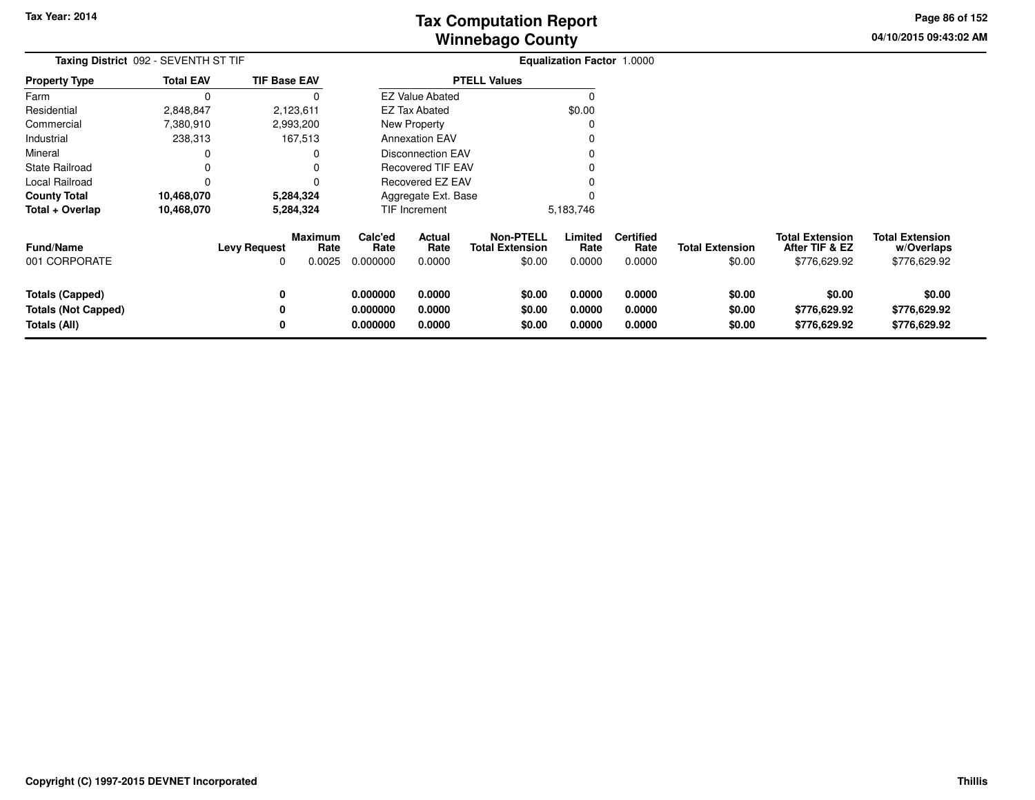**04/10/2015 09:43:02 AMPage 86 of 152**

> **w/Overlaps**\$776,629.92

| Taxing District 092 - SEVENTH ST TIF |                  |                     |                           |                             |                          |                                                      | <b>Equalization Factor 1.0000</b> |                                    |                                  |                                                          |                                                      |
|--------------------------------------|------------------|---------------------|---------------------------|-----------------------------|--------------------------|------------------------------------------------------|-----------------------------------|------------------------------------|----------------------------------|----------------------------------------------------------|------------------------------------------------------|
| <b>Property Type</b>                 | <b>Total EAV</b> | <b>TIF Base EAV</b> |                           |                             |                          | <b>PTELL Values</b>                                  |                                   |                                    |                                  |                                                          |                                                      |
| Farm                                 |                  |                     |                           |                             | <b>EZ Value Abated</b>   |                                                      |                                   |                                    |                                  |                                                          |                                                      |
| Residential                          | 2,848,847        |                     | 2,123,611                 |                             | <b>EZ Tax Abated</b>     |                                                      | \$0.00                            |                                    |                                  |                                                          |                                                      |
| Commercial                           | 7,380,910        |                     | 2,993,200                 |                             | New Property             |                                                      |                                   |                                    |                                  |                                                          |                                                      |
| Industrial                           | 238,313          |                     | 167,513                   |                             | <b>Annexation EAV</b>    |                                                      |                                   |                                    |                                  |                                                          |                                                      |
| Mineral                              |                  |                     |                           |                             | <b>Disconnection EAV</b> |                                                      |                                   |                                    |                                  |                                                          |                                                      |
| <b>State Railroad</b>                |                  |                     |                           |                             | Recovered TIF EAV        |                                                      |                                   |                                    |                                  |                                                          |                                                      |
| Local Railroad                       |                  |                     |                           |                             | Recovered EZ EAV         |                                                      |                                   |                                    |                                  |                                                          |                                                      |
| <b>County Total</b>                  | 10,468,070       |                     | 5,284,324                 |                             | Aggregate Ext. Base      |                                                      |                                   |                                    |                                  |                                                          |                                                      |
| Total + Overlap                      | 10,468,070       |                     | 5,284,324                 |                             | TIF Increment            |                                                      | 5,183,746                         |                                    |                                  |                                                          |                                                      |
| <b>Fund/Name</b><br>001 CORPORATE    |                  | <b>Levy Request</b> | Maximum<br>Rate<br>0.0025 | Calc'ed<br>Rate<br>0.000000 | Actual<br>Rate<br>0.0000 | <b>Non-PTELL</b><br><b>Total Extension</b><br>\$0.00 | Limited<br>Rate<br>0.0000         | <b>Certified</b><br>Rate<br>0.0000 | <b>Total Extension</b><br>\$0.00 | <b>Total Extension</b><br>After TIF & EZ<br>\$776,629.92 | <b>Total Extension</b><br>w/Overlaps<br>\$776,629.92 |
|                                      |                  |                     |                           |                             |                          |                                                      |                                   |                                    |                                  |                                                          |                                                      |
| Totals (Capped)                      |                  | 0                   |                           | 0.000000                    | 0.0000                   | \$0.00                                               | 0.0000                            | 0.0000                             | \$0.00                           | \$0.00                                                   | \$0.00                                               |
| <b>Totals (Not Capped)</b>           |                  |                     |                           | 0.000000                    | 0.0000                   | \$0.00                                               | 0.0000                            | 0.0000                             | \$0.00                           | \$776,629.92                                             | \$776,629.92                                         |
| Totals (All)                         |                  |                     |                           | 0.000000                    | 0.0000                   | \$0.00                                               | 0.0000                            | 0.0000                             | \$0.00                           | \$776,629.92                                             | \$776,629.92                                         |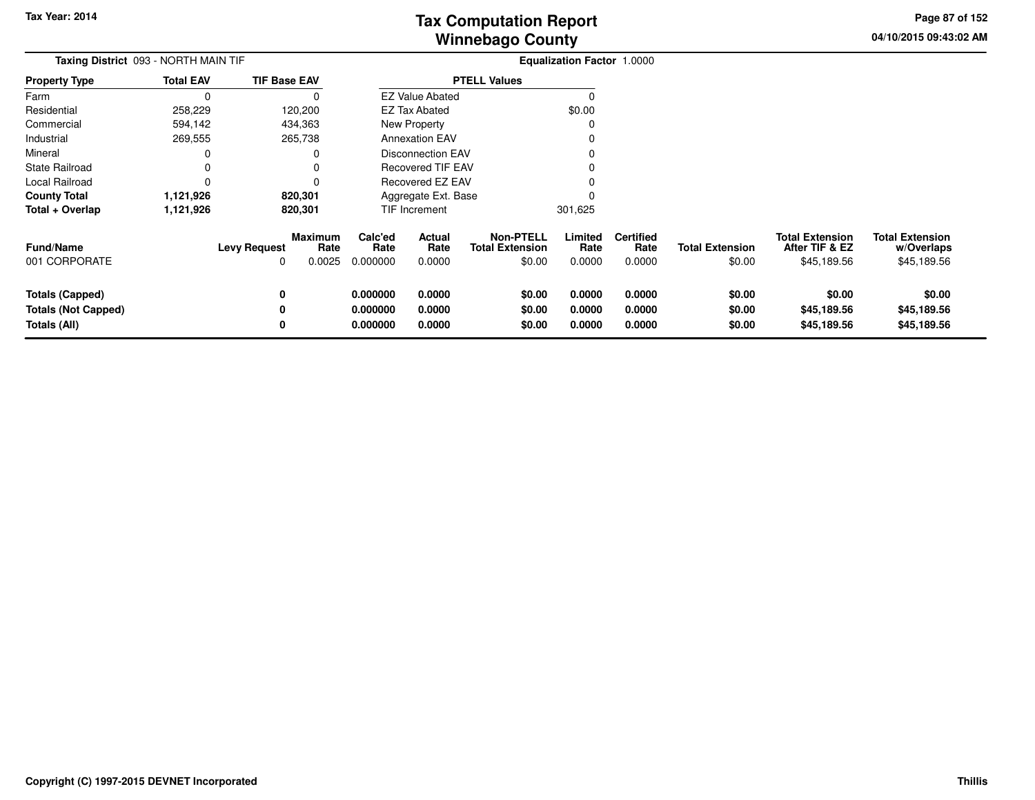**04/10/2015 09:43:02 AMPage 87 of 152**

| <b>Total EAV</b> | <b>TIF Base EAV</b> |                                           |                                              |                                                                 |                                                                                                                                                                                     |                          |                                             |                                          |                                                     |
|------------------|---------------------|-------------------------------------------|----------------------------------------------|-----------------------------------------------------------------|-------------------------------------------------------------------------------------------------------------------------------------------------------------------------------------|--------------------------|---------------------------------------------|------------------------------------------|-----------------------------------------------------|
| 0                |                     |                                           |                                              |                                                                 |                                                                                                                                                                                     |                          |                                             |                                          |                                                     |
| 258,229          | 120,200             |                                           |                                              |                                                                 | \$0.00                                                                                                                                                                              |                          |                                             |                                          |                                                     |
| 594,142          | 434,363             |                                           |                                              |                                                                 |                                                                                                                                                                                     |                          |                                             |                                          |                                                     |
| 269,555          | 265,738             |                                           |                                              |                                                                 |                                                                                                                                                                                     |                          |                                             |                                          |                                                     |
|                  |                     |                                           |                                              |                                                                 |                                                                                                                                                                                     |                          |                                             |                                          |                                                     |
|                  |                     |                                           |                                              |                                                                 |                                                                                                                                                                                     |                          |                                             |                                          |                                                     |
|                  |                     |                                           |                                              |                                                                 |                                                                                                                                                                                     |                          |                                             |                                          |                                                     |
| 1,121,926        | 820,301             |                                           |                                              |                                                                 |                                                                                                                                                                                     |                          |                                             |                                          |                                                     |
| 1,121,926        | 820,301             |                                           |                                              |                                                                 | 301,625                                                                                                                                                                             |                          |                                             |                                          |                                                     |
|                  | <b>Levy Request</b> | Calc'ed<br>Rate                           | Actual<br>Rate                               | <b>Non-PTELL</b><br><b>Total Extension</b>                      | Limited<br>Rate                                                                                                                                                                     | <b>Certified</b><br>Rate | <b>Total Extension</b>                      | <b>Total Extension</b><br>After TIF & EZ | <b>Total Extension</b><br>w/Overlaps<br>\$45,189.56 |
|                  |                     |                                           |                                              |                                                                 |                                                                                                                                                                                     |                          |                                             |                                          |                                                     |
|                  | 0                   | 0.000000                                  | 0.0000                                       | \$0.00                                                          | 0.0000                                                                                                                                                                              | 0.0000                   | \$0.00                                      | \$0.00                                   | \$0.00                                              |
|                  | 0                   | 0.000000                                  | 0.0000                                       | \$0.00                                                          | 0.0000                                                                                                                                                                              | 0.0000                   | \$0.00                                      | \$45,189.56                              | \$45,189.56                                         |
|                  | 0                   | 0.000000                                  | 0.0000                                       | \$0.00                                                          | 0.0000                                                                                                                                                                              | 0.0000                   | \$0.00                                      | \$45,189.56                              | \$45,189.56                                         |
|                  |                     | Taxing District 093 - NORTH MAIN TIF<br>0 | <b>Maximum</b><br>Rate<br>0.0025<br>0.000000 | <b>EZ Tax Abated</b><br>New Property<br>TIF Increment<br>0.0000 | <b>PTELL Values</b><br><b>EZ Value Abated</b><br><b>Annexation EAV</b><br><b>Disconnection EAV</b><br><b>Recovered TIF EAV</b><br>Recovered EZ EAV<br>Aggregate Ext. Base<br>\$0.00 | 0.0000                   | <b>Equalization Factor 1.0000</b><br>0.0000 | \$0.00                                   | \$45,189.56                                         |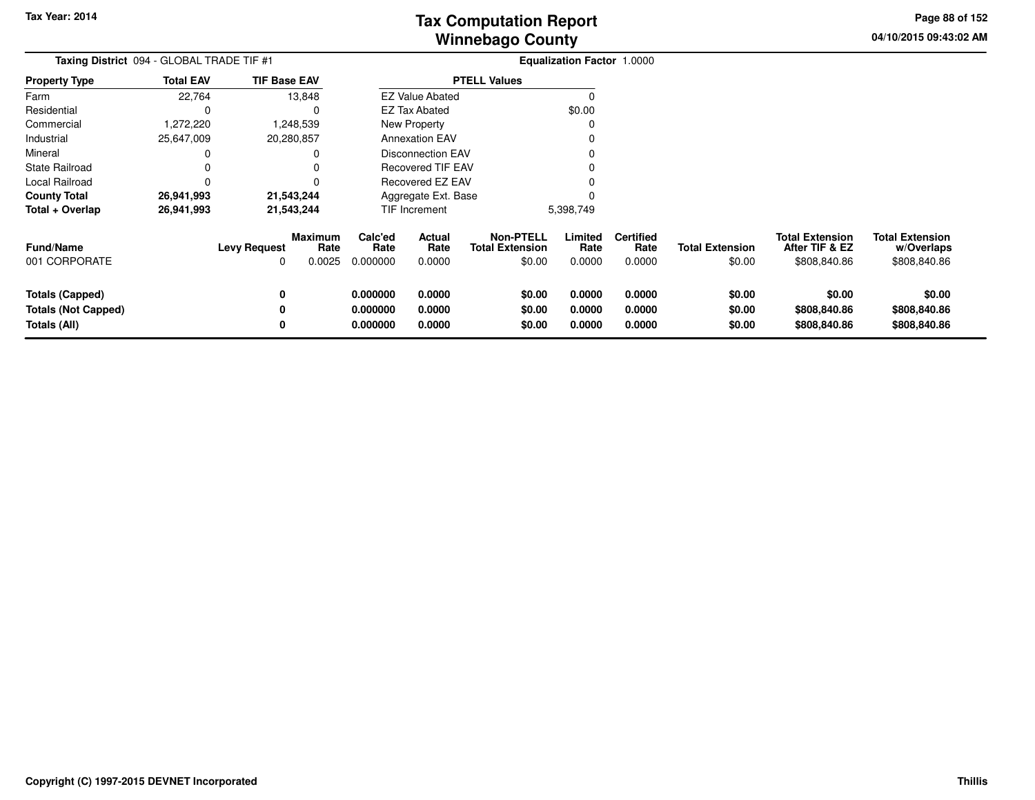**04/10/2015 09:43:02 AMPage 88 of 152**

| Taxing District 094 - GLOBAL TRADE TIF #1                            |                  |                          |                                  |                                  |                                 |                                                      | <b>Equalization Factor 1.0000</b> |                                    |                                  |                                                          |                                                      |
|----------------------------------------------------------------------|------------------|--------------------------|----------------------------------|----------------------------------|---------------------------------|------------------------------------------------------|-----------------------------------|------------------------------------|----------------------------------|----------------------------------------------------------|------------------------------------------------------|
| Property Type                                                        | <b>Total EAV</b> | <b>TIF Base EAV</b>      |                                  |                                  |                                 | <b>PTELL Values</b>                                  |                                   |                                    |                                  |                                                          |                                                      |
| Farm                                                                 | 22,764           |                          | 13,848                           |                                  | <b>EZ Value Abated</b>          |                                                      | $\Omega$                          |                                    |                                  |                                                          |                                                      |
| Residential                                                          | 0                |                          |                                  |                                  | <b>EZ Tax Abated</b>            |                                                      | \$0.00                            |                                    |                                  |                                                          |                                                      |
| Commercial                                                           | 1,272,220        |                          | 1,248,539                        |                                  | New Property                    |                                                      |                                   |                                    |                                  |                                                          |                                                      |
| Industrial                                                           | 25,647,009       |                          | 20,280,857                       |                                  | <b>Annexation EAV</b>           |                                                      |                                   |                                    |                                  |                                                          |                                                      |
| Mineral                                                              | 0                |                          |                                  |                                  | Disconnection EAV               |                                                      |                                   |                                    |                                  |                                                          |                                                      |
| State Railroad                                                       | 0                |                          |                                  |                                  | <b>Recovered TIF EAV</b>        |                                                      |                                   |                                    |                                  |                                                          |                                                      |
| Local Railroad                                                       | 0                |                          |                                  |                                  | Recovered EZ EAV                |                                                      |                                   |                                    |                                  |                                                          |                                                      |
| County Total                                                         | 26,941,993       |                          | 21,543,244                       |                                  | Aggregate Ext. Base             |                                                      |                                   |                                    |                                  |                                                          |                                                      |
| Total + Overlap                                                      | 26,941,993       | 21,543,244               |                                  | TIF Increment                    |                                 |                                                      | 5,398,749                         |                                    |                                  |                                                          |                                                      |
| Fund/Name<br>001 CORPORATE                                           |                  | <b>Levy Request</b><br>0 | <b>Maximum</b><br>Rate<br>0.0025 | Calc'ed<br>Rate<br>0.000000      | <b>Actual</b><br>Rate<br>0.0000 | <b>Non-PTELL</b><br><b>Total Extension</b><br>\$0.00 | Limited<br>Rate<br>0.0000         | <b>Certified</b><br>Rate<br>0.0000 | <b>Total Extension</b><br>\$0.00 | <b>Total Extension</b><br>After TIF & EZ<br>\$808,840.86 | <b>Total Extension</b><br>w/Overlaps<br>\$808,840.86 |
| <b>Totals (Capped)</b><br><b>Totals (Not Capped)</b><br>Totals (All) |                  | 0<br>0<br>0              |                                  | 0.000000<br>0.000000<br>0.000000 | 0.0000<br>0.0000<br>0.0000      | \$0.00<br>\$0.00<br>\$0.00                           | 0.0000<br>0.0000<br>0.0000        | 0.0000<br>0.0000<br>0.0000         | \$0.00<br>\$0.00<br>\$0.00       | \$0.00<br>\$808,840.86<br>\$808,840.86                   | \$0.00<br>\$808,840.86<br>\$808,840.86               |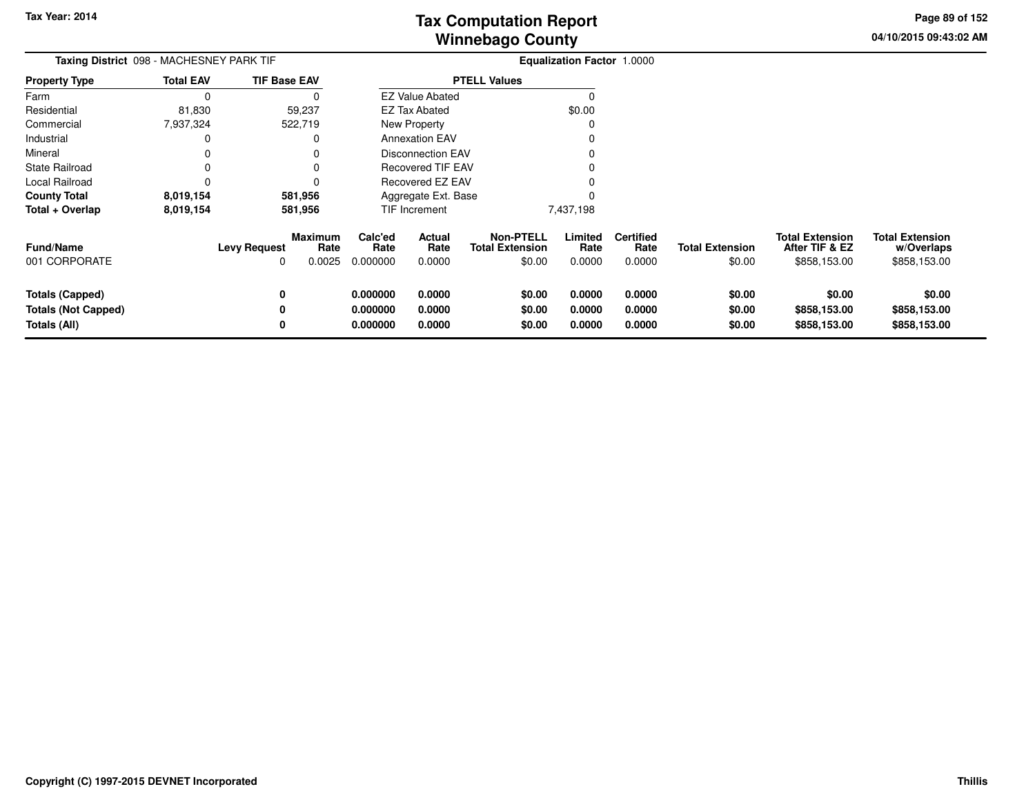**04/10/2015 09:43:02 AM Page 89 of 152**

| Taxing District 098 - MACHESNEY PARK TIF                             |                  |                                                         | Equalization Factor 1.0000       |                            |                                                      |                            |                                    |                                  |                                                          |                                                      |
|----------------------------------------------------------------------|------------------|---------------------------------------------------------|----------------------------------|----------------------------|------------------------------------------------------|----------------------------|------------------------------------|----------------------------------|----------------------------------------------------------|------------------------------------------------------|
| <b>Property Type</b>                                                 | <b>Total EAV</b> | <b>TIF Base EAV</b>                                     |                                  |                            | <b>PTELL Values</b>                                  |                            |                                    |                                  |                                                          |                                                      |
| Farm                                                                 | $\Omega$         | 0                                                       |                                  | <b>EZ Value Abated</b>     |                                                      | $\Omega$                   |                                    |                                  |                                                          |                                                      |
| Residential                                                          | 81,830           | 59,237                                                  |                                  | <b>EZ Tax Abated</b>       |                                                      | \$0.00                     |                                    |                                  |                                                          |                                                      |
| Commercial                                                           | 7,937,324        | 522,719                                                 |                                  | New Property               |                                                      | -C                         |                                    |                                  |                                                          |                                                      |
| Industrial                                                           | 0                | 0                                                       |                                  | <b>Annexation EAV</b>      |                                                      |                            |                                    |                                  |                                                          |                                                      |
| Mineral                                                              | 0                | 0                                                       |                                  | <b>Disconnection EAV</b>   |                                                      |                            |                                    |                                  |                                                          |                                                      |
| <b>State Railroad</b>                                                |                  |                                                         |                                  | <b>Recovered TIF EAV</b>   |                                                      |                            |                                    |                                  |                                                          |                                                      |
| Local Railroad                                                       | 0                | 0                                                       |                                  | Recovered EZ EAV           |                                                      |                            |                                    |                                  |                                                          |                                                      |
| <b>County Total</b>                                                  | 8,019,154        | 581,956                                                 |                                  | Aggregate Ext. Base        |                                                      |                            |                                    |                                  |                                                          |                                                      |
| Total + Overlap                                                      | 8,019,154        | 581,956                                                 |                                  | TIF Increment              |                                                      | 7,437,198                  |                                    |                                  |                                                          |                                                      |
| <b>Fund/Name</b><br>001 CORPORATE                                    |                  | <b>Maximum</b><br><b>Levy Request</b><br>Rate<br>0.0025 | Calc'ed<br>Rate<br>0.000000      | Actual<br>Rate<br>0.0000   | <b>Non-PTELL</b><br><b>Total Extension</b><br>\$0.00 | Limited<br>Rate<br>0.0000  | <b>Certified</b><br>Rate<br>0.0000 | <b>Total Extension</b><br>\$0.00 | <b>Total Extension</b><br>After TIF & EZ<br>\$858,153.00 | <b>Total Extension</b><br>w/Overlaps<br>\$858,153.00 |
| <b>Totals (Capped)</b><br><b>Totals (Not Capped)</b><br>Totals (All) |                  | 0<br>0                                                  | 0.000000<br>0.000000<br>0.000000 | 0.0000<br>0.0000<br>0.0000 | \$0.00<br>\$0.00<br>\$0.00                           | 0.0000<br>0.0000<br>0.0000 | 0.0000<br>0.0000<br>0.0000         | \$0.00<br>\$0.00<br>\$0.00       | \$0.00<br>\$858,153.00<br>\$858,153.00                   | \$0.00<br>\$858,153.00<br>\$858,153.00               |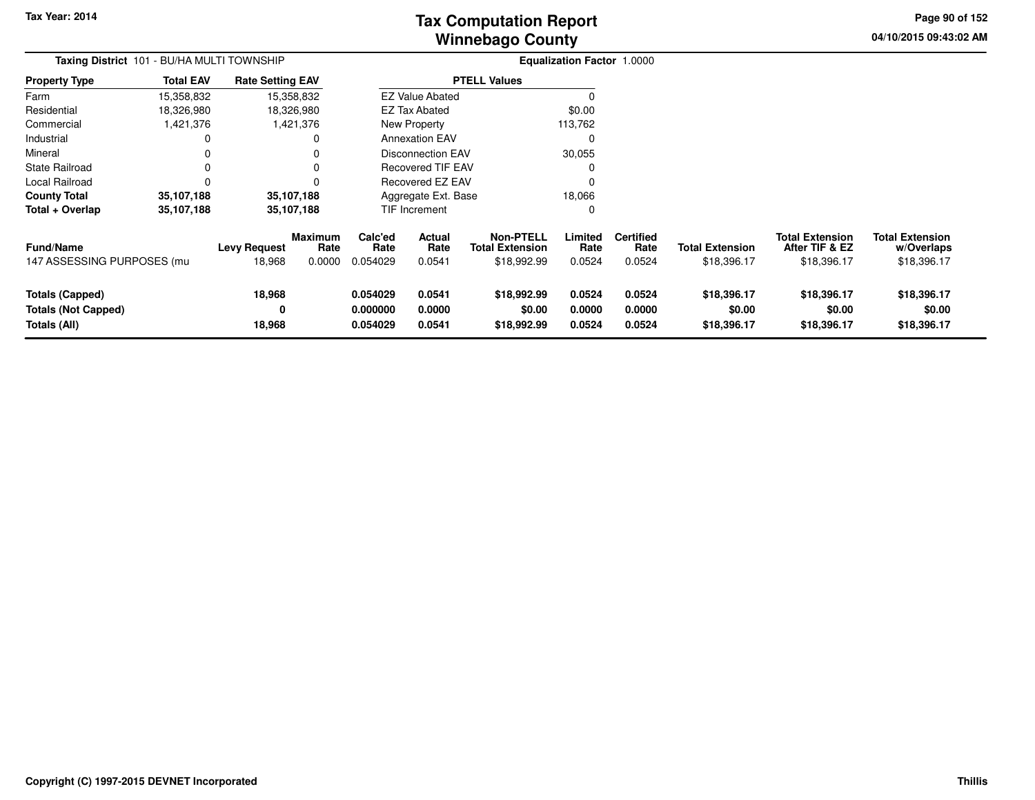# **Winnebago CountyTax Computation Report**

**04/10/2015 09:43:02 AM Page 90 of 152**

| Taxing District 101 - BU/HA MULTI TOWNSHIP                           |                  |                               |                                  | <b>Equalization Factor 1.0000</b> |                            |                                                           |                            |                                    |                                       |                                                         |                                                     |  |
|----------------------------------------------------------------------|------------------|-------------------------------|----------------------------------|-----------------------------------|----------------------------|-----------------------------------------------------------|----------------------------|------------------------------------|---------------------------------------|---------------------------------------------------------|-----------------------------------------------------|--|
| <b>Property Type</b>                                                 | <b>Total EAV</b> | <b>Rate Setting EAV</b>       |                                  |                                   |                            | <b>PTELL Values</b>                                       |                            |                                    |                                       |                                                         |                                                     |  |
| Farm                                                                 | 15,358,832       |                               | 15,358,832                       |                                   | <b>EZ Value Abated</b>     |                                                           |                            |                                    |                                       |                                                         |                                                     |  |
| Residential                                                          | 18,326,980       |                               | 18,326,980                       |                                   | <b>EZ Tax Abated</b>       |                                                           | \$0.00                     |                                    |                                       |                                                         |                                                     |  |
| Commercial                                                           | 1,421,376        |                               | 1,421,376                        |                                   | New Property               |                                                           | 113,762                    |                                    |                                       |                                                         |                                                     |  |
| Industrial                                                           | 0                |                               | 0                                |                                   | <b>Annexation EAV</b>      |                                                           | 0                          |                                    |                                       |                                                         |                                                     |  |
| Mineral                                                              |                  |                               | 0                                |                                   | <b>Disconnection EAV</b>   |                                                           | 30,055                     |                                    |                                       |                                                         |                                                     |  |
| <b>State Railroad</b>                                                | 0                |                               | 0                                |                                   | <b>Recovered TIF EAV</b>   |                                                           |                            |                                    |                                       |                                                         |                                                     |  |
| Local Railroad                                                       |                  |                               | 0                                |                                   | <b>Recovered EZ EAV</b>    |                                                           |                            |                                    |                                       |                                                         |                                                     |  |
| <b>County Total</b>                                                  | 35,107,188       |                               | 35,107,188                       | 18,066<br>Aggregate Ext. Base     |                            |                                                           |                            |                                    |                                       |                                                         |                                                     |  |
| Total + Overlap                                                      | 35,107,188       |                               | 35,107,188                       |                                   | TIF Increment<br>0         |                                                           |                            |                                    |                                       |                                                         |                                                     |  |
| <b>Fund/Name</b><br>147 ASSESSING PURPOSES (mu                       |                  | <b>Levy Request</b><br>18,968 | <b>Maximum</b><br>Rate<br>0.0000 | Calc'ed<br>Rate<br>0.054029       | Actual<br>Rate<br>0.0541   | <b>Non-PTELL</b><br><b>Total Extension</b><br>\$18,992.99 | Limited<br>Rate<br>0.0524  | <b>Certified</b><br>Rate<br>0.0524 | <b>Total Extension</b><br>\$18,396.17 | <b>Total Extension</b><br>After TIF & EZ<br>\$18,396.17 | <b>Total Extension</b><br>w/Overlaps<br>\$18,396.17 |  |
| <b>Totals (Capped)</b><br><b>Totals (Not Capped)</b><br>Totals (All) |                  | 18,968<br>0<br>18,968         |                                  | 0.054029<br>0.000000<br>0.054029  | 0.0541<br>0.0000<br>0.0541 | \$18,992.99<br>\$0.00<br>\$18,992.99                      | 0.0524<br>0.0000<br>0.0524 | 0.0524<br>0.0000<br>0.0524         | \$18,396.17<br>\$0.00<br>\$18,396.17  | \$18,396.17<br>\$0.00<br>\$18,396.17                    | \$18,396.17<br>\$0.00<br>\$18,396.17                |  |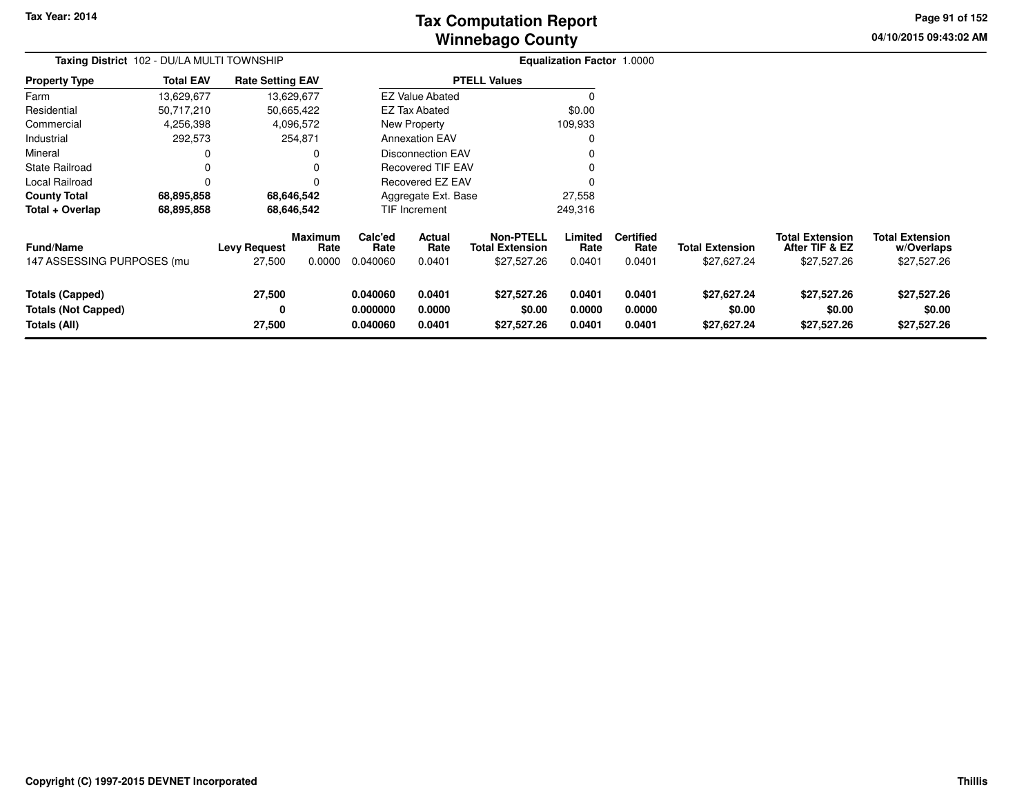# **Winnebago CountyTax Computation Report**

**04/10/2015 09:43:02 AM Page 91 of 152**

| Taxing District 102 - DU/LA MULTI TOWNSHIP                           |                  |                               | Equalization Factor 1.0000       |                                  |                            |                                                           |                            |                                    |                                       |                                                         |                                                     |
|----------------------------------------------------------------------|------------------|-------------------------------|----------------------------------|----------------------------------|----------------------------|-----------------------------------------------------------|----------------------------|------------------------------------|---------------------------------------|---------------------------------------------------------|-----------------------------------------------------|
| <b>Property Type</b>                                                 | <b>Total EAV</b> | <b>Rate Setting EAV</b>       |                                  |                                  |                            | <b>PTELL Values</b>                                       |                            |                                    |                                       |                                                         |                                                     |
| Farm                                                                 | 13,629,677       |                               | 13,629,677                       |                                  | <b>EZ Value Abated</b>     |                                                           |                            |                                    |                                       |                                                         |                                                     |
| Residential                                                          | 50,717,210       |                               | 50,665,422                       |                                  | <b>EZ Tax Abated</b>       |                                                           | \$0.00                     |                                    |                                       |                                                         |                                                     |
| Commercial                                                           | 4,256,398        |                               | 4,096,572                        |                                  | New Property               |                                                           | 109,933                    |                                    |                                       |                                                         |                                                     |
| Industrial                                                           | 292,573          |                               | 254,871                          |                                  | <b>Annexation EAV</b>      |                                                           |                            |                                    |                                       |                                                         |                                                     |
| Mineral                                                              |                  |                               |                                  |                                  | <b>Disconnection EAV</b>   |                                                           |                            |                                    |                                       |                                                         |                                                     |
| <b>State Railroad</b>                                                | 0                |                               |                                  |                                  | Recovered TIF EAV          |                                                           |                            |                                    |                                       |                                                         |                                                     |
| Local Railroad                                                       |                  |                               |                                  |                                  | Recovered EZ EAV           |                                                           |                            |                                    |                                       |                                                         |                                                     |
| <b>County Total</b>                                                  | 68,895,858       |                               | 68,646,542                       |                                  | Aggregate Ext. Base        |                                                           | 27,558                     |                                    |                                       |                                                         |                                                     |
| Total + Overlap                                                      | 68,895,858       |                               | 68,646,542                       |                                  | TIF Increment              |                                                           | 249,316                    |                                    |                                       |                                                         |                                                     |
| Fund/Name<br>147 ASSESSING PURPOSES (mu                              |                  | <b>Levy Request</b><br>27,500 | <b>Maximum</b><br>Rate<br>0.0000 | Calc'ed<br>Rate<br>0.040060      | Actual<br>Rate<br>0.0401   | <b>Non-PTELL</b><br><b>Total Extension</b><br>\$27,527.26 | Limited<br>Rate<br>0.0401  | <b>Certified</b><br>Rate<br>0.0401 | <b>Total Extension</b><br>\$27,627.24 | <b>Total Extension</b><br>After TIF & EZ<br>\$27,527.26 | <b>Total Extension</b><br>w/Overlaps<br>\$27,527.26 |
| <b>Totals (Capped)</b><br><b>Totals (Not Capped)</b><br>Totals (All) |                  | 27,500<br>0<br>27,500         |                                  | 0.040060<br>0.000000<br>0.040060 | 0.0401<br>0.0000<br>0.0401 | \$27,527.26<br>\$0.00<br>\$27,527.26                      | 0.0401<br>0.0000<br>0.0401 | 0.0401<br>0.0000<br>0.0401         | \$27,627.24<br>\$0.00<br>\$27,627.24  | \$27,527.26<br>\$0.00<br>\$27,527.26                    | \$27,527.26<br>\$0.00<br>\$27,527.26                |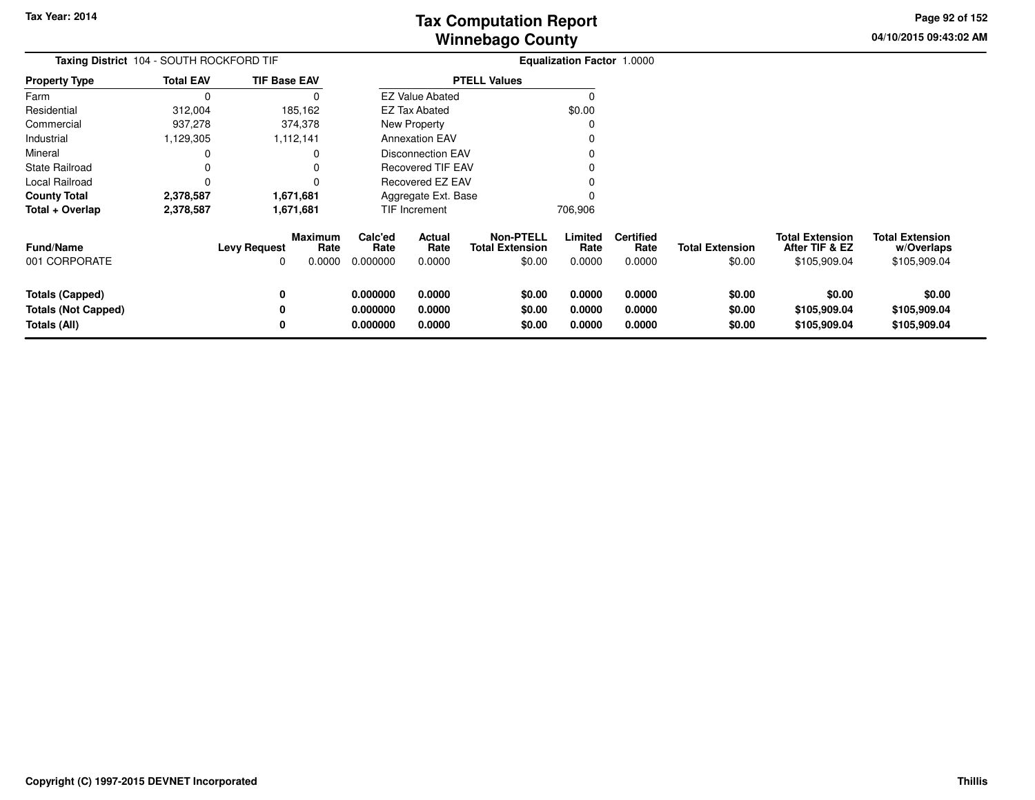**04/10/2015 09:43:02 AMPage 92 of 152**

> **w/Overlaps**\$105,909.04

| Taxing District 104 - SOUTH ROCKFORD TIF |                  |                     |                 |                 |                          |                                            | <b>Equalization Factor 1.0000</b> |                          |                        |                                          |                                      |  |
|------------------------------------------|------------------|---------------------|-----------------|-----------------|--------------------------|--------------------------------------------|-----------------------------------|--------------------------|------------------------|------------------------------------------|--------------------------------------|--|
| <b>Property Type</b>                     | <b>Total EAV</b> | <b>TIF Base EAV</b> |                 |                 |                          | <b>PTELL Values</b>                        |                                   |                          |                        |                                          |                                      |  |
| Farm                                     |                  |                     |                 |                 | <b>EZ Value Abated</b>   |                                            |                                   |                          |                        |                                          |                                      |  |
| Residential                              | 312,004          |                     | 185,162         |                 | <b>EZ Tax Abated</b>     |                                            | \$0.00                            |                          |                        |                                          |                                      |  |
| Commercial                               | 937,278          |                     | 374,378         |                 | New Property             |                                            |                                   |                          |                        |                                          |                                      |  |
| Industrial                               | 1,129,305        |                     | 1,112,141       |                 | <b>Annexation EAV</b>    |                                            |                                   |                          |                        |                                          |                                      |  |
| Mineral                                  |                  |                     |                 |                 | <b>Disconnection EAV</b> |                                            |                                   |                          |                        |                                          |                                      |  |
| <b>State Railroad</b>                    |                  |                     |                 |                 | Recovered TIF EAV        |                                            |                                   |                          |                        |                                          |                                      |  |
| Local Railroad                           |                  |                     |                 |                 | Recovered EZ EAV         |                                            |                                   |                          |                        |                                          |                                      |  |
| <b>County Total</b>                      | 2,378,587        |                     | 1,671,681       |                 | Aggregate Ext. Base      |                                            |                                   |                          |                        |                                          |                                      |  |
| Total + Overlap                          | 2,378,587        |                     | 1,671,681       |                 | TIF Increment            |                                            | 706,906                           |                          |                        |                                          |                                      |  |
| <b>Fund/Name</b>                         |                  | <b>Levy Request</b> | Maximum<br>Rate | Calc'ed<br>Rate | Actual<br>Rate           | <b>Non-PTELL</b><br><b>Total Extension</b> | Limited<br>Rate                   | <b>Certified</b><br>Rate | <b>Total Extension</b> | <b>Total Extension</b><br>After TIF & EZ | <b>Total Extension</b><br>w/Overlaps |  |
| 001 CORPORATE                            |                  | 0                   | 0.0000          | 0.000000        | 0.0000                   | \$0.00                                     | 0.0000                            | 0.0000                   | \$0.00                 | \$105,909.04                             | \$105,909.04                         |  |
| Totals (Capped)                          |                  | 0                   |                 | 0.000000        | 0.0000                   | \$0.00                                     | 0.0000                            | 0.0000                   | \$0.00                 | \$0.00                                   | \$0.00                               |  |
| <b>Totals (Not Capped)</b>               |                  |                     |                 | 0.000000        | 0.0000                   | \$0.00                                     | 0.0000                            | 0.0000                   | \$0.00                 | \$105,909.04                             | \$105,909.04                         |  |
| Totals (All)                             |                  |                     |                 | 0.000000        | 0.0000                   | \$0.00                                     | 0.0000                            | 0.0000                   | \$0.00                 | \$105,909.04                             | \$105,909.04                         |  |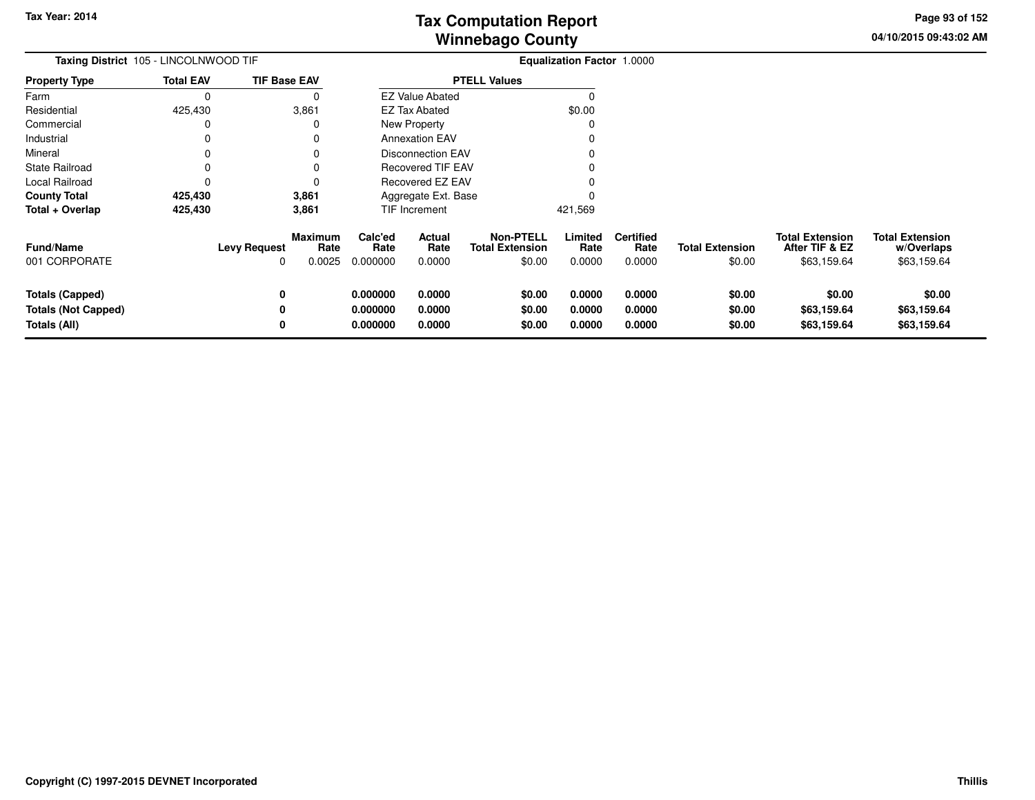**04/10/2015 09:43:02 AMPage 93 of 152**

| Taxing District 105 - LINCOLNWOOD TIF                         |                  |                          |                           |                                  |                            |                                                      | <b>Equalization Factor 1.0000</b> |                                    |                                  |                                                         |                                                     |
|---------------------------------------------------------------|------------------|--------------------------|---------------------------|----------------------------------|----------------------------|------------------------------------------------------|-----------------------------------|------------------------------------|----------------------------------|---------------------------------------------------------|-----------------------------------------------------|
| <b>Property Type</b>                                          | <b>Total EAV</b> | <b>TIF Base EAV</b>      |                           |                                  |                            | <b>PTELL Values</b>                                  |                                   |                                    |                                  |                                                         |                                                     |
| Farm                                                          | 0                |                          | O                         |                                  | <b>EZ Value Abated</b>     |                                                      | O                                 |                                    |                                  |                                                         |                                                     |
| Residential                                                   | 425,430          |                          | 3,861                     |                                  | <b>EZ Tax Abated</b>       |                                                      | \$0.00                            |                                    |                                  |                                                         |                                                     |
| Commercial                                                    | 0                |                          |                           |                                  | New Property               |                                                      |                                   |                                    |                                  |                                                         |                                                     |
| Industrial                                                    | 0                |                          |                           |                                  | <b>Annexation EAV</b>      |                                                      |                                   |                                    |                                  |                                                         |                                                     |
| Mineral                                                       | 0                |                          |                           |                                  | <b>Disconnection EAV</b>   |                                                      |                                   |                                    |                                  |                                                         |                                                     |
| State Railroad                                                | 0                |                          |                           |                                  | <b>Recovered TIF EAV</b>   |                                                      |                                   |                                    |                                  |                                                         |                                                     |
| Local Railroad                                                | 0                |                          |                           |                                  | Recovered EZ EAV           |                                                      |                                   |                                    |                                  |                                                         |                                                     |
| <b>County Total</b>                                           | 425,430          |                          | 3,861                     |                                  | Aggregate Ext. Base        |                                                      |                                   |                                    |                                  |                                                         |                                                     |
| Total + Overlap                                               | 425,430          |                          | 3,861                     |                                  | <b>TIF Increment</b>       |                                                      | 421,569                           |                                    |                                  |                                                         |                                                     |
| <b>Fund/Name</b><br>001 CORPORATE                             |                  | <b>Levy Request</b><br>0 | Maximum<br>Rate<br>0.0025 | Calc'ed<br>Rate<br>0.000000      | Actual<br>Rate<br>0.0000   | <b>Non-PTELL</b><br><b>Total Extension</b><br>\$0.00 | Limited<br>Rate<br>0.0000         | <b>Certified</b><br>Rate<br>0.0000 | <b>Total Extension</b><br>\$0.00 | <b>Total Extension</b><br>After TIF & EZ<br>\$63,159.64 | <b>Total Extension</b><br>w/Overlaps<br>\$63,159.64 |
| Totals (Capped)<br><b>Totals (Not Capped)</b><br>Totals (All) |                  | 0<br>0<br>0              |                           | 0.000000<br>0.000000<br>0.000000 | 0.0000<br>0.0000<br>0.0000 | \$0.00<br>\$0.00<br>\$0.00                           | 0.0000<br>0.0000<br>0.0000        | 0.0000<br>0.0000<br>0.0000         | \$0.00<br>\$0.00<br>\$0.00       | \$0.00<br>\$63,159.64<br>\$63,159.64                    | \$0.00<br>\$63,159.64<br>\$63,159.64                |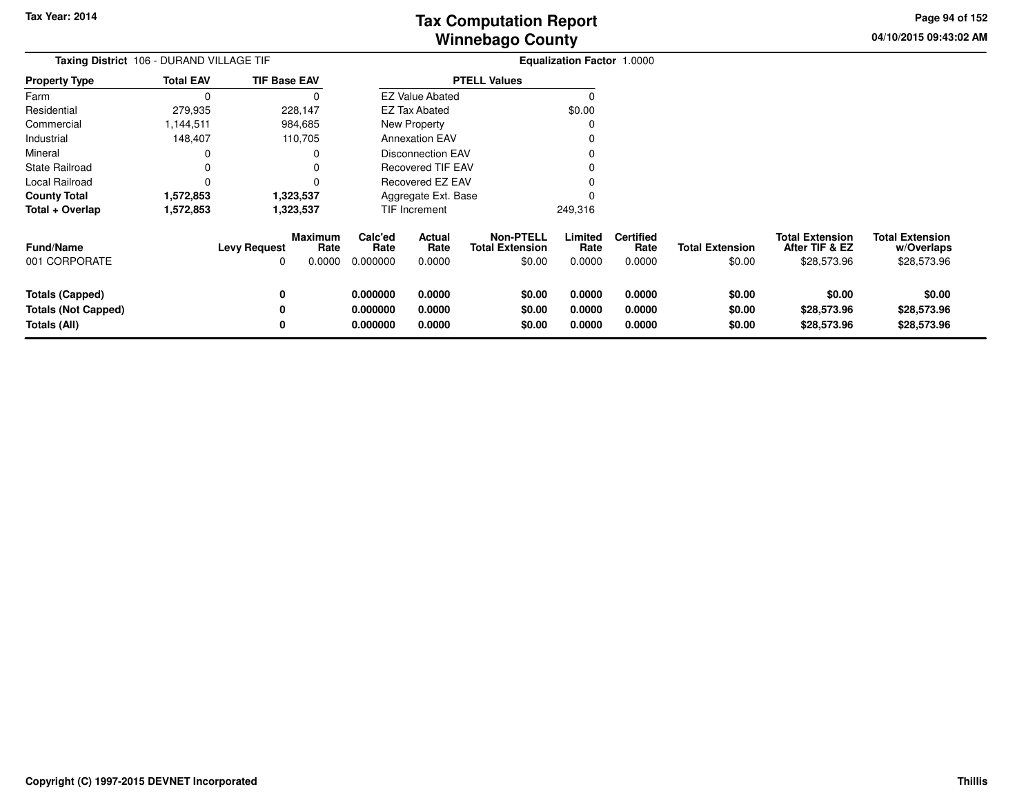**04/10/2015 09:43:02 AMPage 94 of 152**

|                                                                      | Taxing District 106 - DURAND VILLAGE TIF |                          |                                  |                                  | Equalization Factor 1.0000 |                                                      |                            |                                    |                                  |                                                         |                                                     |
|----------------------------------------------------------------------|------------------------------------------|--------------------------|----------------------------------|----------------------------------|----------------------------|------------------------------------------------------|----------------------------|------------------------------------|----------------------------------|---------------------------------------------------------|-----------------------------------------------------|
| <b>Property Type</b>                                                 | <b>Total EAV</b>                         | <b>TIF Base EAV</b>      |                                  |                                  |                            | <b>PTELL Values</b>                                  |                            |                                    |                                  |                                                         |                                                     |
| Farm                                                                 | $\Omega$                                 |                          | $\Omega$                         |                                  | <b>EZ Value Abated</b>     |                                                      | $\Omega$                   |                                    |                                  |                                                         |                                                     |
| Residential                                                          | 279,935                                  |                          | 228,147                          |                                  | EZ Tax Abated              |                                                      | \$0.00                     |                                    |                                  |                                                         |                                                     |
| Commercial                                                           | 1,144,511                                |                          | 984,685                          |                                  | <b>New Property</b>        |                                                      | 0                          |                                    |                                  |                                                         |                                                     |
| Industrial                                                           | 148,407                                  |                          | 110,705                          |                                  | <b>Annexation EAV</b>      |                                                      | 0                          |                                    |                                  |                                                         |                                                     |
| Mineral                                                              | 0                                        |                          | 0                                |                                  | <b>Disconnection EAV</b>   |                                                      |                            |                                    |                                  |                                                         |                                                     |
| <b>State Railroad</b>                                                | 0                                        |                          | 0                                |                                  | <b>Recovered TIF EAV</b>   |                                                      |                            |                                    |                                  |                                                         |                                                     |
| Local Railroad                                                       | $\Omega$                                 |                          | 0                                |                                  | Recovered EZ EAV           |                                                      |                            |                                    |                                  |                                                         |                                                     |
| <b>County Total</b>                                                  | 1,572,853                                |                          | 1,323,537                        |                                  | Aggregate Ext. Base        |                                                      |                            |                                    |                                  |                                                         |                                                     |
| Total + Overlap                                                      | 1,572,853                                |                          | 1,323,537                        |                                  | TIF Increment              |                                                      | 249,316                    |                                    |                                  |                                                         |                                                     |
| <b>Fund/Name</b><br>001 CORPORATE                                    |                                          | <b>Levy Request</b><br>0 | <b>Maximum</b><br>Rate<br>0.0000 | Calc'ed<br>Rate<br>0.000000      | Actual<br>Rate<br>0.0000   | <b>Non-PTELL</b><br><b>Total Extension</b><br>\$0.00 | Limited<br>Rate<br>0.0000  | <b>Certified</b><br>Rate<br>0.0000 | <b>Total Extension</b><br>\$0.00 | <b>Total Extension</b><br>After TIF & EZ<br>\$28,573.96 | <b>Total Extension</b><br>w/Overlaps<br>\$28,573.96 |
| <b>Totals (Capped)</b><br><b>Totals (Not Capped)</b><br>Totals (All) |                                          | 0<br>0<br>0              |                                  | 0.000000<br>0.000000<br>0.000000 | 0.0000<br>0.0000<br>0.0000 | \$0.00<br>\$0.00<br>\$0.00                           | 0.0000<br>0.0000<br>0.0000 | 0.0000<br>0.0000<br>0.0000         | \$0.00<br>\$0.00<br>\$0.00       | \$0.00<br>\$28,573.96<br>\$28,573.96                    | \$0.00<br>\$28,573.96<br>\$28,573.96                |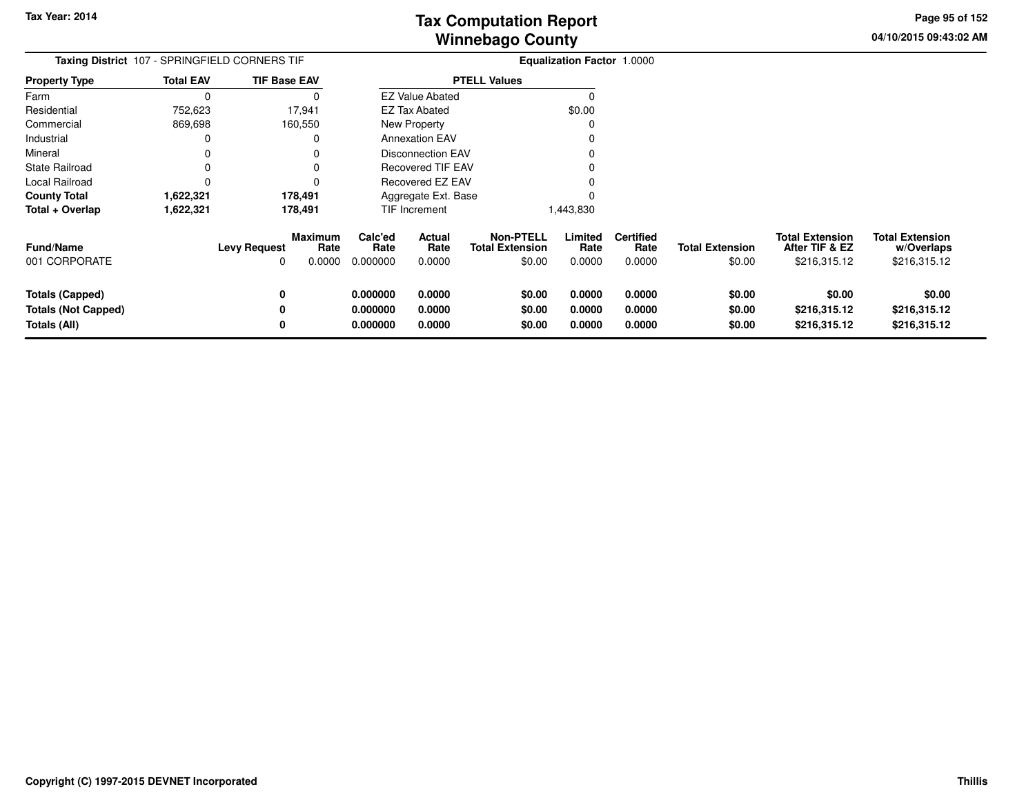**04/10/2015 09:43:02 AMPage 95 of 152**

|                                                                      |                  | Taxing District 107 - SPRINGFIELD CORNERS TIF           |                                  |                            |                                                      | Equalization Factor 1.0000 |                                    |                                  |                                                          |                                                      |
|----------------------------------------------------------------------|------------------|---------------------------------------------------------|----------------------------------|----------------------------|------------------------------------------------------|----------------------------|------------------------------------|----------------------------------|----------------------------------------------------------|------------------------------------------------------|
| <b>Property Type</b>                                                 | <b>Total EAV</b> | <b>TIF Base EAV</b>                                     |                                  |                            | <b>PTELL Values</b>                                  |                            |                                    |                                  |                                                          |                                                      |
| Farm                                                                 | 0                | 0                                                       |                                  | <b>EZ Value Abated</b>     |                                                      |                            |                                    |                                  |                                                          |                                                      |
| Residential                                                          | 752,623          | 17,941                                                  |                                  | EZ Tax Abated              |                                                      | \$0.00                     |                                    |                                  |                                                          |                                                      |
| Commercial                                                           | 869,698          | 160,550                                                 |                                  | New Property               |                                                      | 0                          |                                    |                                  |                                                          |                                                      |
| Industrial                                                           | 0                | 0                                                       |                                  | <b>Annexation EAV</b>      |                                                      |                            |                                    |                                  |                                                          |                                                      |
| Mineral                                                              | 0                |                                                         |                                  | <b>Disconnection EAV</b>   |                                                      |                            |                                    |                                  |                                                          |                                                      |
| <b>State Railroad</b>                                                |                  | 0                                                       |                                  | <b>Recovered TIF EAV</b>   |                                                      |                            |                                    |                                  |                                                          |                                                      |
| Local Railroad                                                       | 0                | 0                                                       |                                  | <b>Recovered EZ EAV</b>    |                                                      |                            |                                    |                                  |                                                          |                                                      |
| <b>County Total</b>                                                  | 1,622,321        | 178,491                                                 |                                  | Aggregate Ext. Base        |                                                      |                            |                                    |                                  |                                                          |                                                      |
| Total + Overlap                                                      | 1,622,321        | 178,491                                                 |                                  | TIF Increment              |                                                      | 1,443,830                  |                                    |                                  |                                                          |                                                      |
| <b>Fund/Name</b><br>001 CORPORATE                                    |                  | <b>Maximum</b><br><b>Levy Request</b><br>Rate<br>0.0000 | Calc'ed<br>Rate<br>0.000000      | Actual<br>Rate<br>0.0000   | <b>Non-PTELL</b><br><b>Total Extension</b><br>\$0.00 | Limited<br>Rate<br>0.0000  | <b>Certified</b><br>Rate<br>0.0000 | <b>Total Extension</b><br>\$0.00 | <b>Total Extension</b><br>After TIF & EZ<br>\$216,315.12 | <b>Total Extension</b><br>w/Overlaps<br>\$216,315.12 |
| <b>Totals (Capped)</b><br><b>Totals (Not Capped)</b><br>Totals (All) |                  | 0<br>0<br>0                                             | 0.000000<br>0.000000<br>0.000000 | 0.0000<br>0.0000<br>0.0000 | \$0.00<br>\$0.00<br>\$0.00                           | 0.0000<br>0.0000<br>0.0000 | 0.0000<br>0.0000<br>0.0000         | \$0.00<br>\$0.00<br>\$0.00       | \$0.00<br>\$216,315.12<br>\$216,315.12                   | \$0.00<br>\$216,315.12<br>\$216,315.12               |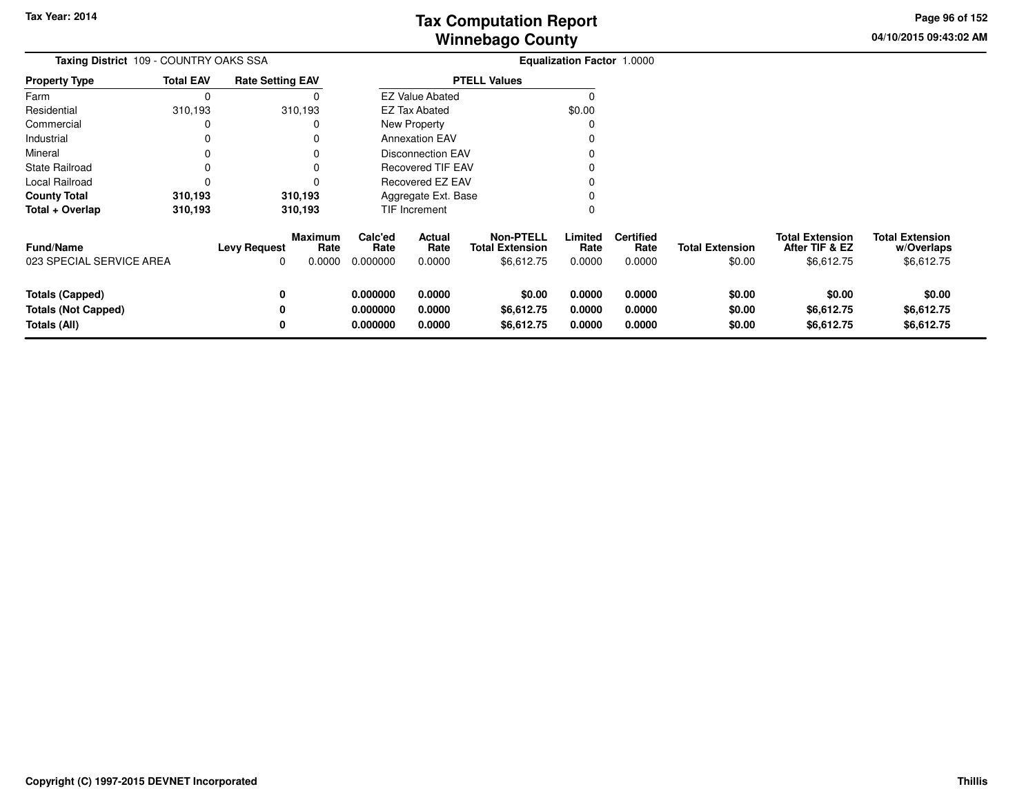**04/10/2015 09:43:02 AM Page 96 of 152**

| Taxing District 109 - COUNTRY OAKS SSA                               |                  |                                                         |                                  |                            |                                                          | <b>Equalization Factor 1.0000</b> |                                    |                                  |                                                        |                                                    |
|----------------------------------------------------------------------|------------------|---------------------------------------------------------|----------------------------------|----------------------------|----------------------------------------------------------|-----------------------------------|------------------------------------|----------------------------------|--------------------------------------------------------|----------------------------------------------------|
| <b>Property Type</b>                                                 | <b>Total EAV</b> | <b>Rate Setting EAV</b>                                 |                                  |                            | <b>PTELL Values</b>                                      |                                   |                                    |                                  |                                                        |                                                    |
| Farm                                                                 | 0                |                                                         |                                  | <b>EZ Value Abated</b>     |                                                          | 0                                 |                                    |                                  |                                                        |                                                    |
| Residential                                                          | 310,193          | 310,193                                                 |                                  | EZ Tax Abated              |                                                          | \$0.00                            |                                    |                                  |                                                        |                                                    |
| Commercial                                                           | 0                |                                                         |                                  | <b>New Property</b>        |                                                          |                                   |                                    |                                  |                                                        |                                                    |
| Industrial                                                           | 0                |                                                         |                                  | <b>Annexation EAV</b>      |                                                          |                                   |                                    |                                  |                                                        |                                                    |
| Mineral                                                              |                  |                                                         |                                  | <b>Disconnection EAV</b>   |                                                          |                                   |                                    |                                  |                                                        |                                                    |
| <b>State Railroad</b>                                                |                  |                                                         |                                  | <b>Recovered TIF EAV</b>   |                                                          |                                   |                                    |                                  |                                                        |                                                    |
| Local Railroad                                                       |                  |                                                         |                                  | Recovered EZ EAV           |                                                          |                                   |                                    |                                  |                                                        |                                                    |
| <b>County Total</b>                                                  | 310,193          | 310,193                                                 |                                  | Aggregate Ext. Base        |                                                          |                                   |                                    |                                  |                                                        |                                                    |
| Total + Overlap                                                      | 310,193          | 310,193                                                 |                                  | TIF Increment              |                                                          |                                   |                                    |                                  |                                                        |                                                    |
| <b>Fund/Name</b><br>023 SPECIAL SERVICE AREA                         |                  | <b>Maximum</b><br><b>Levy Request</b><br>Rate<br>0.0000 | Calc'ed<br>Rate<br>0.000000      | Actual<br>Rate<br>0.0000   | <b>Non-PTELL</b><br><b>Total Extension</b><br>\$6,612.75 | Limited<br>Rate<br>0.0000         | <b>Certified</b><br>Rate<br>0.0000 | <b>Total Extension</b><br>\$0.00 | <b>Total Extension</b><br>After TIF & EZ<br>\$6,612.75 | <b>Total Extension</b><br>w/Overlaps<br>\$6,612.75 |
| <b>Totals (Capped)</b><br><b>Totals (Not Capped)</b><br>Totals (All) |                  | 0<br>0                                                  | 0.000000<br>0.000000<br>0.000000 | 0.0000<br>0.0000<br>0.0000 | \$0.00<br>\$6,612.75<br>\$6,612.75                       | 0.0000<br>0.0000<br>0.0000        | 0.0000<br>0.0000<br>0.0000         | \$0.00<br>\$0.00<br>\$0.00       | \$0.00<br>\$6,612.75<br>\$6,612.75                     | \$0.00<br>\$6,612.75<br>\$6,612.75                 |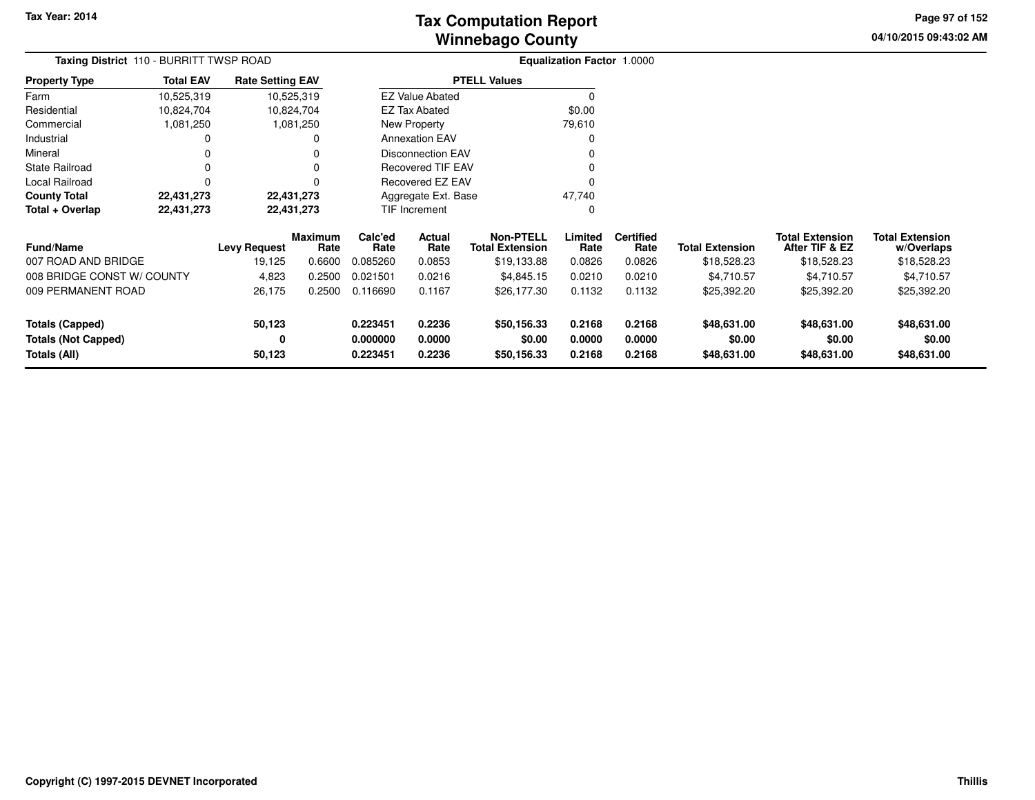**04/10/2015 09:43:02 AM Page 97 of 152**

| Taxing District 110 - BURRITT TWSP ROAD                             |                  |                         |                        | <b>Equalization Factor 1.0000</b> |                          |                                            |                  |                          |                        |                                          |                                      |
|---------------------------------------------------------------------|------------------|-------------------------|------------------------|-----------------------------------|--------------------------|--------------------------------------------|------------------|--------------------------|------------------------|------------------------------------------|--------------------------------------|
| <b>Property Type</b>                                                | <b>Total EAV</b> | <b>Rate Setting EAV</b> |                        |                                   |                          | <b>PTELL Values</b>                        |                  |                          |                        |                                          |                                      |
| Farm                                                                | 10,525,319       | 10,525,319              |                        |                                   | <b>EZ Value Abated</b>   |                                            |                  |                          |                        |                                          |                                      |
| Residential                                                         | 10,824,704       | 10,824,704              |                        |                                   | <b>EZ Tax Abated</b>     |                                            | \$0.00           |                          |                        |                                          |                                      |
| Commercial                                                          | 1,081,250        |                         | 1,081,250              |                                   | New Property             |                                            | 79,610           |                          |                        |                                          |                                      |
| Industrial                                                          |                  |                         | O                      |                                   | <b>Annexation EAV</b>    |                                            | 0                |                          |                        |                                          |                                      |
| Mineral                                                             |                  |                         |                        |                                   | <b>Disconnection EAV</b> |                                            |                  |                          |                        |                                          |                                      |
| <b>State Railroad</b>                                               |                  |                         |                        |                                   | <b>Recovered TIF EAV</b> |                                            |                  |                          |                        |                                          |                                      |
| Local Railroad                                                      | O                |                         |                        |                                   | Recovered EZ EAV         |                                            |                  |                          |                        |                                          |                                      |
| <b>County Total</b>                                                 | 22,431,273       | 22,431,273              |                        |                                   | Aggregate Ext. Base      |                                            | 47,740           |                          |                        |                                          |                                      |
| Total + Overlap                                                     | 22,431,273       | 22,431,273              |                        |                                   | TIF Increment            |                                            | 0                |                          |                        |                                          |                                      |
| <b>Fund/Name</b>                                                    |                  | <b>Levy Request</b>     | <b>Maximum</b><br>Rate | Calc'ed<br>Actual<br>Rate<br>Rate |                          | <b>Non-PTELL</b><br><b>Total Extension</b> | Limited<br>Rate  | <b>Certified</b><br>Rate | <b>Total Extension</b> | <b>Total Extension</b><br>After TIF & EZ | <b>Total Extension</b><br>w/Overlaps |
| 007 ROAD AND BRIDGE                                                 |                  | 19,125                  | 0.6600                 | 0.085260                          | 0.0853                   | \$19,133.88                                | 0.0826           | 0.0826                   | \$18,528.23            | \$18,528.23                              | \$18,528.23                          |
| 008 BRIDGE CONST W/ COUNTY                                          |                  | 4,823                   | 0.2500                 | 0.021501                          | 0.0216                   | \$4,845.15                                 | 0.0210           | 0.0210                   | \$4,710.57             | \$4,710.57                               | \$4,710.57                           |
| 009 PERMANENT ROAD                                                  |                  | 26,175                  | 0.2500                 | 0.116690<br>0.1167                |                          | \$26,177.30                                | 0.1132           | 0.1132                   | \$25,392.20            | \$25,392.20                              | \$25,392.20                          |
| 50,123<br><b>Totals (Capped)</b><br><b>Totals (Not Capped)</b><br>0 |                  |                         | 0.223451<br>0.000000   | 0.2236<br>0.0000                  | \$50,156.33<br>\$0.00    | 0.2168<br>0.0000                           | 0.2168<br>0.0000 | \$48,631.00<br>\$0.00    | \$48,631.00<br>\$0.00  | \$48,631.00<br>\$0.00                    |                                      |
| Totals (All)                                                        |                  | 50,123                  |                        | 0.223451                          | 0.2236                   | \$50,156.33                                | 0.2168           | 0.2168                   | \$48,631.00            | \$48,631.00                              | \$48,631.00                          |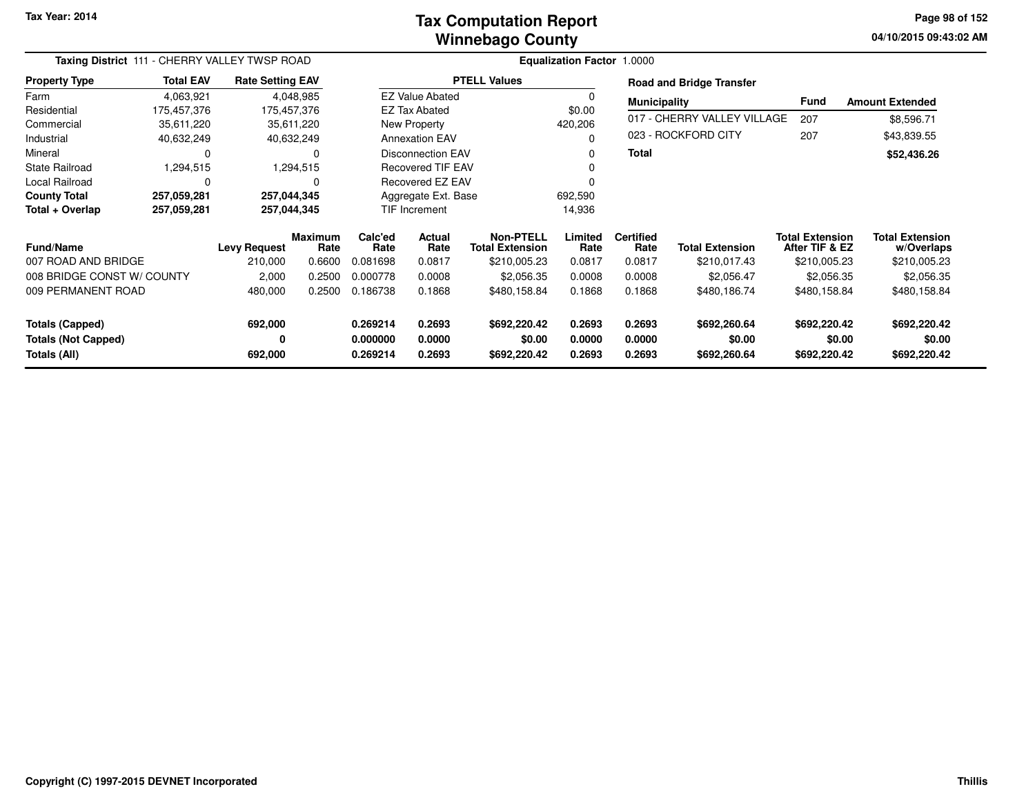#### **Winnebago CountyTax Computation Report**

**04/10/2015 09:43:02 AM Page 98 of 152**

|                                                                      | Taxing District 111 - CHERRY VALLEY TWSP ROAD |                         |                        |                                          |                            |                                            | <b>Equalization Factor 1.0000</b> |                            |                                        |                                          |                                        |
|----------------------------------------------------------------------|-----------------------------------------------|-------------------------|------------------------|------------------------------------------|----------------------------|--------------------------------------------|-----------------------------------|----------------------------|----------------------------------------|------------------------------------------|----------------------------------------|
| <b>Property Type</b>                                                 | <b>Total EAV</b>                              | <b>Rate Setting EAV</b> |                        |                                          |                            | <b>PTELL Values</b>                        |                                   |                            | <b>Road and Bridge Transfer</b>        |                                          |                                        |
| Farm                                                                 | 4,063,921                                     |                         | 4,048,985              |                                          | <b>EZ Value Abated</b>     |                                            |                                   | <b>Municipality</b>        |                                        | <b>Fund</b>                              | <b>Amount Extended</b>                 |
| Residential                                                          | 175,457,376                                   | 175,457,376             |                        |                                          | <b>EZ Tax Abated</b>       |                                            | \$0.00                            |                            |                                        |                                          |                                        |
| Commercial                                                           | 35,611,220                                    |                         | 35,611,220             |                                          | New Property               |                                            | 420,206                           |                            | 017 - CHERRY VALLEY VILLAGE            | 207                                      | \$8,596.71                             |
| Industrial                                                           | 40,632,249                                    |                         | 40,632,249             |                                          | <b>Annexation EAV</b>      |                                            |                                   |                            | 023 - ROCKFORD CITY                    | 207                                      | \$43,839.55                            |
| Mineral                                                              |                                               |                         | 0                      |                                          | <b>Disconnection EAV</b>   |                                            | 0                                 | <b>Total</b>               |                                        |                                          | \$52,436.26                            |
| <b>State Railroad</b>                                                | 1,294,515                                     |                         | 1,294,515              |                                          | <b>Recovered TIF EAV</b>   |                                            |                                   |                            |                                        |                                          |                                        |
| <b>Local Railroad</b>                                                | $\Omega$                                      |                         | 0                      |                                          | Recovered EZ EAV           |                                            |                                   |                            |                                        |                                          |                                        |
| <b>County Total</b>                                                  | 257,059,281                                   | 257,044,345             |                        |                                          | Aggregate Ext. Base        |                                            | 692,590                           |                            |                                        |                                          |                                        |
| Total + Overlap                                                      | 257,059,281                                   | 257,044,345             |                        |                                          | TIF Increment              |                                            | 14,936                            |                            |                                        |                                          |                                        |
| <b>Fund/Name</b>                                                     |                                               | <b>Levy Request</b>     | <b>Maximum</b><br>Rate | Calc'ed<br><b>Actual</b><br>Rate<br>Rate |                            | <b>Non-PTELL</b><br><b>Total Extension</b> | Limited<br>Rate                   | <b>Certified</b><br>Rate   | <b>Total Extension</b>                 | <b>Total Extension</b><br>After TIF & EZ | <b>Total Extension</b><br>w/Overlaps   |
| 007 ROAD AND BRIDGE                                                  |                                               | 210,000                 | 0.6600                 | 0.081698                                 | 0.0817                     | \$210,005.23                               | 0.0817                            | 0.0817                     | \$210,017.43                           | \$210,005.23                             | \$210,005.23                           |
| 008 BRIDGE CONST W/ COUNTY                                           |                                               | 2,000                   | 0.2500                 | 0.000778                                 | 0.0008                     | \$2,056.35                                 | 0.0008                            | 0.0008                     | \$2,056.47                             | \$2,056.35                               | \$2,056.35                             |
| 009 PERMANENT ROAD                                                   |                                               | 480,000                 | 0.2500                 | 0.186738                                 | 0.1868                     | \$480,158.84                               | 0.1868                            | 0.1868                     | \$480,186.74                           | \$480,158.84                             | \$480,158.84                           |
| <b>Totals (Capped)</b><br><b>Totals (Not Capped)</b><br>Totals (All) |                                               | 692,000<br>0<br>692,000 |                        | 0.269214<br>0.000000<br>0.269214         | 0.2693<br>0.0000<br>0.2693 | \$692,220.42<br>\$0.00<br>\$692,220.42     | 0.2693<br>0.0000<br>0.2693        | 0.2693<br>0.0000<br>0.2693 | \$692,260.64<br>\$0.00<br>\$692,260.64 | \$692,220.42<br>\$0.00<br>\$692,220.42   | \$692,220.42<br>\$0.00<br>\$692,220.42 |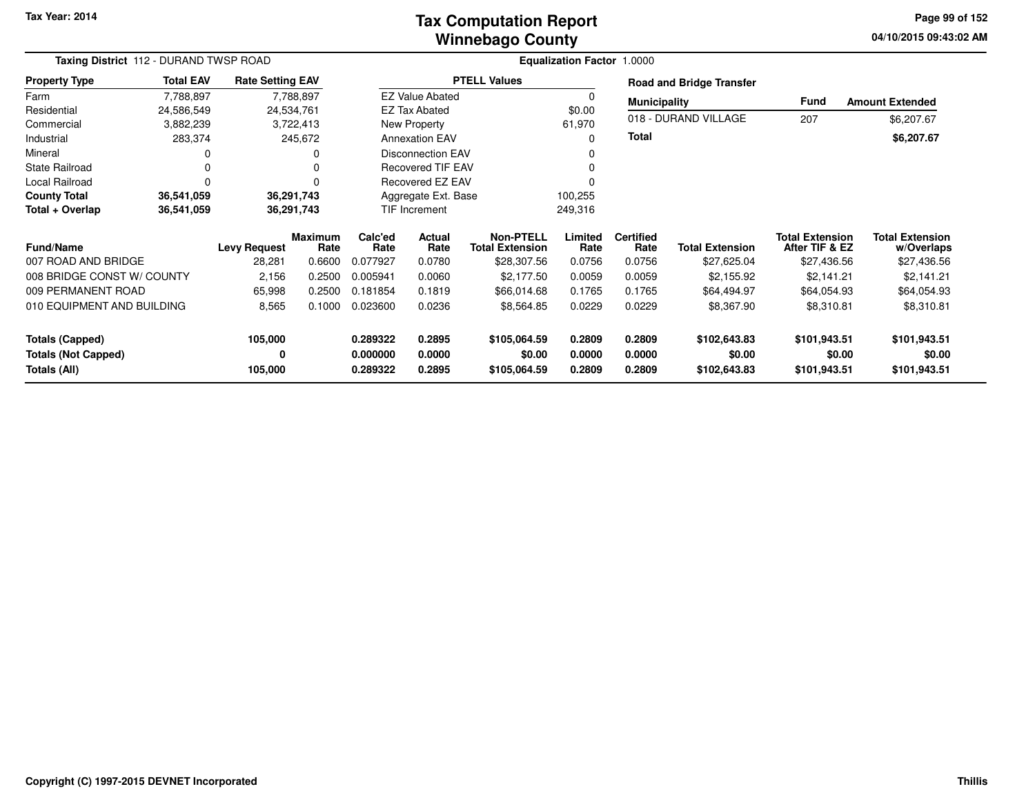#### **Winnebago CountyTax Computation Report**

**04/10/2015 09:43:02 AM Page 99 of 152**

| Taxing District 112 - DURAND TWSP ROAD     |                  |                         |                        | Equalization Factor 1.0000        |                          |                                            |                  |                          |                                 |                                          |                                      |
|--------------------------------------------|------------------|-------------------------|------------------------|-----------------------------------|--------------------------|--------------------------------------------|------------------|--------------------------|---------------------------------|------------------------------------------|--------------------------------------|
| <b>Property Type</b>                       | <b>Total EAV</b> | <b>Rate Setting EAV</b> |                        |                                   |                          | <b>PTELL Values</b>                        |                  |                          | <b>Road and Bridge Transfer</b> |                                          |                                      |
| Farm                                       | 7,788,897        |                         | 7,788,897              |                                   | <b>EZ Value Abated</b>   |                                            | $\Omega$         | <b>Municipality</b>      |                                 | Fund                                     | <b>Amount Extended</b>               |
| Residential                                | 24,586,549       |                         | 24,534,761             |                                   | <b>EZ Tax Abated</b>     |                                            | \$0.00           |                          |                                 |                                          |                                      |
| Commercial                                 | 3,882,239        |                         | 3,722,413              |                                   | New Property             |                                            | 61,970           |                          | 018 - DURAND VILLAGE            | 207                                      | \$6,207.67                           |
| Industrial                                 | 283,374          |                         | 245,672                |                                   | <b>Annexation EAV</b>    |                                            | $\Omega$         | <b>Total</b>             |                                 |                                          | \$6,207.67                           |
| Mineral                                    | 0                |                         |                        |                                   | <b>Disconnection EAV</b> |                                            | 0                |                          |                                 |                                          |                                      |
| <b>State Railroad</b>                      | 0                |                         |                        |                                   | <b>Recovered TIF EAV</b> |                                            | 0                |                          |                                 |                                          |                                      |
| Local Railroad                             | 0                |                         |                        |                                   | Recovered EZ EAV         |                                            |                  |                          |                                 |                                          |                                      |
| <b>County Total</b>                        | 36,541,059       |                         | 36,291,743             |                                   | Aggregate Ext. Base      |                                            | 100,255          |                          |                                 |                                          |                                      |
| Total + Overlap                            | 36,541,059       |                         | 36,291,743             |                                   | <b>TIF Increment</b>     |                                            | 249,316          |                          |                                 |                                          |                                      |
| <b>Fund/Name</b>                           |                  | <b>Levy Request</b>     | <b>Maximum</b><br>Rate | Calc'ed<br>Actual<br>Rate<br>Rate |                          | <b>Non-PTELL</b><br><b>Total Extension</b> | Limited<br>Rate  | <b>Certified</b><br>Rate | <b>Total Extension</b>          | <b>Total Extension</b><br>After TIF & EZ | <b>Total Extension</b><br>w/Overlaps |
| 007 ROAD AND BRIDGE                        |                  | 28,281                  | 0.6600                 | 0.077927                          | 0.0780                   | \$28,307.56                                | 0.0756           | 0.0756                   | \$27,625.04                     | \$27,436.56                              | \$27,436.56                          |
| 008 BRIDGE CONST W/ COUNTY                 |                  | 2,156                   | 0.2500                 | 0.005941                          | 0.0060                   | \$2,177.50                                 | 0.0059           | 0.0059                   | \$2,155.92                      | \$2,141.21                               | \$2,141.21                           |
| 009 PERMANENT ROAD                         |                  | 65,998                  | 0.2500                 | 0.181854                          | 0.1819                   | \$66,014.68                                | 0.1765           | 0.1765                   | \$64,494.97                     | \$64,054.93                              | \$64,054.93                          |
| 010 EQUIPMENT AND BUILDING                 |                  | 8,565<br>0.1000         |                        | 0.023600                          | 0.0236                   | \$8,564.85                                 | 0.0229           | 0.0229                   | \$8,367.90                      | \$8,310.81                               | \$8,310.81                           |
| <b>Totals (Capped)</b>                     |                  | 105,000                 |                        | 0.289322                          | 0.2895                   | \$105,064.59                               | 0.2809           | 0.2809                   | \$102,643.83                    | \$101,943.51                             | \$101,943.51                         |
| <b>Totals (Not Capped)</b><br>Totals (All) |                  | 0<br>105,000            |                        | 0.000000<br>0.289322              | 0.0000<br>0.2895         | \$0.00<br>\$105,064.59                     | 0.0000<br>0.2809 | 0.0000<br>0.2809         | \$0.00<br>\$102,643.83          | \$0.00<br>\$101,943.51                   | \$0.00<br>\$101,943.51               |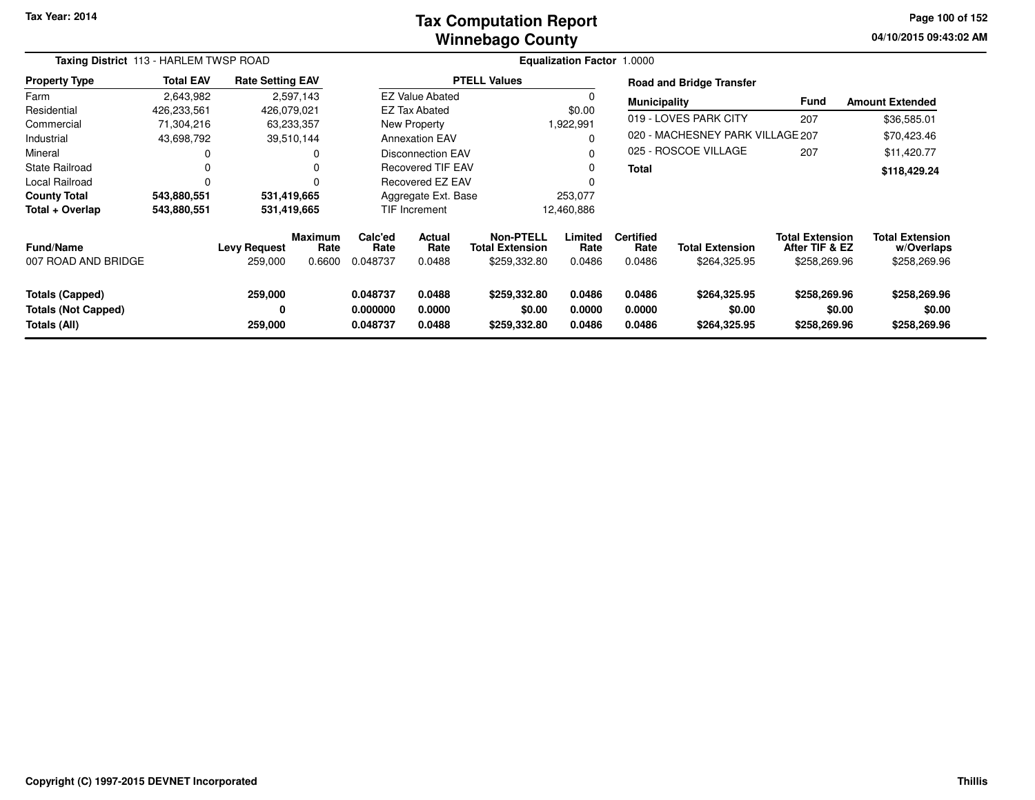#### **Winnebago CountyTax Computation Report**

**04/10/2015 09:43:02 AM Page 100 of 152**

|                                                               | Taxing District 113 - HARLEM TWSP ROAD |                                |                                  |                                                                |                          |                                                            | <b>Equalization Factor 1.0000</b> |                                    |                                        |                                                          |                                                      |
|---------------------------------------------------------------|----------------------------------------|--------------------------------|----------------------------------|----------------------------------------------------------------|--------------------------|------------------------------------------------------------|-----------------------------------|------------------------------------|----------------------------------------|----------------------------------------------------------|------------------------------------------------------|
| <b>Property Type</b>                                          | <b>Total EAV</b>                       | <b>Rate Setting EAV</b>        |                                  |                                                                |                          | <b>PTELL Values</b>                                        |                                   |                                    | <b>Road and Bridge Transfer</b>        |                                                          |                                                      |
| Farm                                                          | 2,643,982                              |                                | 2,597,143                        |                                                                | <b>EZ Value Abated</b>   |                                                            |                                   | <b>Municipality</b>                |                                        | <b>Fund</b>                                              | <b>Amount Extended</b>                               |
| Residential                                                   | 426,233,561                            | 426,079,021                    |                                  |                                                                | <b>EZ Tax Abated</b>     |                                                            | \$0.00                            |                                    |                                        |                                                          |                                                      |
| Commercial                                                    | 71,304,216                             | 63,233,357                     |                                  |                                                                | New Property             |                                                            | 1,922,991                         |                                    | 019 - LOVES PARK CITY                  | 207                                                      | \$36,585.01                                          |
| Industrial                                                    | 43,698,792                             |                                | 39,510,144                       |                                                                | <b>Annexation EAV</b>    |                                                            | O                                 |                                    | 020 - MACHESNEY PARK VILLAGE 207       |                                                          | \$70,423.46                                          |
| Mineral                                                       |                                        |                                |                                  |                                                                | <b>Disconnection EAV</b> |                                                            | O                                 |                                    | 025 - ROSCOE VILLAGE                   | 207                                                      | \$11,420.77                                          |
| <b>State Railroad</b>                                         | 0                                      |                                |                                  | <b>Recovered TIF EAV</b>                                       |                          |                                                            | 0                                 | Total                              |                                        |                                                          | \$118,429.24                                         |
| <b>Local Railroad</b>                                         | 0                                      |                                |                                  | <b>Recovered EZ EAV</b>                                        |                          |                                                            |                                   |                                    |                                        |                                                          |                                                      |
| <b>County Total</b>                                           | 543,880,551                            | 531,419,665                    |                                  |                                                                | Aggregate Ext. Base      |                                                            | 253,077                           |                                    |                                        |                                                          |                                                      |
| Total + Overlap                                               | 543,880,551                            | 531,419,665                    |                                  |                                                                | <b>TIF Increment</b>     |                                                            | 12,460,886                        |                                    |                                        |                                                          |                                                      |
| <b>Fund/Name</b><br>007 ROAD AND BRIDGE                       |                                        | <b>Levy Request</b><br>259,000 | <b>Maximum</b><br>Rate<br>0.6600 | Calc'ed<br>Rate<br>0.048737                                    | Actual<br>Rate<br>0.0488 | <b>Non-PTELL</b><br><b>Total Extension</b><br>\$259,332.80 | Limited<br>Rate<br>0.0486         | <b>Certified</b><br>Rate<br>0.0486 | Total Extension<br>\$264,325.95        | <b>Total Extension</b><br>After TIF & EZ<br>\$258,269.96 | <b>Total Extension</b><br>w/Overlaps<br>\$258,269.96 |
| Totals (Capped)<br><b>Totals (Not Capped)</b><br>Totals (All) |                                        | 259,000<br>0<br>259,000        |                                  | 0.048737<br>0.0488<br>0.000000<br>0.0000<br>0.048737<br>0.0488 |                          | \$259,332.80<br>\$0.00<br>\$259,332.80                     | 0.0486<br>0.0000<br>0.0486        | 0.0486<br>0.0000<br>0.0486         | \$264,325.95<br>\$0.00<br>\$264,325.95 | \$258,269.96<br>\$0.00<br>\$258,269.96                   | \$258,269.96<br>\$0.00<br>\$258,269.96               |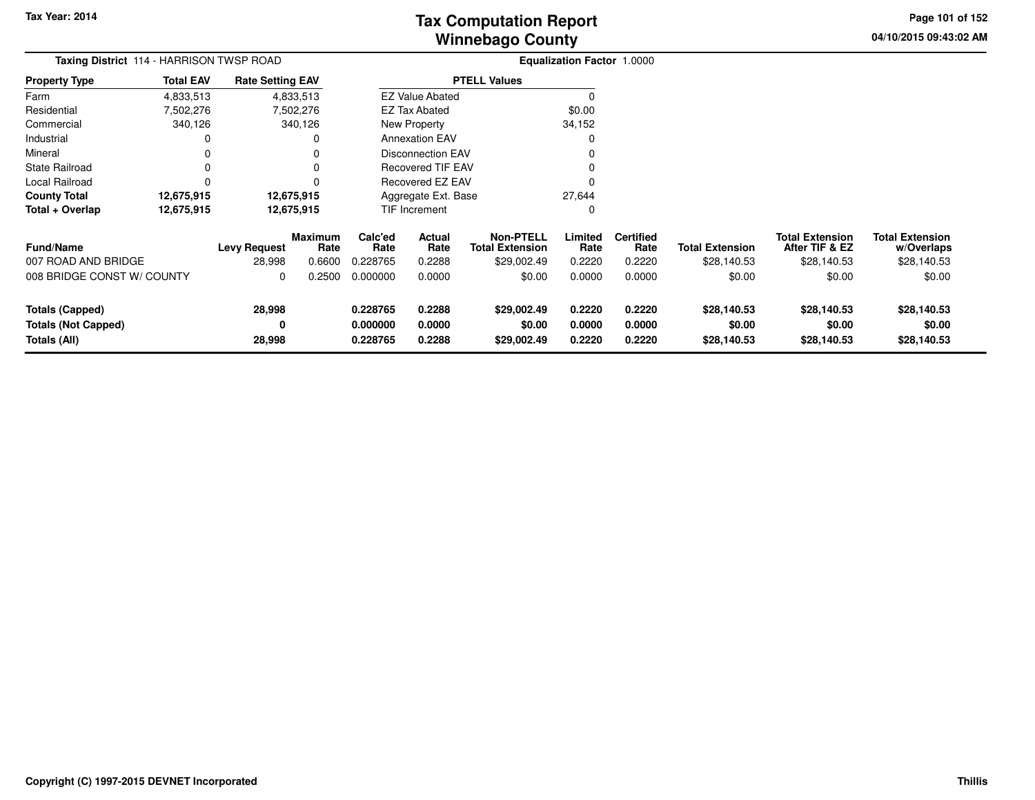# **Winnebago CountyTax Computation Report**

**04/10/2015 09:43:02 AM Page 101 of 152**

| Taxing District 114 - HARRISON TWSP ROAD                                                      |                  |                                  |                                  |                                      |                            |                                                           | <b>Equalization Factor 1.0000</b>    |                                      |                                       |                                                         |                                                     |  |
|-----------------------------------------------------------------------------------------------|------------------|----------------------------------|----------------------------------|--------------------------------------|----------------------------|-----------------------------------------------------------|--------------------------------------|--------------------------------------|---------------------------------------|---------------------------------------------------------|-----------------------------------------------------|--|
| <b>Property Type</b>                                                                          | <b>Total EAV</b> | <b>Rate Setting EAV</b>          |                                  |                                      |                            | <b>PTELL Values</b>                                       |                                      |                                      |                                       |                                                         |                                                     |  |
| Farm                                                                                          | 4,833,513        |                                  | 4,833,513                        |                                      | <b>EZ Value Abated</b>     |                                                           | $\Omega$                             |                                      |                                       |                                                         |                                                     |  |
| Residential                                                                                   | 7,502,276        |                                  | 7,502,276                        |                                      | <b>EZ Tax Abated</b>       |                                                           | \$0.00                               |                                      |                                       |                                                         |                                                     |  |
| Commercial                                                                                    | 340,126          |                                  | 340,126                          |                                      | New Property               |                                                           | 34,152                               |                                      |                                       |                                                         |                                                     |  |
| Industrial                                                                                    | 0                |                                  |                                  |                                      | <b>Annexation EAV</b>      |                                                           | 0                                    |                                      |                                       |                                                         |                                                     |  |
| Mineral                                                                                       | 0                |                                  |                                  |                                      | Disconnection EAV          |                                                           | 0                                    |                                      |                                       |                                                         |                                                     |  |
| State Railroad                                                                                | 0                |                                  |                                  |                                      | Recovered TIF EAV          |                                                           | 0                                    |                                      |                                       |                                                         |                                                     |  |
| Local Railroad                                                                                | $\Omega$         |                                  |                                  | Recovered EZ EAV                     |                            |                                                           | 0                                    |                                      |                                       |                                                         |                                                     |  |
| <b>County Total</b>                                                                           | 12,675,915       |                                  | 12,675,915                       |                                      | Aggregate Ext. Base        |                                                           | 27,644                               |                                      |                                       |                                                         |                                                     |  |
| Total + Overlap                                                                               | 12,675,915       |                                  | 12,675,915                       |                                      | <b>TIF Increment</b>       |                                                           | 0                                    |                                      |                                       |                                                         |                                                     |  |
| <b>Fund/Name</b><br>007 ROAD AND BRIDGE                                                       |                  | <b>Levy Request</b><br>28,998    | <b>Maximum</b><br>Rate<br>0.6600 | Calc'ed<br>Rate<br>0.228765          | Actual<br>Rate<br>0.2288   | <b>Non-PTELL</b><br><b>Total Extension</b><br>\$29,002.49 | Limited<br>Rate<br>0.2220            | <b>Certified</b><br>Rate<br>0.2220   | <b>Total Extension</b><br>\$28,140.53 | <b>Total Extension</b><br>After TIF & EZ<br>\$28,140.53 | <b>Total Extension</b><br>w/Overlaps<br>\$28,140.53 |  |
| 008 BRIDGE CONST W/ COUNTY                                                                    |                  | 0                                | 0.2500                           | 0.000000                             | 0.0000                     | \$0.00                                                    | 0.0000                               | 0.0000                               | \$0.00                                | \$0.00                                                  | \$0.00                                              |  |
| 28,998<br><b>Totals (Capped)</b><br><b>Totals (Not Capped)</b><br>0<br>28,998<br>Totals (All) |                  | 0.228765<br>0.000000<br>0.228765 | 0.2288<br>0.0000<br>0.2288       | \$29,002.49<br>\$0.00<br>\$29,002.49 | 0.2220<br>0.0000<br>0.2220 | 0.2220<br>0.0000<br>0.2220                                | \$28,140.53<br>\$0.00<br>\$28,140.53 | \$28,140.53<br>\$0.00<br>\$28,140.53 | \$28,140.53<br>\$0.00<br>\$28,140.53  |                                                         |                                                     |  |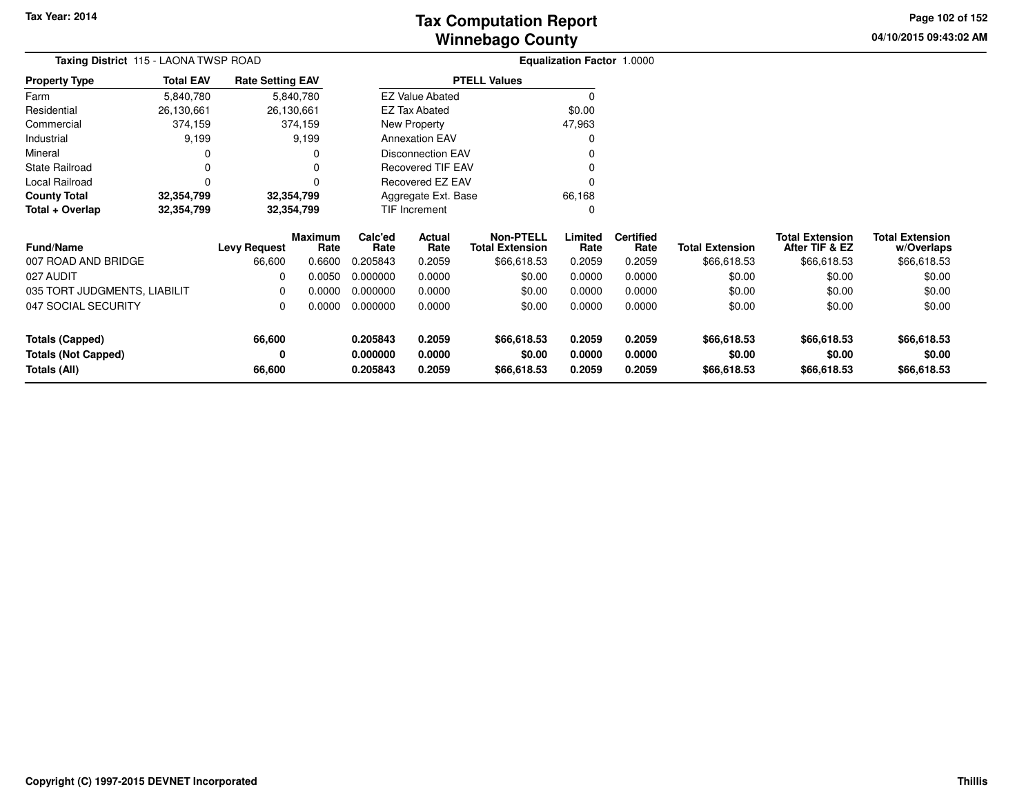**04/10/2015 09:43:02 AM Page 102 of 152**

|                              | Taxing District 115 - LAONA TWSP ROAD |                         |                        |                                   |                          |                                            | Equalization Factor 1.0000 |                          |                        |                                          |                                      |  |
|------------------------------|---------------------------------------|-------------------------|------------------------|-----------------------------------|--------------------------|--------------------------------------------|----------------------------|--------------------------|------------------------|------------------------------------------|--------------------------------------|--|
| <b>Property Type</b>         | <b>Total EAV</b>                      | <b>Rate Setting EAV</b> |                        |                                   |                          | <b>PTELL Values</b>                        |                            |                          |                        |                                          |                                      |  |
| Farm                         | 5,840,780                             |                         | 5,840,780              |                                   | <b>EZ Value Abated</b>   |                                            | 0                          |                          |                        |                                          |                                      |  |
| Residential                  | 26,130,661                            |                         | 26,130,661             |                                   | <b>EZ Tax Abated</b>     |                                            | \$0.00                     |                          |                        |                                          |                                      |  |
| Commercial                   | 374,159                               |                         | 374,159                |                                   | New Property             |                                            | 47,963                     |                          |                        |                                          |                                      |  |
| Industrial                   | 9,199                                 |                         | 9,199                  |                                   | <b>Annexation EAV</b>    |                                            | 0                          |                          |                        |                                          |                                      |  |
| Mineral                      | 0                                     |                         |                        |                                   | <b>Disconnection EAV</b> |                                            | 0                          |                          |                        |                                          |                                      |  |
| <b>State Railroad</b>        | 0                                     |                         |                        |                                   | <b>Recovered TIF EAV</b> |                                            | 0                          |                          |                        |                                          |                                      |  |
| Local Railroad               | 0                                     |                         | n                      |                                   | Recovered EZ EAV         |                                            | $\Omega$                   |                          |                        |                                          |                                      |  |
| <b>County Total</b>          | 32,354,799                            |                         | 32,354,799             | Aggregate Ext. Base               |                          |                                            | 66,168                     |                          |                        |                                          |                                      |  |
| Total + Overlap              | 32,354,799                            |                         | 32,354,799             |                                   | TIF Increment            |                                            | 0                          |                          |                        |                                          |                                      |  |
| <b>Fund/Name</b>             |                                       | <b>Levy Request</b>     | <b>Maximum</b><br>Rate | Calc'ed<br>Actual<br>Rate<br>Rate |                          | <b>Non-PTELL</b><br><b>Total Extension</b> | Limited<br>Rate            | <b>Certified</b><br>Rate | <b>Total Extension</b> | <b>Total Extension</b><br>After TIF & EZ | <b>Total Extension</b><br>w/Overlaps |  |
| 007 ROAD AND BRIDGE          |                                       | 66,600                  | 0.6600                 | 0.205843                          | 0.2059                   | \$66,618.53                                | 0.2059                     | 0.2059                   | \$66,618.53            | \$66,618.53                              | \$66,618.53                          |  |
| 027 AUDIT                    |                                       | 0                       | 0.0050                 | 0.000000                          | 0.0000                   | \$0.00                                     | 0.0000                     | 0.0000                   | \$0.00                 | \$0.00                                   | \$0.00                               |  |
| 035 TORT JUDGMENTS, LIABILIT |                                       | 0                       | 0.0000                 | 0.000000                          | 0.0000                   | \$0.00                                     | 0.0000                     | 0.0000                   | \$0.00                 | \$0.00                                   | \$0.00                               |  |
| 047 SOCIAL SECURITY          |                                       | 0                       | 0.0000                 | 0.000000<br>0.0000                |                          | \$0.00                                     | 0.0000                     | 0.0000                   | \$0.00                 | \$0.00                                   | \$0.00                               |  |
| <b>Totals (Capped)</b>       |                                       | 66,600                  |                        | 0.205843                          | 0.2059                   | \$66,618.53                                | 0.2059                     | 0.2059                   | \$66,618.53            | \$66,618.53                              | \$66,618.53                          |  |
| <b>Totals (Not Capped)</b>   |                                       | 0                       |                        | 0.000000                          | 0.0000                   | \$0.00                                     | 0.0000                     | 0.0000                   | \$0.00                 | \$0.00                                   | \$0.00                               |  |
| Totals (All)                 |                                       | 66,600                  |                        | 0.205843                          | 0.2059                   | \$66,618.53                                | 0.2059                     | 0.2059                   | \$66,618.53            | \$66,618.53                              | \$66,618.53                          |  |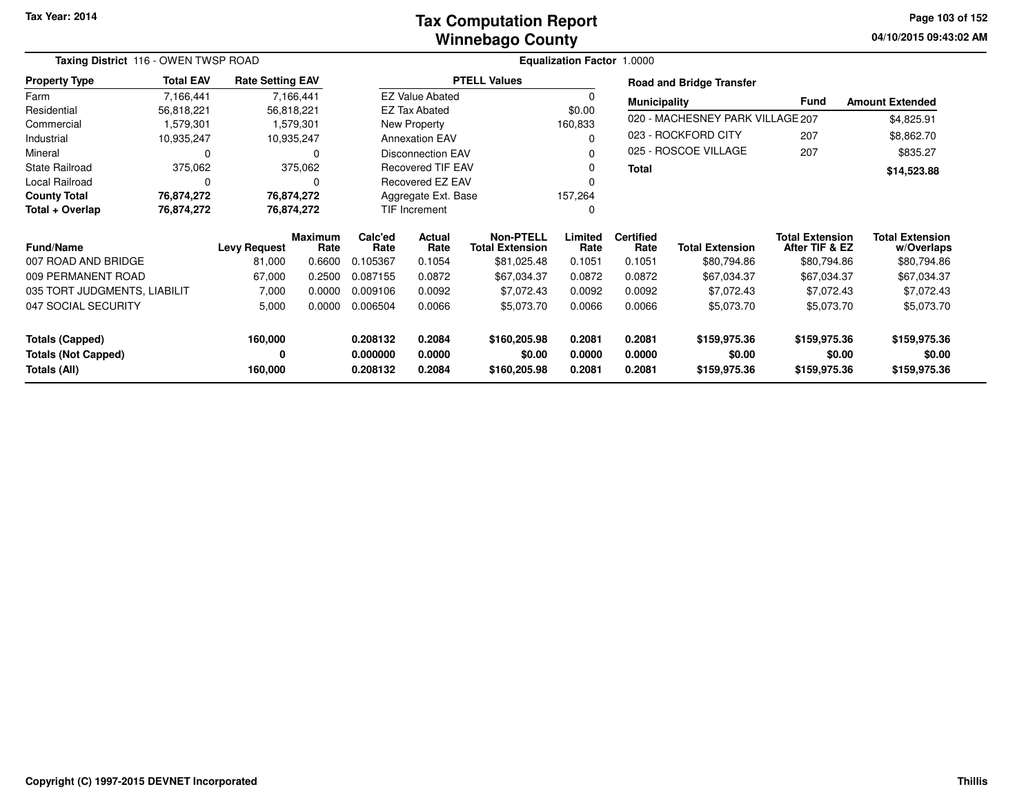#### **Winnebago CountyTax Computation Report**

**04/10/2015 09:43:02 AM Page 103 of 152**

| Taxing District 116 - OWEN TWSP ROAD       |                  |                         |                |                      |                          |                        | Equalization Factor 1.0000 |                     |                                  |                        |                        |
|--------------------------------------------|------------------|-------------------------|----------------|----------------------|--------------------------|------------------------|----------------------------|---------------------|----------------------------------|------------------------|------------------------|
| <b>Property Type</b>                       | <b>Total EAV</b> | <b>Rate Setting EAV</b> |                |                      |                          | <b>PTELL Values</b>    |                            |                     | <b>Road and Bridge Transfer</b>  |                        |                        |
| Farm                                       | 7,166,441        |                         | 7,166,441      |                      | <b>EZ Value Abated</b>   |                        | 0                          | <b>Municipality</b> |                                  | <b>Fund</b>            | <b>Amount Extended</b> |
| Residential                                | 56,818,221       |                         | 56,818,221     |                      | <b>EZ Tax Abated</b>     |                        | \$0.00                     |                     |                                  |                        |                        |
| Commercial                                 | 1,579,301        |                         | 1,579,301      |                      | New Property             |                        | 160,833                    |                     | 020 - MACHESNEY PARK VILLAGE 207 |                        | \$4,825.91             |
| Industrial                                 | 10,935,247       |                         | 10,935,247     |                      | <b>Annexation EAV</b>    |                        | 0                          |                     | 023 - ROCKFORD CITY              | 207                    | \$8,862.70             |
| Mineral                                    | 0                |                         | $\Omega$       |                      | <b>Disconnection EAV</b> |                        | U                          |                     | 025 - ROSCOE VILLAGE             | 207                    | \$835.27               |
| <b>State Railroad</b>                      | 375,062          |                         | 375,062        |                      | <b>Recovered TIF EAV</b> |                        | 0                          | <b>Total</b>        |                                  |                        | \$14,523.88            |
| Local Railroad                             | 0                |                         | 0              |                      | Recovered EZ EAV         |                        |                            |                     |                                  |                        |                        |
| <b>County Total</b>                        | 76,874,272       |                         | 76,874,272     |                      | Aggregate Ext. Base      |                        | 157,264                    |                     |                                  |                        |                        |
| Total + Overlap                            | 76,874,272       |                         | 76,874,272     | TIF Increment        |                          |                        | 0                          |                     |                                  |                        |                        |
|                                            |                  |                         | <b>Maximum</b> | Calc'ed<br>Actual    |                          | <b>Non-PTELL</b>       | Limited                    | <b>Certified</b>    |                                  | <b>Total Extension</b> | <b>Total Extension</b> |
| <b>Fund/Name</b>                           |                  | <b>Levy Request</b>     | Rate           | Rate                 | Rate                     | <b>Total Extension</b> | Rate                       | Rate                | <b>Total Extension</b>           | After TIF & EZ         | w/Overlaps             |
| 007 ROAD AND BRIDGE                        |                  | 81,000                  | 0.6600         | 0.105367             | 0.1054                   | \$81,025.48            | 0.1051                     | 0.1051              | \$80,794.86                      | \$80,794.86            | \$80,794.86            |
| 009 PERMANENT ROAD                         |                  | 67,000                  | 0.2500         | 0.087155             | 0.0872                   | \$67,034.37            | 0.0872                     | 0.0872              | \$67,034.37                      | \$67,034.37            | \$67,034.37            |
| 035 TORT JUDGMENTS, LIABILIT               |                  | 7,000                   | 0.0000         | 0.009106             | 0.0092                   | \$7,072.43             | 0.0092                     | 0.0092              | \$7,072.43                       | \$7,072.43             | \$7,072.43             |
| 047 SOCIAL SECURITY                        |                  | 5,000                   | 0.0000         | 0.006504             | 0.0066                   | \$5,073.70             | 0.0066                     | 0.0066              | \$5,073.70                       | \$5,073.70             | \$5,073.70             |
| <b>Totals (Capped)</b>                     |                  | 160,000                 |                | 0.208132             | 0.2084                   | \$160,205.98           | 0.2081                     | 0.2081              | \$159,975.36                     | \$159,975.36           | \$159,975.36           |
| <b>Totals (Not Capped)</b><br>Totals (All) |                  | 0<br>160,000            |                | 0.000000<br>0.208132 | 0.0000<br>0.2084         | \$0.00<br>\$160,205.98 | 0.0000<br>0.2081           | 0.0000<br>0.2081    | \$0.00<br>\$159,975.36           | \$0.00<br>\$159,975.36 | \$0.00<br>\$159,975.36 |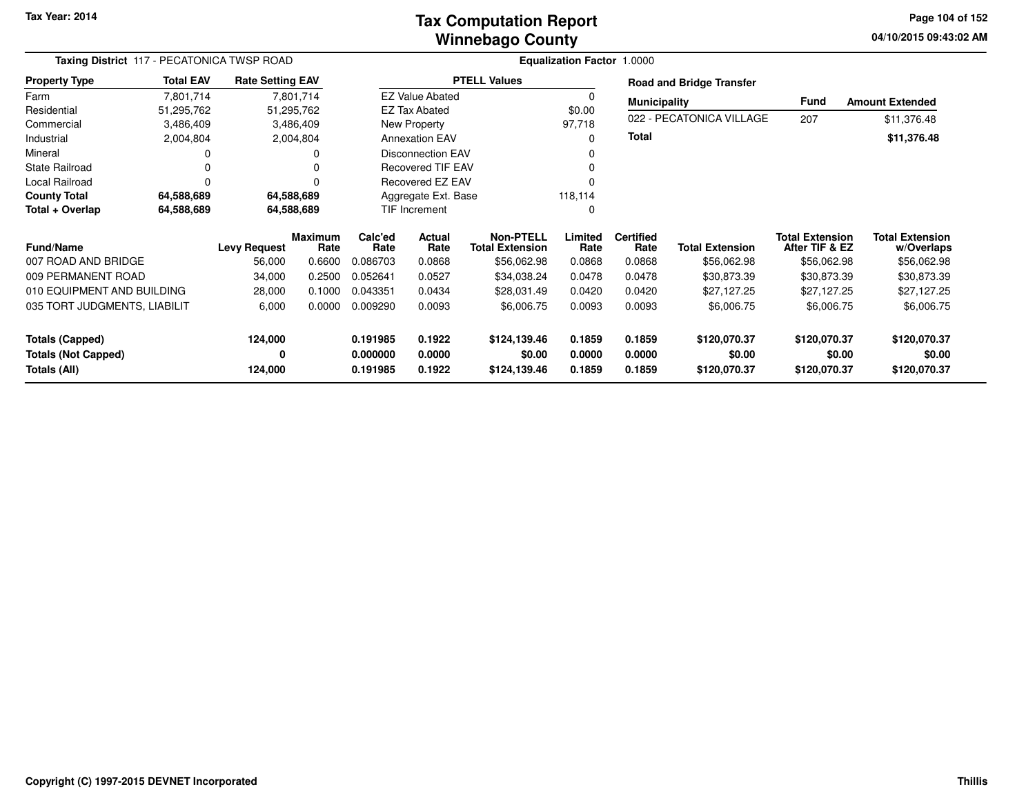#### **Winnebago CountyTax Computation Report**

**04/10/2015 09:43:02 AM Page 104 of 152**

| Taxing District 117 - PECATONICA TWSP ROAD |                  |                               |                | Equalization Factor 1.0000 |                          |                                       |                |                     |                                       |                               |                           |
|--------------------------------------------|------------------|-------------------------------|----------------|----------------------------|--------------------------|---------------------------------------|----------------|---------------------|---------------------------------------|-------------------------------|---------------------------|
| <b>Property Type</b>                       | <b>Total EAV</b> | <b>Rate Setting EAV</b>       |                |                            |                          | <b>PTELL Values</b>                   |                |                     | <b>Road and Bridge Transfer</b>       |                               |                           |
| Farm                                       | 7,801,714        |                               | 7,801,714      |                            | <b>EZ Value Abated</b>   |                                       | 0              | <b>Municipality</b> |                                       | <b>Fund</b>                   | <b>Amount Extended</b>    |
| Residential                                | 51,295,762       |                               | 51,295,762     |                            | EZ Tax Abated            |                                       | \$0.00         |                     |                                       |                               |                           |
| Commercial                                 | 3,486,409        |                               | 3,486,409      |                            | New Property             |                                       | 97,718         |                     | 022 - PECATONICA VILLAGE              | 207                           | \$11,376.48               |
| Industrial                                 | 2,004,804        |                               | 2,004,804      |                            | <b>Annexation EAV</b>    |                                       | $\Omega$       | <b>Total</b>        |                                       |                               | \$11,376.48               |
| Mineral                                    | 0                |                               | 0              |                            | <b>Disconnection EAV</b> |                                       |                |                     |                                       |                               |                           |
| <b>State Railroad</b>                      | 0                |                               | O              |                            | <b>Recovered TIF EAV</b> |                                       | 0              |                     |                                       |                               |                           |
| Local Railroad                             | 0                |                               | $\Omega$       |                            | <b>Recovered EZ EAV</b>  |                                       |                |                     |                                       |                               |                           |
| <b>County Total</b>                        | 64,588,689       |                               | 64,588,689     |                            | Aggregate Ext. Base      |                                       | 118,114        |                     |                                       |                               |                           |
| Total + Overlap                            | 64,588,689       |                               | 64,588,689     |                            | <b>TIF Increment</b>     |                                       | $\Omega$       |                     |                                       |                               |                           |
|                                            |                  |                               | <b>Maximum</b> | Calc'ed                    | Actual                   | <b>Non-PTELL</b>                      | Limited        | <b>Certified</b>    |                                       | <b>Total Extension</b>        | <b>Total Extension</b>    |
| <b>Fund/Name</b><br>007 ROAD AND BRIDGE    |                  | <b>Levy Request</b><br>56,000 | Rate<br>0.6600 | Rate<br>0.086703           | Rate<br>0.0868           | <b>Total Extension</b><br>\$56,062.98 | Rate<br>0.0868 | Rate<br>0.0868      | <b>Total Extension</b><br>\$56,062.98 | After TIF & EZ<br>\$56,062.98 | w/Overlaps<br>\$56,062.98 |
|                                            |                  |                               |                |                            |                          |                                       |                |                     |                                       |                               |                           |
| 009 PERMANENT ROAD                         |                  | 34,000                        | 0.2500         | 0.052641                   | 0.0527                   | \$34,038.24                           | 0.0478         | 0.0478              | \$30,873.39                           | \$30,873.39                   | \$30,873.39               |
| 010 EQUIPMENT AND BUILDING                 |                  | 28,000                        | 0.1000         | 0.043351                   | 0.0434                   | \$28,031.49                           | 0.0420         | 0.0420              | \$27,127.25                           | \$27,127.25                   | \$27,127.25               |
| 035 TORT JUDGMENTS, LIABILIT               |                  | 6,000                         | 0.0000         | 0.009290                   | 0.0093                   | \$6,006.75                            | 0.0093         | 0.0093              | \$6,006.75                            | \$6,006.75                    | \$6,006.75                |
| <b>Totals (Capped)</b>                     |                  | 124,000                       |                | 0.191985                   | 0.1922                   | \$124,139.46                          | 0.1859         | 0.1859              | \$120,070.37                          | \$120,070.37                  | \$120,070.37              |
| <b>Totals (Not Capped)</b>                 |                  | 0                             |                | 0.000000                   | 0.0000                   | \$0.00                                | 0.0000         | 0.0000              | \$0.00                                | \$0.00                        | \$0.00                    |
| Totals (All)                               |                  | 124,000                       |                | 0.191985                   | 0.1922                   | \$124,139.46                          | 0.1859         | 0.1859              | \$120,070.37                          | \$120,070.37                  | \$120,070.37              |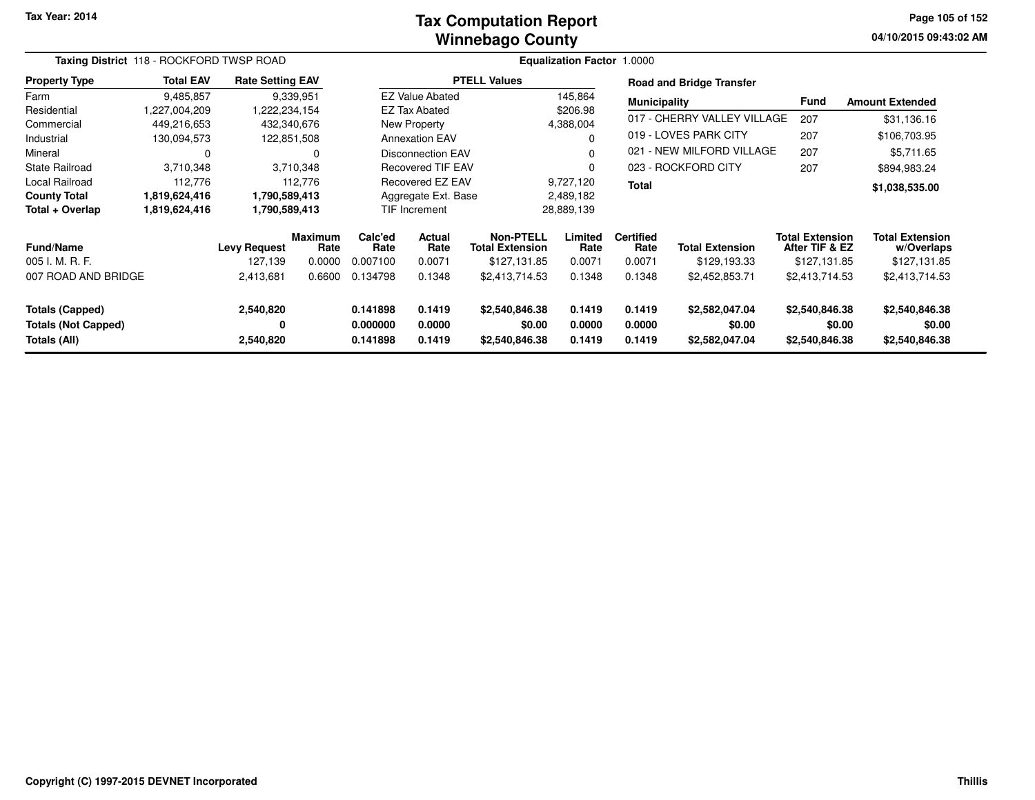#### **Winnebago CountyTax Computation Report**

**04/10/2015 09:43:02 AM Page 105 of 152**

|                                                      | Taxing District 118 - ROCKFORD TWSP ROAD |                                |                                  |                             |                          |                                                     | <b>Equalization Factor 1.0000</b> |                                    |                                        |                                                          |                                                      |
|------------------------------------------------------|------------------------------------------|--------------------------------|----------------------------------|-----------------------------|--------------------------|-----------------------------------------------------|-----------------------------------|------------------------------------|----------------------------------------|----------------------------------------------------------|------------------------------------------------------|
| <b>Property Type</b>                                 | <b>Total EAV</b>                         | <b>Rate Setting EAV</b>        |                                  |                             |                          | <b>PTELL Values</b>                                 |                                   |                                    | <b>Road and Bridge Transfer</b>        |                                                          |                                                      |
| Farm                                                 | 9,485,857                                |                                | 9,339,951                        |                             | <b>EZ Value Abated</b>   |                                                     | 145,864                           | <b>Municipality</b>                |                                        | <b>Fund</b>                                              | <b>Amount Extended</b>                               |
| Residential                                          | 1,227,004,209                            | ,222,234,154                   |                                  |                             | <b>EZ Tax Abated</b>     |                                                     | \$206.98                          |                                    |                                        |                                                          |                                                      |
| Commercial                                           | 449,216,653                              |                                | 432,340,676                      |                             | New Property             |                                                     | 4,388,004                         |                                    | 017 - CHERRY VALLEY VILLAGE            | 207                                                      | \$31,136.16                                          |
| Industrial                                           | 130,094,573                              |                                | 122,851,508                      |                             | <b>Annexation EAV</b>    |                                                     |                                   |                                    | 019 - LOVES PARK CITY                  | 207                                                      | \$106,703.95                                         |
| Mineral                                              | 0                                        |                                | 0                                |                             | Disconnection EAV        |                                                     | $\Omega$                          |                                    | 021 - NEW MILFORD VILLAGE              | 207                                                      | \$5,711.65                                           |
| State Railroad                                       | 3,710,348                                |                                | 3,710,348                        |                             | <b>Recovered TIF EAV</b> |                                                     | $\Omega$                          |                                    | 023 - ROCKFORD CITY                    | 207                                                      | \$894,983.24                                         |
| Local Railroad                                       | 112,776                                  |                                | 112,776                          |                             | Recovered EZ EAV         |                                                     | 9,727,120                         | <b>Total</b>                       |                                        |                                                          | \$1,038,535.00                                       |
| <b>County Total</b>                                  | 1,819,624,416                            | 1,790,589,413                  |                                  |                             | Aggregate Ext. Base      |                                                     | 2,489,182                         |                                    |                                        |                                                          |                                                      |
| Total + Overlap                                      | 1,819,624,416                            | 1,790,589,413                  |                                  |                             | <b>TIF Increment</b>     |                                                     | 28,889,139                        |                                    |                                        |                                                          |                                                      |
| <b>Fund/Name</b><br>005 I. M. R. F.                  |                                          | <b>Levy Request</b><br>127.139 | <b>Maximum</b><br>Rate<br>0.0000 | Calc'ed<br>Rate<br>0.007100 | Actual<br>Rate<br>0.0071 | Non-PTELL<br><b>Total Extension</b><br>\$127,131.85 | Limited<br>Rate<br>0.0071         | <b>Certified</b><br>Rate<br>0.0071 | <b>Total Extension</b><br>\$129,193.33 | <b>Total Extension</b><br>After TIF & EZ<br>\$127.131.85 | <b>Total Extension</b><br>w/Overlaps<br>\$127,131.85 |
| 007 ROAD AND BRIDGE                                  |                                          | 2,413,681                      | 0.6600                           | 0.134798                    | 0.1348                   | \$2,413,714.53                                      | 0.1348                            | 0.1348                             | \$2,452,853.71                         | \$2,413,714.53                                           | \$2,413,714.53                                       |
| <b>Totals (Capped)</b><br><b>Totals (Not Capped)</b> |                                          | 2,540,820<br>0                 |                                  | 0.141898<br>0.000000        | 0.1419<br>0.0000         | \$2,540,846.38<br>\$0.00                            | 0.1419<br>0.0000                  | 0.1419<br>0.0000                   | \$2,582,047.04<br>\$0.00               | \$2,540,846.38                                           | \$2,540,846.38<br>\$0.00<br>\$0.00                   |
| Totals (All)                                         |                                          | 2,540,820                      |                                  | 0.141898                    | 0.1419                   | \$2,540,846.38                                      | 0.1419                            | 0.1419                             | \$2,582,047.04                         | \$2,540,846.38                                           | \$2,540,846.38                                       |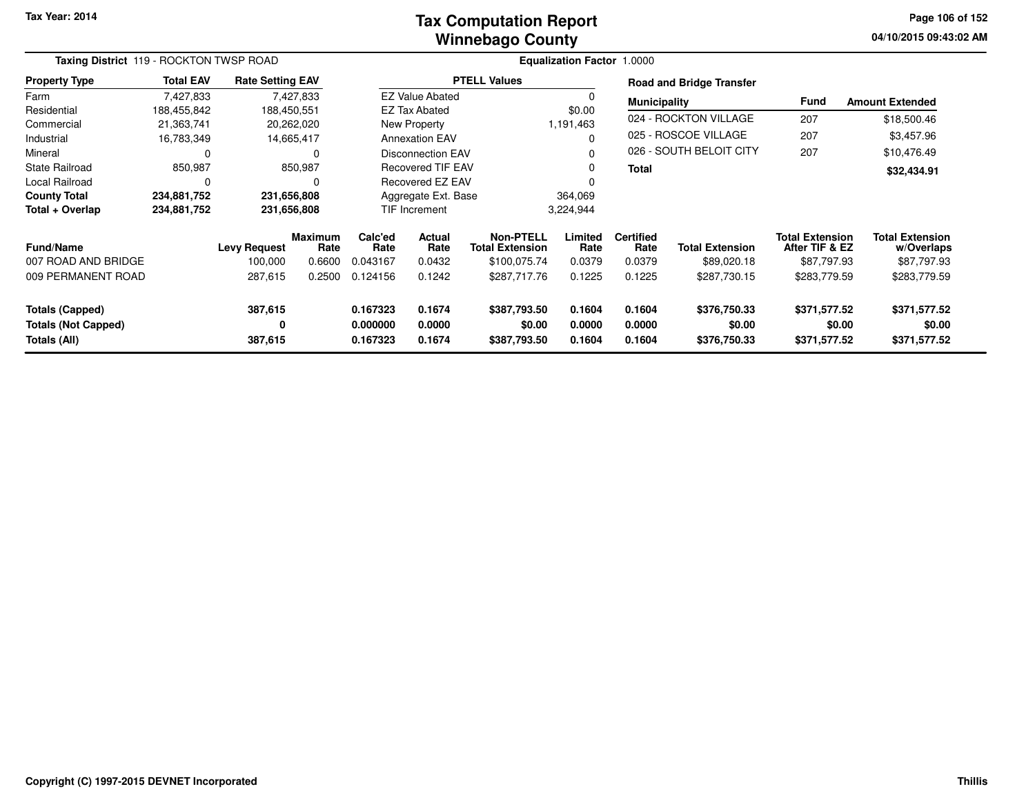#### **Winnebago CountyTax Computation Report**

**04/10/2015 09:43:02 AM Page 106 of 152**

|                                                                      | Taxing District 119 - ROCKTON TWSP ROAD |                                |                                  |                                  |                            |                                                     | <b>Equalization Factor 1.0000</b> |                                    |                                        |                                                         |                                                     |
|----------------------------------------------------------------------|-----------------------------------------|--------------------------------|----------------------------------|----------------------------------|----------------------------|-----------------------------------------------------|-----------------------------------|------------------------------------|----------------------------------------|---------------------------------------------------------|-----------------------------------------------------|
| <b>Property Type</b>                                                 | <b>Total EAV</b>                        | <b>Rate Setting EAV</b>        |                                  |                                  |                            | <b>PTELL Values</b>                                 |                                   |                                    | <b>Road and Bridge Transfer</b>        |                                                         |                                                     |
| Farm                                                                 | 7,427,833                               |                                | 7,427,833                        |                                  | <b>EZ Value Abated</b>     |                                                     |                                   | <b>Municipality</b>                |                                        | <b>Fund</b>                                             | <b>Amount Extended</b>                              |
| Residential                                                          | 188,455,842                             | 188,450,551                    |                                  |                                  | <b>EZ Tax Abated</b>       |                                                     | \$0.00                            |                                    |                                        |                                                         |                                                     |
| Commercial                                                           | 21,363,741                              |                                | 20,262,020                       |                                  | New Property               |                                                     | 1,191,463                         |                                    | 024 - ROCKTON VILLAGE                  | 207                                                     | \$18,500.46                                         |
| Industrial                                                           | 16,783,349                              |                                | 14,665,417                       |                                  | <b>Annexation EAV</b>      |                                                     |                                   |                                    | 025 - ROSCOE VILLAGE                   | 207                                                     | \$3,457.96                                          |
| Mineral                                                              | 0                                       |                                | 0                                |                                  | <b>Disconnection EAV</b>   |                                                     |                                   |                                    | 026 - SOUTH BELOIT CITY                | 207                                                     | \$10,476.49                                         |
| <b>State Railroad</b>                                                | 850,987                                 |                                | 850,987                          |                                  | <b>Recovered TIF EAV</b>   |                                                     | 0                                 | <b>Total</b>                       |                                        |                                                         | \$32,434.91                                         |
| Local Railroad                                                       |                                         |                                | 0                                | Recovered EZ EAV                 |                            |                                                     | O                                 |                                    |                                        |                                                         |                                                     |
| <b>County Total</b>                                                  | 234,881,752                             | 231,656,808                    |                                  |                                  | Aggregate Ext. Base        |                                                     | 364,069                           |                                    |                                        |                                                         |                                                     |
| Total + Overlap                                                      | 234,881,752                             | 231,656,808                    |                                  |                                  | TIF Increment              |                                                     | 3,224,944                         |                                    |                                        |                                                         |                                                     |
| <b>Fund/Name</b><br>007 ROAD AND BRIDGE                              |                                         | <b>Levy Request</b><br>100,000 | <b>Maximum</b><br>Rate<br>0.6600 | Calc'ed<br>Rate<br>0.043167      | Actual<br>Rate<br>0.0432   | Non-PTELL<br><b>Total Extension</b><br>\$100,075.74 | Limited<br>Rate<br>0.0379         | <b>Certified</b><br>Rate<br>0.0379 | <b>Total Extension</b><br>\$89,020.18  | <b>Total Extension</b><br>After TIF & EZ<br>\$87,797.93 | <b>Total Extension</b><br>w/Overlaps<br>\$87,797.93 |
| 009 PERMANENT ROAD                                                   |                                         | 287,615                        | 0.2500                           | 0.124156                         | 0.1242                     |                                                     | 0.1225                            | 0.1225                             | \$287,730.15                           | \$283,779.59                                            | \$283,779.59                                        |
| <b>Totals (Capped)</b><br><b>Totals (Not Capped)</b><br>Totals (All) |                                         | 387,615<br>0<br>387,615        |                                  | 0.167323<br>0.000000<br>0.167323 | 0.1674<br>0.0000<br>0.1674 | \$387,793.50<br>\$0.00<br>\$387,793.50              | 0.1604<br>0.0000<br>0.1604        | 0.1604<br>0.0000<br>0.1604         | \$376,750.33<br>\$0.00<br>\$376,750.33 | \$371,577.52<br>\$0.00<br>\$371,577.52                  | \$371,577.52<br>\$0.00<br>\$371,577.52              |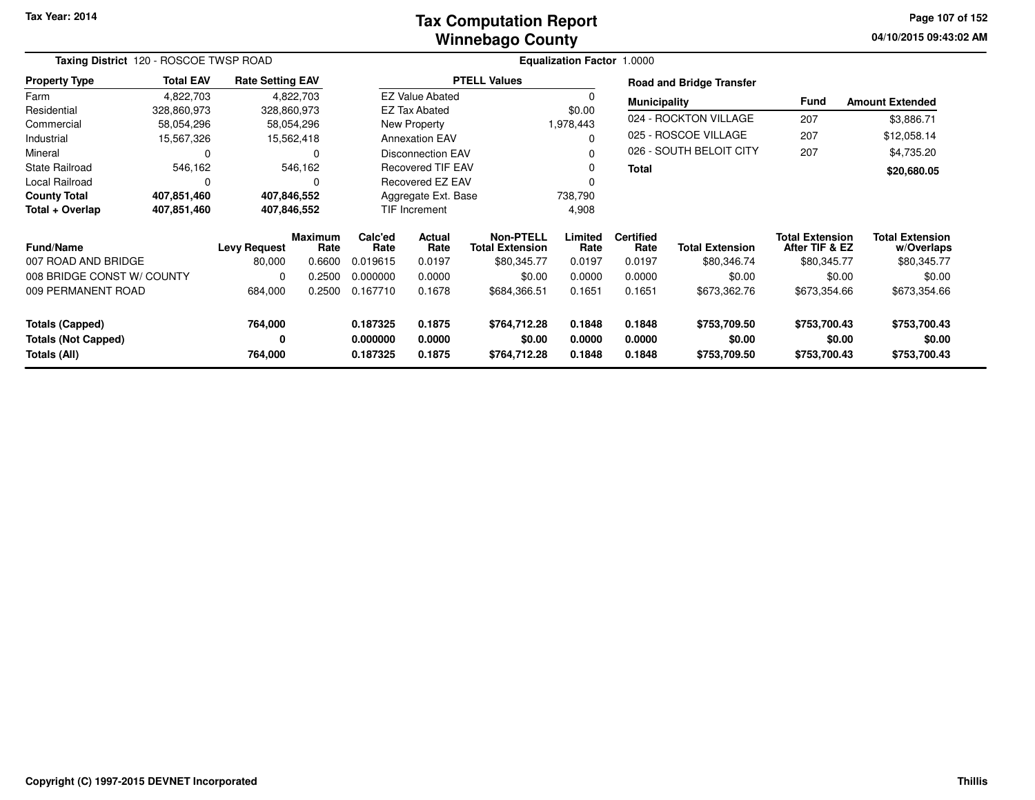#### **Winnebago CountyTax Computation Report**

**04/10/2015 09:43:02 AM Page 107 of 152**

|                            | Taxing District 120 - ROSCOE TWSP ROAD |                         |                        |                 |                                                 |                     | Equalization Factor 1.0000          |                          |                                 |                                          |                                      |
|----------------------------|----------------------------------------|-------------------------|------------------------|-----------------|-------------------------------------------------|---------------------|-------------------------------------|--------------------------|---------------------------------|------------------------------------------|--------------------------------------|
| <b>Property Type</b>       | <b>Total EAV</b>                       | <b>Rate Setting EAV</b> |                        |                 |                                                 | <b>PTELL Values</b> |                                     |                          | <b>Road and Bridge Transfer</b> |                                          |                                      |
| Farm                       | 4,822,703                              |                         | 4,822,703              |                 | <b>EZ Value Abated</b>                          |                     |                                     | <b>Municipality</b>      |                                 | Fund                                     | <b>Amount Extended</b>               |
| Residential                | 328,860,973                            |                         | 328,860,973            |                 | <b>EZ Tax Abated</b>                            |                     | \$0.00                              |                          |                                 |                                          |                                      |
| Commercial                 | 58,054,296                             |                         | 58,054,296             |                 | New Property                                    |                     | 1,978,443                           |                          | 024 - ROCKTON VILLAGE           | 207                                      | \$3,886.71                           |
| Industrial                 | 15,567,326                             |                         | 15,562,418             |                 | <b>Annexation EAV</b>                           |                     |                                     |                          | 025 - ROSCOE VILLAGE            | 207                                      | \$12,058.14                          |
| Mineral                    | 0                                      |                         | $\Omega$               |                 | <b>Disconnection EAV</b>                        |                     |                                     |                          | 026 - SOUTH BELOIT CITY         | 207                                      | \$4,735.20                           |
| <b>State Railroad</b>      | 546,162                                |                         | 546,162                |                 | <b>Recovered TIF EAV</b>                        |                     | 0                                   | <b>Total</b>             |                                 |                                          | \$20,680.05                          |
| <b>Local Railroad</b>      | 0                                      |                         | $\Omega$               |                 | <b>Recovered EZ EAV</b>                         |                     |                                     |                          |                                 |                                          |                                      |
| <b>County Total</b>        | 407,851,460                            |                         | 407,846,552            |                 | Aggregate Ext. Base                             |                     | 738,790                             |                          |                                 |                                          |                                      |
| Total + Overlap            | 407,851,460                            |                         | 407,846,552            |                 | <b>TIF Increment</b>                            |                     | 4,908                               |                          |                                 |                                          |                                      |
| <b>Fund/Name</b>           |                                        | <b>Levy Request</b>     | <b>Maximum</b><br>Rate | Calc'ed<br>Rate | <b>Actual</b><br>Rate<br><b>Total Extension</b> |                     | <b>Non-PTELL</b><br>Limited<br>Rate | <b>Certified</b><br>Rate | <b>Total Extension</b>          | <b>Total Extension</b><br>After TIF & EZ | <b>Total Extension</b><br>w/Overlaps |
| 007 ROAD AND BRIDGE        |                                        | 80,000                  | 0.6600                 | 0.019615        | 0.0197                                          | \$80,345.77         | 0.0197                              | 0.0197                   | \$80,346.74                     | \$80,345.77                              | \$80,345.77                          |
| 008 BRIDGE CONST W/ COUNTY |                                        | 0                       | 0.2500                 | 0.000000        | 0.0000                                          | \$0.00              | 0.0000                              | 0.0000                   | \$0.00                          | \$0.00                                   | \$0.00                               |
| 009 PERMANENT ROAD         |                                        | 684,000                 | 0.2500                 | 0.167710        | 0.1678                                          | \$684,366.51        | 0.1651                              | 0.1651                   | \$673,362.76                    | \$673,354.66                             | \$673,354.66                         |
| <b>Totals (Capped)</b>     |                                        | 764,000                 |                        | 0.187325        | 0.1875                                          | \$764,712.28        | 0.1848                              | 0.1848                   | \$753,709.50                    | \$753,700.43                             | \$753,700.43                         |
| <b>Totals (Not Capped)</b> |                                        | 0                       |                        | 0.000000        | 0.0000                                          | \$0.00              | 0.0000                              | 0.0000                   | \$0.00                          | \$0.00                                   | \$0.00                               |
| Totals (All)               |                                        | 764,000                 |                        | 0.187325        | 0.1875                                          | \$764,712.28        | 0.1848                              | 0.1848                   | \$753,709.50                    | \$753,700.43                             | \$753,700.43                         |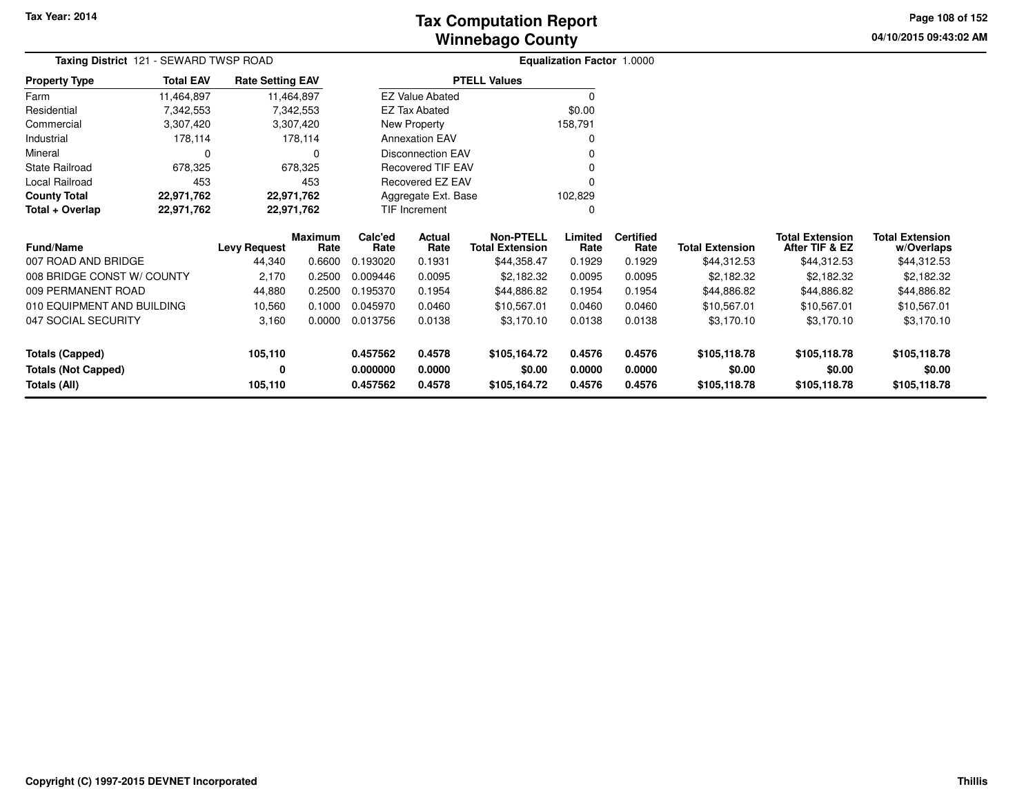**04/10/2015 09:43:02 AM Page 108 of 152**

|                            | Taxing District 121 - SEWARD TWSP ROAD |                         |                 |                 |                          |                                            | Equalization Factor 1.0000 |                          |                        |                                          |                                      |  |
|----------------------------|----------------------------------------|-------------------------|-----------------|-----------------|--------------------------|--------------------------------------------|----------------------------|--------------------------|------------------------|------------------------------------------|--------------------------------------|--|
| <b>Property Type</b>       | <b>Total EAV</b>                       | <b>Rate Setting EAV</b> |                 |                 |                          | <b>PTELL Values</b>                        |                            |                          |                        |                                          |                                      |  |
| Farm                       | 11,464,897                             |                         | 11,464,897      |                 | <b>EZ Value Abated</b>   |                                            | $\Omega$                   |                          |                        |                                          |                                      |  |
| Residential                | 7,342,553                              |                         | 7,342,553       |                 | <b>EZ Tax Abated</b>     |                                            | \$0.00                     |                          |                        |                                          |                                      |  |
| Commercial                 | 3,307,420                              |                         | 3,307,420       |                 | New Property             |                                            | 158,791                    |                          |                        |                                          |                                      |  |
| Industrial                 | 178,114                                |                         | 178,114         |                 | <b>Annexation EAV</b>    |                                            | O                          |                          |                        |                                          |                                      |  |
| Mineral                    | 0                                      |                         | 0               |                 | <b>Disconnection EAV</b> |                                            | 0                          |                          |                        |                                          |                                      |  |
| <b>State Railroad</b>      | 678,325                                |                         | 678,325         |                 | <b>Recovered TIF EAV</b> |                                            | 0                          |                          |                        |                                          |                                      |  |
| Local Railroad             | 453                                    |                         | 453             |                 | <b>Recovered EZ EAV</b>  |                                            | 0                          |                          |                        |                                          |                                      |  |
| <b>County Total</b>        | 22,971,762                             |                         | 22,971,762      |                 | Aggregate Ext. Base      |                                            | 102,829                    |                          |                        |                                          |                                      |  |
| Total + Overlap            | 22,971,762                             |                         | 22,971,762      |                 | <b>TIF Increment</b>     |                                            | 0                          |                          |                        |                                          |                                      |  |
| <b>Fund/Name</b>           | <b>Levy Request</b>                    |                         | Maximum<br>Rate | Calc'ed<br>Rate | Actual<br>Rate           | <b>Non-PTELL</b><br><b>Total Extension</b> | Limited<br>Rate            | <b>Certified</b><br>Rate | <b>Total Extension</b> | <b>Total Extension</b><br>After TIF & EZ | <b>Total Extension</b><br>w/Overlaps |  |
| 007 ROAD AND BRIDGE        |                                        | 44,340                  | 0.6600          | 0.193020        | 0.1931                   | \$44,358.47                                | 0.1929                     | 0.1929                   | \$44,312.53            | \$44,312.53                              | \$44,312.53                          |  |
| 008 BRIDGE CONST W/ COUNTY |                                        | 2,170                   | 0.2500          | 0.009446        | 0.0095                   | \$2,182.32                                 | 0.0095                     | 0.0095                   | \$2,182.32             | \$2,182.32                               | \$2,182.32                           |  |
| 009 PERMANENT ROAD         |                                        | 44,880                  | 0.2500          | 0.195370        | 0.1954                   | \$44,886.82                                | 0.1954                     | 0.1954                   | \$44,886.82            | \$44,886.82                              | \$44,886.82                          |  |
| 010 EQUIPMENT AND BUILDING |                                        | 10,560                  | 0.1000          | 0.045970        | 0.0460                   | \$10,567.01                                | 0.0460                     | 0.0460                   | \$10,567.01            | \$10,567.01                              | \$10,567.01                          |  |
| 047 SOCIAL SECURITY        |                                        | 3,160                   | 0.0000          | 0.013756        | 0.0138                   | \$3,170.10                                 | 0.0138                     | 0.0138                   | \$3,170.10             | \$3,170.10                               | \$3,170.10                           |  |
| <b>Totals (Capped)</b>     |                                        | 105,110                 |                 | 0.457562        | 0.4578                   | \$105,164.72                               | 0.4576                     | 0.4576                   | \$105,118.78           | \$105,118.78                             | \$105,118.78                         |  |
| <b>Totals (Not Capped)</b> |                                        | 0                       |                 | 0.000000        | 0.0000                   | \$0.00                                     | 0.0000                     | 0.0000                   | \$0.00                 | \$0.00                                   | \$0.00                               |  |
| Totals (All)               |                                        | 105,110                 |                 | 0.457562        | 0.4578                   | \$105,164.72                               | 0.4576                     | 0.4576                   | \$105,118.78           | \$105,118.78                             | \$105,118.78                         |  |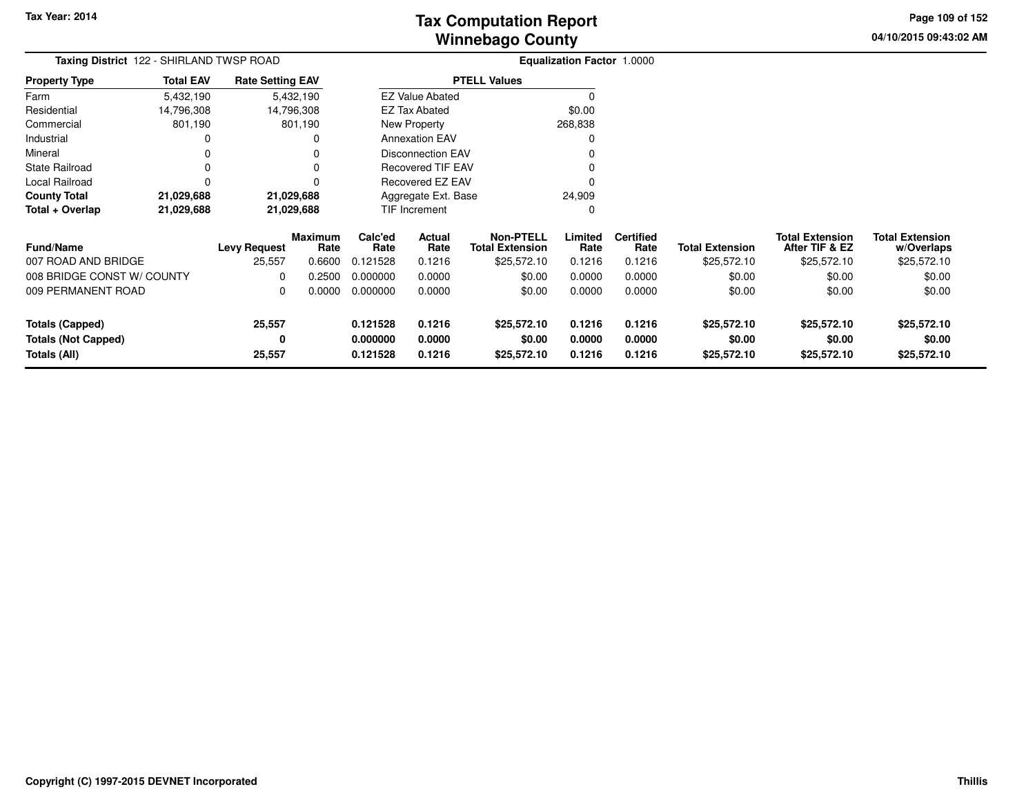**04/10/2015 09:43:02 AM Page 109 of 152**

| <b>Taxing District</b> 122 - SHIRLAND TWSP ROAD |                  |                             |                        |                               |                          |                                            | <b>Equalization Factor 1.0000</b> |                          |                        |                                          |                                      |
|-------------------------------------------------|------------------|-----------------------------|------------------------|-------------------------------|--------------------------|--------------------------------------------|-----------------------------------|--------------------------|------------------------|------------------------------------------|--------------------------------------|
| <b>Property Type</b>                            | <b>Total EAV</b> | <b>Rate Setting EAV</b>     |                        |                               |                          | <b>PTELL Values</b>                        |                                   |                          |                        |                                          |                                      |
| Farm                                            | 5,432,190        |                             | 5,432,190              |                               | <b>EZ Value Abated</b>   |                                            |                                   |                          |                        |                                          |                                      |
| Residential                                     | 14,796,308       |                             | 14,796,308             |                               | EZ Tax Abated            |                                            | \$0.00                            |                          |                        |                                          |                                      |
| Commercial                                      | 801,190          |                             | 801,190                |                               | New Property             |                                            | 268,838                           |                          |                        |                                          |                                      |
| Industrial                                      | 0                |                             | 0                      |                               | <b>Annexation EAV</b>    |                                            | 0                                 |                          |                        |                                          |                                      |
| Mineral                                         | 0                |                             |                        |                               | <b>Disconnection EAV</b> |                                            |                                   |                          |                        |                                          |                                      |
| <b>State Railroad</b>                           | 0                |                             | 0                      |                               | <b>Recovered TIF EAV</b> |                                            |                                   |                          |                        |                                          |                                      |
| Local Railroad                                  | 0                |                             | 0                      |                               | Recovered EZ EAV         |                                            |                                   |                          |                        |                                          |                                      |
| <b>County Total</b>                             | 21,029,688       |                             | 21,029,688             | Aggregate Ext. Base<br>24,909 |                          |                                            |                                   |                          |                        |                                          |                                      |
| Total + Overlap                                 | 21,029,688       | 21,029,688<br>TIF Increment |                        |                               |                          | 0                                          |                                   |                          |                        |                                          |                                      |
| <b>Fund/Name</b>                                |                  | <b>Levy Request</b>         | <b>Maximum</b><br>Rate | Calc'ed<br>Rate               | Actual<br>Rate           | <b>Non-PTELL</b><br><b>Total Extension</b> | Limited<br>Rate                   | <b>Certified</b><br>Rate | <b>Total Extension</b> | <b>Total Extension</b><br>After TIF & EZ | <b>Total Extension</b><br>w/Overlaps |
| 007 ROAD AND BRIDGE                             |                  | 25,557                      | 0.6600                 | 0.121528                      | 0.1216                   | \$25,572.10                                | 0.1216                            | 0.1216                   | \$25,572.10            | \$25,572.10                              | \$25,572.10                          |
| 008 BRIDGE CONST W/ COUNTY                      |                  | 0                           | 0.2500                 | 0.000000                      | 0.0000                   | \$0.00                                     | 0.0000                            | 0.0000                   | \$0.00                 | \$0.00                                   | \$0.00                               |
| 009 PERMANENT ROAD                              |                  | 0                           | 0.0000                 | 0.000000                      | 0.0000                   | \$0.00                                     | 0.0000                            | 0.0000                   | \$0.00                 | \$0.00                                   | \$0.00                               |
| <b>Totals (Capped)</b>                          |                  | 25,557                      |                        | 0.121528                      | 0.1216                   | \$25,572.10                                | 0.1216                            | 0.1216                   | \$25,572.10            | \$25,572.10                              | \$25,572.10                          |
| <b>Totals (Not Capped)</b>                      |                  | 0                           |                        | 0.000000<br>0.121528          | 0.0000<br>0.1216         | \$0.00<br>\$25,572.10                      | 0.0000<br>0.1216                  | 0.0000<br>0.1216         | \$0.00                 | \$0.00                                   | \$0.00                               |
| Totals (All)                                    |                  | 25,557                      |                        |                               |                          |                                            |                                   |                          | \$25,572.10            | \$25,572.10                              | \$25,572.10                          |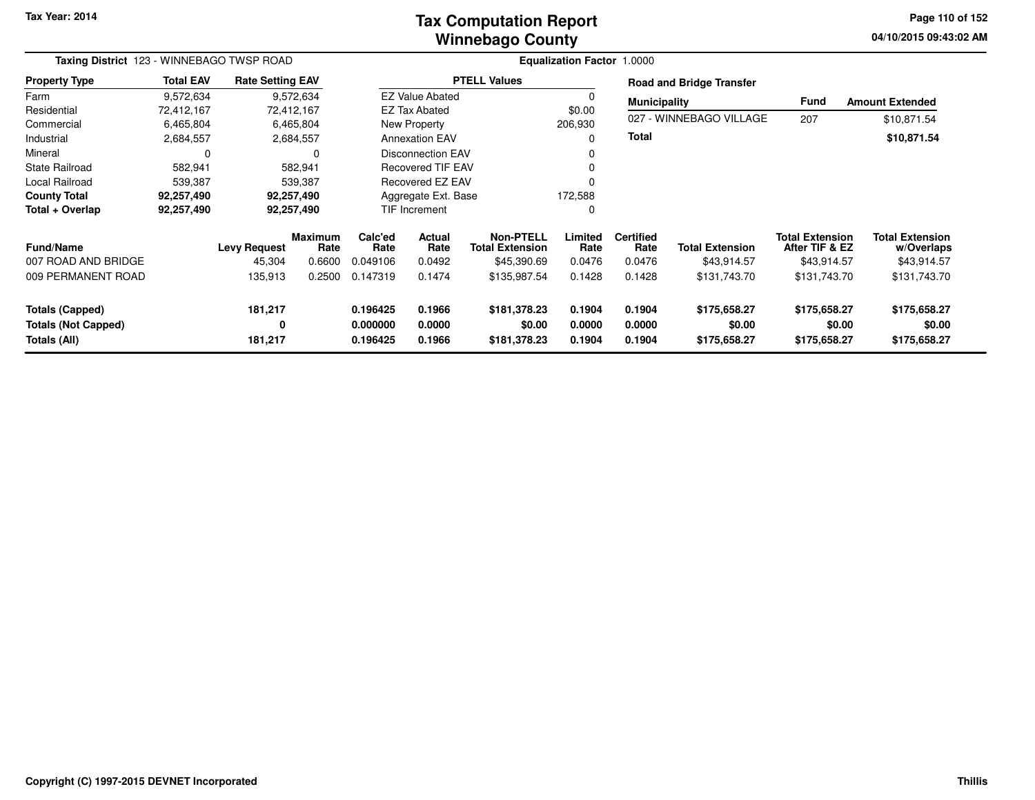**Tax Year: 2014**

## **Winnebago CountyTax Computation Report**

**04/10/2015 09:43:02 AM Page 110 of 152**

| Taxing District 123 - WINNEBAGO TWSP ROAD                            |                  |                               |                                  | <b>Equalization Factor 1.0000</b> |                            |                                                           |                            |                                    |                                        |                                                         |                                                     |
|----------------------------------------------------------------------|------------------|-------------------------------|----------------------------------|-----------------------------------|----------------------------|-----------------------------------------------------------|----------------------------|------------------------------------|----------------------------------------|---------------------------------------------------------|-----------------------------------------------------|
| <b>Property Type</b>                                                 | <b>Total EAV</b> | <b>Rate Setting EAV</b>       |                                  |                                   |                            | <b>PTELL Values</b>                                       |                            |                                    | <b>Road and Bridge Transfer</b>        |                                                         |                                                     |
| Farm                                                                 | 9,572,634        |                               | 9,572,634                        |                                   | <b>EZ Value Abated</b>     |                                                           |                            | <b>Municipality</b>                |                                        | <b>Fund</b>                                             | <b>Amount Extended</b>                              |
| Residential                                                          | 72,412,167       |                               | 72,412,167                       |                                   | <b>EZ Tax Abated</b>       |                                                           | \$0.00                     |                                    |                                        |                                                         |                                                     |
| Commercial                                                           | 6,465,804        |                               | 6,465,804                        |                                   | New Property               |                                                           | 206,930                    |                                    | 027 - WINNEBAGO VILLAGE                | 207                                                     | \$10,871.54                                         |
| Industrial                                                           | 2,684,557        |                               | 2,684,557                        |                                   | <b>Annexation EAV</b>      |                                                           |                            | <b>Total</b>                       |                                        |                                                         | \$10,871.54                                         |
| Mineral                                                              | 0                |                               | 0                                |                                   | <b>Disconnection EAV</b>   |                                                           |                            |                                    |                                        |                                                         |                                                     |
| <b>State Railroad</b>                                                | 582,941          |                               | 582,941                          |                                   | <b>Recovered TIF EAV</b>   |                                                           |                            |                                    |                                        |                                                         |                                                     |
| Local Railroad                                                       | 539,387          |                               | 539,387                          |                                   | Recovered EZ EAV           |                                                           |                            |                                    |                                        |                                                         |                                                     |
| <b>County Total</b>                                                  | 92,257,490       |                               | 92,257,490                       |                                   | Aggregate Ext. Base        |                                                           |                            |                                    |                                        |                                                         |                                                     |
| Total + Overlap                                                      | 92,257,490       |                               | 92,257,490                       |                                   | <b>TIF Increment</b>       |                                                           |                            |                                    |                                        |                                                         |                                                     |
| <b>Fund/Name</b><br>007 ROAD AND BRIDGE                              |                  | <b>Levy Request</b><br>45,304 | <b>Maximum</b><br>Rate<br>0.6600 | Calc'ed<br>Rate<br>0.049106       | Actual<br>Rate<br>0.0492   | <b>Non-PTELL</b><br><b>Total Extension</b><br>\$45,390.69 | Limited<br>Rate<br>0.0476  | <b>Certified</b><br>Rate<br>0.0476 | <b>Total Extension</b><br>\$43,914.57  | <b>Total Extension</b><br>After TIF & EZ<br>\$43,914.57 | <b>Total Extension</b><br>w/Overlaps<br>\$43,914.57 |
| 009 PERMANENT ROAD                                                   |                  | 135,913                       | 0.2500                           | 0.147319                          | 0.1474                     | \$135,987.54                                              | 0.1428                     | 0.1428                             | \$131,743.70                           | \$131,743.70                                            | \$131,743.70                                        |
| <b>Totals (Capped)</b><br><b>Totals (Not Capped)</b><br>Totals (All) |                  | 181,217<br>0<br>181,217       |                                  | 0.196425<br>0.000000<br>0.196425  | 0.1966<br>0.0000<br>0.1966 | \$181,378.23<br>\$0.00<br>\$181,378.23                    | 0.1904<br>0.0000<br>0.1904 | 0.1904<br>0.0000<br>0.1904         | \$175,658.27<br>\$0.00<br>\$175,658.27 | \$175,658.27<br>\$0.00<br>\$175,658.27                  | \$175,658.27<br>\$0.00<br>\$175,658.27              |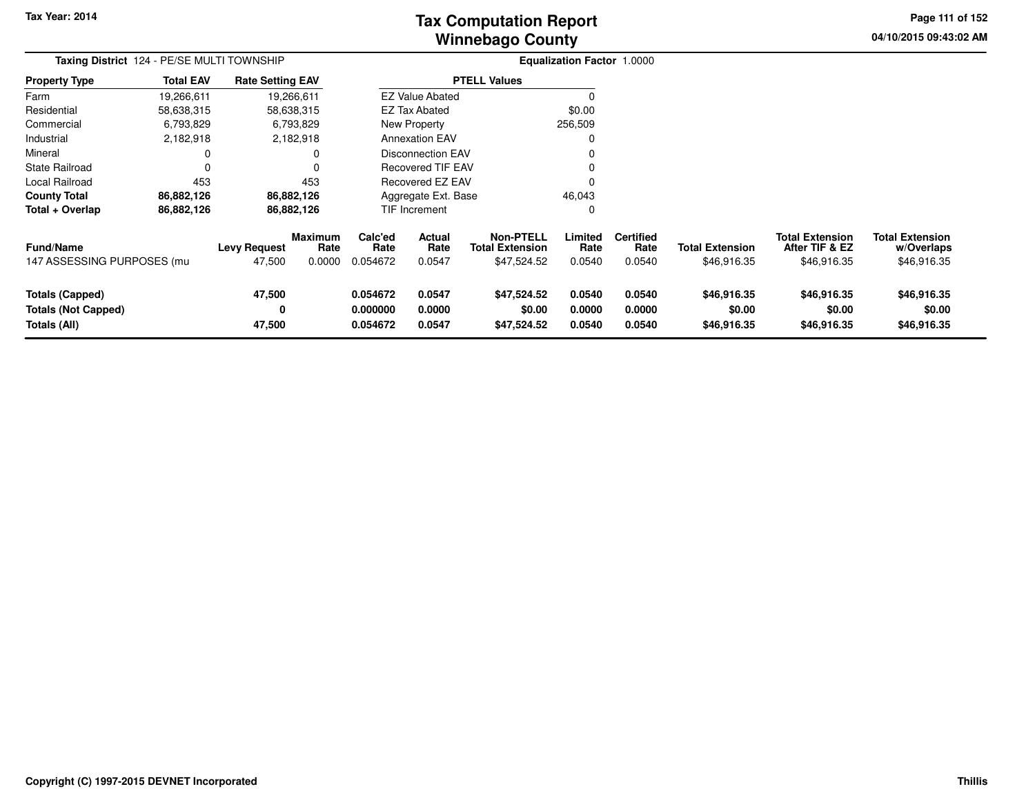**Tax Year: 2014**

# **Winnebago CountyTax Computation Report**

**04/10/2015 09:43:02 AM Page 111 of 152**

| Taxing District 124 - PE/SE MULTI TOWNSHIP<br><b>Rate Setting EAV</b> |                  |                               |                                  |                                  |                               |                                                    | Equalization Factor 1.0000 |                                    |                                       |                                                         |                                                     |
|-----------------------------------------------------------------------|------------------|-------------------------------|----------------------------------|----------------------------------|-------------------------------|----------------------------------------------------|----------------------------|------------------------------------|---------------------------------------|---------------------------------------------------------|-----------------------------------------------------|
| <b>Property Type</b>                                                  | <b>Total EAV</b> |                               |                                  |                                  |                               | <b>PTELL Values</b>                                |                            |                                    |                                       |                                                         |                                                     |
| Farm                                                                  | 19,266,611       |                               | 19,266,611                       |                                  | <b>EZ Value Abated</b>        |                                                    |                            |                                    |                                       |                                                         |                                                     |
| Residential                                                           | 58,638,315       |                               | 58,638,315                       |                                  | <b>EZ Tax Abated</b>          |                                                    | \$0.00                     |                                    |                                       |                                                         |                                                     |
| Commercial                                                            | 6,793,829        |                               | 6,793,829                        |                                  | New Property                  |                                                    | 256,509                    |                                    |                                       |                                                         |                                                     |
| Industrial                                                            | 2,182,918        |                               | 2,182,918                        |                                  | <b>Annexation EAV</b>         |                                                    |                            |                                    |                                       |                                                         |                                                     |
| Mineral                                                               |                  |                               | 0                                |                                  | <b>Disconnection EAV</b>      |                                                    |                            |                                    |                                       |                                                         |                                                     |
| <b>State Railroad</b>                                                 |                  |                               | 0                                |                                  | <b>Recovered TIF EAV</b>      |                                                    |                            |                                    |                                       |                                                         |                                                     |
| Local Railroad                                                        | 453              |                               | 453                              |                                  | Recovered EZ EAV              |                                                    |                            |                                    |                                       |                                                         |                                                     |
| <b>County Total</b>                                                   | 86,882,126       |                               | 86,882,126                       |                                  | 46,043<br>Aggregate Ext. Base |                                                    |                            |                                    |                                       |                                                         |                                                     |
| Total + Overlap                                                       | 86,882,126       |                               | 86,882,126                       |                                  | TIF Increment                 |                                                    |                            |                                    |                                       |                                                         |                                                     |
| <b>Fund/Name</b><br>147 ASSESSING PURPOSES (mu                        |                  | <b>Levy Request</b><br>47,500 | <b>Maximum</b><br>Rate<br>0.0000 | Calc'ed<br>Rate<br>0.054672      | Actual<br>Rate<br>0.0547      | Non-PTELL<br><b>Total Extension</b><br>\$47,524.52 | Limited<br>Rate<br>0.0540  | <b>Certified</b><br>Rate<br>0.0540 | <b>Total Extension</b><br>\$46,916.35 | <b>Total Extension</b><br>After TIF & EZ<br>\$46,916.35 | <b>Total Extension</b><br>w/Overlaps<br>\$46,916.35 |
| <b>Totals (Capped)</b><br><b>Totals (Not Capped)</b><br>Totals (All)  |                  | 47,500<br>0<br>47,500         |                                  | 0.054672<br>0.000000<br>0.054672 | 0.0547<br>0.0000<br>0.0547    | \$47,524.52<br>\$0.00<br>\$47,524.52               | 0.0540<br>0.0000<br>0.0540 | 0.0540<br>0.0000<br>0.0540         | \$46,916.35<br>\$0.00<br>\$46,916.35  | \$46,916.35<br>\$0.00<br>\$46,916.35                    | \$46,916.35<br>\$0.00<br>\$46,916.35                |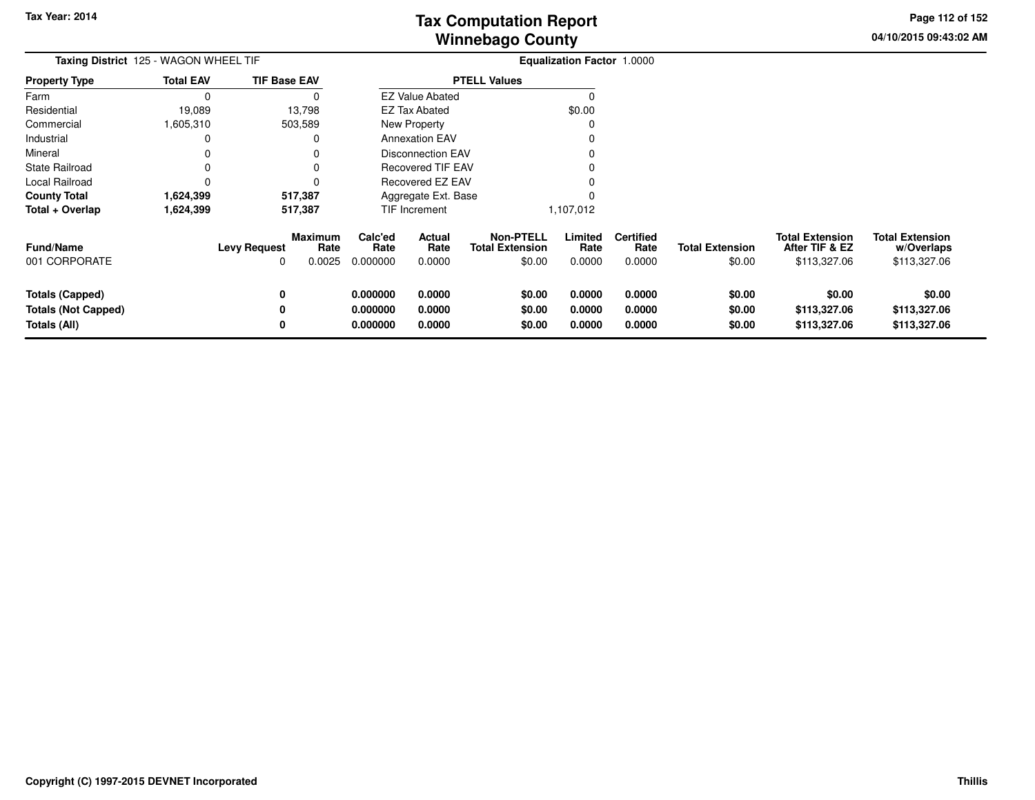**04/10/2015 09:43:02 AMPage 112 of 152**

|                  |                          |                                       | <b>Equalization Factor 1.0000</b>                                                |                            |                                                              |                                                                                                                                             |                                    |                                  |                                                          |                                                      |
|------------------|--------------------------|---------------------------------------|----------------------------------------------------------------------------------|----------------------------|--------------------------------------------------------------|---------------------------------------------------------------------------------------------------------------------------------------------|------------------------------------|----------------------------------|----------------------------------------------------------|------------------------------------------------------|
| <b>Total EAV</b> |                          |                                       |                                                                                  |                            |                                                              |                                                                                                                                             |                                    |                                  |                                                          |                                                      |
| 0                |                          | O                                     |                                                                                  |                            |                                                              | 0                                                                                                                                           |                                    |                                  |                                                          |                                                      |
| 19,089           |                          |                                       |                                                                                  |                            |                                                              | \$0.00                                                                                                                                      |                                    |                                  |                                                          |                                                      |
| 1,605,310        |                          |                                       |                                                                                  |                            |                                                              | O                                                                                                                                           |                                    |                                  |                                                          |                                                      |
| 0                |                          |                                       |                                                                                  |                            |                                                              |                                                                                                                                             |                                    |                                  |                                                          |                                                      |
|                  |                          |                                       |                                                                                  |                            |                                                              |                                                                                                                                             |                                    |                                  |                                                          |                                                      |
| 0                |                          |                                       |                                                                                  |                            |                                                              |                                                                                                                                             |                                    |                                  |                                                          |                                                      |
| 0                |                          |                                       |                                                                                  |                            |                                                              |                                                                                                                                             |                                    |                                  |                                                          |                                                      |
| 1,624,399        |                          |                                       | Aggregate Ext. Base                                                              |                            |                                                              |                                                                                                                                             |                                    |                                  |                                                          |                                                      |
| 1,624,399        |                          |                                       |                                                                                  |                            |                                                              |                                                                                                                                             |                                    |                                  |                                                          |                                                      |
|                  | <b>Levy Request</b><br>0 | Rate<br>0.0025                        | Calc'ed<br>Rate<br>0.000000                                                      | Actual<br>Rate<br>0.0000   | <b>Non-PTELL</b><br><b>Total Extension</b><br>\$0.00         | Limited<br>Rate<br>0.0000                                                                                                                   | <b>Certified</b><br>Rate<br>0.0000 | <b>Total Extension</b><br>\$0.00 | <b>Total Extension</b><br>After TIF & EZ<br>\$113,327.06 | <b>Total Extension</b><br>w/Overlaps<br>\$113,327.06 |
|                  | 0<br>0<br>0              |                                       | 0.000000<br>0.000000<br>0.000000                                                 | 0.0000<br>0.0000<br>0.0000 | \$0.00<br>\$0.00<br>\$0.00                                   | 0.0000<br>0.0000<br>0.0000                                                                                                                  | 0.0000<br>0.0000<br>0.0000         | \$0.00<br>\$0.00<br>\$0.00       | \$0.00<br>\$113,327.06<br>\$113,327.06                   | \$0.00<br>\$113,327.06<br>\$113,327.06               |
|                  |                          | Taxing District 125 - WAGON WHEEL TIF | <b>TIF Base EAV</b><br>13,798<br>503,589<br>517,387<br>517,387<br><b>Maximum</b> |                            | <b>EZ Tax Abated</b><br>New Property<br><b>TIF Increment</b> | <b>PTELL Values</b><br><b>EZ Value Abated</b><br><b>Annexation EAV</b><br>Disconnection EAV<br><b>Recovered TIF EAV</b><br>Recovered EZ EAV | 1,107,012                          |                                  |                                                          |                                                      |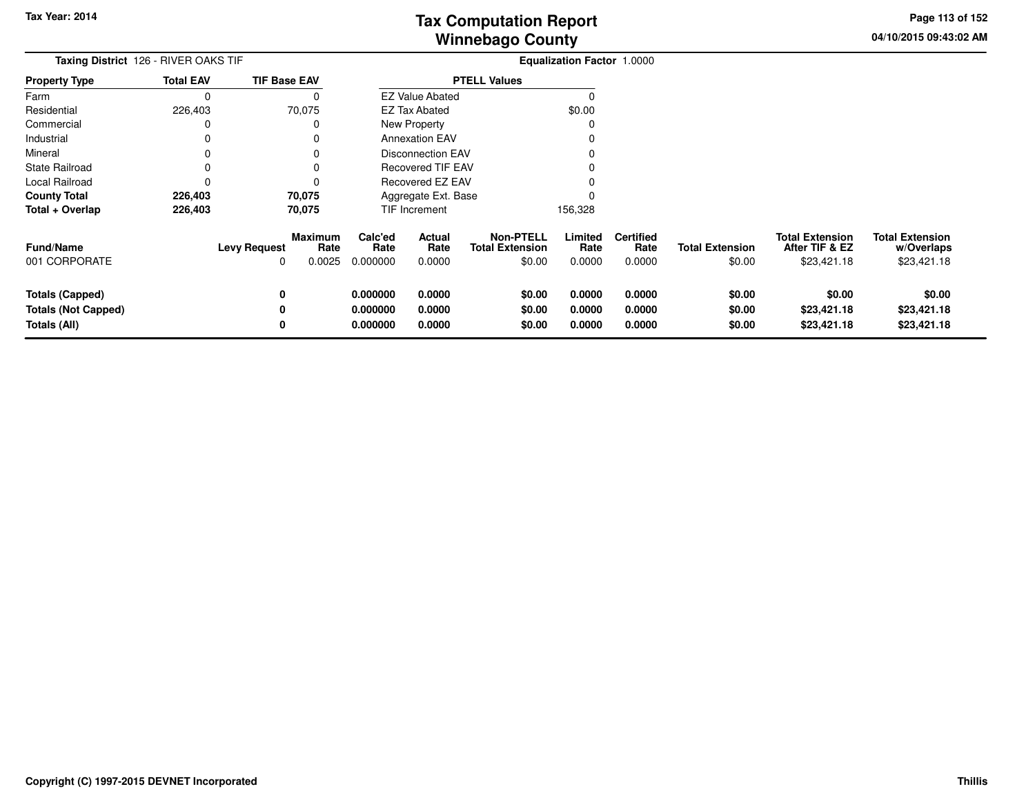**04/10/2015 09:43:02 AM Page 113 of 152**

| <b>Taxing District</b> 126 - RIVER OAKS TIF                          |                  |                     |                           |                                  |                            |                                                      | Equalization Factor 1.0000 |                                    |                                  |                                                         |                                                     |
|----------------------------------------------------------------------|------------------|---------------------|---------------------------|----------------------------------|----------------------------|------------------------------------------------------|----------------------------|------------------------------------|----------------------------------|---------------------------------------------------------|-----------------------------------------------------|
| <b>Property Type</b>                                                 | <b>Total EAV</b> | <b>TIF Base EAV</b> |                           |                                  |                            | <b>PTELL Values</b>                                  |                            |                                    |                                  |                                                         |                                                     |
| Farm                                                                 | $\Omega$         |                     | 0                         |                                  | <b>EZ Value Abated</b>     |                                                      | $\Omega$                   |                                    |                                  |                                                         |                                                     |
| Residential                                                          | 226,403          | 70,075              |                           |                                  | EZ Tax Abated              |                                                      | \$0.00                     |                                    |                                  |                                                         |                                                     |
| Commercial                                                           | 0                |                     | 0                         |                                  | New Property               |                                                      | C                          |                                    |                                  |                                                         |                                                     |
| Industrial                                                           | 0                |                     | 0                         |                                  | <b>Annexation EAV</b>      |                                                      |                            |                                    |                                  |                                                         |                                                     |
| Mineral                                                              | 0                |                     | 0                         |                                  | <b>Disconnection EAV</b>   |                                                      |                            |                                    |                                  |                                                         |                                                     |
| <b>State Railroad</b>                                                | 0                |                     |                           |                                  | <b>Recovered TIF EAV</b>   |                                                      |                            |                                    |                                  |                                                         |                                                     |
| Local Railroad                                                       | 0                |                     | 0                         |                                  | Recovered EZ EAV           |                                                      |                            |                                    |                                  |                                                         |                                                     |
| <b>County Total</b>                                                  | 226,403          | 70,075              |                           |                                  | Aggregate Ext. Base        |                                                      |                            |                                    |                                  |                                                         |                                                     |
| Total + Overlap                                                      | 226,403          | 70,075              |                           |                                  | TIF Increment              |                                                      | 156,328                    |                                    |                                  |                                                         |                                                     |
| <b>Fund/Name</b><br>001 CORPORATE                                    |                  | <b>Levy Request</b> | Maximum<br>Rate<br>0.0025 | Calc'ed<br>Rate<br>0.000000      | Actual<br>Rate<br>0.0000   | <b>Non-PTELL</b><br><b>Total Extension</b><br>\$0.00 | Limited<br>Rate<br>0.0000  | <b>Certified</b><br>Rate<br>0.0000 | <b>Total Extension</b><br>\$0.00 | <b>Total Extension</b><br>After TIF & EZ<br>\$23,421.18 | <b>Total Extension</b><br>w/Overlaps<br>\$23,421.18 |
| <b>Totals (Capped)</b><br><b>Totals (Not Capped)</b><br>Totals (All) |                  | 0                   |                           | 0.000000<br>0.000000<br>0.000000 | 0.0000<br>0.0000<br>0.0000 | \$0.00<br>\$0.00<br>\$0.00                           | 0.0000<br>0.0000<br>0.0000 | 0.0000<br>0.0000<br>0.0000         | \$0.00<br>\$0.00<br>\$0.00       | \$0.00<br>\$23,421.18<br>\$23,421.18                    | \$0.00<br>\$23,421.18<br>\$23,421.18                |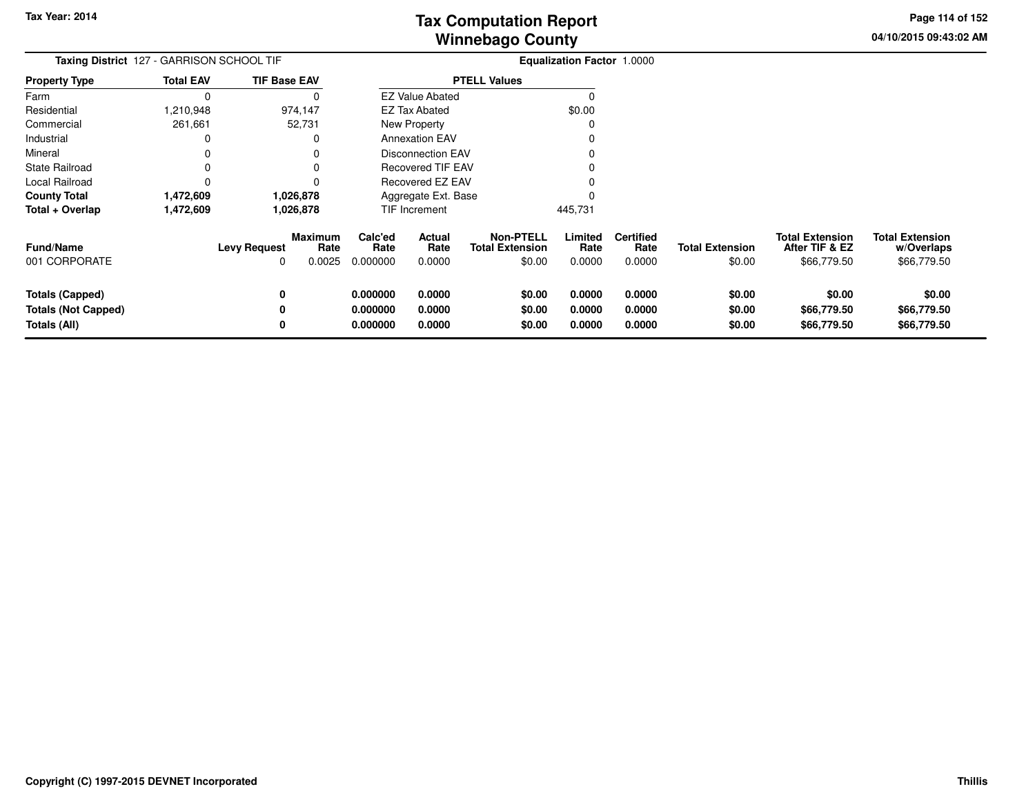**04/10/2015 09:43:02 AMPage 114 of 152**

| <b>Taxing District</b> 127 - GARRISON SCHOOL TIF                     |                  |                          |                                  |                                  |                            |                                                      | <b>Equalization Factor 1.0000</b> |                                    |                                  |                                                         |                                                     |
|----------------------------------------------------------------------|------------------|--------------------------|----------------------------------|----------------------------------|----------------------------|------------------------------------------------------|-----------------------------------|------------------------------------|----------------------------------|---------------------------------------------------------|-----------------------------------------------------|
| <b>Property Type</b>                                                 | <b>Total EAV</b> | <b>TIF Base EAV</b>      |                                  |                                  |                            | <b>PTELL Values</b>                                  |                                   |                                    |                                  |                                                         |                                                     |
| Farm                                                                 | 0                |                          |                                  |                                  | <b>EZ Value Abated</b>     |                                                      |                                   |                                    |                                  |                                                         |                                                     |
| Residential                                                          | <b>210,948</b>   |                          | 974,147                          |                                  | <b>EZ Tax Abated</b>       |                                                      | \$0.00                            |                                    |                                  |                                                         |                                                     |
| Commercial                                                           | 261,661          |                          | 52,731                           |                                  | New Property               |                                                      |                                   |                                    |                                  |                                                         |                                                     |
| Industrial                                                           |                  |                          |                                  |                                  | <b>Annexation EAV</b>      |                                                      |                                   |                                    |                                  |                                                         |                                                     |
| Mineral                                                              |                  |                          |                                  |                                  | <b>Disconnection EAV</b>   |                                                      |                                   |                                    |                                  |                                                         |                                                     |
| State Railroad                                                       |                  |                          |                                  |                                  | <b>Recovered TIF EAV</b>   |                                                      |                                   |                                    |                                  |                                                         |                                                     |
| Local Railroad                                                       | O                |                          |                                  |                                  | Recovered EZ EAV           |                                                      |                                   |                                    |                                  |                                                         |                                                     |
| <b>County Total</b>                                                  | 1,472,609        |                          | 1,026,878                        |                                  | Aggregate Ext. Base        |                                                      |                                   |                                    |                                  |                                                         |                                                     |
| Total + Overlap                                                      | 1,472,609        |                          | 1,026,878                        |                                  | TIF Increment              |                                                      | 445,731                           |                                    |                                  |                                                         |                                                     |
| <b>Fund/Name</b><br>001 CORPORATE                                    |                  | <b>Levy Request</b><br>0 | <b>Maximum</b><br>Rate<br>0.0025 | Calc'ed<br>Rate<br>0.000000      | Actual<br>Rate<br>0.0000   | <b>Non-PTELL</b><br><b>Total Extension</b><br>\$0.00 | Limited<br>Rate<br>0.0000         | <b>Certified</b><br>Rate<br>0.0000 | <b>Total Extension</b><br>\$0.00 | <b>Total Extension</b><br>After TIF & EZ<br>\$66,779.50 | <b>Total Extension</b><br>w/Overlaps<br>\$66,779.50 |
| <b>Totals (Capped)</b><br><b>Totals (Not Capped)</b><br>Totals (All) |                  | 0<br>0<br>0              |                                  | 0.000000<br>0.000000<br>0.000000 | 0.0000<br>0.0000<br>0.0000 | \$0.00<br>\$0.00<br>\$0.00                           | 0.0000<br>0.0000<br>0.0000        | 0.0000<br>0.0000<br>0.0000         | \$0.00<br>\$0.00<br>\$0.00       | \$0.00<br>\$66,779.50<br>\$66,779.50                    | \$0.00<br>\$66,779.50<br>\$66,779.50                |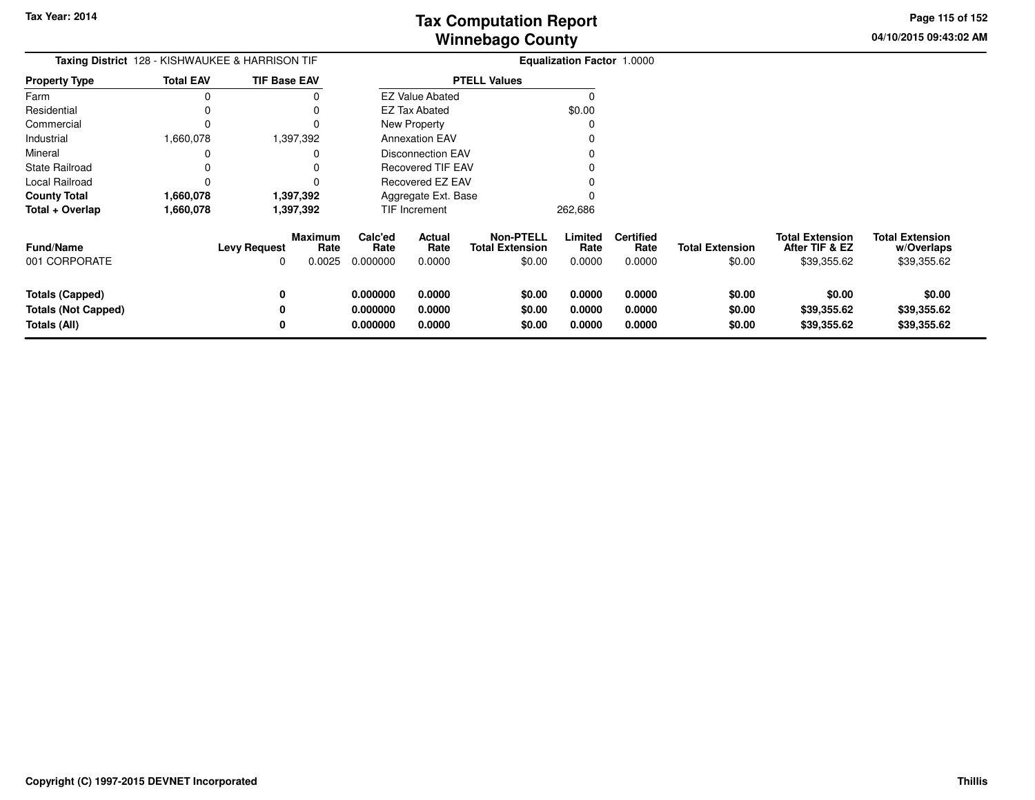**04/10/2015 09:43:02 AMPage 115 of 152**

| Taxing District 128 - KISHWAUKEE & HARRISON TIF |                  |                     |                           | <b>Equalization Factor 1.0000</b> |                          |                                                      |                           |                                    |                                  |                                                         |                                                     |
|-------------------------------------------------|------------------|---------------------|---------------------------|-----------------------------------|--------------------------|------------------------------------------------------|---------------------------|------------------------------------|----------------------------------|---------------------------------------------------------|-----------------------------------------------------|
| <b>Property Type</b>                            | <b>Total EAV</b> | <b>TIF Base EAV</b> |                           |                                   |                          | <b>PTELL Values</b>                                  |                           |                                    |                                  |                                                         |                                                     |
| Farm                                            |                  |                     |                           |                                   | <b>EZ Value Abated</b>   |                                                      | $\Omega$                  |                                    |                                  |                                                         |                                                     |
| Residential                                     |                  |                     |                           |                                   | <b>EZ Tax Abated</b>     |                                                      | \$0.00                    |                                    |                                  |                                                         |                                                     |
| Commercial                                      |                  |                     |                           |                                   | New Property             |                                                      |                           |                                    |                                  |                                                         |                                                     |
| Industrial                                      | 1,660,078        |                     | 1,397,392                 |                                   | <b>Annexation EAV</b>    |                                                      |                           |                                    |                                  |                                                         |                                                     |
| Mineral                                         |                  |                     |                           |                                   | <b>Disconnection EAV</b> |                                                      |                           |                                    |                                  |                                                         |                                                     |
| <b>State Railroad</b>                           |                  |                     |                           |                                   | Recovered TIF EAV        |                                                      |                           |                                    |                                  |                                                         |                                                     |
| Local Railroad                                  |                  |                     |                           |                                   | Recovered EZ EAV         |                                                      |                           |                                    |                                  |                                                         |                                                     |
| <b>County Total</b>                             | 1,660,078        |                     | 1,397,392                 | Aggregate Ext. Base               |                          |                                                      |                           |                                    |                                  |                                                         |                                                     |
| Total + Overlap                                 | 1,660,078        |                     | 1,397,392                 |                                   | TIF Increment            |                                                      | 262,686                   |                                    |                                  |                                                         |                                                     |
| <b>Fund/Name</b><br>001 CORPORATE               |                  | Levy Request        | Maximum<br>Rate<br>0.0025 | Calc'ed<br>Rate<br>0.000000       | Actual<br>Rate<br>0.0000 | <b>Non-PTELL</b><br><b>Total Extension</b><br>\$0.00 | Limited<br>Rate<br>0.0000 | <b>Certified</b><br>Rate<br>0.0000 | <b>Total Extension</b><br>\$0.00 | <b>Total Extension</b><br>After TIF & EZ<br>\$39,355.62 | <b>Total Extension</b><br>w/Overlaps<br>\$39,355.62 |
| <b>Totals (Capped)</b>                          |                  |                     |                           | 0.000000                          | 0.0000                   | \$0.00                                               | 0.0000                    | 0.0000                             | \$0.00                           | \$0.00                                                  | \$0.00                                              |
| <b>Totals (Not Capped)</b>                      |                  |                     |                           | 0.000000                          | 0.0000                   | \$0.00                                               | 0.0000                    | 0.0000                             | \$0.00                           | \$39,355.62                                             | \$39,355.62                                         |
| <b>Totals (All)</b>                             |                  |                     |                           | 0.000000                          | 0.0000                   | \$0.00                                               | 0.0000                    | 0.0000                             | \$0.00                           | \$39,355.62                                             | \$39,355.62                                         |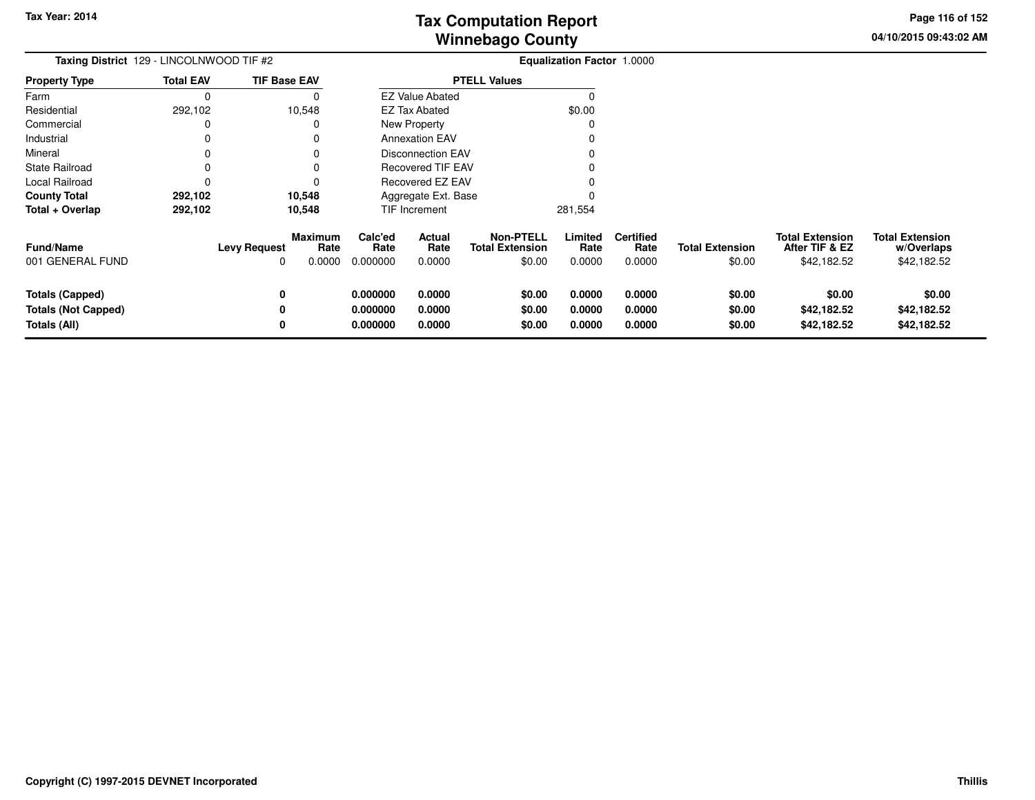**04/10/2015 09:43:02 AMPage 116 of 152**

| Taxing District 129 - LINCOLNWOOD TIF #2                             |                  |                          |                                  |                                  |                            |                                                      | Equalization Factor 1.0000 |                                    |                                  |                                                         |                                                     |
|----------------------------------------------------------------------|------------------|--------------------------|----------------------------------|----------------------------------|----------------------------|------------------------------------------------------|----------------------------|------------------------------------|----------------------------------|---------------------------------------------------------|-----------------------------------------------------|
| <b>Property Type</b>                                                 | <b>Total EAV</b> | <b>TIF Base EAV</b>      |                                  |                                  |                            | <b>PTELL Values</b>                                  |                            |                                    |                                  |                                                         |                                                     |
| Farm                                                                 | 0                |                          | 0                                |                                  | <b>EZ Value Abated</b>     |                                                      |                            |                                    |                                  |                                                         |                                                     |
| Residential                                                          | 292,102          |                          | 10,548                           |                                  | <b>EZ Tax Abated</b>       |                                                      | \$0.00                     |                                    |                                  |                                                         |                                                     |
| Commercial                                                           | 0                |                          | 0                                |                                  | <b>New Property</b>        |                                                      |                            |                                    |                                  |                                                         |                                                     |
| Industrial                                                           | 0                |                          | 0                                |                                  | <b>Annexation EAV</b>      |                                                      |                            |                                    |                                  |                                                         |                                                     |
| Mineral                                                              | 0                |                          | O                                |                                  | <b>Disconnection EAV</b>   |                                                      |                            |                                    |                                  |                                                         |                                                     |
| <b>State Railroad</b>                                                | 0                |                          | 0                                |                                  | <b>Recovered TIF EAV</b>   |                                                      |                            |                                    |                                  |                                                         |                                                     |
| Local Railroad                                                       | 0                |                          | 0                                |                                  | Recovered EZ EAV           |                                                      |                            |                                    |                                  |                                                         |                                                     |
| <b>County Total</b>                                                  | 292,102          |                          | 10,548                           | Aggregate Ext. Base              |                            |                                                      |                            |                                    |                                  |                                                         |                                                     |
| Total + Overlap                                                      | 292,102          |                          | 10,548                           |                                  | TIF Increment              |                                                      | 281,554                    |                                    |                                  |                                                         |                                                     |
| <b>Fund/Name</b><br>001 GENERAL FUND                                 |                  | <b>Levy Request</b><br>0 | <b>Maximum</b><br>Rate<br>0.0000 | Calc'ed<br>Rate<br>0.000000      | Actual<br>Rate<br>0.0000   | <b>Non-PTELL</b><br><b>Total Extension</b><br>\$0.00 | Limited<br>Rate<br>0.0000  | <b>Certified</b><br>Rate<br>0.0000 | <b>Total Extension</b><br>\$0.00 | <b>Total Extension</b><br>After TIF & EZ<br>\$42,182.52 | <b>Total Extension</b><br>w/Overlaps<br>\$42,182.52 |
| <b>Totals (Capped)</b><br><b>Totals (Not Capped)</b><br>Totals (All) |                  | 0<br>0<br>0              |                                  | 0.000000<br>0.000000<br>0.000000 | 0.0000<br>0.0000<br>0.0000 | \$0.00<br>\$0.00<br>\$0.00                           | 0.0000<br>0.0000<br>0.0000 | 0.0000<br>0.0000<br>0.0000         | \$0.00<br>\$0.00<br>\$0.00       | \$0.00<br>\$42,182.52<br>\$42,182.52                    | \$0.00<br>\$42,182.52<br>\$42,182.52                |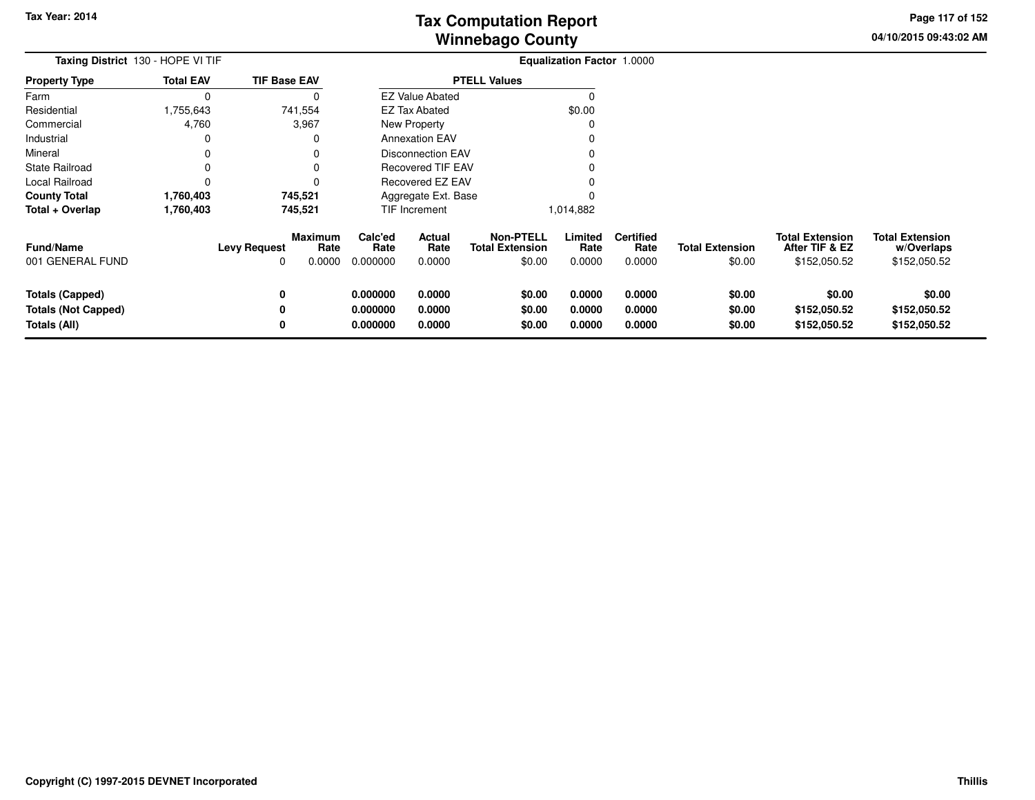**04/10/2015 09:43:02 AMPage 117 of 152**

> **w/Overlaps**\$152,050.52

| Taxing District 130 - HOPE VI TIF |                  |                                |                         |                          |                                            | Equalization Factor 1.0000 |                          |                        |                                          |                                      |
|-----------------------------------|------------------|--------------------------------|-------------------------|--------------------------|--------------------------------------------|----------------------------|--------------------------|------------------------|------------------------------------------|--------------------------------------|
| <b>Property Type</b>              | <b>Total EAV</b> | <b>TIF Base EAV</b>            |                         |                          | <b>PTELL Values</b>                        |                            |                          |                        |                                          |                                      |
| Farm                              |                  |                                |                         | <b>EZ Value Abated</b>   |                                            |                            |                          |                        |                                          |                                      |
| Residential                       | 1,755,643        | 741,554                        |                         | <b>EZ Tax Abated</b>     |                                            | \$0.00                     |                          |                        |                                          |                                      |
| Commercial                        | 4,760            | 3,967                          |                         | New Property             |                                            |                            |                          |                        |                                          |                                      |
| Industrial                        |                  |                                |                         | <b>Annexation EAV</b>    |                                            |                            |                          |                        |                                          |                                      |
| Mineral                           |                  |                                |                         | <b>Disconnection EAV</b> |                                            |                            |                          |                        |                                          |                                      |
| <b>State Railroad</b>             |                  |                                |                         | <b>Recovered TIF EAV</b> |                                            |                            |                          |                        |                                          |                                      |
| Local Railroad                    |                  |                                |                         | Recovered EZ EAV         |                                            |                            |                          |                        |                                          |                                      |
| <b>County Total</b>               | 1,760,403        | 745,521                        |                         | Aggregate Ext. Base      |                                            |                            |                          |                        |                                          |                                      |
| Total + Overlap                   | 1,760,403        | 745,521                        |                         | TIF Increment            |                                            | 1,014,882                  |                          |                        |                                          |                                      |
| <b>Fund/Name</b>                  |                  | Maximum<br><b>Levy Request</b> | Calc'ed<br>Rate<br>Rate | Actual<br>Rate           | <b>Non-PTELL</b><br><b>Total Extension</b> | Limited<br>Rate            | <b>Certified</b><br>Rate | <b>Total Extension</b> | <b>Total Extension</b><br>After TIF & EZ | <b>Total Extension</b><br>w/Overlaps |
| 001 GENERAL FUND                  |                  | 0.0000<br>0                    | 0.000000                | 0.0000                   | \$0.00                                     | 0.0000                     | 0.0000                   | \$0.00                 | \$152,050.52                             | \$152,050.52                         |
| Totals (Capped)                   |                  | 0                              | 0.000000                | 0.0000                   | \$0.00                                     | 0.0000                     | 0.0000                   | \$0.00                 | \$0.00                                   | \$0.00                               |
| <b>Totals (Not Capped)</b>        |                  |                                | 0.000000                | 0.0000                   | \$0.00                                     | 0.0000                     | 0.0000                   | \$0.00                 | \$152,050.52                             | \$152,050.52                         |
| Totals (All)                      |                  |                                | 0.000000                | 0.0000                   | \$0.00                                     | 0.0000                     | 0.0000                   | \$0.00                 | \$152,050.52                             | \$152,050.52                         |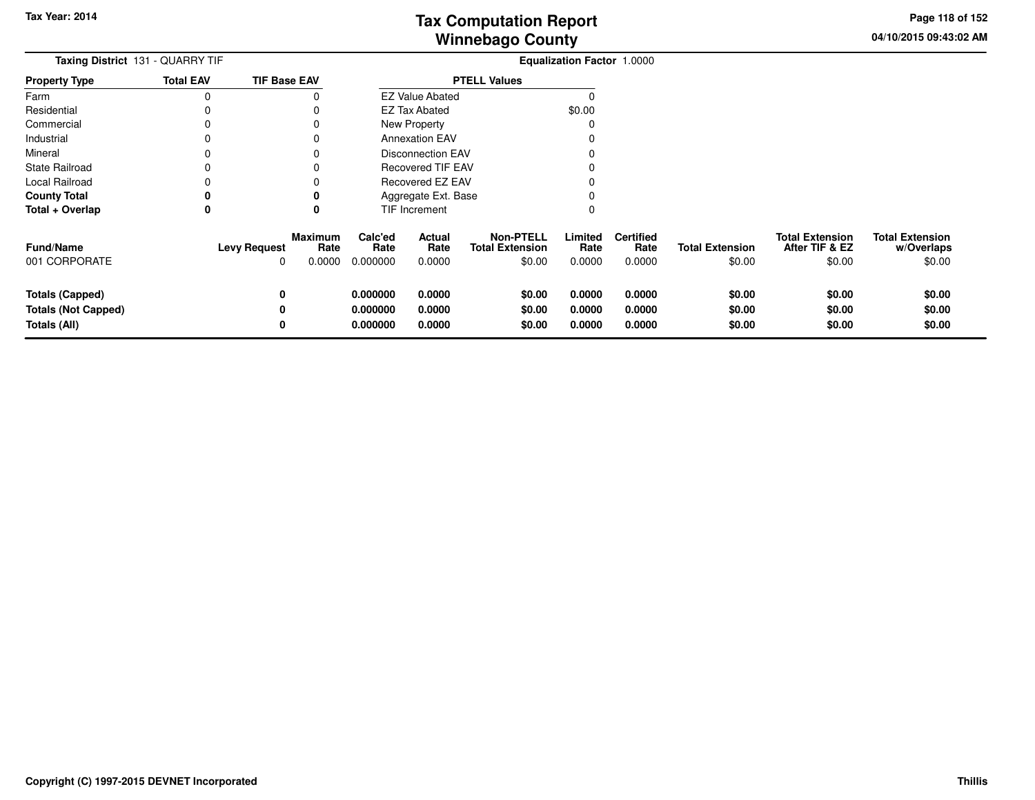**04/10/2015 09:43:02 AMPage 118 of 152**

 $$0.00$ 

| <b>Taxing District 131 - QUARRY TIF</b>                              |                     |                                  | <b>Equalization Factor 1.0000</b> |                            |                                                      |                            |                                    |                                  |                                                    |                                                |
|----------------------------------------------------------------------|---------------------|----------------------------------|-----------------------------------|----------------------------|------------------------------------------------------|----------------------------|------------------------------------|----------------------------------|----------------------------------------------------|------------------------------------------------|
| <b>Property Type</b>                                                 | <b>Total EAV</b>    | <b>TIF Base EAV</b>              |                                   |                            | <b>PTELL Values</b>                                  |                            |                                    |                                  |                                                    |                                                |
| Farm                                                                 | 0                   |                                  |                                   | <b>EZ Value Abated</b>     |                                                      |                            |                                    |                                  |                                                    |                                                |
| Residential                                                          |                     |                                  |                                   | <b>EZ Tax Abated</b>       |                                                      | \$0.00                     |                                    |                                  |                                                    |                                                |
| Commercial                                                           |                     |                                  |                                   | New Property               |                                                      |                            |                                    |                                  |                                                    |                                                |
| Industrial                                                           |                     |                                  |                                   | <b>Annexation EAV</b>      |                                                      |                            |                                    |                                  |                                                    |                                                |
| Mineral                                                              | O                   |                                  |                                   | <b>Disconnection EAV</b>   |                                                      |                            |                                    |                                  |                                                    |                                                |
| <b>State Railroad</b>                                                |                     |                                  |                                   | <b>Recovered TIF EAV</b>   |                                                      |                            |                                    |                                  |                                                    |                                                |
| Local Railroad                                                       |                     |                                  |                                   | Recovered EZ EAV           |                                                      |                            |                                    |                                  |                                                    |                                                |
| <b>County Total</b>                                                  |                     |                                  |                                   | Aggregate Ext. Base        |                                                      |                            |                                    |                                  |                                                    |                                                |
| Total + Overlap                                                      | 0                   | 0                                |                                   | TIF Increment              |                                                      | 0                          |                                    |                                  |                                                    |                                                |
| <b>Fund/Name</b><br>001 CORPORATE                                    | <b>Levy Request</b> | <b>Maximum</b><br>Rate<br>0.0000 | Calc'ed<br>Rate<br>0.000000       | Actual<br>Rate<br>0.0000   | <b>Non-PTELL</b><br><b>Total Extension</b><br>\$0.00 | Limited<br>Rate<br>0.0000  | <b>Certified</b><br>Rate<br>0.0000 | <b>Total Extension</b><br>\$0.00 | <b>Total Extension</b><br>After TIF & EZ<br>\$0.00 | <b>Total Extension</b><br>w/Overlaps<br>\$0.00 |
| <b>Totals (Capped)</b><br><b>Totals (Not Capped)</b><br>Totals (All) |                     | 0                                | 0.000000<br>0.000000<br>0.000000  | 0.0000<br>0.0000<br>0.0000 | \$0.00<br>\$0.00<br>\$0.00                           | 0.0000<br>0.0000<br>0.0000 | 0.0000<br>0.0000<br>0.0000         | \$0.00<br>\$0.00<br>\$0.00       | \$0.00<br>\$0.00<br>\$0.00                         | \$0.00<br>\$0.00<br>\$0.00                     |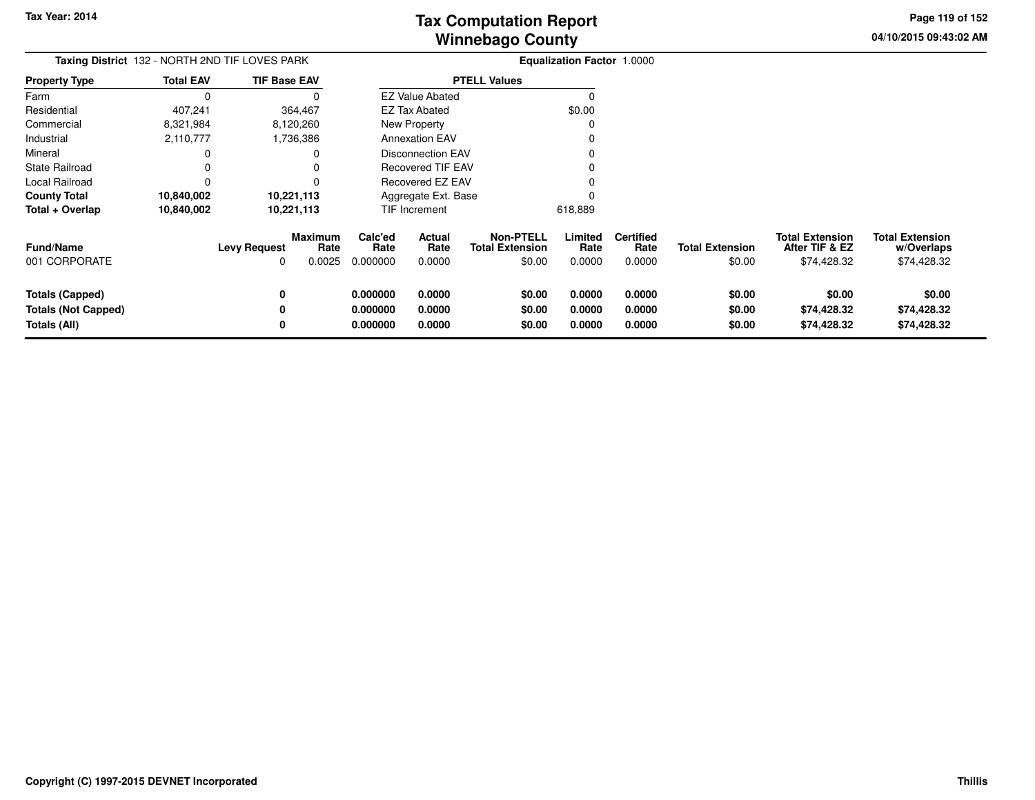**04/10/2015 09:43:02 AMPage 119 of 152**

| <b>Taxing District</b> 132 - NORTH 2ND TIF LOVES PARK |                  |                          | <b>Equalization Factor 1.0000</b> |                             |                                                      |                                                      |                           |                                    |                                  |                                                         |                                                     |
|-------------------------------------------------------|------------------|--------------------------|-----------------------------------|-----------------------------|------------------------------------------------------|------------------------------------------------------|---------------------------|------------------------------------|----------------------------------|---------------------------------------------------------|-----------------------------------------------------|
| <b>Property Type</b>                                  | <b>Total EAV</b> | <b>TIF Base EAV</b>      |                                   |                             |                                                      | <b>PTELL Values</b>                                  |                           |                                    |                                  |                                                         |                                                     |
| Farm                                                  | 0                |                          |                                   |                             | <b>EZ Value Abated</b>                               |                                                      |                           |                                    |                                  |                                                         |                                                     |
| Residential                                           | 407,241          |                          | 364,467                           |                             | <b>EZ Tax Abated</b>                                 |                                                      | \$0.00                    |                                    |                                  |                                                         |                                                     |
| Commercial                                            | 8,321,984        |                          | 8,120,260                         |                             | New Property                                         |                                                      |                           |                                    |                                  |                                                         |                                                     |
| Industrial                                            | 2,110,777        |                          | 1,736,386                         |                             | <b>Annexation EAV</b>                                |                                                      |                           |                                    |                                  |                                                         |                                                     |
| Mineral                                               |                  |                          |                                   |                             | <b>Disconnection EAV</b><br><b>Recovered TIF EAV</b> |                                                      |                           |                                    |                                  |                                                         |                                                     |
| <b>State Railroad</b>                                 | 0                |                          |                                   |                             |                                                      |                                                      |                           |                                    |                                  |                                                         |                                                     |
| Local Railroad                                        | $\Omega$         |                          |                                   | Recovered EZ EAV            |                                                      |                                                      |                           |                                    |                                  |                                                         |                                                     |
| <b>County Total</b>                                   | 10,840,002       |                          | 10,221,113                        | Aggregate Ext. Base         |                                                      |                                                      |                           |                                    |                                  |                                                         |                                                     |
| Total + Overlap                                       | 10,840,002       |                          | 10,221,113                        |                             | TIF Increment                                        |                                                      | 618,889                   |                                    |                                  |                                                         |                                                     |
| Fund/Name<br>001 CORPORATE                            |                  | <b>Levy Request</b><br>0 | <b>Maximum</b><br>Rate<br>0.0025  | Calc'ed<br>Rate<br>0.000000 | Actual<br>Rate<br>0.0000                             | <b>Non-PTELL</b><br><b>Total Extension</b><br>\$0.00 | Limited<br>Rate<br>0.0000 | <b>Certified</b><br>Rate<br>0.0000 | <b>Total Extension</b><br>\$0.00 | <b>Total Extension</b><br>After TIF & EZ<br>\$74,428.32 | <b>Total Extension</b><br>w/Overlaps<br>\$74,428.32 |
| <b>Totals (Capped)</b><br><b>Totals (Not Capped)</b>  |                  | 0<br>0                   |                                   | 0.000000<br>0.000000        | 0.0000<br>0.0000                                     | \$0.00<br>\$0.00                                     | 0.0000<br>0.0000          | 0.0000<br>0.0000                   | \$0.00<br>\$0.00                 | \$0.00<br>\$74,428.32                                   | \$0.00<br>\$74,428.32                               |
| Totals (All)                                          |                  | 0                        |                                   | 0.000000                    | 0.0000                                               | \$0.00                                               | 0.0000                    | 0.0000                             | \$0.00                           | \$74,428.32                                             | \$74,428.32                                         |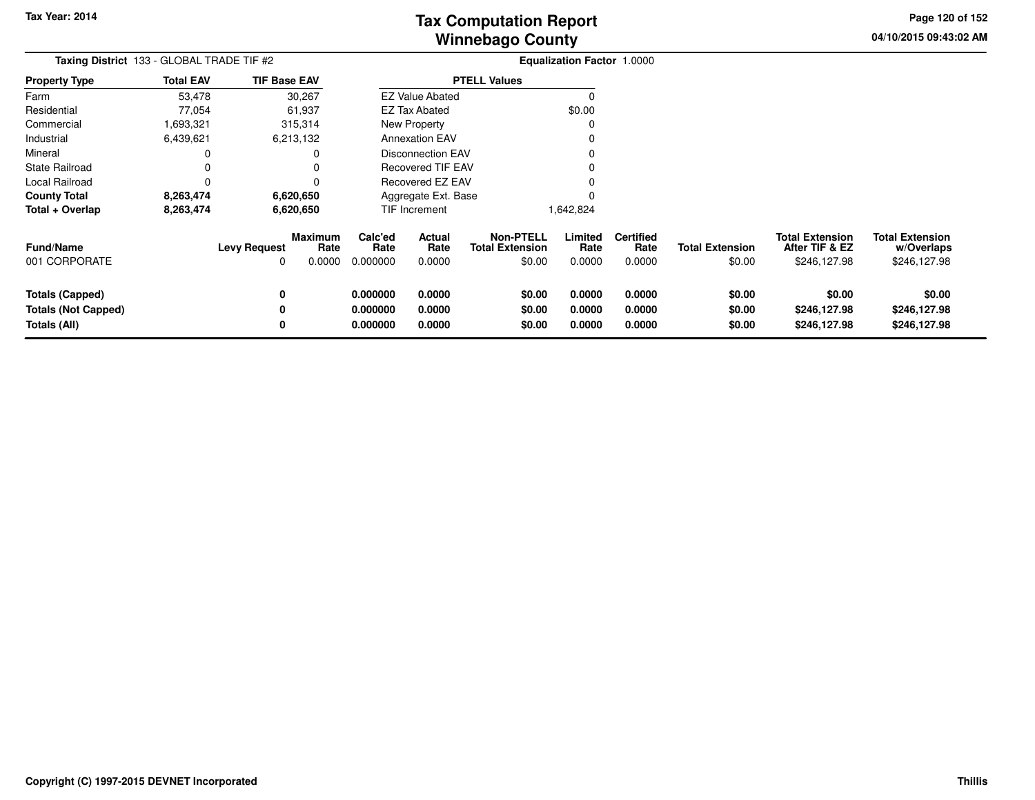**04/10/2015 09:43:02 AM Page 120 of 152**

| Taxing District 133 - GLOBAL TRADE TIF #2                     |                  |                          |                                  | <b>Equalization Factor 1.0000</b> |                                 |                                                      |                            |                                    |                                  |                                                          |                                                      |
|---------------------------------------------------------------|------------------|--------------------------|----------------------------------|-----------------------------------|---------------------------------|------------------------------------------------------|----------------------------|------------------------------------|----------------------------------|----------------------------------------------------------|------------------------------------------------------|
| <b>Property Type</b>                                          | <b>Total EAV</b> | <b>TIF Base EAV</b>      |                                  |                                   |                                 | <b>PTELL Values</b>                                  |                            |                                    |                                  |                                                          |                                                      |
| Farm                                                          | 53,478           |                          | 30,267                           |                                   | <b>EZ Value Abated</b>          |                                                      | 0                          |                                    |                                  |                                                          |                                                      |
| Residential                                                   | 77,054           |                          | 61,937                           |                                   | <b>EZ Tax Abated</b>            |                                                      | \$0.00                     |                                    |                                  |                                                          |                                                      |
| Commercial                                                    | 1,693,321        |                          | 315,314                          |                                   | New Property                    |                                                      |                            |                                    |                                  |                                                          |                                                      |
| Industrial                                                    | 6,439,621        |                          | 6,213,132                        |                                   | <b>Annexation EAV</b>           |                                                      |                            |                                    |                                  |                                                          |                                                      |
| Mineral                                                       | 0                |                          |                                  |                                   | Disconnection EAV               |                                                      |                            |                                    |                                  |                                                          |                                                      |
| State Railroad                                                | 0                |                          |                                  |                                   | <b>Recovered TIF EAV</b>        |                                                      |                            |                                    |                                  |                                                          |                                                      |
| Local Railroad                                                | 0                |                          |                                  |                                   | Recovered EZ EAV                |                                                      |                            |                                    |                                  |                                                          |                                                      |
| County Total                                                  | 8,263,474        |                          | 6,620,650                        | Aggregate Ext. Base               |                                 |                                                      |                            |                                    |                                  |                                                          |                                                      |
| Total + Overlap                                               | 8,263,474        |                          | 6,620,650                        |                                   | <b>TIF Increment</b>            |                                                      | 1,642,824                  |                                    |                                  |                                                          |                                                      |
| Fund/Name<br>001 CORPORATE                                    |                  | <b>Levy Request</b><br>0 | <b>Maximum</b><br>Rate<br>0.0000 | Calc'ed<br>Rate<br>0.000000       | <b>Actual</b><br>Rate<br>0.0000 | <b>Non-PTELL</b><br><b>Total Extension</b><br>\$0.00 | Limited<br>Rate<br>0.0000  | <b>Certified</b><br>Rate<br>0.0000 | <b>Total Extension</b><br>\$0.00 | <b>Total Extension</b><br>After TIF & EZ<br>\$246,127.98 | <b>Total Extension</b><br>w/Overlaps<br>\$246,127.98 |
| Totals (Capped)<br><b>Totals (Not Capped)</b><br>Totals (All) |                  | 0<br>0<br>0              |                                  | 0.000000<br>0.000000<br>0.000000  | 0.0000<br>0.0000<br>0.0000      | \$0.00<br>\$0.00<br>\$0.00                           | 0.0000<br>0.0000<br>0.0000 | 0.0000<br>0.0000<br>0.0000         | \$0.00<br>\$0.00<br>\$0.00       | \$0.00<br>\$246,127.98<br>\$246,127.98                   | \$0.00<br>\$246,127.98<br>\$246,127.98               |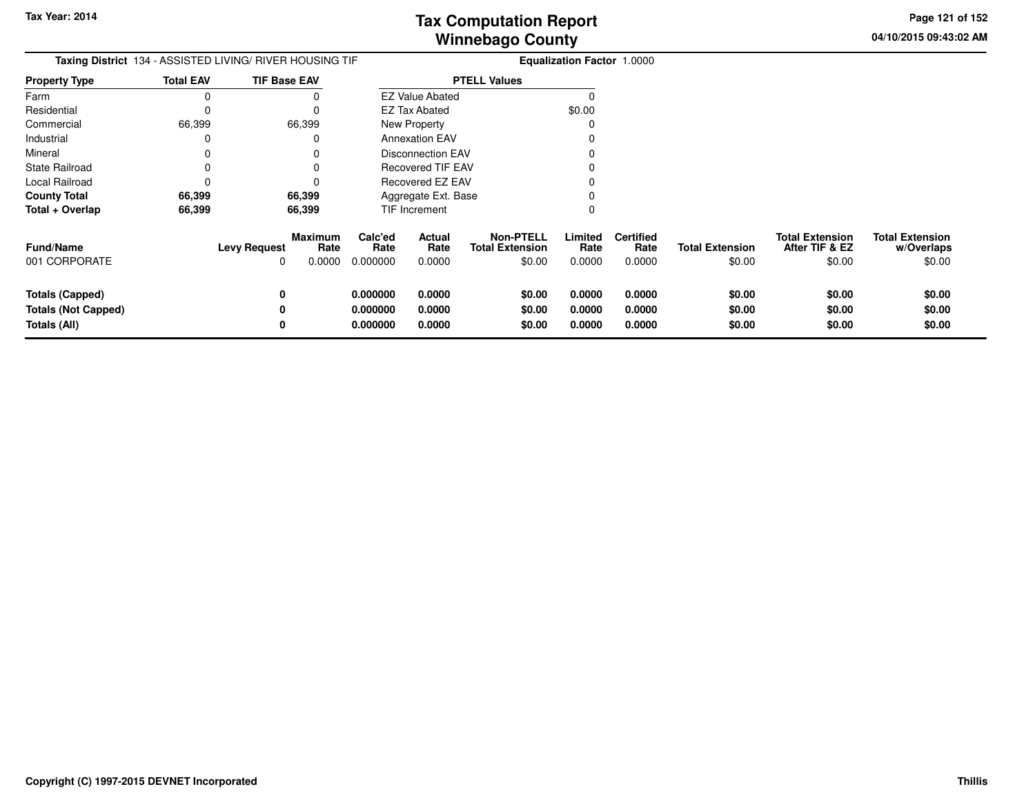**04/10/2015 09:43:02 AMPage 121 of 152**

| Taxing District 134 - ASSISTED LIVING/ RIVER HOUSING TIF             |                  |                          |                                  | <b>Equalization Factor 1.0000</b> |                            |                                                      |                            |                                    |                                  |                                                    |                                                |
|----------------------------------------------------------------------|------------------|--------------------------|----------------------------------|-----------------------------------|----------------------------|------------------------------------------------------|----------------------------|------------------------------------|----------------------------------|----------------------------------------------------|------------------------------------------------|
| <b>Property Type</b>                                                 | <b>Total EAV</b> | <b>TIF Base EAV</b>      |                                  |                                   |                            | <b>PTELL Values</b>                                  |                            |                                    |                                  |                                                    |                                                |
| Farm                                                                 | 0                |                          | 0                                |                                   | <b>EZ Value Abated</b>     |                                                      |                            |                                    |                                  |                                                    |                                                |
| Residential                                                          | 0                |                          | $\Omega$                         |                                   | <b>EZ Tax Abated</b>       |                                                      | \$0.00                     |                                    |                                  |                                                    |                                                |
| Commercial                                                           | 66,399           | 66,399                   |                                  |                                   | New Property               |                                                      |                            |                                    |                                  |                                                    |                                                |
| Industrial                                                           | 0                |                          | 0                                |                                   | <b>Annexation EAV</b>      |                                                      |                            |                                    |                                  |                                                    |                                                |
| Mineral                                                              | 0                |                          | 0                                |                                   | <b>Disconnection EAV</b>   |                                                      |                            |                                    |                                  |                                                    |                                                |
| <b>State Railroad</b>                                                | 0                |                          | 0                                |                                   | <b>Recovered TIF EAV</b>   |                                                      |                            |                                    |                                  |                                                    |                                                |
| Local Railroad                                                       | 0                |                          | $\Omega$                         |                                   | Recovered EZ EAV           |                                                      |                            |                                    |                                  |                                                    |                                                |
| <b>County Total</b>                                                  | 66,399           | 66,399                   |                                  |                                   | Aggregate Ext. Base        |                                                      |                            |                                    |                                  |                                                    |                                                |
| Total + Overlap                                                      | 66,399           | 66,399                   |                                  |                                   | <b>TIF Increment</b>       |                                                      |                            |                                    |                                  |                                                    |                                                |
| <b>Fund/Name</b><br>001 CORPORATE                                    |                  | <b>Levy Request</b><br>0 | <b>Maximum</b><br>Rate<br>0.0000 | Calc'ed<br>Rate<br>0.000000       | Actual<br>Rate<br>0.0000   | <b>Non-PTELL</b><br><b>Total Extension</b><br>\$0.00 | Limited<br>Rate<br>0.0000  | <b>Certified</b><br>Rate<br>0.0000 | <b>Total Extension</b><br>\$0.00 | <b>Total Extension</b><br>After TIF & EZ<br>\$0.00 | <b>Total Extension</b><br>w/Overlaps<br>\$0.00 |
| <b>Totals (Capped)</b><br><b>Totals (Not Capped)</b><br>Totals (All) |                  | 0<br>0<br>0              |                                  | 0.000000<br>0.000000<br>0.000000  | 0.0000<br>0.0000<br>0.0000 | \$0.00<br>\$0.00<br>\$0.00                           | 0.0000<br>0.0000<br>0.0000 | 0.0000<br>0.0000<br>0.0000         | \$0.00<br>\$0.00<br>\$0.00       | \$0.00<br>\$0.00<br>\$0.00                         | \$0.00<br>\$0.00<br>\$0.00                     |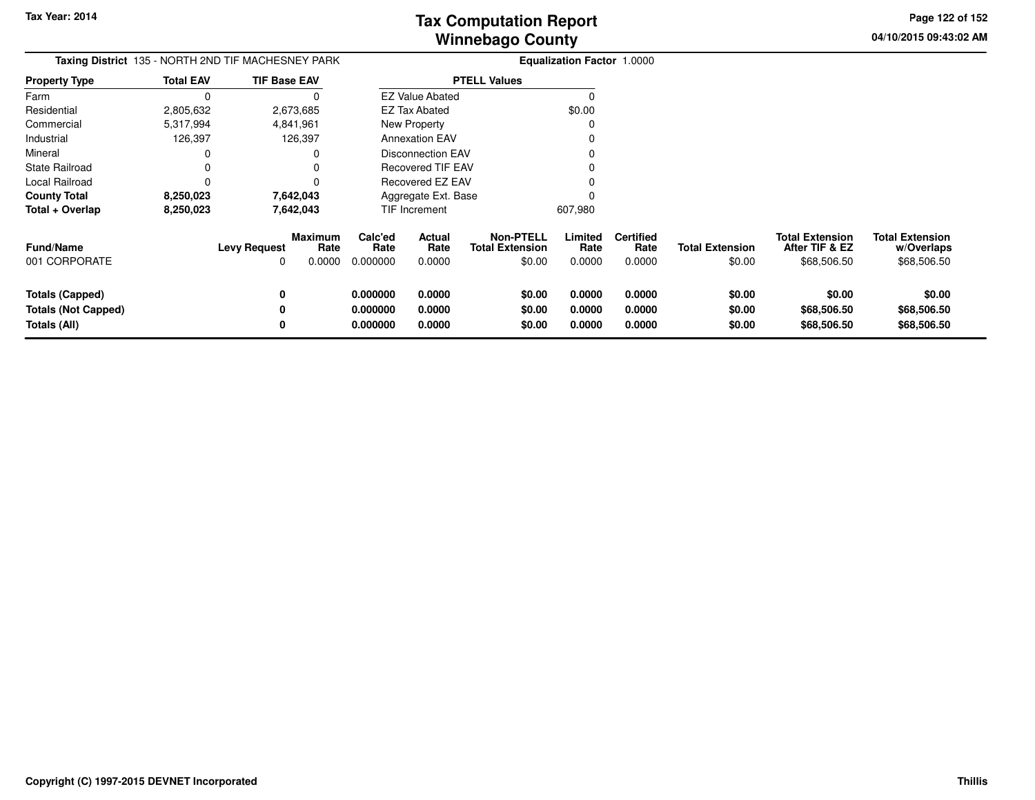**04/10/2015 09:43:02 AM Page 122 of 152**

| <b>Taxing District</b> 135 - NORTH 2ND TIF MACHESNEY PARK |                  |                          |                           |                             |                                                      |                                                      | <b>Equalization Factor 1.0000</b> |                                    |                                  |                                                         |                                                     |
|-----------------------------------------------------------|------------------|--------------------------|---------------------------|-----------------------------|------------------------------------------------------|------------------------------------------------------|-----------------------------------|------------------------------------|----------------------------------|---------------------------------------------------------|-----------------------------------------------------|
| <b>Property Type</b>                                      | <b>Total EAV</b> | <b>TIF Base EAV</b>      |                           |                             |                                                      | <b>PTELL Values</b>                                  |                                   |                                    |                                  |                                                         |                                                     |
| Farm                                                      | 0                |                          | 0                         |                             | <b>EZ Value Abated</b>                               |                                                      | C                                 |                                    |                                  |                                                         |                                                     |
| Residential                                               | 2,805,632        |                          | 2,673,685                 |                             | EZ Tax Abated                                        |                                                      | \$0.00                            |                                    |                                  |                                                         |                                                     |
| Commercial                                                | 5,317,994        |                          | 4,841,961                 |                             | New Property                                         |                                                      | 0                                 |                                    |                                  |                                                         |                                                     |
| Industrial                                                | 126,397          |                          | 126,397                   |                             | <b>Annexation EAV</b>                                |                                                      |                                   |                                    |                                  |                                                         |                                                     |
| Mineral                                                   |                  |                          |                           |                             | <b>Disconnection EAV</b><br><b>Recovered TIF EAV</b> |                                                      |                                   |                                    |                                  |                                                         |                                                     |
| <b>State Railroad</b>                                     | 0                |                          |                           |                             |                                                      |                                                      |                                   |                                    |                                  |                                                         |                                                     |
| Local Railroad                                            | 0                |                          |                           | Recovered EZ EAV            |                                                      |                                                      |                                   |                                    |                                  |                                                         |                                                     |
| <b>County Total</b>                                       | 8,250,023        |                          | 7,642,043                 |                             | Aggregate Ext. Base                                  |                                                      |                                   |                                    |                                  |                                                         |                                                     |
| Total + Overlap                                           | 8,250,023        |                          | 7,642,043                 |                             | <b>TIF Increment</b>                                 |                                                      | 607,980                           |                                    |                                  |                                                         |                                                     |
| <b>Fund/Name</b><br>001 CORPORATE                         |                  | <b>Levy Request</b><br>O | Maximum<br>Rate<br>0.0000 | Calc'ed<br>Rate<br>0.000000 | Actual<br>Rate<br>0.0000                             | <b>Non-PTELL</b><br><b>Total Extension</b><br>\$0.00 | Limited<br>Rate<br>0.0000         | <b>Certified</b><br>Rate<br>0.0000 | <b>Total Extension</b><br>\$0.00 | <b>Total Extension</b><br>After TIF & EZ<br>\$68,506.50 | <b>Total Extension</b><br>w/Overlaps<br>\$68,506.50 |
| <b>Totals (Capped)</b>                                    |                  | 0                        |                           | 0.000000                    | 0.0000                                               | \$0.00                                               | 0.0000                            | 0.0000                             | \$0.00                           | \$0.00                                                  | \$0.00                                              |
| <b>Totals (Not Capped)</b>                                |                  | 0                        |                           | 0.000000                    | 0.0000                                               | \$0.00                                               | 0.0000                            | 0.0000                             | \$0.00                           | \$68,506.50                                             | \$68,506.50                                         |
| Totals (All)                                              |                  | 0                        |                           | 0.000000                    | 0.0000                                               | \$0.00                                               | 0.0000                            | 0.0000                             | \$0.00                           | \$68,506.50                                             | \$68,506.50                                         |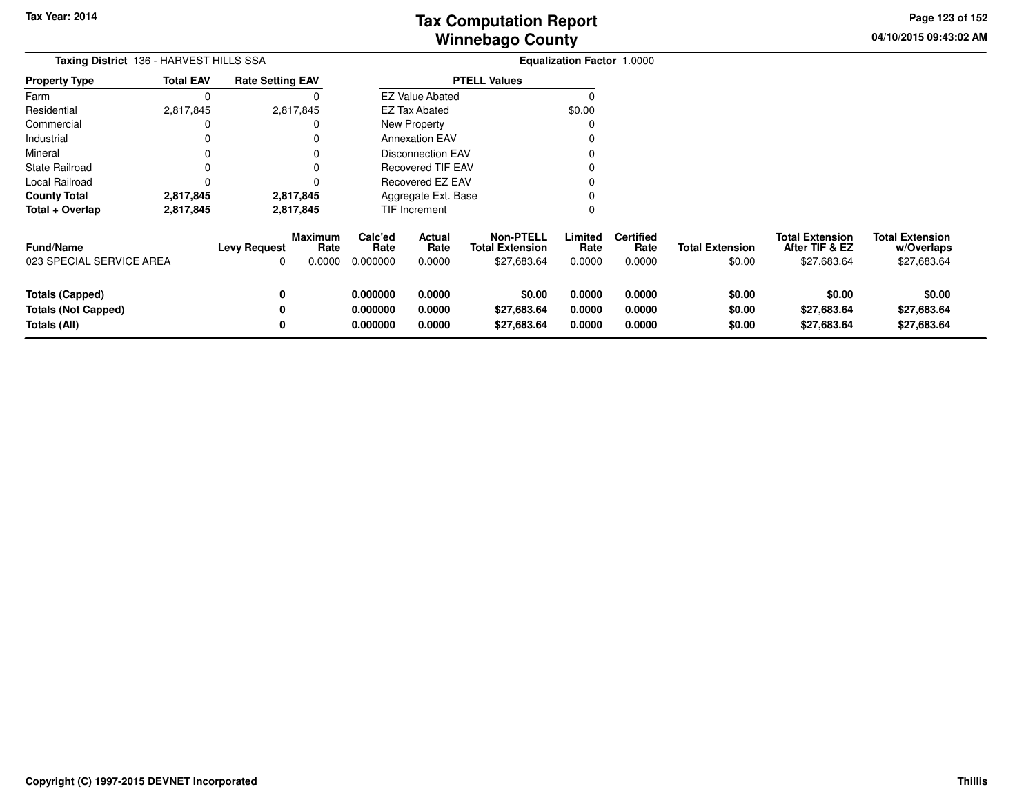**04/10/2015 09:43:02 AM Page 123 of 152**

| Taxing District 136 - HARVEST HILLS SSA                              |                  |                          | <b>Equalization Factor 1.0000</b> |                                  |                            |                                                           |                            |                                    |                                  |                                                         |                                                     |
|----------------------------------------------------------------------|------------------|--------------------------|-----------------------------------|----------------------------------|----------------------------|-----------------------------------------------------------|----------------------------|------------------------------------|----------------------------------|---------------------------------------------------------|-----------------------------------------------------|
| <b>Property Type</b>                                                 | <b>Total EAV</b> | <b>Rate Setting EAV</b>  |                                   |                                  |                            | <b>PTELL Values</b>                                       |                            |                                    |                                  |                                                         |                                                     |
| Farm                                                                 | 0                |                          |                                   |                                  | <b>EZ Value Abated</b>     |                                                           | $\Omega$                   |                                    |                                  |                                                         |                                                     |
| Residential                                                          | 2,817,845        |                          | 2,817,845                         |                                  | <b>EZ Tax Abated</b>       |                                                           | \$0.00                     |                                    |                                  |                                                         |                                                     |
| Commercial                                                           |                  |                          |                                   |                                  | New Property               |                                                           |                            |                                    |                                  |                                                         |                                                     |
| Industrial                                                           | O                |                          |                                   |                                  | <b>Annexation EAV</b>      |                                                           |                            |                                    |                                  |                                                         |                                                     |
| Mineral                                                              |                  |                          |                                   |                                  | <b>Disconnection EAV</b>   |                                                           |                            |                                    |                                  |                                                         |                                                     |
| State Railroad                                                       |                  |                          |                                   |                                  | <b>Recovered TIF EAV</b>   |                                                           |                            |                                    |                                  |                                                         |                                                     |
| Local Railroad                                                       |                  |                          |                                   |                                  | Recovered EZ EAV           |                                                           |                            |                                    |                                  |                                                         |                                                     |
| <b>County Total</b>                                                  | 2,817,845        |                          | 2,817,845                         |                                  | Aggregate Ext. Base        |                                                           |                            |                                    |                                  |                                                         |                                                     |
| Total + Overlap                                                      | 2,817,845        |                          | 2,817,845                         |                                  | TIF Increment              |                                                           | 0                          |                                    |                                  |                                                         |                                                     |
| Fund/Name<br>023 SPECIAL SERVICE AREA                                |                  | <b>Levy Request</b><br>0 | Maximum<br>Rate<br>0.0000         | Calc'ed<br>Rate<br>0.000000      | Actual<br>Rate<br>0.0000   | <b>Non-PTELL</b><br><b>Total Extension</b><br>\$27,683.64 | Limited<br>Rate<br>0.0000  | <b>Certified</b><br>Rate<br>0.0000 | <b>Total Extension</b><br>\$0.00 | <b>Total Extension</b><br>After TIF & EZ<br>\$27,683.64 | <b>Total Extension</b><br>w/Overlaps<br>\$27,683.64 |
| <b>Totals (Capped)</b><br><b>Totals (Not Capped)</b><br>Totals (All) |                  | 0<br>0<br>0              |                                   | 0.000000<br>0.000000<br>0.000000 | 0.0000<br>0.0000<br>0.0000 | \$0.00<br>\$27,683.64<br>\$27,683.64                      | 0.0000<br>0.0000<br>0.0000 | 0.0000<br>0.0000<br>0.0000         | \$0.00<br>\$0.00<br>\$0.00       | \$0.00<br>\$27,683.64<br>\$27,683.64                    | \$0.00<br>\$27,683.64<br>\$27,683.64                |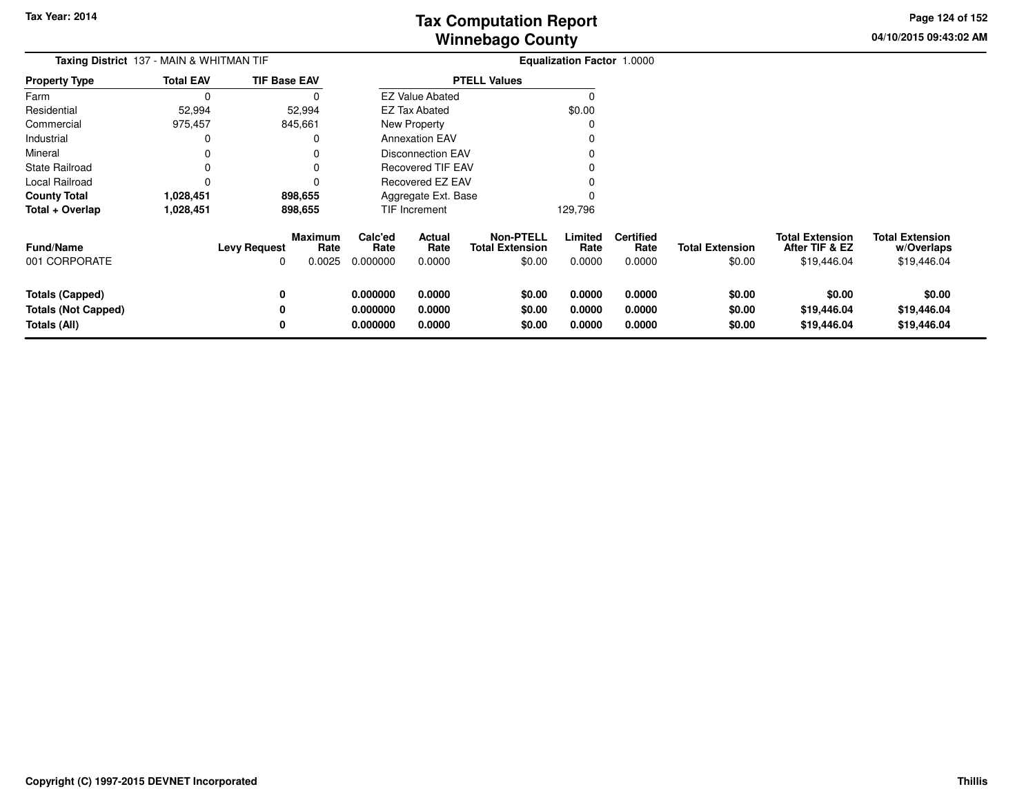**04/10/2015 09:43:02 AM Page 124 of 152**

| <b>Taxing District</b> 137 - MAIN & WHITMAN TIF |                  |                                     |                           |                                                      |                          | Equalization Factor 1.0000                           |                           |                                    |                                  |                                                         |                                                     |
|-------------------------------------------------|------------------|-------------------------------------|---------------------------|------------------------------------------------------|--------------------------|------------------------------------------------------|---------------------------|------------------------------------|----------------------------------|---------------------------------------------------------|-----------------------------------------------------|
| <b>Property Type</b>                            | <b>Total EAV</b> | <b>TIF Base EAV</b>                 |                           |                                                      |                          | <b>PTELL Values</b>                                  |                           |                                    |                                  |                                                         |                                                     |
| Farm                                            | $\Omega$         |                                     | 0                         |                                                      | <b>EZ Value Abated</b>   |                                                      | $\Omega$                  |                                    |                                  |                                                         |                                                     |
| Residential                                     | 52,994           |                                     | 52,994                    |                                                      | EZ Tax Abated            |                                                      | \$0.00                    |                                    |                                  |                                                         |                                                     |
| Commercial                                      | 975,457          | 845,661                             |                           |                                                      | <b>New Property</b>      |                                                      | 0                         |                                    |                                  |                                                         |                                                     |
| Industrial                                      | 0                |                                     | 0                         |                                                      | <b>Annexation EAV</b>    |                                                      |                           |                                    |                                  |                                                         |                                                     |
| Mineral                                         | 0                |                                     | 0                         | <b>Disconnection EAV</b><br><b>Recovered TIF EAV</b> |                          |                                                      |                           |                                    |                                  |                                                         |                                                     |
| <b>State Railroad</b>                           |                  |                                     |                           |                                                      |                          |                                                      |                           |                                    |                                  |                                                         |                                                     |
| Local Railroad                                  | 0                |                                     | 0                         | Recovered EZ EAV                                     |                          |                                                      |                           |                                    |                                  |                                                         |                                                     |
| <b>County Total</b>                             | 1,028,451        | 898,655                             |                           |                                                      | Aggregate Ext. Base      |                                                      |                           |                                    |                                  |                                                         |                                                     |
| Total + Overlap                                 | 1,028,451        | 898,655                             |                           |                                                      | TIF Increment            |                                                      | 129,796                   |                                    |                                  |                                                         |                                                     |
| <b>Fund/Name</b><br>001 CORPORATE               |                  | <b>Levy Request</b><br><sup>0</sup> | Maximum<br>Rate<br>0.0025 | Calc'ed<br>Rate<br>0.000000                          | Actual<br>Rate<br>0.0000 | <b>Non-PTELL</b><br><b>Total Extension</b><br>\$0.00 | Limited<br>Rate<br>0.0000 | <b>Certified</b><br>Rate<br>0.0000 | <b>Total Extension</b><br>\$0.00 | <b>Total Extension</b><br>After TIF & EZ<br>\$19,446.04 | <b>Total Extension</b><br>w/Overlaps<br>\$19,446.04 |
| <b>Totals (Capped)</b>                          |                  | 0                                   |                           | 0.000000                                             | 0.0000                   | \$0.00                                               | 0.0000                    | 0.0000                             | \$0.00                           | \$0.00                                                  | \$0.00                                              |
| <b>Totals (Not Capped)</b>                      |                  | 0                                   |                           | 0.000000                                             | 0.0000                   | \$0.00                                               | 0.0000                    | 0.0000                             | \$0.00                           | \$19,446.04                                             | \$19,446.04                                         |
| Totals (All)                                    |                  | 0                                   |                           | 0.000000                                             | 0.0000                   | \$0.00                                               | 0.0000                    | 0.0000                             | \$0.00                           | \$19,446.04                                             | \$19,446.04                                         |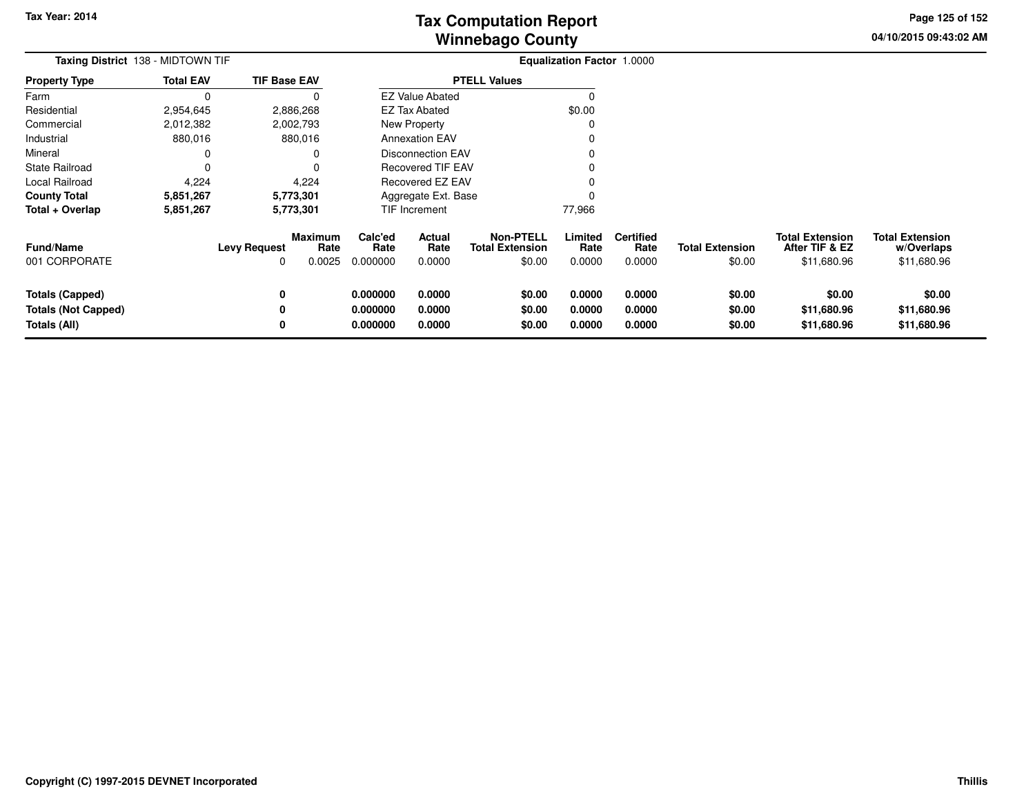**04/10/2015 09:43:02 AMPage 125 of 152**

> **w/Overlaps**\$11,680.96

| Taxing District 138 - MIDTOWN TIF |                  |                     |                 |                     | <b>Equalization Factor 1.0000</b> |                                            |                 |                          |                        |                                          |                                      |
|-----------------------------------|------------------|---------------------|-----------------|---------------------|-----------------------------------|--------------------------------------------|-----------------|--------------------------|------------------------|------------------------------------------|--------------------------------------|
| <b>Property Type</b>              | <b>Total EAV</b> | <b>TIF Base EAV</b> |                 | <b>PTELL Values</b> |                                   |                                            |                 |                          |                        |                                          |                                      |
| Farm                              |                  |                     |                 |                     | <b>EZ Value Abated</b>            |                                            |                 |                          |                        |                                          |                                      |
| Residential                       | 2,954,645        |                     | 2,886,268       |                     | <b>EZ Tax Abated</b>              |                                            | \$0.00          |                          |                        |                                          |                                      |
| Commercial                        | 2,012,382        |                     | 2,002,793       |                     | New Property                      |                                            |                 |                          |                        |                                          |                                      |
| Industrial                        | 880,016          |                     | 880,016         |                     | <b>Annexation EAV</b>             |                                            |                 |                          |                        |                                          |                                      |
| Mineral                           |                  |                     |                 |                     | <b>Disconnection EAV</b>          |                                            |                 |                          |                        |                                          |                                      |
| <b>State Railroad</b>             |                  |                     |                 |                     | <b>Recovered TIF EAV</b>          |                                            |                 |                          |                        |                                          |                                      |
| Local Railroad                    | 4,224            |                     | 4,224           |                     | Recovered EZ EAV                  |                                            |                 |                          |                        |                                          |                                      |
| <b>County Total</b>               | 5,851,267        |                     | 5,773,301       |                     | Aggregate Ext. Base               |                                            |                 |                          |                        |                                          |                                      |
| Total + Overlap                   | 5,851,267        |                     | 5,773,301       |                     | TIF Increment                     |                                            | 77,966          |                          |                        |                                          |                                      |
| <b>Fund/Name</b>                  |                  | <b>Levy Request</b> | Maximum<br>Rate | Calc'ed<br>Rate     | Actual<br>Rate                    | <b>Non-PTELL</b><br><b>Total Extension</b> | Limited<br>Rate | <b>Certified</b><br>Rate | <b>Total Extension</b> | <b>Total Extension</b><br>After TIF & EZ | <b>Total Extension</b><br>w/Overlaps |
| 001 CORPORATE                     |                  | 0                   | 0.0025          | 0.000000            | 0.0000                            | \$0.00                                     | 0.0000          | 0.0000                   | \$0.00                 | \$11,680.96                              | \$11,680.96                          |
| <b>Totals (Capped)</b>            |                  | 0                   |                 | 0.000000            | 0.0000                            | \$0.00                                     | 0.0000          | 0.0000                   | \$0.00                 | \$0.00                                   | \$0.00                               |
| <b>Totals (Not Capped)</b>        |                  |                     |                 | 0.000000            | 0.0000                            | \$0.00                                     | 0.0000          | 0.0000                   | \$0.00                 | \$11,680.96                              | \$11,680.96                          |
| Totals (All)                      |                  |                     |                 | 0.000000            | 0.0000                            | \$0.00                                     | 0.0000          | 0.0000                   | \$0.00                 | \$11,680.96                              | \$11,680.96                          |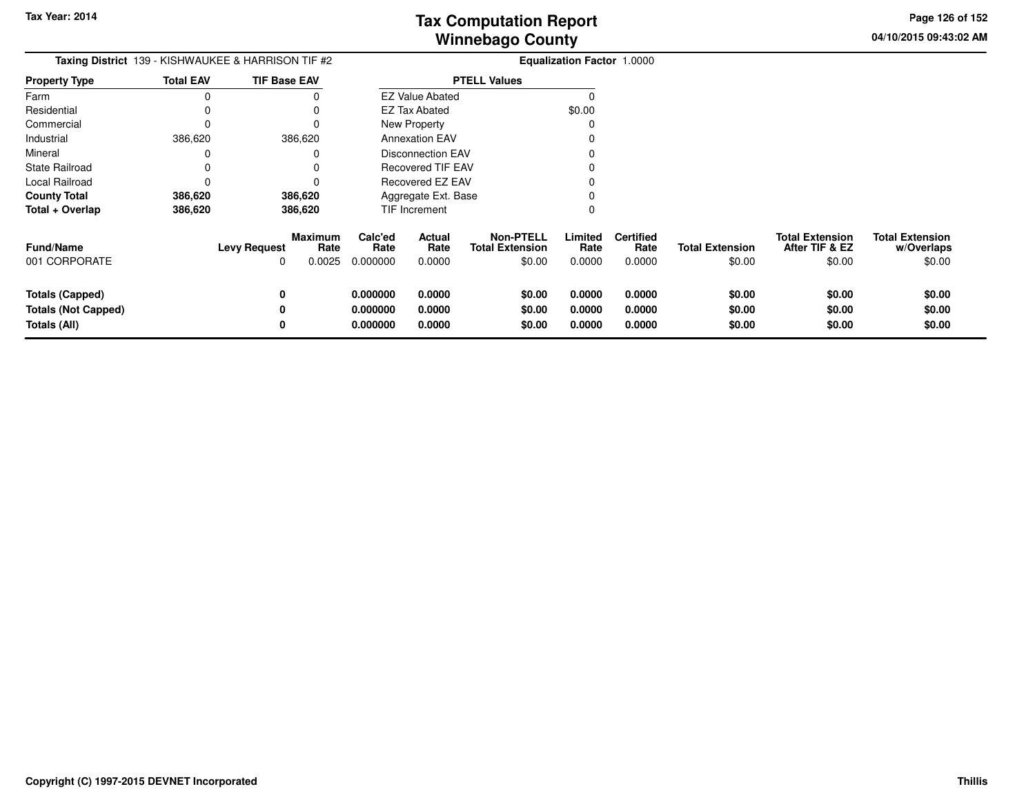**04/10/2015 09:43:02 AM Page 126 of 152**

| Taxing District 139 - KISHWAUKEE & HARRISON TIF #2            | <b>Equalization Factor 1.0000</b> |                                                              |                                  |                            |                                                      |                            |                                    |                                  |                                                    |                                                |
|---------------------------------------------------------------|-----------------------------------|--------------------------------------------------------------|----------------------------------|----------------------------|------------------------------------------------------|----------------------------|------------------------------------|----------------------------------|----------------------------------------------------|------------------------------------------------|
| <b>Property Type</b>                                          | <b>Total EAV</b>                  | <b>TIF Base EAV</b>                                          |                                  |                            | <b>PTELL Values</b>                                  |                            |                                    |                                  |                                                    |                                                |
| Farm                                                          | 0                                 |                                                              |                                  | <b>EZ Value Abated</b>     |                                                      |                            |                                    |                                  |                                                    |                                                |
| Residential                                                   |                                   |                                                              |                                  | <b>EZ Tax Abated</b>       |                                                      | \$0.00                     |                                    |                                  |                                                    |                                                |
| Commercial                                                    |                                   |                                                              |                                  | New Property               |                                                      |                            |                                    |                                  |                                                    |                                                |
| Industrial                                                    | 386,620                           | 386,620                                                      |                                  | <b>Annexation EAV</b>      |                                                      |                            |                                    |                                  |                                                    |                                                |
| Mineral                                                       |                                   |                                                              |                                  | <b>Disconnection EAV</b>   |                                                      |                            |                                    |                                  |                                                    |                                                |
| State Railroad                                                |                                   |                                                              |                                  | <b>Recovered TIF EAV</b>   |                                                      |                            |                                    |                                  |                                                    |                                                |
| Local Railroad                                                | 0                                 |                                                              |                                  | Recovered EZ EAV           |                                                      |                            |                                    |                                  |                                                    |                                                |
| <b>County Total</b>                                           | 386,620                           | 386,620                                                      |                                  | Aggregate Ext. Base        |                                                      |                            |                                    |                                  |                                                    |                                                |
| Total + Overlap                                               | 386,620                           | 386,620                                                      |                                  | TIF Increment              |                                                      |                            |                                    |                                  |                                                    |                                                |
| <b>Fund/Name</b><br>001 CORPORATE                             |                                   | <b>Maximum</b><br><b>Levy Request</b><br>Rate<br>0.0025<br>0 | Calc'ed<br>Rate<br>0.000000      | Actual<br>Rate<br>0.0000   | <b>Non-PTELL</b><br><b>Total Extension</b><br>\$0.00 | Limited<br>Rate<br>0.0000  | <b>Certified</b><br>Rate<br>0.0000 | <b>Total Extension</b><br>\$0.00 | <b>Total Extension</b><br>After TIF & EZ<br>\$0.00 | <b>Total Extension</b><br>w/Overlaps<br>\$0.00 |
| Totals (Capped)<br><b>Totals (Not Capped)</b><br>Totals (All) |                                   | 0<br>0<br>0                                                  | 0.000000<br>0.000000<br>0.000000 | 0.0000<br>0.0000<br>0.0000 | \$0.00<br>\$0.00<br>\$0.00                           | 0.0000<br>0.0000<br>0.0000 | 0.0000<br>0.0000<br>0.0000         | \$0.00<br>\$0.00<br>\$0.00       | \$0.00<br>\$0.00<br>\$0.00                         | \$0.00<br>\$0.00<br>\$0.00                     |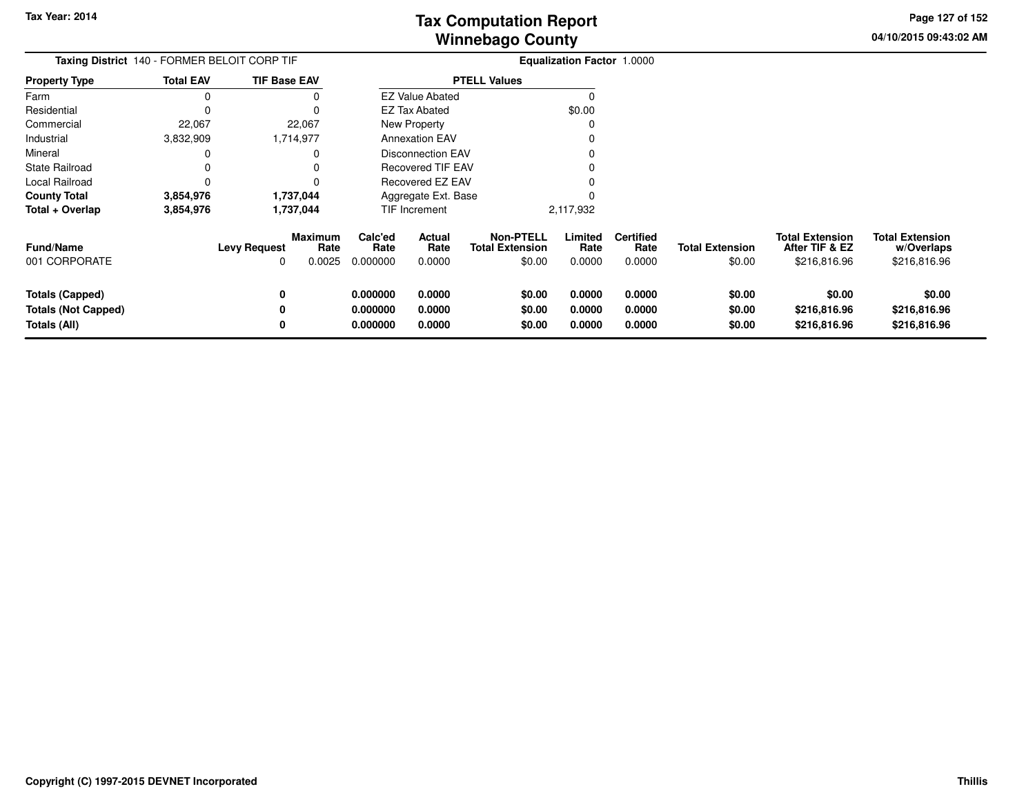**04/10/2015 09:43:02 AMPage 127 of 152**

| Taxing District 140 - FORMER BELOIT CORP TIF                         |                  |                          |                                  | <b>Equalization Factor 1.0000</b>             |                            |                                                      |                            |                                    |                                  |                                                          |                                                      |
|----------------------------------------------------------------------|------------------|--------------------------|----------------------------------|-----------------------------------------------|----------------------------|------------------------------------------------------|----------------------------|------------------------------------|----------------------------------|----------------------------------------------------------|------------------------------------------------------|
| <b>Property Type</b>                                                 | <b>Total EAV</b> | <b>TIF Base EAV</b>      |                                  |                                               |                            | <b>PTELL Values</b>                                  |                            |                                    |                                  |                                                          |                                                      |
| Farm                                                                 |                  |                          |                                  |                                               | <b>EZ Value Abated</b>     |                                                      |                            |                                    |                                  |                                                          |                                                      |
| Residential                                                          |                  |                          |                                  |                                               | EZ Tax Abated              |                                                      | \$0.00                     |                                    |                                  |                                                          |                                                      |
| Commercial                                                           | 22,067           |                          | 22,067                           |                                               | New Property               |                                                      |                            |                                    |                                  |                                                          |                                                      |
| Industrial                                                           | 3,832,909        |                          | 1,714,977                        |                                               | <b>Annexation EAV</b>      |                                                      |                            |                                    |                                  |                                                          |                                                      |
| Mineral                                                              |                  |                          |                                  | <b>Disconnection EAV</b><br>Recovered TIF EAV |                            |                                                      |                            |                                    |                                  |                                                          |                                                      |
| <b>State Railroad</b>                                                |                  |                          |                                  |                                               |                            |                                                      |                            |                                    |                                  |                                                          |                                                      |
| Local Railroad                                                       |                  |                          |                                  | <b>Recovered EZ EAV</b>                       |                            |                                                      |                            |                                    |                                  |                                                          |                                                      |
| <b>County Total</b>                                                  | 3,854,976        |                          | 1,737,044                        |                                               | Aggregate Ext. Base        |                                                      |                            |                                    |                                  |                                                          |                                                      |
| Total + Overlap                                                      | 3,854,976        |                          | 1,737,044                        | TIF Increment                                 |                            |                                                      | 2,117,932                  |                                    |                                  |                                                          |                                                      |
| Fund/Name<br>001 CORPORATE                                           |                  | <b>Levy Request</b><br>0 | <b>Maximum</b><br>Rate<br>0.0025 | Calc'ed<br>Rate<br>0.000000                   | Actual<br>Rate<br>0.0000   | <b>Non-PTELL</b><br><b>Total Extension</b><br>\$0.00 | Limited<br>Rate<br>0.0000  | <b>Certified</b><br>Rate<br>0.0000 | <b>Total Extension</b><br>\$0.00 | <b>Total Extension</b><br>After TIF & EZ<br>\$216,816.96 | <b>Total Extension</b><br>w/Overlaps<br>\$216,816.96 |
| <b>Totals (Capped)</b><br><b>Totals (Not Capped)</b><br>Totals (All) |                  | 0<br>0<br>0              |                                  | 0.000000<br>0.000000<br>0.000000              | 0.0000<br>0.0000<br>0.0000 | \$0.00<br>\$0.00<br>\$0.00                           | 0.0000<br>0.0000<br>0.0000 | 0.0000<br>0.0000<br>0.0000         | \$0.00<br>\$0.00<br>\$0.00       | \$0.00<br>\$216,816.96<br>\$216,816.96                   | \$0.00<br>\$216,816.96<br>\$216,816.96               |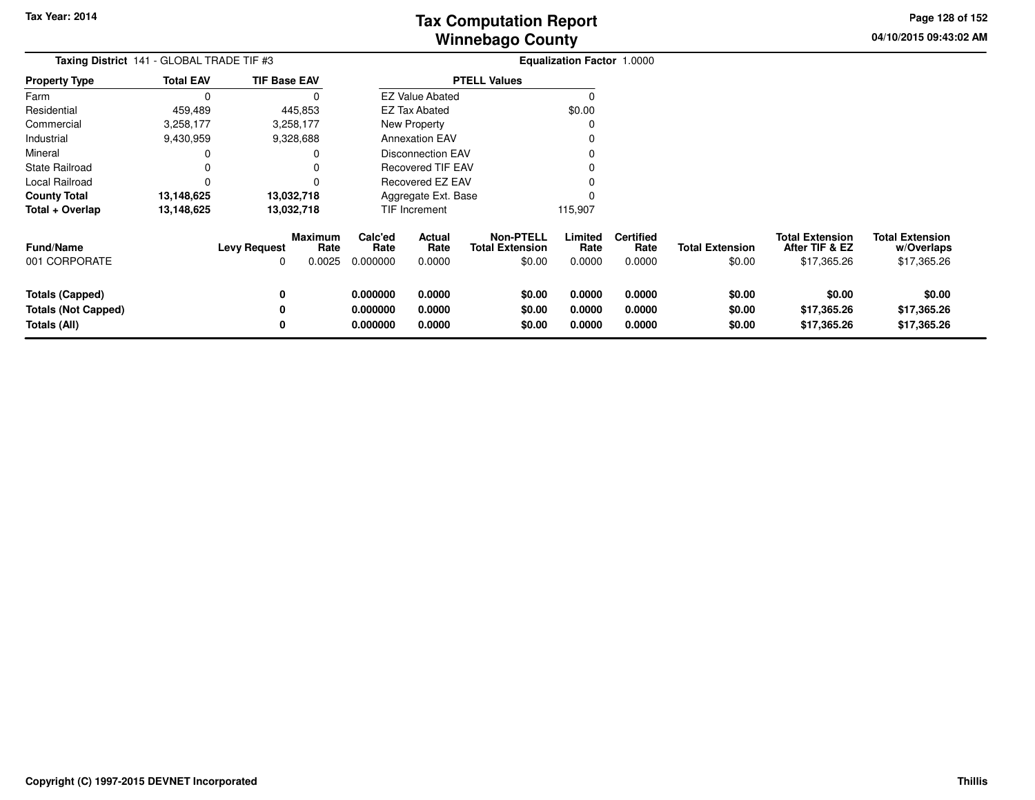**04/10/2015 09:43:02 AMPage 128 of 152**

| Taxing District 141 - GLOBAL TRADE TIF #3                            |                  |                          |                           | Equalization Factor 1.0000       |                                               |                                                      |                            |                                    |                                  |                                                         |                                                     |
|----------------------------------------------------------------------|------------------|--------------------------|---------------------------|----------------------------------|-----------------------------------------------|------------------------------------------------------|----------------------------|------------------------------------|----------------------------------|---------------------------------------------------------|-----------------------------------------------------|
| <b>Property Type</b>                                                 | <b>Total EAV</b> | <b>TIF Base EAV</b>      |                           |                                  |                                               | <b>PTELL Values</b>                                  |                            |                                    |                                  |                                                         |                                                     |
| Farm                                                                 | $\Omega$         |                          | 0                         |                                  | <b>EZ Value Abated</b>                        |                                                      | $\Omega$                   |                                    |                                  |                                                         |                                                     |
| Residential                                                          | 459,489          |                          | 445,853                   |                                  | EZ Tax Abated                                 |                                                      | \$0.00                     |                                    |                                  |                                                         |                                                     |
| Commercial                                                           | 3,258,177        |                          | 3,258,177                 |                                  | New Property                                  |                                                      | 0                          |                                    |                                  |                                                         |                                                     |
| Industrial                                                           | 9,430,959        |                          | 9,328,688                 |                                  | <b>Annexation EAV</b>                         |                                                      |                            |                                    |                                  |                                                         |                                                     |
| Mineral                                                              |                  |                          | 0                         |                                  | <b>Disconnection EAV</b><br>Recovered TIF EAV |                                                      |                            |                                    |                                  |                                                         |                                                     |
| State Railroad                                                       | 0                |                          |                           |                                  |                                               |                                                      |                            |                                    |                                  |                                                         |                                                     |
| Local Railroad                                                       | 0                |                          | 0                         | Recovered EZ EAV                 |                                               |                                                      |                            |                                    |                                  |                                                         |                                                     |
| <b>County Total</b>                                                  | 13,148,625       |                          | 13,032,718                |                                  | Aggregate Ext. Base                           |                                                      |                            |                                    |                                  |                                                         |                                                     |
| Total + Overlap                                                      | 13,148,625       |                          | 13,032,718                |                                  | TIF Increment                                 |                                                      | 115,907                    |                                    |                                  |                                                         |                                                     |
| <b>Fund/Name</b><br>001 CORPORATE                                    |                  | <b>Levy Request</b><br>0 | Maximum<br>Rate<br>0.0025 | Calc'ed<br>Rate<br>0.000000      | Actual<br>Rate<br>0.0000                      | <b>Non-PTELL</b><br><b>Total Extension</b><br>\$0.00 | Limited<br>Rate<br>0.0000  | <b>Certified</b><br>Rate<br>0.0000 | <b>Total Extension</b><br>\$0.00 | <b>Total Extension</b><br>After TIF & EZ<br>\$17,365.26 | <b>Total Extension</b><br>w/Overlaps<br>\$17,365.26 |
| <b>Totals (Capped)</b><br><b>Totals (Not Capped)</b><br>Totals (All) |                  | 0<br>0<br>0              |                           | 0.000000<br>0.000000<br>0.000000 | 0.0000<br>0.0000<br>0.0000                    | \$0.00<br>\$0.00<br>\$0.00                           | 0.0000<br>0.0000<br>0.0000 | 0.0000<br>0.0000<br>0.0000         | \$0.00<br>\$0.00<br>\$0.00       | \$0.00<br>\$17,365.26<br>\$17,365.26                    | \$0.00<br>\$17,365.26<br>\$17,365.26                |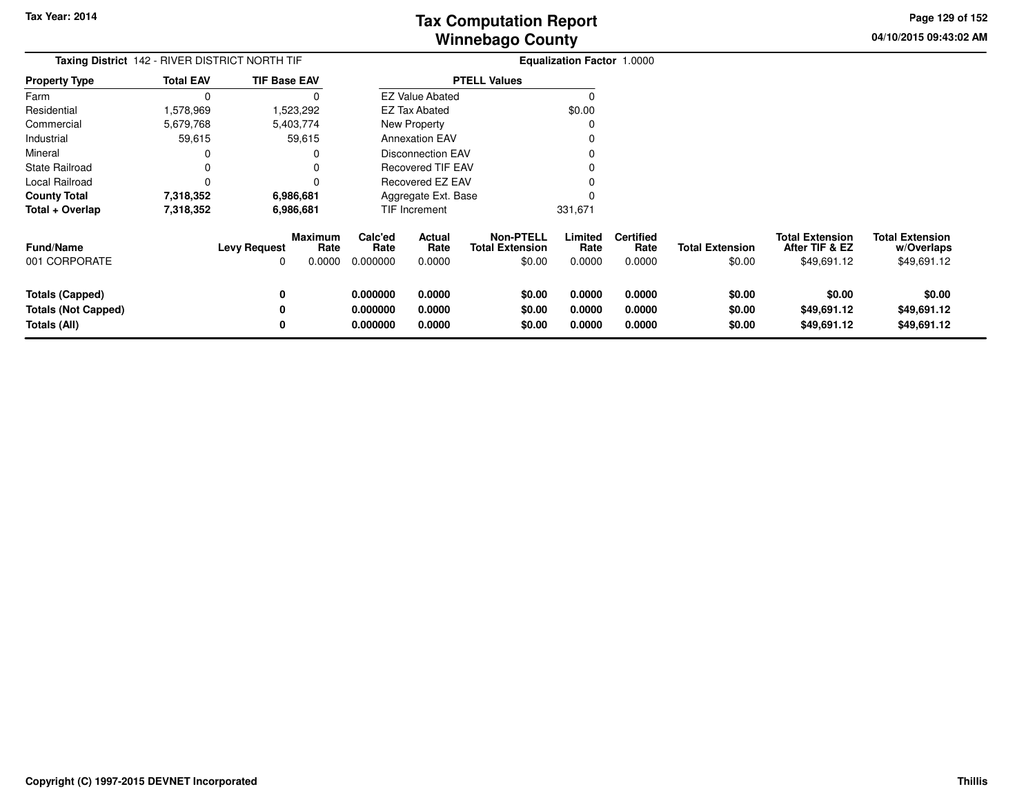**04/10/2015 09:43:02 AMPage 129 of 152**

> **w/Overlaps**\$49,691.12

| Taxing District 142 - RIVER DISTRICT NORTH TIF |                  |                          | Equalization Factor 1.0000       |                             |                          |                                               |                           |                                    |                                  |                                                         |                                                     |
|------------------------------------------------|------------------|--------------------------|----------------------------------|-----------------------------|--------------------------|-----------------------------------------------|---------------------------|------------------------------------|----------------------------------|---------------------------------------------------------|-----------------------------------------------------|
| <b>Property Type</b>                           | <b>Total EAV</b> | <b>TIF Base EAV</b>      |                                  |                             |                          | <b>PTELL Values</b>                           |                           |                                    |                                  |                                                         |                                                     |
| Farm                                           | $\Omega$         |                          |                                  |                             | <b>EZ Value Abated</b>   |                                               |                           |                                    |                                  |                                                         |                                                     |
| Residential                                    | 1,578,969        |                          | 1,523,292                        |                             | EZ Tax Abated            |                                               | \$0.00                    |                                    |                                  |                                                         |                                                     |
| Commercial                                     | 5,679,768        |                          | 5,403,774                        |                             | <b>New Property</b>      |                                               |                           |                                    |                                  |                                                         |                                                     |
| Industrial                                     | 59,615           |                          | 59,615                           |                             | <b>Annexation EAV</b>    |                                               |                           |                                    |                                  |                                                         |                                                     |
| Mineral                                        | 0                |                          | 0                                |                             | <b>Disconnection EAV</b> |                                               |                           |                                    |                                  |                                                         |                                                     |
| <b>State Railroad</b>                          | 0                |                          | 0                                |                             | Recovered TIF EAV        |                                               |                           |                                    |                                  |                                                         |                                                     |
| Local Railroad                                 | 0                |                          | 0                                |                             | <b>Recovered EZ EAV</b>  |                                               |                           |                                    |                                  |                                                         |                                                     |
| <b>County Total</b>                            | 7,318,352        |                          | 6,986,681                        |                             | Aggregate Ext. Base      |                                               |                           |                                    |                                  |                                                         |                                                     |
| Total + Overlap                                | 7,318,352        | 6,986,681                |                                  | TIF Increment               |                          |                                               | 331,671                   |                                    |                                  |                                                         |                                                     |
| Fund/Name<br>001 CORPORATE                     |                  | <b>Levy Request</b><br>0 | <b>Maximum</b><br>Rate<br>0.0000 | Calc'ed<br>Rate<br>0.000000 | Actual<br>Rate<br>0.0000 | Non-PTELL<br><b>Total Extension</b><br>\$0.00 | Limited<br>Rate<br>0.0000 | <b>Certified</b><br>Rate<br>0.0000 | <b>Total Extension</b><br>\$0.00 | <b>Total Extension</b><br>After TIF & EZ<br>\$49,691.12 | <b>Total Extension</b><br>w/Overlaps<br>\$49,691.12 |
|                                                |                  |                          |                                  |                             |                          |                                               |                           |                                    |                                  |                                                         |                                                     |
| <b>Totals (Capped)</b>                         |                  | 0                        |                                  | 0.000000                    | 0.0000                   | \$0.00                                        | 0.0000                    | 0.0000                             | \$0.00                           | \$0.00                                                  | \$0.00                                              |
| Totals (Not Capped)                            |                  | 0                        |                                  | 0.000000                    | 0.0000                   | \$0.00                                        | 0.0000                    | 0.0000                             | \$0.00                           | \$49,691.12                                             | \$49,691.12                                         |
| Totals (All)                                   |                  | 0                        |                                  | 0.000000                    | 0.0000                   | \$0.00                                        | 0.0000                    | 0.0000                             | \$0.00                           | \$49,691.12                                             | \$49,691.12                                         |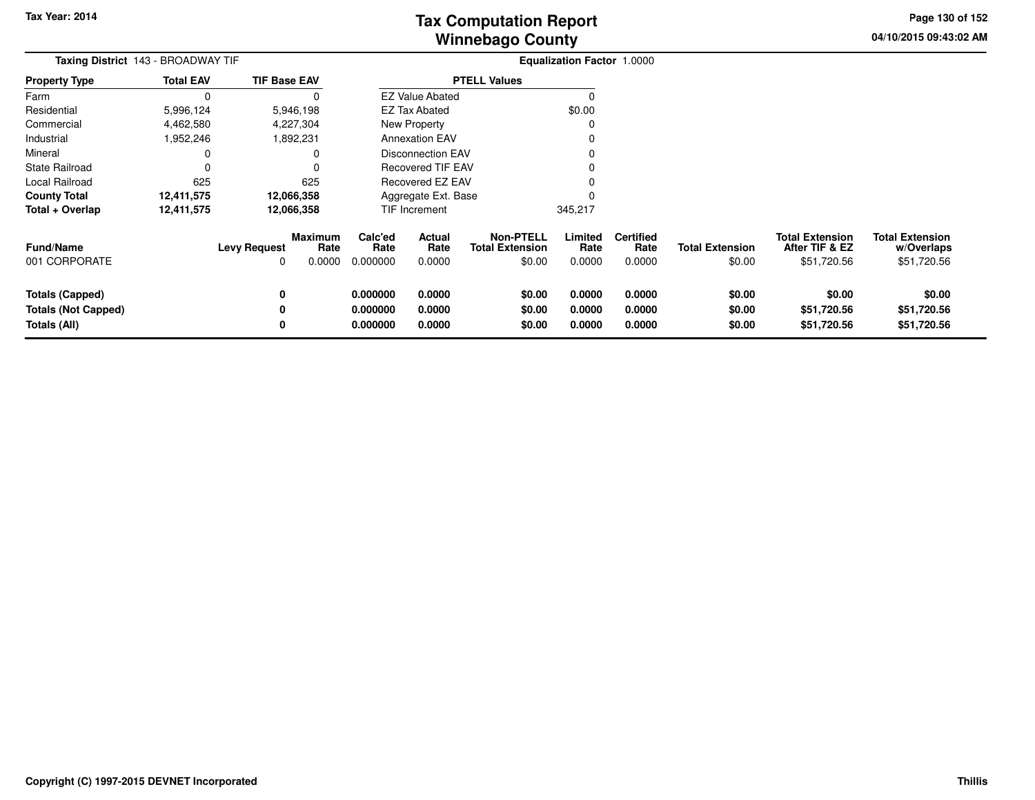**04/10/2015 09:43:02 AMPage 130 of 152**

| <b>Taxing District</b> 143 - BROADWAY TIF | <b>Equalization Factor 1.0000</b> |                          |                           |                                                      |                            |                                                      |                           |                                    |                                  |                                                         |                                                     |
|-------------------------------------------|-----------------------------------|--------------------------|---------------------------|------------------------------------------------------|----------------------------|------------------------------------------------------|---------------------------|------------------------------------|----------------------------------|---------------------------------------------------------|-----------------------------------------------------|
| <b>Property Type</b>                      | <b>Total EAV</b>                  | <b>TIF Base EAV</b>      |                           |                                                      |                            | <b>PTELL Values</b>                                  |                           |                                    |                                  |                                                         |                                                     |
| Farm                                      | $\Omega$                          |                          |                           |                                                      | <b>EZ Value Abated</b>     |                                                      | 0                         |                                    |                                  |                                                         |                                                     |
| Residential                               | 5,996,124                         |                          | 5,946,198                 |                                                      | EZ Tax Abated              |                                                      | \$0.00                    |                                    |                                  |                                                         |                                                     |
| Commercial                                | 4,462,580                         |                          | 4,227,304                 |                                                      | New Property<br>$\Omega$   |                                                      |                           |                                    |                                  |                                                         |                                                     |
| Industrial                                | 952,246,                          |                          | 1,892,231                 |                                                      | <b>Annexation EAV</b><br>O |                                                      |                           |                                    |                                  |                                                         |                                                     |
| Mineral                                   | 0                                 |                          | 0                         | <b>Disconnection EAV</b><br><b>Recovered TIF EAV</b> |                            |                                                      |                           |                                    |                                  |                                                         |                                                     |
| <b>State Railroad</b>                     | 0                                 |                          | 0                         |                                                      |                            |                                                      |                           |                                    |                                  |                                                         |                                                     |
| Local Railroad                            | 625                               |                          | 625                       | Recovered EZ EAV                                     |                            |                                                      |                           |                                    |                                  |                                                         |                                                     |
| <b>County Total</b>                       | 12,411,575                        |                          | 12,066,358                | Aggregate Ext. Base                                  |                            |                                                      |                           |                                    |                                  |                                                         |                                                     |
| Total + Overlap                           | 12,411,575                        |                          | 12,066,358                |                                                      | TIF Increment              |                                                      | 345,217                   |                                    |                                  |                                                         |                                                     |
| <b>Fund/Name</b><br>001 CORPORATE         |                                   | <b>Levy Request</b><br>0 | Maximum<br>Rate<br>0.0000 | Calc'ed<br>Rate<br>0.000000                          | Actual<br>Rate<br>0.0000   | <b>Non-PTELL</b><br><b>Total Extension</b><br>\$0.00 | Limited<br>Rate<br>0.0000 | <b>Certified</b><br>Rate<br>0.0000 | <b>Total Extension</b><br>\$0.00 | <b>Total Extension</b><br>After TIF & EZ<br>\$51,720.56 | <b>Total Extension</b><br>w/Overlaps<br>\$51,720.56 |
| <b>Totals (Capped)</b>                    |                                   | 0                        |                           | 0.000000                                             | 0.0000                     | \$0.00                                               | 0.0000                    | 0.0000                             | \$0.00                           | \$0.00                                                  | \$0.00                                              |
| <b>Totals (Not Capped)</b>                |                                   |                          |                           | 0.000000                                             | 0.0000                     | \$0.00                                               | 0.0000                    | 0.0000                             | \$0.00                           | \$51,720.56                                             | \$51,720.56                                         |
| Totals (All)                              |                                   | 0                        |                           | 0.000000                                             | 0.0000                     | \$0.00                                               | 0.0000                    | 0.0000                             | \$0.00                           | \$51,720.56                                             | \$51,720.56                                         |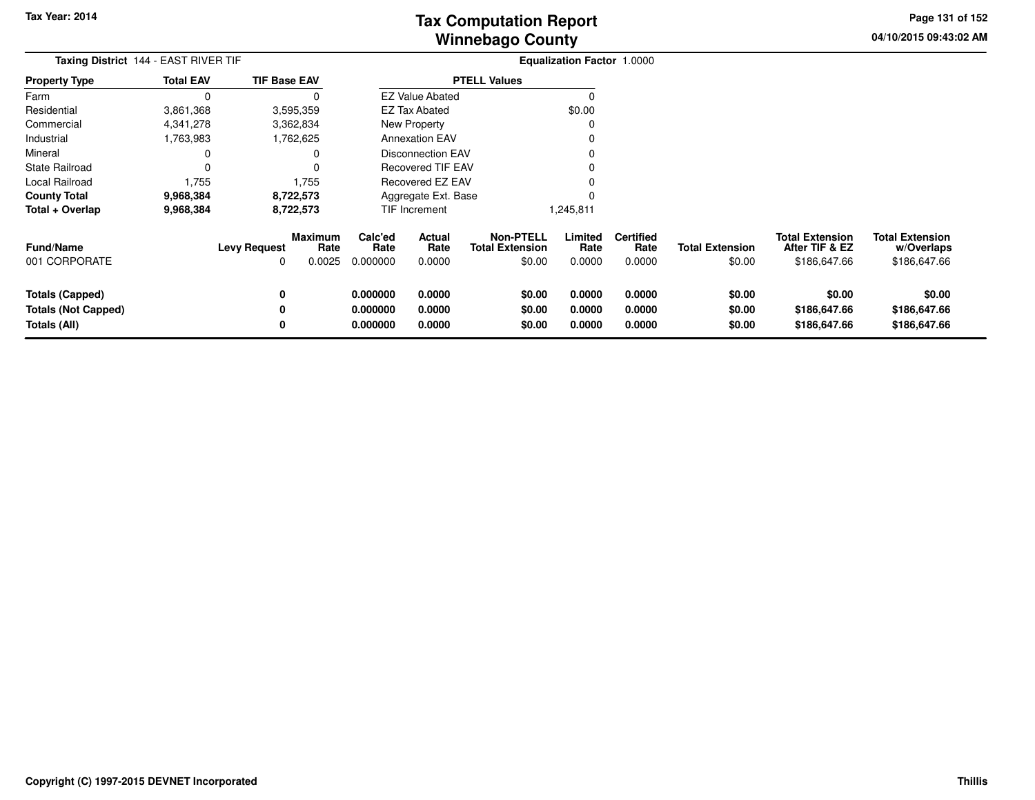**04/10/2015 09:43:02 AM Page 131 of 152**

| Taxing District 144 - EAST RIVER TIF |                  | Equalization Factor 1.0000 |                                  |                             |                            |                                                      |                           |                                    |                                  |                                                          |                                                      |
|--------------------------------------|------------------|----------------------------|----------------------------------|-----------------------------|----------------------------|------------------------------------------------------|---------------------------|------------------------------------|----------------------------------|----------------------------------------------------------|------------------------------------------------------|
| <b>Property Type</b>                 | <b>Total EAV</b> | <b>TIF Base EAV</b>        |                                  |                             |                            | <b>PTELL Values</b>                                  |                           |                                    |                                  |                                                          |                                                      |
| Farm                                 | $\Omega$         |                            | 0                                |                             | <b>EZ Value Abated</b>     |                                                      | $\Omega$                  |                                    |                                  |                                                          |                                                      |
| Residential                          | 3,861,368        |                            | 3,595,359                        |                             | <b>EZ Tax Abated</b>       |                                                      | \$0.00                    |                                    |                                  |                                                          |                                                      |
| Commercial                           | 4,341,278        |                            | 3,362,834                        |                             | New Property               |                                                      | 0                         |                                    |                                  |                                                          |                                                      |
| Industrial                           | 1,763,983        |                            | 1,762,625                        |                             | <b>Annexation EAV</b><br>O |                                                      |                           |                                    |                                  |                                                          |                                                      |
| Mineral                              | 0                |                            | 0                                | <b>Disconnection EAV</b>    |                            |                                                      |                           |                                    |                                  |                                                          |                                                      |
| <b>State Railroad</b>                | 0                |                            | 0                                |                             | <b>Recovered TIF EAV</b>   |                                                      |                           |                                    |                                  |                                                          |                                                      |
| Local Railroad                       | 1,755            |                            | 1,755                            | Recovered EZ EAV            |                            |                                                      |                           |                                    |                                  |                                                          |                                                      |
| <b>County Total</b>                  | 9,968,384        |                            | 8,722,573                        | Aggregate Ext. Base         |                            |                                                      |                           |                                    |                                  |                                                          |                                                      |
| Total + Overlap                      | 9,968,384        |                            | 8,722,573                        |                             | TIF Increment              |                                                      | 1,245,811                 |                                    |                                  |                                                          |                                                      |
| <b>Fund/Name</b><br>001 CORPORATE    |                  | <b>Levy Request</b><br>O   | <b>Maximum</b><br>Rate<br>0.0025 | Calc'ed<br>Rate<br>0.000000 | Actual<br>Rate<br>0.0000   | <b>Non-PTELL</b><br><b>Total Extension</b><br>\$0.00 | Limited<br>Rate<br>0.0000 | <b>Certified</b><br>Rate<br>0.0000 | <b>Total Extension</b><br>\$0.00 | <b>Total Extension</b><br>After TIF & EZ<br>\$186,647.66 | <b>Total Extension</b><br>w/Overlaps<br>\$186,647.66 |
| <b>Totals (Capped)</b>               |                  | 0                          |                                  | 0.000000                    | 0.0000                     | \$0.00                                               | 0.0000                    | 0.0000                             | \$0.00                           | \$0.00                                                   | \$0.00                                               |
| <b>Totals (Not Capped)</b>           |                  | 0                          |                                  | 0.000000                    | 0.0000                     | \$0.00                                               | 0.0000                    | 0.0000                             | \$0.00                           | \$186,647.66                                             | \$186,647.66                                         |
| Totals (All)                         |                  | 0                          |                                  | 0.000000                    | 0.0000                     | \$0.00                                               | 0.0000                    | 0.0000                             | \$0.00                           | \$186,647.66                                             | \$186,647.66                                         |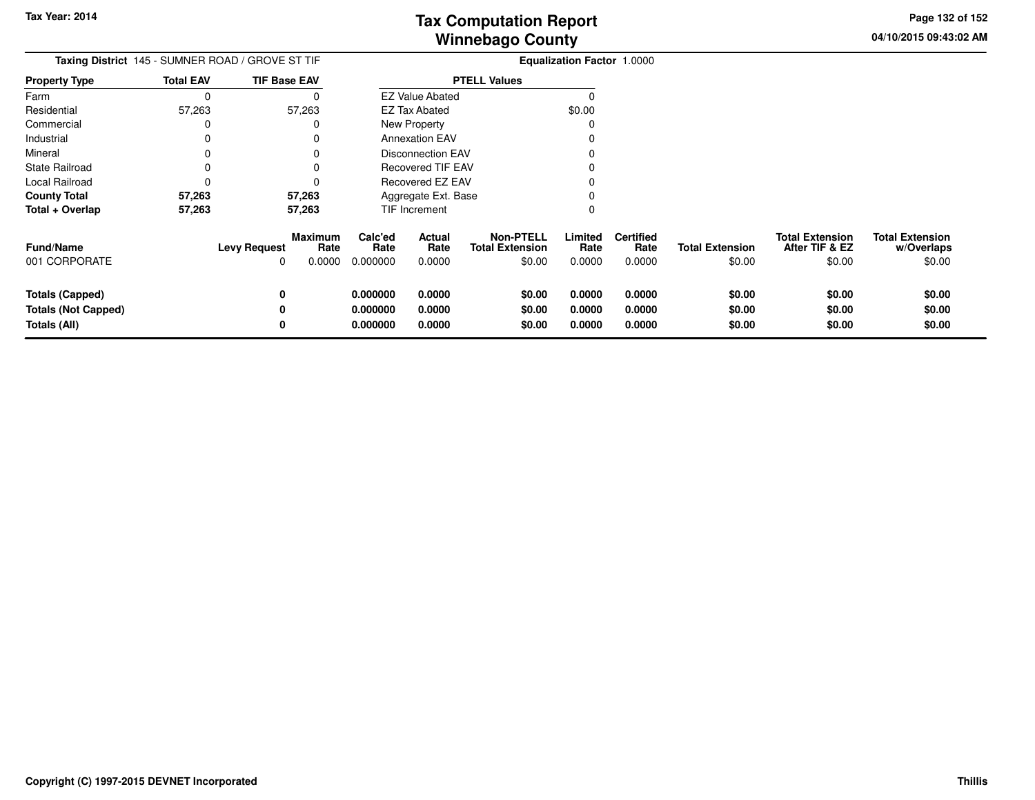**04/10/2015 09:43:02 AM Page 132 of 152**

| Taxing District 145 - SUMNER ROAD / GROVE ST TIF                     |                     | <b>Equalization Factor 1.0000</b> |                                  |                                 |                                                      |                            |                                    |                                  |                                                    |                                                |
|----------------------------------------------------------------------|---------------------|-----------------------------------|----------------------------------|---------------------------------|------------------------------------------------------|----------------------------|------------------------------------|----------------------------------|----------------------------------------------------|------------------------------------------------|
| <b>Property Type</b>                                                 | <b>Total EAV</b>    | <b>TIF Base EAV</b>               |                                  |                                 | <b>PTELL Values</b>                                  |                            |                                    |                                  |                                                    |                                                |
| Farm                                                                 | C                   |                                   |                                  | <b>EZ Value Abated</b>          |                                                      |                            |                                    |                                  |                                                    |                                                |
| Residential                                                          | 57,263              | 57,263                            |                                  | <b>EZ Tax Abated</b>            |                                                      | \$0.00                     |                                    |                                  |                                                    |                                                |
| Commercial                                                           | $\Omega$            | 0                                 |                                  | New Property                    |                                                      |                            |                                    |                                  |                                                    |                                                |
| Industrial                                                           | $\Omega$            |                                   |                                  | <b>Annexation EAV</b>           |                                                      |                            |                                    |                                  |                                                    |                                                |
| Mineral                                                              | 0                   |                                   |                                  | <b>Disconnection EAV</b>        |                                                      |                            |                                    |                                  |                                                    |                                                |
| <b>State Railroad</b>                                                | $\Omega$            |                                   |                                  | <b>Recovered TIF EAV</b>        |                                                      |                            |                                    |                                  |                                                    |                                                |
| Local Railroad                                                       | C                   |                                   |                                  | Recovered EZ EAV                |                                                      |                            |                                    |                                  |                                                    |                                                |
| <b>County Total</b>                                                  | 57,263              | 57,263                            |                                  | Aggregate Ext. Base             |                                                      |                            |                                    |                                  |                                                    |                                                |
| Total + Overlap                                                      | 57,263              | 57,263                            |                                  | TIF Increment                   |                                                      | 0                          |                                    |                                  |                                                    |                                                |
| <b>Fund/Name</b><br>001 CORPORATE                                    | <b>Levy Request</b> | Maximum<br>Rate<br>0.0000<br>0    | Calc'ed<br>Rate<br>0.000000      | <b>Actual</b><br>Rate<br>0.0000 | <b>Non-PTELL</b><br><b>Total Extension</b><br>\$0.00 | Limited<br>Rate<br>0.0000  | <b>Certified</b><br>Rate<br>0.0000 | <b>Total Extension</b><br>\$0.00 | <b>Total Extension</b><br>After TIF & EZ<br>\$0.00 | <b>Total Extension</b><br>w/Overlaps<br>\$0.00 |
| <b>Totals (Capped)</b><br><b>Totals (Not Capped)</b><br>Totals (All) |                     | 0<br>0<br>0                       | 0.000000<br>0.000000<br>0.000000 | 0.0000<br>0.0000<br>0.0000      | \$0.00<br>\$0.00<br>\$0.00                           | 0.0000<br>0.0000<br>0.0000 | 0.0000<br>0.0000<br>0.0000         | \$0.00<br>\$0.00<br>\$0.00       | \$0.00<br>\$0.00<br>\$0.00                         | \$0.00<br>\$0.00<br>\$0.00                     |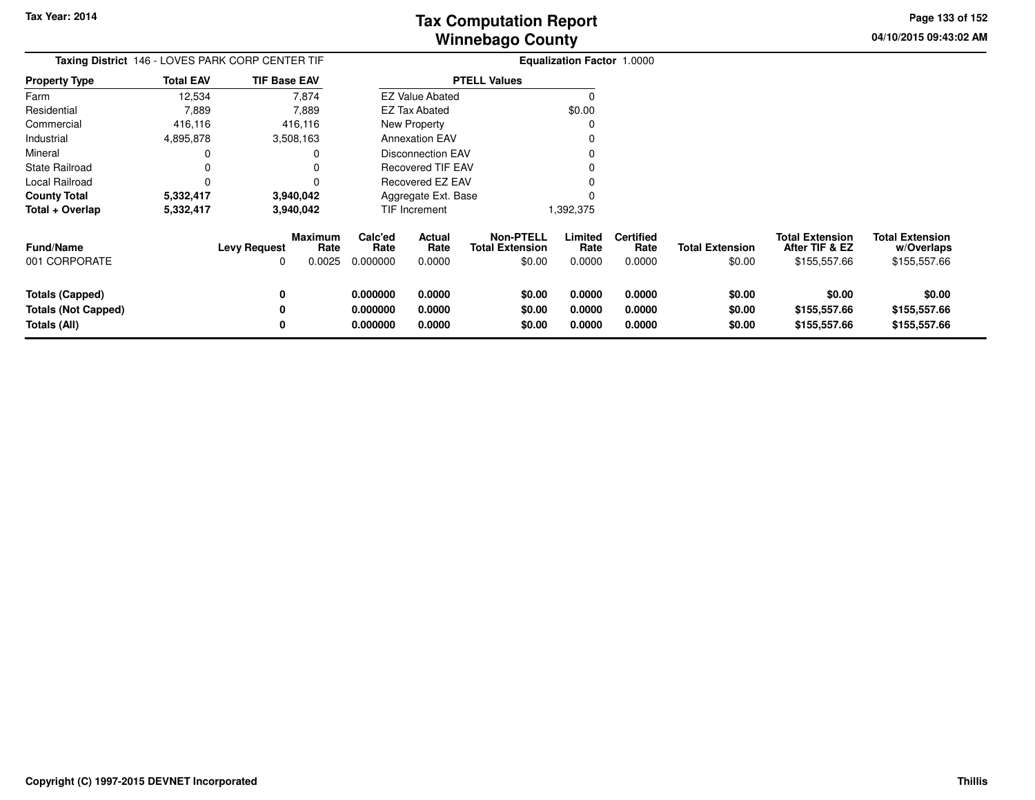**04/10/2015 09:43:02 AMPage 133 of 152**

> **w/Overlaps**\$155,557.66

| Taxing District 146 - LOVES PARK CORP CENTER TIF |                  |                                |        |                 |                          |                                            | <b>Equalization Factor 1.0000</b> |                          |                        |                                          |                                      |
|--------------------------------------------------|------------------|--------------------------------|--------|-----------------|--------------------------|--------------------------------------------|-----------------------------------|--------------------------|------------------------|------------------------------------------|--------------------------------------|
| <b>Property Type</b>                             | <b>Total EAV</b> | <b>TIF Base EAV</b>            |        |                 |                          | <b>PTELL Values</b>                        |                                   |                          |                        |                                          |                                      |
| Farm                                             | 12,534           | 7,874                          |        |                 | <b>EZ Value Abated</b>   |                                            |                                   |                          |                        |                                          |                                      |
| Residential                                      | 7,889            | 7,889                          |        |                 | <b>EZ Tax Abated</b>     |                                            | \$0.00                            |                          |                        |                                          |                                      |
| Commercial                                       | 416,116          | 416,116                        |        |                 | New Property             |                                            |                                   |                          |                        |                                          |                                      |
| Industrial                                       | 4,895,878        | 3,508,163                      |        |                 | <b>Annexation EAV</b>    |                                            |                                   |                          |                        |                                          |                                      |
| Mineral                                          |                  |                                |        |                 | <b>Disconnection EAV</b> |                                            |                                   |                          |                        |                                          |                                      |
| <b>State Railroad</b>                            |                  |                                |        |                 | <b>Recovered TIF EAV</b> |                                            |                                   |                          |                        |                                          |                                      |
| Local Railroad                                   |                  |                                |        |                 | Recovered EZ EAV         |                                            |                                   |                          |                        |                                          |                                      |
| <b>County Total</b>                              | 5,332,417        | 3,940,042                      |        |                 | Aggregate Ext. Base      |                                            |                                   |                          |                        |                                          |                                      |
| Total + Overlap                                  | 5,332,417        | 3,940,042                      |        |                 | TIF Increment            |                                            | 1,392,375                         |                          |                        |                                          |                                      |
| <b>Fund/Name</b>                                 |                  | Maximum<br><b>Levy Request</b> | Rate   | Calc'ed<br>Rate | Actual<br>Rate           | <b>Non-PTELL</b><br><b>Total Extension</b> | Limited<br>Rate                   | <b>Certified</b><br>Rate | <b>Total Extension</b> | <b>Total Extension</b><br>After TIF & EZ | <b>Total Extension</b><br>w/Overlaps |
| 001 CORPORATE                                    |                  | 0                              | 0.0025 | 0.000000        | 0.0000                   | \$0.00                                     | 0.0000                            | 0.0000                   | \$0.00                 | \$155,557.66                             | \$155,557.66                         |
| <b>Totals (Capped)</b>                           |                  | 0                              |        | 0.000000        | 0.0000                   | \$0.00                                     | 0.0000                            | 0.0000                   | \$0.00                 | \$0.00                                   | \$0.00                               |
| <b>Totals (Not Capped)</b>                       |                  |                                |        | 0.000000        | 0.0000                   | \$0.00                                     | 0.0000                            | 0.0000                   | \$0.00                 | \$155,557.66                             | \$155,557.66                         |
| Totals (All)                                     |                  |                                |        | 0.000000        | 0.0000                   | \$0.00                                     | 0.0000                            | 0.0000                   | \$0.00                 | \$155,557.66                             | \$155,557.66                         |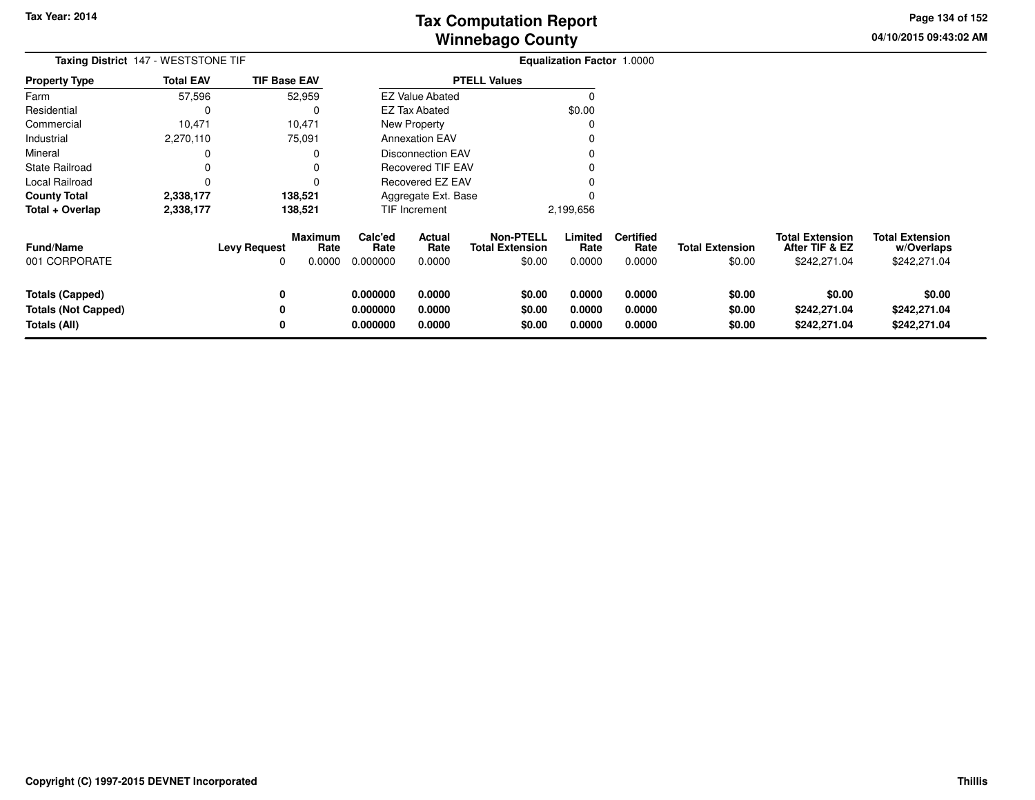**04/10/2015 09:43:02 AMPage 134 of 152**

| Taxing District 147 - WESTSTONE TIF                           |                  |                          |                           |                                  |                            |                                                      | <b>Equalization Factor 1.0000</b> |                                    |                                  |                                                          |                                                      |
|---------------------------------------------------------------|------------------|--------------------------|---------------------------|----------------------------------|----------------------------|------------------------------------------------------|-----------------------------------|------------------------------------|----------------------------------|----------------------------------------------------------|------------------------------------------------------|
| <b>Property Type</b>                                          | <b>Total EAV</b> | <b>TIF Base EAV</b>      |                           |                                  |                            | <b>PTELL Values</b>                                  |                                   |                                    |                                  |                                                          |                                                      |
| Farm                                                          | 57,596           |                          | 52,959                    |                                  | <b>EZ Value Abated</b>     |                                                      | O                                 |                                    |                                  |                                                          |                                                      |
| Residential                                                   | 0                |                          |                           |                                  | <b>EZ Tax Abated</b>       |                                                      | \$0.00                            |                                    |                                  |                                                          |                                                      |
| Commercial                                                    | 10,471           |                          | 10,471                    |                                  | New Property               |                                                      |                                   |                                    |                                  |                                                          |                                                      |
| Industrial                                                    | 2,270,110        |                          | 75,091                    |                                  | <b>Annexation EAV</b>      |                                                      |                                   |                                    |                                  |                                                          |                                                      |
| Mineral                                                       | 0                |                          |                           |                                  | <b>Disconnection EAV</b>   |                                                      |                                   |                                    |                                  |                                                          |                                                      |
| State Railroad                                                | 0                |                          |                           |                                  | <b>Recovered TIF EAV</b>   |                                                      |                                   |                                    |                                  |                                                          |                                                      |
| Local Railroad                                                | 0                |                          |                           |                                  | Recovered EZ EAV           |                                                      |                                   |                                    |                                  |                                                          |                                                      |
| <b>County Total</b>                                           | 2,338,177        |                          | 138,521                   |                                  | Aggregate Ext. Base        |                                                      |                                   |                                    |                                  |                                                          |                                                      |
| Total + Overlap                                               | 2,338,177        |                          | 138,521                   |                                  | <b>TIF Increment</b>       |                                                      | 2,199,656                         |                                    |                                  |                                                          |                                                      |
| Fund/Name<br>001 CORPORATE                                    |                  | <b>Levy Request</b><br>O | Maximum<br>Rate<br>0.0000 | Calc'ed<br>Rate<br>0.000000      | Actual<br>Rate<br>0.0000   | <b>Non-PTELL</b><br><b>Total Extension</b><br>\$0.00 | Limited<br>Rate<br>0.0000         | <b>Certified</b><br>Rate<br>0.0000 | <b>Total Extension</b><br>\$0.00 | <b>Total Extension</b><br>After TIF & EZ<br>\$242,271.04 | <b>Total Extension</b><br>w/Overlaps<br>\$242,271.04 |
| Totals (Capped)<br><b>Totals (Not Capped)</b><br>Totals (All) |                  | 0<br>0<br>0              |                           | 0.000000<br>0.000000<br>0.000000 | 0.0000<br>0.0000<br>0.0000 | \$0.00<br>\$0.00<br>\$0.00                           | 0.0000<br>0.0000<br>0.0000        | 0.0000<br>0.0000<br>0.0000         | \$0.00<br>\$0.00<br>\$0.00       | \$0.00<br>\$242,271.04<br>\$242,271.04                   | \$0.00<br>\$242,271.04<br>\$242,271.04               |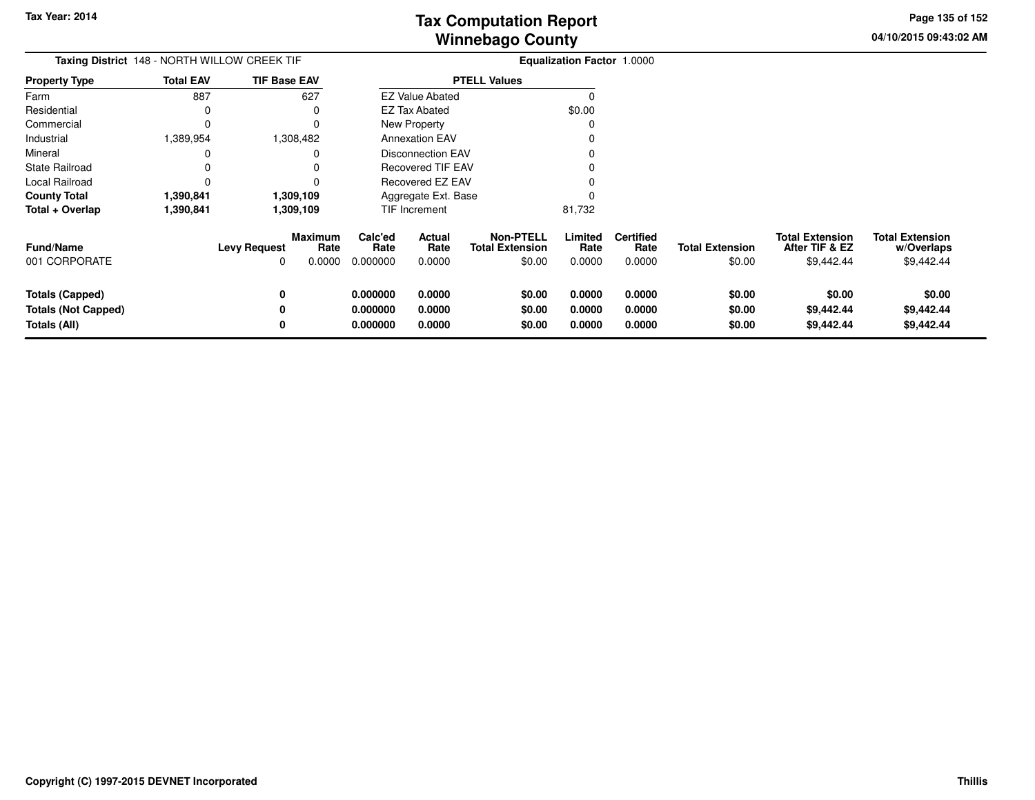**04/10/2015 09:43:02 AMPage 135 of 152**

| <b>Taxing District</b> 148 - NORTH WILLOW CREEK TIF           |                  |                     |                                  |                                  |                            |                                                      | <b>Equalization Factor 1.0000</b> |                                    |                                  |                                                        |                                                    |
|---------------------------------------------------------------|------------------|---------------------|----------------------------------|----------------------------------|----------------------------|------------------------------------------------------|-----------------------------------|------------------------------------|----------------------------------|--------------------------------------------------------|----------------------------------------------------|
| <b>Property Type</b>                                          | <b>Total EAV</b> | <b>TIF Base EAV</b> |                                  |                                  |                            | <b>PTELL Values</b>                                  |                                   |                                    |                                  |                                                        |                                                    |
| Farm                                                          | 887              |                     | 627                              |                                  | <b>EZ Value Abated</b>     |                                                      |                                   |                                    |                                  |                                                        |                                                    |
| Residential                                                   | 0                |                     |                                  |                                  | <b>EZ Tax Abated</b>       |                                                      | \$0.00                            |                                    |                                  |                                                        |                                                    |
| Commercial                                                    | O                |                     |                                  |                                  | New Property               |                                                      |                                   |                                    |                                  |                                                        |                                                    |
| Industrial                                                    | 1,389,954        |                     | 1,308,482                        |                                  | <b>Annexation EAV</b>      |                                                      |                                   |                                    |                                  |                                                        |                                                    |
| Mineral                                                       |                  |                     |                                  |                                  | Disconnection EAV          |                                                      |                                   |                                    |                                  |                                                        |                                                    |
| <b>State Railroad</b>                                         |                  |                     |                                  |                                  | <b>Recovered TIF EAV</b>   |                                                      |                                   |                                    |                                  |                                                        |                                                    |
| Local Railroad                                                |                  |                     |                                  |                                  | <b>Recovered EZ EAV</b>    |                                                      |                                   |                                    |                                  |                                                        |                                                    |
| <b>County Total</b>                                           | 1,390,841        |                     | 1,309,109                        |                                  | Aggregate Ext. Base        |                                                      |                                   |                                    |                                  |                                                        |                                                    |
| Total + Overlap                                               | 1,390,841        |                     | 1,309,109                        |                                  | TIF Increment              |                                                      | 81,732                            |                                    |                                  |                                                        |                                                    |
| <b>Fund/Name</b><br>001 CORPORATE                             |                  | <b>Levy Request</b> | <b>Maximum</b><br>Rate<br>0.0000 | Calc'ed<br>Rate<br>0.000000      | Actual<br>Rate<br>0.0000   | <b>Non-PTELL</b><br><b>Total Extension</b><br>\$0.00 | Limited<br>Rate<br>0.0000         | <b>Certified</b><br>Rate<br>0.0000 | <b>Total Extension</b><br>\$0.00 | <b>Total Extension</b><br>After TIF & EZ<br>\$9,442.44 | <b>Total Extension</b><br>w/Overlaps<br>\$9,442.44 |
| Totals (Capped)<br><b>Totals (Not Capped)</b><br>Totals (All) |                  |                     |                                  | 0.000000<br>0.000000<br>0.000000 | 0.0000<br>0.0000<br>0.0000 | \$0.00<br>\$0.00<br>\$0.00                           | 0.0000<br>0.0000<br>0.0000        | 0.0000<br>0.0000<br>0.0000         | \$0.00<br>\$0.00<br>\$0.00       | \$0.00<br>\$9,442.44<br>\$9,442.44                     | \$0.00<br>\$9,442.44<br>\$9,442.44                 |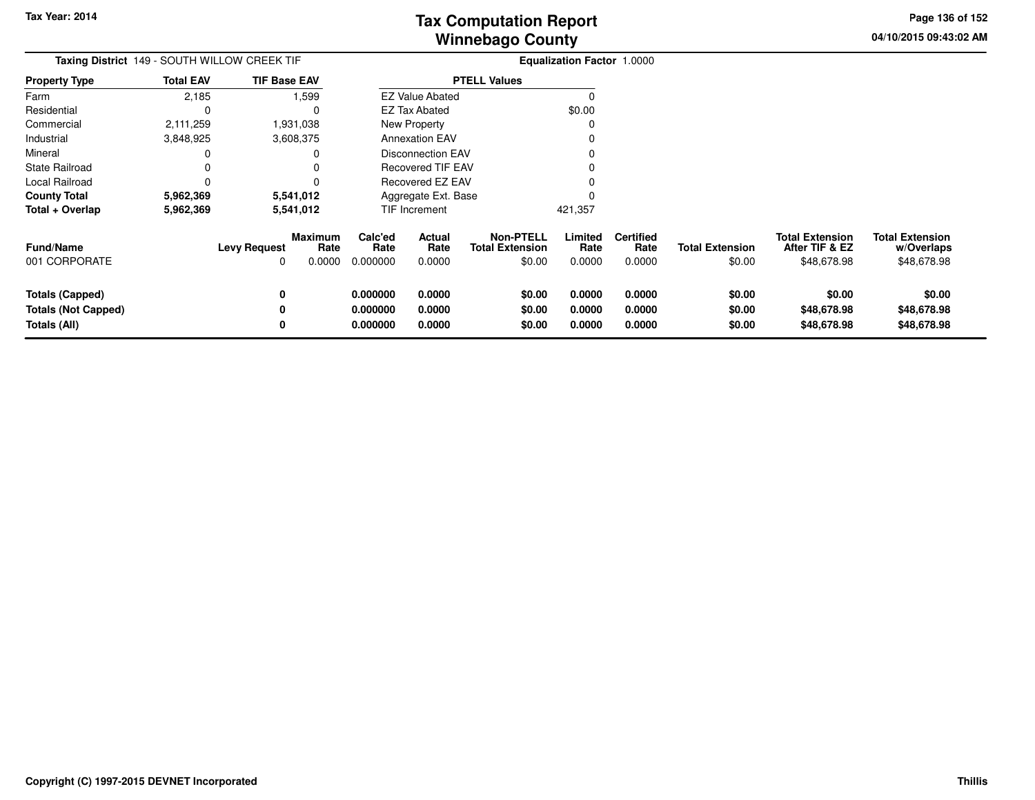**04/10/2015 09:43:02 AMPage 136 of 152**

| Taxing District 149 - SOUTH WILLOW CREEK TIF                         |                  | <b>Equalization Factor 1.0000</b> |                                  |                                  |                                 |                                                      |                            |                                    |                                  |                                                         |                                                     |
|----------------------------------------------------------------------|------------------|-----------------------------------|----------------------------------|----------------------------------|---------------------------------|------------------------------------------------------|----------------------------|------------------------------------|----------------------------------|---------------------------------------------------------|-----------------------------------------------------|
| <b>Property Type</b>                                                 | <b>Total EAV</b> | <b>TIF Base EAV</b>               |                                  |                                  |                                 | <b>PTELL Values</b>                                  |                            |                                    |                                  |                                                         |                                                     |
| Farm                                                                 | 2,185            |                                   | 1,599                            |                                  | <b>EZ Value Abated</b>          |                                                      |                            |                                    |                                  |                                                         |                                                     |
| Residential                                                          |                  |                                   | $\Omega$                         |                                  | <b>EZ Tax Abated</b>            |                                                      | \$0.00                     |                                    |                                  |                                                         |                                                     |
| Commercial                                                           | 2,111,259        | 1,931,038                         |                                  |                                  | New Property                    |                                                      |                            |                                    |                                  |                                                         |                                                     |
| Industrial                                                           | 3,848,925        | 3,608,375                         |                                  |                                  | <b>Annexation EAV</b>           |                                                      |                            |                                    |                                  |                                                         |                                                     |
| Mineral                                                              |                  |                                   | 0                                |                                  | Disconnection EAV               |                                                      |                            |                                    |                                  |                                                         |                                                     |
| <b>State Railroad</b>                                                |                  |                                   | $\Omega$                         |                                  | <b>Recovered TIF EAV</b>        |                                                      |                            |                                    |                                  |                                                         |                                                     |
| Local Railroad                                                       |                  |                                   |                                  |                                  | Recovered EZ EAV                |                                                      |                            |                                    |                                  |                                                         |                                                     |
| <b>County Total</b>                                                  | 5,962,369        | 5,541,012                         |                                  |                                  | Aggregate Ext. Base             |                                                      |                            |                                    |                                  |                                                         |                                                     |
| Total + Overlap                                                      | 5,962,369        | 5,541,012                         |                                  |                                  | TIF Increment                   |                                                      | 421,357                    |                                    |                                  |                                                         |                                                     |
| <b>Fund/Name</b><br>001 CORPORATE                                    |                  | <b>Levy Request</b>               | <b>Maximum</b><br>Rate<br>0.0000 | Calc'ed<br>Rate<br>0.000000      | <b>Actual</b><br>Rate<br>0.0000 | <b>Non-PTELL</b><br><b>Total Extension</b><br>\$0.00 | Limited<br>Rate<br>0.0000  | <b>Certified</b><br>Rate<br>0.0000 | <b>Total Extension</b><br>\$0.00 | <b>Total Extension</b><br>After TIF & EZ<br>\$48,678.98 | <b>Total Extension</b><br>w/Overlaps<br>\$48,678.98 |
| <b>Totals (Capped)</b><br><b>Totals (Not Capped)</b><br>Totals (All) |                  | 0<br>0                            |                                  | 0.000000<br>0.000000<br>0.000000 | 0.0000<br>0.0000<br>0.0000      | \$0.00<br>\$0.00<br>\$0.00                           | 0.0000<br>0.0000<br>0.0000 | 0.0000<br>0.0000<br>0.0000         | \$0.00<br>\$0.00<br>\$0.00       | \$0.00<br>\$48,678.98<br>\$48,678.98                    | \$0.00<br>\$48,678.98<br>\$48,678.98                |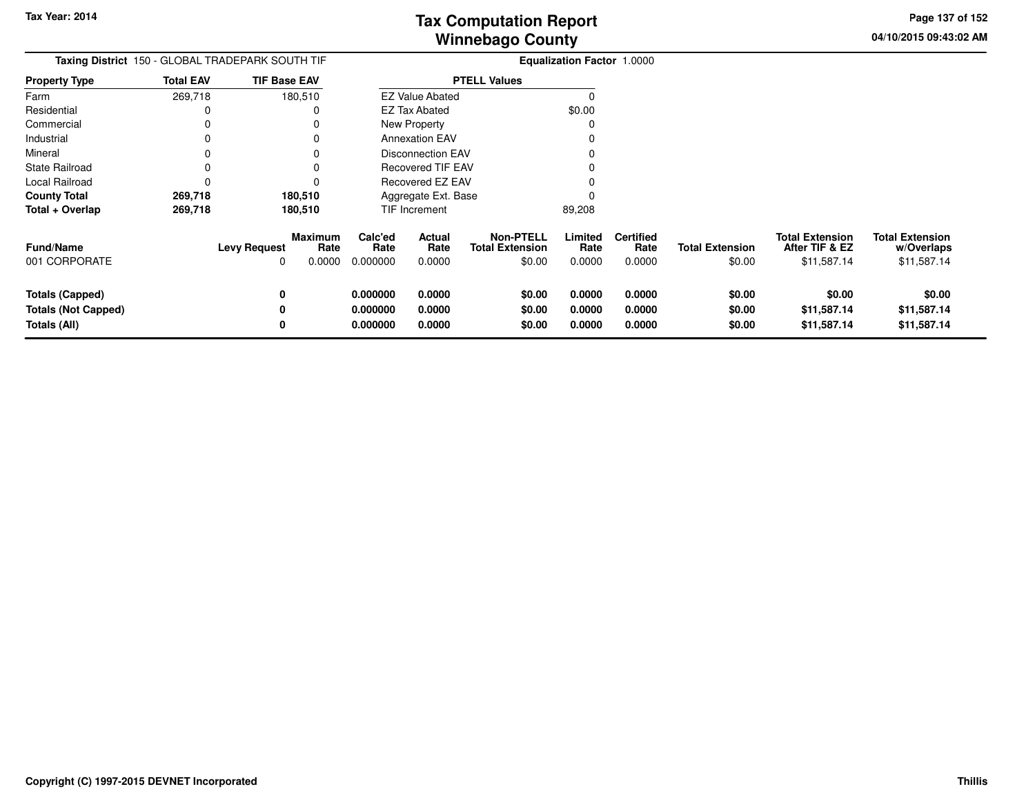**04/10/2015 09:43:02 AM Page 137 of 152**

| Taxing District 150 - GLOBAL TRADEPARK SOUTH TIF |                  |                                                              | Equalization Factor 1.0000  |                          |                                                      |                           |                                    |                                  |                                                         |                                                     |
|--------------------------------------------------|------------------|--------------------------------------------------------------|-----------------------------|--------------------------|------------------------------------------------------|---------------------------|------------------------------------|----------------------------------|---------------------------------------------------------|-----------------------------------------------------|
| <b>Property Type</b>                             | <b>Total EAV</b> | <b>TIF Base EAV</b>                                          |                             |                          | <b>PTELL Values</b>                                  |                           |                                    |                                  |                                                         |                                                     |
| Farm                                             | 269,718          | 180,510                                                      |                             | <b>EZ Value Abated</b>   |                                                      | $\Omega$                  |                                    |                                  |                                                         |                                                     |
| Residential                                      | 0                | 0                                                            |                             | EZ Tax Abated            |                                                      | \$0.00                    |                                    |                                  |                                                         |                                                     |
| Commercial                                       | 0                |                                                              |                             | <b>New Property</b>      |                                                      | 0                         |                                    |                                  |                                                         |                                                     |
| Industrial                                       | 0                | 0                                                            |                             | <b>Annexation EAV</b>    |                                                      | O                         |                                    |                                  |                                                         |                                                     |
| Mineral                                          | 0                |                                                              |                             | <b>Disconnection EAV</b> |                                                      |                           |                                    |                                  |                                                         |                                                     |
| <b>State Railroad</b>                            | 0                | 0                                                            |                             | <b>Recovered TIF EAV</b> |                                                      |                           |                                    |                                  |                                                         |                                                     |
| Local Railroad                                   | 0                |                                                              |                             | Recovered EZ EAV         |                                                      |                           |                                    |                                  |                                                         |                                                     |
| <b>County Total</b>                              | 269,718          | 180,510                                                      |                             | Aggregate Ext. Base      |                                                      |                           |                                    |                                  |                                                         |                                                     |
| Total + Overlap                                  | 269,718          | 180,510                                                      |                             | TIF Increment            |                                                      | 89,208                    |                                    |                                  |                                                         |                                                     |
| <b>Fund/Name</b><br>001 CORPORATE                |                  | <b>Maximum</b><br><b>Levy Request</b><br>Rate<br>0.0000<br>0 | Calc'ed<br>Rate<br>0.000000 | Actual<br>Rate<br>0.0000 | <b>Non-PTELL</b><br><b>Total Extension</b><br>\$0.00 | Limited<br>Rate<br>0.0000 | <b>Certified</b><br>Rate<br>0.0000 | <b>Total Extension</b><br>\$0.00 | <b>Total Extension</b><br>After TIF & EZ<br>\$11,587.14 | <b>Total Extension</b><br>w/Overlaps<br>\$11,587.14 |
|                                                  |                  |                                                              |                             |                          |                                                      |                           |                                    |                                  |                                                         |                                                     |
| <b>Totals (Capped)</b>                           |                  | 0                                                            | 0.000000                    | 0.0000                   | \$0.00                                               | 0.0000                    | 0.0000                             | \$0.00                           | \$0.00                                                  | \$0.00                                              |
| <b>Totals (Not Capped)</b>                       |                  | 0                                                            | 0.000000                    | 0.0000                   | \$0.00                                               | 0.0000                    | 0.0000                             | \$0.00                           | \$11,587.14                                             | \$11,587.14                                         |
| Totals (All)                                     |                  | 0                                                            | 0.000000                    | 0.0000                   | \$0.00                                               | 0.0000                    | 0.0000                             | \$0.00                           | \$11,587.14                                             | \$11,587.14                                         |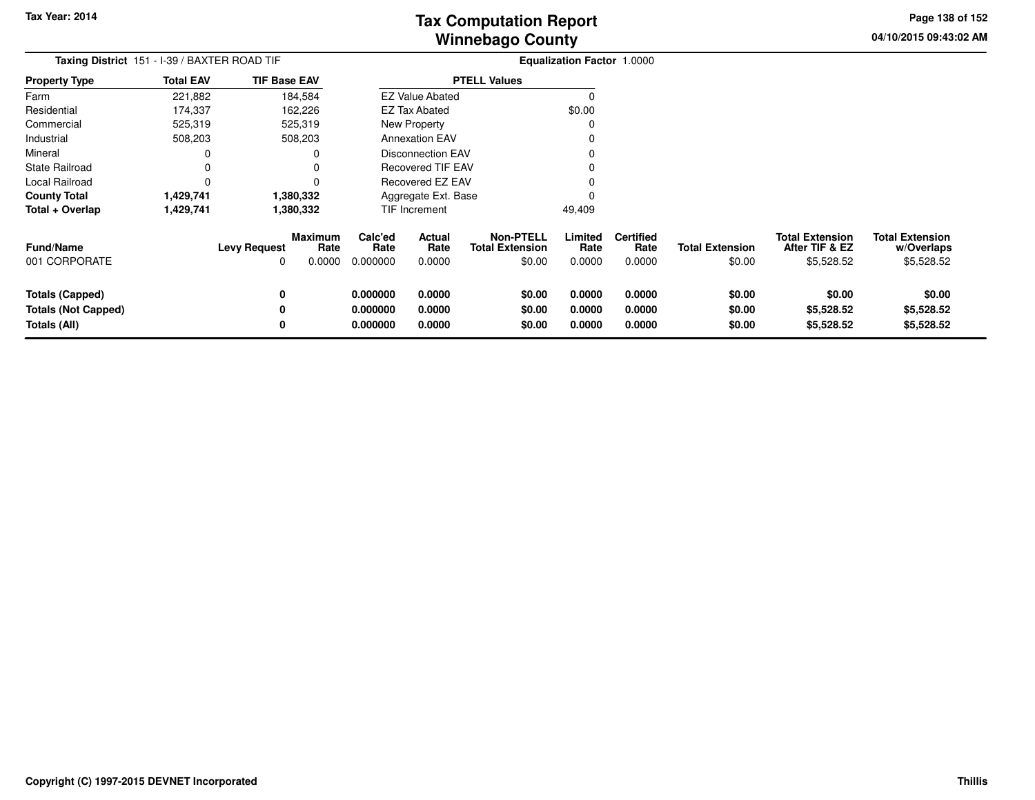**04/10/2015 09:43:02 AMPage 138 of 152**

| Taxing District 151 - I-39 / BAXTER ROAD TIF |                          |                |                                                                                                             |                                 |                                                                                |                                                                                                                                           |                                    |                                   |                                                        |                                                    |
|----------------------------------------------|--------------------------|----------------|-------------------------------------------------------------------------------------------------------------|---------------------------------|--------------------------------------------------------------------------------|-------------------------------------------------------------------------------------------------------------------------------------------|------------------------------------|-----------------------------------|--------------------------------------------------------|----------------------------------------------------|
| <b>Total EAV</b>                             |                          |                |                                                                                                             |                                 |                                                                                |                                                                                                                                           |                                    |                                   |                                                        |                                                    |
| 221,882                                      |                          |                |                                                                                                             |                                 |                                                                                | 0                                                                                                                                         |                                    |                                   |                                                        |                                                    |
| 174,337                                      |                          |                |                                                                                                             |                                 |                                                                                | \$0.00                                                                                                                                    |                                    |                                   |                                                        |                                                    |
| 525,319                                      |                          |                |                                                                                                             |                                 |                                                                                |                                                                                                                                           |                                    |                                   |                                                        |                                                    |
| 508,203                                      |                          |                |                                                                                                             |                                 |                                                                                |                                                                                                                                           |                                    |                                   |                                                        |                                                    |
| 0                                            |                          |                |                                                                                                             |                                 |                                                                                |                                                                                                                                           |                                    |                                   |                                                        |                                                    |
| 0                                            |                          |                |                                                                                                             |                                 |                                                                                |                                                                                                                                           |                                    |                                   |                                                        |                                                    |
| 0                                            |                          |                |                                                                                                             |                                 |                                                                                |                                                                                                                                           |                                    |                                   |                                                        |                                                    |
| 1,429,741                                    |                          |                |                                                                                                             |                                 |                                                                                |                                                                                                                                           |                                    |                                   |                                                        |                                                    |
| 1,429,741                                    |                          |                |                                                                                                             |                                 |                                                                                | 49,409                                                                                                                                    |                                    |                                   |                                                        |                                                    |
|                                              | <b>Levy Request</b><br>0 | Rate<br>0.0000 | Calc'ed<br>Rate<br>0.000000                                                                                 | <b>Actual</b><br>Rate<br>0.0000 | <b>Non-PTELL</b><br><b>Total Extension</b><br>\$0.00                           | Limited<br>Rate<br>0.0000                                                                                                                 | <b>Certified</b><br>Rate<br>0.0000 | <b>Total Extension</b><br>\$0.00  | <b>Total Extension</b><br>After TIF & EZ<br>\$5,528.52 | <b>Total Extension</b><br>w/Overlaps<br>\$5,528.52 |
|                                              | 0<br>0<br>0              |                | 0.000000<br>0.000000<br>0.000000                                                                            | 0.0000<br>0.0000<br>0.0000      | \$0.00<br>\$0.00<br>\$0.00                                                     | 0.0000<br>0.0000<br>0.0000                                                                                                                | 0.0000<br>0.0000<br>0.0000         | \$0.00<br>\$0.00<br>\$0.00        | \$0.00<br>\$5,528.52<br>\$5,528.52                     | \$0.00<br>\$5,528.52<br>\$5,528.52                 |
|                                              |                          |                | <b>TIF Base EAV</b><br>184,584<br>162,226<br>525,319<br>508,203<br>1,380,332<br>1,380,332<br><b>Maximum</b> |                                 | <b>EZ Tax Abated</b><br>New Property<br><b>Annexation EAV</b><br>TIF Increment | <b>PTELL Values</b><br><b>EZ Value Abated</b><br>Disconnection EAV<br><b>Recovered TIF EAV</b><br>Recovered EZ EAV<br>Aggregate Ext. Base |                                    | <b>Equalization Factor 1.0000</b> |                                                        |                                                    |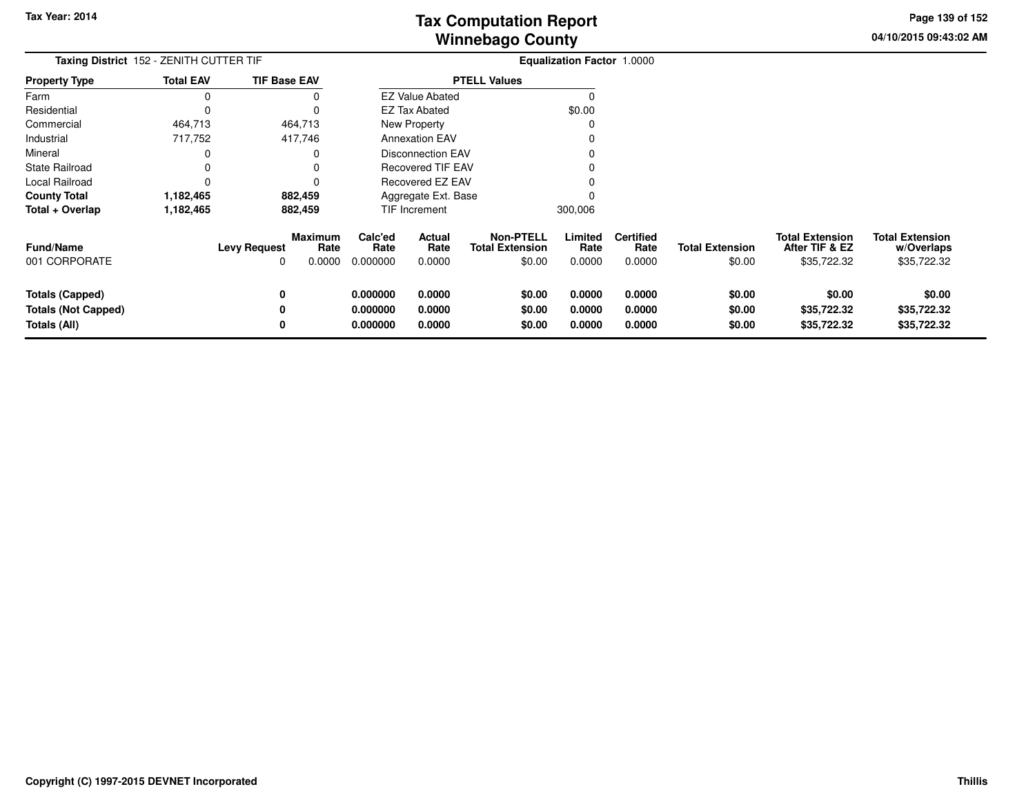**04/10/2015 09:43:02 AMPage 139 of 152**

| Taxing District 152 - ZENITH CUTTER TIF                              |                  |                     |                                  |                                  |                                 |                                                      | <b>Equalization Factor 1.0000</b> |                                    |                                  |                                                         |                                                     |
|----------------------------------------------------------------------|------------------|---------------------|----------------------------------|----------------------------------|---------------------------------|------------------------------------------------------|-----------------------------------|------------------------------------|----------------------------------|---------------------------------------------------------|-----------------------------------------------------|
| <b>Property Type</b>                                                 | <b>Total EAV</b> | <b>TIF Base EAV</b> |                                  |                                  |                                 | <b>PTELL Values</b>                                  |                                   |                                    |                                  |                                                         |                                                     |
| Farm                                                                 | 0                |                     |                                  |                                  | <b>EZ Value Abated</b>          |                                                      |                                   |                                    |                                  |                                                         |                                                     |
| Residential                                                          | $\Omega$         |                     |                                  |                                  | <b>EZ Tax Abated</b>            |                                                      | \$0.00                            |                                    |                                  |                                                         |                                                     |
| Commercial                                                           | 464,713          | 464,713             |                                  |                                  | New Property                    |                                                      |                                   |                                    |                                  |                                                         |                                                     |
| Industrial                                                           | 717,752          | 417,746             |                                  |                                  | <b>Annexation EAV</b>           |                                                      |                                   |                                    |                                  |                                                         |                                                     |
| Mineral                                                              |                  |                     |                                  |                                  | <b>Disconnection EAV</b>        |                                                      |                                   |                                    |                                  |                                                         |                                                     |
| State Railroad                                                       |                  |                     |                                  |                                  | Recovered TIF EAV               |                                                      |                                   |                                    |                                  |                                                         |                                                     |
| Local Railroad                                                       | 0                |                     |                                  |                                  | Recovered EZ EAV                |                                                      |                                   |                                    |                                  |                                                         |                                                     |
| <b>County Total</b>                                                  | 1,182,465        | 882,459             |                                  |                                  | Aggregate Ext. Base             |                                                      |                                   |                                    |                                  |                                                         |                                                     |
| Total + Overlap                                                      | 1,182,465        | 882,459             |                                  |                                  | TIF Increment                   |                                                      | 300,006                           |                                    |                                  |                                                         |                                                     |
| Fund/Name<br>001 CORPORATE                                           |                  | <b>Levy Request</b> | <b>Maximum</b><br>Rate<br>0.0000 | Calc'ed<br>Rate<br>0.000000      | <b>Actual</b><br>Rate<br>0.0000 | <b>Non-PTELL</b><br><b>Total Extension</b><br>\$0.00 | Limited<br>Rate<br>0.0000         | <b>Certified</b><br>Rate<br>0.0000 | <b>Total Extension</b><br>\$0.00 | <b>Total Extension</b><br>After TIF & EZ<br>\$35,722.32 | <b>Total Extension</b><br>w/Overlaps<br>\$35,722.32 |
| <b>Totals (Capped)</b><br><b>Totals (Not Capped)</b><br>Totals (All) |                  | 0<br>0<br>0         |                                  | 0.000000<br>0.000000<br>0.000000 | 0.0000<br>0.0000<br>0.0000      | \$0.00<br>\$0.00<br>\$0.00                           | 0.0000<br>0.0000<br>0.0000        | 0.0000<br>0.0000<br>0.0000         | \$0.00<br>\$0.00<br>\$0.00       | \$0.00<br>\$35,722.32<br>\$35,722.32                    | \$0.00<br>\$35,722.32<br>\$35,722.32                |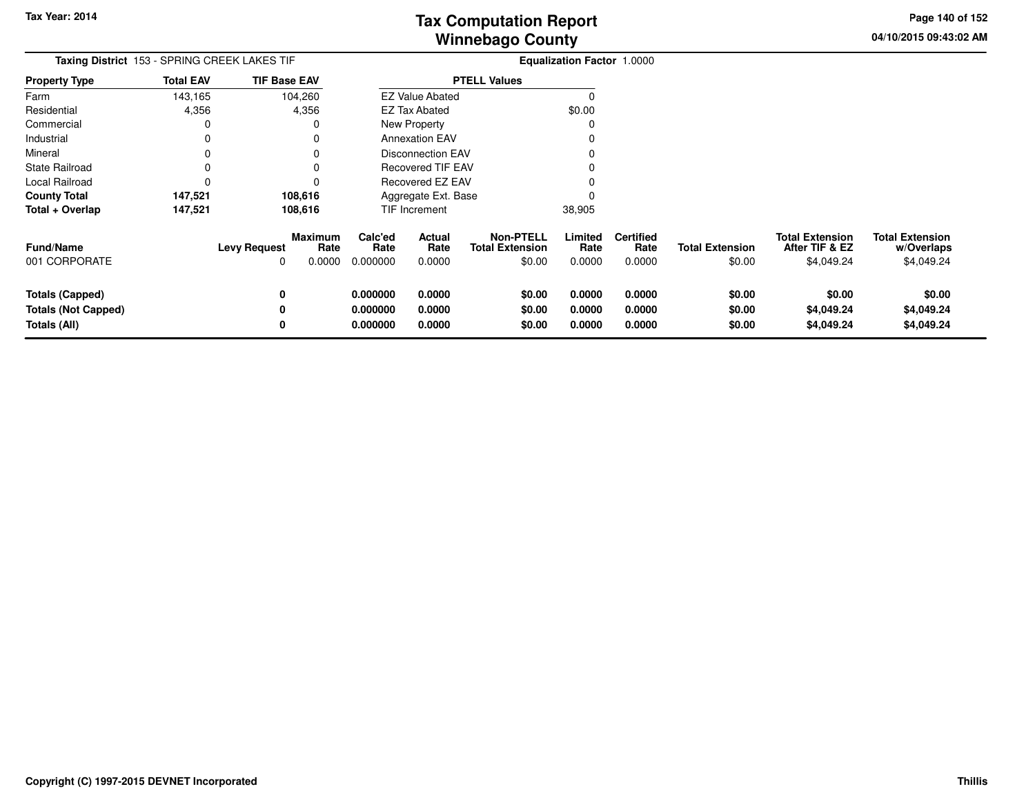**04/10/2015 09:43:02 AMPage 140 of 152**

| Taxing District 153 - SPRING CREEK LAKES TIF                         |                  |                     |                                  |                                  |                            | <b>Equalization Factor 1.0000</b>                    |                            |                                    |                                  |                                                        |                                                    |
|----------------------------------------------------------------------|------------------|---------------------|----------------------------------|----------------------------------|----------------------------|------------------------------------------------------|----------------------------|------------------------------------|----------------------------------|--------------------------------------------------------|----------------------------------------------------|
| <b>Property Type</b>                                                 | <b>Total EAV</b> | <b>TIF Base EAV</b> |                                  | <b>PTELL Values</b>              |                            |                                                      |                            |                                    |                                  |                                                        |                                                    |
| Farm                                                                 | 143,165          | 104,260             |                                  |                                  | <b>EZ Value Abated</b>     |                                                      |                            |                                    |                                  |                                                        |                                                    |
| Residential                                                          | 4,356            | 4,356               |                                  |                                  | <b>EZ Tax Abated</b>       |                                                      | \$0.00                     |                                    |                                  |                                                        |                                                    |
| Commercial                                                           | 0                |                     |                                  |                                  | New Property               |                                                      |                            |                                    |                                  |                                                        |                                                    |
| Industrial                                                           | 0                |                     |                                  |                                  | <b>Annexation EAV</b>      |                                                      |                            |                                    |                                  |                                                        |                                                    |
| Mineral                                                              |                  |                     |                                  |                                  | <b>Disconnection EAV</b>   |                                                      |                            |                                    |                                  |                                                        |                                                    |
| State Railroad                                                       | 0                |                     |                                  |                                  | Recovered TIF EAV          |                                                      |                            |                                    |                                  |                                                        |                                                    |
| Local Railroad                                                       | 0                |                     |                                  |                                  | Recovered EZ EAV           |                                                      |                            |                                    |                                  |                                                        |                                                    |
| <b>County Total</b>                                                  | 147,521          | 108,616             |                                  |                                  | Aggregate Ext. Base        |                                                      |                            |                                    |                                  |                                                        |                                                    |
| Total + Overlap                                                      | 147,521          | 108,616             |                                  |                                  | <b>TIF Increment</b>       |                                                      | 38,905                     |                                    |                                  |                                                        |                                                    |
| Fund/Name<br>001 CORPORATE                                           |                  | <b>Levy Request</b> | <b>Maximum</b><br>Rate<br>0.0000 | Calc'ed<br>Rate<br>0.000000      | Actual<br>Rate<br>0.0000   | <b>Non-PTELL</b><br><b>Total Extension</b><br>\$0.00 | Limited<br>Rate<br>0.0000  | <b>Certified</b><br>Rate<br>0.0000 | <b>Total Extension</b><br>\$0.00 | <b>Total Extension</b><br>After TIF & EZ<br>\$4,049.24 | <b>Total Extension</b><br>w/Overlaps<br>\$4,049.24 |
| <b>Totals (Capped)</b><br><b>Totals (Not Capped)</b><br>Totals (All) |                  | 0<br>0<br>0         |                                  | 0.000000<br>0.000000<br>0.000000 | 0.0000<br>0.0000<br>0.0000 | \$0.00<br>\$0.00<br>\$0.00                           | 0.0000<br>0.0000<br>0.0000 | 0.0000<br>0.0000<br>0.0000         | \$0.00<br>\$0.00<br>\$0.00       | \$0.00<br>\$4,049.24<br>\$4,049.24                     | \$0.00<br>\$4,049.24<br>\$4,049.24                 |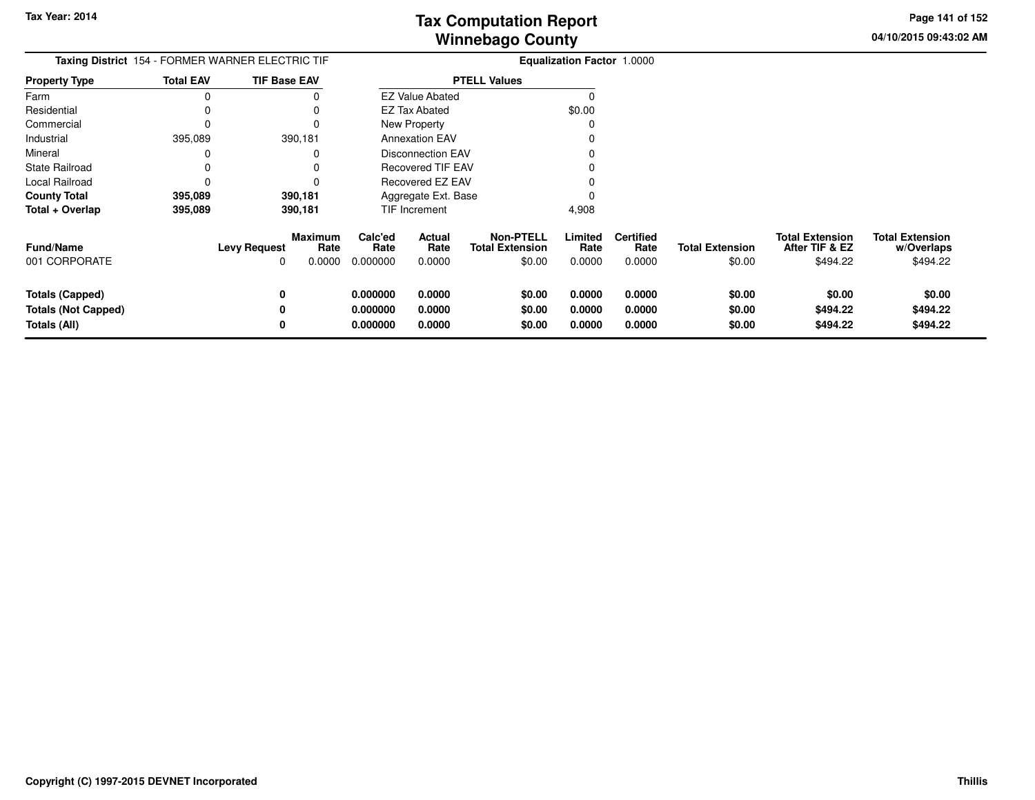**04/10/2015 09:43:02 AMPage 141 of 152**

| Taxing District 154 - FORMER WARNER ELECTRIC TIF |                  |                              |                | <b>Equalization Factor 1.0000</b> |                          |                                                      |                           |                                    |                                  |                                                      |                                                  |
|--------------------------------------------------|------------------|------------------------------|----------------|-----------------------------------|--------------------------|------------------------------------------------------|---------------------------|------------------------------------|----------------------------------|------------------------------------------------------|--------------------------------------------------|
| <b>Property Type</b>                             | <b>Total EAV</b> | <b>TIF Base EAV</b>          |                |                                   |                          | <b>PTELL Values</b>                                  |                           |                                    |                                  |                                                      |                                                  |
| Farm                                             | 0                |                              |                |                                   | <b>EZ Value Abated</b>   |                                                      |                           |                                    |                                  |                                                      |                                                  |
| Residential                                      |                  |                              |                |                                   | EZ Tax Abated            |                                                      | \$0.00                    |                                    |                                  |                                                      |                                                  |
| Commercial                                       | 0                | 0                            |                |                                   | New Property             |                                                      | C                         |                                    |                                  |                                                      |                                                  |
| Industrial                                       | 395,089          | 390,181                      |                |                                   | <b>Annexation EAV</b>    |                                                      |                           |                                    |                                  |                                                      |                                                  |
| Mineral                                          | 0                | 0                            |                |                                   | <b>Disconnection EAV</b> |                                                      |                           |                                    |                                  |                                                      |                                                  |
| <b>State Railroad</b>                            | 0                |                              |                |                                   | <b>Recovered TIF EAV</b> |                                                      |                           |                                    |                                  |                                                      |                                                  |
| Local Railroad                                   | 0                |                              |                |                                   | Recovered EZ EAV         |                                                      |                           |                                    |                                  |                                                      |                                                  |
| <b>County Total</b>                              | 395,089          | 390,181                      |                |                                   | Aggregate Ext. Base      |                                                      |                           |                                    |                                  |                                                      |                                                  |
| Total + Overlap                                  | 395,089          | 390,181                      |                |                                   | <b>TIF Increment</b>     |                                                      | 4,908                     |                                    |                                  |                                                      |                                                  |
| <b>Fund/Name</b><br>001 CORPORATE                |                  | Maximum<br>Levy Request<br>0 | Rate<br>0.0000 | Calc'ed<br>Rate<br>0.000000       | Actual<br>Rate<br>0.0000 | <b>Non-PTELL</b><br><b>Total Extension</b><br>\$0.00 | Limited<br>Rate<br>0.0000 | <b>Certified</b><br>Rate<br>0.0000 | <b>Total Extension</b><br>\$0.00 | <b>Total Extension</b><br>After TIF & EZ<br>\$494.22 | <b>Total Extension</b><br>w/Overlaps<br>\$494.22 |
| <b>Totals (Capped)</b>                           |                  | 0                            |                | 0.000000                          | 0.0000                   | \$0.00                                               | 0.0000                    | 0.0000                             | \$0.00                           | \$0.00                                               | \$0.00                                           |
| <b>Totals (Not Capped)</b>                       |                  |                              |                | 0.000000                          | 0.0000                   | \$0.00                                               | 0.0000                    | 0.0000                             | \$0.00                           | \$494.22                                             | \$494.22                                         |
| Totals (All)                                     |                  | 0                            |                | 0.000000                          | 0.0000                   | \$0.00                                               | 0.0000                    | 0.0000                             | \$0.00                           | \$494.22                                             | \$494.22                                         |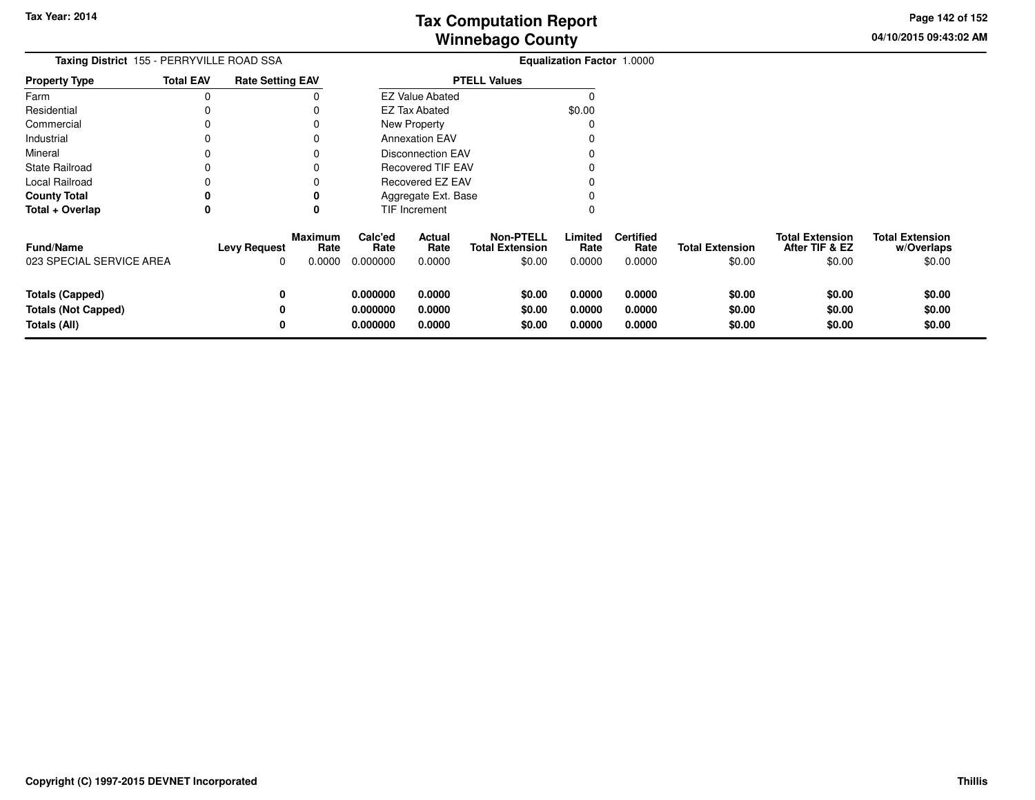**04/10/2015 09:43:02 AMPage 142 of 152**

| Taxing District 155 - PERRYVILLE ROAD SSA                            |                  |                                                              |                                  | <b>Equalization Factor 1.0000</b> |                                                      |                            |                                    |                                  |                                                    |                                                |
|----------------------------------------------------------------------|------------------|--------------------------------------------------------------|----------------------------------|-----------------------------------|------------------------------------------------------|----------------------------|------------------------------------|----------------------------------|----------------------------------------------------|------------------------------------------------|
| <b>Property Type</b>                                                 | <b>Total EAV</b> | <b>Rate Setting EAV</b>                                      |                                  |                                   | <b>PTELL Values</b>                                  |                            |                                    |                                  |                                                    |                                                |
| Farm                                                                 |                  |                                                              |                                  | <b>EZ Value Abated</b>            |                                                      |                            |                                    |                                  |                                                    |                                                |
| Residential                                                          |                  |                                                              |                                  | <b>EZ Tax Abated</b>              |                                                      | \$0.00                     |                                    |                                  |                                                    |                                                |
| Commercial                                                           |                  |                                                              |                                  | New Property                      |                                                      |                            |                                    |                                  |                                                    |                                                |
| Industrial                                                           |                  |                                                              |                                  | <b>Annexation EAV</b>             |                                                      |                            |                                    |                                  |                                                    |                                                |
| Mineral                                                              |                  |                                                              |                                  | <b>Disconnection EAV</b>          |                                                      |                            |                                    |                                  |                                                    |                                                |
| <b>State Railroad</b>                                                |                  |                                                              |                                  | Recovered TIF EAV                 |                                                      |                            |                                    |                                  |                                                    |                                                |
| Local Railroad                                                       |                  |                                                              |                                  | Recovered EZ EAV                  |                                                      |                            |                                    |                                  |                                                    |                                                |
| <b>County Total</b>                                                  |                  |                                                              |                                  | Aggregate Ext. Base               |                                                      |                            |                                    |                                  |                                                    |                                                |
| Total + Overlap                                                      | 0                |                                                              |                                  | TIF Increment                     |                                                      |                            |                                    |                                  |                                                    |                                                |
| Fund/Name<br>023 SPECIAL SERVICE AREA                                |                  | <b>Maximum</b><br><b>Levy Request</b><br>Rate<br>0.0000<br>0 | Calc'ed<br>Rate<br>0.000000      | Actual<br>Rate<br>0.0000          | <b>Non-PTELL</b><br><b>Total Extension</b><br>\$0.00 | Limited<br>Rate<br>0.0000  | <b>Certified</b><br>Rate<br>0.0000 | <b>Total Extension</b><br>\$0.00 | <b>Total Extension</b><br>After TIF & EZ<br>\$0.00 | <b>Total Extension</b><br>w/Overlaps<br>\$0.00 |
| <b>Totals (Capped)</b><br><b>Totals (Not Capped)</b><br>Totals (All) |                  | 0<br>0<br>0                                                  | 0.000000<br>0.000000<br>0.000000 | 0.0000<br>0.0000<br>0.0000        | \$0.00<br>\$0.00<br>\$0.00                           | 0.0000<br>0.0000<br>0.0000 | 0.0000<br>0.0000<br>0.0000         | \$0.00<br>\$0.00<br>\$0.00       | \$0.00<br>\$0.00<br>\$0.00                         | \$0.00<br>\$0.00<br>\$0.00                     |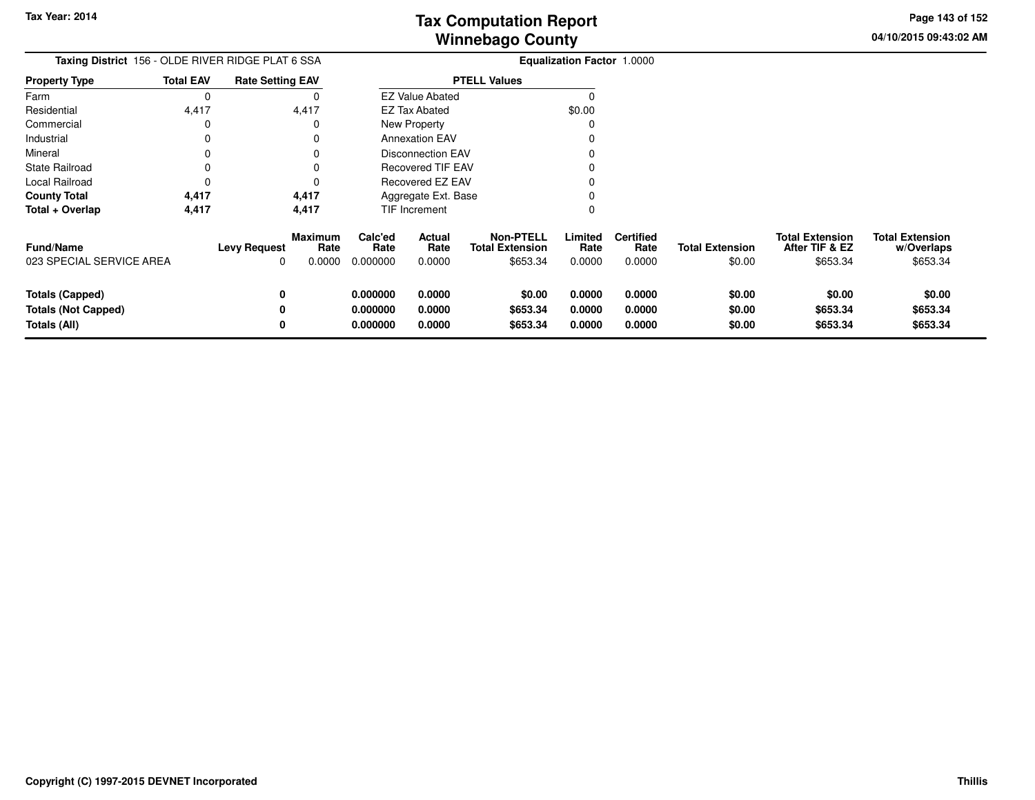**04/10/2015 09:43:02 AM Page 143 of 152**

| Taxing District 156 - OLDE RIVER RIDGE PLAT 6 SSA                    |                  |                          |                                  | Equalization Factor 1.0000       |                                 |                                                        |                            |                                    |                                  |                                                      |                                                  |  |
|----------------------------------------------------------------------|------------------|--------------------------|----------------------------------|----------------------------------|---------------------------------|--------------------------------------------------------|----------------------------|------------------------------------|----------------------------------|------------------------------------------------------|--------------------------------------------------|--|
| <b>Property Type</b>                                                 | <b>Total EAV</b> | <b>Rate Setting EAV</b>  |                                  |                                  |                                 | <b>PTELL Values</b>                                    |                            |                                    |                                  |                                                      |                                                  |  |
| Farm                                                                 | 0                |                          |                                  |                                  | <b>EZ Value Abated</b>          |                                                        |                            |                                    |                                  |                                                      |                                                  |  |
| Residential                                                          | 4,417            |                          | 4,417                            |                                  | <b>EZ Tax Abated</b>            |                                                        | \$0.00                     |                                    |                                  |                                                      |                                                  |  |
| Commercial                                                           | 0                |                          | 0                                |                                  | New Property                    |                                                        |                            |                                    |                                  |                                                      |                                                  |  |
| Industrial                                                           | 0                |                          | 0                                |                                  | <b>Annexation EAV</b>           |                                                        |                            |                                    |                                  |                                                      |                                                  |  |
| Mineral                                                              | 0                |                          | 0                                |                                  | <b>Disconnection EAV</b>        |                                                        |                            |                                    |                                  |                                                      |                                                  |  |
| <b>State Railroad</b>                                                | 0                |                          | 0                                |                                  | <b>Recovered TIF EAV</b>        |                                                        |                            |                                    |                                  |                                                      |                                                  |  |
| Local Railroad                                                       | $\Omega$         |                          | 0                                |                                  | Recovered EZ EAV                |                                                        |                            |                                    |                                  |                                                      |                                                  |  |
| <b>County Total</b>                                                  | 4,417            |                          | 4,417                            |                                  | Aggregate Ext. Base             |                                                        |                            |                                    |                                  |                                                      |                                                  |  |
| Total + Overlap                                                      | 4,417            |                          | 4,417                            |                                  | TIF Increment                   |                                                        |                            |                                    |                                  |                                                      |                                                  |  |
| <b>Fund/Name</b><br>023 SPECIAL SERVICE AREA                         |                  | <b>Levy Request</b><br>0 | <b>Maximum</b><br>Rate<br>0.0000 | Calc'ed<br>Rate<br>0.000000      | <b>Actual</b><br>Rate<br>0.0000 | <b>Non-PTELL</b><br><b>Total Extension</b><br>\$653.34 | Limited<br>Rate<br>0.0000  | <b>Certified</b><br>Rate<br>0.0000 | <b>Total Extension</b><br>\$0.00 | <b>Total Extension</b><br>After TIF & EZ<br>\$653.34 | <b>Total Extension</b><br>w/Overlaps<br>\$653.34 |  |
| <b>Totals (Capped)</b><br><b>Totals (Not Capped)</b><br>Totals (All) |                  | 0<br>0                   |                                  | 0.000000<br>0.000000<br>0.000000 | 0.0000<br>0.0000<br>0.0000      | \$0.00<br>\$653.34<br>\$653.34                         | 0.0000<br>0.0000<br>0.0000 | 0.0000<br>0.0000<br>0.0000         | \$0.00<br>\$0.00<br>\$0.00       | \$0.00<br>\$653.34<br>\$653.34                       | \$0.00<br>\$653.34<br>\$653.34                   |  |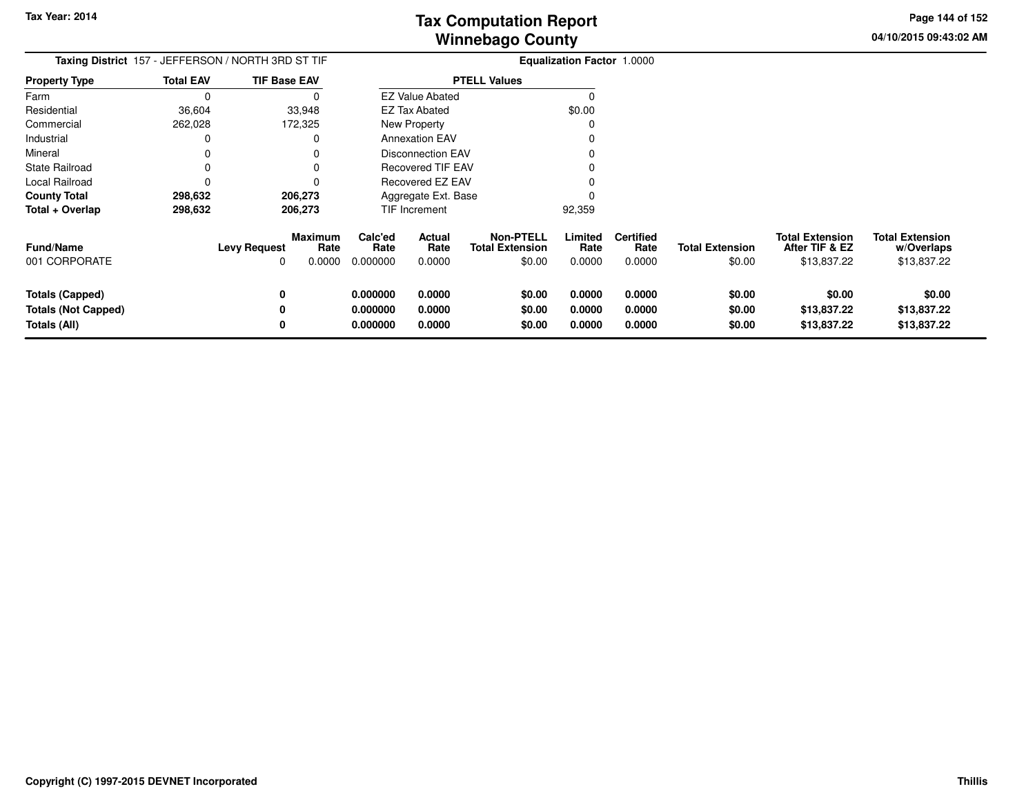**04/10/2015 09:43:02 AM Page 144 of 152**

| Taxing District 157 - JEFFERSON / NORTH 3RD ST TIF            | <b>Equalization Factor 1.0000</b> |                                                  |                                  |                            |                                               |                            |                                    |                                  |                                                         |                                                     |
|---------------------------------------------------------------|-----------------------------------|--------------------------------------------------|----------------------------------|----------------------------|-----------------------------------------------|----------------------------|------------------------------------|----------------------------------|---------------------------------------------------------|-----------------------------------------------------|
| <b>Property Type</b>                                          | <b>Total EAV</b>                  | <b>TIF Base EAV</b>                              |                                  |                            | <b>PTELL Values</b>                           |                            |                                    |                                  |                                                         |                                                     |
| Farm                                                          |                                   |                                                  |                                  | <b>EZ Value Abated</b>     |                                               | 0                          |                                    |                                  |                                                         |                                                     |
| Residential                                                   | 36,604                            | 33,948                                           |                                  | EZ Tax Abated              |                                               | \$0.00                     |                                    |                                  |                                                         |                                                     |
| Commercial                                                    | 262,028                           | 172,325                                          |                                  | <b>New Property</b>        |                                               |                            |                                    |                                  |                                                         |                                                     |
| Industrial                                                    |                                   |                                                  |                                  | <b>Annexation EAV</b>      |                                               |                            |                                    |                                  |                                                         |                                                     |
| Mineral                                                       |                                   |                                                  |                                  | <b>Disconnection EAV</b>   |                                               |                            |                                    |                                  |                                                         |                                                     |
| <b>State Railroad</b>                                         |                                   |                                                  |                                  | <b>Recovered TIF EAV</b>   |                                               |                            |                                    |                                  |                                                         |                                                     |
| Local Railroad                                                |                                   |                                                  |                                  | <b>Recovered EZ EAV</b>    |                                               |                            |                                    |                                  |                                                         |                                                     |
| <b>County Total</b>                                           | 298,632                           | 206,273                                          |                                  | Aggregate Ext. Base        |                                               |                            |                                    |                                  |                                                         |                                                     |
| Total + Overlap                                               | 298,632                           | 206,273                                          |                                  | TIF Increment              |                                               | 92,359                     |                                    |                                  |                                                         |                                                     |
| <b>Fund/Name</b><br>001 CORPORATE                             |                                   | Maximum<br>Rate<br><b>Levy Request</b><br>0.0000 | Calc'ed<br>Rate<br>0.000000      | Actual<br>Rate<br>0.0000   | Non-PTELL<br><b>Total Extension</b><br>\$0.00 | Limited<br>Rate<br>0.0000  | <b>Certified</b><br>Rate<br>0.0000 | <b>Total Extension</b><br>\$0.00 | <b>Total Extension</b><br>After TIF & EZ<br>\$13,837.22 | <b>Total Extension</b><br>w/Overlaps<br>\$13,837.22 |
| Totals (Capped)<br><b>Totals (Not Capped)</b><br>Totals (All) |                                   |                                                  | 0.000000<br>0.000000<br>0.000000 | 0.0000<br>0.0000<br>0.0000 | \$0.00<br>\$0.00<br>\$0.00                    | 0.0000<br>0.0000<br>0.0000 | 0.0000<br>0.0000<br>0.0000         | \$0.00<br>\$0.00<br>\$0.00       | \$0.00<br>\$13,837.22<br>\$13,837.22                    | \$0.00<br>\$13,837.22<br>\$13,837.22                |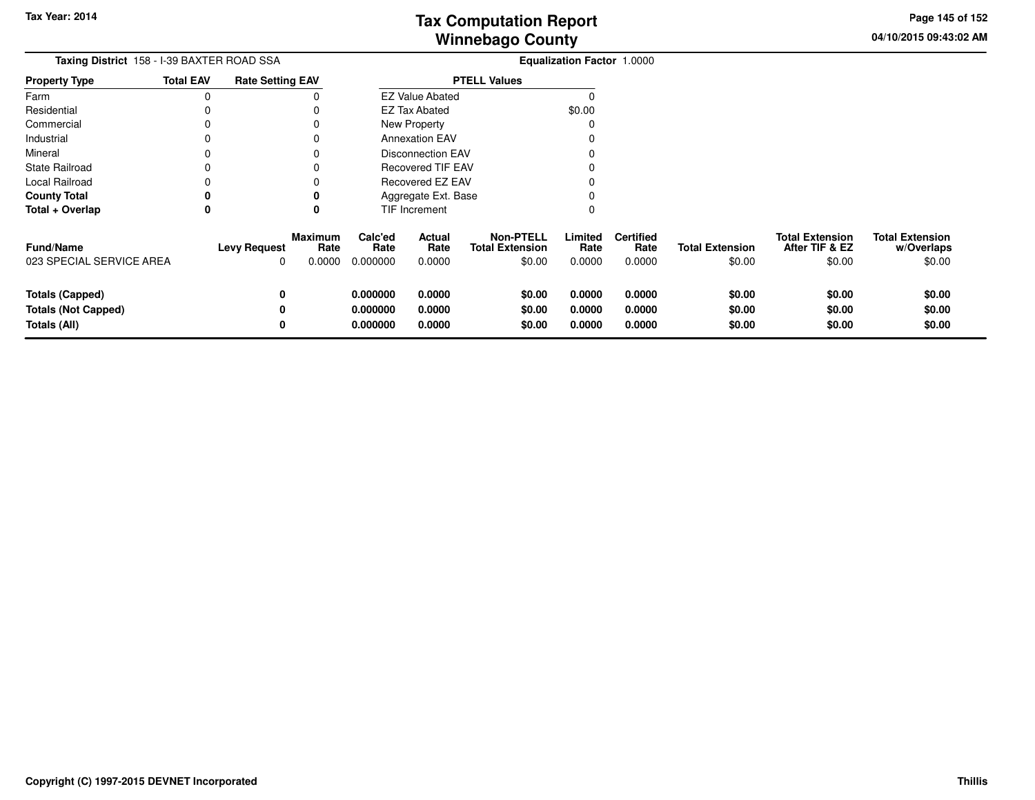**04/10/2015 09:43:02 AMPage 145 of 152**

| Taxing District 158 - I-39 BAXTER ROAD SSA                           |                  |                                                              |                                  |                                 | <b>Equalization Factor 1.0000</b>                    |                            |                                    |                                  |                                                    |                                                |
|----------------------------------------------------------------------|------------------|--------------------------------------------------------------|----------------------------------|---------------------------------|------------------------------------------------------|----------------------------|------------------------------------|----------------------------------|----------------------------------------------------|------------------------------------------------|
| <b>Property Type</b>                                                 | <b>Total EAV</b> | <b>Rate Setting EAV</b>                                      |                                  |                                 | <b>PTELL Values</b>                                  |                            |                                    |                                  |                                                    |                                                |
| Farm                                                                 |                  |                                                              |                                  | <b>EZ Value Abated</b>          |                                                      |                            |                                    |                                  |                                                    |                                                |
| Residential                                                          |                  |                                                              |                                  | <b>EZ Tax Abated</b>            |                                                      | \$0.00                     |                                    |                                  |                                                    |                                                |
| Commercial                                                           |                  |                                                              |                                  | New Property                    |                                                      |                            |                                    |                                  |                                                    |                                                |
| Industrial                                                           |                  |                                                              |                                  | <b>Annexation EAV</b>           |                                                      |                            |                                    |                                  |                                                    |                                                |
| Mineral                                                              |                  |                                                              |                                  | <b>Disconnection EAV</b>        |                                                      |                            |                                    |                                  |                                                    |                                                |
| <b>State Railroad</b>                                                |                  |                                                              |                                  | Recovered TIF EAV               |                                                      |                            |                                    |                                  |                                                    |                                                |
| Local Railroad                                                       |                  |                                                              |                                  | Recovered EZ EAV                |                                                      |                            |                                    |                                  |                                                    |                                                |
| <b>County Total</b>                                                  |                  |                                                              |                                  | Aggregate Ext. Base             |                                                      |                            |                                    |                                  |                                                    |                                                |
| Total + Overlap                                                      | 0                | 0                                                            |                                  | TIF Increment                   |                                                      |                            |                                    |                                  |                                                    |                                                |
| Fund/Name<br>023 SPECIAL SERVICE AREA                                |                  | <b>Maximum</b><br><b>Levy Request</b><br>Rate<br>0.0000<br>0 | Calc'ed<br>Rate<br>0.000000      | <b>Actual</b><br>Rate<br>0.0000 | <b>Non-PTELL</b><br><b>Total Extension</b><br>\$0.00 | Limited<br>Rate<br>0.0000  | <b>Certified</b><br>Rate<br>0.0000 | <b>Total Extension</b><br>\$0.00 | <b>Total Extension</b><br>After TIF & EZ<br>\$0.00 | <b>Total Extension</b><br>w/Overlaps<br>\$0.00 |
| <b>Totals (Capped)</b><br><b>Totals (Not Capped)</b><br>Totals (All) |                  | 0<br>0<br>0                                                  | 0.000000<br>0.000000<br>0.000000 | 0.0000<br>0.0000<br>0.0000      | \$0.00<br>\$0.00<br>\$0.00                           | 0.0000<br>0.0000<br>0.0000 | 0.0000<br>0.0000<br>0.0000         | \$0.00<br>\$0.00<br>\$0.00       | \$0.00<br>\$0.00<br>\$0.00                         | \$0.00<br>\$0.00<br>\$0.00                     |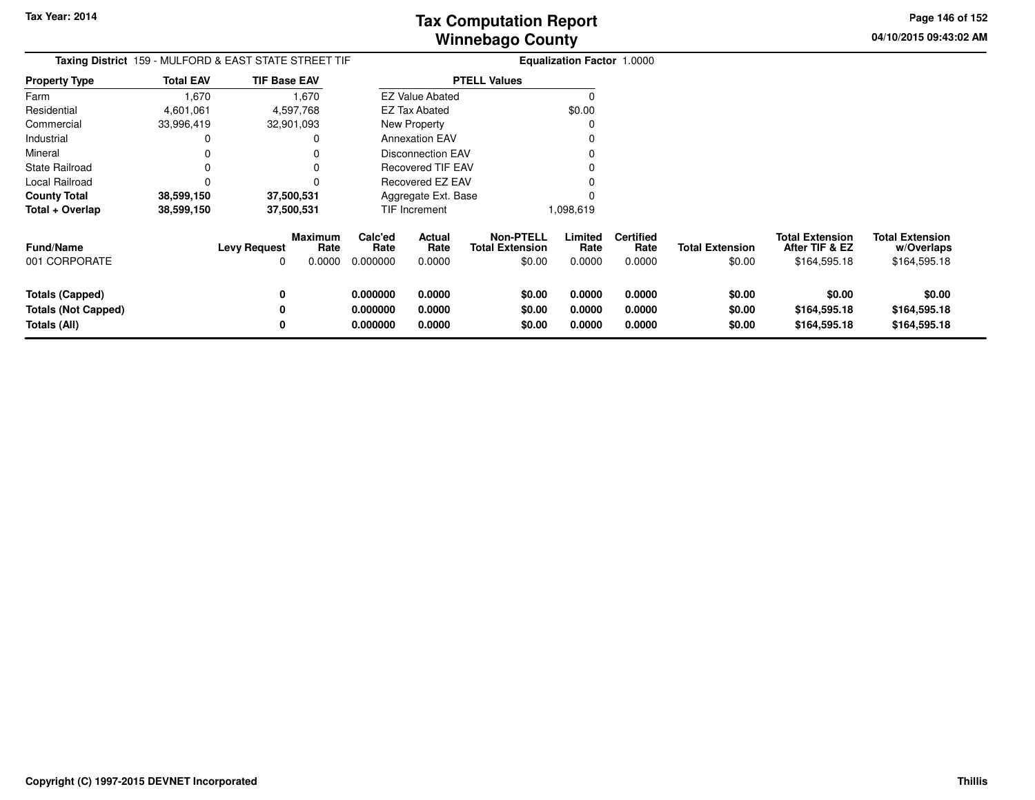**04/10/2015 09:43:02 AM Page 146 of 152**

| Taxing District 159 - MULFORD & EAST STATE STREET TIF |                  |                     |                           |                             |                          |                                                      | <b>Equalization Factor 1.0000</b> |                                    |                                  |                                                          |                                                      |
|-------------------------------------------------------|------------------|---------------------|---------------------------|-----------------------------|--------------------------|------------------------------------------------------|-----------------------------------|------------------------------------|----------------------------------|----------------------------------------------------------|------------------------------------------------------|
| <b>Property Type</b>                                  | <b>Total EAV</b> | <b>TIF Base EAV</b> |                           |                             |                          | <b>PTELL Values</b>                                  |                                   |                                    |                                  |                                                          |                                                      |
| Farm                                                  | 1,670            |                     | 1,670                     |                             | <b>EZ Value Abated</b>   |                                                      |                                   |                                    |                                  |                                                          |                                                      |
| Residential                                           | 4,601,061        |                     | 4,597,768                 |                             | EZ Tax Abated            |                                                      | \$0.00                            |                                    |                                  |                                                          |                                                      |
| Commercial                                            | 33,996,419       |                     | 32,901,093                |                             | <b>New Property</b>      |                                                      |                                   |                                    |                                  |                                                          |                                                      |
| Industrial                                            |                  |                     |                           |                             | <b>Annexation EAV</b>    |                                                      |                                   |                                    |                                  |                                                          |                                                      |
| Mineral                                               |                  |                     |                           |                             | <b>Disconnection EAV</b> |                                                      |                                   |                                    |                                  |                                                          |                                                      |
| <b>State Railroad</b>                                 |                  |                     |                           |                             | Recovered TIF EAV        |                                                      |                                   |                                    |                                  |                                                          |                                                      |
| Local Railroad                                        |                  |                     |                           |                             | Recovered EZ EAV         |                                                      |                                   |                                    |                                  |                                                          |                                                      |
| <b>County Total</b>                                   | 38,599,150       |                     | 37,500,531                |                             | Aggregate Ext. Base      |                                                      |                                   |                                    |                                  |                                                          |                                                      |
| Total + Overlap                                       | 38,599,150       |                     | 37,500,531                |                             | TIF Increment            |                                                      | 1,098,619                         |                                    |                                  |                                                          |                                                      |
| <b>Fund/Name</b><br>001 CORPORATE                     |                  | <b>Levy Request</b> | Maximum<br>Rate<br>0.0000 | Calc'ed<br>Rate<br>0.000000 | Actual<br>Rate<br>0.0000 | <b>Non-PTELL</b><br><b>Total Extension</b><br>\$0.00 | Limited<br>Rate<br>0.0000         | <b>Certified</b><br>Rate<br>0.0000 | <b>Total Extension</b><br>\$0.00 | <b>Total Extension</b><br>After TIF & EZ<br>\$164,595.18 | <b>Total Extension</b><br>w/Overlaps<br>\$164,595.18 |
| Totals (Capped)                                       |                  |                     |                           | 0.000000                    | 0.0000                   | \$0.00                                               | 0.0000                            | 0.0000                             | \$0.00                           | \$0.00                                                   | \$0.00                                               |
| <b>Totals (Not Capped)</b>                            |                  |                     |                           | 0.000000                    | 0.0000                   | \$0.00                                               | 0.0000                            | 0.0000                             | \$0.00                           | \$164,595.18                                             | \$164,595.18                                         |
| Totals (All)                                          |                  |                     |                           | 0.000000                    | 0.0000                   | \$0.00                                               | 0.0000                            | 0.0000                             | \$0.00                           | \$164,595.18                                             | \$164,595.18                                         |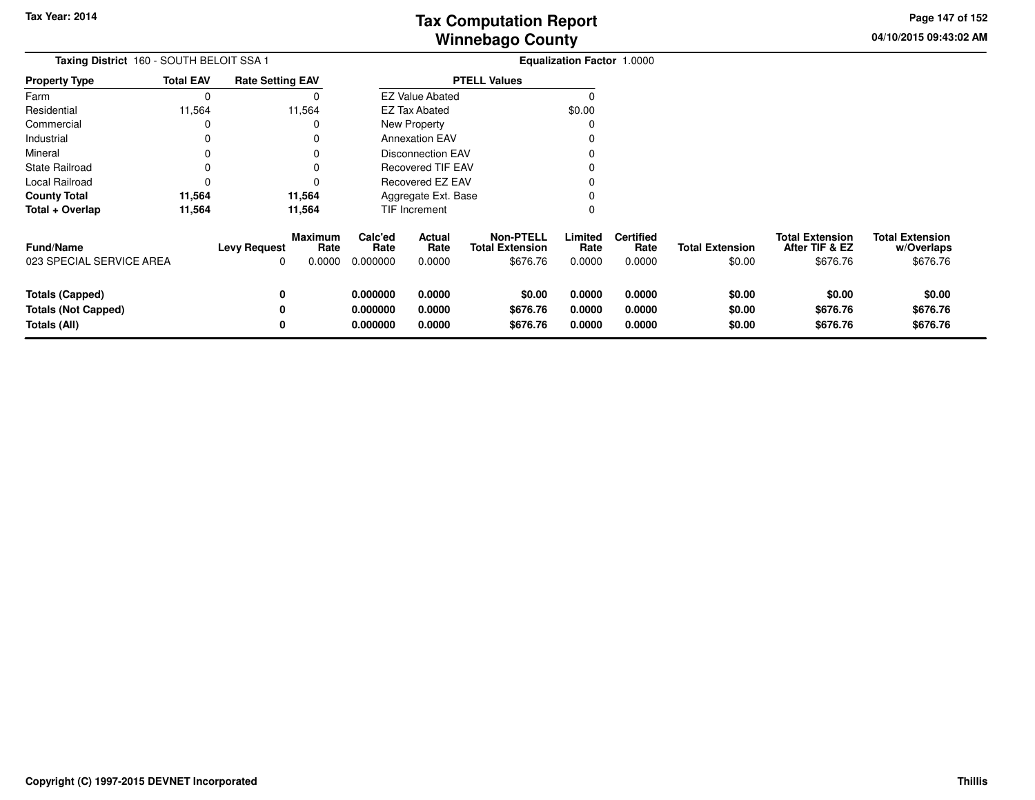**04/10/2015 09:43:02 AM Page 147 of 152**

| Taxing District 160 - SOUTH BELOIT SSA 1                             |                  |                          |                                  | Equalization Factor 1.0000       |                            |                                                        |                            |                                    |                                  |                                                      |                                                  |
|----------------------------------------------------------------------|------------------|--------------------------|----------------------------------|----------------------------------|----------------------------|--------------------------------------------------------|----------------------------|------------------------------------|----------------------------------|------------------------------------------------------|--------------------------------------------------|
| <b>Property Type</b>                                                 | <b>Total EAV</b> | <b>Rate Setting EAV</b>  |                                  |                                  |                            | <b>PTELL Values</b>                                    |                            |                                    |                                  |                                                      |                                                  |
| Farm                                                                 | 0                |                          |                                  |                                  | <b>EZ Value Abated</b>     |                                                        |                            |                                    |                                  |                                                      |                                                  |
| Residential                                                          | 11,564           |                          | 11,564                           |                                  | <b>EZ Tax Abated</b>       |                                                        |                            |                                    |                                  |                                                      |                                                  |
| Commercial                                                           |                  |                          |                                  |                                  | New Property               |                                                        |                            |                                    |                                  |                                                      |                                                  |
| Industrial                                                           |                  |                          |                                  |                                  | <b>Annexation EAV</b>      |                                                        |                            |                                    |                                  |                                                      |                                                  |
| Mineral                                                              |                  |                          |                                  |                                  | <b>Disconnection EAV</b>   |                                                        |                            |                                    |                                  |                                                      |                                                  |
| <b>State Railroad</b>                                                |                  |                          |                                  |                                  | <b>Recovered TIF EAV</b>   |                                                        |                            |                                    |                                  |                                                      |                                                  |
| Local Railroad                                                       |                  |                          |                                  | Recovered EZ EAV                 |                            |                                                        |                            |                                    |                                  |                                                      |                                                  |
| <b>County Total</b>                                                  | 11,564           |                          | 11,564                           |                                  | Aggregate Ext. Base        |                                                        |                            |                                    |                                  |                                                      |                                                  |
| Total + Overlap                                                      | 11,564           |                          | 11,564                           |                                  | <b>TIF Increment</b>       |                                                        |                            |                                    |                                  |                                                      |                                                  |
| Fund/Name<br>023 SPECIAL SERVICE AREA                                |                  | <b>Levy Request</b><br>0 | <b>Maximum</b><br>Rate<br>0.0000 | Calc'ed<br>Rate<br>0.000000      | Actual<br>Rate<br>0.0000   | <b>Non-PTELL</b><br><b>Total Extension</b><br>\$676.76 | Limited<br>Rate<br>0.0000  | <b>Certified</b><br>Rate<br>0.0000 | <b>Total Extension</b><br>\$0.00 | <b>Total Extension</b><br>After TIF & EZ<br>\$676.76 | <b>Total Extension</b><br>w/Overlaps<br>\$676.76 |
| <b>Totals (Capped)</b><br><b>Totals (Not Capped)</b><br>Totals (All) |                  | 0<br>0<br>0              |                                  | 0.000000<br>0.000000<br>0.000000 | 0.0000<br>0.0000<br>0.0000 | \$0.00<br>\$676.76<br>\$676.76                         | 0.0000<br>0.0000<br>0.0000 | 0.0000<br>0.0000<br>0.0000         | \$0.00<br>\$0.00<br>\$0.00       | \$0.00<br>\$676.76<br>\$676.76                       | \$0.00<br>\$676.76<br>\$676.76                   |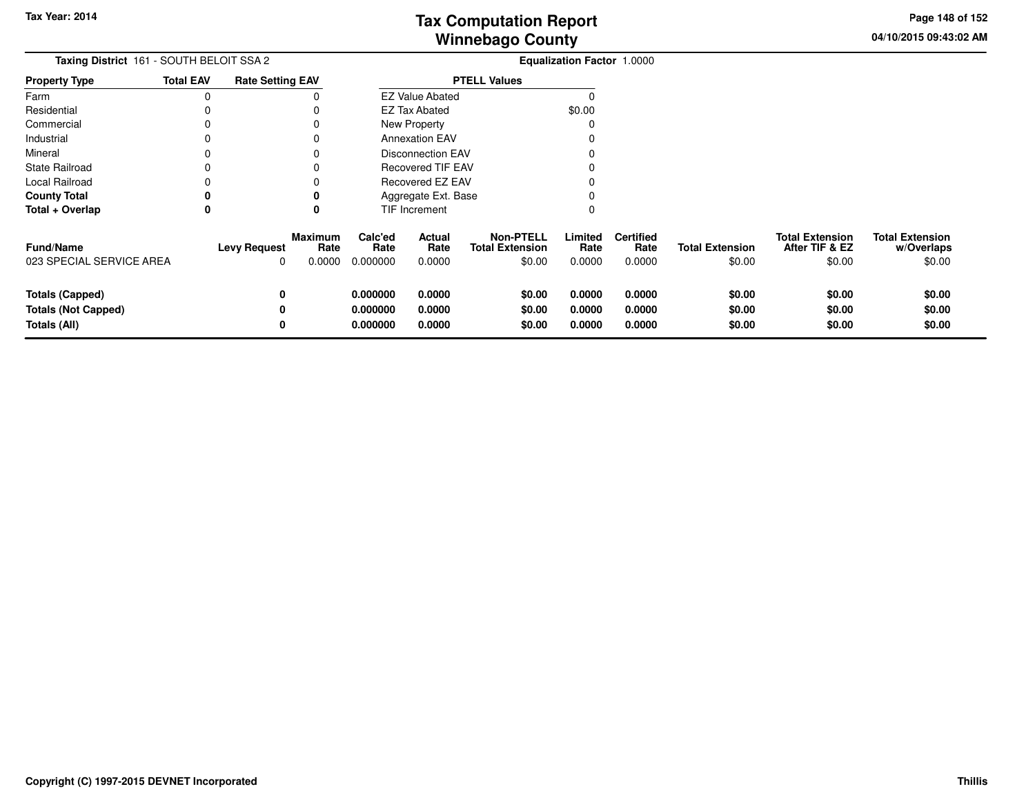**04/10/2015 09:43:02 AM Page 148 of 152**

| Taxing District 161 - SOUTH BELOIT SSA 2                             |                  | <b>Equalization Factor 1.0000</b>          |                |                                  |                            |                                                      |                            |                                    |                                  |                                                    |                                                |
|----------------------------------------------------------------------|------------------|--------------------------------------------|----------------|----------------------------------|----------------------------|------------------------------------------------------|----------------------------|------------------------------------|----------------------------------|----------------------------------------------------|------------------------------------------------|
| <b>Property Type</b>                                                 | <b>Total EAV</b> | <b>Rate Setting EAV</b>                    |                |                                  |                            | <b>PTELL Values</b>                                  |                            |                                    |                                  |                                                    |                                                |
| Farm                                                                 | $\Omega$         |                                            |                |                                  | <b>EZ Value Abated</b>     |                                                      |                            |                                    |                                  |                                                    |                                                |
| Residential                                                          |                  |                                            |                |                                  | <b>EZ Tax Abated</b>       |                                                      | \$0.00                     |                                    |                                  |                                                    |                                                |
| Commercial                                                           |                  |                                            |                |                                  | New Property               |                                                      |                            |                                    |                                  |                                                    |                                                |
| Industrial                                                           |                  |                                            |                |                                  | <b>Annexation EAV</b>      |                                                      |                            |                                    |                                  |                                                    |                                                |
| Mineral                                                              |                  |                                            |                |                                  | <b>Disconnection EAV</b>   |                                                      |                            |                                    |                                  |                                                    |                                                |
| <b>State Railroad</b>                                                |                  |                                            |                |                                  | Recovered TIF EAV          |                                                      |                            |                                    |                                  |                                                    |                                                |
| Local Railroad                                                       |                  |                                            |                |                                  | Recovered EZ EAV           |                                                      |                            |                                    |                                  |                                                    |                                                |
| <b>County Total</b>                                                  | 0                |                                            |                |                                  | Aggregate Ext. Base        |                                                      |                            |                                    |                                  |                                                    |                                                |
| Total + Overlap                                                      | 0                | 0                                          |                |                                  | TIF Increment              |                                                      |                            |                                    |                                  |                                                    |                                                |
| <b>Fund/Name</b><br>023 SPECIAL SERVICE AREA                         |                  | <b>Maximum</b><br><b>Levy Request</b><br>0 | Rate<br>0.0000 | Calc'ed<br>Rate<br>0.000000      | Actual<br>Rate<br>0.0000   | <b>Non-PTELL</b><br><b>Total Extension</b><br>\$0.00 | Limited<br>Rate<br>0.0000  | <b>Certified</b><br>Rate<br>0.0000 | <b>Total Extension</b><br>\$0.00 | <b>Total Extension</b><br>After TIF & EZ<br>\$0.00 | <b>Total Extension</b><br>w/Overlaps<br>\$0.00 |
| <b>Totals (Capped)</b><br><b>Totals (Not Capped)</b><br>Totals (All) |                  | 0<br>0                                     |                | 0.000000<br>0.000000<br>0.000000 | 0.0000<br>0.0000<br>0.0000 | \$0.00<br>\$0.00<br>\$0.00                           | 0.0000<br>0.0000<br>0.0000 | 0.0000<br>0.0000<br>0.0000         | \$0.00<br>\$0.00<br>\$0.00       | \$0.00<br>\$0.00<br>\$0.00                         | \$0.00<br>\$0.00<br>\$0.00                     |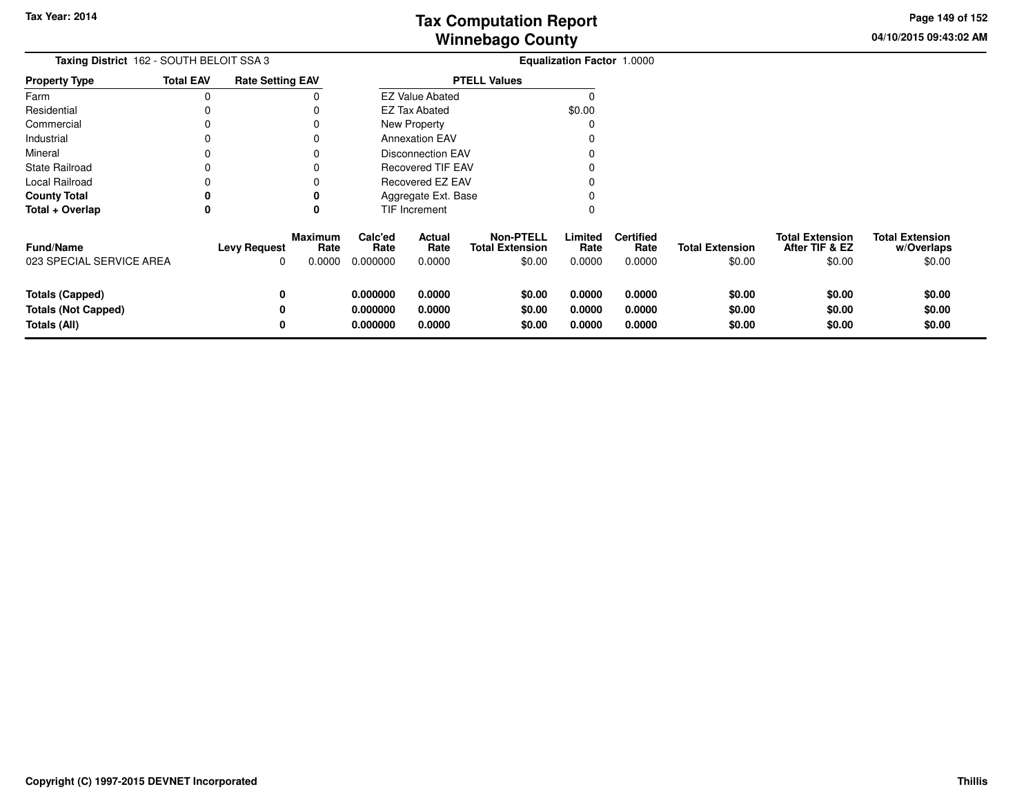**04/10/2015 09:43:02 AMPage 149 of 152**

| Taxing District 162 - SOUTH BELOIT SSA 3     |                  |                          |                                  |                             |                                |                                                      | <b>Equalization Factor 1.0000</b> |                                    |                                  |                                                    |                                                |
|----------------------------------------------|------------------|--------------------------|----------------------------------|-----------------------------|--------------------------------|------------------------------------------------------|-----------------------------------|------------------------------------|----------------------------------|----------------------------------------------------|------------------------------------------------|
| <b>Property Type</b>                         | <b>Total EAV</b> | <b>Rate Setting EAV</b>  |                                  |                             |                                | <b>PTELL Values</b>                                  |                                   |                                    |                                  |                                                    |                                                |
| Farm                                         | 0                |                          |                                  |                             | <b>EZ Value Abated</b>         |                                                      |                                   |                                    |                                  |                                                    |                                                |
| Residential                                  | 0                |                          |                                  |                             | \$0.00<br><b>EZ Tax Abated</b> |                                                      |                                   |                                    |                                  |                                                    |                                                |
| Commercial                                   | 0                |                          |                                  |                             | New Property                   |                                                      |                                   |                                    |                                  |                                                    |                                                |
| Industrial                                   | 0                |                          |                                  |                             | <b>Annexation EAV</b>          |                                                      |                                   |                                    |                                  |                                                    |                                                |
| Mineral                                      | 0                |                          |                                  |                             | Disconnection EAV              |                                                      |                                   |                                    |                                  |                                                    |                                                |
| <b>State Railroad</b>                        | 0                |                          |                                  |                             | <b>Recovered TIF EAV</b>       |                                                      |                                   |                                    |                                  |                                                    |                                                |
| Local Railroad                               |                  |                          |                                  | Recovered EZ EAV            |                                |                                                      |                                   |                                    |                                  |                                                    |                                                |
| <b>County Total</b>                          | 0                |                          | 0                                |                             | Aggregate Ext. Base            |                                                      |                                   |                                    |                                  |                                                    |                                                |
| Total + Overlap                              | 0                |                          | 0                                |                             | TIF Increment                  |                                                      |                                   |                                    |                                  |                                                    |                                                |
| <b>Fund/Name</b><br>023 SPECIAL SERVICE AREA |                  | <b>Levy Request</b><br>0 | <b>Maximum</b><br>Rate<br>0.0000 | Calc'ed<br>Rate<br>0.000000 | Actual<br>Rate<br>0.0000       | <b>Non-PTELL</b><br><b>Total Extension</b><br>\$0.00 | Limited<br>Rate<br>0.0000         | <b>Certified</b><br>Rate<br>0.0000 | <b>Total Extension</b><br>\$0.00 | <b>Total Extension</b><br>After TIF & EZ<br>\$0.00 | <b>Total Extension</b><br>w/Overlaps<br>\$0.00 |
| <b>Totals (Capped)</b>                       |                  | 0                        |                                  | 0.000000                    | 0.0000                         | \$0.00                                               | 0.0000                            | 0.0000                             | \$0.00                           | \$0.00                                             | \$0.00                                         |
| <b>Totals (Not Capped)</b>                   |                  | 0                        |                                  | 0.000000                    | 0.0000                         | \$0.00                                               | 0.0000                            | 0.0000                             | \$0.00                           | \$0.00                                             | \$0.00                                         |
| Totals (All)                                 |                  | 0                        |                                  | 0.000000                    | 0.0000                         | \$0.00                                               | 0.0000                            | 0.0000                             | \$0.00                           | \$0.00                                             | \$0.00                                         |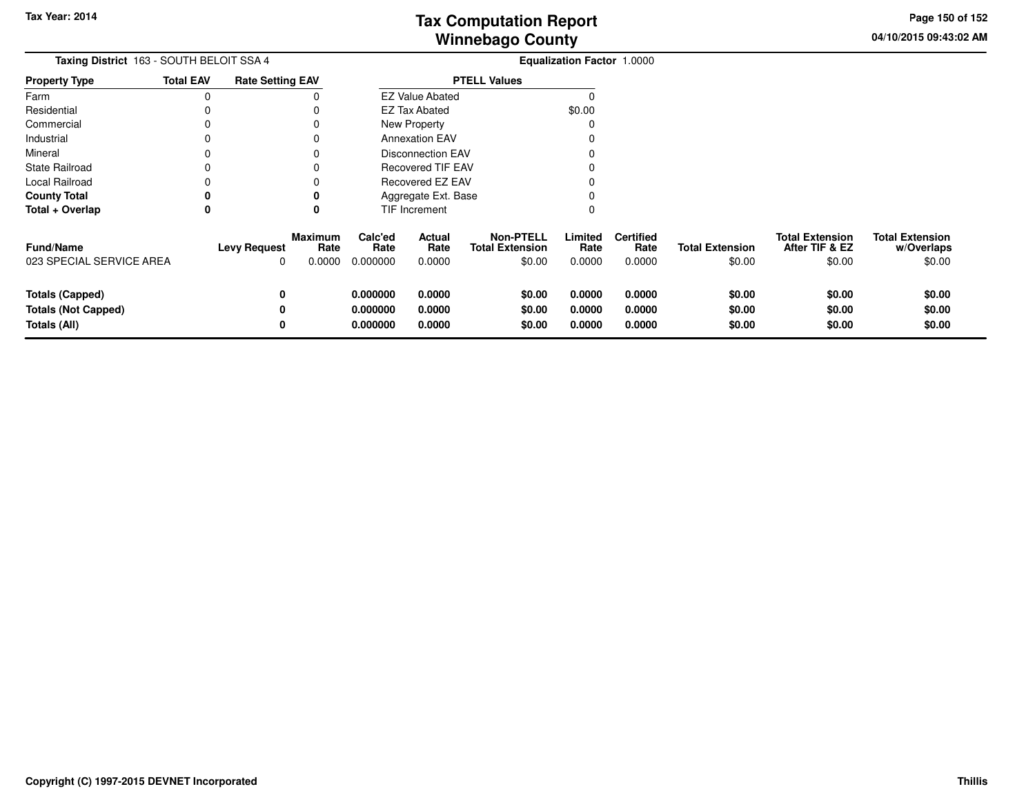**04/10/2015 09:43:02 AM Page 150 of 152**

| Taxing District 163 - SOUTH BELOIT SSA 4     |                  |                          |                                  | Equalization Factor 1.0000  |                                |                                                      |                           |                                    |                                  |                                                    |                                                |
|----------------------------------------------|------------------|--------------------------|----------------------------------|-----------------------------|--------------------------------|------------------------------------------------------|---------------------------|------------------------------------|----------------------------------|----------------------------------------------------|------------------------------------------------|
| <b>Property Type</b>                         | <b>Total EAV</b> | <b>Rate Setting EAV</b>  |                                  |                             |                                | <b>PTELL Values</b>                                  |                           |                                    |                                  |                                                    |                                                |
| Farm                                         | 0                |                          |                                  |                             | <b>EZ Value Abated</b>         |                                                      |                           |                                    |                                  |                                                    |                                                |
| Residential                                  |                  |                          |                                  |                             | \$0.00<br><b>EZ Tax Abated</b> |                                                      |                           |                                    |                                  |                                                    |                                                |
| Commercial                                   | 0                |                          |                                  |                             | New Property<br>O              |                                                      |                           |                                    |                                  |                                                    |                                                |
| Industrial                                   | 0                |                          | 0                                |                             | <b>Annexation EAV</b>          |                                                      |                           |                                    |                                  |                                                    |                                                |
| Mineral                                      | 0                |                          | O                                |                             | <b>Disconnection EAV</b>       |                                                      |                           |                                    |                                  |                                                    |                                                |
| <b>State Railroad</b>                        | 0                |                          |                                  |                             | <b>Recovered TIF EAV</b>       |                                                      |                           |                                    |                                  |                                                    |                                                |
| Local Railroad                               |                  |                          |                                  |                             | Recovered EZ EAV               |                                                      |                           |                                    |                                  |                                                    |                                                |
| <b>County Total</b>                          | 0                |                          | 0                                |                             | Aggregate Ext. Base            |                                                      |                           |                                    |                                  |                                                    |                                                |
| Total + Overlap                              | 0                |                          | 0                                |                             | <b>TIF Increment</b>           |                                                      |                           |                                    |                                  |                                                    |                                                |
| <b>Fund/Name</b><br>023 SPECIAL SERVICE AREA |                  | <b>Levy Request</b><br>0 | <b>Maximum</b><br>Rate<br>0.0000 | Calc'ed<br>Rate<br>0.000000 | Actual<br>Rate<br>0.0000       | <b>Non-PTELL</b><br><b>Total Extension</b><br>\$0.00 | Limited<br>Rate<br>0.0000 | <b>Certified</b><br>Rate<br>0.0000 | <b>Total Extension</b><br>\$0.00 | <b>Total Extension</b><br>After TIF & EZ<br>\$0.00 | <b>Total Extension</b><br>w/Overlaps<br>\$0.00 |
| <b>Totals (Capped)</b>                       |                  | 0                        |                                  | 0.000000                    | 0.0000                         | \$0.00                                               | 0.0000                    | 0.0000                             | \$0.00                           | \$0.00                                             | \$0.00                                         |
| <b>Totals (Not Capped)</b>                   |                  | 0                        |                                  | 0.000000                    | 0.0000                         | \$0.00                                               | 0.0000                    | 0.0000                             | \$0.00                           | \$0.00                                             | \$0.00                                         |
| Totals (All)                                 |                  | 0                        |                                  | 0.000000                    | 0.0000                         | \$0.00                                               | 0.0000                    | 0.0000                             | \$0.00                           | \$0.00                                             | \$0.00                                         |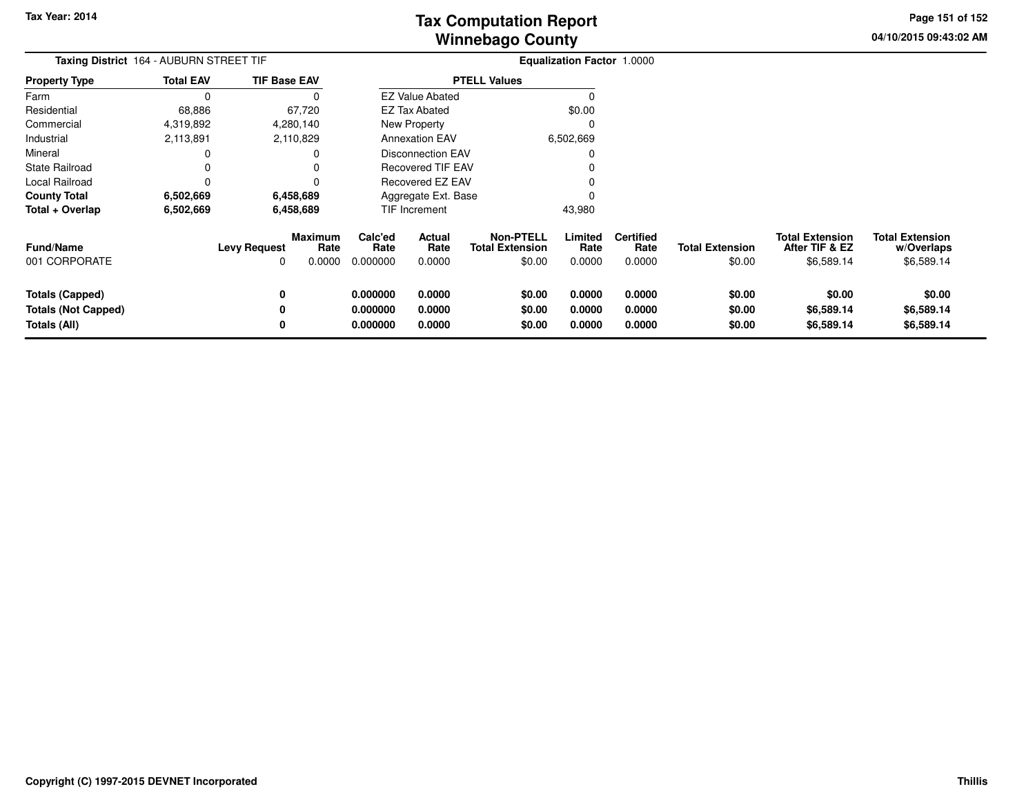**04/10/2015 09:43:02 AM Page 151 of 152**

| Taxing District 164 - AUBURN STREET TIF                              |                  |                          |                           |                                  | <b>Equalization Factor 1.0000</b> |                                                      |                            |                                    |                                  |                                                        |                                                    |  |
|----------------------------------------------------------------------|------------------|--------------------------|---------------------------|----------------------------------|-----------------------------------|------------------------------------------------------|----------------------------|------------------------------------|----------------------------------|--------------------------------------------------------|----------------------------------------------------|--|
| <b>Property Type</b>                                                 | <b>Total EAV</b> | <b>TIF Base EAV</b>      |                           |                                  |                                   | <b>PTELL Values</b>                                  |                            |                                    |                                  |                                                        |                                                    |  |
| Farm                                                                 | $\Omega$         |                          |                           |                                  | <b>EZ Value Abated</b>            |                                                      |                            |                                    |                                  |                                                        |                                                    |  |
| Residential                                                          | 68,886           |                          | 67,720                    |                                  | <b>EZ Tax Abated</b>              |                                                      | \$0.00                     |                                    |                                  |                                                        |                                                    |  |
| Commercial                                                           | 4,319,892        |                          | 4,280,140                 |                                  | New Property                      |                                                      | 0                          |                                    |                                  |                                                        |                                                    |  |
| Industrial                                                           | 2,113,891        |                          | 2,110,829                 |                                  | <b>Annexation EAV</b>             |                                                      | 6,502,669                  |                                    |                                  |                                                        |                                                    |  |
| Mineral                                                              | 0                |                          |                           |                                  | <b>Disconnection EAV</b>          |                                                      |                            |                                    |                                  |                                                        |                                                    |  |
| <b>State Railroad</b>                                                | 0                |                          |                           |                                  | Recovered TIF EAV                 |                                                      |                            |                                    |                                  |                                                        |                                                    |  |
| Local Railroad                                                       | 0                |                          |                           |                                  | Recovered EZ EAV                  |                                                      |                            |                                    |                                  |                                                        |                                                    |  |
| <b>County Total</b>                                                  | 6,502,669        |                          | 6,458,689                 |                                  | Aggregate Ext. Base               |                                                      |                            |                                    |                                  |                                                        |                                                    |  |
| Total + Overlap                                                      | 6,502,669        |                          | 6,458,689                 |                                  | <b>TIF Increment</b>              |                                                      | 43,980                     |                                    |                                  |                                                        |                                                    |  |
| <b>Fund/Name</b><br>001 CORPORATE                                    |                  | <b>Levy Request</b><br>0 | Maximum<br>Rate<br>0.0000 | Calc'ed<br>Rate<br>0.000000      | Actual<br>Rate<br>0.0000          | <b>Non-PTELL</b><br><b>Total Extension</b><br>\$0.00 | Limited<br>Rate<br>0.0000  | <b>Certified</b><br>Rate<br>0.0000 | <b>Total Extension</b><br>\$0.00 | <b>Total Extension</b><br>After TIF & EZ<br>\$6,589.14 | <b>Total Extension</b><br>w/Overlaps<br>\$6,589.14 |  |
| <b>Totals (Capped)</b><br><b>Totals (Not Capped)</b><br>Totals (All) |                  | 0<br>0<br>0              |                           | 0.000000<br>0.000000<br>0.000000 | 0.0000<br>0.0000<br>0.0000        | \$0.00<br>\$0.00<br>\$0.00                           | 0.0000<br>0.0000<br>0.0000 | 0.0000<br>0.0000<br>0.0000         | \$0.00<br>\$0.00<br>\$0.00       | \$0.00<br>\$6,589.14<br>\$6,589.14                     | \$0.00<br>\$6,589.14<br>\$6,589.14                 |  |